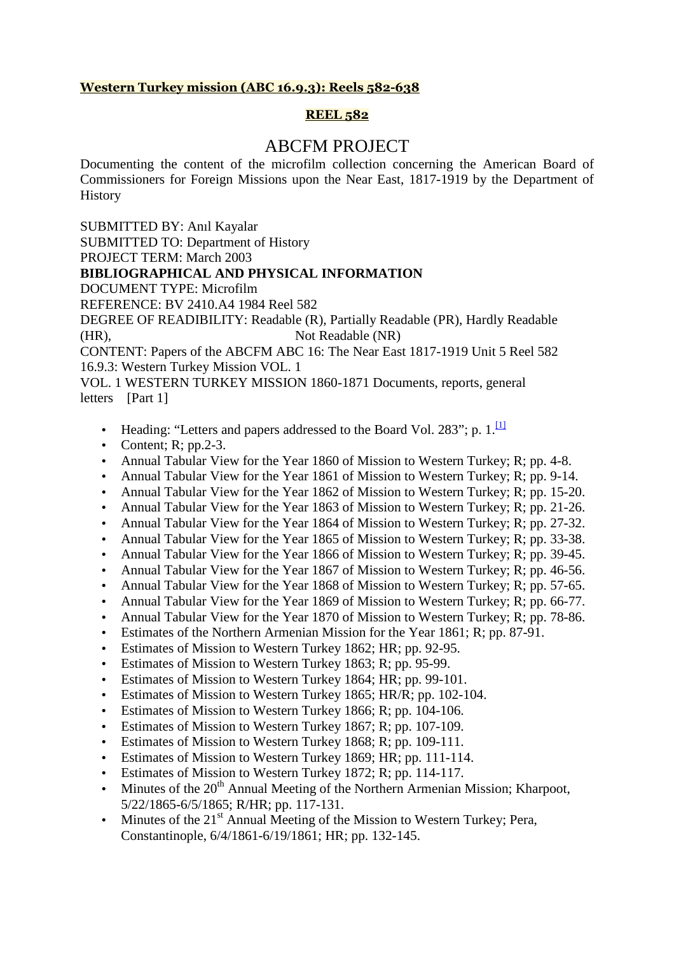# **Western Turkey mission (ABC 16.9.3): Reels 582-638**

# **REEL 582**

# ABCFM PROJECT

Documenting the content of the microfilm collection concerning the American Board of Commissioners for Foreign Missions upon the Near East, 1817-1919 by the Department of History

SUBMITTED BY: Anıl Kayalar SUBMITTED TO: Department of History PROJECT TERM: March 2003 **BIBLIOGRAPHICAL AND PHYSICAL INFORMATION**  DOCUMENT TYPE: Microfilm REFERENCE: BV 2410.A4 1984 Reel 582 DEGREE OF READIBILITY: Readable (R), Partially Readable (PR), Hardly Readable (HR), Not Readable (NR) CONTENT: Papers of the ABCFM ABC 16: The Near East 1817-1919 Unit 5 Reel 582 16.9.3: Western Turkey Mission VOL. 1 VOL. 1 WESTERN TURKEY MISSION 1860-1871 Documents, reports, general

letters [Part 1]

- Heading: "Letters and papers addressed to the Board Vol. 283"; p.  $1$ .  $\frac{11}{11}$
- Content;  $R$ ; pp. 2-3.
- Annual Tabular View for the Year 1860 of Mission to Western Turkey; R; pp. 4-8.
- Annual Tabular View for the Year 1861 of Mission to Western Turkey; R; pp. 9-14.
- Annual Tabular View for the Year 1862 of Mission to Western Turkey; R; pp. 15-20.
- Annual Tabular View for the Year 1863 of Mission to Western Turkey; R; pp. 21-26.
- Annual Tabular View for the Year 1864 of Mission to Western Turkey; R; pp. 27-32.
- Annual Tabular View for the Year 1865 of Mission to Western Turkey; R; pp. 33-38.
- Annual Tabular View for the Year 1866 of Mission to Western Turkey; R; pp. 39-45.
- Annual Tabular View for the Year 1867 of Mission to Western Turkey; R; pp. 46-56.
- Annual Tabular View for the Year 1868 of Mission to Western Turkey; R; pp. 57-65.
- Annual Tabular View for the Year 1869 of Mission to Western Turkey; R; pp. 66-77.
- Annual Tabular View for the Year 1870 of Mission to Western Turkey; R; pp. 78-86.
- Estimates of the Northern Armenian Mission for the Year 1861; R; pp. 87-91.
- Estimates of Mission to Western Turkey 1862; HR; pp. 92-95.
- Estimates of Mission to Western Turkey 1863; R; pp. 95-99.
- Estimates of Mission to Western Turkey 1864; HR; pp. 99-101.
- Estimates of Mission to Western Turkey 1865; HR/R; pp. 102-104.
- Estimates of Mission to Western Turkey 1866; R; pp. 104-106.
- Estimates of Mission to Western Turkey 1867; R; pp. 107-109.
- Estimates of Mission to Western Turkey 1868; R; pp. 109-111.
- Estimates of Mission to Western Turkey 1869; HR; pp. 111-114.
- Estimates of Mission to Western Turkey 1872; R; pp. 114-117.
- Minutes of the  $20<sup>th</sup>$  Annual Meeting of the Northern Armenian Mission; Kharpoot, 5/22/1865-6/5/1865; R/HR; pp. 117-131.
- Minutes of the  $21<sup>st</sup>$  Annual Meeting of the Mission to Western Turkey; Pera, Constantinople, 6/4/1861-6/19/1861; HR; pp. 132-145.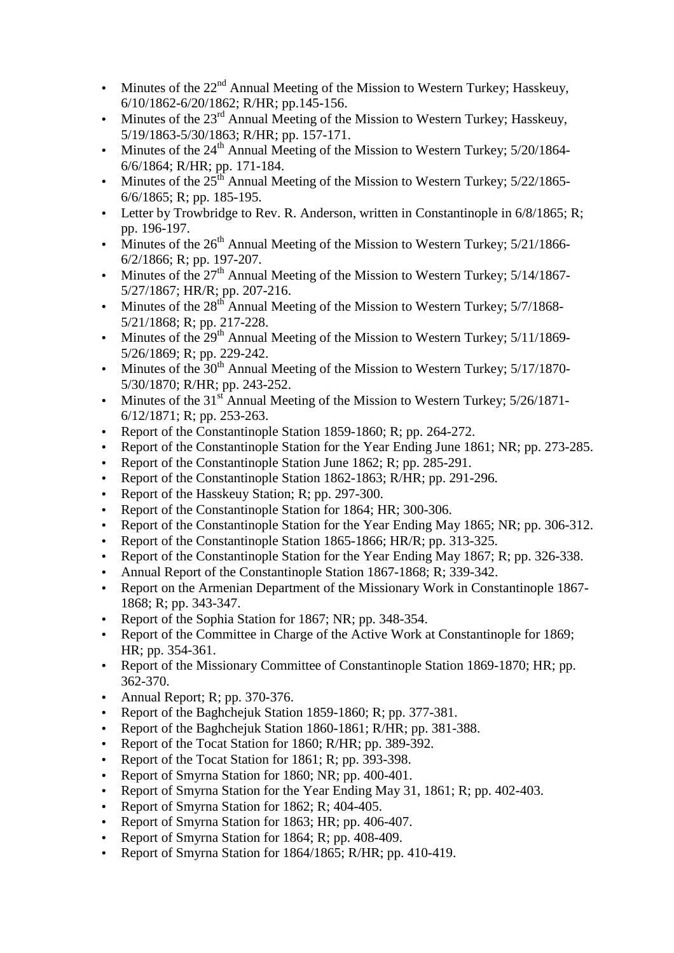- Minutes of the  $22<sup>nd</sup>$  Annual Meeting of the Mission to Western Turkey; Hasskeuy, 6/10/1862-6/20/1862; R/HR; pp.145-156.
- Minutes of the 23<sup>rd</sup> Annual Meeting of the Mission to Western Turkey; Hasskeuy, 5/19/1863-5/30/1863; R/HR; pp. 157-171.
- Minutes of the  $24<sup>th</sup>$  Annual Meeting of the Mission to Western Turkey;  $5/20/1864$ -6/6/1864; R/HR; pp. 171-184.
- Minutes of the  $25<sup>th</sup>$  Annual Meeting of the Mission to Western Turkey;  $5/22/1865$ -6/6/1865; R; pp. 185-195.
- Letter by Trowbridge to Rev. R. Anderson, written in Constantinople in 6/8/1865; R; pp. 196-197.
- Minutes of the  $26<sup>th</sup>$  Annual Meeting of the Mission to Western Turkey;  $5/21/1866$ -6/2/1866; R; pp. 197-207.
- Minutes of the  $27<sup>th</sup>$  Annual Meeting of the Mission to Western Turkey;  $5/14/1867$ -5/27/1867; HR/R; pp. 207-216.
- Minutes of the  $28<sup>th</sup>$  Annual Meeting of the Mission to Western Turkey;  $5/7/1868$ -5/21/1868; R; pp. 217-228.
- Minutes of the  $29<sup>th</sup>$  Annual Meeting of the Mission to Western Turkey;  $5/11/1869$ -5/26/1869; R; pp. 229-242.
- Minutes of the  $30<sup>th</sup>$  Annual Meeting of the Mission to Western Turkey;  $5/17/1870$ -5/30/1870; R/HR; pp. 243-252.
- Minutes of the  $31<sup>st</sup>$  Annual Meeting of the Mission to Western Turkey;  $5/26/1871$ -6/12/1871; R; pp. 253-263.
- Report of the Constantinople Station 1859-1860; R; pp. 264-272.
- Report of the Constantinople Station for the Year Ending June 1861; NR; pp. 273-285.
- Report of the Constantinople Station June 1862; R; pp. 285-291.
- Report of the Constantinople Station 1862-1863; R/HR; pp. 291-296.
- Report of the Hasskeuy Station; R; pp. 297-300.
- Report of the Constantinople Station for 1864; HR; 300-306.
- Report of the Constantinople Station for the Year Ending May 1865; NR; pp. 306-312.
- Report of the Constantinople Station 1865-1866; HR/R; pp. 313-325.
- Report of the Constantinople Station for the Year Ending May 1867; R; pp. 326-338.
- Annual Report of the Constantinople Station 1867-1868; R; 339-342.
- Report on the Armenian Department of the Missionary Work in Constantinople 1867-1868; R; pp. 343-347.
- Report of the Sophia Station for 1867; NR; pp. 348-354.
- Report of the Committee in Charge of the Active Work at Constantinople for 1869; HR; pp. 354-361.
- Report of the Missionary Committee of Constantinople Station 1869-1870; HR; pp. 362-370.
- Annual Report; R; pp.  $370-376$ .
- Report of the Baghchejuk Station 1859-1860; R; pp. 377-381.
- Report of the Baghchejuk Station 1860-1861; R/HR; pp. 381-388.
- Report of the Tocat Station for 1860; R/HR; pp. 389-392.
- Report of the Tocat Station for 1861; R; pp. 393-398.
- Report of Smyrna Station for 1860; NR; pp. 400-401.
- Report of Smyrna Station for the Year Ending May 31, 1861; R; pp. 402-403.
- Report of Smyrna Station for 1862; R; 404-405.
- Report of Smyrna Station for 1863; HR; pp. 406-407.
- Report of Smyrna Station for 1864; R; pp. 408-409.
- Report of Smyrna Station for 1864/1865; R/HR; pp. 410-419.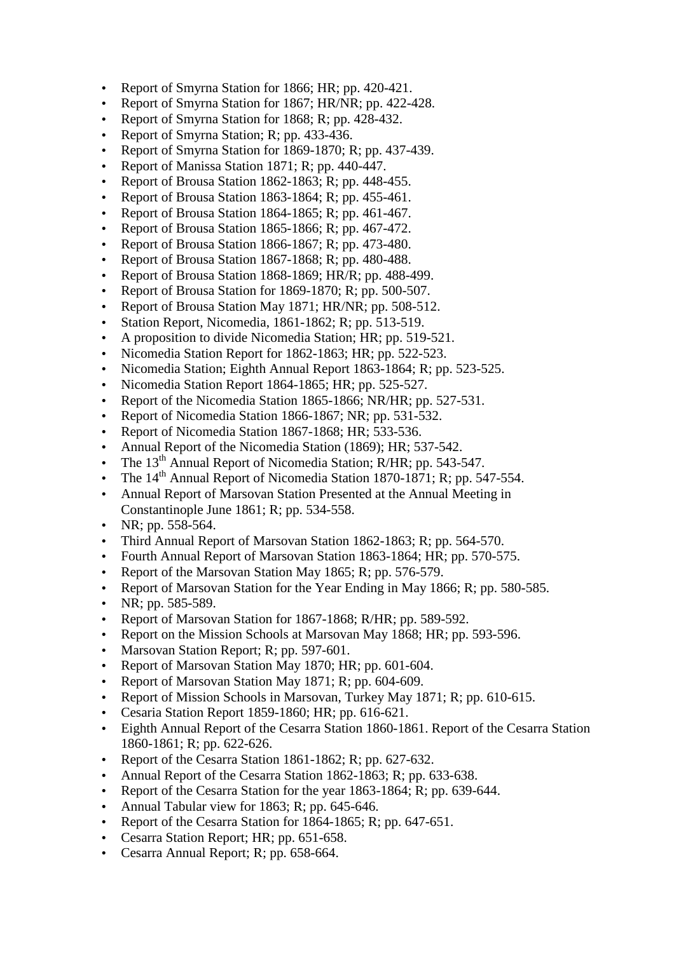- Report of Smyrna Station for 1866; HR; pp. 420-421.
- Report of Smyrna Station for 1867; HR/NR; pp. 422-428.
- Report of Smyrna Station for 1868; R; pp. 428-432.
- Report of Smyrna Station; R; pp. 433-436.
- Report of Smyrna Station for 1869-1870; R; pp. 437-439.
- Report of Manissa Station 1871; R; pp. 440-447.
- Report of Brousa Station 1862-1863; R; pp. 448-455.
- Report of Brousa Station  $1863-1864$ ; R; pp. 455-461.
- Report of Brousa Station 1864-1865; R; pp. 461-467.
- Report of Brousa Station 1865-1866; R; pp. 467-472.
- Report of Brousa Station 1866-1867; R; pp. 473-480.
- Report of Brousa Station 1867-1868; R; pp. 480-488.
- Report of Brousa Station 1868-1869; HR/R; pp. 488-499.
- Report of Brousa Station for 1869-1870; R; pp. 500-507.
- Report of Brousa Station May 1871; HR/NR; pp. 508-512.
- Station Report, Nicomedia, 1861-1862; R; pp. 513-519.
- A proposition to divide Nicomedia Station; HR; pp. 519-521.
- Nicomedia Station Report for 1862-1863; HR; pp. 522-523.
- Nicomedia Station; Eighth Annual Report 1863-1864; R; pp. 523-525.
- Nicomedia Station Report 1864-1865; HR; pp. 525-527.
- Report of the Nicomedia Station 1865-1866; NR/HR; pp. 527-531.
- Report of Nicomedia Station 1866-1867; NR; pp. 531-532.
- Report of Nicomedia Station 1867-1868; HR; 533-536.
- Annual Report of the Nicomedia Station (1869); HR; 537-542.
- The 13<sup>th</sup> Annual Report of Nicomedia Station; R/HR; pp. 543-547.
- The  $14<sup>th</sup>$  Annual Report of Nicomedia Station 1870-1871; R; pp. 547-554.
- Annual Report of Marsovan Station Presented at the Annual Meeting in Constantinople June 1861; R; pp. 534-558.
- NR; pp.  $558-564$ .
- Third Annual Report of Marsovan Station 1862-1863; R; pp. 564-570.
- Fourth Annual Report of Marsovan Station 1863-1864; HR; pp. 570-575.
- Report of the Marsovan Station May 1865; R; pp. 576-579.
- Report of Marsovan Station for the Year Ending in May 1866; R; pp. 580-585.
- NR; pp.  $585-589$ .
- Report of Marsovan Station for 1867-1868; R/HR; pp. 589-592.
- Report on the Mission Schools at Marsovan May 1868; HR; pp. 593-596.
- Marsovan Station Report; R; pp. 597-601.
- Report of Marsovan Station May 1870; HR; pp. 601-604.
- Report of Marsovan Station May 1871; R; pp. 604-609.
- Report of Mission Schools in Marsovan, Turkey May 1871; R; pp. 610-615.
- Cesaria Station Report 1859-1860; HR; pp. 616-621.
- Eighth Annual Report of the Cesarra Station 1860-1861. Report of the Cesarra Station 1860-1861; R; pp. 622-626.
- Report of the Cesarra Station 1861-1862; R; pp. 627-632.
- Annual Report of the Cesarra Station 1862-1863; R; pp. 633-638.
- Report of the Cesarra Station for the year 1863-1864; R; pp. 639-644.
- Annual Tabular view for 1863; R; pp. 645-646.
- Report of the Cesarra Station for 1864-1865; R; pp. 647-651.
- Cesarra Station Report; HR; pp. 651-658.
- Cesarra Annual Report; R; pp. 658-664.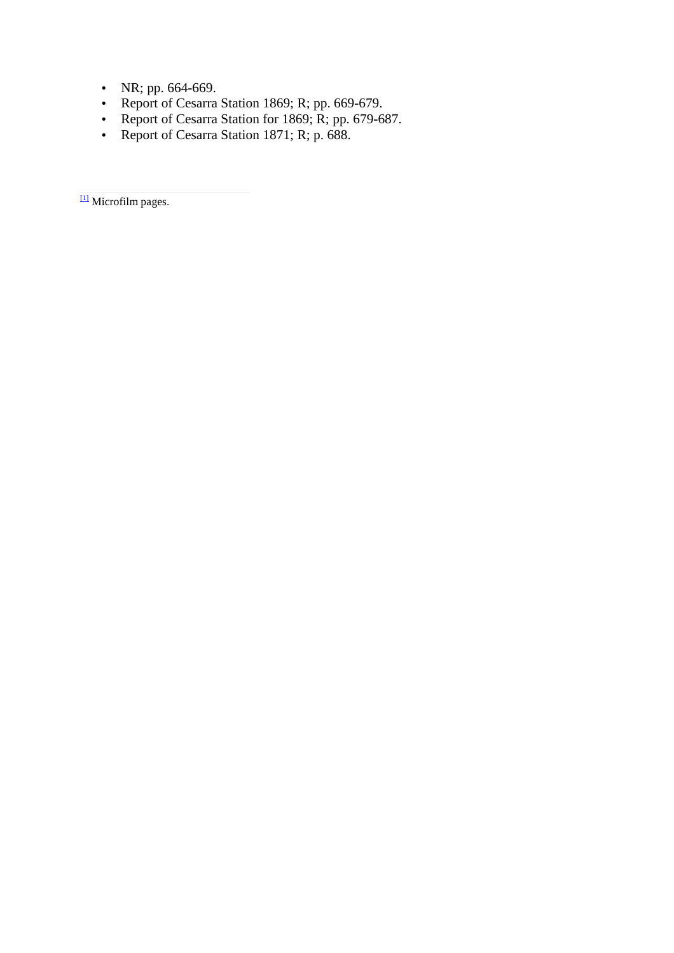- NR; pp.  $664-669$ .
- Report of Cesarra Station 1869; R; pp. 669-679.
- Report of Cesarra Station for 1869; R; pp. 679-687.
- Report of Cesarra Station 1871; R; p. 688.

 $\frac{11}{2}$  Microfilm pages.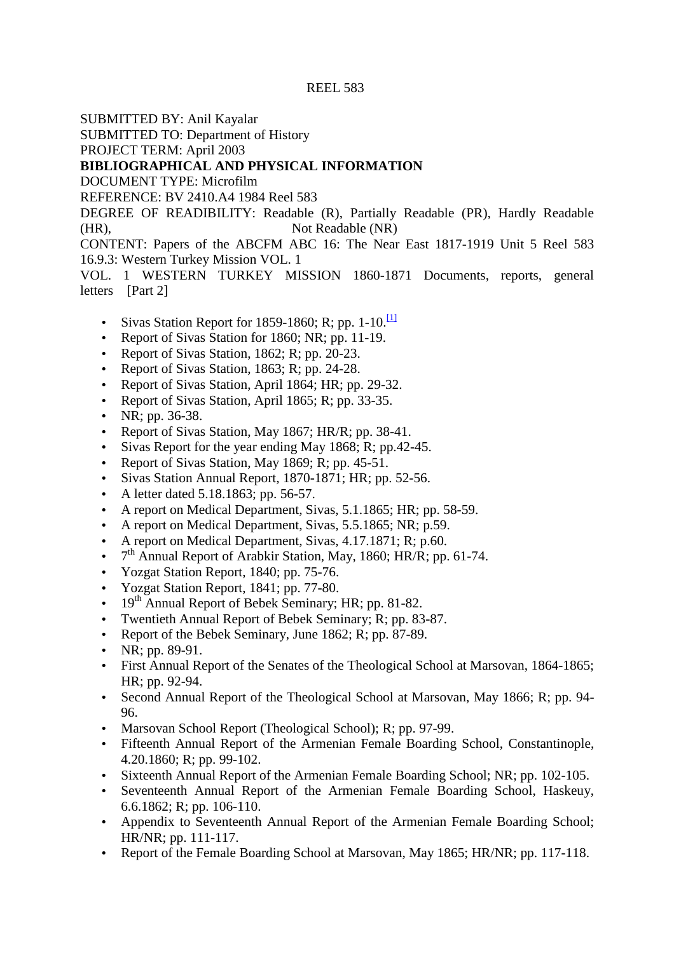SUBMITTED BY: Anil Kayalar

SUBMITTED TO: Department of History

PROJECT TERM: April 2003

# **BIBLIOGRAPHICAL AND PHYSICAL INFORMATION**

DOCUMENT TYPE: Microfilm

REFERENCE: BV 2410.A4 1984 Reel 583

DEGREE OF READIBILITY: Readable (R), Partially Readable (PR), Hardly Readable (HR), Not Readable (NR)

CONTENT: Papers of the ABCFM ABC 16: The Near East 1817-1919 Unit 5 Reel 583 16.9.3: Western Turkey Mission VOL. 1

VOL. 1 WESTERN TURKEY MISSION 1860-1871 Documents, reports, general letters [Part 2]

- Sivas Station Report for 1859-1860; R; pp. 1-10. $\frac{11}{11}$
- Report of Sivas Station for 1860; NR; pp. 11-19.
- Report of Sivas Station, 1862; R; pp. 20-23.
- Report of Sivas Station, 1863; R; pp. 24-28.
- Report of Sivas Station, April 1864; HR; pp. 29-32.
- Report of Sivas Station, April 1865; R; pp. 33-35.
- NR; pp.  $36-38$ .
- Report of Sivas Station, May 1867; HR/R; pp. 38-41.
- Sivas Report for the year ending May 1868; R; pp.42-45.
- Report of Sivas Station, May 1869; R; pp. 45-51.
- Sivas Station Annual Report, 1870-1871; HR; pp. 52-56.
- A letter dated 5.18.1863; pp. 56-57.
- A report on Medical Department, Sivas, 5.1.1865; HR; pp. 58-59.
- A report on Medical Department, Sivas, 5.5.1865; NR; p.59.
- A report on Medical Department, Sivas, 4.17.1871; R; p.60.
- $\bullet$  7<sup>th</sup> Annual Report of Arabkir Station, May, 1860; HR/R; pp. 61-74.
- Yozgat Station Report, 1840; pp. 75-76.
- Yozgat Station Report, 1841; pp. 77-80.
- 19<sup>th</sup> Annual Report of Bebek Seminary; HR; pp. 81-82.
- Twentieth Annual Report of Bebek Seminary; R; pp. 83-87.
- Report of the Bebek Seminary, June 1862; R; pp. 87-89.
- NR; pp. 89-91.
- First Annual Report of the Senates of the Theological School at Marsovan, 1864-1865; HR; pp. 92-94.
- Second Annual Report of the Theological School at Marsovan, May 1866; R; pp. 94- 96.
- Marsovan School Report (Theological School); R; pp. 97-99.
- Fifteenth Annual Report of the Armenian Female Boarding School, Constantinople, 4.20.1860; R; pp. 99-102.
- Sixteenth Annual Report of the Armenian Female Boarding School; NR; pp. 102-105.
- Seventeenth Annual Report of the Armenian Female Boarding School, Haskeuy, 6.6.1862; R; pp. 106-110.
- Appendix to Seventeenth Annual Report of the Armenian Female Boarding School; HR/NR; pp. 111-117.
- Report of the Female Boarding School at Marsovan, May 1865; HR/NR; pp. 117-118.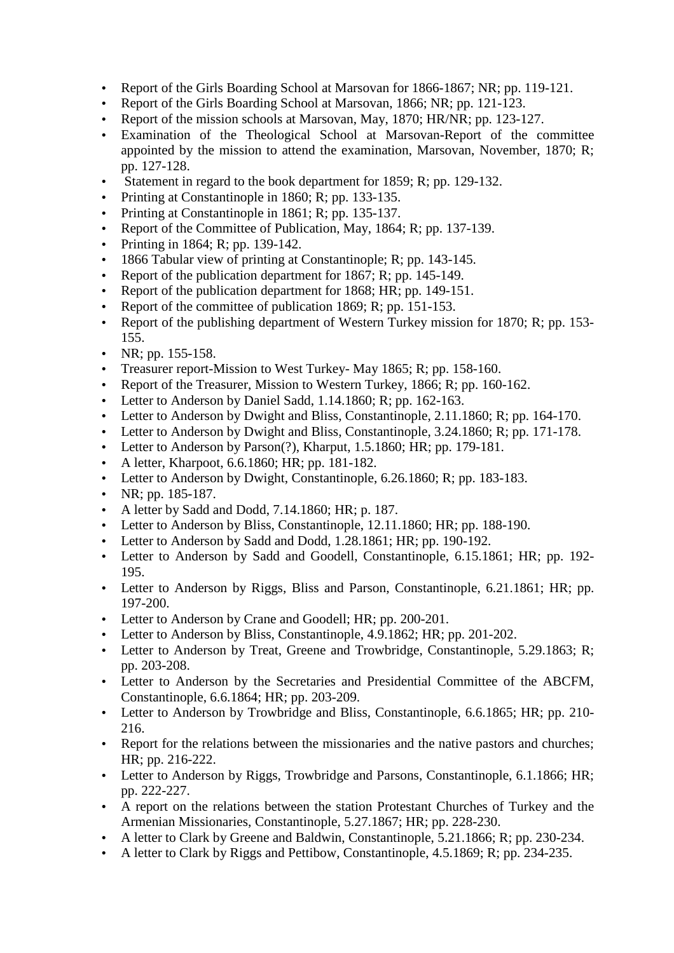- Report of the Girls Boarding School at Marsovan for 1866-1867; NR; pp. 119-121.
- Report of the Girls Boarding School at Marsovan, 1866; NR; pp. 121-123.
- Report of the mission schools at Marsovan, May, 1870; HR/NR; pp. 123-127.
- Examination of the Theological School at Marsovan-Report of the committee appointed by the mission to attend the examination, Marsovan, November, 1870; R; pp. 127-128.
- Statement in regard to the book department for 1859; R; pp. 129-132.
- Printing at Constantinople in 1860; R; pp. 133-135.
- Printing at Constantinople in 1861; R; pp. 135-137.
- Report of the Committee of Publication, May, 1864; R; pp. 137-139.
- Printing in 1864; R; pp. 139-142.
- 1866 Tabular view of printing at Constantinople; R; pp. 143-145.
- Report of the publication department for 1867; R; pp. 145-149.
- Report of the publication department for 1868; HR; pp. 149-151.
- Report of the committee of publication 1869; R; pp. 151-153.
- Report of the publishing department of Western Turkey mission for 1870; R; pp. 153-155.
- NR; pp.  $155-158$ .
- Treasurer report-Mission to West Turkey-May 1865; R; pp. 158-160.
- Report of the Treasurer, Mission to Western Turkey, 1866; R; pp. 160-162.
- Letter to Anderson by Daniel Sadd, 1.14.1860; R; pp. 162-163.
- Letter to Anderson by Dwight and Bliss, Constantinople, 2.11.1860; R; pp. 164-170.
- Letter to Anderson by Dwight and Bliss, Constantinople, 3.24.1860; R; pp. 171-178.
- Letter to Anderson by Parson(?), Kharput, 1.5.1860; HR; pp. 179-181.
- A letter, Kharpoot, 6.6.1860; HR; pp. 181-182.
- Letter to Anderson by Dwight, Constantinople, 6.26.1860; R; pp. 183-183.
- NR; pp.  $185-187$ .
- A letter by Sadd and Dodd, 7.14.1860; HR; p. 187.
- Letter to Anderson by Bliss, Constantinople, 12.11.1860; HR; pp. 188-190.
- Letter to Anderson by Sadd and Dodd, 1.28.1861; HR; pp. 190-192.
- Letter to Anderson by Sadd and Goodell, Constantinople, 6.15.1861; HR; pp. 192- 195.
- Letter to Anderson by Riggs, Bliss and Parson, Constantinople, 6.21.1861; HR; pp. 197-200.
- Letter to Anderson by Crane and Goodell; HR; pp. 200-201.
- Letter to Anderson by Bliss, Constantinople, 4.9.1862; HR; pp. 201-202.
- Letter to Anderson by Treat, Greene and Trowbridge, Constantinople, 5.29.1863; R; pp. 203-208.
- Letter to Anderson by the Secretaries and Presidential Committee of the ABCFM, Constantinople, 6.6.1864; HR; pp. 203-209.
- Letter to Anderson by Trowbridge and Bliss, Constantinople, 6.6.1865; HR; pp. 210-216.
- Report for the relations between the missionaries and the native pastors and churches; HR; pp. 216-222.
- Letter to Anderson by Riggs, Trowbridge and Parsons, Constantinople, 6.1.1866; HR; pp. 222-227.
- A report on the relations between the station Protestant Churches of Turkey and the Armenian Missionaries, Constantinople, 5.27.1867; HR; pp. 228-230.
- A letter to Clark by Greene and Baldwin, Constantinople, 5.21.1866; R; pp. 230-234.
- A letter to Clark by Riggs and Pettibow, Constantinople, 4.5.1869; R; pp. 234-235.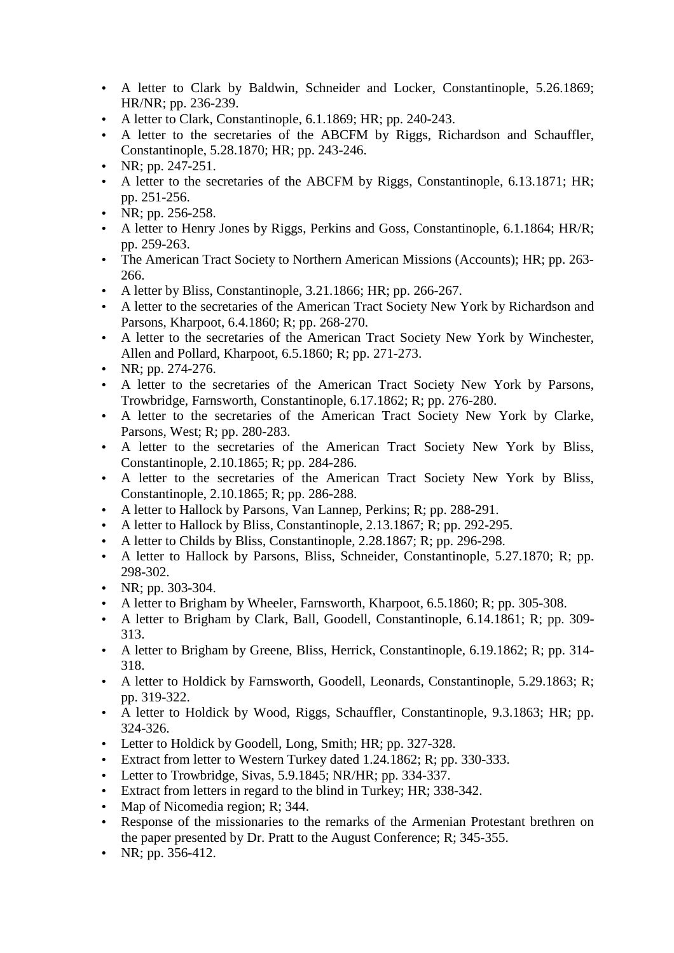- A letter to Clark by Baldwin, Schneider and Locker, Constantinople, 5.26.1869; HR/NR; pp. 236-239.
- A letter to Clark, Constantinople, 6.1.1869; HR; pp. 240-243.
- A letter to the secretaries of the ABCFM by Riggs, Richardson and Schauffler, Constantinople, 5.28.1870; HR; pp. 243-246.
- NR; pp. 247-251.
- A letter to the secretaries of the ABCFM by Riggs, Constantinople, 6.13.1871; HR; pp. 251-256.
- NR; pp. 256-258.
- A letter to Henry Jones by Riggs, Perkins and Goss, Constantinople, 6.1.1864; HR/R; pp. 259-263.
- The American Tract Society to Northern American Missions (Accounts); HR; pp. 263-266.
- A letter by Bliss, Constantinople, 3.21.1866; HR; pp. 266-267.
- A letter to the secretaries of the American Tract Society New York by Richardson and Parsons, Kharpoot, 6.4.1860; R; pp. 268-270.
- A letter to the secretaries of the American Tract Society New York by Winchester, Allen and Pollard, Kharpoot, 6.5.1860; R; pp. 271-273.
- NR; pp. 274-276.
- A letter to the secretaries of the American Tract Society New York by Parsons, Trowbridge, Farnsworth, Constantinople, 6.17.1862; R; pp. 276-280.
- A letter to the secretaries of the American Tract Society New York by Clarke, Parsons, West; R; pp. 280-283.
- A letter to the secretaries of the American Tract Society New York by Bliss, Constantinople, 2.10.1865; R; pp. 284-286.
- A letter to the secretaries of the American Tract Society New York by Bliss, Constantinople, 2.10.1865; R; pp. 286-288.
- A letter to Hallock by Parsons, Van Lannep, Perkins; R; pp. 288-291.
- A letter to Hallock by Bliss, Constantinople, 2.13.1867; R; pp. 292-295.
- A letter to Childs by Bliss, Constantinople, 2.28.1867; R; pp. 296-298.
- A letter to Hallock by Parsons, Bliss, Schneider, Constantinople, 5.27.1870; R; pp. 298-302.
- NR; pp. 303-304.
- A letter to Brigham by Wheeler, Farnsworth, Kharpoot, 6.5.1860; R; pp. 305-308.
- A letter to Brigham by Clark, Ball, Goodell, Constantinople, 6.14.1861; R; pp. 309-313.
- A letter to Brigham by Greene, Bliss, Herrick, Constantinople, 6.19.1862; R; pp. 314-318.
- A letter to Holdick by Farnsworth, Goodell, Leonards, Constantinople, 5.29.1863; R; pp. 319-322.
- A letter to Holdick by Wood, Riggs, Schauffler, Constantinople, 9.3.1863; HR; pp. 324-326.
- Letter to Holdick by Goodell, Long, Smith; HR; pp. 327-328.
- Extract from letter to Western Turkey dated 1.24.1862; R; pp. 330-333.
- Letter to Trowbridge, Sivas, 5.9.1845; NR/HR; pp. 334-337.
- Extract from letters in regard to the blind in Turkey; HR; 338-342.
- Map of Nicomedia region; R; 344.
- Response of the missionaries to the remarks of the Armenian Protestant brethren on the paper presented by Dr. Pratt to the August Conference; R; 345-355.
- NR; pp.  $356-412$ .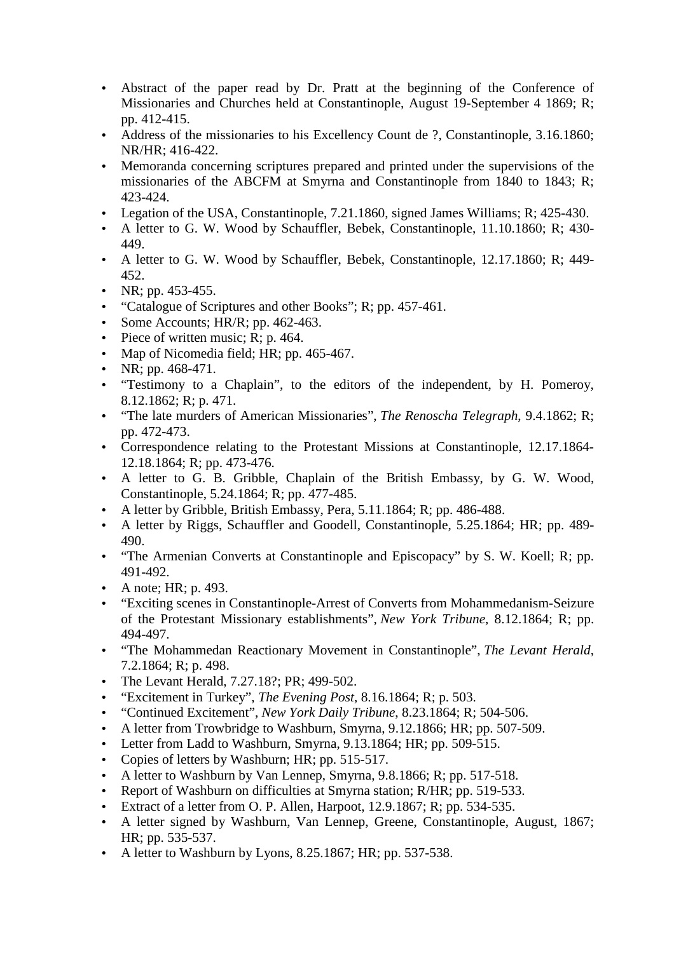- Abstract of the paper read by Dr. Pratt at the beginning of the Conference of Missionaries and Churches held at Constantinople, August 19-September 4 1869; R; pp. 412-415.
- Address of the missionaries to his Excellency Count de ?, Constantinople, 3.16.1860; NR/HR; 416-422.
- Memoranda concerning scriptures prepared and printed under the supervisions of the missionaries of the ABCFM at Smyrna and Constantinople from 1840 to 1843; R; 423-424.
- Legation of the USA, Constantinople, 7.21.1860, signed James Williams; R; 425-430.
- A letter to G. W. Wood by Schauffler, Bebek, Constantinople, 11.10.1860; R; 430-449.
- A letter to G. W. Wood by Schauffler, Bebek, Constantinople, 12.17.1860; R; 449-452.
- NR; pp.  $453 455$ .
- "Catalogue of Scriptures and other Books"; R; pp. 457-461.
- Some Accounts;  $HR/R$ ; pp. 462-463.
- Piece of written music; R; p. 464.
- Map of Nicomedia field; HR; pp. 465-467.
- NR; pp.  $468-471$ .
- "Testimony to a Chaplain", to the editors of the independent, by H. Pomeroy, 8.12.1862; R; p. 471.
- "The late murders of American Missionaries", *The Renoscha Telegraph*, 9.4.1862; R; pp. 472-473.
- Correspondence relating to the Protestant Missions at Constantinople, 12.17.1864- 12.18.1864; R; pp. 473-476.
- A letter to G. B. Gribble, Chaplain of the British Embassy, by G. W. Wood, Constantinople, 5.24.1864; R; pp. 477-485.
- A letter by Gribble, British Embassy, Pera, 5.11.1864; R; pp. 486-488.
- A letter by Riggs, Schauffler and Goodell, Constantinople, 5.25.1864; HR; pp. 489- 490.
- "The Armenian Converts at Constantinople and Episcopacy" by S. W. Koell; R; pp. 491-492.
- A note; HR; p. 493.
- "Exciting scenes in Constantinople-Arrest of Converts from Mohammedanism-Seizure of the Protestant Missionary establishments", *New York Tribune*, 8.12.1864; R; pp. 494-497.
- "The Mohammedan Reactionary Movement in Constantinople", *The Levant Herald*, 7.2.1864; R; p. 498.
- The Levant Herald, 7.27.18?; PR; 499-502.
- "Excitement in Turkey", *The Evening Post*, 8.16.1864; R; p. 503.
- "Continued Excitement", *New York Daily Tribune*, 8.23.1864; R; 504-506.
- A letter from Trowbridge to Washburn, Smyrna, 9.12.1866; HR; pp. 507-509.
- Letter from Ladd to Washburn, Smyrna, 9.13.1864; HR; pp. 509-515.
- Copies of letters by Washburn; HR; pp. 515-517.
- A letter to Washburn by Van Lennep, Smyrna, 9.8.1866; R; pp. 517-518.
- Report of Washburn on difficulties at Smyrna station; R/HR; pp. 519-533.
- Extract of a letter from O. P. Allen, Harpoot,  $12.9.1867$ ; R; pp. 534-535.
- A letter signed by Washburn, Van Lennep, Greene, Constantinople, August, 1867; HR; pp. 535-537.
- A letter to Washburn by Lyons,  $8.25.1867$ ; HR; pp. 537-538.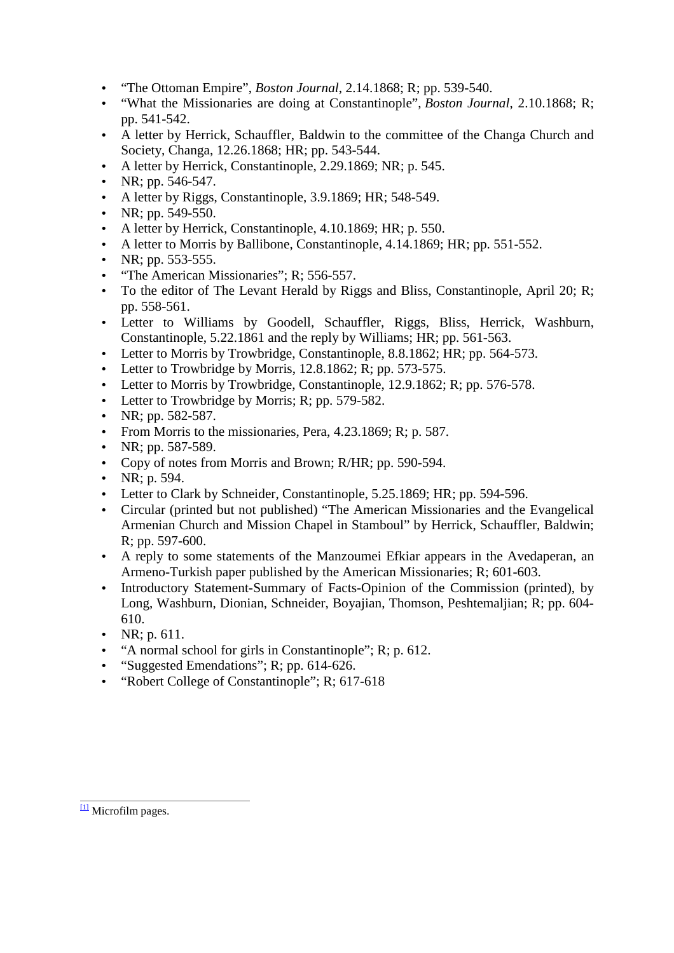- "The Ottoman Empire", *Boston Journal*, 2.14.1868; R; pp. 539-540.
- "What the Missionaries are doing at Constantinople", *Boston Journal*, 2.10.1868; R; pp. 541-542.
- A letter by Herrick, Schauffler, Baldwin to the committee of the Changa Church and Society, Changa, 12.26.1868; HR; pp. 543-544.
- A letter by Herrick, Constantinople, 2.29.1869; NR; p. 545.
- NR; pp.  $546-547$ .
- A letter by Riggs, Constantinople, 3.9.1869; HR; 548-549.
- NR; pp.  $549-550$ .
- A letter by Herrick, Constantinople, 4.10.1869; HR; p. 550.
- A letter to Morris by Ballibone, Constantinople, 4.14.1869; HR; pp. 551-552.
- NR; pp.  $553 555$ .
- "The American Missionaries"; R; 556-557.
- To the editor of The Levant Herald by Riggs and Bliss, Constantinople, April 20; R; pp. 558-561.
- Letter to Williams by Goodell, Schauffler, Riggs, Bliss, Herrick, Washburn, Constantinople, 5.22.1861 and the reply by Williams; HR; pp. 561-563.
- Letter to Morris by Trowbridge, Constantinople, 8.8.1862; HR; pp. 564-573.
- Letter to Trowbridge by Morris, 12.8.1862; R; pp. 573-575.
- Letter to Morris by Trowbridge, Constantinople, 12.9.1862; R; pp. 576-578.
- Letter to Trowbridge by Morris; R; pp. 579-582.
- NR; pp.  $582-587$ .
- From Morris to the missionaries, Pera, 4.23.1869; R; p. 587.
- NR; pp. 587-589.
- Copy of notes from Morris and Brown; R/HR; pp. 590-594.
- NR; p. 594.
- Letter to Clark by Schneider, Constantinople, 5.25.1869; HR; pp. 594-596.
- Circular (printed but not published) "The American Missionaries and the Evangelical Armenian Church and Mission Chapel in Stamboul" by Herrick, Schauffler, Baldwin; R; pp. 597-600.
- A reply to some statements of the Manzoumei Efkiar appears in the Avedaperan, an Armeno-Turkish paper published by the American Missionaries; R; 601-603.
- Introductory Statement-Summary of Facts-Opinion of the Commission (printed), by Long, Washburn, Dionian, Schneider, Boyajian, Thomson, Peshtemaljian; R; pp. 604- 610.
- NR; p.  $611$ .
- "A normal school for girls in Constantinople"; R; p. 612.
- "Suggested Emendations"; R; pp.  $614-626$ .
- "Robert College of Constantinople"; R; 617-618

<sup>[1]</sup> Microfilm pages.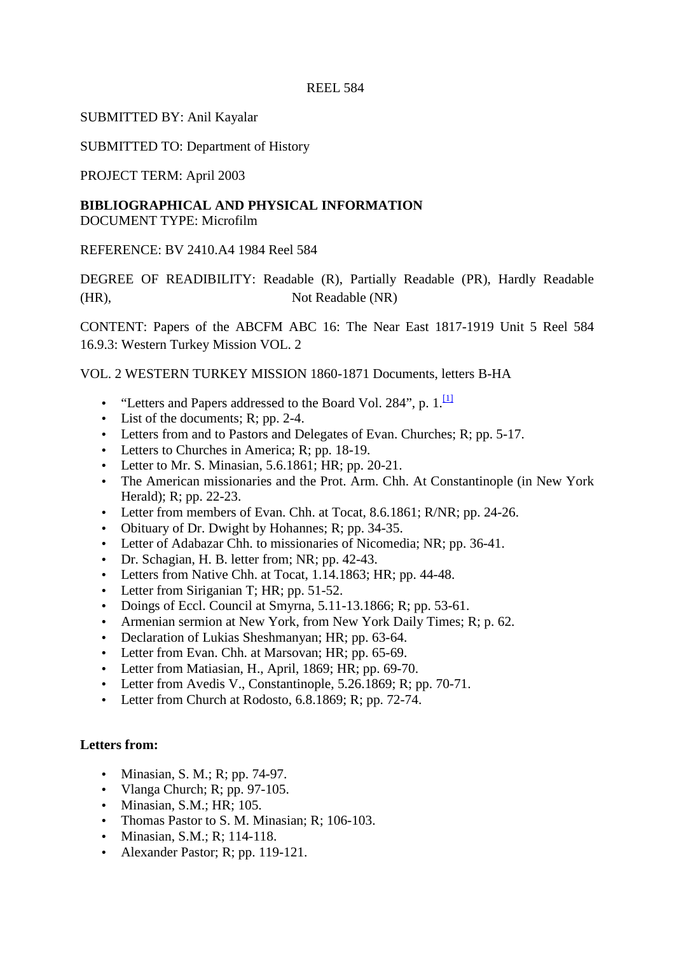SUBMITTED BY: Anil Kayalar

SUBMITTED TO: Department of History

PROJECT TERM: April 2003

# **BIBLIOGRAPHICAL AND PHYSICAL INFORMATION**

DOCUMENT TYPE: Microfilm

REFERENCE: BV 2410.A4 1984 Reel 584

DEGREE OF READIBILITY: Readable (R), Partially Readable (PR), Hardly Readable (HR), Not Readable (NR)

CONTENT: Papers of the ABCFM ABC 16: The Near East 1817-1919 Unit 5 Reel 584 16.9.3: Western Turkey Mission VOL. 2

VOL. 2 WESTERN TURKEY MISSION 1860-1871 Documents, letters B-HA

- "Letters and Papers addressed to the Board Vol. 284", p.  $1$ .
- List of the documents; R; pp. 2-4.
- Letters from and to Pastors and Delegates of Evan. Churches; R; pp. 5-17.
- Letters to Churches in America; R; pp. 18-19.
- Letter to Mr. S. Minasian,  $5.6.1861$ ; HR; pp. 20-21.
- The American missionaries and the Prot. Arm. Chh. At Constantinople (in New York Herald); R; pp. 22-23.
- Letter from members of Evan. Chh. at Tocat, 8.6.1861; R/NR; pp. 24-26.
- Obituary of Dr. Dwight by Hohannes; R; pp. 34-35.
- Letter of Adabazar Chh. to missionaries of Nicomedia; NR; pp. 36-41.
- Dr. Schagian, H. B. letter from; NR; pp. 42-43.
- Letters from Native Chh. at Tocat, 1.14.1863; HR; pp. 44-48.
- Letter from Siriganian T; HR; pp. 51-52.
- Doings of Eccl. Council at Smyrna, 5.11-13.1866; R; pp. 53-61.
- Armenian sermion at New York, from New York Daily Times; R; p. 62.
- Declaration of Lukias Sheshmanyan; HR; pp. 63-64.
- Letter from Evan. Chh. at Marsovan; HR; pp. 65-69.
- Letter from Matiasian, H., April, 1869; HR; pp. 69-70.
- Letter from Avedis V., Constantinople, 5.26.1869; R; pp. 70-71.
- Letter from Church at Rodosto, 6.8.1869; R; pp. 72-74.

# **Letters from:**

- Minasian, S. M.; R; pp. 74-97.
- Vlanga Church; R; pp.  $97-105$ .
- Minasian, S.M.; HR; 105.
- Thomas Pastor to S. M. Minasian: R: 106-103.
- Minasian, S.M.; R; 114-118.
- Alexander Pastor; R; pp. 119-121.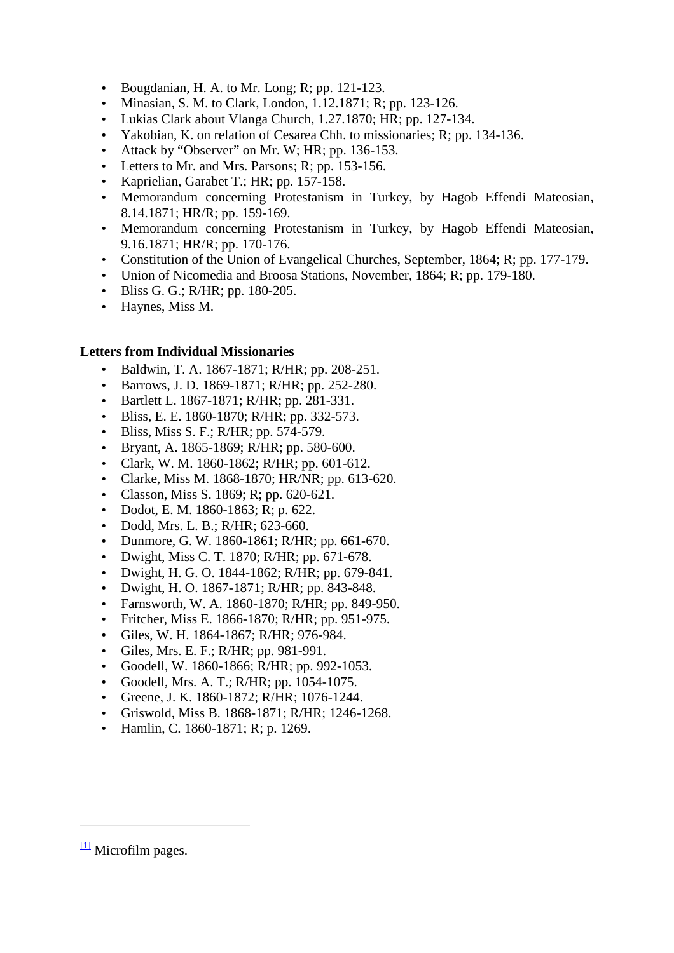- Bougdanian, H. A. to Mr. Long; R; pp.  $121-123$ .
- Minasian, S. M. to Clark, London, 1.12.1871; R; pp. 123-126.
- Lukias Clark about Vlanga Church, 1.27.1870; HR; pp. 127-134.
- Yakobian, K. on relation of Cesarea Chh. to missionaries; R; pp. 134-136.
- Attack by "Observer" on Mr. W; HR; pp. 136-153.
- Letters to Mr. and Mrs. Parsons; R; pp. 153-156.
- Kaprielian, Garabet T.; HR; pp. 157-158.
- Memorandum concerning Protestanism in Turkey, by Hagob Effendi Mateosian, 8.14.1871; HR/R; pp. 159-169.
- Memorandum concerning Protestanism in Turkey, by Hagob Effendi Mateosian, 9.16.1871; HR/R; pp. 170-176.
- Constitution of the Union of Evangelical Churches, September, 1864; R; pp. 177-179.
- Union of Nicomedia and Broosa Stations, November, 1864; R; pp. 179-180.
- Bliss G. G.; R/HR; pp. 180-205.
- Haynes, Miss M.

### **Letters from Individual Missionaries**

- Baldwin, T. A. 1867-1871; R/HR; pp. 208-251.
- Barrows, J. D. 1869-1871; R/HR; pp. 252-280.
- Bartlett L. 1867-1871; R/HR; pp. 281-331.
- Bliss, E. E. 1860-1870; R/HR; pp. 332-573.
- Bliss, Miss S. F.; R/HR; pp. 574-579.
- Bryant, A. 1865-1869; R/HR; pp. 580-600.
- Clark, W. M. 1860-1862; R/HR; pp. 601-612.
- Clarke, Miss M. 1868-1870; HR/NR; pp. 613-620.
- Classon, Miss S. 1869; R; pp. 620-621.
- Dodot, E. M. 1860-1863; R; p. 622.
- Dodd, Mrs. L. B.; R/HR; 623-660.
- Dunmore, G. W. 1860-1861; R/HR; pp. 661-670.
- Dwight, Miss C. T. 1870; R/HR; pp. 671-678.
- Dwight, H. G. O. 1844-1862; R/HR; pp. 679-841.
- Dwight, H. O. 1867-1871; R/HR; pp. 843-848.
- Farnsworth, W. A. 1860-1870; R/HR; pp. 849-950.
- Fritcher, Miss E. 1866-1870; R/HR; pp. 951-975.
- Giles, W. H. 1864-1867; R/HR; 976-984.
- Giles, Mrs. E. F.; R/HR; pp. 981-991.
- Goodell, W. 1860-1866; R/HR; pp. 992-1053.
- Goodell, Mrs. A. T.; R/HR; pp. 1054-1075.
- Greene, J. K. 1860-1872; R/HR; 1076-1244.
- Griswold, Miss B. 1868-1871; R/HR; 1246-1268.
- Hamlin, C. 1860-1871; R; p. 1269.

 $\frac{11}{2}$  Microfilm pages.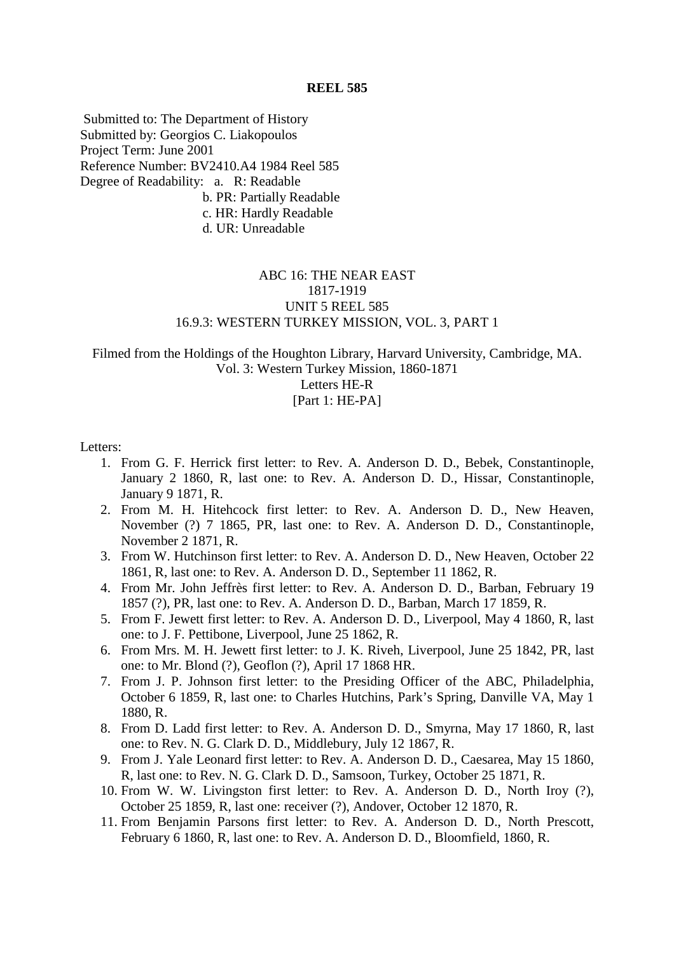Submitted to: The Department of History Submitted by: Georgios C. Liakopoulos Project Term: June 2001 Reference Number: BV2410.A4 1984 Reel 585 Degree of Readability: a. R: Readable b. PR: Partially Readable c. HR: Hardly Readable d. UR: Unreadable

# ABC 16: THE NEAR EAST 1817-1919 UNIT 5 REEL 585 16.9.3: WESTERN TURKEY MISSION, VOL. 3, PART 1

Filmed from the Holdings of the Houghton Library, Harvard University, Cambridge, MA. Vol. 3: Western Turkey Mission, 1860-1871 Letters HE-R

#### [Part 1: HE-PA]

#### Letters:

- 1. From G. F. Herrick first letter: to Rev. A. Anderson D. D., Bebek, Constantinople, January 2 1860, R, last one: to Rev. A. Anderson D. D., Hissar, Constantinople, January 9 1871, R.
- 2. From M. H. Hitehcock first letter: to Rev. A. Anderson D. D., New Heaven, November (?) 7 1865, PR, last one: to Rev. A. Anderson D. D., Constantinople, November 2 1871, R.
- 3. From W. Hutchinson first letter: to Rev. A. Anderson D. D., New Heaven, October 22 1861, R, last one: to Rev. A. Anderson D. D., September 11 1862, R.
- 4. From Mr. John Jeffrès first letter: to Rev. A. Anderson D. D., Barban, February 19 1857 (?), PR, last one: to Rev. A. Anderson D. D., Barban, March 17 1859, R.
- 5. From F. Jewett first letter: to Rev. A. Anderson D. D., Liverpool, May 4 1860, R, last one: to J. F. Pettibone, Liverpool, June 25 1862, R.
- 6. From Mrs. M. H. Jewett first letter: to J. K. Riveh, Liverpool, June 25 1842, PR, last one: to Mr. Blond (?), Geoflon (?), April 17 1868 HR.
- 7. From J. P. Johnson first letter: to the Presiding Officer of the ABC, Philadelphia, October 6 1859, R, last one: to Charles Hutchins, Park's Spring, Danville VA, May 1 1880, R.
- 8. From D. Ladd first letter: to Rev. A. Anderson D. D., Smyrna, May 17 1860, R, last one: to Rev. N. G. Clark D. D., Middlebury, July 12 1867, R.
- 9. From J. Yale Leonard first letter: to Rev. A. Anderson D. D., Caesarea, May 15 1860, R, last one: to Rev. N. G. Clark D. D., Samsoon, Turkey, October 25 1871, R.
- 10. From W. W. Livingston first letter: to Rev. A. Anderson D. D., North Iroy (?), October 25 1859, R, last one: receiver (?), Andover, October 12 1870, R.
- 11. From Benjamin Parsons first letter: to Rev. A. Anderson D. D., North Prescott, February 6 1860, R, last one: to Rev. A. Anderson D. D., Bloomfield, 1860, R.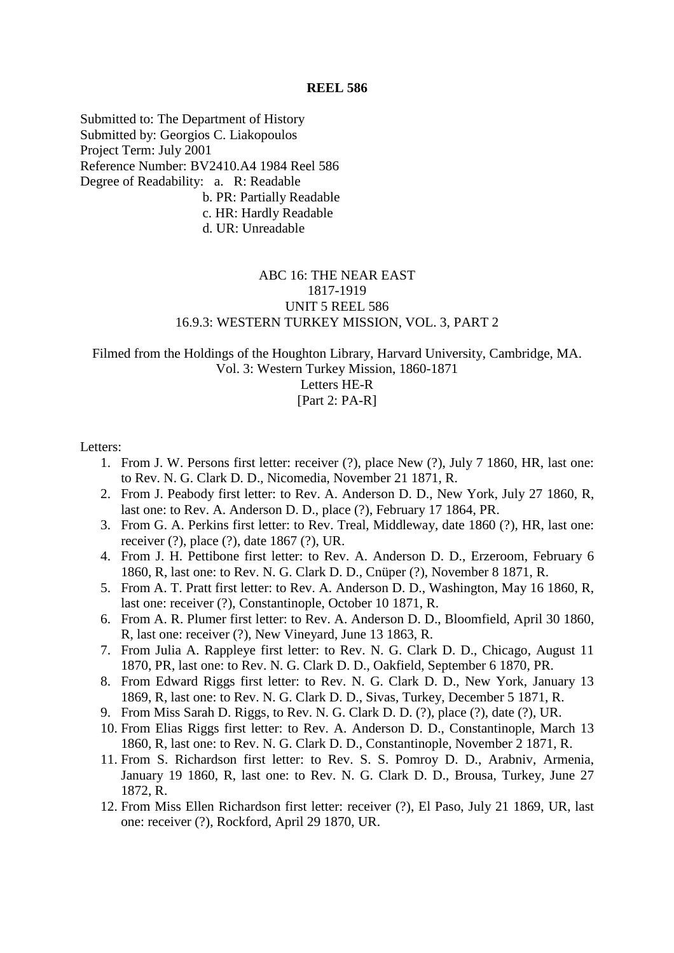Submitted to: The Department of History Submitted by: Georgios C. Liakopoulos Project Term: July 2001 Reference Number: BV2410.A4 1984 Reel 586 Degree of Readability: a. R: Readable b. PR: Partially Readable c. HR: Hardly Readable d. UR: Unreadable

# ABC 16: THE NEAR EAST 1817-1919 UNIT 5 REEL 586 16.9.3: WESTERN TURKEY MISSION, VOL. 3, PART 2

Filmed from the Holdings of the Houghton Library, Harvard University, Cambridge, MA. Vol. 3: Western Turkey Mission, 1860-1871

Letters HE-R

[Part 2: PA-R]

Letters:

- 1. From J. W. Persons first letter: receiver (?), place New (?), July 7 1860, HR, last one: to Rev. N. G. Clark D. D., Nicomedia, November 21 1871, R.
- 2. From J. Peabody first letter: to Rev. A. Anderson D. D., New York, July 27 1860, R, last one: to Rev. A. Anderson D. D., place (?), February 17 1864, PR.
- 3. From G. A. Perkins first letter: to Rev. Treal, Middleway, date 1860 (?), HR, last one: receiver (?), place (?), date 1867 (?), UR.
- 4. From J. H. Pettibone first letter: to Rev. A. Anderson D. D., Erzeroom, February 6 1860, R, last one: to Rev. N. G. Clark D. D., Cnüper (?), November 8 1871, R.
- 5. From A. T. Pratt first letter: to Rev. A. Anderson D. D., Washington, May 16 1860, R, last one: receiver (?), Constantinople, October 10 1871, R.
- 6. From A. R. Plumer first letter: to Rev. A. Anderson D. D., Bloomfield, April 30 1860, R, last one: receiver (?), New Vineyard, June 13 1863, R.
- 7. From Julia A. Rappleye first letter: to Rev. N. G. Clark D. D., Chicago, August 11 1870, PR, last one: to Rev. N. G. Clark D. D., Oakfield, September 6 1870, PR.
- 8. From Edward Riggs first letter: to Rev. N. G. Clark D. D., New York, January 13 1869, R, last one: to Rev. N. G. Clark D. D., Sivas, Turkey, December 5 1871, R.
- 9. From Miss Sarah D. Riggs, to Rev. N. G. Clark D. D. (?), place (?), date (?), UR.
- 10. From Elias Riggs first letter: to Rev. A. Anderson D. D., Constantinople, March 13 1860, R, last one: to Rev. N. G. Clark D. D., Constantinople, November 2 1871, R.
- 11. From S. Richardson first letter: to Rev. S. S. Pomroy D. D., Arabniv, Armenia, January 19 1860, R, last one: to Rev. N. G. Clark D. D., Brousa, Turkey, June 27 1872, R.
- 12. From Miss Ellen Richardson first letter: receiver (?), El Paso, July 21 1869, UR, last one: receiver (?), Rockford, April 29 1870, UR.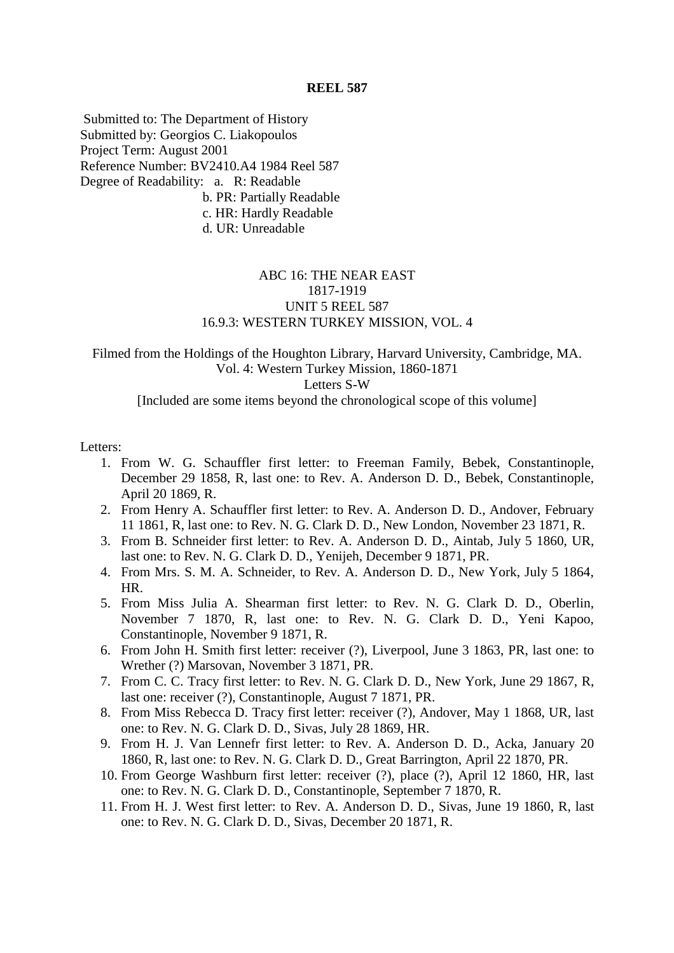Submitted to: The Department of History Submitted by: Georgios C. Liakopoulos Project Term: August 2001 Reference Number: BV2410.A4 1984 Reel 587 Degree of Readability: a. R: Readable b. PR: Partially Readable c. HR: Hardly Readable d. UR: Unreadable

### ABC 16: THE NEAR EAST 1817-1919 UNIT 5 REEL 587 16.9.3: WESTERN TURKEY MISSION, VOL. 4

## Filmed from the Holdings of the Houghton Library, Harvard University, Cambridge, MA. Vol. 4: Western Turkey Mission, 1860-1871 Letters S-W [Included are some items beyond the chronological scope of this volume]

#### Letters:

- 1. From W. G. Schauffler first letter: to Freeman Family, Bebek, Constantinople, December 29 1858, R, last one: to Rev. A. Anderson D. D., Bebek, Constantinople, April 20 1869, R.
- 2. From Henry A. Schauffler first letter: to Rev. A. Anderson D. D., Andover, February 11 1861, R, last one: to Rev. N. G. Clark D. D., New London, November 23 1871, R.
- 3. From B. Schneider first letter: to Rev. A. Anderson D. D., Aintab, July 5 1860, UR, last one: to Rev. N. G. Clark D. D., Yenijeh, December 9 1871, PR.
- 4. From Mrs. S. M. A. Schneider, to Rev. A. Anderson D. D., New York, July 5 1864, HR.
- 5. From Miss Julia A. Shearman first letter: to Rev. N. G. Clark D. D., Oberlin, November 7 1870, R, last one: to Rev. N. G. Clark D. D., Yeni Kapoo, Constantinople, November 9 1871, R.
- 6. From John H. Smith first letter: receiver (?), Liverpool, June 3 1863, PR, last one: to Wrether (?) Marsovan, November 3 1871, PR.
- 7. From C. C. Tracy first letter: to Rev. N. G. Clark D. D., New York, June 29 1867, R, last one: receiver (?), Constantinople, August 7 1871, PR.
- 8. From Miss Rebecca D. Tracy first letter: receiver (?), Andover, May 1 1868, UR, last one: to Rev. N. G. Clark D. D., Sivas, July 28 1869, HR.
- 9. From H. J. Van Lennefr first letter: to Rev. A. Anderson D. D., Acka, January 20 1860, R, last one: to Rev. N. G. Clark D. D., Great Barrington, April 22 1870, PR.
- 10. From George Washburn first letter: receiver (?), place (?), April 12 1860, HR, last one: to Rev. N. G. Clark D. D., Constantinople, September 7 1870, R.
- 11. From H. J. West first letter: to Rev. A. Anderson D. D., Sivas, June 19 1860, R, last one: to Rev. N. G. Clark D. D., Sivas, December 20 1871, R.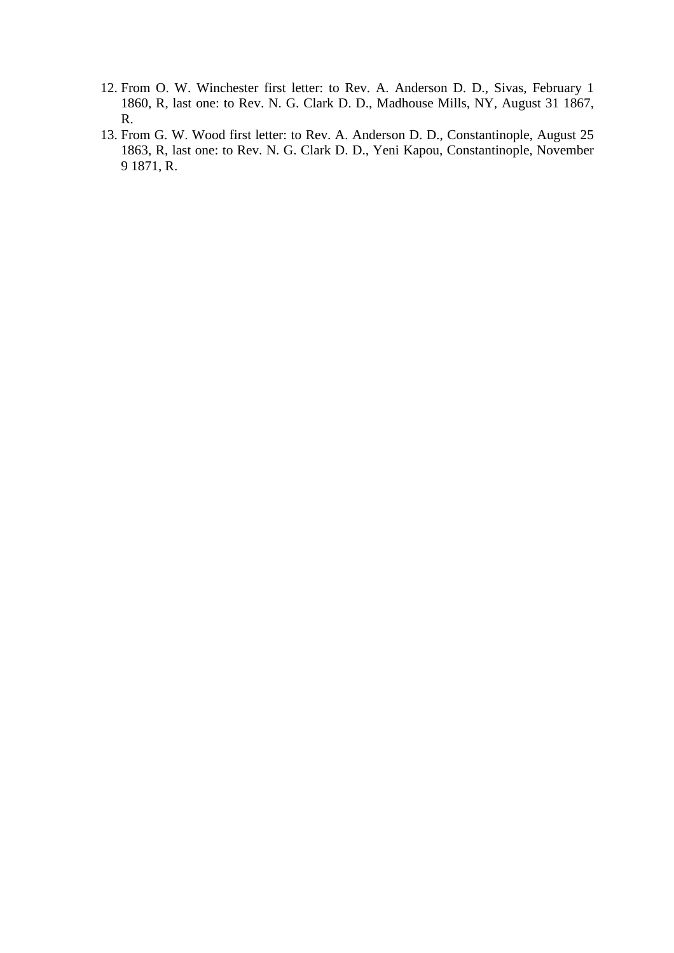- 12. From O. W. Winchester first letter: to Rev. A. Anderson D. D., Sivas, February 1 1860, R, last one: to Rev. N. G. Clark D. D., Madhouse Mills, NY, August 31 1867, R.
- 13. From G. W. Wood first letter: to Rev. A. Anderson D. D., Constantinople, August 25 1863, R, last one: to Rev. N. G. Clark D. D., Yeni Kapou, Constantinople, November 9 1871, R.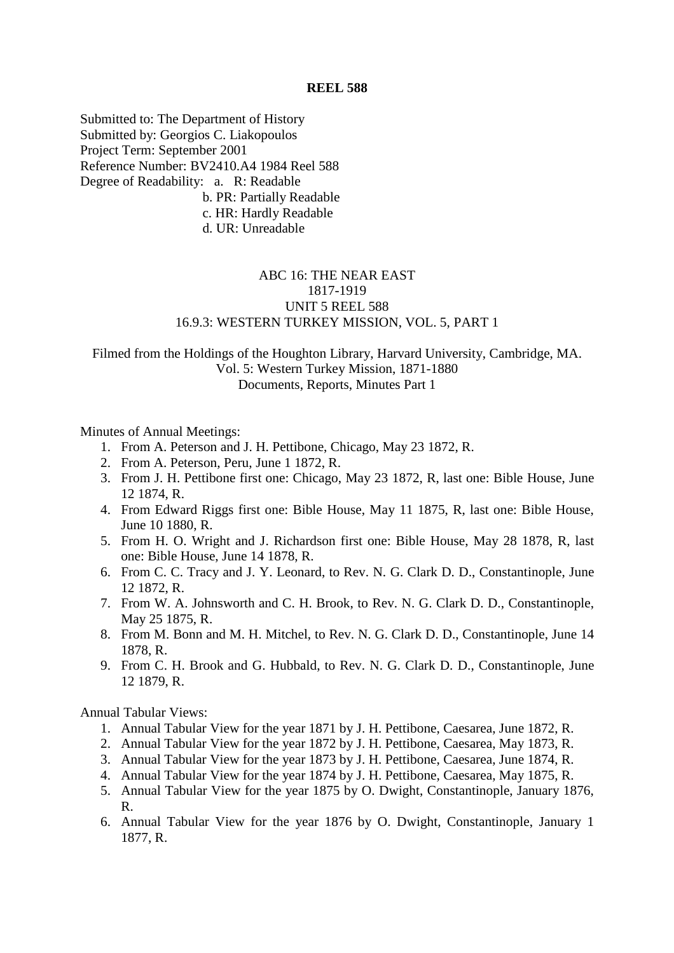Submitted to: The Department of History Submitted by: Georgios C. Liakopoulos Project Term: September 2001 Reference Number: BV2410.A4 1984 Reel 588 Degree of Readability: a. R: Readable b. PR: Partially Readable c. HR: Hardly Readable d. UR: Unreadable

# ABC 16: THE NEAR EAST 1817-1919 UNIT 5 REEL 588 16.9.3: WESTERN TURKEY MISSION, VOL. 5, PART 1

# Filmed from the Holdings of the Houghton Library, Harvard University, Cambridge, MA. Vol. 5: Western Turkey Mission, 1871-1880 Documents, Reports, Minutes Part 1

#### Minutes of Annual Meetings:

- 1. From A. Peterson and J. H. Pettibone, Chicago, May 23 1872, R.
- 2. From A. Peterson, Peru, June 1 1872, R.
- 3. From J. H. Pettibone first one: Chicago, May 23 1872, R, last one: Bible House, June 12 1874, R.
- 4. From Edward Riggs first one: Bible House, May 11 1875, R, last one: Bible House, June 10 1880, R.
- 5. From H. O. Wright and J. Richardson first one: Bible House, May 28 1878, R, last one: Bible House, June 14 1878, R.
- 6. From C. C. Tracy and J. Y. Leonard, to Rev. N. G. Clark D. D., Constantinople, June 12 1872, R.
- 7. From W. A. Johnsworth and C. H. Brook, to Rev. N. G. Clark D. D., Constantinople, May 25 1875, R.
- 8. From M. Bonn and M. H. Mitchel, to Rev. N. G. Clark D. D., Constantinople, June 14 1878, R.
- 9. From C. H. Brook and G. Hubbald, to Rev. N. G. Clark D. D., Constantinople, June 12 1879, R.

Annual Tabular Views:

- 1. Annual Tabular View for the year 1871 by J. H. Pettibone, Caesarea, June 1872, R.
- 2. Annual Tabular View for the year 1872 by J. H. Pettibone, Caesarea, May 1873, R.
- 3. Annual Tabular View for the year 1873 by J. H. Pettibone, Caesarea, June 1874, R.
- 4. Annual Tabular View for the year 1874 by J. H. Pettibone, Caesarea, May 1875, R.
- 5. Annual Tabular View for the year 1875 by O. Dwight, Constantinople, January 1876, R.
- 6. Annual Tabular View for the year 1876 by O. Dwight, Constantinople, January 1 1877, R.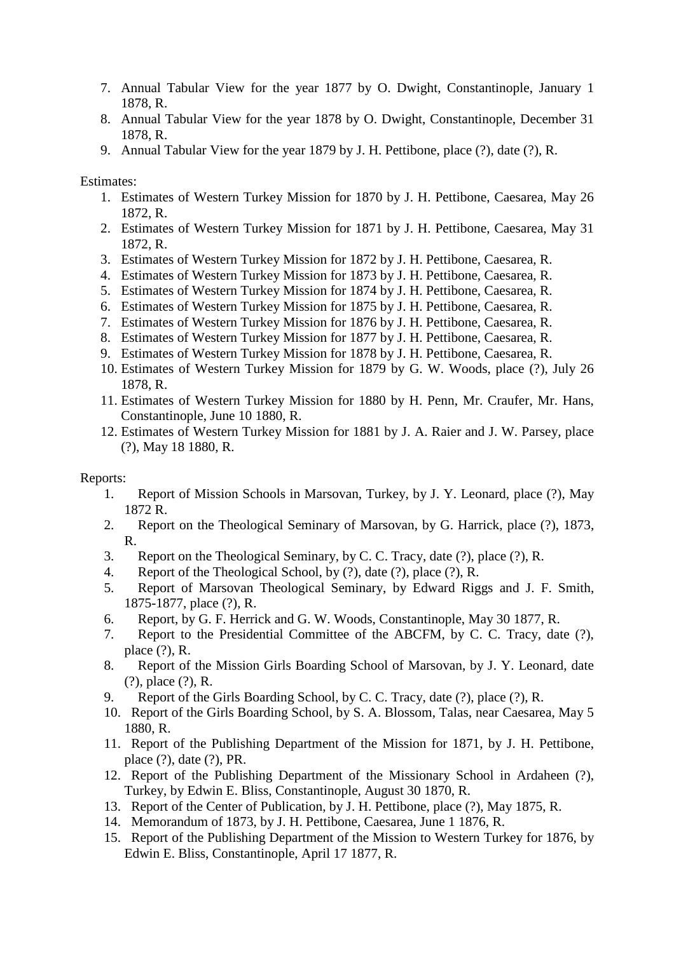- 7. Annual Tabular View for the year 1877 by O. Dwight, Constantinople, January 1 1878, R.
- 8. Annual Tabular View for the year 1878 by O. Dwight, Constantinople, December 31 1878, R.
- 9. Annual Tabular View for the year 1879 by J. H. Pettibone, place (?), date (?), R.

Estimates:

- 1. Estimates of Western Turkey Mission for 1870 by J. H. Pettibone, Caesarea, May 26 1872, R.
- 2. Estimates of Western Turkey Mission for 1871 by J. H. Pettibone, Caesarea, May 31 1872, R.
- 3. Estimates of Western Turkey Mission for 1872 by J. H. Pettibone, Caesarea, R.
- 4. Estimates of Western Turkey Mission for 1873 by J. H. Pettibone, Caesarea, R.
- 5. Estimates of Western Turkey Mission for 1874 by J. H. Pettibone, Caesarea, R.
- 6. Estimates of Western Turkey Mission for 1875 by J. H. Pettibone, Caesarea, R.
- 7. Estimates of Western Turkey Mission for 1876 by J. H. Pettibone, Caesarea, R.
- 8. Estimates of Western Turkey Mission for 1877 by J. H. Pettibone, Caesarea, R.
- 9. Estimates of Western Turkey Mission for 1878 by J. H. Pettibone, Caesarea, R.
- 10. Estimates of Western Turkey Mission for 1879 by G. W. Woods, place (?), July 26 1878, R.
- 11. Estimates of Western Turkey Mission for 1880 by H. Penn, Mr. Craufer, Mr. Hans, Constantinople, June 10 1880, R.
- 12. Estimates of Western Turkey Mission for 1881 by J. A. Raier and J. W. Parsey, place (?), May 18 1880, R.

### Reports:

- 1. Report of Mission Schools in Marsovan, Turkey, by J. Y. Leonard, place (?), May 1872 R.
- 2. Report on the Theological Seminary of Marsovan, by G. Harrick, place (?), 1873, R.
- 3. Report on the Theological Seminary, by C. C. Tracy, date (?), place (?), R.
- 4. Report of the Theological School, by (?), date (?), place (?), R.
- 5. Report of Marsovan Theological Seminary, by Edward Riggs and J. F. Smith, 1875-1877, place (?), R.
- 6. Report, by G. F. Herrick and G. W. Woods, Constantinople, May 30 1877, R.
- 7. Report to the Presidential Committee of the ABCFM, by C. C. Tracy, date (?), place (?), R.
- 8. Report of the Mission Girls Boarding School of Marsovan, by J. Y. Leonard, date (?), place (?), R.
- 9. Report of the Girls Boarding School, by C. C. Tracy, date (?), place (?), R.
- 10. Report of the Girls Boarding School, by S. A. Blossom, Talas, near Caesarea, May 5 1880, R.
- 11. Report of the Publishing Department of the Mission for 1871, by J. H. Pettibone, place (?), date (?), PR.
- 12. Report of the Publishing Department of the Missionary School in Ardaheen (?), Turkey, by Edwin E. Bliss, Constantinople, August 30 1870, R.
- 13. Report of the Center of Publication, by J. H. Pettibone, place (?), May 1875, R.
- 14. Memorandum of 1873, by J. H. Pettibone, Caesarea, June 1 1876, R.
- 15. Report of the Publishing Department of the Mission to Western Turkey for 1876, by Edwin E. Bliss, Constantinople, April 17 1877, R.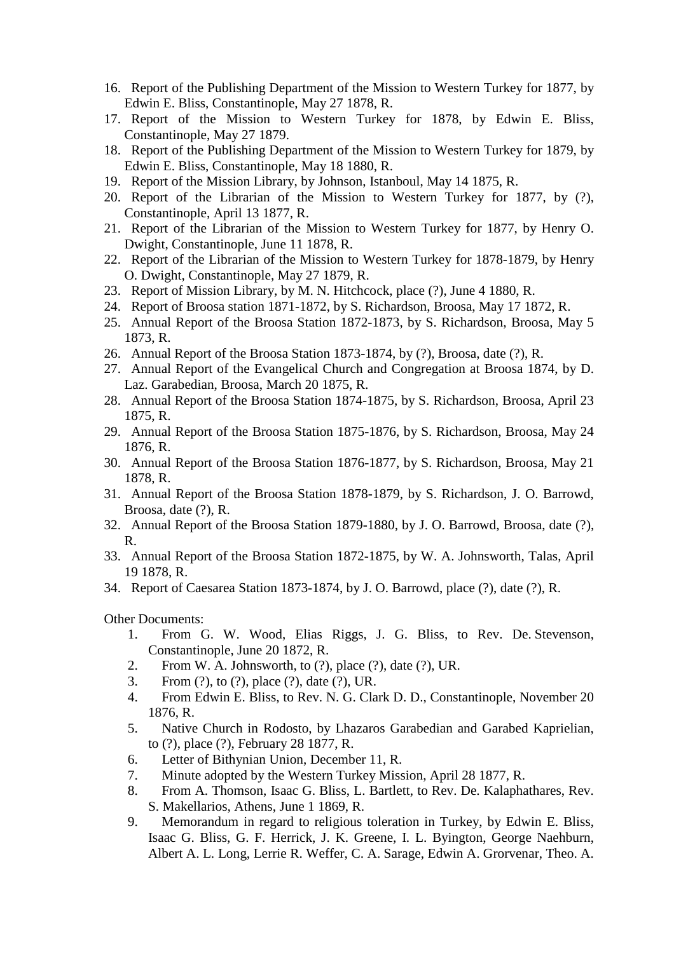- 16. Report of the Publishing Department of the Mission to Western Turkey for 1877, by Edwin E. Bliss, Constantinople, May 27 1878, R.
- 17. Report of the Mission to Western Turkey for 1878, by Edwin E. Bliss, Constantinople, May 27 1879.
- 18. Report of the Publishing Department of the Mission to Western Turkey for 1879, by Edwin E. Bliss, Constantinople, May 18 1880, R.
- 19. Report of the Mission Library, by Johnson, Istanboul, May 14 1875, R.
- 20. Report of the Librarian of the Mission to Western Turkey for 1877, by (?), Constantinople, April 13 1877, R.
- 21. Report of the Librarian of the Mission to Western Turkey for 1877, by Henry O. Dwight, Constantinople, June 11 1878, R.
- 22. Report of the Librarian of the Mission to Western Turkey for 1878-1879, by Henry O. Dwight, Constantinople, May 27 1879, R.
- 23. Report of Mission Library, by M. N. Hitchcock, place (?), June 4 1880, R.
- 24. Report of Broosa station 1871-1872, by S. Richardson, Broosa, May 17 1872, R.
- 25. Annual Report of the Broosa Station 1872-1873, by S. Richardson, Broosa, May 5 1873, R.
- 26. Annual Report of the Broosa Station 1873-1874, by (?), Broosa, date (?), R.
- 27. Annual Report of the Evangelical Church and Congregation at Broosa 1874, by D. Laz. Garabedian, Broosa, March 20 1875, R.
- 28. Annual Report of the Broosa Station 1874-1875, by S. Richardson, Broosa, April 23 1875, R.
- 29. Annual Report of the Broosa Station 1875-1876, by S. Richardson, Broosa, May 24 1876, R.
- 30. Annual Report of the Broosa Station 1876-1877, by S. Richardson, Broosa, May 21 1878, R.
- 31. Annual Report of the Broosa Station 1878-1879, by S. Richardson, J. O. Barrowd, Broosa, date (?), R.
- 32. Annual Report of the Broosa Station 1879-1880, by J. O. Barrowd, Broosa, date (?), R.
- 33. Annual Report of the Broosa Station 1872-1875, by W. A. Johnsworth, Talas, April 19 1878, R.
- 34. Report of Caesarea Station 1873-1874, by J. O. Barrowd, place (?), date (?), R.

Other Documents:

- 1. From G. W. Wood, Elias Riggs, J. G. Bliss, to Rev. De. Stevenson, Constantinople, June 20 1872, R.
- 2. From W. A. Johnsworth, to (?), place (?), date (?), UR.
- 3. From (?), to (?), place (?), date (?), UR.
- 4. From Edwin E. Bliss, to Rev. N. G. Clark D. D., Constantinople, November 20 1876, R.
- 5. Native Church in Rodosto, by Lhazaros Garabedian and Garabed Kaprielian, to (?), place (?), February 28 1877, R.
- 6. Letter of Bithynian Union, December 11, R.
- 7. Minute adopted by the Western Turkey Mission, April 28 1877, R.
- 8. From A. Thomson, Isaac G. Bliss, L. Bartlett, to Rev. De. Kalaphathares, Rev. S. Makellarios, Athens, June 1 1869, R.
- 9. Memorandum in regard to religious toleration in Turkey, by Edwin E. Bliss, Isaac G. Bliss, G. F. Herrick, J. K. Greene, I. L. Byington, George Naehburn, Albert A. L. Long, Lerrie R. Weffer, C. A. Sarage, Edwin A. Grorvenar, Theo. A.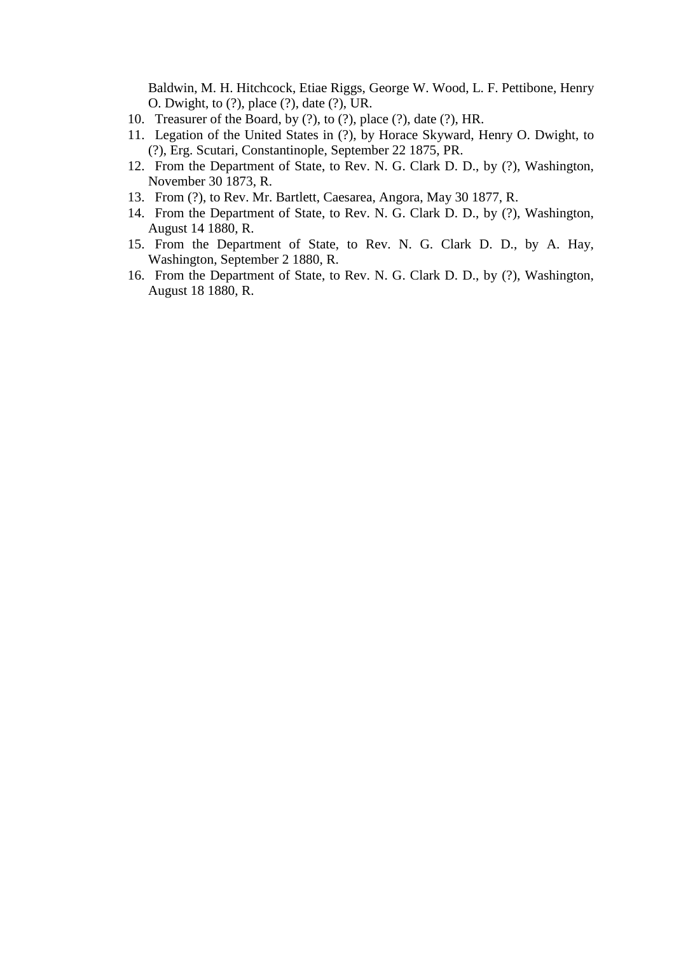Baldwin, M. H. Hitchcock, Etiae Riggs, George W. Wood, L. F. Pettibone, Henry O. Dwight, to (?), place (?), date (?), UR.

- 10. Treasurer of the Board, by (?), to (?), place (?), date (?), HR.
- 11. Legation of the United States in (?), by Horace Skyward, Henry O. Dwight, to (?), Erg. Scutari, Constantinople, September 22 1875, PR.
- 12. From the Department of State, to Rev. N. G. Clark D. D., by (?), Washington, November 30 1873, R.
- 13. From (?), to Rev. Mr. Bartlett, Caesarea, Angora, May 30 1877, R.
- 14. From the Department of State, to Rev. N. G. Clark D. D., by (?), Washington, August 14 1880, R.
- 15. From the Department of State, to Rev. N. G. Clark D. D., by A. Hay, Washington, September 2 1880, R.
- 16. From the Department of State, to Rev. N. G. Clark D. D., by (?), Washington, August 18 1880, R.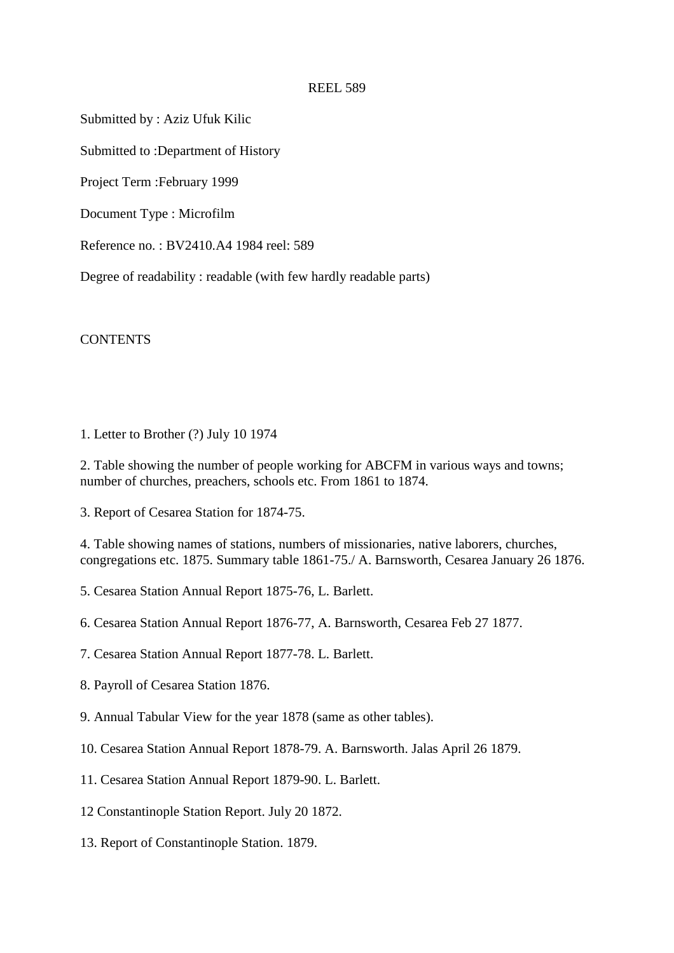Submitted by : Aziz Ufuk Kilic

Submitted to :Department of History

Project Term :February 1999

Document Type : Microfilm

Reference no. : BV2410.A4 1984 reel: 589

Degree of readability : readable (with few hardly readable parts)

**CONTENTS** 

1. Letter to Brother (?) July 10 1974

2. Table showing the number of people working for ABCFM in various ways and towns; number of churches, preachers, schools etc. From 1861 to 1874.

3. Report of Cesarea Station for 1874-75.

4. Table showing names of stations, numbers of missionaries, native laborers, churches, congregations etc. 1875. Summary table 1861-75./ A. Barnsworth, Cesarea January 26 1876.

5. Cesarea Station Annual Report 1875-76, L. Barlett.

6. Cesarea Station Annual Report 1876-77, A. Barnsworth, Cesarea Feb 27 1877.

- 7. Cesarea Station Annual Report 1877-78. L. Barlett.
- 8. Payroll of Cesarea Station 1876.
- 9. Annual Tabular View for the year 1878 (same as other tables).
- 10. Cesarea Station Annual Report 1878-79. A. Barnsworth. Jalas April 26 1879.
- 11. Cesarea Station Annual Report 1879-90. L. Barlett.
- 12 Constantinople Station Report. July 20 1872.
- 13. Report of Constantinople Station. 1879.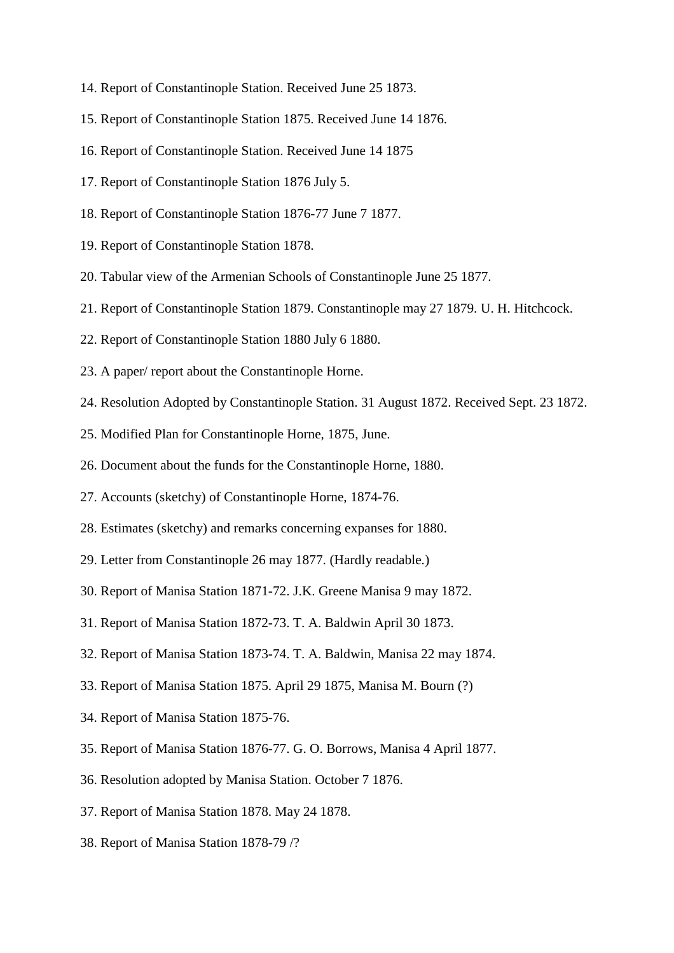- 14. Report of Constantinople Station. Received June 25 1873.
- 15. Report of Constantinople Station 1875. Received June 14 1876.
- 16. Report of Constantinople Station. Received June 14 1875
- 17. Report of Constantinople Station 1876 July 5.
- 18. Report of Constantinople Station 1876-77 June 7 1877.
- 19. Report of Constantinople Station 1878.
- 20. Tabular view of the Armenian Schools of Constantinople June 25 1877.
- 21. Report of Constantinople Station 1879. Constantinople may 27 1879. U. H. Hitchcock.
- 22. Report of Constantinople Station 1880 July 6 1880.
- 23. A paper/ report about the Constantinople Horne.
- 24. Resolution Adopted by Constantinople Station. 31 August 1872. Received Sept. 23 1872.
- 25. Modified Plan for Constantinople Horne, 1875, June.
- 26. Document about the funds for the Constantinople Horne, 1880.
- 27. Accounts (sketchy) of Constantinople Horne, 1874-76.
- 28. Estimates (sketchy) and remarks concerning expanses for 1880.
- 29. Letter from Constantinople 26 may 1877. (Hardly readable.)
- 30. Report of Manisa Station 1871-72. J.K. Greene Manisa 9 may 1872.
- 31. Report of Manisa Station 1872-73. T. A. Baldwin April 30 1873.
- 32. Report of Manisa Station 1873-74. T. A. Baldwin, Manisa 22 may 1874.
- 33. Report of Manisa Station 1875. April 29 1875, Manisa M. Bourn (?)
- 34. Report of Manisa Station 1875-76.
- 35. Report of Manisa Station 1876-77. G. O. Borrows, Manisa 4 April 1877.
- 36. Resolution adopted by Manisa Station. October 7 1876.
- 37. Report of Manisa Station 1878. May 24 1878.
- 38. Report of Manisa Station 1878-79 /?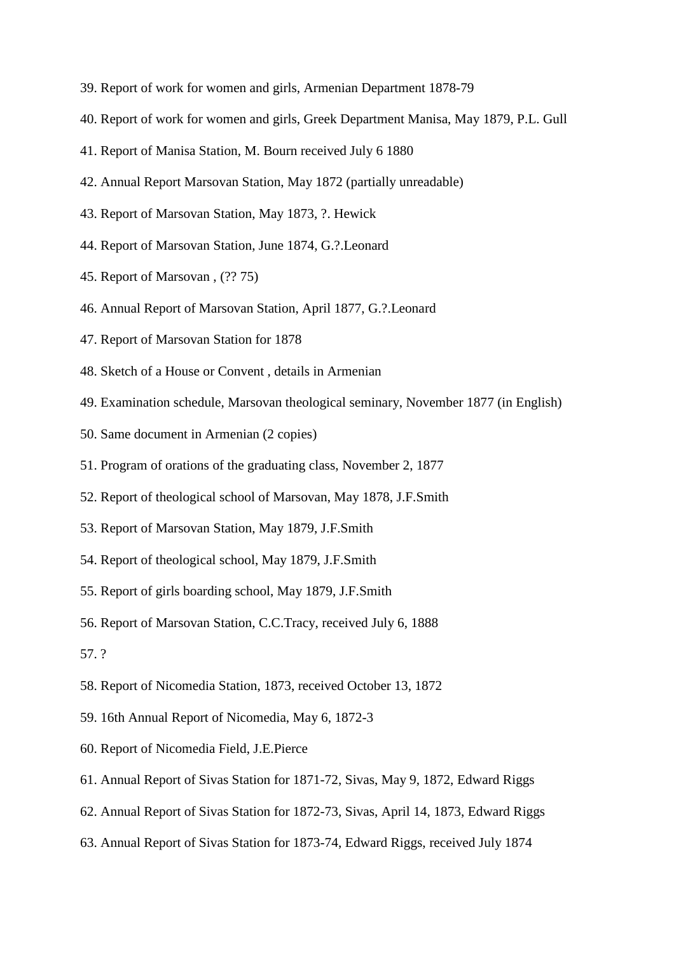- 39. Report of work for women and girls, Armenian Department 1878-79
- 40. Report of work for women and girls, Greek Department Manisa, May 1879, P.L. Gull
- 41. Report of Manisa Station, M. Bourn received July 6 1880
- 42. Annual Report Marsovan Station, May 1872 (partially unreadable)
- 43. Report of Marsovan Station, May 1873, ?. Hewick
- 44. Report of Marsovan Station, June 1874, G.?.Leonard
- 45. Report of Marsovan , (?? 75)
- 46. Annual Report of Marsovan Station, April 1877, G.?.Leonard
- 47. Report of Marsovan Station for 1878
- 48. Sketch of a House or Convent , details in Armenian
- 49. Examination schedule, Marsovan theological seminary, November 1877 (in English)
- 50. Same document in Armenian (2 copies)
- 51. Program of orations of the graduating class, November 2, 1877
- 52. Report of theological school of Marsovan, May 1878, J.F.Smith
- 53. Report of Marsovan Station, May 1879, J.F.Smith
- 54. Report of theological school, May 1879, J.F.Smith
- 55. Report of girls boarding school, May 1879, J.F.Smith
- 56. Report of Marsovan Station, C.C.Tracy, received July 6, 1888
- 57. ?
- 58. Report of Nicomedia Station, 1873, received October 13, 1872
- 59. 16th Annual Report of Nicomedia, May 6, 1872-3
- 60. Report of Nicomedia Field, J.E.Pierce
- 61. Annual Report of Sivas Station for 1871-72, Sivas, May 9, 1872, Edward Riggs
- 62. Annual Report of Sivas Station for 1872-73, Sivas, April 14, 1873, Edward Riggs
- 63. Annual Report of Sivas Station for 1873-74, Edward Riggs, received July 1874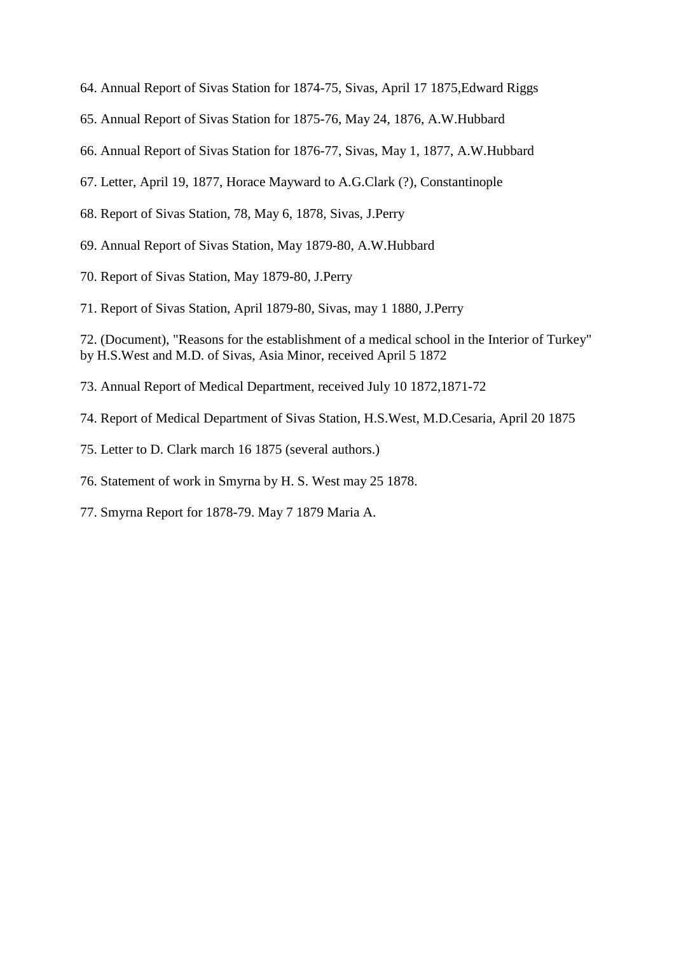- 64. Annual Report of Sivas Station for 1874-75, Sivas, April 17 1875,Edward Riggs
- 65. Annual Report of Sivas Station for 1875-76, May 24, 1876, A.W.Hubbard
- 66. Annual Report of Sivas Station for 1876-77, Sivas, May 1, 1877, A.W.Hubbard
- 67. Letter, April 19, 1877, Horace Mayward to A.G.Clark (?), Constantinople
- 68. Report of Sivas Station, 78, May 6, 1878, Sivas, J.Perry
- 69. Annual Report of Sivas Station, May 1879-80, A.W.Hubbard
- 70. Report of Sivas Station, May 1879-80, J.Perry
- 71. Report of Sivas Station, April 1879-80, Sivas, may 1 1880, J.Perry

72. (Document), "Reasons for the establishment of a medical school in the Interior of Turkey" by H.S.West and M.D. of Sivas, Asia Minor, received April 5 1872

- 73. Annual Report of Medical Department, received July 10 1872,1871-72
- 74. Report of Medical Department of Sivas Station, H.S.West, M.D.Cesaria, April 20 1875
- 75. Letter to D. Clark march 16 1875 (several authors.)
- 76. Statement of work in Smyrna by H. S. West may 25 1878.
- 77. Smyrna Report for 1878-79. May 7 1879 Maria A.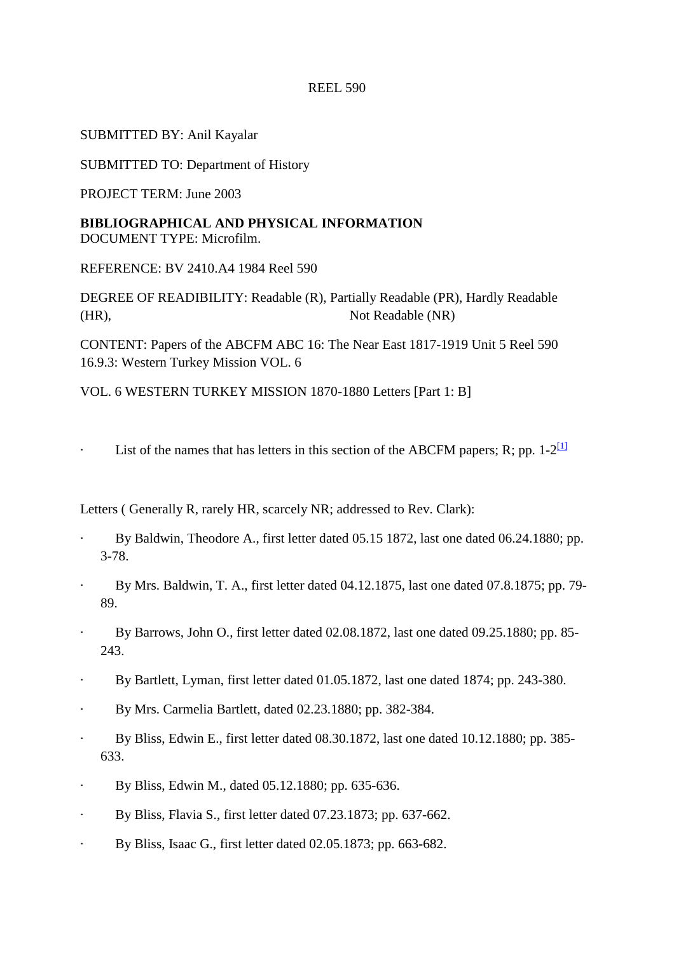# SUBMITTED BY: Anil Kayalar

SUBMITTED TO: Department of History

PROJECT TERM: June 2003

**BIBLIOGRAPHICAL AND PHYSICAL INFORMATION**  DOCUMENT TYPE: Microfilm.

REFERENCE: BV 2410.A4 1984 Reel 590

DEGREE OF READIBILITY: Readable (R), Partially Readable (PR), Hardly Readable (HR), Not Readable (NR)

CONTENT: Papers of the ABCFM ABC 16: The Near East 1817-1919 Unit 5 Reel 590 16.9.3: Western Turkey Mission VOL. 6

VOL. 6 WESTERN TURKEY MISSION 1870-1880 Letters [Part 1: B]

List of the names that has letters in this section of the ABCFM papers; R; pp.  $1-2^{\lfloor \frac{1}{2} \rfloor}$ 

Letters ( Generally R, rarely HR, scarcely NR; addressed to Rev. Clark):

- By Baldwin, Theodore A., first letter dated 05.15 1872, last one dated 06.24.1880; pp. 3-78.
- · By Mrs. Baldwin, T. A., first letter dated 04.12.1875, last one dated 07.8.1875; pp. 79- 89.
- · By Barrows, John O., first letter dated 02.08.1872, last one dated 09.25.1880; pp. 85- 243.
- By Bartlett, Lyman, first letter dated 01.05.1872, last one dated 1874; pp. 243-380.
- · By Mrs. Carmelia Bartlett, dated 02.23.1880; pp. 382-384.
- · By Bliss, Edwin E., first letter dated 08.30.1872, last one dated 10.12.1880; pp. 385- 633.
- · By Bliss, Edwin M., dated 05.12.1880; pp. 635-636.
- · By Bliss, Flavia S., first letter dated 07.23.1873; pp. 637-662.
- · By Bliss, Isaac G., first letter dated 02.05.1873; pp. 663-682.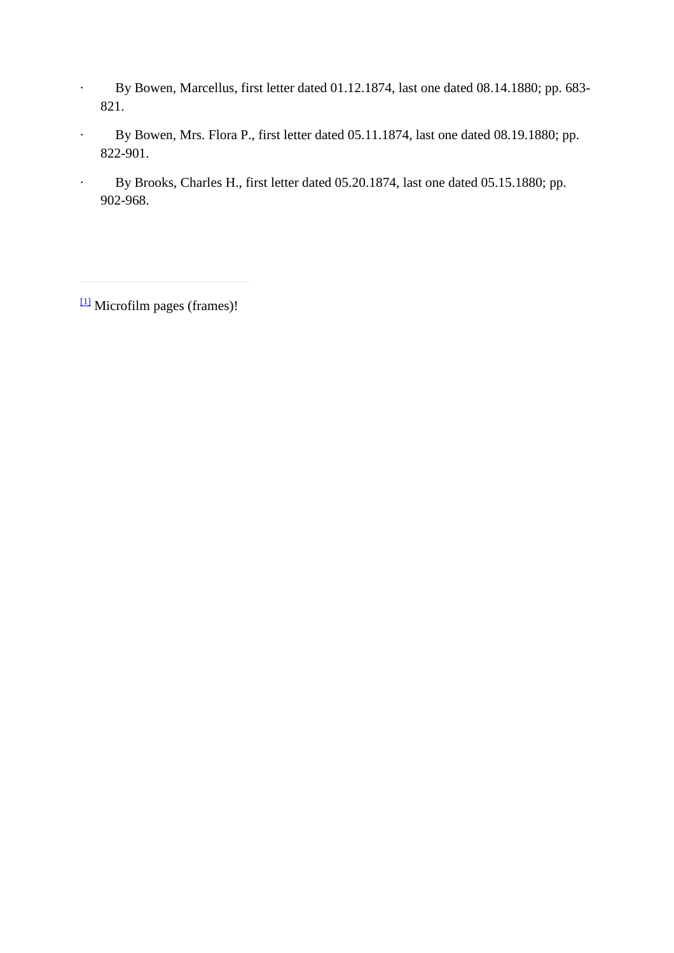- · By Bowen, Marcellus, first letter dated 01.12.1874, last one dated 08.14.1880; pp. 683- 821.
- · By Bowen, Mrs. Flora P., first letter dated 05.11.1874, last one dated 08.19.1880; pp. 822-901.
- · By Brooks, Charles H., first letter dated 05.20.1874, last one dated 05.15.1880; pp. 902-968.

 $\frac{11}{2}$  Microfilm pages (frames)!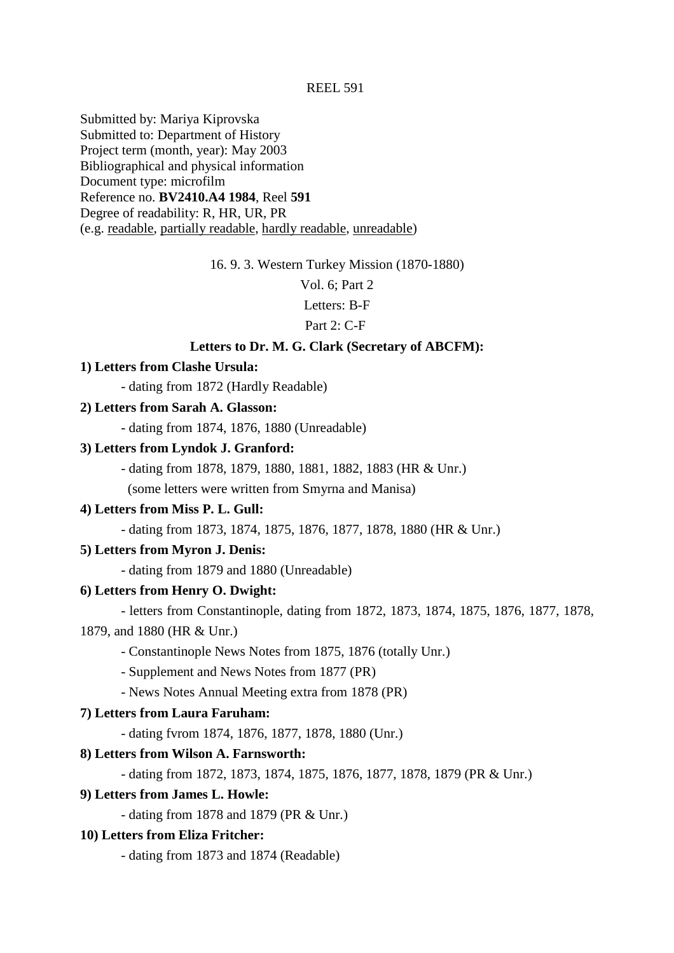Submitted by: Mariya Kiprovska Submitted to: Department of History Project term (month, year): May 2003 Bibliographical and physical information Document type: microfilm Reference no. **BV2410.A4 1984**, Reel **591** Degree of readability: R, HR, UR, PR (e.g. readable, partially readable, hardly readable, unreadable)

16. 9. 3. Western Turkey Mission (1870-1880)

Vol. 6; Part 2

Letters: B-F

Part 2: C-F

### **Letters to Dr. M. G. Clark (Secretary of ABCFM):**

### **1) Letters from Clashe Ursula:**

- dating from 1872 (Hardly Readable)

# **2) Letters from Sarah A. Glasson:**

- dating from 1874, 1876, 1880 (Unreadable)

#### **3) Letters from Lyndok J. Granford:**

- dating from 1878, 1879, 1880, 1881, 1882, 1883 (HR & Unr.)

(some letters were written from Smyrna and Manisa)

### **4) Letters from Miss P. L. Gull:**

- dating from 1873, 1874, 1875, 1876, 1877, 1878, 1880 (HR & Unr.)

#### **5) Letters from Myron J. Denis:**

- dating from 1879 and 1880 (Unreadable)

### **6) Letters from Henry O. Dwight:**

- letters from Constantinople, dating from 1872, 1873, 1874, 1875, 1876, 1877, 1878,

#### 1879, and 1880 (HR & Unr.)

- Constantinople News Notes from 1875, 1876 (totally Unr.)

- Supplement and News Notes from 1877 (PR)

- News Notes Annual Meeting extra from 1878 (PR)

# **7) Letters from Laura Faruham:**

- dating fvrom 1874, 1876, 1877, 1878, 1880 (Unr.)

#### **8) Letters from Wilson A. Farnsworth:**

- dating from 1872, 1873, 1874, 1875, 1876, 1877, 1878, 1879 (PR & Unr.)

### **9) Letters from James L. Howle:**

- dating from 1878 and 1879 (PR & Unr.)

#### **10) Letters from Eliza Fritcher:**

- dating from 1873 and 1874 (Readable)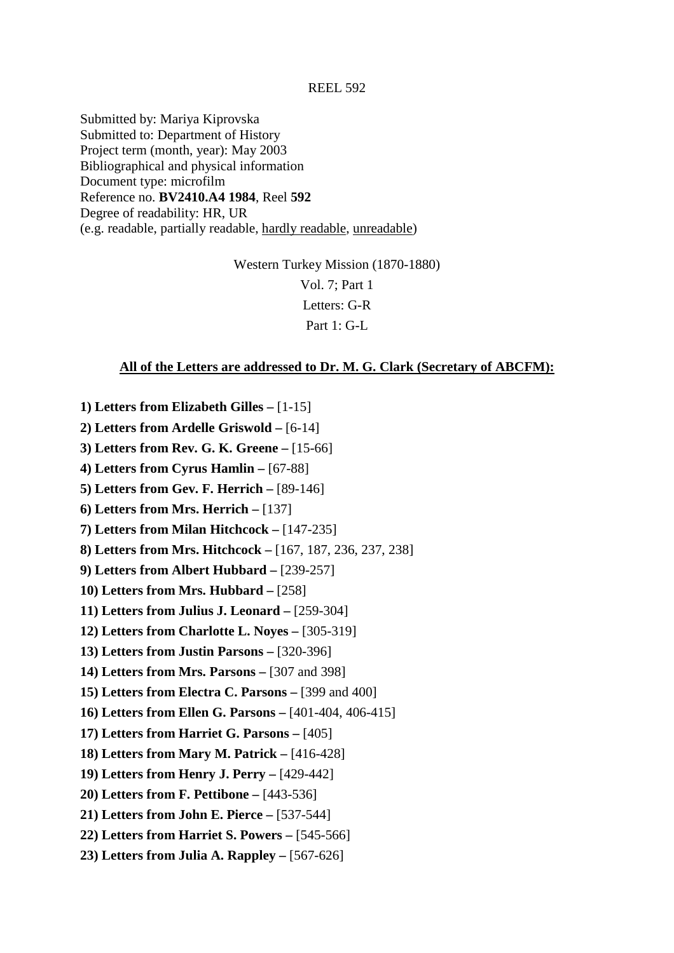Submitted by: Mariya Kiprovska Submitted to: Department of History Project term (month, year): May 2003 Bibliographical and physical information Document type: microfilm Reference no. **BV2410.A4 1984**, Reel **592** Degree of readability: HR, UR (e.g. readable, partially readable, hardly readable, unreadable)

> Western Turkey Mission (1870-1880) Vol. 7; Part 1 Letters: G-R Part 1: G-L

### **All of the Letters are addressed to Dr. M. G. Clark (Secretary of ABCFM):**

- **1) Letters from Elizabeth Gilles** [1-15] **2) Letters from Ardelle Griswold –** [6-14]
- **3) Letters from Rev. G. K. Greene** [15-66]
- **4) Letters from Cyrus Hamlin** [67-88]
- **5) Letters from Gev. F. Herrich** [89-146]
- **6) Letters from Mrs. Herrich** [137]
- **7) Letters from Milan Hitchcock** [147-235]
- **8) Letters from Mrs. Hitchcock** [167, 187, 236, 237, 238]
- **9) Letters from Albert Hubbard** [239-257]
- **10) Letters from Mrs. Hubbard** [258]
- **11) Letters from Julius J. Leonard** [259-304]
- **12) Letters from Charlotte L. Noyes** [305-319]
- **13) Letters from Justin Parsons** [320-396]
- **14) Letters from Mrs. Parsons** [307 and 398]
- **15) Letters from Electra C. Parsons** [399 and 400]
- **16) Letters from Ellen G. Parsons** [401-404, 406-415]
- **17) Letters from Harriet G. Parsons** [405]
- **18) Letters from Mary M. Patrick** [416-428]
- **19) Letters from Henry J. Perry** [429-442]
- **20) Letters from F. Pettibone** [443-536]
- **21) Letters from John E. Pierce** [537-544]
- **22) Letters from Harriet S. Powers** [545-566]
- **23) Letters from Julia A. Rappley** [567-626]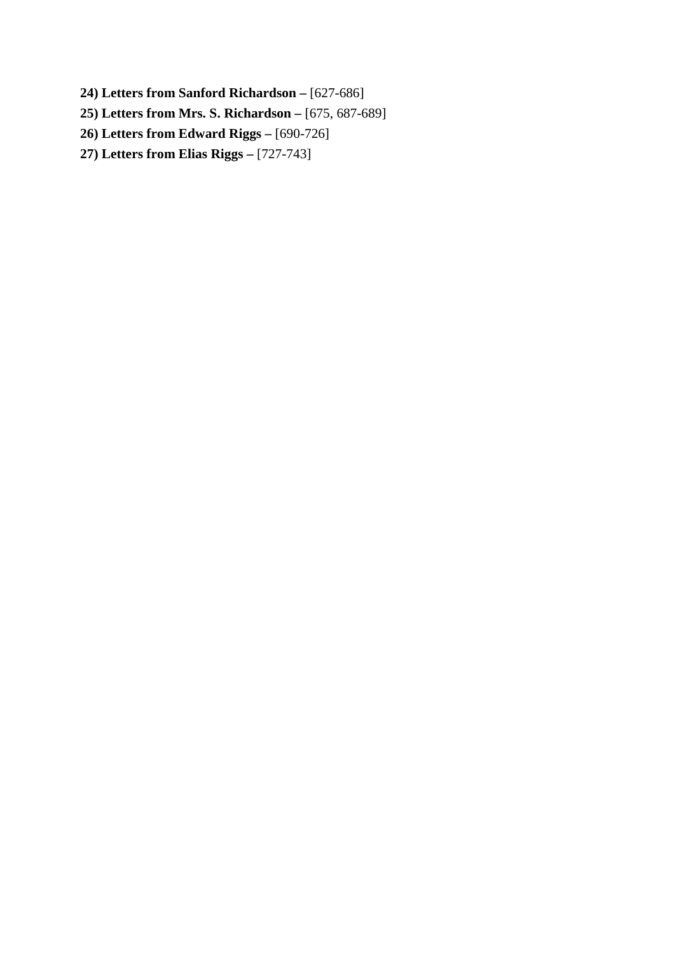- **24) Letters from Sanford Richardson** [627-686]
- **25) Letters from Mrs. S. Richardson** [675, 687-689]
- **26) Letters from Edward Riggs** [690-726]
- **27) Letters from Elias Riggs** [727-743]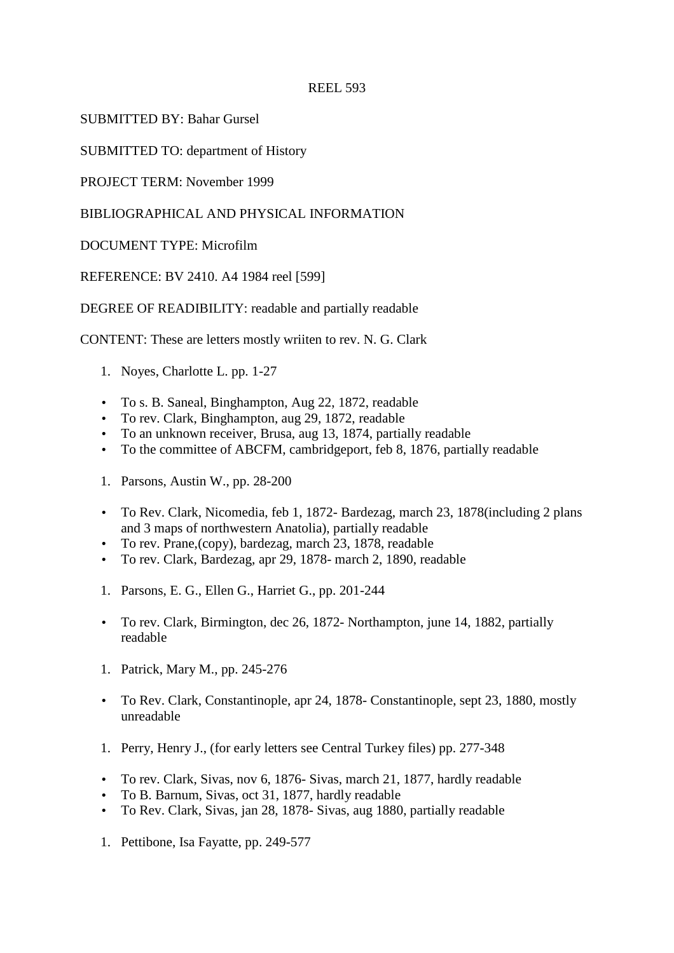SUBMITTED BY: Bahar Gursel

SUBMITTED TO: department of History

PROJECT TERM: November 1999

# BIBLIOGRAPHICAL AND PHYSICAL INFORMATION

DOCUMENT TYPE: Microfilm

REFERENCE: BV 2410. A4 1984 reel [599]

DEGREE OF READIBILITY: readable and partially readable

CONTENT: These are letters mostly wriiten to rev. N. G. Clark

- 1. Noyes, Charlotte L. pp. 1-27
- To s. B. Saneal, Binghampton, Aug 22, 1872, readable
- To rev. Clark, Binghampton, aug 29, 1872, readable
- To an unknown receiver, Brusa, aug 13, 1874, partially readable
- To the committee of ABCFM, cambridgeport, feb 8, 1876, partially readable
- 1. Parsons, Austin W., pp. 28-200
- To Rev. Clark, Nicomedia, feb 1, 1872- Bardezag, march 23, 1878(including 2 plans and 3 maps of northwestern Anatolia), partially readable
- To rev. Prane,(copy), bardezag, march 23, 1878, readable
- To rev. Clark, Bardezag, apr 29, 1878- march 2, 1890, readable
- 1. Parsons, E. G., Ellen G., Harriet G., pp. 201-244
- To rev. Clark, Birmington, dec 26, 1872- Northampton, june 14, 1882, partially readable
- 1. Patrick, Mary M., pp. 245-276
- To Rev. Clark, Constantinople, apr 24, 1878- Constantinople, sept 23, 1880, mostly unreadable
- 1. Perry, Henry J., (for early letters see Central Turkey files) pp. 277-348
- To rev. Clark, Sivas, nov 6, 1876- Sivas, march 21, 1877, hardly readable
- To B. Barnum, Sivas, oct 31, 1877, hardly readable
- To Rev. Clark, Sivas, jan 28, 1878- Sivas, aug 1880, partially readable
- 1. Pettibone, Isa Fayatte, pp. 249-577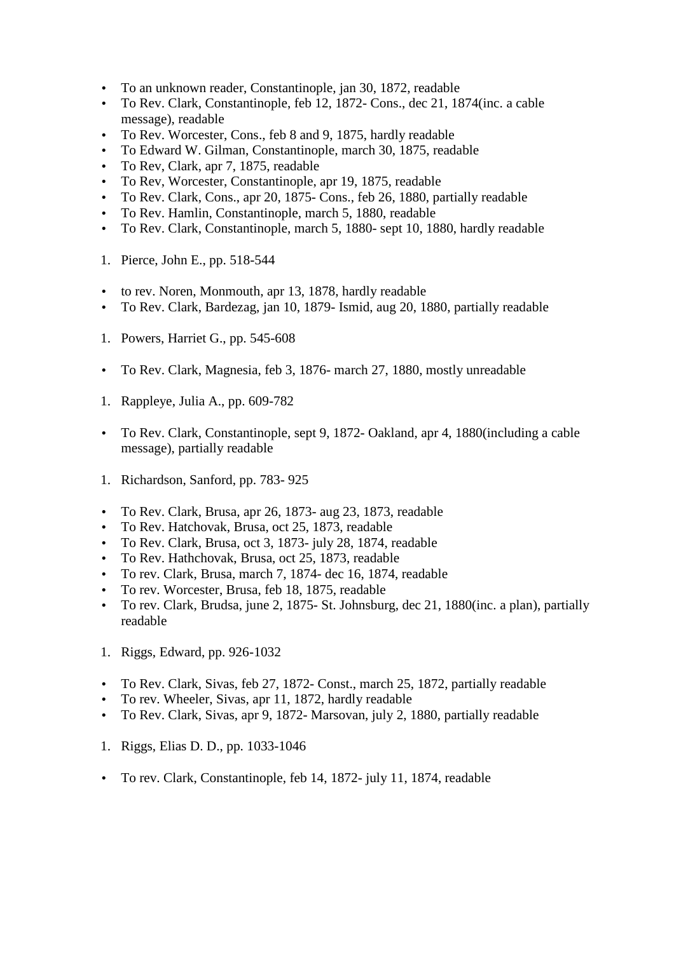- To an unknown reader, Constantinople, jan 30, 1872, readable
- To Rev. Clark, Constantinople, feb 12, 1872- Cons., dec 21, 1874(inc. a cable message), readable
- To Rev. Worcester, Cons., feb 8 and 9, 1875, hardly readable
- To Edward W. Gilman, Constantinople, march 30, 1875, readable
- To Rev, Clark, apr 7, 1875, readable
- To Rev, Worcester, Constantinople, apr 19, 1875, readable
- To Rev. Clark, Cons., apr 20, 1875- Cons., feb 26, 1880, partially readable
- To Rev. Hamlin, Constantinople, march 5, 1880, readable
- To Rev. Clark, Constantinople, march 5, 1880- sept 10, 1880, hardly readable
- 1. Pierce, John E., pp. 518-544
- to rev. Noren, Monmouth, apr 13, 1878, hardly readable
- To Rev. Clark, Bardezag, jan 10, 1879- Ismid, aug 20, 1880, partially readable
- 1. Powers, Harriet G., pp. 545-608
- To Rev. Clark, Magnesia, feb 3, 1876- march 27, 1880, mostly unreadable
- 1. Rappleye, Julia A., pp. 609-782
- To Rev. Clark, Constantinople, sept 9, 1872- Oakland, apr 4, 1880(including a cable message), partially readable
- 1. Richardson, Sanford, pp. 783- 925
- To Rev. Clark, Brusa, apr 26, 1873- aug 23, 1873, readable
- To Rev. Hatchovak, Brusa, oct 25, 1873, readable
- To Rev. Clark, Brusa, oct 3, 1873- july 28, 1874, readable
- To Rev. Hathchovak, Brusa, oct 25, 1873, readable
- To rev. Clark, Brusa, march 7, 1874- dec 16, 1874, readable
- To rev. Worcester, Brusa, feb 18, 1875, readable
- To rev. Clark, Brudsa, june 2, 1875- St. Johnsburg, dec 21, 1880(inc. a plan), partially readable
- 1. Riggs, Edward, pp. 926-1032
- To Rev. Clark, Sivas, feb 27, 1872- Const., march 25, 1872, partially readable
- To rev. Wheeler, Sivas, apr 11, 1872, hardly readable
- To Rev. Clark, Sivas, apr 9, 1872- Marsovan, july 2, 1880, partially readable
- 1. Riggs, Elias D. D., pp. 1033-1046
- To rev. Clark, Constantinople, feb 14, 1872- july 11, 1874, readable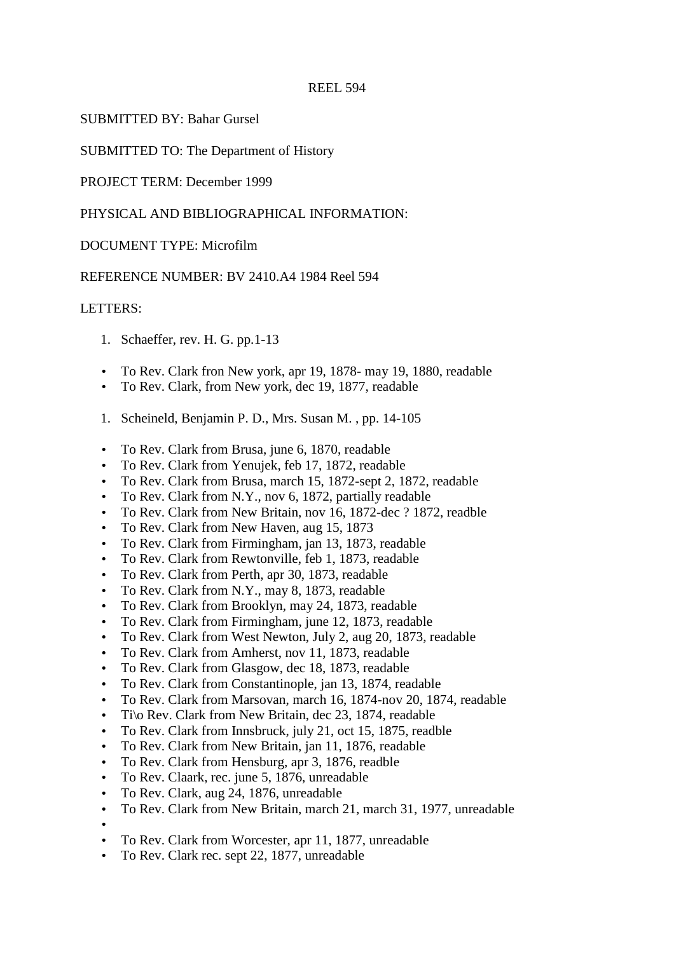# SUBMITTED BY: Bahar Gursel

SUBMITTED TO: The Department of History

PROJECT TERM: December 1999

# PHYSICAL AND BIBLIOGRAPHICAL INFORMATION:

# DOCUMENT TYPE: Microfilm

# REFERENCE NUMBER: BV 2410.A4 1984 Reel 594

# LETTERS:

- 1. Schaeffer, rev. H. G. pp.1-13
- To Rev. Clark fron New york, apr 19, 1878- may 19, 1880, readable
- To Rev. Clark, from New york, dec 19, 1877, readable
- 1. Scheineld, Benjamin P. D., Mrs. Susan M. , pp. 14-105
- To Rev. Clark from Brusa, june 6, 1870, readable
- To Rev. Clark from Yenujek, feb 17, 1872, readable
- To Rev. Clark from Brusa, march 15, 1872-sept 2, 1872, readable
- To Rev. Clark from N.Y., nov 6, 1872, partially readable
- To Rev. Clark from New Britain, nov 16, 1872-dec ? 1872, readble
- To Rev. Clark from New Haven, aug 15, 1873
- To Rev. Clark from Firmingham, jan 13, 1873, readable
- To Rev. Clark from Rewtonville, feb 1, 1873, readable
- To Rev. Clark from Perth, apr 30, 1873, readable
- To Rev. Clark from N.Y., may 8, 1873, readable
- To Rev. Clark from Brooklyn, may 24, 1873, readable
- To Rev. Clark from Firmingham, june 12, 1873, readable
- To Rev. Clark from West Newton, July 2, aug 20, 1873, readable
- To Rev. Clark from Amherst, nov 11, 1873, readable
- To Rev. Clark from Glasgow, dec 18, 1873, readable
- To Rev. Clark from Constantinople, jan 13, 1874, readable
- To Rev. Clark from Marsovan, march 16, 1874-nov 20, 1874, readable
- Ti\o Rev. Clark from New Britain, dec 23, 1874, readable
- To Rev. Clark from Innsbruck, july 21, oct 15, 1875, readble
- To Rev. Clark from New Britain, jan 11, 1876, readable
- To Rev. Clark from Hensburg, apr 3, 1876, readble
- To Rev. Claark, rec. june 5, 1876, unreadable
- To Rev. Clark, aug 24, 1876, unreadable
- To Rev. Clark from New Britain, march 21, march 31, 1977, unreadable
- • To Rev. Clark from Worcester, apr 11, 1877, unreadable
- To Rev. Clark rec. sept 22, 1877, unreadable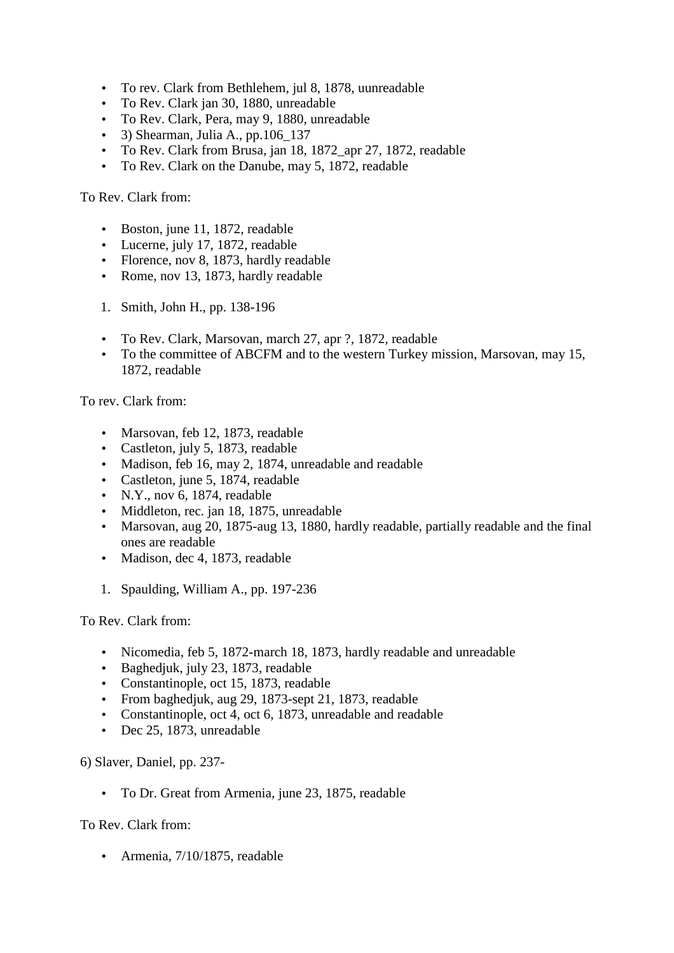- To rev. Clark from Bethlehem, jul 8, 1878, uunreadable
- To Rev. Clark jan 30, 1880, unreadable
- To Rev. Clark, Pera, may 9, 1880, unreadable
- 3) Shearman, Julia A., pp.  $106$  137
- To Rev. Clark from Brusa, jan 18, 1872 apr 27, 1872, readable
- To Rev. Clark on the Danube, may 5, 1872, readable

To Rev. Clark from:

- Boston, june 11, 1872, readable
- Lucerne, july 17, 1872, readable
- Florence, nov 8, 1873, hardly readable
- Rome, nov 13, 1873, hardly readable
- 1. Smith, John H., pp. 138-196
- To Rev. Clark, Marsovan, march 27, apr ?, 1872, readable
- To the committee of ABCFM and to the western Turkey mission, Marsovan, may 15, 1872, readable

To rev. Clark from:

- Marsovan, feb 12, 1873, readable
- Castleton, july 5, 1873, readable
- Madison, feb 16, may 2, 1874, unreadable and readable
- Castleton, june 5, 1874, readable
- N.Y., nov 6, 1874, readable
- Middleton, rec. jan 18, 1875, unreadable
- Marsovan, aug 20, 1875-aug 13, 1880, hardly readable, partially readable and the final ones are readable
- Madison, dec 4, 1873, readable
- 1. Spaulding, William A., pp. 197-236

To Rev. Clark from:

- Nicomedia, feb 5, 1872-march 18, 1873, hardly readable and unreadable
- Baghedjuk, july 23, 1873, readable
- Constantinople, oct 15, 1873, readable
- From baghedjuk, aug 29, 1873-sept 21, 1873, readable
- Constantinople, oct 4, oct 6, 1873, unreadable and readable
- Dec 25, 1873, unreadable

6) Slaver, Daniel, pp. 237-

• To Dr. Great from Armenia, june 23, 1875, readable

To Rev. Clark from:

• Armenia, 7/10/1875, readable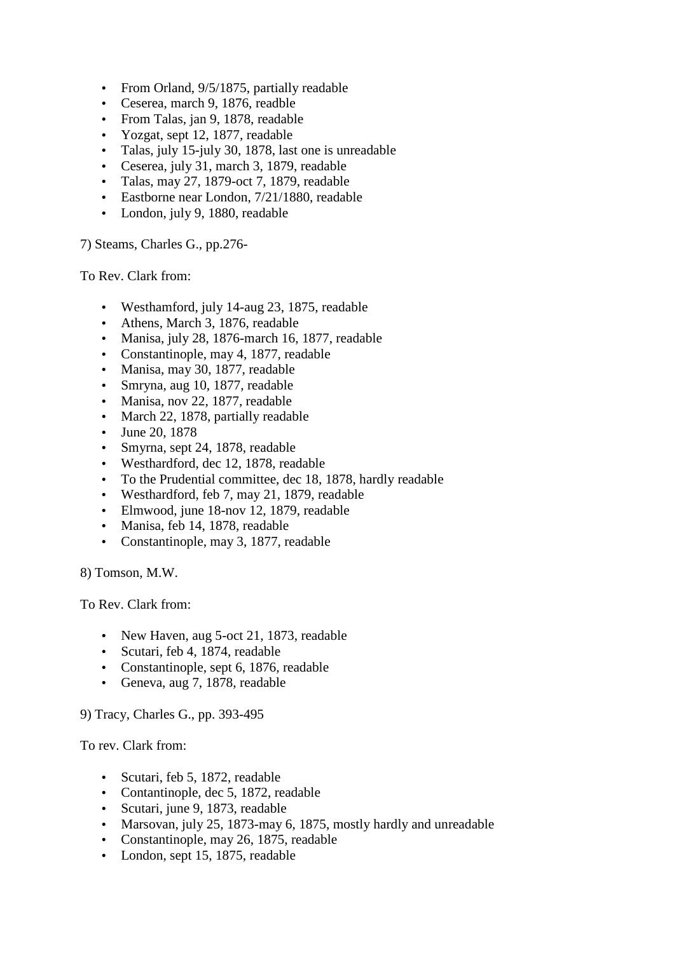- From Orland, 9/5/1875, partially readable
- Ceserea, march 9, 1876, readble
- From Talas, jan 9, 1878, readable
- Yozgat, sept 12, 1877, readable
- Talas, july 15-july 30, 1878, last one is unreadable
- Ceserea, july 31, march 3, 1879, readable
- Talas, may 27, 1879-oct 7, 1879, readable
- Eastborne near London, 7/21/1880, readable
- London, july 9, 1880, readable

7) Steams, Charles G., pp.276-

To Rev. Clark from:

- Westhamford, july 14-aug 23, 1875, readable
- Athens, March 3, 1876, readable
- Manisa, july 28, 1876-march 16, 1877, readable
- Constantinople, may 4, 1877, readable
- Manisa, may 30, 1877, readable
- Smryna, aug 10, 1877, readable
- Manisa, nov 22, 1877, readable
- March 22, 1878, partially readable
- June 20, 1878
- Smyrna, sept 24, 1878, readable
- Westhardford, dec 12, 1878, readable
- To the Prudential committee, dec 18, 1878, hardly readable
- Westhardford, feb 7, may 21, 1879, readable
- Elmwood, june 18-nov 12, 1879, readable
- Manisa, feb 14, 1878, readable
- Constantinople, may 3, 1877, readable

8) Tomson, M.W.

To Rev. Clark from:

- New Haven, aug 5-oct 21, 1873, readable
- Scutari, feb 4, 1874, readable
- Constantinople, sept 6, 1876, readable
- Geneva, aug 7, 1878, readable

9) Tracy, Charles G., pp. 393-495

To rev. Clark from:

- Scutari, feb 5, 1872, readable
- Contantinople, dec 5, 1872, readable
- Scutari, june 9, 1873, readable
- Marsovan, july 25, 1873-may 6, 1875, mostly hardly and unreadable
- Constantinople, may 26, 1875, readable
- London, sept 15, 1875, readable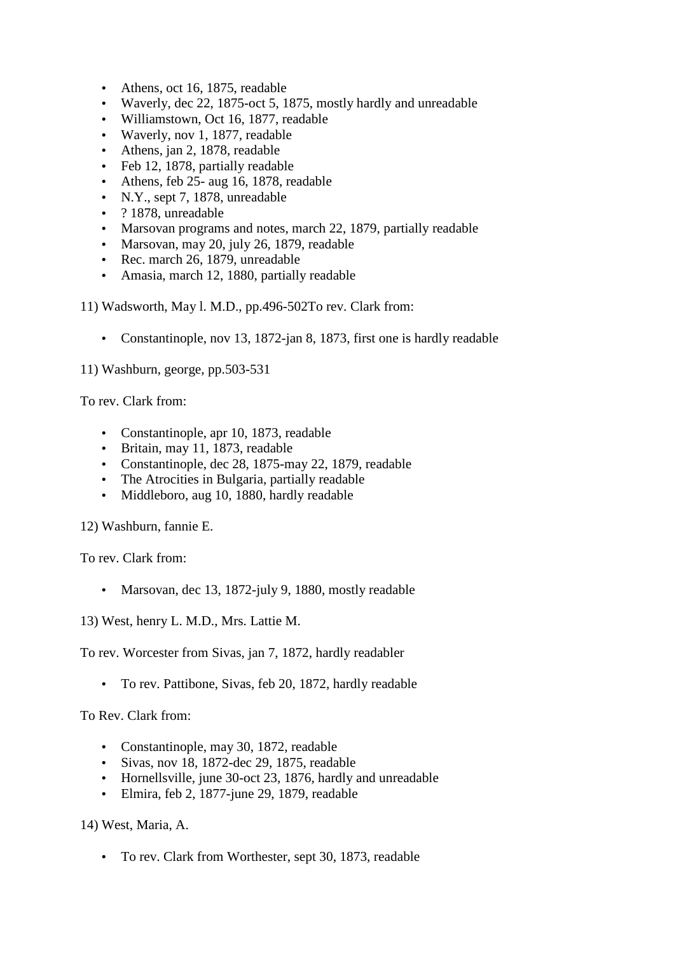- Athens, oct 16, 1875, readable
- Waverly, dec 22, 1875-oct 5, 1875, mostly hardly and unreadable
- Williamstown, Oct 16, 1877, readable
- Waverly, nov 1, 1877, readable
- Athens, jan 2, 1878, readable
- Feb 12, 1878, partially readable
- Athens, feb 25- aug 16, 1878, readable
- N.Y., sept 7, 1878, unreadable
- ? 1878, unreadable
- Marsovan programs and notes, march 22, 1879, partially readable
- Marsovan, may 20, july 26, 1879, readable
- Rec. march 26, 1879, unreadable
- Amasia, march 12, 1880, partially readable

11) Wadsworth, May l. M.D., pp.496-502To rev. Clark from:

• Constantinople, nov 13, 1872-jan 8, 1873, first one is hardly readable

11) Washburn, george, pp.503-531

To rev. Clark from:

- Constantinople, apr 10, 1873, readable
- Britain, may 11, 1873, readable
- Constantinople, dec 28, 1875-may 22, 1879, readable
- The Atrocities in Bulgaria, partially readable
- Middleboro, aug 10, 1880, hardly readable

12) Washburn, fannie E.

To rev. Clark from:

• Marsovan, dec 13, 1872-july 9, 1880, mostly readable

13) West, henry L. M.D., Mrs. Lattie M.

To rev. Worcester from Sivas, jan 7, 1872, hardly readabler

• To rev. Pattibone, Sivas, feb 20, 1872, hardly readable

To Rev. Clark from:

- Constantinople, may 30, 1872, readable
- Sivas, nov 18, 1872-dec 29, 1875, readable
- Hornellsville, june 30-oct 23, 1876, hardly and unreadable
- Elmira, feb 2, 1877-june 29, 1879, readable

14) West, Maria, A.

• To rev. Clark from Worthester, sept 30, 1873, readable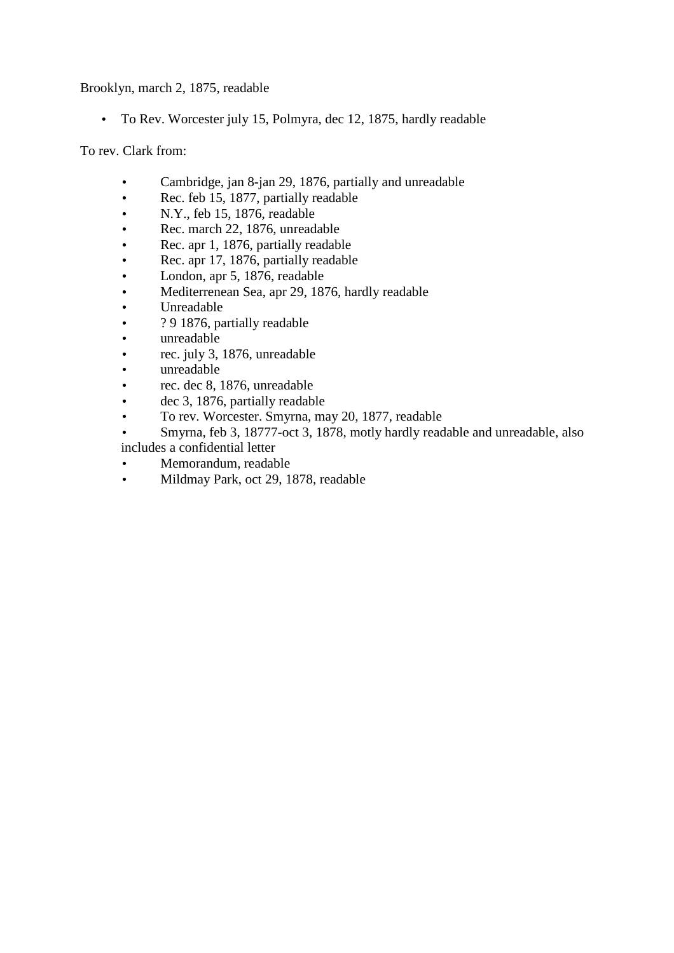Brooklyn, march 2, 1875, readable

• To Rev. Worcester july 15, Polmyra, dec 12, 1875, hardly readable

To rev. Clark from:

- Cambridge, jan 8-jan 29, 1876, partially and unreadable
- Rec. feb 15, 1877, partially readable
- N.Y., feb 15, 1876, readable
- Rec. march 22, 1876, unreadable
- Rec. apr 1, 1876, partially readable
- Rec. apr 17, 1876, partially readable
- London, apr 5, 1876, readable
- Mediterrenean Sea, apr 29, 1876, hardly readable
- Unreadable
- ? 9 1876, partially readable
- unreadable
- rec. july 3, 1876, unreadable
- unreadable
- rec. dec 8, 1876, unreadable
- dec 3, 1876, partially readable
- To rev. Worcester. Smyrna, may 20, 1877, readable
- Smyrna, feb 3, 18777-oct 3, 1878, motly hardly readable and unreadable, also includes a confidential letter
- Memorandum, readable
- Mildmay Park, oct 29, 1878, readable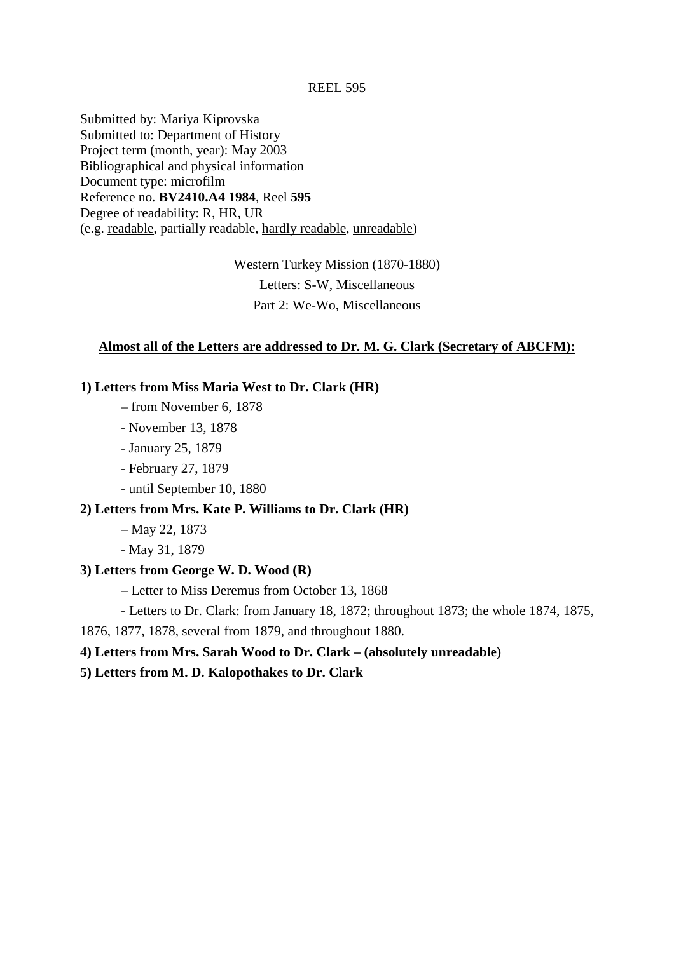Submitted by: Mariya Kiprovska Submitted to: Department of History Project term (month, year): May 2003 Bibliographical and physical information Document type: microfilm Reference no. **BV2410.A4 1984**, Reel **595** Degree of readability: R, HR, UR (e.g. readable, partially readable, hardly readable, unreadable)

> Western Turkey Mission (1870-1880) Letters: S-W, Miscellaneous Part 2: We-Wo, Miscellaneous

# **Almost all of the Letters are addressed to Dr. M. G. Clark (Secretary of ABCFM):**

### **1) Letters from Miss Maria West to Dr. Clark (HR)**

- from November 6, 1878
- November 13, 1878
- January 25, 1879
- February 27, 1879
- until September 10, 1880

# **2) Letters from Mrs. Kate P. Williams to Dr. Clark (HR)**

- May 22, 1873
- May 31, 1879

### **3) Letters from George W. D. Wood (R)**

- Letter to Miss Deremus from October 13, 1868
- Letters to Dr. Clark: from January 18, 1872; throughout 1873; the whole 1874, 1875,

1876, 1877, 1878, several from 1879, and throughout 1880.

### **4) Letters from Mrs. Sarah Wood to Dr. Clark – (absolutely unreadable)**

**5) Letters from M. D. Kalopothakes to Dr. Clark**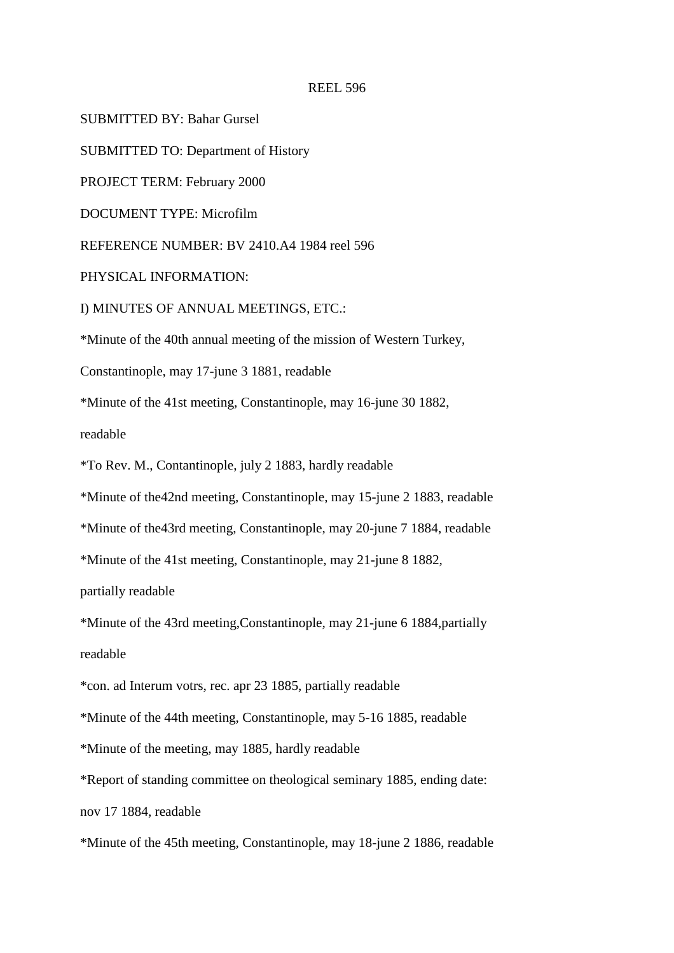SUBMITTED BY: Bahar Gursel

SUBMITTED TO: Department of History

PROJECT TERM: February 2000

DOCUMENT TYPE: Microfilm

REFERENCE NUMBER: BV 2410.A4 1984 reel 596

PHYSICAL INFORMATION:

I) MINUTES OF ANNUAL MEETINGS, ETC.:

\*Minute of the 40th annual meeting of the mission of Western Turkey,

Constantinople, may 17-june 3 1881, readable

\*Minute of the 41st meeting, Constantinople, may 16-june 30 1882,

readable

\*To Rev. M., Contantinople, july 2 1883, hardly readable

\*Minute of the42nd meeting, Constantinople, may 15-june 2 1883, readable

\*Minute of the43rd meeting, Constantinople, may 20-june 7 1884, readable

\*Minute of the 41st meeting, Constantinople, may 21-june 8 1882,

partially readable

\*Minute of the 43rd meeting,Constantinople, may 21-june 6 1884,partially

readable

\*con. ad Interum votrs, rec. apr 23 1885, partially readable

\*Minute of the 44th meeting, Constantinople, may 5-16 1885, readable

\*Minute of the meeting, may 1885, hardly readable

\*Report of standing committee on theological seminary 1885, ending date:

nov 17 1884, readable

\*Minute of the 45th meeting, Constantinople, may 18-june 2 1886, readable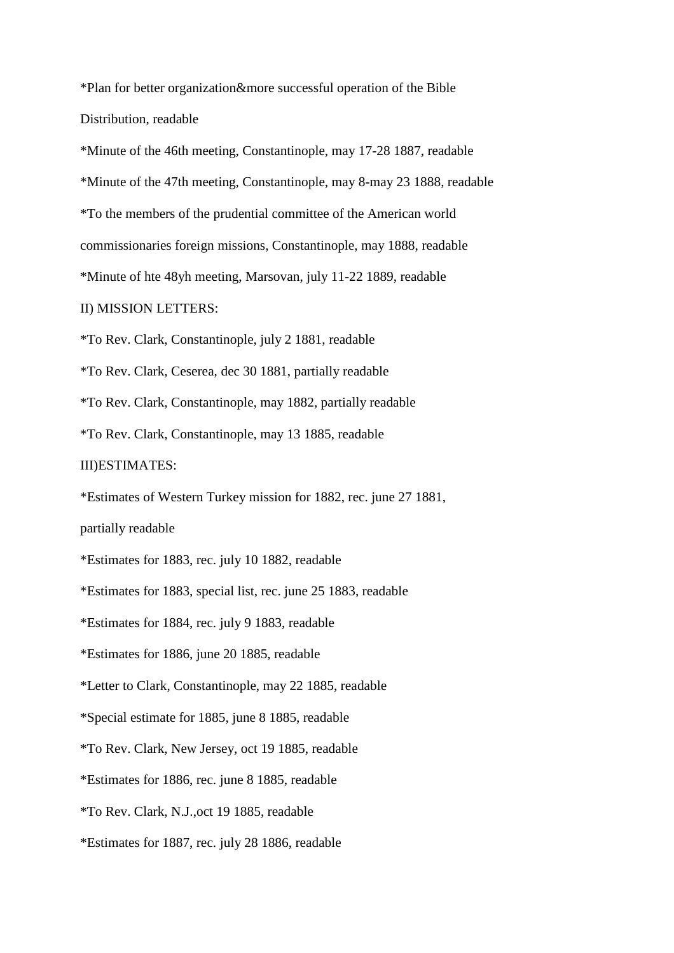\*Plan for better organization&more successful operation of the Bible Distribution, readable

\*Minute of the 46th meeting, Constantinople, may 17-28 1887, readable \*Minute of the 47th meeting, Constantinople, may 8-may 23 1888, readable \*To the members of the prudential committee of the American world commissionaries foreign missions, Constantinople, may 1888, readable \*Minute of hte 48yh meeting, Marsovan, july 11-22 1889, readable

### II) MISSION LETTERS:

\*To Rev. Clark, Constantinople, july 2 1881, readable

\*To Rev. Clark, Ceserea, dec 30 1881, partially readable

\*To Rev. Clark, Constantinople, may 1882, partially readable

\*To Rev. Clark, Constantinople, may 13 1885, readable

#### III)ESTIMATES:

\*Estimates of Western Turkey mission for 1882, rec. june 27 1881,

partially readable

\*Estimates for 1883, rec. july 10 1882, readable

\*Estimates for 1883, special list, rec. june 25 1883, readable

\*Estimates for 1884, rec. july 9 1883, readable

\*Estimates for 1886, june 20 1885, readable

\*Letter to Clark, Constantinople, may 22 1885, readable

\*Special estimate for 1885, june 8 1885, readable

\*To Rev. Clark, New Jersey, oct 19 1885, readable

\*Estimates for 1886, rec. june 8 1885, readable

\*To Rev. Clark, N.J.,oct 19 1885, readable

\*Estimates for 1887, rec. july 28 1886, readable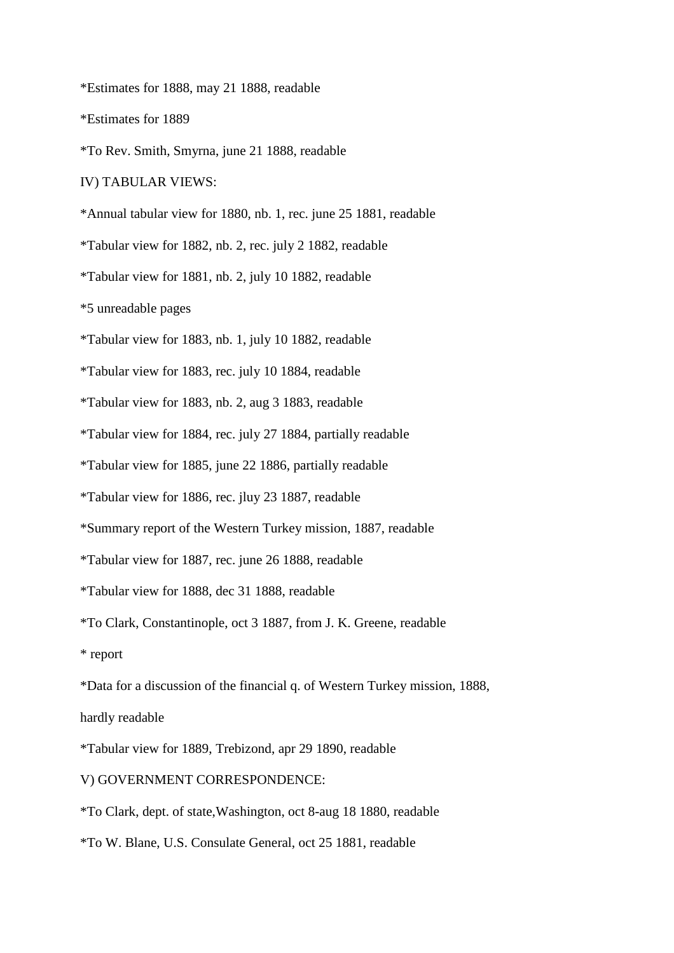\*Estimates for 1888, may 21 1888, readable

\*Estimates for 1889

\*To Rev. Smith, Smyrna, june 21 1888, readable

IV) TABULAR VIEWS:

\*Annual tabular view for 1880, nb. 1, rec. june 25 1881, readable

\*Tabular view for 1882, nb. 2, rec. july 2 1882, readable

\*Tabular view for 1881, nb. 2, july 10 1882, readable

\*5 unreadable pages

\*Tabular view for 1883, nb. 1, july 10 1882, readable

\*Tabular view for 1883, rec. july 10 1884, readable

\*Tabular view for 1883, nb. 2, aug 3 1883, readable

\*Tabular view for 1884, rec. july 27 1884, partially readable

\*Tabular view for 1885, june 22 1886, partially readable

\*Tabular view for 1886, rec. jluy 23 1887, readable

\*Summary report of the Western Turkey mission, 1887, readable

\*Tabular view for 1887, rec. june 26 1888, readable

\*Tabular view for 1888, dec 31 1888, readable

\*To Clark, Constantinople, oct 3 1887, from J. K. Greene, readable

\* report

\*Data for a discussion of the financial q. of Western Turkey mission, 1888,

hardly readable

\*Tabular view for 1889, Trebizond, apr 29 1890, readable

### V) GOVERNMENT CORRESPONDENCE:

\*To Clark, dept. of state,Washington, oct 8-aug 18 1880, readable

\*To W. Blane, U.S. Consulate General, oct 25 1881, readable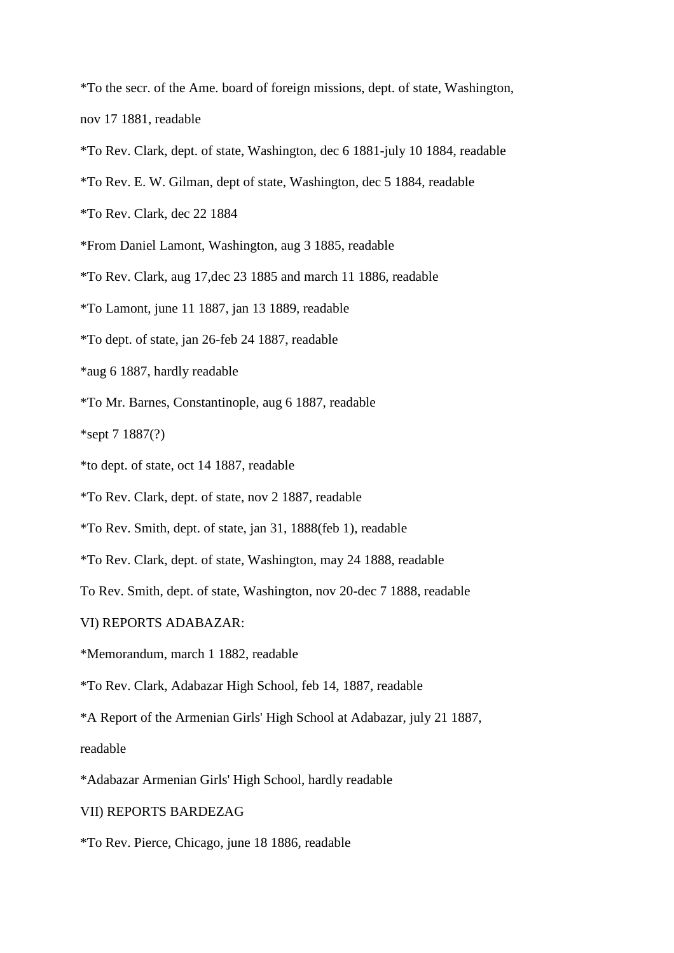\*To the secr. of the Ame. board of foreign missions, dept. of state, Washington,

nov 17 1881, readable

- \*To Rev. Clark, dept. of state, Washington, dec 6 1881-july 10 1884, readable
- \*To Rev. E. W. Gilman, dept of state, Washington, dec 5 1884, readable
- \*To Rev. Clark, dec 22 1884
- \*From Daniel Lamont, Washington, aug 3 1885, readable
- \*To Rev. Clark, aug 17,dec 23 1885 and march 11 1886, readable
- \*To Lamont, june 11 1887, jan 13 1889, readable
- \*To dept. of state, jan 26-feb 24 1887, readable
- \*aug 6 1887, hardly readable
- \*To Mr. Barnes, Constantinople, aug 6 1887, readable

\*sept 7 1887(?)

- \*to dept. of state, oct 14 1887, readable
- \*To Rev. Clark, dept. of state, nov 2 1887, readable
- \*To Rev. Smith, dept. of state, jan 31, 1888(feb 1), readable
- \*To Rev. Clark, dept. of state, Washington, may 24 1888, readable
- To Rev. Smith, dept. of state, Washington, nov 20-dec 7 1888, readable
- VI) REPORTS ADABAZAR:
- \*Memorandum, march 1 1882, readable
- \*To Rev. Clark, Adabazar High School, feb 14, 1887, readable
- \*A Report of the Armenian Girls' High School at Adabazar, july 21 1887,

readable

- \*Adabazar Armenian Girls' High School, hardly readable
- VII) REPORTS BARDEZAG
- \*To Rev. Pierce, Chicago, june 18 1886, readable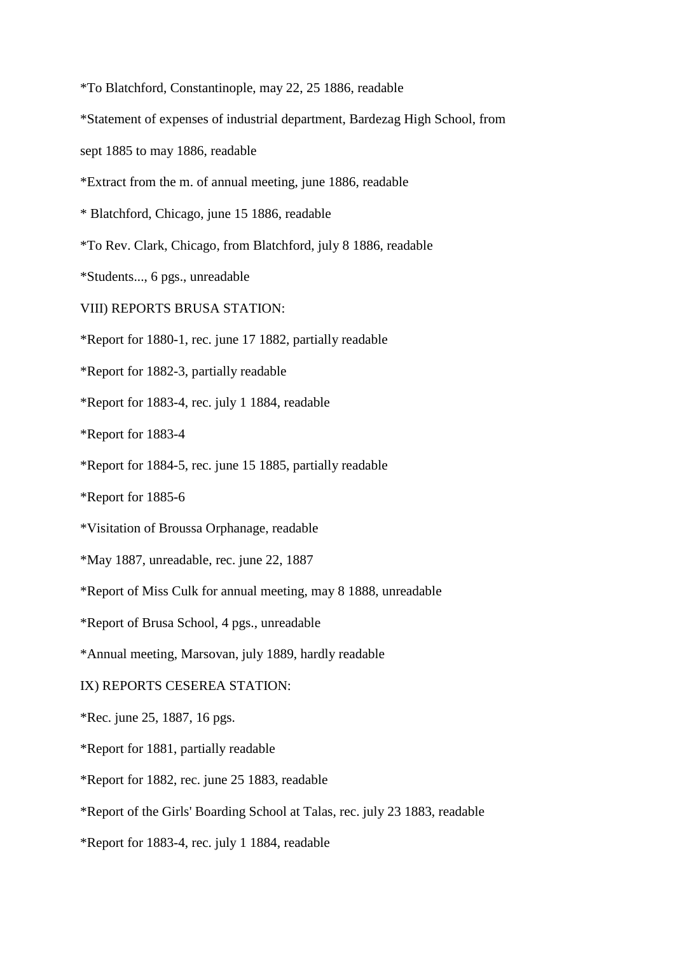\*To Blatchford, Constantinople, may 22, 25 1886, readable

\*Statement of expenses of industrial department, Bardezag High School, from

sept 1885 to may 1886, readable

\*Extract from the m. of annual meeting, june 1886, readable

\* Blatchford, Chicago, june 15 1886, readable

\*To Rev. Clark, Chicago, from Blatchford, july 8 1886, readable

\*Students..., 6 pgs., unreadable

VIII) REPORTS BRUSA STATION:

\*Report for 1880-1, rec. june 17 1882, partially readable

\*Report for 1882-3, partially readable

\*Report for 1883-4, rec. july 1 1884, readable

\*Report for 1883-4

\*Report for 1884-5, rec. june 15 1885, partially readable

\*Report for 1885-6

\*Visitation of Broussa Orphanage, readable

\*May 1887, unreadable, rec. june 22, 1887

\*Report of Miss Culk for annual meeting, may 8 1888, unreadable

\*Report of Brusa School, 4 pgs., unreadable

\*Annual meeting, Marsovan, july 1889, hardly readable

#### IX) REPORTS CESEREA STATION:

\*Rec. june 25, 1887, 16 pgs.

\*Report for 1881, partially readable

\*Report for 1882, rec. june 25 1883, readable

\*Report of the Girls' Boarding School at Talas, rec. july 23 1883, readable

\*Report for 1883-4, rec. july 1 1884, readable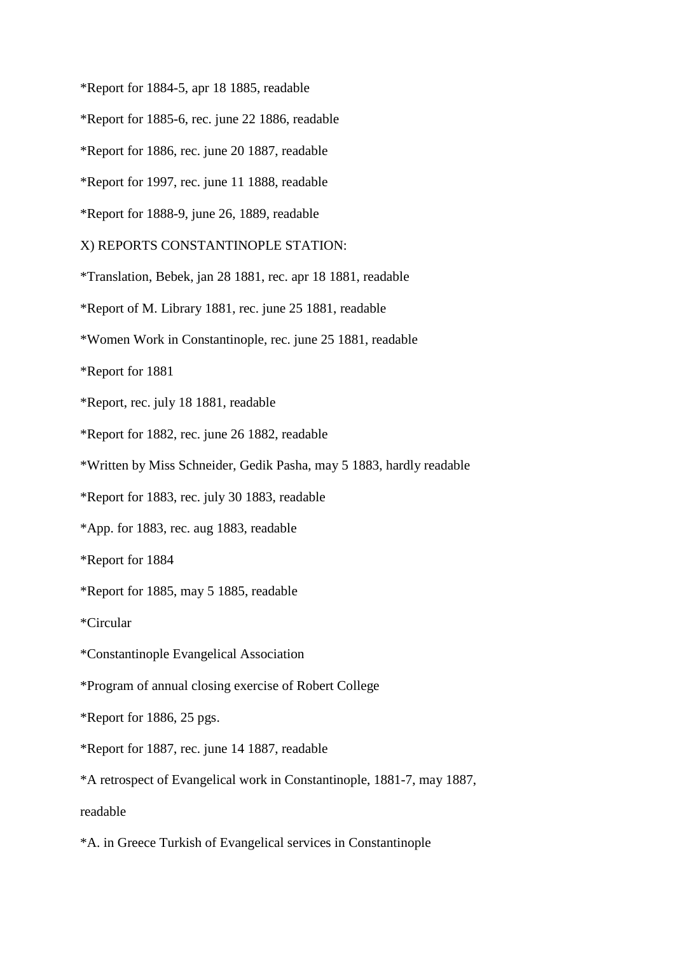\*Report for 1884-5, apr 18 1885, readable

\*Report for 1885-6, rec. june 22 1886, readable

\*Report for 1886, rec. june 20 1887, readable

\*Report for 1997, rec. june 11 1888, readable

\*Report for 1888-9, june 26, 1889, readable

X) REPORTS CONSTANTINOPLE STATION:

\*Translation, Bebek, jan 28 1881, rec. apr 18 1881, readable

\*Report of M. Library 1881, rec. june 25 1881, readable

\*Women Work in Constantinople, rec. june 25 1881, readable

\*Report for 1881

\*Report, rec. july 18 1881, readable

\*Report for 1882, rec. june 26 1882, readable

\*Written by Miss Schneider, Gedik Pasha, may 5 1883, hardly readable

\*Report for 1883, rec. july 30 1883, readable

\*App. for 1883, rec. aug 1883, readable

\*Report for 1884

\*Report for 1885, may 5 1885, readable

\*Circular

\*Constantinople Evangelical Association

\*Program of annual closing exercise of Robert College

\*Report for 1886, 25 pgs.

\*Report for 1887, rec. june 14 1887, readable

\*A retrospect of Evangelical work in Constantinople, 1881-7, may 1887,

readable

\*A. in Greece Turkish of Evangelical services in Constantinople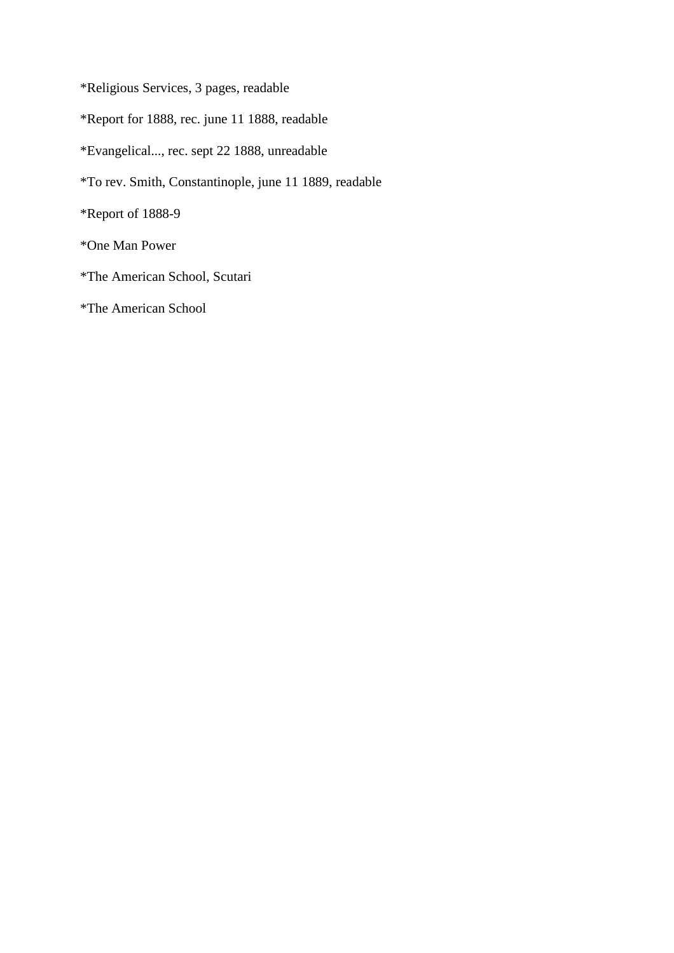\*Religious Services, 3 pages, readable

\*Report for 1888, rec. june 11 1888, readable

\*Evangelical..., rec. sept 22 1888, unreadable

\*To rev. Smith, Constantinople, june 11 1889, readable

\*Report of 1888-9

\*One Man Power

- \*The American School, Scutari
- \*The American School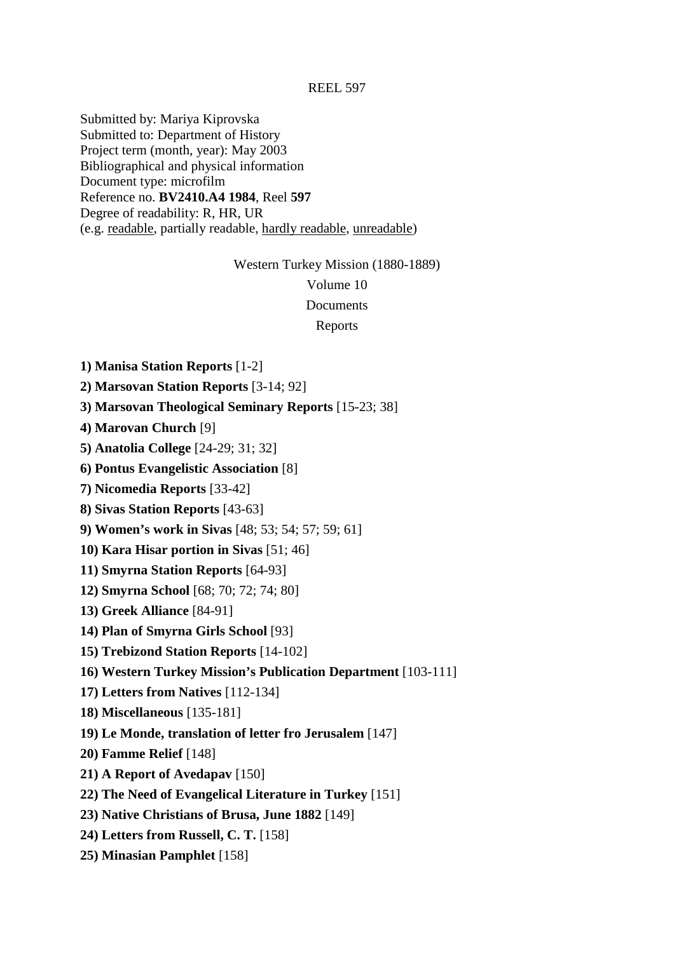Submitted by: Mariya Kiprovska Submitted to: Department of History Project term (month, year): May 2003 Bibliographical and physical information Document type: microfilm Reference no. **BV2410.A4 1984**, Reel **597** Degree of readability: R, HR, UR (e.g. readable, partially readable, hardly readable, unreadable)

Western Turkey Mission (1880-1889)

Volume 10

**Documents** 

Reports

**1) Manisa Station Reports** [1-2]

**2) Marsovan Station Reports** [3-14; 92]

**3) Marsovan Theological Seminary Reports** [15-23; 38]

**4) Marovan Church** [9]

**5) Anatolia College** [24-29; 31; 32]

**6) Pontus Evangelistic Association** [8]

**7) Nicomedia Reports** [33-42]

**8) Sivas Station Reports** [43-63]

**9) Women's work in Sivas** [48; 53; 54; 57; 59; 61]

**10) Kara Hisar portion in Sivas** [51; 46]

**11) Smyrna Station Reports** [64-93]

**12) Smyrna School** [68; 70; 72; 74; 80]

**13) Greek Alliance** [84-91]

**14) Plan of Smyrna Girls School** [93]

**15) Trebizond Station Reports** [14-102]

**16) Western Turkey Mission's Publication Department** [103-111]

**17) Letters from Natives** [112-134]

**18) Miscellaneous** [135-181]

**19) Le Monde, translation of letter fro Jerusalem** [147]

**20) Famme Relief** [148]

**21) A Report of Avedapav** [150]

**22) The Need of Evangelical Literature in Turkey** [151]

**23) Native Christians of Brusa, June 1882** [149]

**24) Letters from Russell, C. T.** [158]

**25) Minasian Pamphlet** [158]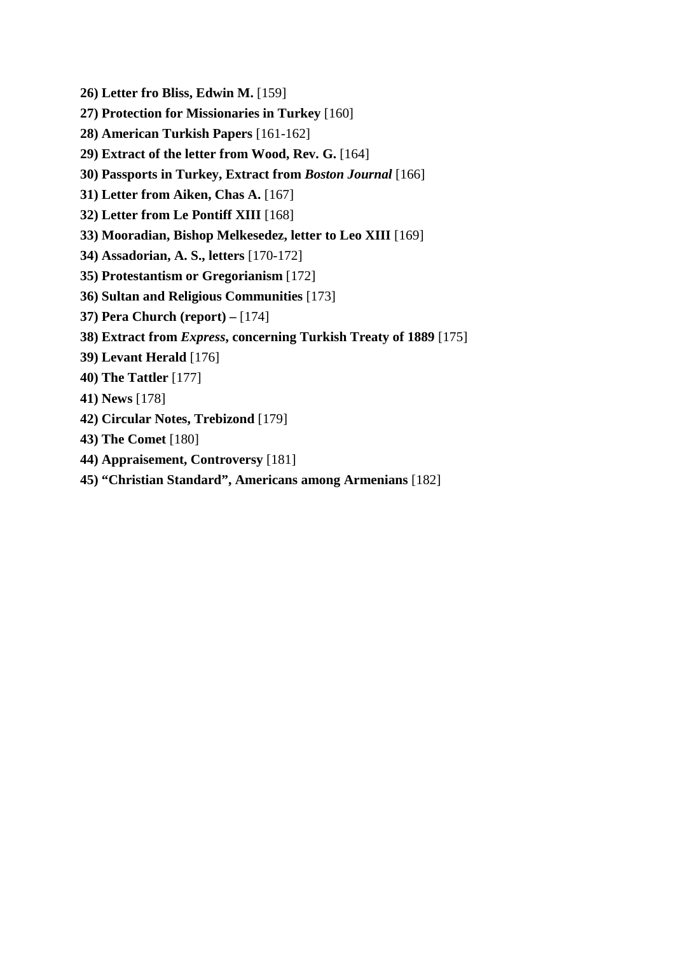- **26) Letter fro Bliss, Edwin M.** [159]
- **27) Protection for Missionaries in Turkey** [160]
- **28) American Turkish Papers** [161-162]
- **29) Extract of the letter from Wood, Rev. G.** [164]
- **30) Passports in Turkey, Extract from** *Boston Journal* [166]
- **31) Letter from Aiken, Chas A.** [167]
- **32) Letter from Le Pontiff XIII** [168]
- **33) Mooradian, Bishop Melkesedez, letter to Leo XIII** [169]
- **34) Assadorian, A. S., letters** [170-172]
- **35) Protestantism or Gregorianism** [172]
- **36) Sultan and Religious Communities** [173]
- **37) Pera Church (report)** [174]
- **38) Extract from** *Express***, concerning Turkish Treaty of 1889** [175]
- **39) Levant Herald** [176]
- **40) The Tattler** [177]
- **41) News** [178]
- **42) Circular Notes, Trebizond** [179]
- **43) The Comet** [180]
- **44) Appraisement, Controversy** [181]
- **45) "Christian Standard", Americans among Armenians** [182]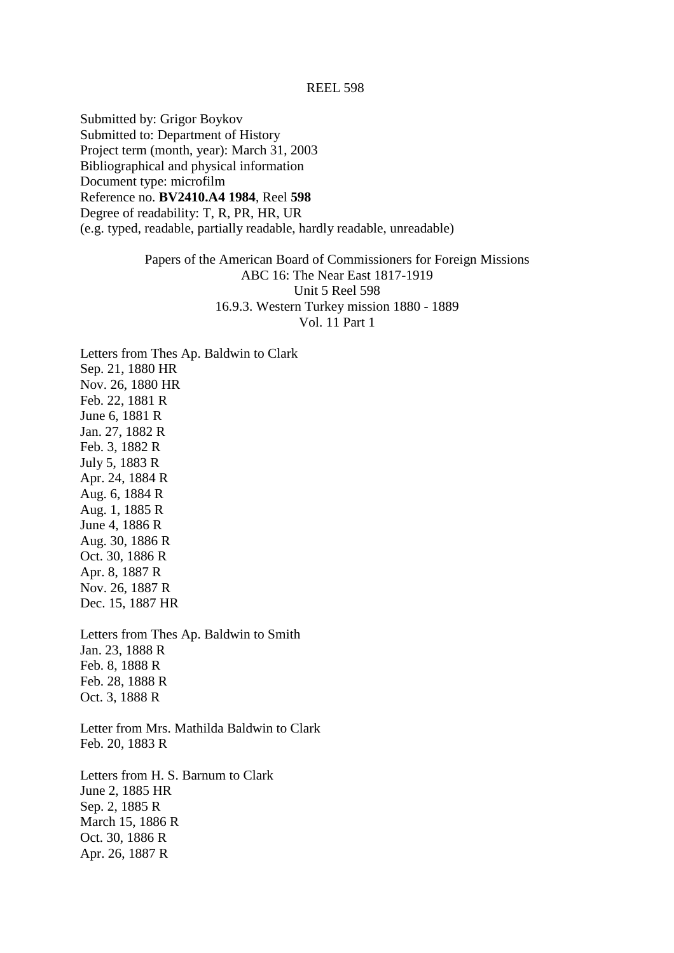Submitted by: Grigor Boykov Submitted to: Department of History Project term (month, year): March 31, 2003 Bibliographical and physical information Document type: microfilm Reference no. **BV2410.A4 1984**, Reel **598** Degree of readability: T, R, PR, HR, UR (e.g. typed, readable, partially readable, hardly readable, unreadable)

> Papers of the American Board of Commissioners for Foreign Missions ABC 16: The Near East 1817-1919 Unit 5 Reel 598 16.9.3. Western Turkey mission 1880 - 1889 Vol. 11 Part 1

Letters from Thes Ap. Baldwin to Clark Sep. 21, 1880 HR Nov. 26, 1880 HR Feb. 22, 1881 R June 6, 1881 R Jan. 27, 1882 R Feb. 3, 1882 R July 5, 1883 R Apr. 24, 1884 R Aug. 6, 1884 R Aug. 1, 1885 R June 4, 1886 R Aug. 30, 1886 R Oct. 30, 1886 R Apr. 8, 1887 R Nov. 26, 1887 R Dec. 15, 1887 HR Letters from Thes Ap. Baldwin to Smith Jan. 23, 1888 R Feb. 8, 1888 R Feb. 28, 1888 R Oct. 3, 1888 R Letter from Mrs. Mathilda Baldwin to Clark Feb. 20, 1883 R Letters from H. S. Barnum to Clark June 2, 1885 HR

Sep. 2, 1885 R March 15, 1886 R Oct. 30, 1886 R Apr. 26, 1887 R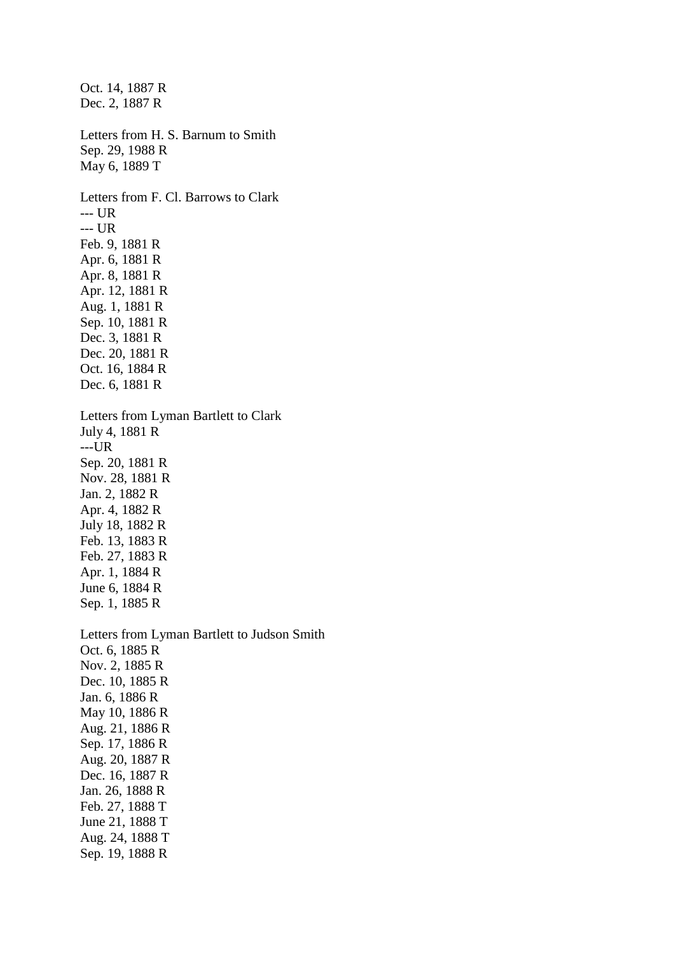Oct. 14, 1887 R Dec. 2, 1887 R Letters from H. S. Barnum to Smith Sep. 29, 1988 R May 6, 1889 T Letters from F. Cl. Barrows to Clark --- UR --- UR Feb. 9, 1881 R Apr. 6, 1881 R Apr. 8, 1881 R Apr. 12, 1881 R Aug. 1, 1881 R Sep. 10, 1881 R Dec. 3, 1881 R Dec. 20, 1881 R Oct. 16, 1884 R Dec. 6, 1881 R Letters from Lyman Bartlett to Clark July 4, 1881 R ---UR Sep. 20, 1881 R Nov. 28, 1881 R Jan. 2, 1882 R Apr. 4, 1882 R July 18, 1882 R Feb. 13, 1883 R Feb. 27, 1883 R Apr. 1, 1884 R June 6, 1884 R Sep. 1, 1885 R Letters from Lyman Bartlett to Judson Smith Oct. 6, 1885 R Nov. 2, 1885 R Dec. 10, 1885 R Jan. 6, 1886 R May 10, 1886 R Aug. 21, 1886 R Sep. 17, 1886 R Aug. 20, 1887 R Dec. 16, 1887 R Jan. 26, 1888 R Feb. 27, 1888 T June 21, 1888 T Aug. 24, 1888 T Sep. 19, 1888 R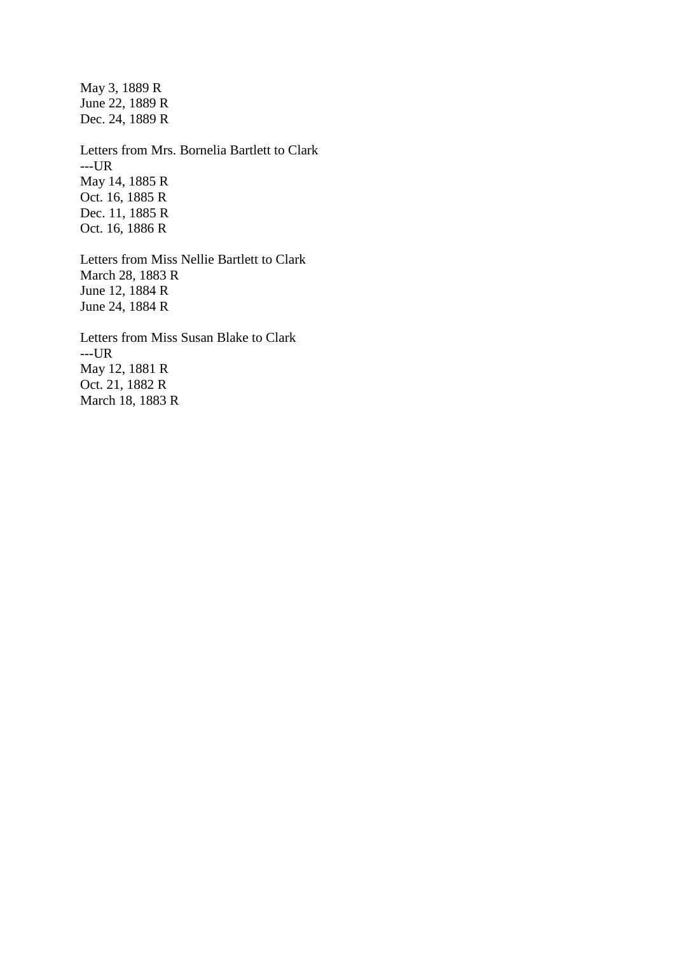May 3, 1889 R June 22, 1889 R Dec. 24, 1889 R Letters from Mrs. Bornelia Bartlett to Clark ---UR May 14, 1885 R

Oct. 16, 1885 R Dec. 11, 1885 R Oct. 16, 1886 R

Letters from Miss Nellie Bartlett to Clark March 28, 1883 R June 12, 1884 R June 24, 1884 R

Letters from Miss Susan Blake to Clark ---UR May 12, 1881 R Oct. 21, 1882 R March 18, 1883 R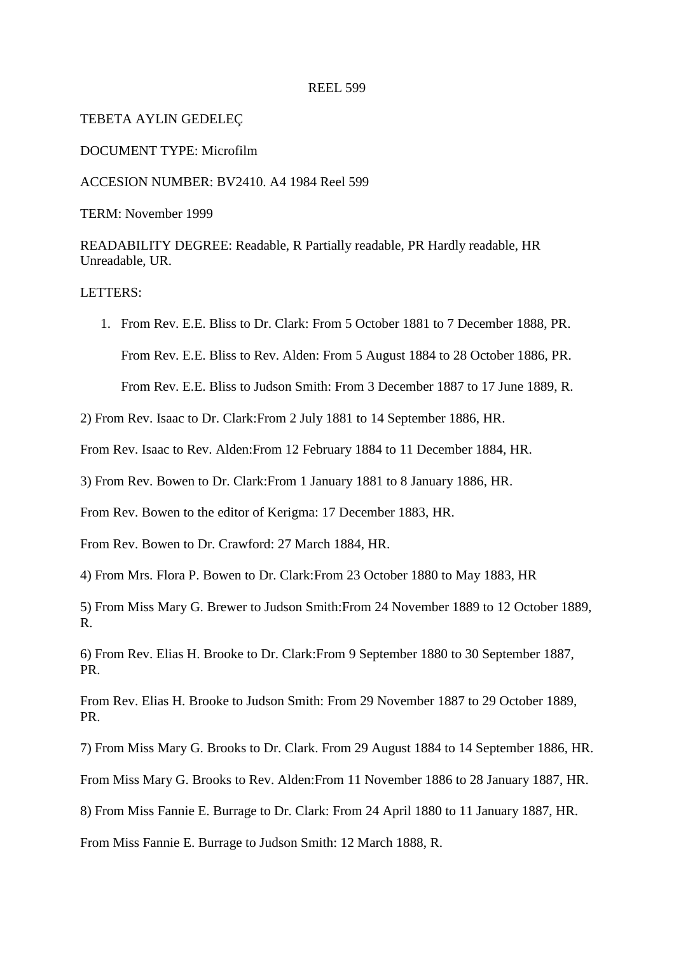#### TEBETA AYLIN GEDELEÇ

#### DOCUMENT TYPE: Microfilm

ACCESION NUMBER: BV2410. A4 1984 Reel 599

TERM: November 1999

READABILITY DEGREE: Readable, R Partially readable, PR Hardly readable, HR Unreadable, UR.

## LETTERS:

1. From Rev. E.E. Bliss to Dr. Clark: From 5 October 1881 to 7 December 1888, PR. From Rev. E.E. Bliss to Rev. Alden: From 5 August 1884 to 28 October 1886, PR. From Rev. E.E. Bliss to Judson Smith: From 3 December 1887 to 17 June 1889, R.

2) From Rev. Isaac to Dr. Clark:From 2 July 1881 to 14 September 1886, HR.

From Rev. Isaac to Rev. Alden:From 12 February 1884 to 11 December 1884, HR.

3) From Rev. Bowen to Dr. Clark:From 1 January 1881 to 8 January 1886, HR.

From Rev. Bowen to the editor of Kerigma: 17 December 1883, HR.

From Rev. Bowen to Dr. Crawford: 27 March 1884, HR.

4) From Mrs. Flora P. Bowen to Dr. Clark:From 23 October 1880 to May 1883, HR

5) From Miss Mary G. Brewer to Judson Smith:From 24 November 1889 to 12 October 1889, R.

6) From Rev. Elias H. Brooke to Dr. Clark:From 9 September 1880 to 30 September 1887, PR.

From Rev. Elias H. Brooke to Judson Smith: From 29 November 1887 to 29 October 1889, PR.

7) From Miss Mary G. Brooks to Dr. Clark. From 29 August 1884 to 14 September 1886, HR.

From Miss Mary G. Brooks to Rev. Alden:From 11 November 1886 to 28 January 1887, HR.

8) From Miss Fannie E. Burrage to Dr. Clark: From 24 April 1880 to 11 January 1887, HR.

From Miss Fannie E. Burrage to Judson Smith: 12 March 1888, R.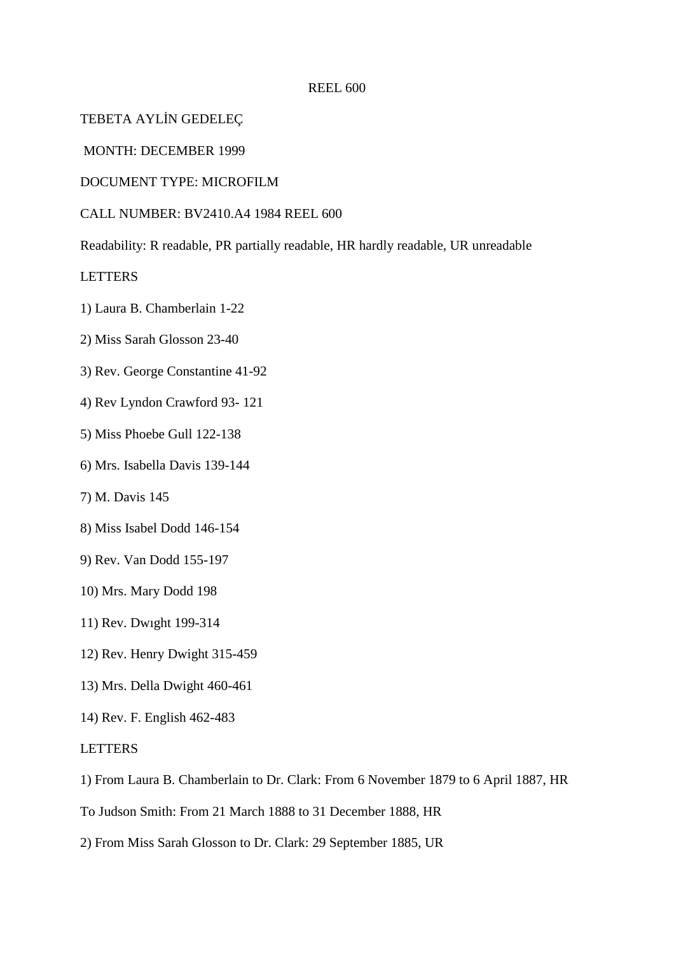TEBETA AYLİN GEDELEÇ

MONTH: DECEMBER 1999

DOCUMENT TYPE: MICROFILM

CALL NUMBER: BV2410.A4 1984 REEL 600

Readability: R readable, PR partially readable, HR hardly readable, UR unreadable

LETTERS

- 1) Laura B. Chamberlain 1-22
- 2) Miss Sarah Glosson 23-40
- 3) Rev. George Constantine 41-92
- 4) Rev Lyndon Crawford 93- 121
- 5) Miss Phoebe Gull 122-138
- 6) Mrs. Isabella Davis 139-144
- 7) M. Davis 145
- 8) Miss Isabel Dodd 146-154
- 9) Rev. Van Dodd 155-197
- 10) Mrs. Mary Dodd 198
- 11) Rev. Dwıght 199-314
- 12) Rev. Henry Dwight 315-459
- 13) Mrs. Della Dwight 460-461
- 14) Rev. F. English 462-483

## **LETTERS**

- 1) From Laura B. Chamberlain to Dr. Clark: From 6 November 1879 to 6 April 1887, HR
- To Judson Smith: From 21 March 1888 to 31 December 1888, HR
- 2) From Miss Sarah Glosson to Dr. Clark: 29 September 1885, UR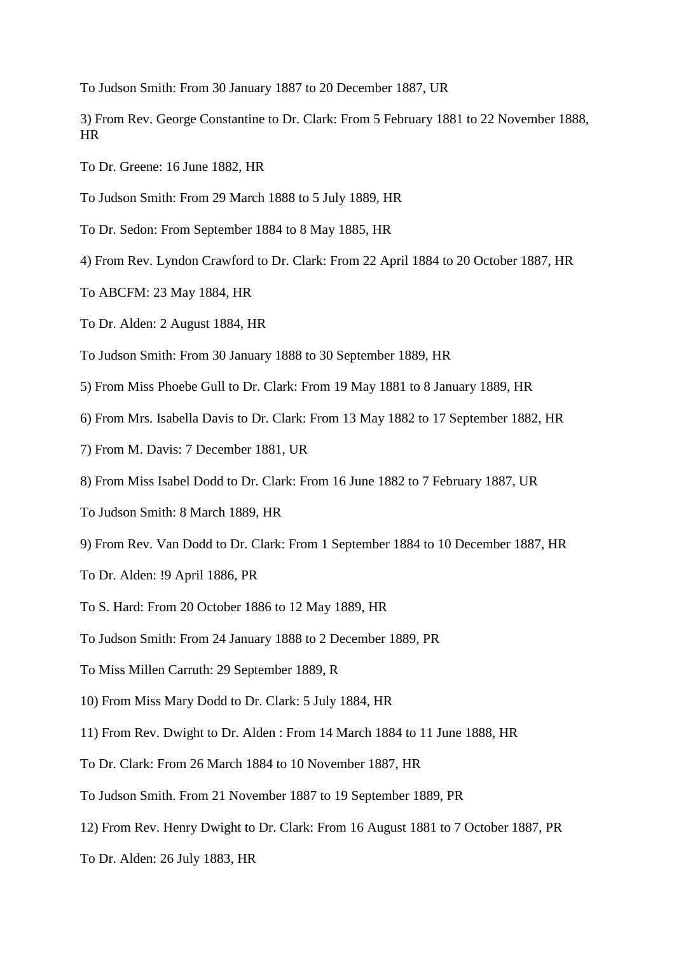To Judson Smith: From 30 January 1887 to 20 December 1887, UR

- 3) From Rev. George Constantine to Dr. Clark: From 5 February 1881 to 22 November 1888, HR
- To Dr. Greene: 16 June 1882, HR
- To Judson Smith: From 29 March 1888 to 5 July 1889, HR
- To Dr. Sedon: From September 1884 to 8 May 1885, HR
- 4) From Rev. Lyndon Crawford to Dr. Clark: From 22 April 1884 to 20 October 1887, HR
- To ABCFM: 23 May 1884, HR
- To Dr. Alden: 2 August 1884, HR
- To Judson Smith: From 30 January 1888 to 30 September 1889, HR
- 5) From Miss Phoebe Gull to Dr. Clark: From 19 May 1881 to 8 January 1889, HR
- 6) From Mrs. Isabella Davis to Dr. Clark: From 13 May 1882 to 17 September 1882, HR
- 7) From M. Davis: 7 December 1881, UR
- 8) From Miss Isabel Dodd to Dr. Clark: From 16 June 1882 to 7 February 1887, UR
- To Judson Smith: 8 March 1889, HR
- 9) From Rev. Van Dodd to Dr. Clark: From 1 September 1884 to 10 December 1887, HR
- To Dr. Alden: !9 April 1886, PR
- To S. Hard: From 20 October 1886 to 12 May 1889, HR
- To Judson Smith: From 24 January 1888 to 2 December 1889, PR
- To Miss Millen Carruth: 29 September 1889, R
- 10) From Miss Mary Dodd to Dr. Clark: 5 July 1884, HR
- 11) From Rev. Dwight to Dr. Alden : From 14 March 1884 to 11 June 1888, HR
- To Dr. Clark: From 26 March 1884 to 10 November 1887, HR
- To Judson Smith. From 21 November 1887 to 19 September 1889, PR
- 12) From Rev. Henry Dwight to Dr. Clark: From 16 August 1881 to 7 October 1887, PR
- To Dr. Alden: 26 July 1883, HR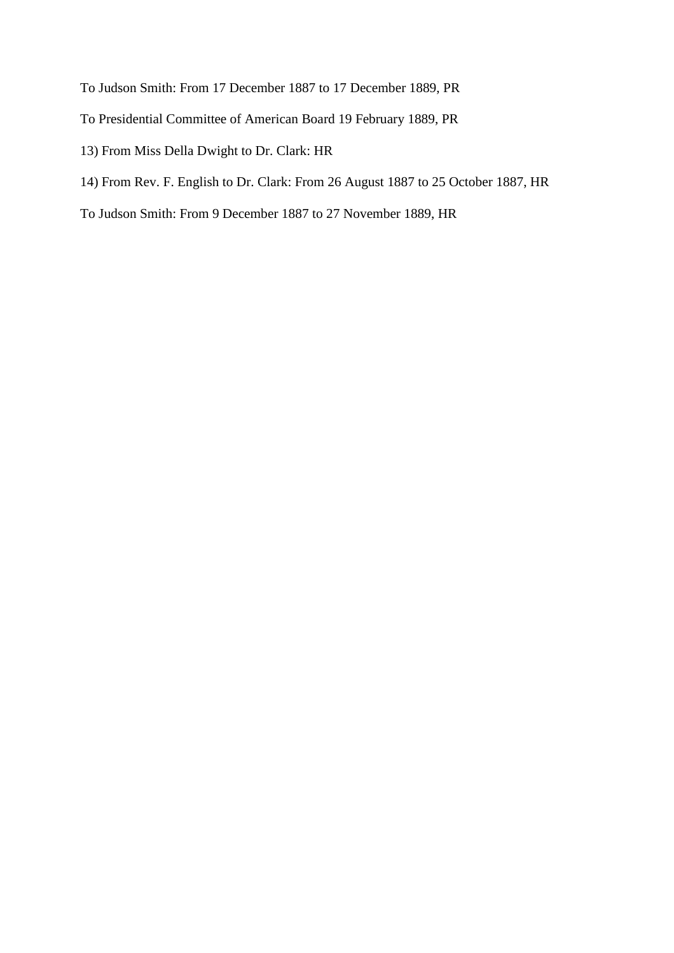- To Judson Smith: From 17 December 1887 to 17 December 1889, PR
- To Presidential Committee of American Board 19 February 1889, PR
- 13) From Miss Della Dwight to Dr. Clark: HR
- 14) From Rev. F. English to Dr. Clark: From 26 August 1887 to 25 October 1887, HR
- To Judson Smith: From 9 December 1887 to 27 November 1889, HR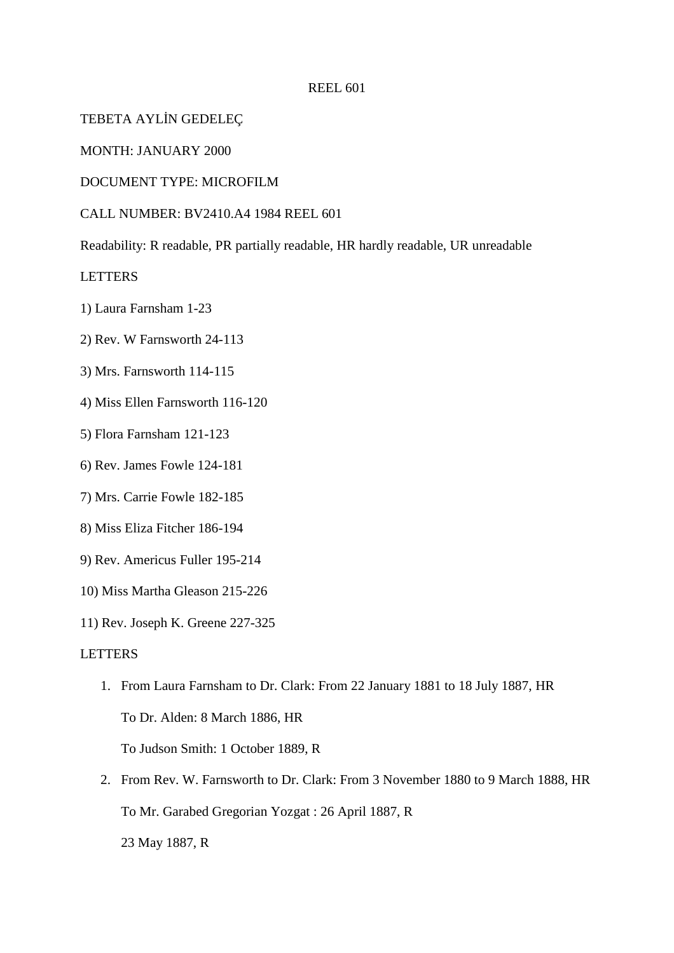TEBETA AYLİN GEDELEÇ

MONTH: JANUARY 2000

DOCUMENT TYPE: MICROFILM

CALL NUMBER: BV2410.A4 1984 REEL 601

Readability: R readable, PR partially readable, HR hardly readable, UR unreadable

LETTERS

- 1) Laura Farnsham 1-23
- 2) Rev. W Farnsworth 24-113
- 3) Mrs. Farnsworth 114-115
- 4) Miss Ellen Farnsworth 116-120
- 5) Flora Farnsham 121-123
- 6) Rev. James Fowle 124-181
- 7) Mrs. Carrie Fowle 182-185
- 8) Miss Eliza Fitcher 186-194
- 9) Rev. Americus Fuller 195-214
- 10) Miss Martha Gleason 215-226
- 11) Rev. Joseph K. Greene 227-325

## LETTERS

- 1. From Laura Farnsham to Dr. Clark: From 22 January 1881 to 18 July 1887, HR To Dr. Alden: 8 March 1886, HR To Judson Smith: 1 October 1889, R
- 2. From Rev. W. Farnsworth to Dr. Clark: From 3 November 1880 to 9 March 1888, HR To Mr. Garabed Gregorian Yozgat : 26 April 1887, R 23 May 1887, R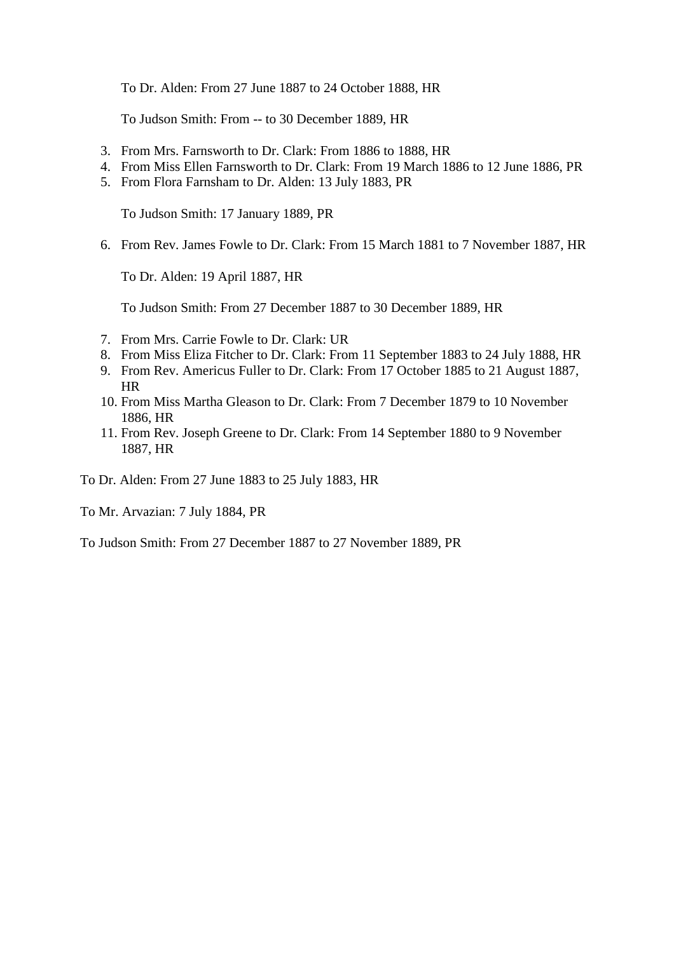To Dr. Alden: From 27 June 1887 to 24 October 1888, HR

To Judson Smith: From -- to 30 December 1889, HR

- 3. From Mrs. Farnsworth to Dr. Clark: From 1886 to 1888, HR
- 4. From Miss Ellen Farnsworth to Dr. Clark: From 19 March 1886 to 12 June 1886, PR
- 5. From Flora Farnsham to Dr. Alden: 13 July 1883, PR

To Judson Smith: 17 January 1889, PR

6. From Rev. James Fowle to Dr. Clark: From 15 March 1881 to 7 November 1887, HR

To Dr. Alden: 19 April 1887, HR

To Judson Smith: From 27 December 1887 to 30 December 1889, HR

- 7. From Mrs. Carrie Fowle to Dr. Clark: UR
- 8. From Miss Eliza Fitcher to Dr. Clark: From 11 September 1883 to 24 July 1888, HR
- 9. From Rev. Americus Fuller to Dr. Clark: From 17 October 1885 to 21 August 1887, HR
- 10. From Miss Martha Gleason to Dr. Clark: From 7 December 1879 to 10 November 1886, HR
- 11. From Rev. Joseph Greene to Dr. Clark: From 14 September 1880 to 9 November 1887, HR

To Dr. Alden: From 27 June 1883 to 25 July 1883, HR

To Mr. Arvazian: 7 July 1884, PR

To Judson Smith: From 27 December 1887 to 27 November 1889, PR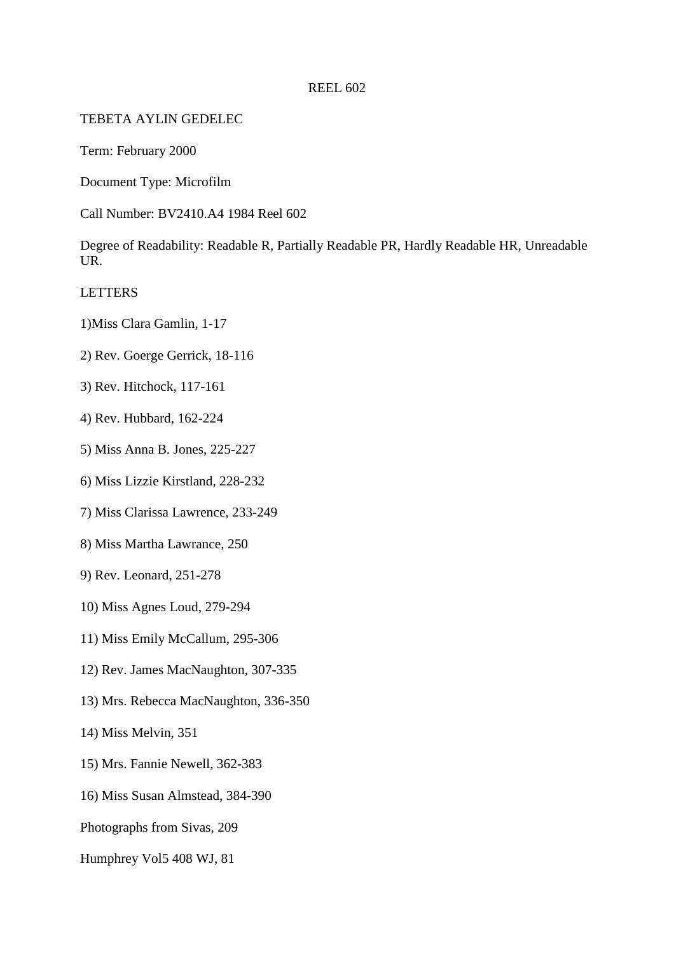# TEBETA AYLIN GEDELEC

Term: February 2000

Document Type: Microfilm

Call Number: BV2410.A4 1984 Reel 602

Degree of Readability: Readable R, Partially Readable PR, Hardly Readable HR, Unreadable UR.

LETTERS

- 1)Miss Clara Gamlin, 1-17
- 2) Rev. Goerge Gerrick, 18-116
- 3) Rev. Hitchock, 117-161
- 4) Rev. Hubbard, 162-224
- 5) Miss Anna B. Jones, 225-227
- 6) Miss Lizzie Kirstland, 228-232
- 7) Miss Clarissa Lawrence, 233-249
- 8) Miss Martha Lawrance, 250
- 9) Rev. Leonard, 251-278
- 10) Miss Agnes Loud, 279-294
- 11) Miss Emily McCallum, 295-306
- 12) Rev. James MacNaughton, 307-335
- 13) Mrs. Rebecca MacNaughton, 336-350
- 14) Miss Melvin, 351
- 15) Mrs. Fannie Newell, 362-383
- 16) Miss Susan Almstead, 384-390
- Photographs from Sivas, 209
- Humphrey Vol5 408 WJ, 81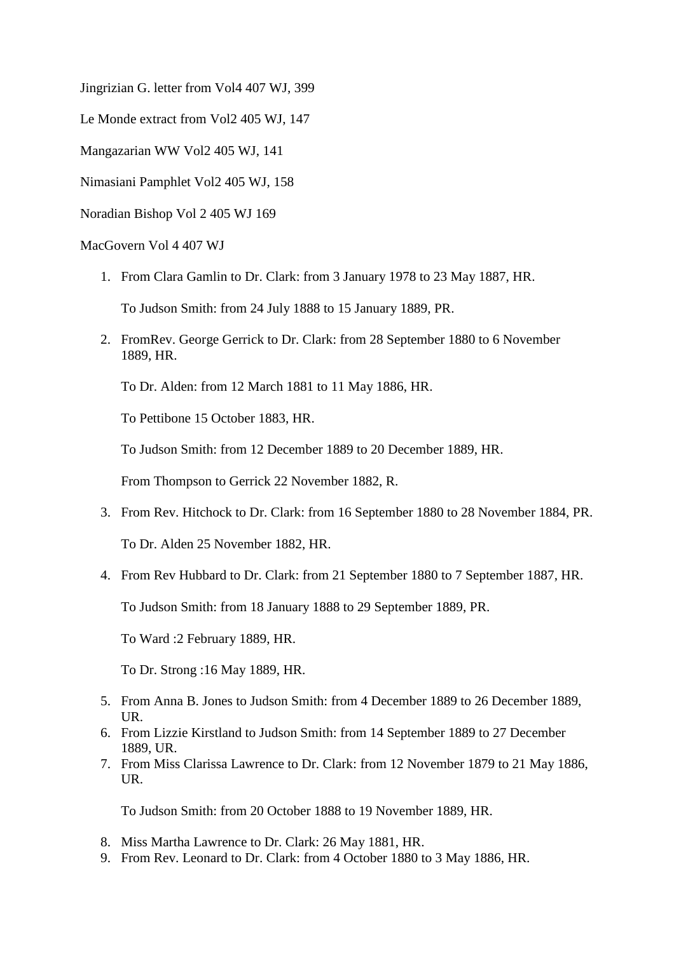Jingrizian G. letter from Vol4 407 WJ, 399

Le Monde extract from Vol2 405 WJ, 147

Mangazarian WW Vol2 405 WJ, 141

Nimasiani Pamphlet Vol2 405 WJ, 158

Noradian Bishop Vol 2 405 WJ 169

MacGovern Vol 4 407 WJ

1. From Clara Gamlin to Dr. Clark: from 3 January 1978 to 23 May 1887, HR.

To Judson Smith: from 24 July 1888 to 15 January 1889, PR.

2. FromRev. George Gerrick to Dr. Clark: from 28 September 1880 to 6 November 1889, HR.

To Dr. Alden: from 12 March 1881 to 11 May 1886, HR.

To Pettibone 15 October 1883, HR.

To Judson Smith: from 12 December 1889 to 20 December 1889, HR.

From Thompson to Gerrick 22 November 1882, R.

3. From Rev. Hitchock to Dr. Clark: from 16 September 1880 to 28 November 1884, PR.

To Dr. Alden 25 November 1882, HR.

4. From Rev Hubbard to Dr. Clark: from 21 September 1880 to 7 September 1887, HR.

To Judson Smith: from 18 January 1888 to 29 September 1889, PR.

To Ward :2 February 1889, HR.

To Dr. Strong :16 May 1889, HR.

- 5. From Anna B. Jones to Judson Smith: from 4 December 1889 to 26 December 1889, UR.
- 6. From Lizzie Kirstland to Judson Smith: from 14 September 1889 to 27 December 1889, UR.
- 7. From Miss Clarissa Lawrence to Dr. Clark: from 12 November 1879 to 21 May 1886, UR.

To Judson Smith: from 20 October 1888 to 19 November 1889, HR.

- 8. Miss Martha Lawrence to Dr. Clark: 26 May 1881, HR.
- 9. From Rev. Leonard to Dr. Clark: from 4 October 1880 to 3 May 1886, HR.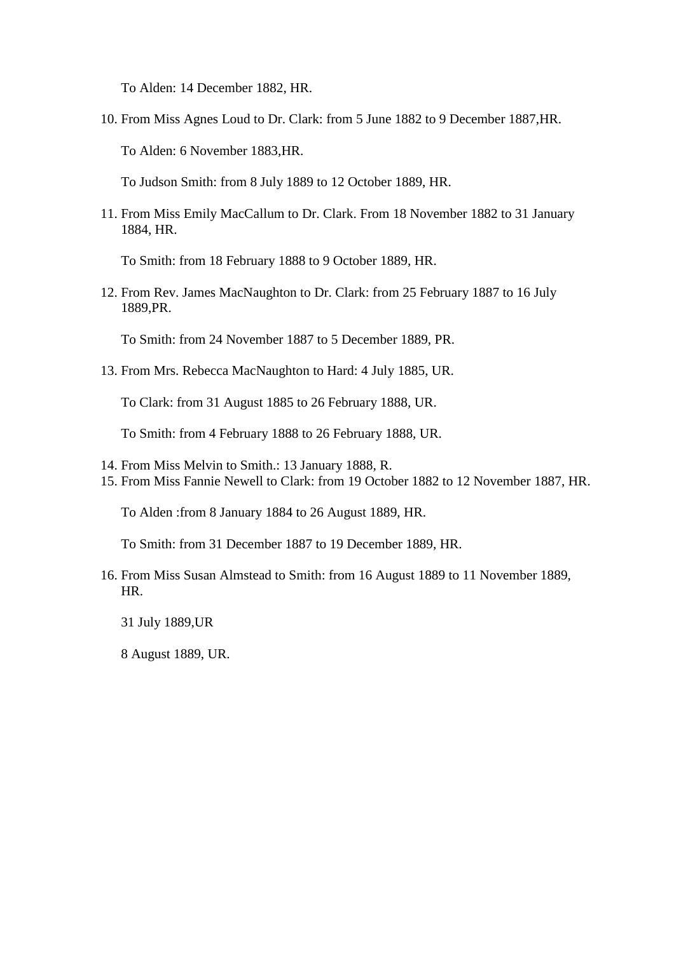To Alden: 14 December 1882, HR.

10. From Miss Agnes Loud to Dr. Clark: from 5 June 1882 to 9 December 1887,HR.

To Alden: 6 November 1883,HR.

To Judson Smith: from 8 July 1889 to 12 October 1889, HR.

11. From Miss Emily MacCallum to Dr. Clark. From 18 November 1882 to 31 January 1884, HR.

To Smith: from 18 February 1888 to 9 October 1889, HR.

12. From Rev. James MacNaughton to Dr. Clark: from 25 February 1887 to 16 July 1889,PR.

To Smith: from 24 November 1887 to 5 December 1889, PR.

13. From Mrs. Rebecca MacNaughton to Hard: 4 July 1885, UR.

To Clark: from 31 August 1885 to 26 February 1888, UR.

To Smith: from 4 February 1888 to 26 February 1888, UR.

- 14. From Miss Melvin to Smith.: 13 January 1888, R.
- 15. From Miss Fannie Newell to Clark: from 19 October 1882 to 12 November 1887, HR.

To Alden :from 8 January 1884 to 26 August 1889, HR.

To Smith: from 31 December 1887 to 19 December 1889, HR.

16. From Miss Susan Almstead to Smith: from 16 August 1889 to 11 November 1889, HR.

31 July 1889,UR

8 August 1889, UR.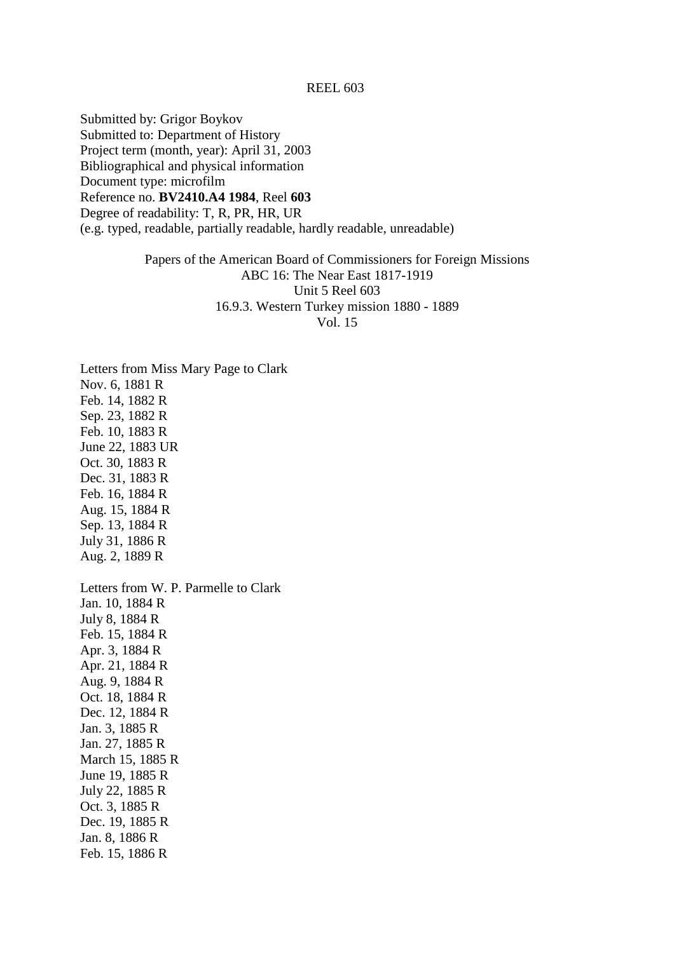Submitted by: Grigor Boykov Submitted to: Department of History Project term (month, year): April 31, 2003 Bibliographical and physical information Document type: microfilm Reference no. **BV2410.A4 1984**, Reel **603** Degree of readability: T, R, PR, HR, UR (e.g. typed, readable, partially readable, hardly readable, unreadable)

> Papers of the American Board of Commissioners for Foreign Missions ABC 16: The Near East 1817-1919 Unit 5 Reel 603 16.9.3. Western Turkey mission 1880 - 1889 Vol. 15

Letters from Miss Mary Page to Clark Nov. 6, 1881 R Feb. 14, 1882 R Sep. 23, 1882 R Feb. 10, 1883 R June 22, 1883 UR Oct. 30, 1883 R Dec. 31, 1883 R Feb. 16, 1884 R Aug. 15, 1884 R Sep. 13, 1884 R July 31, 1886 R Aug. 2, 1889 R Letters from W. P. Parmelle to Clark Jan. 10, 1884 R July 8, 1884 R Feb. 15, 1884 R Apr. 3, 1884 R Apr. 21, 1884 R Aug. 9, 1884 R Oct. 18, 1884 R Dec. 12, 1884 R Jan. 3, 1885 R Jan. 27, 1885 R March 15, 1885 R June 19, 1885 R July 22, 1885 R Oct. 3, 1885 R Dec. 19, 1885 R Jan. 8, 1886 R Feb. 15, 1886 R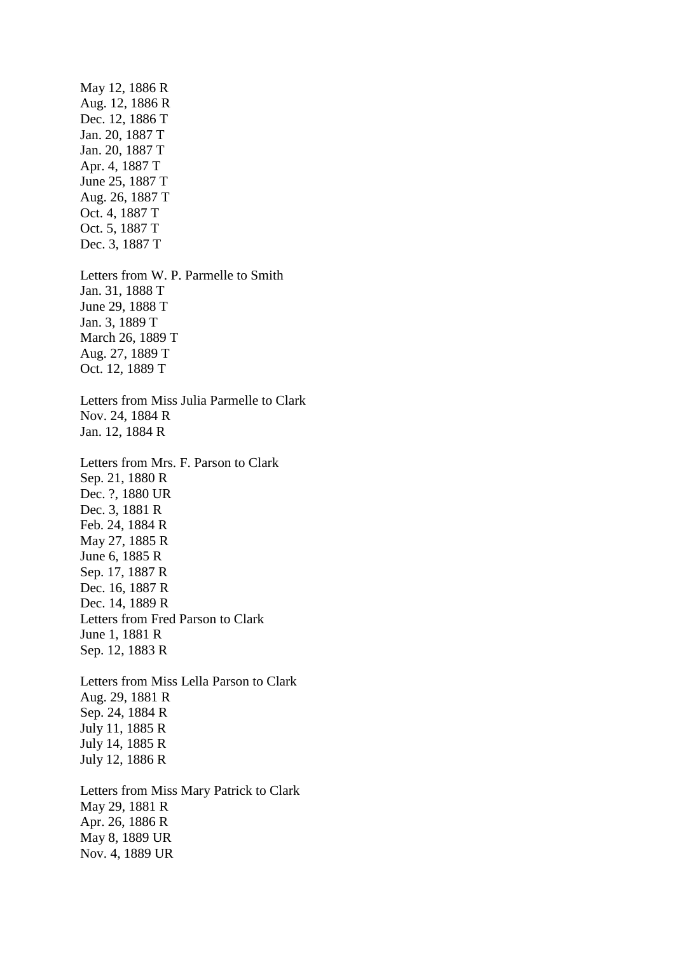May 12, 1886 R Aug. 12, 1886 R Dec. 12, 1886 T Jan. 20, 1887 T Jan. 20, 1887 T Apr. 4, 1887 T June 25, 1887 T Aug. 26, 1887 T Oct. 4, 1887 T Oct. 5, 1887 T Dec. 3, 1887 T Letters from W. P. Parmelle to Smith Jan. 31, 1888 T June 29, 1888 T Jan. 3, 1889 T March 26, 1889 T Aug. 27, 1889 T Oct. 12, 1889 T Letters from Miss Julia Parmelle to Clark Nov. 24, 1884 R Jan. 12, 1884 R Letters from Mrs. F. Parson to Clark Sep. 21, 1880 R Dec. ?, 1880 UR Dec. 3, 1881 R Feb. 24, 1884 R May 27, 1885 R June 6, 1885 R Sep. 17, 1887 R Dec. 16, 1887 R Dec. 14, 1889 R Letters from Fred Parson to Clark June 1, 1881 R Sep. 12, 1883 R Letters from Miss Lella Parson to Clark Aug. 29, 1881 R Sep. 24, 1884 R July 11, 1885 R July 14, 1885 R July 12, 1886 R Letters from Miss Mary Patrick to Clark May 29, 1881 R Apr. 26, 1886 R May 8, 1889 UR Nov. 4, 1889 UR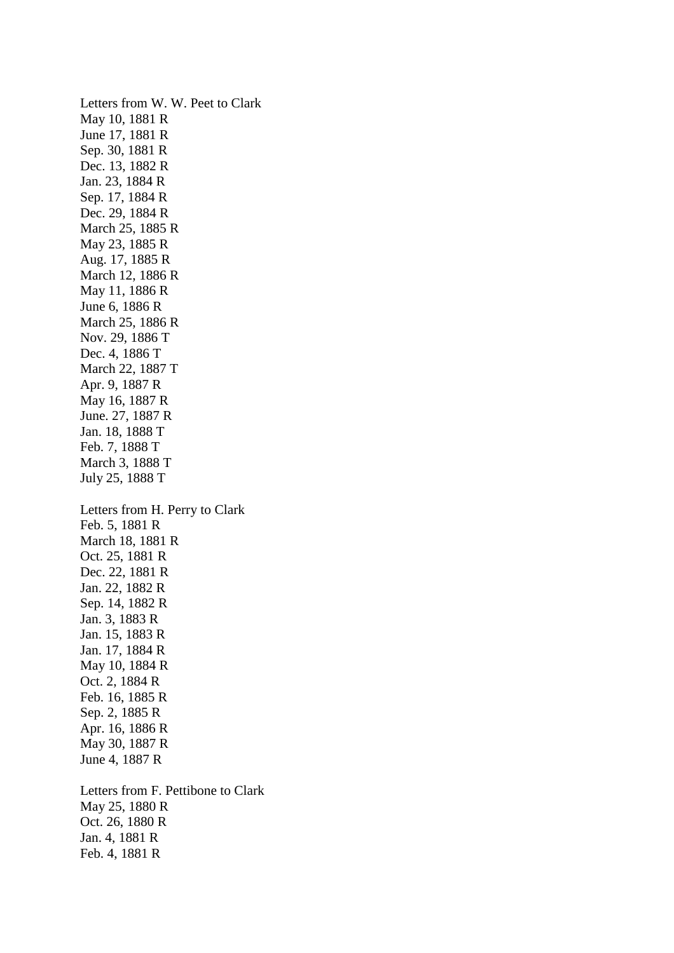Letters from W. W. Peet to Clark May 10, 1881 R June 17, 1881 R Sep. 30, 1881 R Dec. 13, 1882 R Jan. 23, 1884 R Sep. 17, 1884 R Dec. 29, 1884 R March 25, 1885 R May 23, 1885 R Aug. 17, 1885 R March 12, 1886 R May 11, 1886 R June 6, 1886 R March 25, 1886 R Nov. 29, 1886 T Dec. 4, 1886 T March 22, 1887 T Apr. 9, 1887 R May 16, 1887 R June. 27, 1887 R Jan. 18, 1888 T Feb. 7, 1888 T March 3, 1888 T July 25, 1888 T Letters from H. Perry to Clark Feb. 5, 1881 R March 18, 1881 R Oct. 25, 1881 R Dec. 22, 1881 R Jan. 22, 1882 R Sep. 14, 1882 R Jan. 3, 1883 R Jan. 15, 1883 R Jan. 17, 1884 R May 10, 1884 R Oct. 2, 1884 R Feb. 16, 1885 R Sep. 2, 1885 R Apr. 16, 1886 R May 30, 1887 R June 4, 1887 R Letters from F. Pettibone to Clark May 25, 1880 R Oct. 26, 1880 R Jan. 4, 1881 R

Feb. 4, 1881 R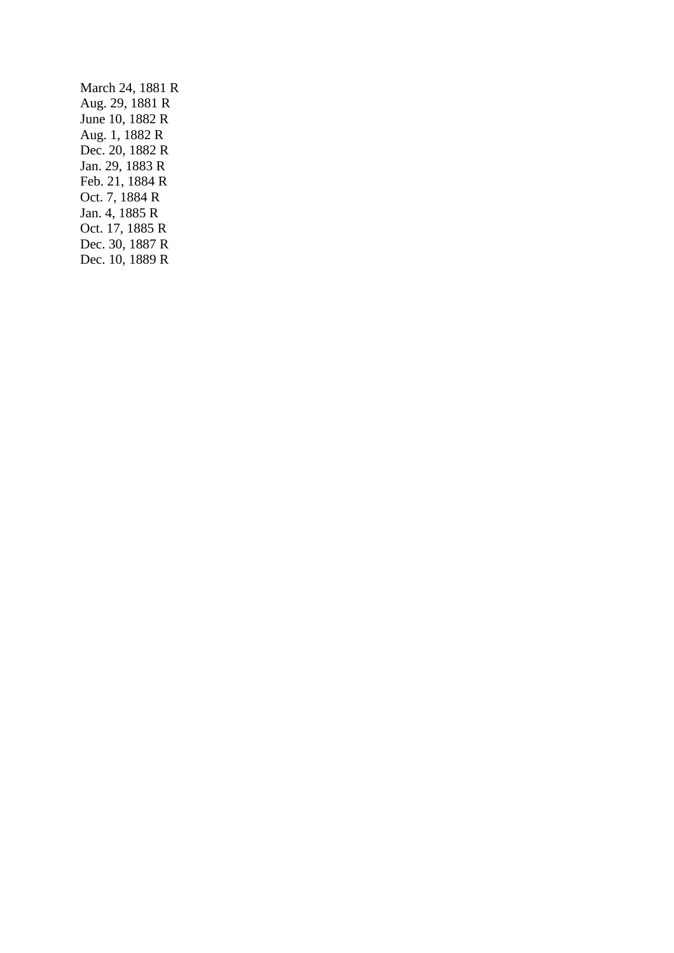March 24, 1881 R Aug. 29, 1881 R June 10, 1882 R Aug. 1, 1882 R Dec. 20, 1882 R Jan. 29, 1883 R Feb. 21, 1884 R Oct. 7, 1884 R Jan. 4, 1885 R Oct. 17, 1885 R Dec. 30, 1887 R Dec. 10, 1889 R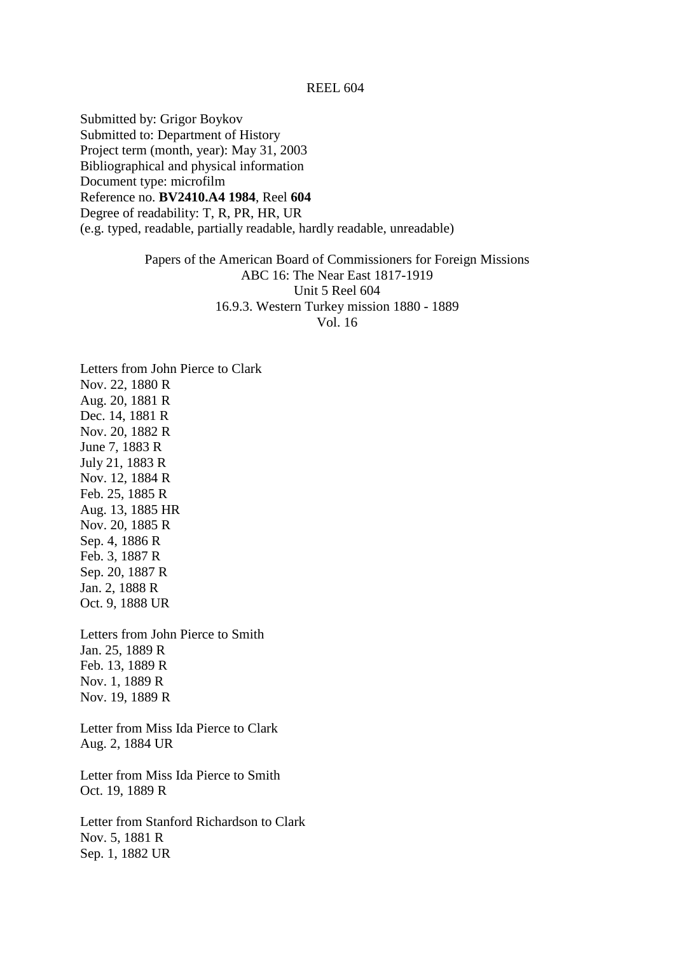Submitted by: Grigor Boykov Submitted to: Department of History Project term (month, year): May 31, 2003 Bibliographical and physical information Document type: microfilm Reference no. **BV2410.A4 1984**, Reel **604** Degree of readability: T, R, PR, HR, UR (e.g. typed, readable, partially readable, hardly readable, unreadable)

> Papers of the American Board of Commissioners for Foreign Missions ABC 16: The Near East 1817-1919 Unit 5 Reel 604 16.9.3. Western Turkey mission 1880 - 1889 Vol. 16

Letters from John Pierce to Clark Nov. 22, 1880 R Aug. 20, 1881 R Dec. 14, 1881 R Nov. 20, 1882 R June 7, 1883 R July 21, 1883 R Nov. 12, 1884 R Feb. 25, 1885 R Aug. 13, 1885 HR Nov. 20, 1885 R Sep. 4, 1886 R Feb. 3, 1887 R Sep. 20, 1887 R Jan. 2, 1888 R Oct. 9, 1888 UR

Letters from John Pierce to Smith Jan. 25, 1889 R Feb. 13, 1889 R Nov. 1, 1889 R Nov. 19, 1889 R

Letter from Miss Ida Pierce to Clark Aug. 2, 1884 UR

Letter from Miss Ida Pierce to Smith Oct. 19, 1889 R

Letter from Stanford Richardson to Clark Nov. 5, 1881 R Sep. 1, 1882 UR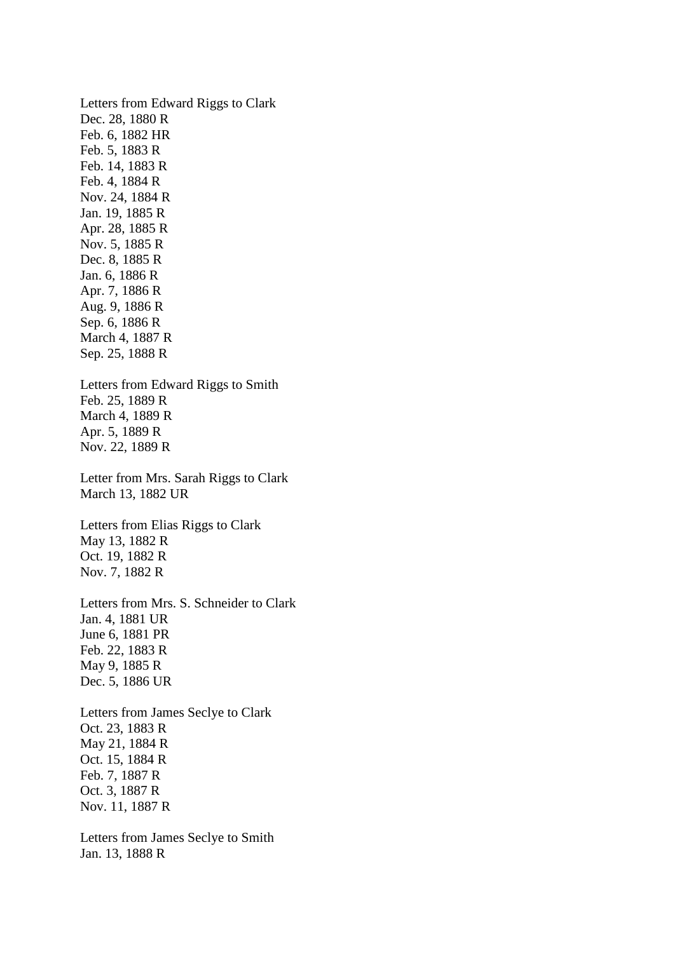Letters from Edward Riggs to Clark Dec. 28, 1880 R Feb. 6, 1882 HR Feb. 5, 1883 R Feb. 14, 1883 R Feb. 4, 1884 R Nov. 24, 1884 R Jan. 19, 1885 R Apr. 28, 1885 R Nov. 5, 1885 R Dec. 8, 1885 R Jan. 6, 1886 R Apr. 7, 1886 R Aug. 9, 1886 R Sep. 6, 1886 R March 4, 1887 R Sep. 25, 1888 R Letters from Edward Riggs to Smith Feb. 25, 1889 R March 4, 1889 R Apr. 5, 1889 R Nov. 22, 1889 R Letter from Mrs. Sarah Riggs to Clark March 13, 1882 UR Letters from Elias Riggs to Clark May 13, 1882 R Oct. 19, 1882 R Nov. 7, 1882 R Letters from Mrs. S. Schneider to Clark Jan. 4, 1881 UR June 6, 1881 PR Feb. 22, 1883 R May 9, 1885 R Dec. 5, 1886 UR Letters from James Seclye to Clark Oct. 23, 1883 R May 21, 1884 R Oct. 15, 1884 R Feb. 7, 1887 R Oct. 3, 1887 R Nov. 11, 1887 R

Letters from James Seclye to Smith Jan. 13, 1888 R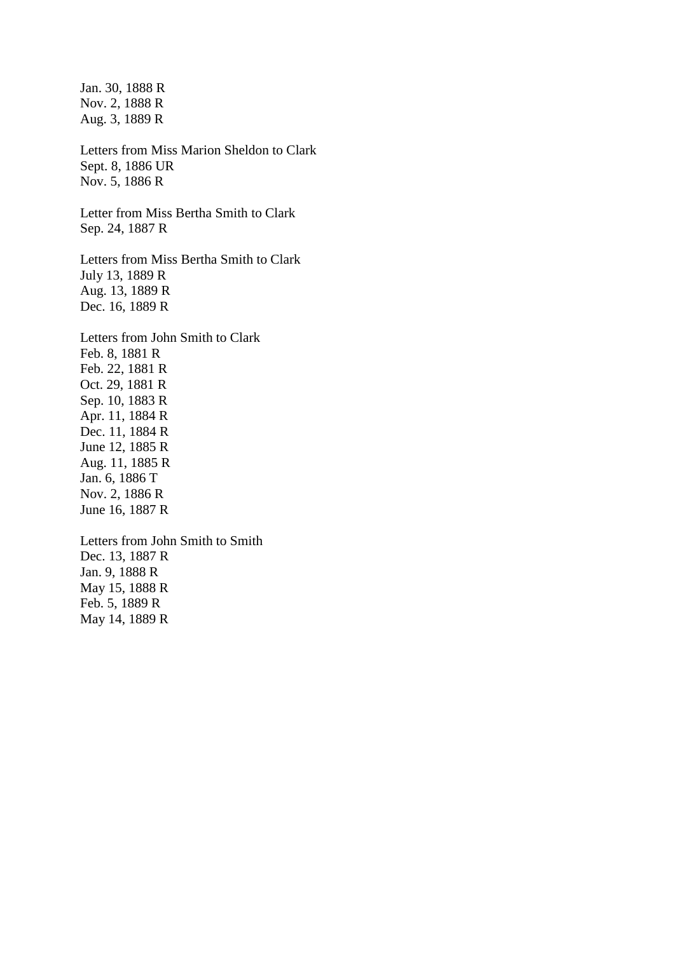Jan. 30, 1888 R Nov. 2, 1888 R Aug. 3, 1889 R Letters from Miss Marion Sheldon to Clark Sept. 8, 1886 UR Nov. 5, 1886 R Letter from Miss Bertha Smith to Clark Sep. 24, 1887 R Letters from Miss Bertha Smith to Clark July 13, 1889 R Aug. 13, 1889 R Dec. 16, 1889 R Letters from John Smith to Clark Feb. 8, 1881 R Feb. 22, 1881 R Oct. 29, 1881 R Sep. 10, 1883 R Apr. 11, 1884 R Dec. 11, 1884 R June 12, 1885 R Aug. 11, 1885 R Jan. 6, 1886 T Nov. 2, 1886 R June 16, 1887 R Letters from John Smith to Smith Dec. 13, 1887 R Jan. 9, 1888 R May 15, 1888 R Feb. 5, 1889 R

May 14, 1889 R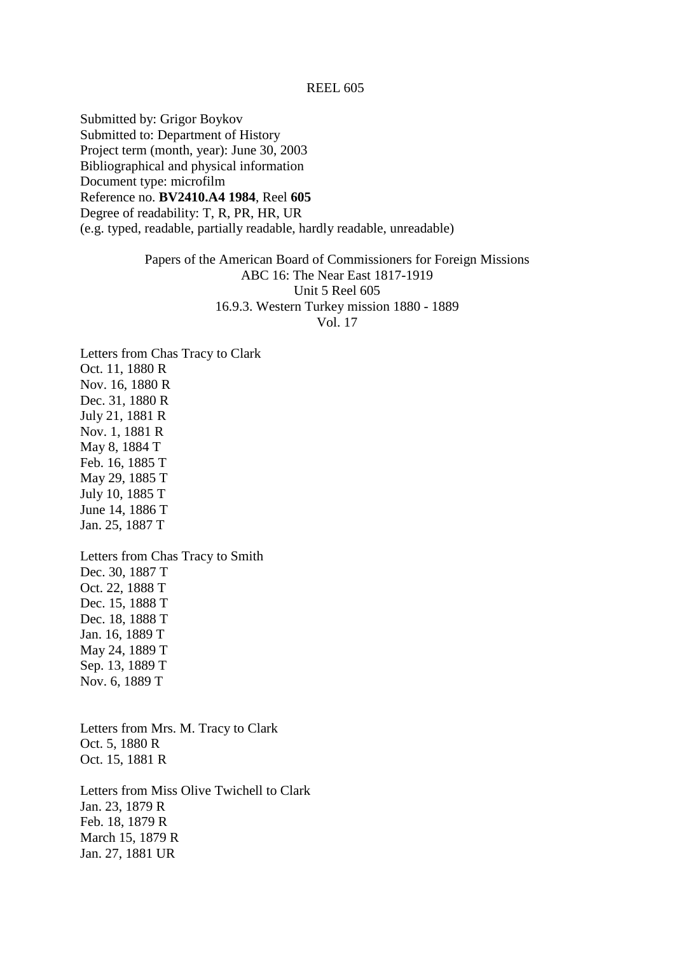Submitted by: Grigor Boykov Submitted to: Department of History Project term (month, year): June 30, 2003 Bibliographical and physical information Document type: microfilm Reference no. **BV2410.A4 1984**, Reel **605** Degree of readability: T, R, PR, HR, UR (e.g. typed, readable, partially readable, hardly readable, unreadable)

# Papers of the American Board of Commissioners for Foreign Missions ABC 16: The Near East 1817-1919 Unit 5 Reel 605 16.9.3. Western Turkey mission 1880 - 1889 Vol. 17

Letters from Chas Tracy to Clark Oct. 11, 1880 R Nov. 16, 1880 R Dec. 31, 1880 R July 21, 1881 R Nov. 1, 1881 R May 8, 1884 T Feb. 16, 1885 T May 29, 1885 T July 10, 1885 T June 14, 1886 T Jan. 25, 1887 T Letters from Chas Tracy to Smith Dec. 30, 1887 T Oct. 22, 1888 T

Dec. 15, 1888 T Dec. 18, 1888 T Jan. 16, 1889 T May 24, 1889 T Sep. 13, 1889 T Nov. 6, 1889 T

Letters from Mrs. M. Tracy to Clark Oct. 5, 1880 R Oct. 15, 1881 R

Letters from Miss Olive Twichell to Clark Jan. 23, 1879 R Feb. 18, 1879 R March 15, 1879 R Jan. 27, 1881 UR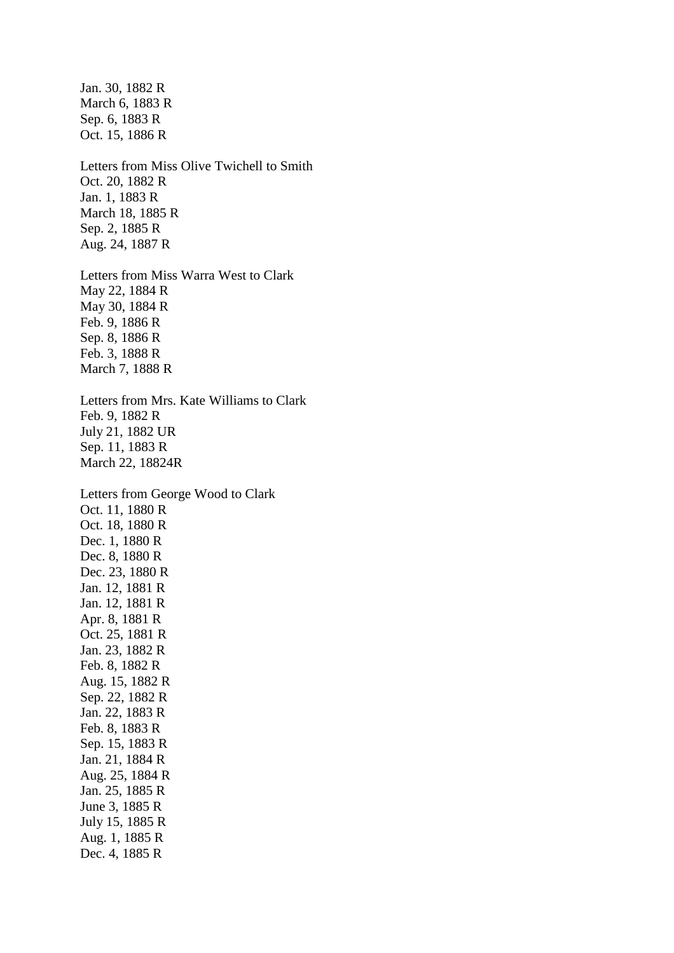Jan. 30, 1882 R March 6, 1883 R Sep. 6, 1883 R Oct. 15, 1886 R Letters from Miss Olive Twichell to Smith Oct. 20, 1882 R Jan. 1, 1883 R March 18, 1885 R Sep. 2, 1885 R Aug. 24, 1887 R Letters from Miss Warra West to Clark May 22, 1884 R May 30, 1884 R Feb. 9, 1886 R Sep. 8, 1886 R Feb. 3, 1888 R March 7, 1888 R Letters from Mrs. Kate Williams to Clark Feb. 9, 1882 R July 21, 1882 UR Sep. 11, 1883 R March 22, 18824R Letters from George Wood to Clark Oct. 11, 1880 R Oct. 18, 1880 R Dec. 1, 1880 R Dec. 8, 1880 R Dec. 23, 1880 R Jan. 12, 1881 R Jan. 12, 1881 R Apr. 8, 1881 R Oct. 25, 1881 R Jan. 23, 1882 R Feb. 8, 1882 R Aug. 15, 1882 R Sep. 22, 1882 R Jan. 22, 1883 R Feb. 8, 1883 R Sep. 15, 1883 R Jan. 21, 1884 R Aug. 25, 1884 R Jan. 25, 1885 R June 3, 1885 R July 15, 1885 R Aug. 1, 1885 R

Dec. 4, 1885 R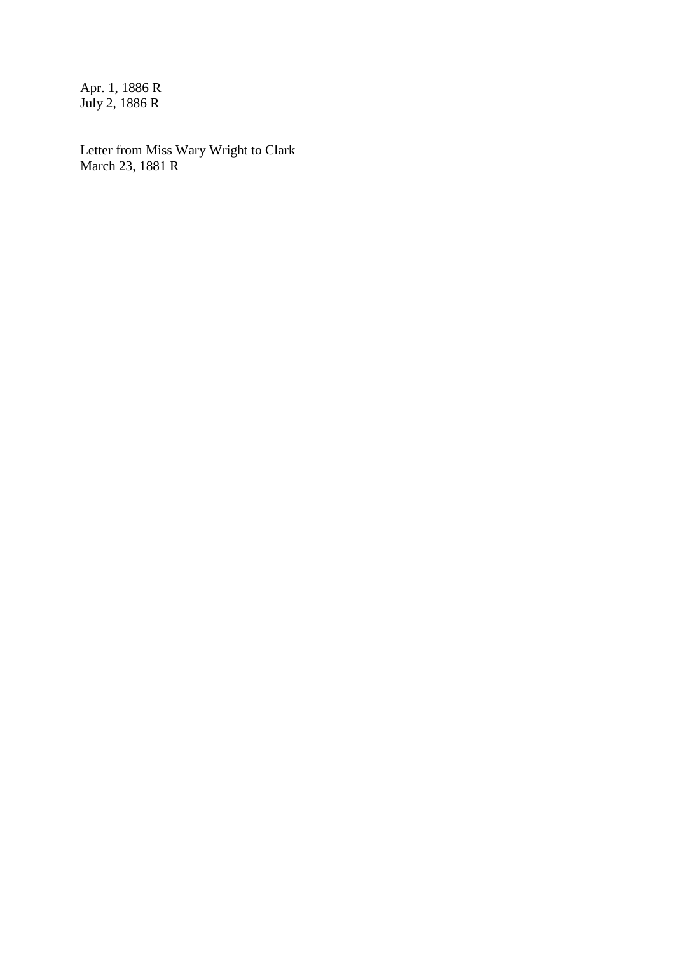Apr. 1, 1886 R July 2, 1886 R

Letter from Miss Wary Wright to Clark March 23, 1881 R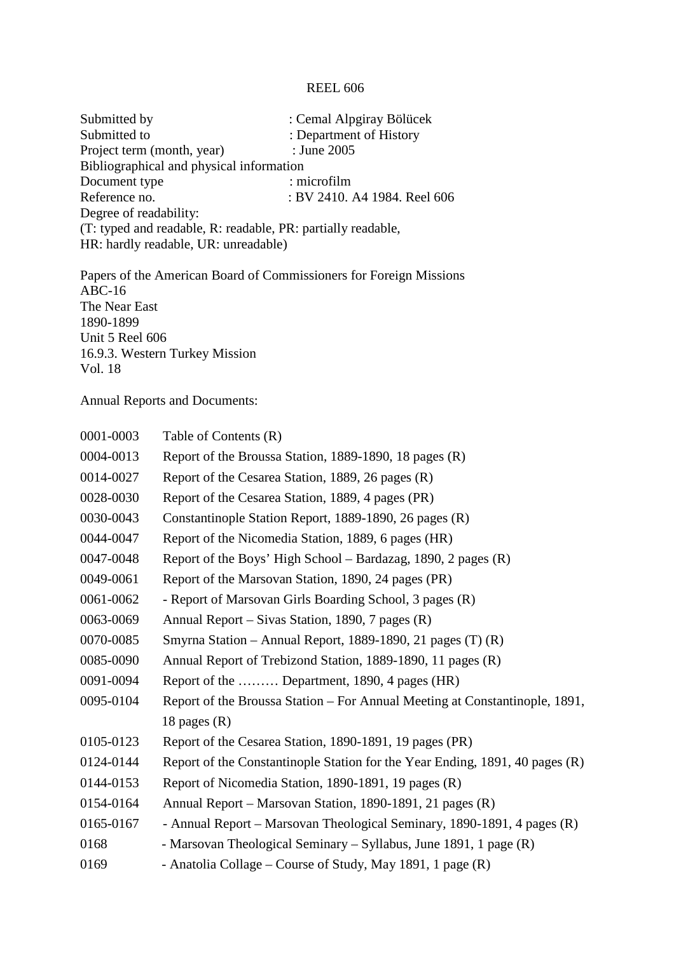| Submitted by                                                 | : Cemal Alpgiray Bölücek     |  |
|--------------------------------------------------------------|------------------------------|--|
| Submitted to                                                 | : Department of History      |  |
| Project term (month, year)                                   | : June 2005                  |  |
| Bibliographical and physical information                     |                              |  |
| Document type                                                | : microfilm                  |  |
| Reference no.                                                | : BV 2410. A4 1984. Reel 606 |  |
| Degree of readability:                                       |                              |  |
| (T: typed and readable, R: readable, PR: partially readable, |                              |  |
| HR: hardly readable, UR: unreadable)                         |                              |  |
|                                                              |                              |  |

Papers of the American Board of Commissioners for Foreign Missions ABC-16 The Near East 1890-1899 Unit 5 Reel 606 16.9.3. Western Turkey Mission Vol. 18

Annual Reports and Documents:

| 0001-0003 | Table of Contents (R)                                                        |
|-----------|------------------------------------------------------------------------------|
| 0004-0013 | Report of the Broussa Station, 1889-1890, 18 pages (R)                       |
| 0014-0027 | Report of the Cesarea Station, 1889, 26 pages (R)                            |
| 0028-0030 | Report of the Cesarea Station, 1889, 4 pages (PR)                            |
| 0030-0043 | Constantinople Station Report, 1889-1890, 26 pages (R)                       |
| 0044-0047 | Report of the Nicomedia Station, 1889, 6 pages (HR)                          |
| 0047-0048 | Report of the Boys' High School – Bardazag, 1890, 2 pages (R)                |
| 0049-0061 | Report of the Marsovan Station, 1890, 24 pages (PR)                          |
| 0061-0062 | - Report of Marsovan Girls Boarding School, 3 pages (R)                      |
| 0063-0069 | Annual Report – Sivas Station, 1890, 7 pages (R)                             |
| 0070-0085 | Smyrna Station – Annual Report, 1889-1890, 21 pages (T) (R)                  |
| 0085-0090 | Annual Report of Trebizond Station, 1889-1890, 11 pages (R)                  |
| 0091-0094 | Report of the  Department, 1890, 4 pages (HR)                                |
| 0095-0104 | Report of the Broussa Station - For Annual Meeting at Constantinople, 1891,  |
|           | 18 pages $(R)$                                                               |
| 0105-0123 | Report of the Cesarea Station, 1890-1891, 19 pages (PR)                      |
| 0124-0144 | Report of the Constantinople Station for the Year Ending, 1891, 40 pages (R) |
| 0144-0153 | Report of Nicomedia Station, 1890-1891, 19 pages (R)                         |
| 0154-0164 | Annual Report – Marsovan Station, 1890-1891, 21 pages (R)                    |
| 0165-0167 | - Annual Report – Marsovan Theological Seminary, 1890-1891, 4 pages (R)      |
| 0168      | - Marsovan Theological Seminary – Syllabus, June 1891, 1 page (R)            |
| 0169      | - Anatolia Collage – Course of Study, May 1891, 1 page (R)                   |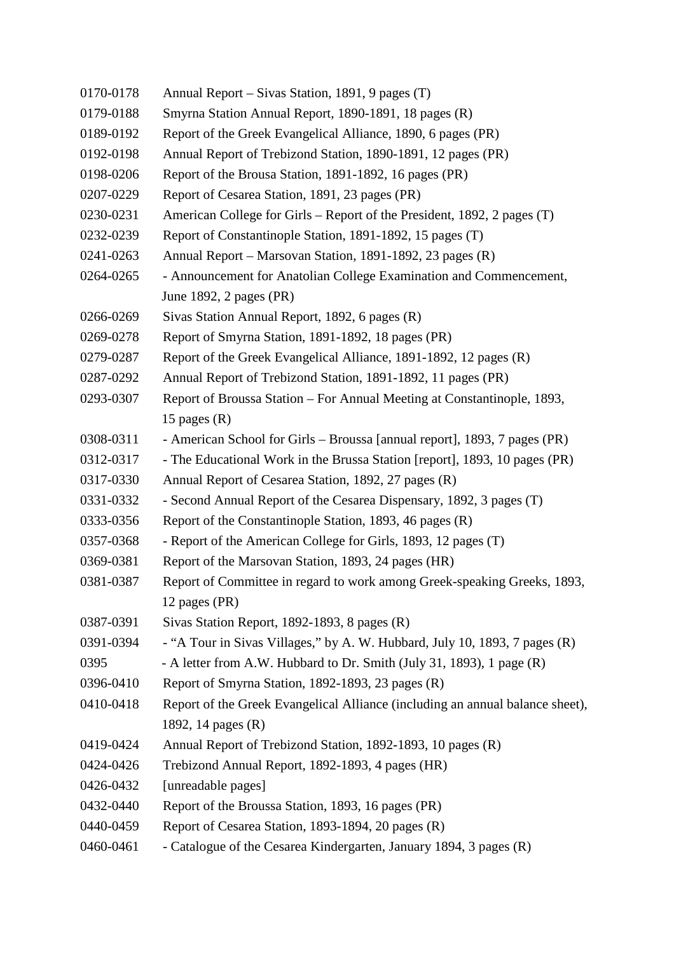- 0170-0178 Annual Report Sivas Station, 1891, 9 pages (T)
- 0179-0188 Smyrna Station Annual Report, 1890-1891, 18 pages (R)
- 0189-0192 Report of the Greek Evangelical Alliance, 1890, 6 pages (PR)
- 0192-0198 Annual Report of Trebizond Station, 1890-1891, 12 pages (PR)
- 0198-0206 Report of the Brousa Station, 1891-1892, 16 pages (PR)
- 0207-0229 Report of Cesarea Station, 1891, 23 pages (PR)
- 0230-0231 American College for Girls Report of the President, 1892, 2 pages (T)
- 0232-0239 Report of Constantinople Station, 1891-1892, 15 pages (T)
- 0241-0263 Annual Report Marsovan Station, 1891-1892, 23 pages (R)
- 0264-0265 Announcement for Anatolian College Examination and Commencement, June 1892, 2 pages (PR)
- 0266-0269 Sivas Station Annual Report, 1892, 6 pages (R)
- 0269-0278 Report of Smyrna Station, 1891-1892, 18 pages (PR)
- 0279-0287 Report of the Greek Evangelical Alliance, 1891-1892, 12 pages (R)
- 0287-0292 Annual Report of Trebizond Station, 1891-1892, 11 pages (PR)
- 0293-0307 Report of Broussa Station For Annual Meeting at Constantinople, 1893, 15 pages  $(R)$
- 0308-0311 American School for Girls Broussa [annual report], 1893, 7 pages (PR)
- 0312-0317 The Educational Work in the Brussa Station [report], 1893, 10 pages (PR)
- 0317-0330 Annual Report of Cesarea Station, 1892, 27 pages (R)
- 0331-0332 Second Annual Report of the Cesarea Dispensary, 1892, 3 pages (T)
- 0333-0356 Report of the Constantinople Station, 1893, 46 pages (R)
- 0357-0368 Report of the American College for Girls, 1893, 12 pages (T)
- 0369-0381 Report of the Marsovan Station, 1893, 24 pages (HR)
- 0381-0387 Report of Committee in regard to work among Greek-speaking Greeks, 1893, 12 pages (PR)
- 0387-0391 Sivas Station Report, 1892-1893, 8 pages (R)
- 0391-0394 "A Tour in Sivas Villages," by A. W. Hubbard, July 10, 1893, 7 pages (R)
- 0395 A letter from A.W. Hubbard to Dr. Smith (July 31, 1893), 1 page (R)
- 0396-0410 Report of Smyrna Station, 1892-1893, 23 pages (R)
- 0410-0418 Report of the Greek Evangelical Alliance (including an annual balance sheet), 1892, 14 pages (R)
- 0419-0424 Annual Report of Trebizond Station, 1892-1893, 10 pages (R)
- 0424-0426 Trebizond Annual Report, 1892-1893, 4 pages (HR)
- 0426-0432 [unreadable pages]
- 0432-0440 Report of the Broussa Station, 1893, 16 pages (PR)
- 0440-0459 Report of Cesarea Station, 1893-1894, 20 pages (R)
- 0460-0461 Catalogue of the Cesarea Kindergarten, January 1894, 3 pages (R)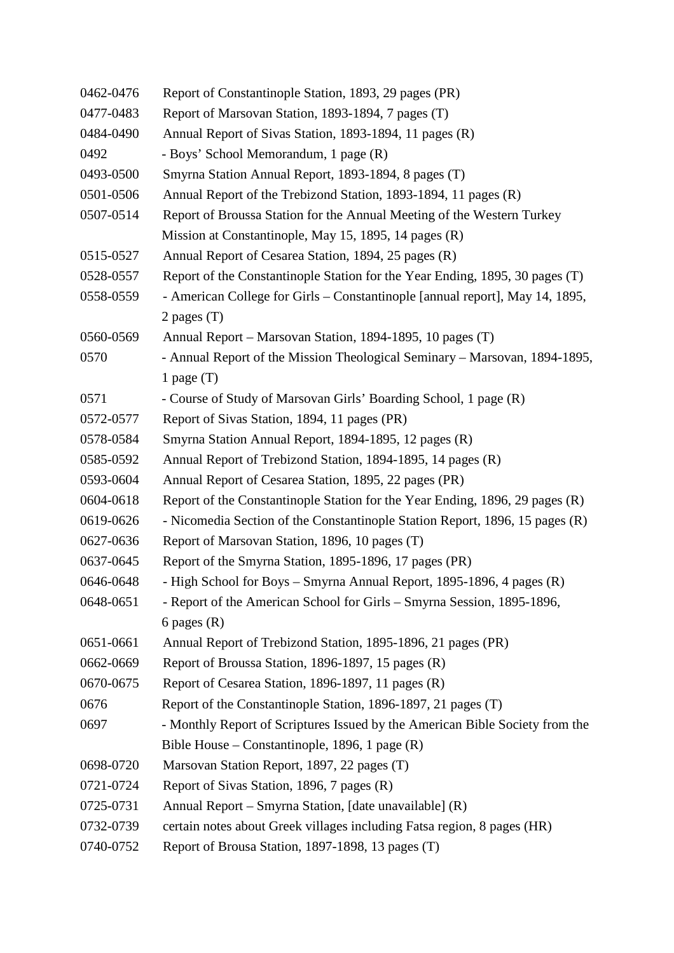| 0462-0476 | Report of Constantinople Station, 1893, 29 pages (PR)                        |
|-----------|------------------------------------------------------------------------------|
| 0477-0483 | Report of Marsovan Station, 1893-1894, 7 pages (T)                           |
| 0484-0490 | Annual Report of Sivas Station, 1893-1894, 11 pages (R)                      |
| 0492      | - Boys' School Memorandum, 1 page (R)                                        |
| 0493-0500 | Smyrna Station Annual Report, 1893-1894, 8 pages (T)                         |
| 0501-0506 | Annual Report of the Trebizond Station, 1893-1894, 11 pages (R)              |
| 0507-0514 | Report of Broussa Station for the Annual Meeting of the Western Turkey       |
|           | Mission at Constantinople, May 15, 1895, 14 pages (R)                        |
| 0515-0527 | Annual Report of Cesarea Station, 1894, 25 pages (R)                         |
| 0528-0557 | Report of the Constantinople Station for the Year Ending, 1895, 30 pages (T) |
| 0558-0559 | - American College for Girls - Constantinople [annual report], May 14, 1895, |
|           | 2 pages $(T)$                                                                |
| 0560-0569 | Annual Report – Marsovan Station, 1894-1895, 10 pages (T)                    |
| 0570      | - Annual Report of the Mission Theological Seminary - Marsovan, 1894-1895,   |
|           | 1 page $(T)$                                                                 |
| 0571      | - Course of Study of Marsovan Girls' Boarding School, 1 page (R)             |
| 0572-0577 | Report of Sivas Station, 1894, 11 pages (PR)                                 |
| 0578-0584 | Smyrna Station Annual Report, 1894-1895, 12 pages (R)                        |
| 0585-0592 | Annual Report of Trebizond Station, 1894-1895, 14 pages (R)                  |
| 0593-0604 | Annual Report of Cesarea Station, 1895, 22 pages (PR)                        |
| 0604-0618 | Report of the Constantinople Station for the Year Ending, 1896, 29 pages (R) |
| 0619-0626 | - Nicomedia Section of the Constantinople Station Report, 1896, 15 pages (R) |
| 0627-0636 | Report of Marsovan Station, 1896, 10 pages (T)                               |
| 0637-0645 | Report of the Smyrna Station, 1895-1896, 17 pages (PR)                       |
| 0646-0648 | - High School for Boys – Smyrna Annual Report, 1895-1896, 4 pages (R)        |
| 0648-0651 | - Report of the American School for Girls – Smyrna Session, 1895-1896,       |
|           | 6 pages $(R)$                                                                |
| 0651-0661 | Annual Report of Trebizond Station, 1895-1896, 21 pages (PR)                 |
| 0662-0669 | Report of Broussa Station, 1896-1897, 15 pages (R)                           |
| 0670-0675 | Report of Cesarea Station, 1896-1897, 11 pages (R)                           |
| 0676      | Report of the Constantinople Station, 1896-1897, 21 pages (T)                |
| 0697      | - Monthly Report of Scriptures Issued by the American Bible Society from the |
|           | Bible House – Constantinople, 1896, 1 page $(R)$                             |
| 0698-0720 | Marsovan Station Report, 1897, 22 pages (T)                                  |
| 0721-0724 | Report of Sivas Station, 1896, 7 pages (R)                                   |
| 0725-0731 | Annual Report – Smyrna Station, [date unavailable] (R)                       |
| 0732-0739 | certain notes about Greek villages including Fatsa region, 8 pages (HR)      |
| 0740-0752 | Report of Brousa Station, 1897-1898, 13 pages (T)                            |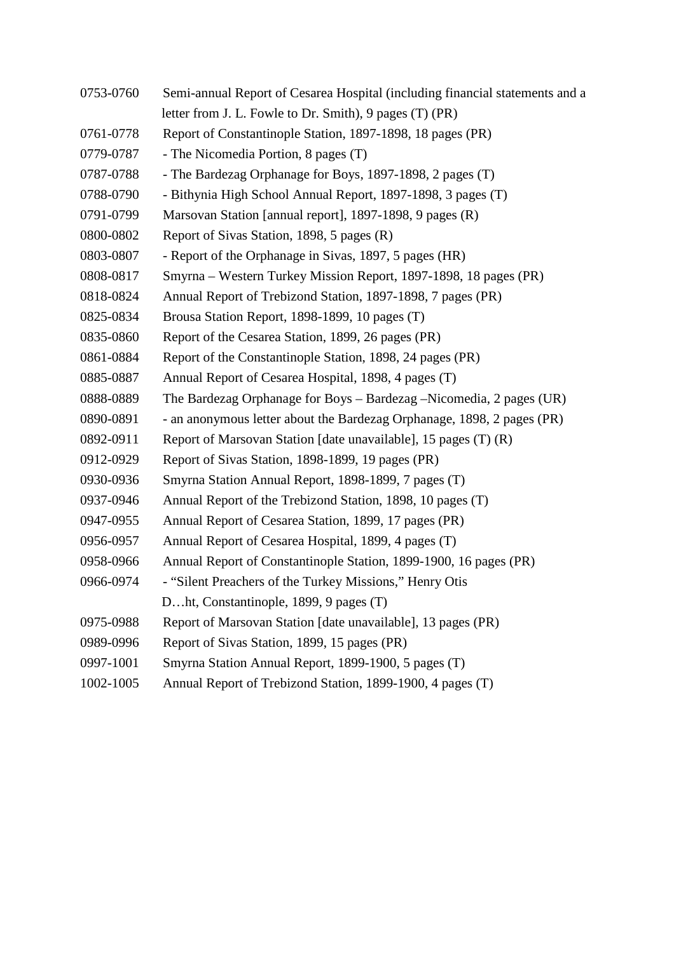| 0753-0760 | Semi-annual Report of Cesarea Hospital (including financial statements and a |
|-----------|------------------------------------------------------------------------------|
|           | letter from J. L. Fowle to Dr. Smith), 9 pages (T) (PR)                      |
| 0761-0778 | Report of Constantinople Station, 1897-1898, 18 pages (PR)                   |
| 0779-0787 | - The Nicomedia Portion, 8 pages (T)                                         |
| 0787-0788 | - The Bardezag Orphanage for Boys, 1897-1898, 2 pages (T)                    |
| 0788-0790 | - Bithynia High School Annual Report, 1897-1898, 3 pages (T)                 |
| 0791-0799 | Marsovan Station [annual report], 1897-1898, 9 pages (R)                     |
| 0800-0802 | Report of Sivas Station, 1898, 5 pages (R)                                   |
| 0803-0807 | - Report of the Orphanage in Sivas, 1897, 5 pages (HR)                       |
| 0808-0817 | Smyrna – Western Turkey Mission Report, 1897-1898, 18 pages (PR)             |
| 0818-0824 | Annual Report of Trebizond Station, 1897-1898, 7 pages (PR)                  |
| 0825-0834 | Brousa Station Report, 1898-1899, 10 pages (T)                               |
| 0835-0860 | Report of the Cesarea Station, 1899, 26 pages (PR)                           |
| 0861-0884 | Report of the Constantinople Station, 1898, 24 pages (PR)                    |
| 0885-0887 | Annual Report of Cesarea Hospital, 1898, 4 pages (T)                         |
| 0888-0889 | The Bardezag Orphanage for Boys – Bardezag – Nicomedia, 2 pages (UR)         |
| 0890-0891 | - an anonymous letter about the Bardezag Orphanage, 1898, 2 pages (PR)       |
| 0892-0911 | Report of Marsovan Station [date unavailable], 15 pages (T) (R)              |
| 0912-0929 | Report of Sivas Station, 1898-1899, 19 pages (PR)                            |
| 0930-0936 | Smyrna Station Annual Report, 1898-1899, 7 pages (T)                         |
| 0937-0946 | Annual Report of the Trebizond Station, 1898, 10 pages (T)                   |
| 0947-0955 | Annual Report of Cesarea Station, 1899, 17 pages (PR)                        |
| 0956-0957 | Annual Report of Cesarea Hospital, 1899, 4 pages (T)                         |
| 0958-0966 | Annual Report of Constantinople Station, 1899-1900, 16 pages (PR)            |
| 0966-0974 | - "Silent Preachers of the Turkey Missions," Henry Otis                      |
|           | Dht, Constantinople, 1899, 9 pages (T)                                       |
| 0975-0988 | Report of Marsovan Station [date unavailable], 13 pages (PR)                 |
| 0989-0996 | Report of Sivas Station, 1899, 15 pages (PR)                                 |
| 0997-1001 | Smyrna Station Annual Report, 1899-1900, 5 pages (T)                         |
| 1002-1005 | Annual Report of Trebizond Station, 1899-1900, 4 pages (T)                   |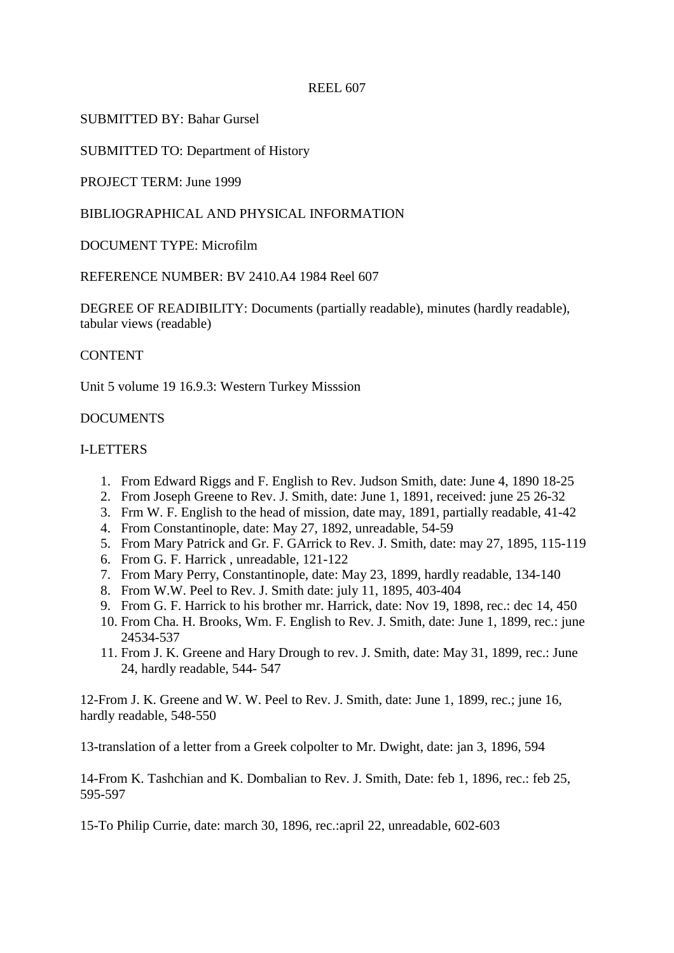## SUBMITTED BY: Bahar Gursel

SUBMITTED TO: Department of History

PROJECT TERM: June 1999

## BIBLIOGRAPHICAL AND PHYSICAL INFORMATION

## DOCUMENT TYPE: Microfilm

REFERENCE NUMBER: BV 2410.A4 1984 Reel 607

DEGREE OF READIBILITY: Documents (partially readable), minutes (hardly readable), tabular views (readable)

#### **CONTENT**

Unit 5 volume 19 16.9.3: Western Turkey Misssion

### **DOCUMENTS**

### I-LETTERS

- 1. From Edward Riggs and F. English to Rev. Judson Smith, date: June 4, 1890 18-25
- 2. From Joseph Greene to Rev. J. Smith, date: June 1, 1891, received: june 25 26-32
- 3. Frm W. F. English to the head of mission, date may, 1891, partially readable, 41-42
- 4. From Constantinople, date: May 27, 1892, unreadable, 54-59
- 5. From Mary Patrick and Gr. F. GArrick to Rev. J. Smith, date: may 27, 1895, 115-119
- 6. From G. F. Harrick , unreadable, 121-122
- 7. From Mary Perry, Constantinople, date: May 23, 1899, hardly readable, 134-140
- 8. From W.W. Peel to Rev. J. Smith date: july 11, 1895, 403-404
- 9. From G. F. Harrick to his brother mr. Harrick, date: Nov 19, 1898, rec.: dec 14, 450
- 10. From Cha. H. Brooks, Wm. F. English to Rev. J. Smith, date: June 1, 1899, rec.: june 24534-537
- 11. From J. K. Greene and Hary Drough to rev. J. Smith, date: May 31, 1899, rec.: June 24, hardly readable, 544- 547

12-From J. K. Greene and W. W. Peel to Rev. J. Smith, date: June 1, 1899, rec.; june 16, hardly readable, 548-550

13-translation of a letter from a Greek colpolter to Mr. Dwight, date: jan 3, 1896, 594

14-From K. Tashchian and K. Dombalian to Rev. J. Smith, Date: feb 1, 1896, rec.: feb 25, 595-597

15-To Philip Currie, date: march 30, 1896, rec.:april 22, unreadable, 602-603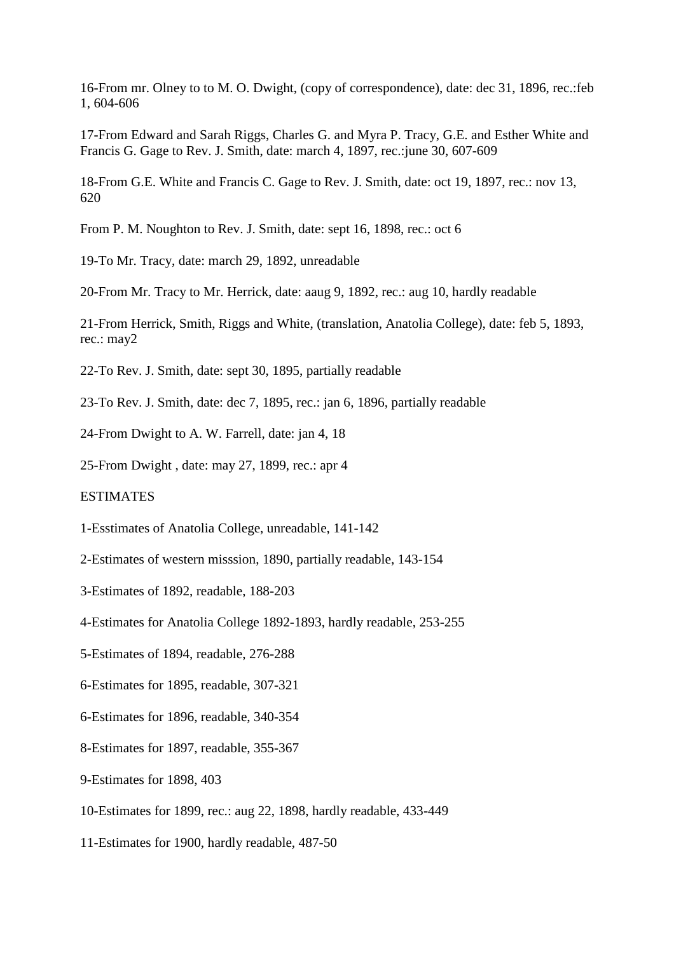16-From mr. Olney to to M. O. Dwight, (copy of correspondence), date: dec 31, 1896, rec.:feb 1, 604-606

17-From Edward and Sarah Riggs, Charles G. and Myra P. Tracy, G.E. and Esther White and Francis G. Gage to Rev. J. Smith, date: march 4, 1897, rec.:june 30, 607-609

18-From G.E. White and Francis C. Gage to Rev. J. Smith, date: oct 19, 1897, rec.: nov 13, 620

From P. M. Noughton to Rev. J. Smith, date: sept 16, 1898, rec.: oct 6

19-To Mr. Tracy, date: march 29, 1892, unreadable

20-From Mr. Tracy to Mr. Herrick, date: aaug 9, 1892, rec.: aug 10, hardly readable

21-From Herrick, Smith, Riggs and White, (translation, Anatolia College), date: feb 5, 1893, rec.: may2

22-To Rev. J. Smith, date: sept 30, 1895, partially readable

23-To Rev. J. Smith, date: dec 7, 1895, rec.: jan 6, 1896, partially readable

24-From Dwight to A. W. Farrell, date: jan 4, 18

25-From Dwight , date: may 27, 1899, rec.: apr 4

**ESTIMATES** 

1-Esstimates of Anatolia College, unreadable, 141-142

- 2-Estimates of western misssion, 1890, partially readable, 143-154
- 3-Estimates of 1892, readable, 188-203
- 4-Estimates for Anatolia College 1892-1893, hardly readable, 253-255
- 5-Estimates of 1894, readable, 276-288
- 6-Estimates for 1895, readable, 307-321
- 6-Estimates for 1896, readable, 340-354
- 8-Estimates for 1897, readable, 355-367
- 9-Estimates for 1898, 403
- 10-Estimates for 1899, rec.: aug 22, 1898, hardly readable, 433-449
- 11-Estimates for 1900, hardly readable, 487-50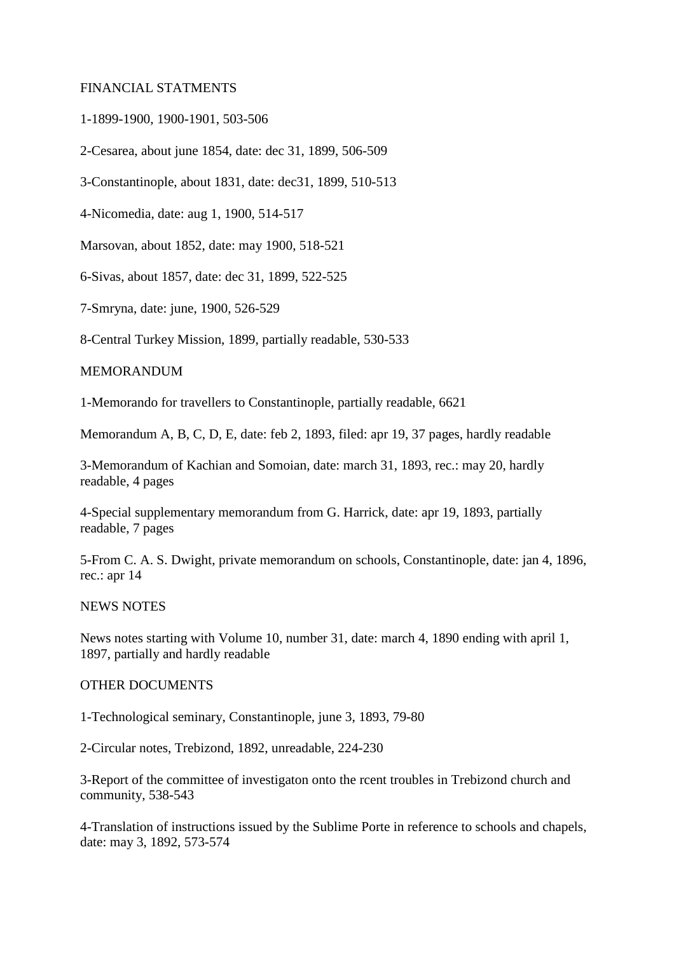#### FINANCIAL STATMENTS

1-1899-1900, 1900-1901, 503-506

2-Cesarea, about june 1854, date: dec 31, 1899, 506-509

3-Constantinople, about 1831, date: dec31, 1899, 510-513

4-Nicomedia, date: aug 1, 1900, 514-517

Marsovan, about 1852, date: may 1900, 518-521

6-Sivas, about 1857, date: dec 31, 1899, 522-525

7-Smryna, date: june, 1900, 526-529

8-Central Turkey Mission, 1899, partially readable, 530-533

#### MEMORANDUM

1-Memorando for travellers to Constantinople, partially readable, 6621

Memorandum A, B, C, D, E, date: feb 2, 1893, filed: apr 19, 37 pages, hardly readable

3-Memorandum of Kachian and Somoian, date: march 31, 1893, rec.: may 20, hardly readable, 4 pages

4-Special supplementary memorandum from G. Harrick, date: apr 19, 1893, partially readable, 7 pages

5-From C. A. S. Dwight, private memorandum on schools, Constantinople, date: jan 4, 1896, rec.: apr 14

NEWS NOTES

News notes starting with Volume 10, number 31, date: march 4, 1890 ending with april 1, 1897, partially and hardly readable

### OTHER DOCUMENTS

1-Technological seminary, Constantinople, june 3, 1893, 79-80

2-Circular notes, Trebizond, 1892, unreadable, 224-230

3-Report of the committee of investigaton onto the rcent troubles in Trebizond church and community, 538-543

4-Translation of instructions issued by the Sublime Porte in reference to schools and chapels, date: may 3, 1892, 573-574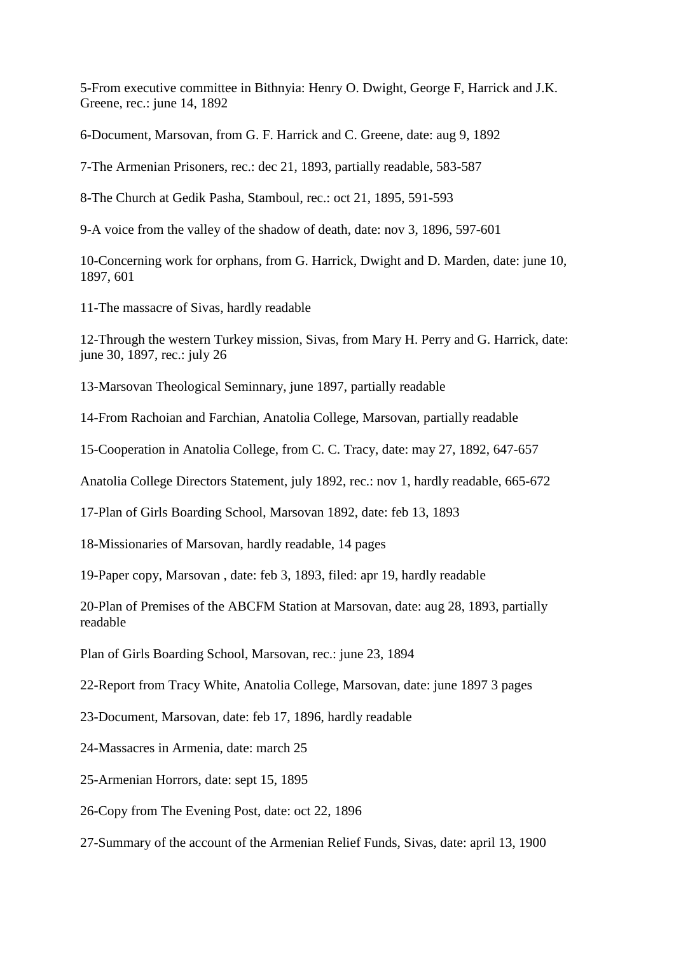5-From executive committee in Bithnyia: Henry O. Dwight, George F, Harrick and J.K. Greene, rec.: june 14, 1892

6-Document, Marsovan, from G. F. Harrick and C. Greene, date: aug 9, 1892

7-The Armenian Prisoners, rec.: dec 21, 1893, partially readable, 583-587

8-The Church at Gedik Pasha, Stamboul, rec.: oct 21, 1895, 591-593

9-A voice from the valley of the shadow of death, date: nov 3, 1896, 597-601

10-Concerning work for orphans, from G. Harrick, Dwight and D. Marden, date: june 10, 1897, 601

11-The massacre of Sivas, hardly readable

12-Through the western Turkey mission, Sivas, from Mary H. Perry and G. Harrick, date: june 30, 1897, rec.: july 26

13-Marsovan Theological Seminnary, june 1897, partially readable

14-From Rachoian and Farchian, Anatolia College, Marsovan, partially readable

15-Cooperation in Anatolia College, from C. C. Tracy, date: may 27, 1892, 647-657

Anatolia College Directors Statement, july 1892, rec.: nov 1, hardly readable, 665-672

17-Plan of Girls Boarding School, Marsovan 1892, date: feb 13, 1893

18-Missionaries of Marsovan, hardly readable, 14 pages

19-Paper copy, Marsovan , date: feb 3, 1893, filed: apr 19, hardly readable

20-Plan of Premises of the ABCFM Station at Marsovan, date: aug 28, 1893, partially readable

Plan of Girls Boarding School, Marsovan, rec.: june 23, 1894

22-Report from Tracy White, Anatolia College, Marsovan, date: june 1897 3 pages

23-Document, Marsovan, date: feb 17, 1896, hardly readable

24-Massacres in Armenia, date: march 25

25-Armenian Horrors, date: sept 15, 1895

26-Copy from The Evening Post, date: oct 22, 1896

27-Summary of the account of the Armenian Relief Funds, Sivas, date: april 13, 1900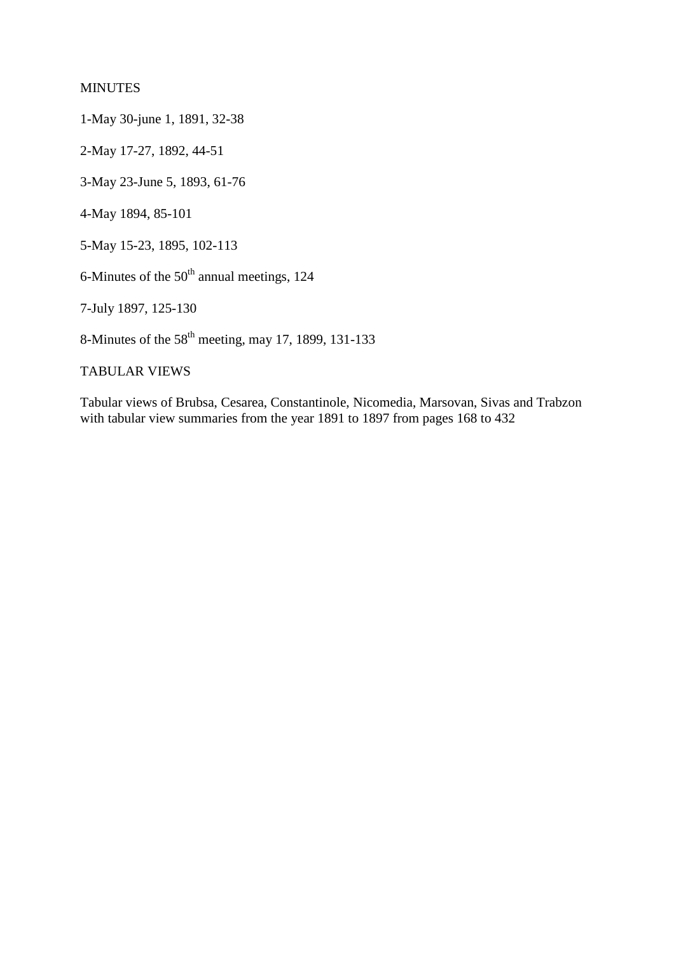## MINUTES

1-May 30-june 1, 1891, 32-38

2-May 17-27, 1892, 44-51

3-May 23-June 5, 1893, 61-76

4-May 1894, 85-101

5-May 15-23, 1895, 102-113

6-Minutes of the  $50<sup>th</sup>$  annual meetings, 124

7-July 1897, 125-130

8-Minutes of the 58th meeting, may 17, 1899, 131-133

# TABULAR VIEWS

Tabular views of Brubsa, Cesarea, Constantinole, Nicomedia, Marsovan, Sivas and Trabzon with tabular view summaries from the year 1891 to 1897 from pages 168 to 432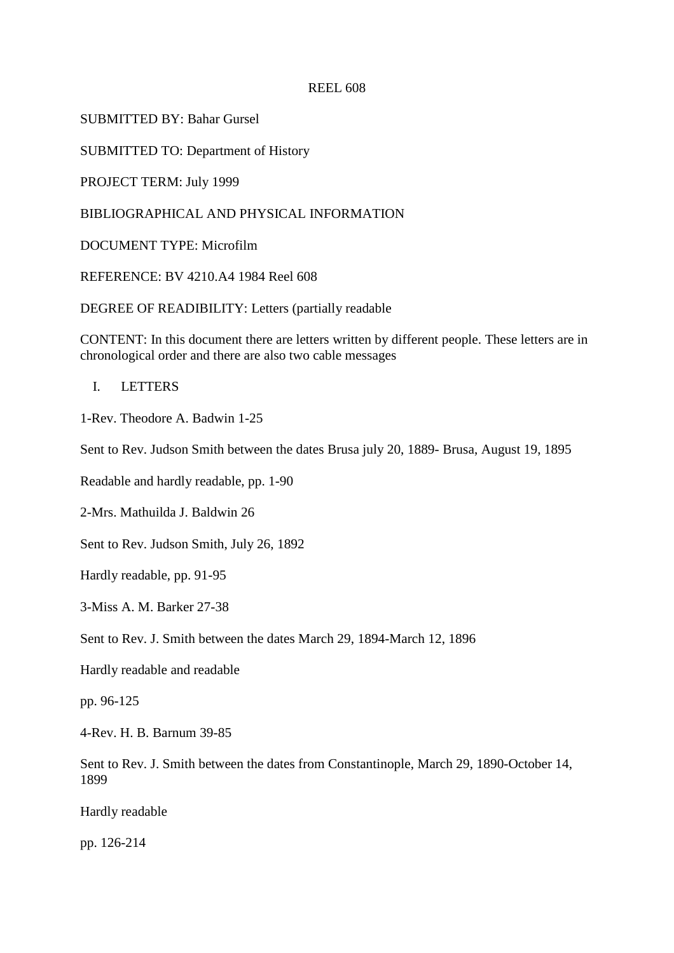SUBMITTED BY: Bahar Gursel

SUBMITTED TO: Department of History

PROJECT TERM: July 1999

BIBLIOGRAPHICAL AND PHYSICAL INFORMATION

DOCUMENT TYPE: Microfilm

REFERENCE: BV 4210.A4 1984 Reel 608

DEGREE OF READIBILITY: Letters (partially readable

CONTENT: In this document there are letters written by different people. These letters are in chronological order and there are also two cable messages

I. LETTERS

1-Rev. Theodore A. Badwin 1-25

Sent to Rev. Judson Smith between the dates Brusa july 20, 1889- Brusa, August 19, 1895

Readable and hardly readable, pp. 1-90

2-Mrs. Mathuilda J. Baldwin 26

Sent to Rev. Judson Smith, July 26, 1892

Hardly readable, pp. 91-95

3-Miss A. M. Barker 27-38

Sent to Rev. J. Smith between the dates March 29, 1894-March 12, 1896

Hardly readable and readable

pp. 96-125

4-Rev. H. B. Barnum 39-85

Sent to Rev. J. Smith between the dates from Constantinople, March 29, 1890-October 14, 1899

Hardly readable

pp. 126-214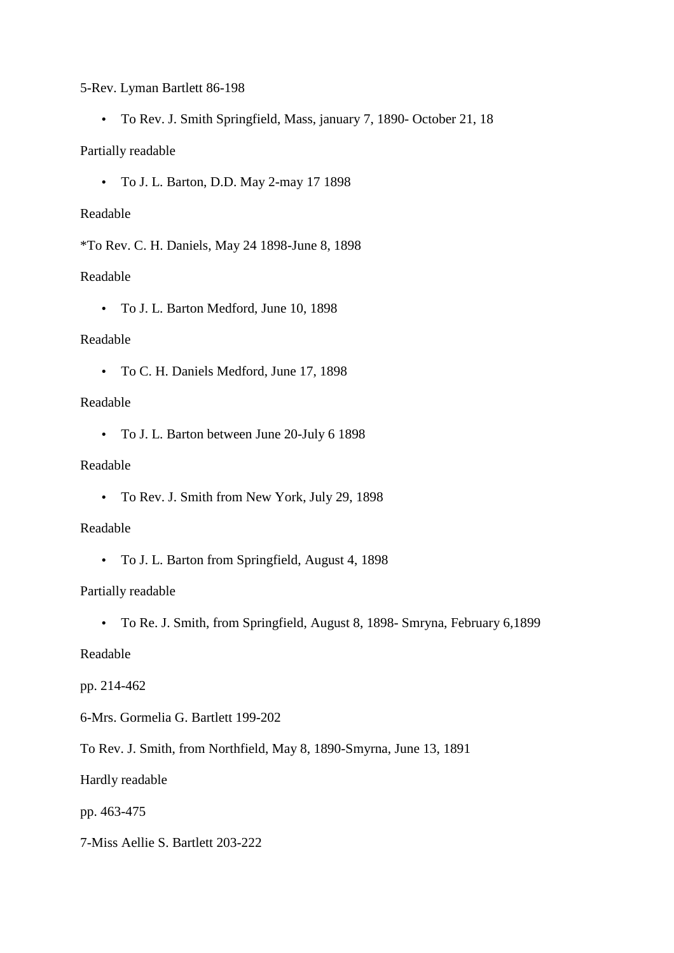5-Rev. Lyman Bartlett 86-198

• To Rev. J. Smith Springfield, Mass, january 7, 1890- October 21, 18

### Partially readable

• To J. L. Barton, D.D. May 2-may 17 1898

#### Readable

\*To Rev. C. H. Daniels, May 24 1898-June 8, 1898

#### Readable

• To J. L. Barton Medford, June 10, 1898

### Readable

• To C. H. Daniels Medford, June 17, 1898

### Readable

• To J. L. Barton between June 20-July 6 1898

# Readable

• To Rev. J. Smith from New York, July 29, 1898

#### Readable

• To J. L. Barton from Springfield, August 4, 1898

### Partially readable

• To Re. J. Smith, from Springfield, August 8, 1898- Smryna, February 6,1899

## Readable

### pp. 214-462

- 6-Mrs. Gormelia G. Bartlett 199-202
- To Rev. J. Smith, from Northfield, May 8, 1890-Smyrna, June 13, 1891

### Hardly readable

### pp. 463-475

7-Miss Aellie S. Bartlett 203-222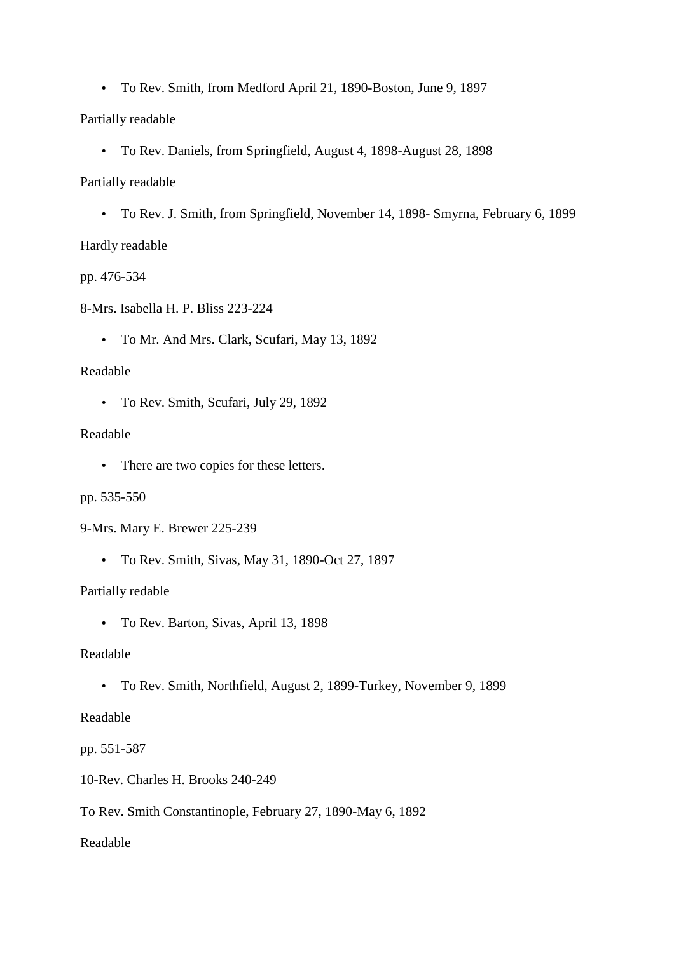• To Rev. Smith, from Medford April 21, 1890-Boston, June 9, 1897

Partially readable

• To Rev. Daniels, from Springfield, August 4, 1898-August 28, 1898

Partially readable

• To Rev. J. Smith, from Springfield, November 14, 1898- Smyrna, February 6, 1899

Hardly readable

pp. 476-534

8-Mrs. Isabella H. P. Bliss 223-224

• To Mr. And Mrs. Clark, Scufari, May 13, 1892

Readable

• To Rev. Smith, Scufari, July 29, 1892

Readable

• There are two copies for these letters.

pp. 535-550

9-Mrs. Mary E. Brewer 225-239

• To Rev. Smith, Sivas, May 31, 1890-Oct 27, 1897

Partially redable

• To Rev. Barton, Sivas, April 13, 1898

Readable

• To Rev. Smith, Northfield, August 2, 1899-Turkey, November 9, 1899

Readable

pp. 551-587

10-Rev. Charles H. Brooks 240-249

To Rev. Smith Constantinople, February 27, 1890-May 6, 1892

Readable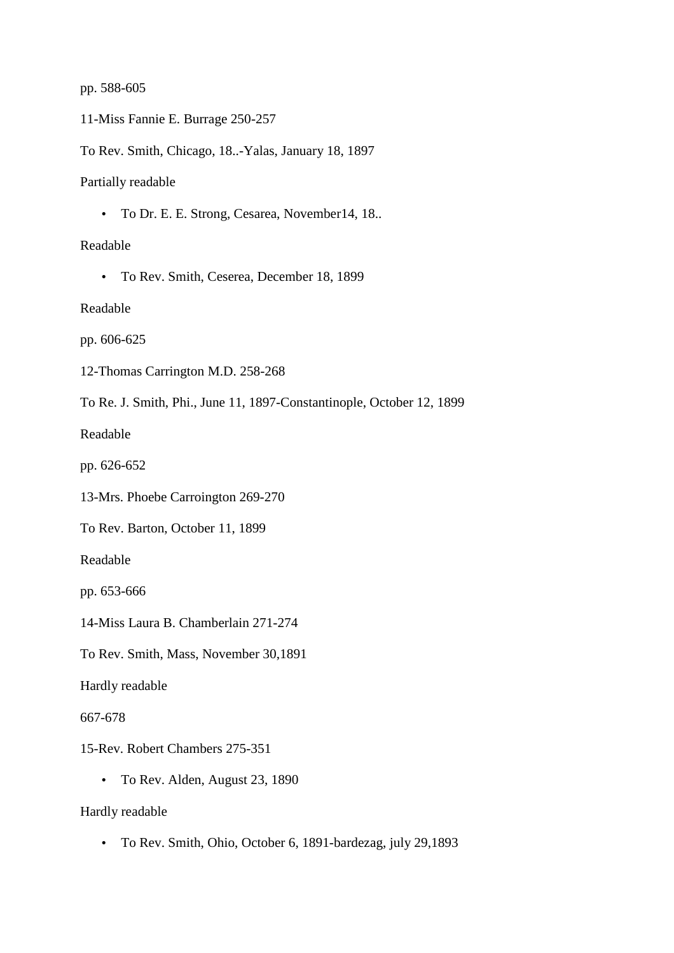#### pp. 588-605

11-Miss Fannie E. Burrage 250-257

To Rev. Smith, Chicago, 18..-Yalas, January 18, 1897

Partially readable

• To Dr. E. E. Strong, Cesarea, November14, 18..

Readable

• To Rev. Smith, Ceserea, December 18, 1899

Readable

pp. 606-625

12-Thomas Carrington M.D. 258-268

To Re. J. Smith, Phi., June 11, 1897-Constantinople, October 12, 1899

Readable

pp. 626-652

13-Mrs. Phoebe Carroington 269-270

To Rev. Barton, October 11, 1899

Readable

pp. 653-666

14-Miss Laura B. Chamberlain 271-274

To Rev. Smith, Mass, November 30,1891

Hardly readable

667-678

15-Rev. Robert Chambers 275-351

• To Rev. Alden, August 23, 1890

Hardly readable

• To Rev. Smith, Ohio, October 6, 1891-bardezag, july 29,1893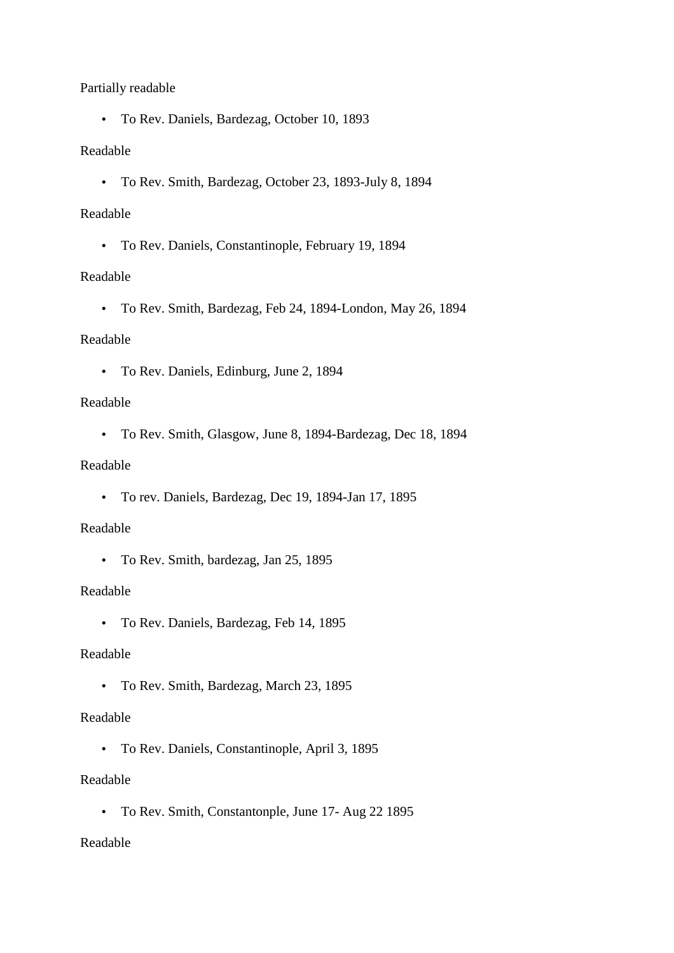## Partially readable

• To Rev. Daniels, Bardezag, October 10, 1893

## Readable

• To Rev. Smith, Bardezag, October 23, 1893-July 8, 1894

## Readable

• To Rev. Daniels, Constantinople, February 19, 1894

## Readable

• To Rev. Smith, Bardezag, Feb 24, 1894-London, May 26, 1894

## Readable

• To Rev. Daniels, Edinburg, June 2, 1894

## Readable

• To Rev. Smith, Glasgow, June 8, 1894-Bardezag, Dec 18, 1894

# Readable

• To rev. Daniels, Bardezag, Dec 19, 1894-Jan 17, 1895

### Readable

• To Rev. Smith, bardezag, Jan 25, 1895

### Readable

• To Rev. Daniels, Bardezag, Feb 14, 1895

# Readable

• To Rev. Smith, Bardezag, March 23, 1895

## Readable

• To Rev. Daniels, Constantinople, April 3, 1895

## Readable

• To Rev. Smith, Constantonple, June 17- Aug 22 1895

# Readable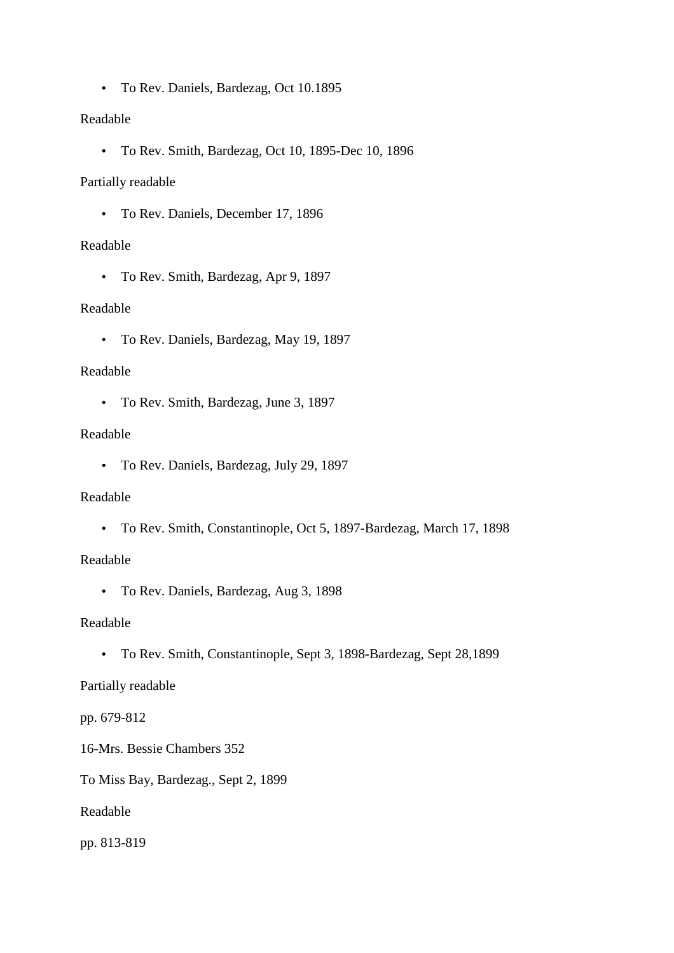• To Rev. Daniels, Bardezag, Oct 10.1895

# Readable

• To Rev. Smith, Bardezag, Oct 10, 1895-Dec 10, 1896

## Partially readable

• To Rev. Daniels, December 17, 1896

# Readable

• To Rev. Smith, Bardezag, Apr 9, 1897

## Readable

• To Rev. Daniels, Bardezag, May 19, 1897

## Readable

• To Rev. Smith, Bardezag, June 3, 1897

## Readable

• To Rev. Daniels, Bardezag, July 29, 1897

### Readable

• To Rev. Smith, Constantinople, Oct 5, 1897-Bardezag, March 17, 1898

### Readable

• To Rev. Daniels, Bardezag, Aug 3, 1898

## Readable

• To Rev. Smith, Constantinople, Sept 3, 1898-Bardezag, Sept 28,1899

# Partially readable

# pp. 679-812

- 16-Mrs. Bessie Chambers 352
- To Miss Bay, Bardezag., Sept 2, 1899

Readable

pp. 813-819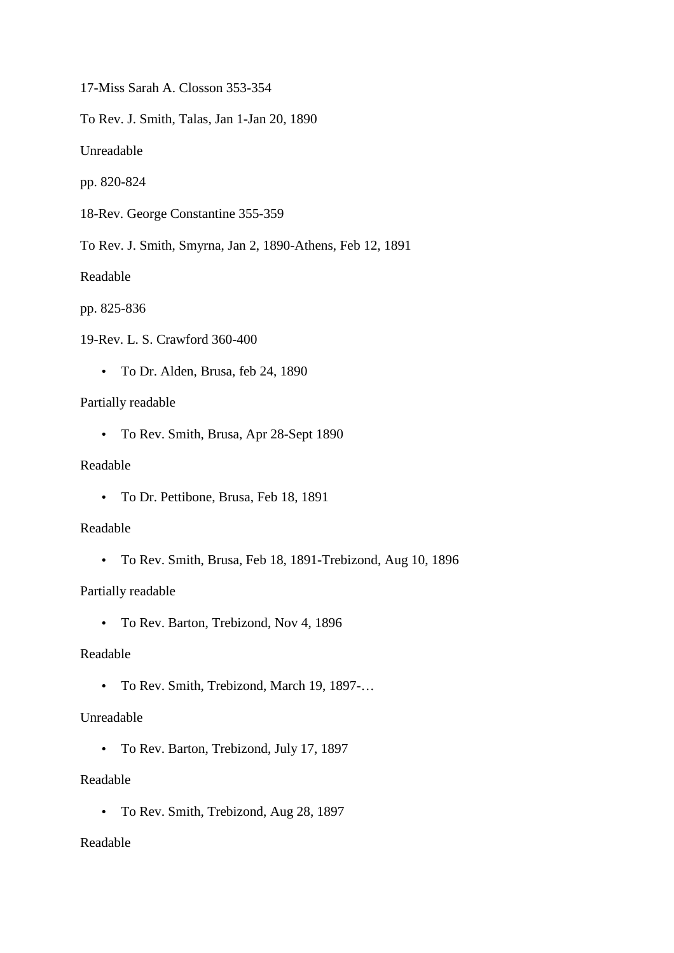17-Miss Sarah A. Closson 353-354

To Rev. J. Smith, Talas, Jan 1-Jan 20, 1890

Unreadable

pp. 820-824

18-Rev. George Constantine 355-359

To Rev. J. Smith, Smyrna, Jan 2, 1890-Athens, Feb 12, 1891

Readable

pp. 825-836

19-Rev. L. S. Crawford 360-400

• To Dr. Alden, Brusa, feb 24, 1890

#### Partially readable

• To Rev. Smith, Brusa, Apr 28-Sept 1890

## Readable

• To Dr. Pettibone, Brusa, Feb 18, 1891

#### Readable

• To Rev. Smith, Brusa, Feb 18, 1891-Trebizond, Aug 10, 1896

### Partially readable

• To Rev. Barton, Trebizond, Nov 4, 1896

#### Readable

• To Rev. Smith, Trebizond, March 19, 1897-…

# Unreadable

• To Rev. Barton, Trebizond, July 17, 1897

## Readable

• To Rev. Smith, Trebizond, Aug 28, 1897

### Readable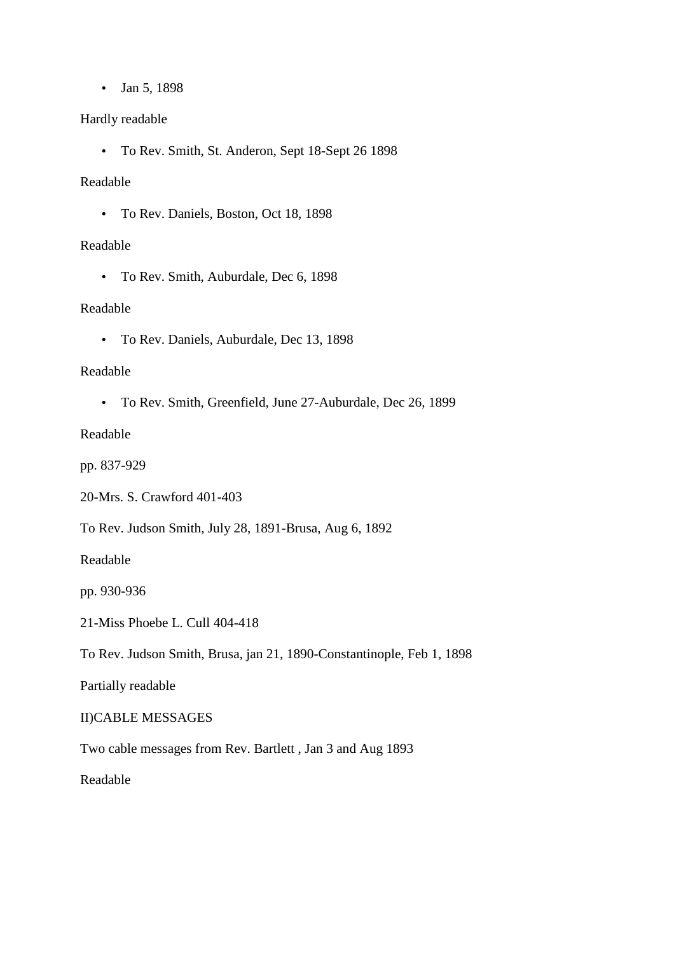• Jan 5, 1898

## Hardly readable

• To Rev. Smith, St. Anderon, Sept 18-Sept 26 1898

### Readable

• To Rev. Daniels, Boston, Oct 18, 1898

## Readable

• To Rev. Smith, Auburdale, Dec 6, 1898

## Readable

• To Rev. Daniels, Auburdale, Dec 13, 1898

## Readable

• To Rev. Smith, Greenfield, June 27-Auburdale, Dec 26, 1899

Readable

pp. 837-929

20-Mrs. S. Crawford 401-403

To Rev. Judson Smith, July 28, 1891-Brusa, Aug 6, 1892

Readable

pp. 930-936

21-Miss Phoebe L. Cull 404-418

To Rev. Judson Smith, Brusa, jan 21, 1890-Constantinople, Feb 1, 1898

Partially readable

II)CABLE MESSAGES

Two cable messages from Rev. Bartlett , Jan 3 and Aug 1893

Readable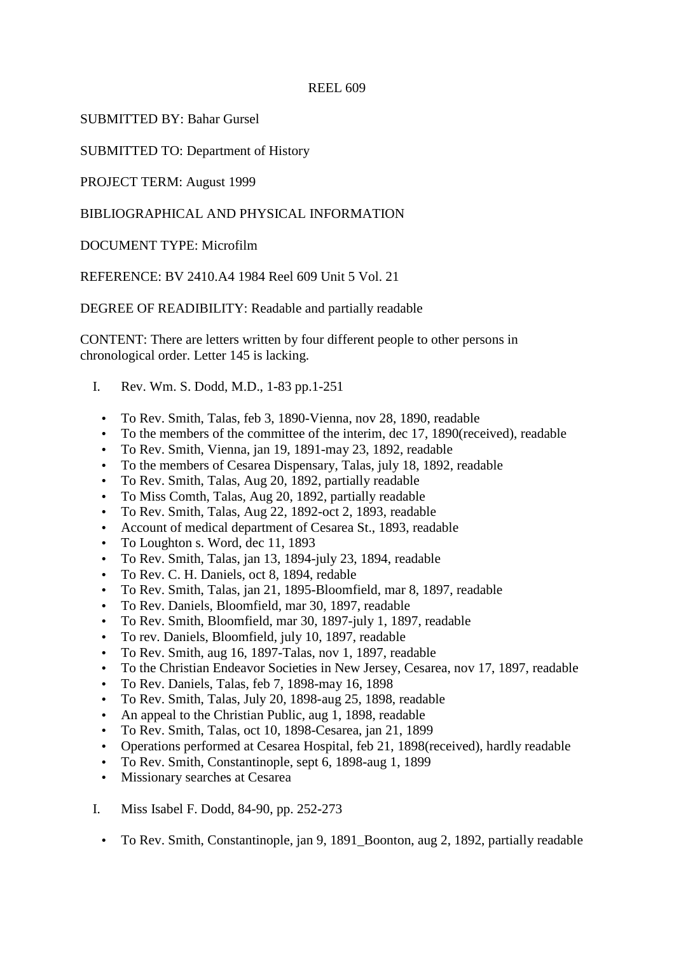SUBMITTED BY: Bahar Gursel

SUBMITTED TO: Department of History

PROJECT TERM: August 1999

## BIBLIOGRAPHICAL AND PHYSICAL INFORMATION

DOCUMENT TYPE: Microfilm

REFERENCE: BV 2410.A4 1984 Reel 609 Unit 5 Vol. 21

DEGREE OF READIBILITY: Readable and partially readable

CONTENT: There are letters written by four different people to other persons in chronological order. Letter 145 is lacking.

- I. Rev. Wm. S. Dodd, M.D., 1-83 pp.1-251
	- To Rev. Smith, Talas, feb 3, 1890-Vienna, nov 28, 1890, readable
	- To the members of the committee of the interim, dec 17, 1890(received), readable
	- To Rev. Smith, Vienna, jan 19, 1891-may 23, 1892, readable
	- To the members of Cesarea Dispensary, Talas, july 18, 1892, readable
	- To Rev. Smith, Talas, Aug 20, 1892, partially readable
	- To Miss Comth, Talas, Aug 20, 1892, partially readable
	- To Rev. Smith, Talas, Aug 22, 1892-oct 2, 1893, readable
	- Account of medical department of Cesarea St., 1893, readable
	- To Loughton s. Word, dec 11, 1893
	- To Rev. Smith, Talas, jan 13, 1894-july 23, 1894, readable
	- To Rev. C. H. Daniels, oct 8, 1894, redable
	- To Rev. Smith, Talas, jan 21, 1895-Bloomfield, mar 8, 1897, readable
	- To Rev. Daniels, Bloomfield, mar 30, 1897, readable
	- To Rev. Smith, Bloomfield, mar 30, 1897-july 1, 1897, readable
	- To rev. Daniels, Bloomfield, july 10, 1897, readable
	- To Rev. Smith, aug 16, 1897-Talas, nov 1, 1897, readable
	- To the Christian Endeavor Societies in New Jersey, Cesarea, nov 17, 1897, readable
	- To Rev. Daniels, Talas, feb 7, 1898-may 16, 1898
	- To Rev. Smith, Talas, July 20, 1898-aug 25, 1898, readable
	- An appeal to the Christian Public, aug 1, 1898, readable
	- To Rev. Smith, Talas, oct 10, 1898-Cesarea, jan 21, 1899
	- Operations performed at Cesarea Hospital, feb 21, 1898(received), hardly readable
	- To Rev. Smith, Constantinople, sept 6, 1898-aug 1, 1899
	- Missionary searches at Cesarea
- I. Miss Isabel F. Dodd, 84-90, pp. 252-273
	- To Rev. Smith, Constantinople, jan 9, 1891\_Boonton, aug 2, 1892, partially readable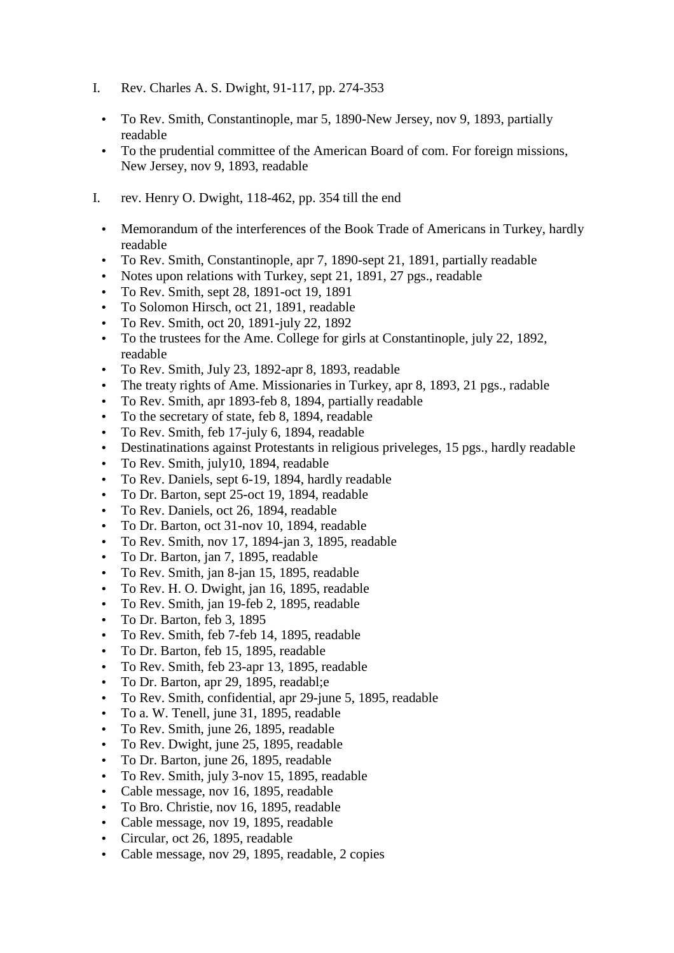- I. Rev. Charles A. S. Dwight, 91-117, pp. 274-353
	- To Rev. Smith, Constantinople, mar 5, 1890-New Jersey, nov 9, 1893, partially readable
	- To the prudential committee of the American Board of com. For foreign missions, New Jersey, nov 9, 1893, readable
- I. rev. Henry O. Dwight, 118-462, pp. 354 till the end
	- Memorandum of the interferences of the Book Trade of Americans in Turkey, hardly readable
	- To Rev. Smith, Constantinople, apr 7, 1890-sept 21, 1891, partially readable
	- Notes upon relations with Turkey, sept 21, 1891, 27 pgs., readable
	- To Rev. Smith, sept 28, 1891-oct 19, 1891
	- To Solomon Hirsch, oct 21, 1891, readable
	- To Rev. Smith, oct 20, 1891-july 22, 1892
	- To the trustees for the Ame. College for girls at Constantinople, july 22, 1892, readable
	- To Rev. Smith, July 23, 1892-apr 8, 1893, readable
	- The treaty rights of Ame. Missionaries in Turkey, apr 8, 1893, 21 pgs., radable
	- To Rev. Smith, apr 1893-feb 8, 1894, partially readable
	- To the secretary of state, feb 8, 1894, readable
	- To Rev. Smith, feb 17-july 6, 1894, readable
	- Destinations against Protestants in religious priveleges, 15 pgs., hardly readable
	- To Rev. Smith, july10, 1894, readable
	- To Rev. Daniels, sept 6-19, 1894, hardly readable
	- To Dr. Barton, sept 25-oct 19, 1894, readable
	- To Rev. Daniels, oct 26, 1894, readable
	- To Dr. Barton, oct 31-nov 10, 1894, readable
	- To Rev. Smith, nov 17, 1894-jan 3, 1895, readable
	- To Dr. Barton, jan 7, 1895, readable
	- To Rev. Smith, jan 8-jan 15, 1895, readable
	- To Rev. H. O. Dwight, jan 16, 1895, readable
	- To Rev. Smith, jan 19-feb 2, 1895, readable
	- To Dr. Barton, feb 3, 1895
	- To Rev. Smith, feb 7-feb 14, 1895, readable
	- To Dr. Barton, feb 15, 1895, readable
	- To Rev. Smith, feb 23-apr 13, 1895, readable
	- To Dr. Barton, apr 29, 1895, readabl; e
	- To Rev. Smith, confidential, apr 29-june 5, 1895, readable
	- To a. W. Tenell, june 31, 1895, readable
	- To Rev. Smith, june 26, 1895, readable
	- To Rev. Dwight, june 25, 1895, readable
	- To Dr. Barton, june 26, 1895, readable
	- To Rev. Smith, july 3-nov 15, 1895, readable
	- Cable message, nov 16, 1895, readable
	- To Bro. Christie, nov 16, 1895, readable
	- Cable message, nov 19, 1895, readable
	- Circular, oct 26, 1895, readable
	- Cable message, nov 29, 1895, readable, 2 copies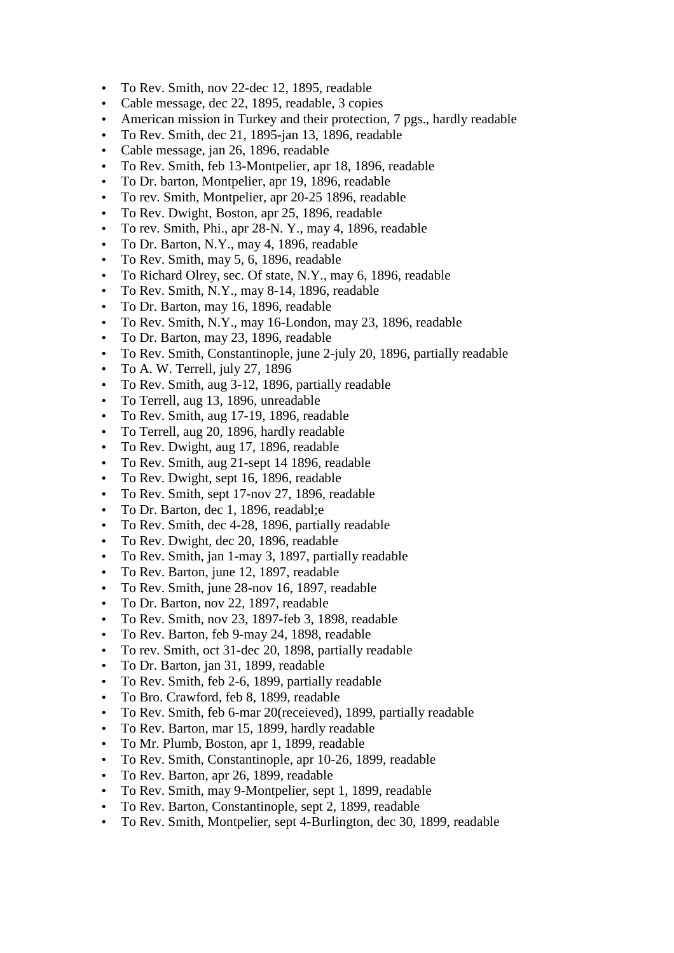- To Rev. Smith, nov 22-dec 12, 1895, readable
- Cable message, dec 22, 1895, readable, 3 copies
- American mission in Turkey and their protection, 7 pgs., hardly readable
- To Rev. Smith, dec 21, 1895-jan 13, 1896, readable
- Cable message, jan 26, 1896, readable
- To Rev. Smith, feb 13-Montpelier, apr 18, 1896, readable
- To Dr. barton, Montpelier, apr 19, 1896, readable
- To rev. Smith, Montpelier, apr 20-25 1896, readable
- To Rev. Dwight, Boston, apr 25, 1896, readable
- To rev. Smith, Phi., apr 28-N. Y., may 4, 1896, readable
- To Dr. Barton, N.Y., may 4, 1896, readable
- To Rev. Smith, may 5, 6, 1896, readable
- To Richard Olrey, sec. Of state, N.Y., may 6, 1896, readable
- To Rev. Smith, N.Y., may 8-14, 1896, readable
- To Dr. Barton, may 16, 1896, readable
- To Rev. Smith, N.Y., may 16-London, may 23, 1896, readable
- To Dr. Barton, may 23, 1896, readable
- To Rev. Smith, Constantinople, june 2-july 20, 1896, partially readable
- To A. W. Terrell, july 27, 1896
- To Rev. Smith, aug 3-12, 1896, partially readable
- To Terrell, aug 13, 1896, unreadable
- To Rev. Smith, aug 17-19, 1896, readable
- To Terrell, aug 20, 1896, hardly readable
- To Rev. Dwight, aug 17, 1896, readable
- To Rev. Smith, aug 21-sept 14 1896, readable
- To Rev. Dwight, sept 16, 1896, readable
- To Rev. Smith, sept 17-nov 27, 1896, readable
- To Dr. Barton, dec 1, 1896, readabl;e
- To Rev. Smith, dec 4-28, 1896, partially readable
- To Rev. Dwight, dec 20, 1896, readable
- To Rev. Smith, jan 1-may 3, 1897, partially readable
- To Rev. Barton, june 12, 1897, readable
- To Rev. Smith, june 28-nov 16, 1897, readable
- To Dr. Barton, nov 22, 1897, readable
- To Rev. Smith, nov 23, 1897-feb 3, 1898, readable
- To Rev. Barton, feb 9-may 24, 1898, readable
- To rev. Smith, oct 31-dec 20, 1898, partially readable
- To Dr. Barton, jan 31, 1899, readable
- To Rev. Smith, feb 2-6, 1899, partially readable
- To Bro. Crawford, feb 8, 1899, readable
- To Rev. Smith, feb 6-mar 20(receieved), 1899, partially readable
- To Rev. Barton, mar 15, 1899, hardly readable
- To Mr. Plumb, Boston, apr 1, 1899, readable
- To Rev. Smith, Constantinople, apr 10-26, 1899, readable
- To Rev. Barton, apr 26, 1899, readable
- To Rev. Smith, may 9-Montpelier, sept 1, 1899, readable
- To Rev. Barton, Constantinople, sept 2, 1899, readable
- To Rev. Smith, Montpelier, sept 4-Burlington, dec 30, 1899, readable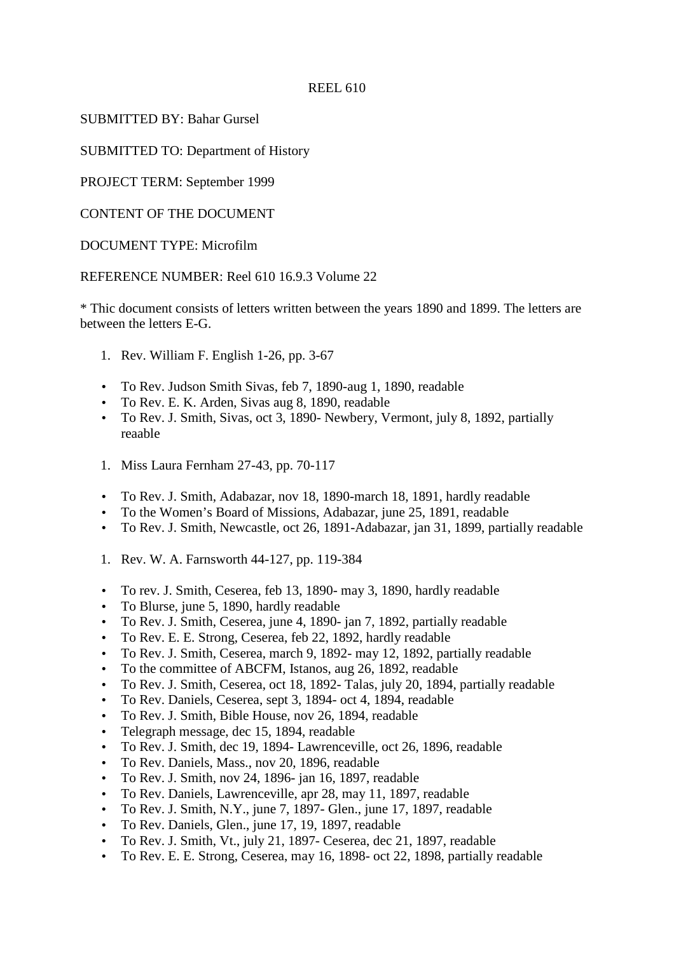SUBMITTED BY: Bahar Gursel

SUBMITTED TO: Department of History

PROJECT TERM: September 1999

CONTENT OF THE DOCUMENT

DOCUMENT TYPE: Microfilm

REFERENCE NUMBER: Reel 610 16.9.3 Volume 22

\* Thic document consists of letters written between the years 1890 and 1899. The letters are between the letters E-G.

- 1. Rev. William F. English 1-26, pp. 3-67
- To Rev. Judson Smith Sivas, feb 7, 1890-aug 1, 1890, readable
- To Rev. E. K. Arden, Sivas aug 8, 1890, readable
- To Rev. J. Smith, Sivas, oct 3, 1890- Newbery, Vermont, july 8, 1892, partially reaable
- 1. Miss Laura Fernham 27-43, pp. 70-117
- To Rev. J. Smith, Adabazar, nov 18, 1890-march 18, 1891, hardly readable
- To the Women's Board of Missions, Adabazar, june 25, 1891, readable
- To Rev. J. Smith, Newcastle, oct 26, 1891-Adabazar, jan 31, 1899, partially readable
- 1. Rev. W. A. Farnsworth 44-127, pp. 119-384
- To rev. J. Smith, Ceserea, feb 13, 1890- may 3, 1890, hardly readable
- To Blurse, june 5, 1890, hardly readable
- To Rev. J. Smith, Ceserea, june 4, 1890- jan 7, 1892, partially readable
- To Rev. E. E. Strong, Ceserea, feb 22, 1892, hardly readable
- To Rev. J. Smith, Ceserea, march 9, 1892- may 12, 1892, partially readable
- To the committee of ABCFM, Istanos, aug 26, 1892, readable
- To Rev. J. Smith, Ceserea, oct 18, 1892- Talas, july 20, 1894, partially readable
- To Rev. Daniels, Ceserea, sept 3, 1894- oct 4, 1894, readable
- To Rev. J. Smith, Bible House, nov 26, 1894, readable
- Telegraph message, dec 15, 1894, readable
- To Rev. J. Smith, dec 19, 1894- Lawrenceville, oct 26, 1896, readable
- To Rev. Daniels, Mass., nov 20, 1896, readable
- To Rev. J. Smith, nov 24, 1896- jan 16, 1897, readable
- To Rev. Daniels, Lawrenceville, apr 28, may 11, 1897, readable
- To Rev. J. Smith, N.Y., june 7, 1897- Glen., june 17, 1897, readable
- To Rev. Daniels, Glen., june 17, 19, 1897, readable
- To Rev. J. Smith, Vt., july 21, 1897- Ceserea, dec 21, 1897, readable
- To Rev. E. E. Strong, Ceserea, may 16, 1898- oct 22, 1898, partially readable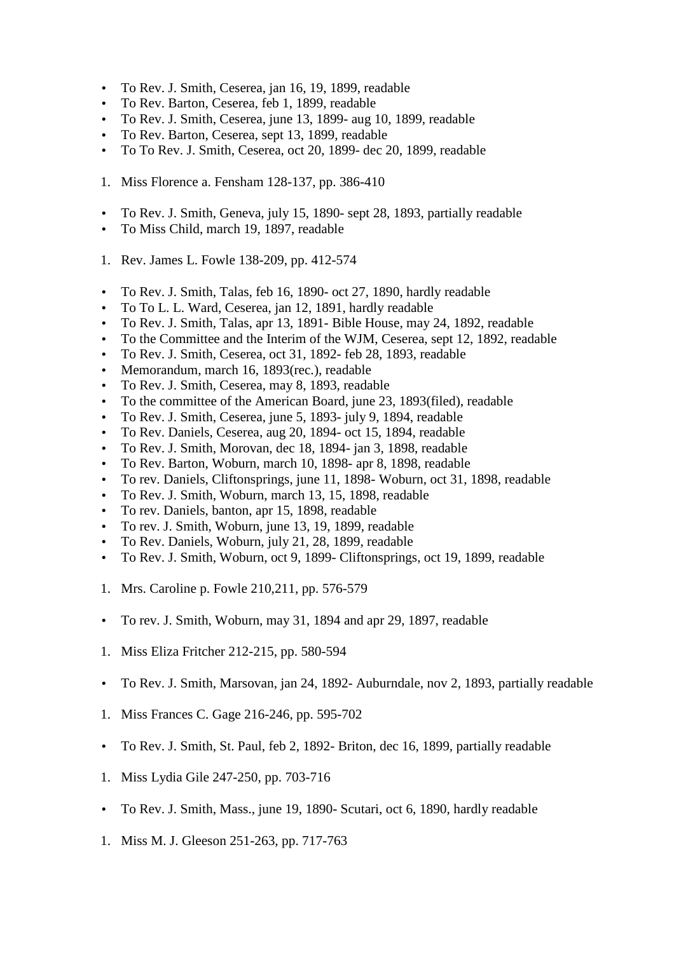- To Rev. J. Smith, Ceserea, jan 16, 19, 1899, readable
- To Rev. Barton, Ceserea, feb 1, 1899, readable
- To Rev. J. Smith, Ceserea, june 13, 1899- aug 10, 1899, readable
- To Rev. Barton, Ceserea, sept 13, 1899, readable
- To To Rev. J. Smith, Ceserea, oct 20, 1899- dec 20, 1899, readable
- 1. Miss Florence a. Fensham 128-137, pp. 386-410
- To Rev. J. Smith, Geneva, july 15, 1890- sept 28, 1893, partially readable
- To Miss Child, march 19, 1897, readable
- 1. Rev. James L. Fowle 138-209, pp. 412-574
- To Rev. J. Smith, Talas, feb 16, 1890- oct 27, 1890, hardly readable
- To To L. L. Ward, Ceserea, jan 12, 1891, hardly readable
- To Rev. J. Smith, Talas, apr 13, 1891- Bible House, may 24, 1892, readable
- To the Committee and the Interim of the WJM, Ceserea, sept 12, 1892, readable
- To Rev. J. Smith, Ceserea, oct 31, 1892- feb 28, 1893, readable
- Memorandum, march 16, 1893(rec.), readable
- To Rev. J. Smith, Ceserea, may 8, 1893, readable
- To the committee of the American Board, june 23, 1893(filed), readable
- To Rev. J. Smith, Ceserea, june 5, 1893- july 9, 1894, readable
- To Rev. Daniels, Ceserea, aug 20, 1894- oct 15, 1894, readable
- To Rev. J. Smith, Morovan, dec 18, 1894- jan 3, 1898, readable
- To Rev. Barton, Woburn, march 10, 1898- apr 8, 1898, readable
- To rev. Daniels, Cliftonsprings, june 11, 1898- Woburn, oct 31, 1898, readable
- To Rev. J. Smith, Woburn, march 13, 15, 1898, readable
- To rev. Daniels, banton, apr 15, 1898, readable
- To rev. J. Smith, Woburn, june 13, 19, 1899, readable
- To Rev. Daniels, Woburn, july 21, 28, 1899, readable
- To Rev. J. Smith, Woburn, oct 9, 1899- Cliftonsprings, oct 19, 1899, readable
- 1. Mrs. Caroline p. Fowle 210,211, pp. 576-579
- To rev. J. Smith, Woburn, may 31, 1894 and apr 29, 1897, readable
- 1. Miss Eliza Fritcher 212-215, pp. 580-594
- To Rev. J. Smith, Marsovan, jan 24, 1892- Auburndale, nov 2, 1893, partially readable
- 1. Miss Frances C. Gage 216-246, pp. 595-702
- To Rev. J. Smith, St. Paul, feb 2, 1892- Briton, dec 16, 1899, partially readable
- 1. Miss Lydia Gile 247-250, pp. 703-716
- To Rev. J. Smith, Mass., june 19, 1890- Scutari, oct 6, 1890, hardly readable
- 1. Miss M. J. Gleeson 251-263, pp. 717-763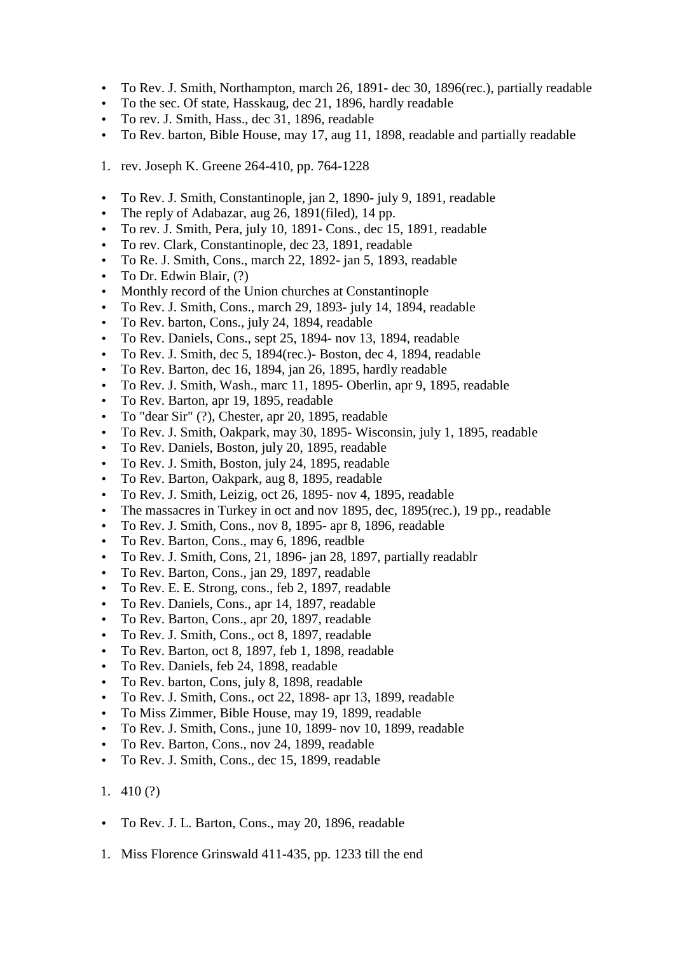- To Rev. J. Smith, Northampton, march 26, 1891- dec 30, 1896(rec.), partially readable
- To the sec. Of state, Hasskaug, dec 21, 1896, hardly readable
- To rev. J. Smith, Hass., dec 31, 1896, readable
- To Rev. barton, Bible House, may 17, aug 11, 1898, readable and partially readable
- 1. rev. Joseph K. Greene 264-410, pp. 764-1228
- To Rev. J. Smith, Constantinople, jan 2, 1890- july 9, 1891, readable
- The reply of Adabazar, aug 26, 1891(filed), 14 pp.
- To rev. J. Smith, Pera, july 10, 1891- Cons., dec 15, 1891, readable
- To rev. Clark, Constantinople, dec 23, 1891, readable
- To Re. J. Smith, Cons., march 22, 1892- jan 5, 1893, readable
- To Dr. Edwin Blair, (?)
- Monthly record of the Union churches at Constantinople
- To Rev. J. Smith, Cons., march 29, 1893- july 14, 1894, readable
- To Rev. barton, Cons., july 24, 1894, readable
- To Rev. Daniels, Cons., sept 25, 1894- nov 13, 1894, readable
- To Rev. J. Smith, dec 5, 1894(rec.)- Boston, dec 4, 1894, readable
- To Rev. Barton, dec 16, 1894, jan 26, 1895, hardly readable
- To Rev. J. Smith, Wash., marc 11, 1895- Oberlin, apr 9, 1895, readable
- To Rev. Barton, apr 19, 1895, readable
- To "dear Sir" (?), Chester, apr 20, 1895, readable
- To Rev. J. Smith, Oakpark, may 30, 1895- Wisconsin, july 1, 1895, readable
- To Rev. Daniels, Boston, july 20, 1895, readable
- To Rev. J. Smith, Boston, july 24, 1895, readable
- To Rev. Barton, Oakpark, aug 8, 1895, readable
- To Rev. J. Smith, Leizig, oct 26, 1895- nov 4, 1895, readable
- The massacres in Turkey in oct and nov 1895, dec, 1895(rec.), 19 pp., readable
- To Rev. J. Smith, Cons., nov 8, 1895- apr 8, 1896, readable
- To Rev. Barton, Cons., may 6, 1896, readble
- To Rev. J. Smith, Cons, 21, 1896- jan 28, 1897, partially readablr
- To Rev. Barton, Cons., jan 29, 1897, readable
- To Rev. E. E. Strong, cons., feb 2, 1897, readable
- To Rev. Daniels, Cons., apr 14, 1897, readable
- To Rev. Barton, Cons., apr 20, 1897, readable
- To Rev. J. Smith, Cons., oct 8, 1897, readable
- To Rev. Barton, oct 8, 1897, feb 1, 1898, readable
- To Rev. Daniels, feb 24, 1898, readable
- To Rev. barton, Cons, july 8, 1898, readable
- To Rev. J. Smith, Cons., oct 22, 1898- apr 13, 1899, readable
- To Miss Zimmer, Bible House, may 19, 1899, readable
- To Rev. J. Smith, Cons., june 10, 1899- nov 10, 1899, readable
- To Rev. Barton, Cons., nov 24, 1899, readable
- To Rev. J. Smith, Cons., dec 15, 1899, readable
- 1. 410 (?)
- To Rev. J. L. Barton, Cons., may 20, 1896, readable
- 1. Miss Florence Grinswald 411-435, pp. 1233 till the end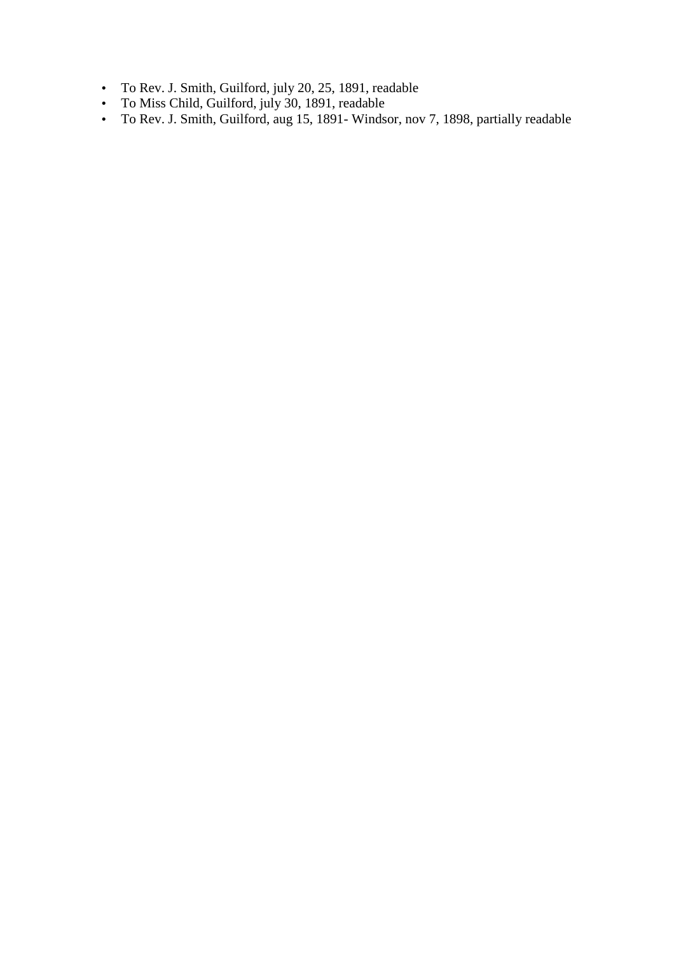- To Rev. J. Smith, Guilford, july 20, 25, 1891, readable
- To Miss Child, Guilford, july 30, 1891, readable
- To Rev. J. Smith, Guilford, aug 15, 1891- Windsor, nov 7, 1898, partially readable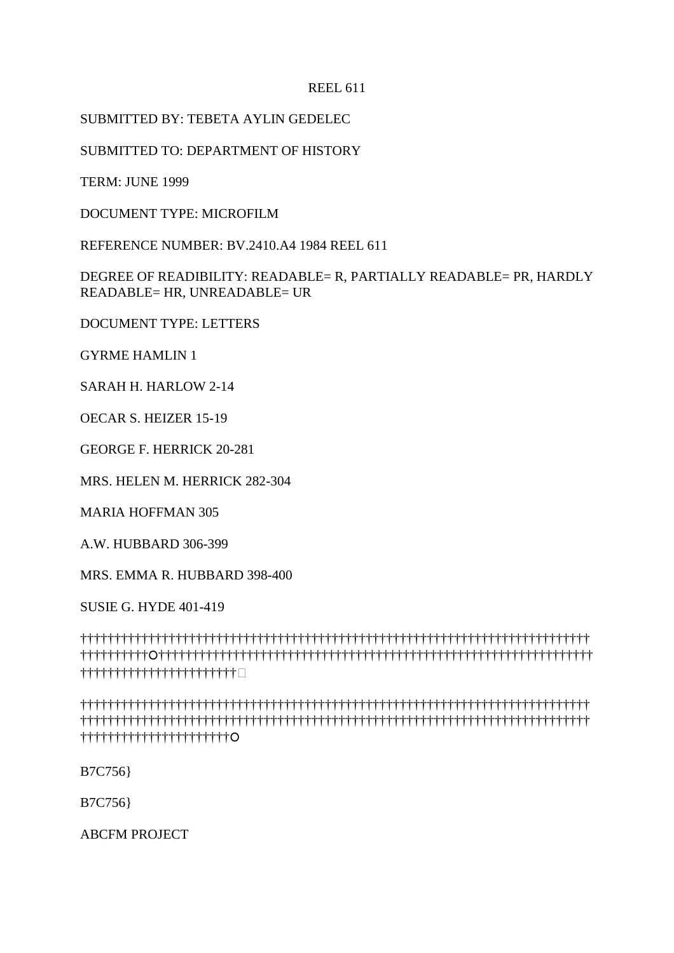# SUBMITTED BY: TEBETA AYLIN GEDELEC

SUBMITTED TO: DEPARTMENT OF HISTORY

TERM: JUNE 1999

DOCUMENT TYPE: MICROFILM

REFERENCE NUMBER: BV.2410.A4 1984 REEL 611

DEGREE OF READIBILITY: READABLE= R, PARTIALLY READABLE= PR, HARDLY READABLE= HR, UNREADABLE= UR

DOCUMENT TYPE: LETTERS

GYRME HAMLIN 1

SARAH H. HARLOW 2-14

OECAR S. HEIZER 15-19

GEORGE F. HERRICK 20-281

MRS. HELEN M. HERRICK 282-304

MARIA HOFFMAN 305

A.W. HUBBARD 306-399

MRS. EMMA R. HUBBARD 398-400

SUSIE G. HYDE 401-419

††††††††††††††††††††††††††††††††††††††††††††††††††††††††††††††††††††††††††† †††††††††††††††††††††††††††††††††††††††††††††††††††††††††††††††††††††††††† †††††††††††††††††††††††-

††††††††††††††††††††††††††††††††††††††††††††††††††††††††††††††††††††††††††† ††††††††††††††††††††††††††††††††††††††††††††††††††††††††††††††††††††††††††† ††††††††††††††††††††††

B7C756}

B7C756}

ABCFM PROJECT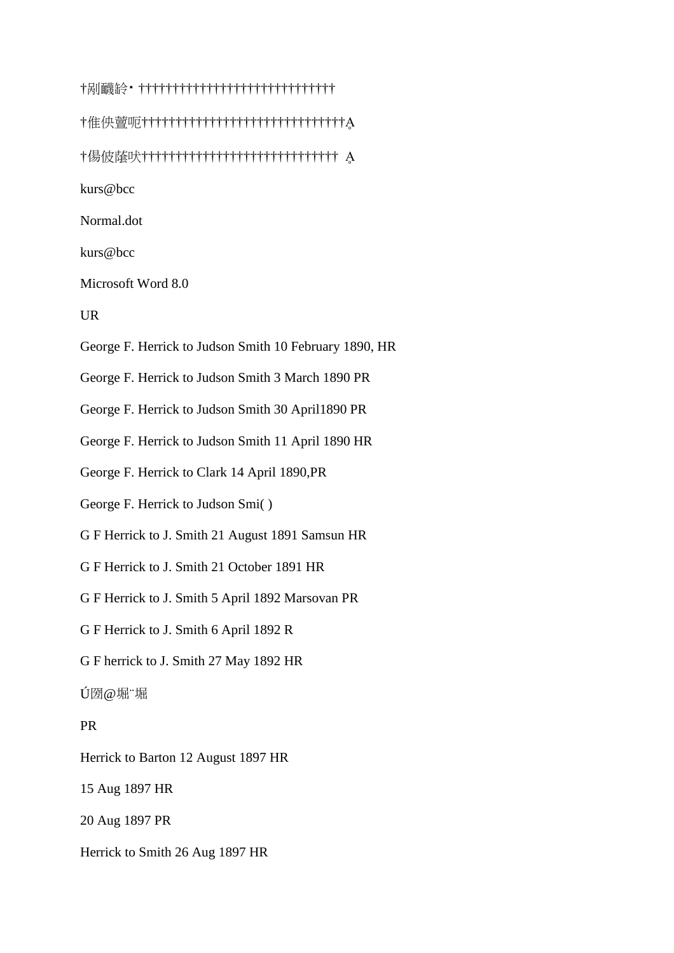†剐䩏䍅⁔ ††††††††††††††††††††††††††††† †倠佒䕊呃††††††††††††††††††††††††††††††Ḁ †偒佊䕃吠††††††††††††††††††††††††††††† Ḁ kurs@bcc Normal.dot kurs@bcc Microsoft Word 8.0 UR George F. Herrick to Judson Smith 10 February 1890, HR George F. Herrick to Judson Smith 3 March 1890 PR George F. Herrick to Judson Smith 30 April1890 PR George F. Herrick to Judson Smith 11 April 1890 HR George F. Herrick to Clark 14 April 1890,PR George F. Herrick to Judson Smi( ) G F Herrick to J. Smith 21 August 1891 Samsun HR G F Herrick to J. Smith 21 October 1891 HR G F Herrick to J. Smith 5 April 1892 Marsovan PR G F Herrick to J. Smith 6 April 1892 R G F herrick to J. Smith 27 May 1892 HR Ú圀@堀¨堀 PR Herrick to Barton 12 August 1897 HR 15 Aug 1897 HR 20 Aug 1897 PR Herrick to Smith 26 Aug 1897 HR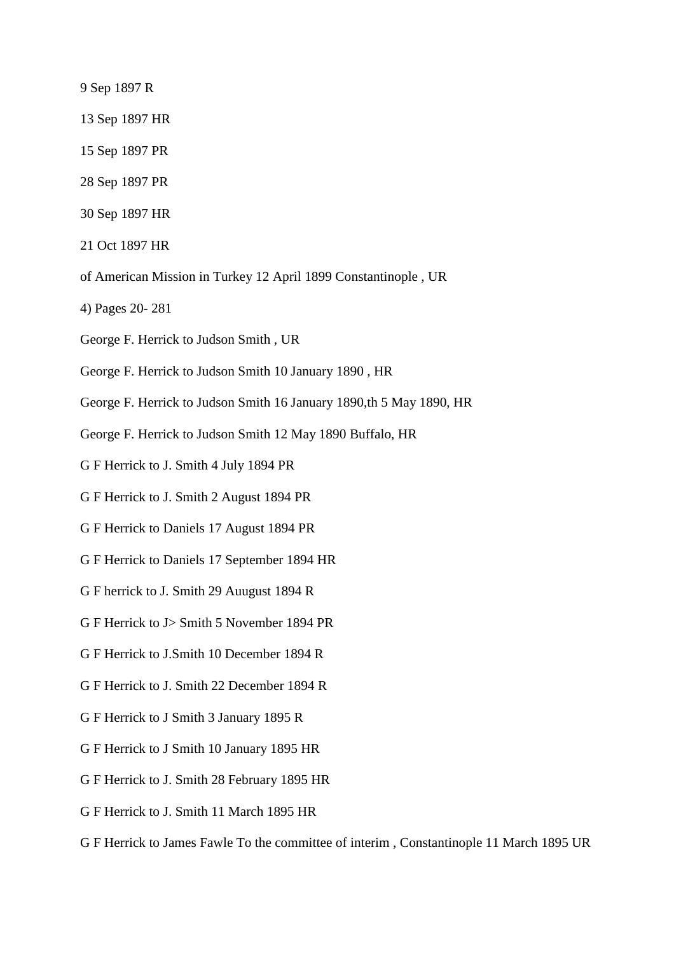- 9 Sep 1897 R
- 13 Sep 1897 HR
- 15 Sep 1897 PR
- 28 Sep 1897 PR
- 30 Sep 1897 HR
- 21 Oct 1897 HR
- of American Mission in Turkey 12 April 1899 Constantinople , UR
- 4) Pages 20- 281
- George F. Herrick to Judson Smith , UR
- George F. Herrick to Judson Smith 10 January 1890 , HR
- George F. Herrick to Judson Smith 16 January 1890,th 5 May 1890, HR
- George F. Herrick to Judson Smith 12 May 1890 Buffalo, HR
- G F Herrick to J. Smith 4 July 1894 PR
- G F Herrick to J. Smith 2 August 1894 PR
- G F Herrick to Daniels 17 August 1894 PR
- G F Herrick to Daniels 17 September 1894 HR
- G F herrick to J. Smith 29 Auugust 1894 R
- G F Herrick to J> Smith 5 November 1894 PR
- G F Herrick to J.Smith 10 December 1894 R
- G F Herrick to J. Smith 22 December 1894 R
- G F Herrick to J Smith 3 January 1895 R
- G F Herrick to J Smith 10 January 1895 HR
- G F Herrick to J. Smith 28 February 1895 HR
- G F Herrick to J. Smith 11 March 1895 HR
- G F Herrick to James Fawle To the committee of interim , Constantinople 11 March 1895 UR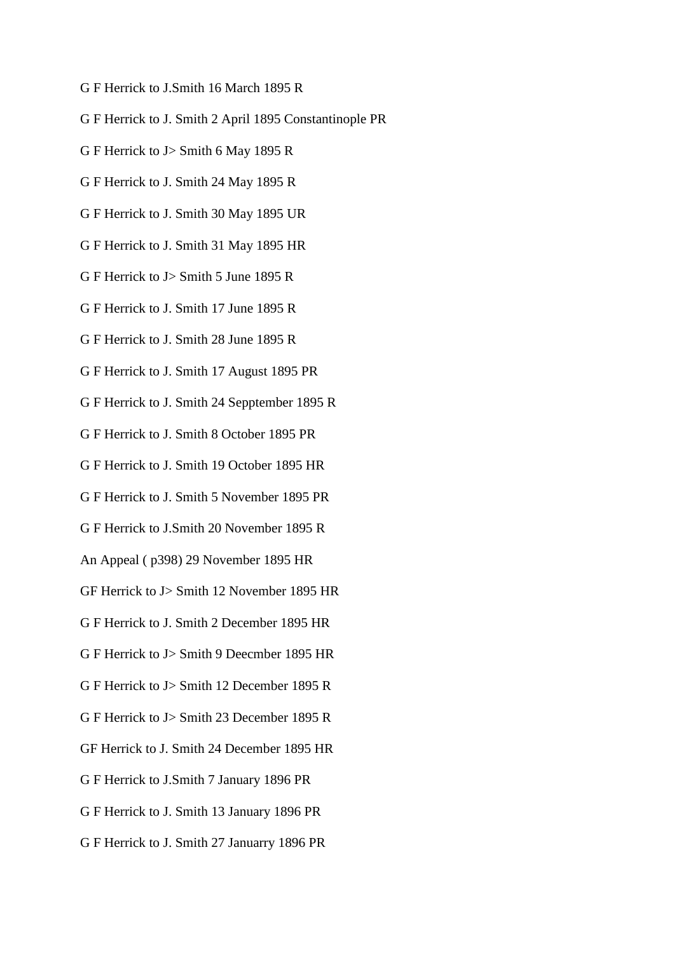- G F Herrick to J.Smith 16 March 1895 R
- G F Herrick to J. Smith 2 April 1895 Constantinople PR
- G F Herrick to J> Smith 6 May 1895 R
- G F Herrick to J. Smith 24 May 1895 R
- G F Herrick to J. Smith 30 May 1895 UR
- G F Herrick to J. Smith 31 May 1895 HR
- G F Herrick to J> Smith 5 June 1895 R
- G F Herrick to J. Smith 17 June 1895 R
- G F Herrick to J. Smith 28 June 1895 R
- G F Herrick to J. Smith 17 August 1895 PR
- G F Herrick to J. Smith 24 Sepptember 1895 R
- G F Herrick to J. Smith 8 October 1895 PR
- G F Herrick to J. Smith 19 October 1895 HR
- G F Herrick to J. Smith 5 November 1895 PR
- G F Herrick to J.Smith 20 November 1895 R
- An Appeal ( p398) 29 November 1895 HR
- GF Herrick to J> Smith 12 November 1895 HR
- G F Herrick to J. Smith 2 December 1895 HR
- G F Herrick to J> Smith 9 Deecmber 1895 HR
- G F Herrick to J> Smith 12 December 1895 R
- G F Herrick to J> Smith 23 December 1895 R
- GF Herrick to J. Smith 24 December 1895 HR
- G F Herrick to J.Smith 7 January 1896 PR
- G F Herrick to J. Smith 13 January 1896 PR
- G F Herrick to J. Smith 27 Januarry 1896 PR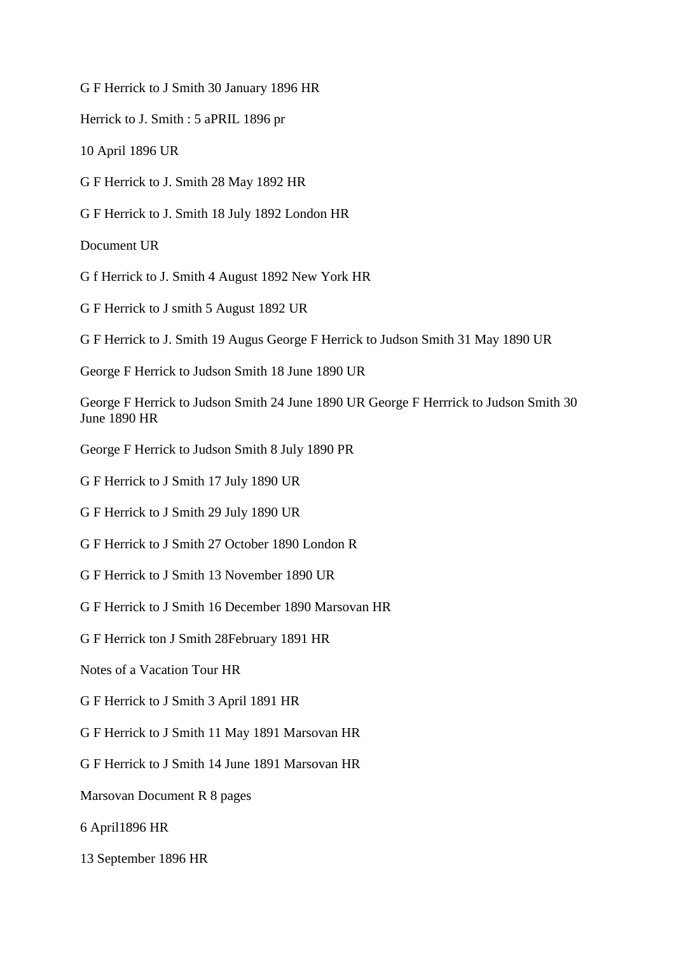G F Herrick to J Smith 30 January 1896 HR

Herrick to J. Smith : 5 aPRIL 1896 pr

10 April 1896 UR

G F Herrick to J. Smith 28 May 1892 HR

G F Herrick to J. Smith 18 July 1892 London HR

Document UR

G f Herrick to J. Smith 4 August 1892 New York HR

G F Herrick to J smith 5 August 1892 UR

G F Herrick to J. Smith 19 Augus George F Herrick to Judson Smith 31 May 1890 UR

George F Herrick to Judson Smith 18 June 1890 UR

George F Herrick to Judson Smith 24 June 1890 UR George F Herrrick to Judson Smith 30 June 1890 HR

George F Herrick to Judson Smith 8 July 1890 PR

G F Herrick to J Smith 17 July 1890 UR

G F Herrick to J Smith 29 July 1890 UR

G F Herrick to J Smith 27 October 1890 London R

G F Herrick to J Smith 13 November 1890 UR

G F Herrick to J Smith 16 December 1890 Marsovan HR

G F Herrick ton J Smith 28February 1891 HR

Notes of a Vacation Tour HR

G F Herrick to J Smith 3 April 1891 HR

G F Herrick to J Smith 11 May 1891 Marsovan HR

G F Herrick to J Smith 14 June 1891 Marsovan HR

Marsovan Document R 8 pages

6 April1896 HR

13 September 1896 HR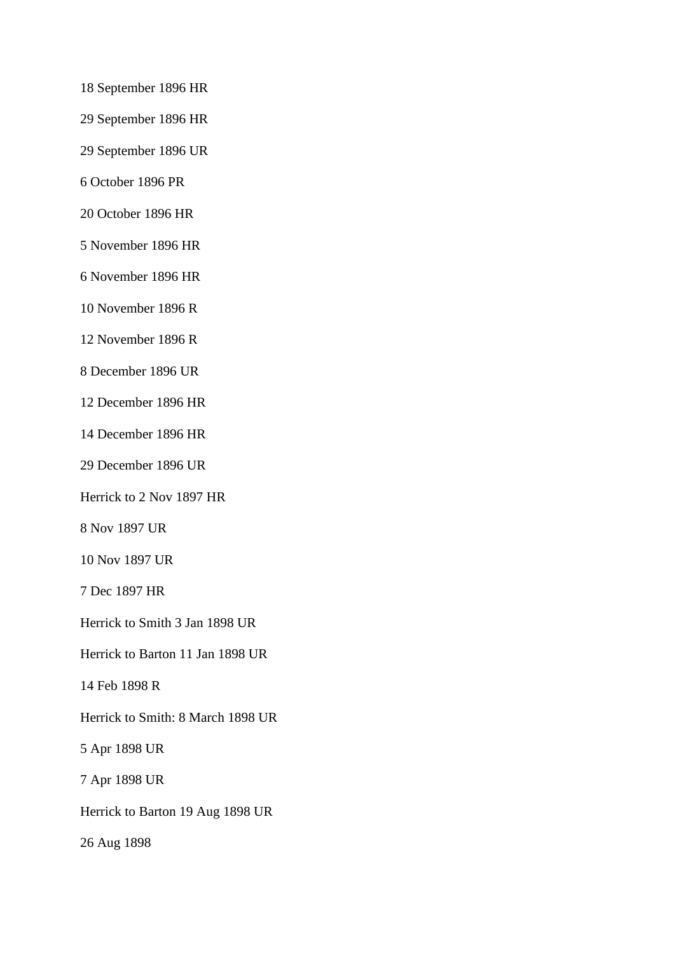- 18 September 1896 HR
- 29 September 1896 HR
- 29 September 1896 UR
- 6 October 1896 PR
- 20 October 1896 HR
- 5 November 1896 HR
- 6 November 1896 HR
- 10 November 1896 R
- 12 November 1896 R
- 8 December 1896 UR
- 12 December 1896 HR
- 14 December 1896 HR
- 29 December 1896 UR
- Herrick to 2 Nov 1897 HR
- 8 Nov 1897 UR
- 10 Nov 1897 UR
- 7 Dec 1897 HR
- Herrick to Smith 3 Jan 1898 UR
- Herrick to Barton 11 Jan 1898 UR
- 14 Feb 1898 R
- Herrick to Smith: 8 March 1898 UR
- 5 Apr 1898 UR
- 7 Apr 1898 UR
- Herrick to Barton 19 Aug 1898 UR
- 26 Aug 1898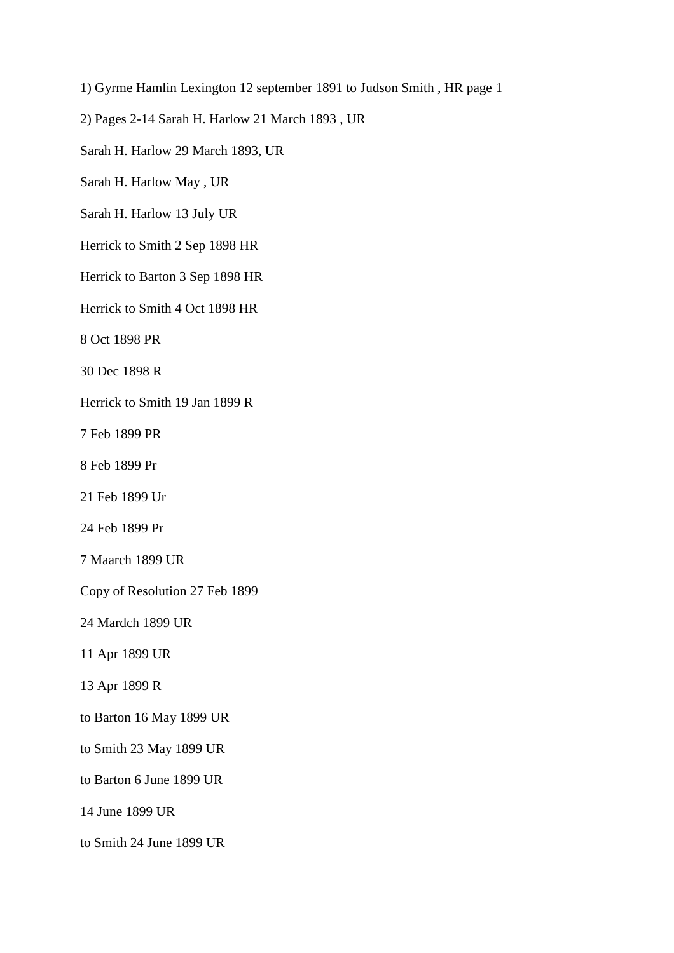1) Gyrme Hamlin Lexington 12 september 1891 to Judson Smith , HR page 1

2) Pages 2-14 Sarah H. Harlow 21 March 1893 , UR

Sarah H. Harlow 29 March 1893, UR

Sarah H. Harlow May , UR

Sarah H. Harlow 13 July UR

Herrick to Smith 2 Sep 1898 HR

Herrick to Barton 3 Sep 1898 HR

Herrick to Smith 4 Oct 1898 HR

8 Oct 1898 PR

30 Dec 1898 R

Herrick to Smith 19 Jan 1899 R

7 Feb 1899 PR

8 Feb 1899 Pr

21 Feb 1899 Ur

24 Feb 1899 Pr

7 Maarch 1899 UR

Copy of Resolution 27 Feb 1899

24 Mardch 1899 UR

11 Apr 1899 UR

13 Apr 1899 R

to Barton 16 May 1899 UR

to Smith 23 May 1899 UR

to Barton 6 June 1899 UR

14 June 1899 UR

to Smith 24 June 1899 UR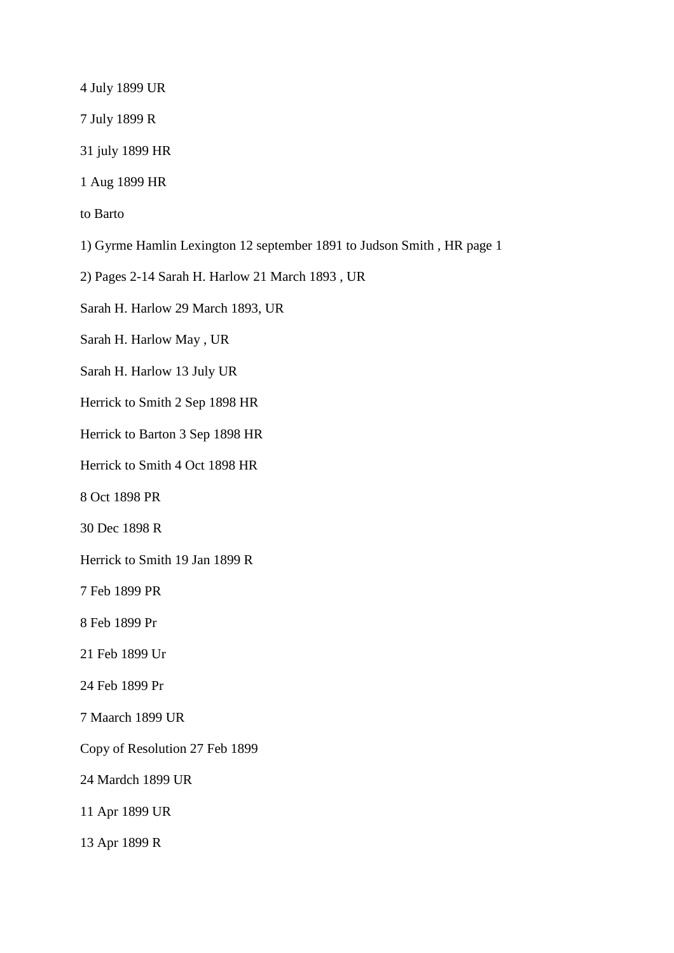4 July 1899 UR

7 July 1899 R

31 july 1899 HR

1 Aug 1899 HR

to Barto

1) Gyrme Hamlin Lexington 12 september 1891 to Judson Smith , HR page 1

2) Pages 2-14 Sarah H. Harlow 21 March 1893 , UR

Sarah H. Harlow 29 March 1893, UR

Sarah H. Harlow May , UR

Sarah H. Harlow 13 July UR

Herrick to Smith 2 Sep 1898 HR

Herrick to Barton 3 Sep 1898 HR

Herrick to Smith 4 Oct 1898 HR

8 Oct 1898 PR

30 Dec 1898 R

Herrick to Smith 19 Jan 1899 R

7 Feb 1899 PR

8 Feb 1899 Pr

21 Feb 1899 Ur

24 Feb 1899 Pr

7 Maarch 1899 UR

Copy of Resolution 27 Feb 1899

24 Mardch 1899 UR

11 Apr 1899 UR

13 Apr 1899 R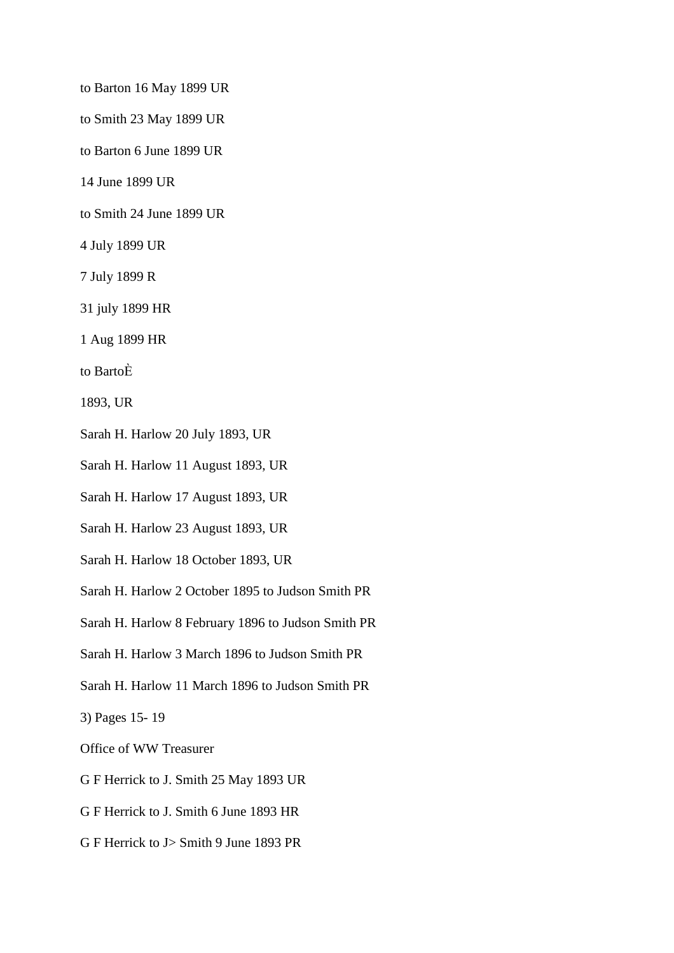to Barton 16 May 1899 UR

to Smith 23 May 1899 UR

to Barton 6 June 1899 UR

14 June 1899 UR

to Smith 24 June 1899 UR

- 4 July 1899 UR
- 7 July 1899 R
- 31 july 1899 HR

1 Aug 1899 HR

to BartoЀ

1893, UR

- Sarah H. Harlow 20 July 1893, UR
- Sarah H. Harlow 11 August 1893, UR
- Sarah H. Harlow 17 August 1893, UR
- Sarah H. Harlow 23 August 1893, UR
- Sarah H. Harlow 18 October 1893, UR
- Sarah H. Harlow 2 October 1895 to Judson Smith PR
- Sarah H. Harlow 8 February 1896 to Judson Smith PR
- Sarah H. Harlow 3 March 1896 to Judson Smith PR
- Sarah H. Harlow 11 March 1896 to Judson Smith PR

3) Pages 15- 19

Office of WW Treasurer

- G F Herrick to J. Smith 25 May 1893 UR
- G F Herrick to J. Smith 6 June 1893 HR
- G F Herrick to J> Smith 9 June 1893 PR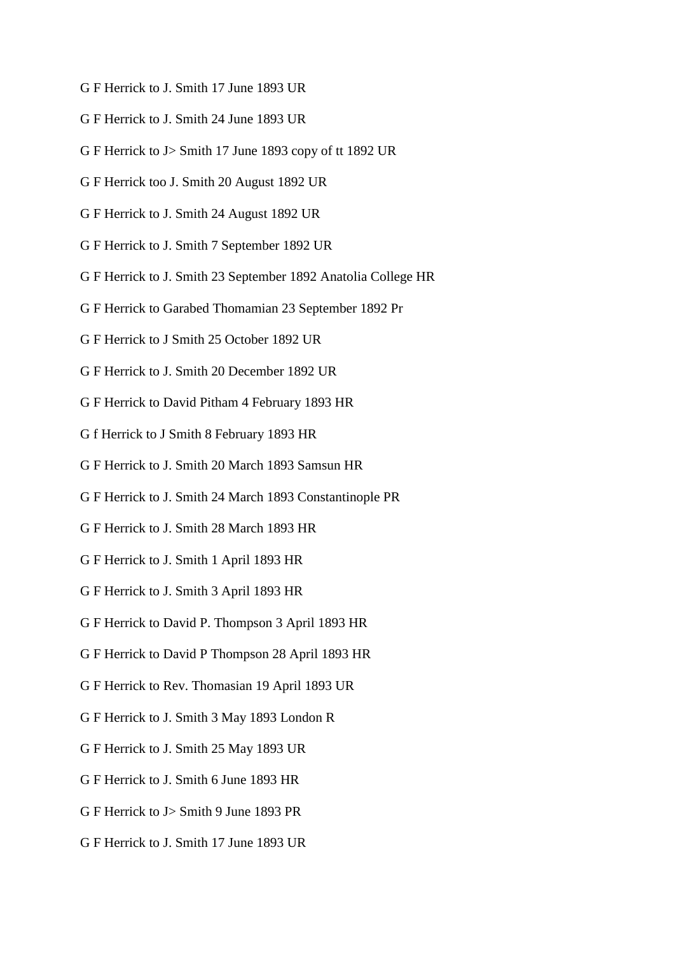- G F Herrick to J. Smith 17 June 1893 UR
- G F Herrick to J. Smith 24 June 1893 UR
- G F Herrick to J> Smith 17 June 1893 copy of tt 1892 UR
- G F Herrick too J. Smith 20 August 1892 UR
- G F Herrick to J. Smith 24 August 1892 UR
- G F Herrick to J. Smith 7 September 1892 UR
- G F Herrick to J. Smith 23 September 1892 Anatolia College HR
- G F Herrick to Garabed Thomamian 23 September 1892 Pr
- G F Herrick to J Smith 25 October 1892 UR
- G F Herrick to J. Smith 20 December 1892 UR
- G F Herrick to David Pitham 4 February 1893 HR
- G f Herrick to J Smith 8 February 1893 HR
- G F Herrick to J. Smith 20 March 1893 Samsun HR
- G F Herrick to J. Smith 24 March 1893 Constantinople PR
- G F Herrick to J. Smith 28 March 1893 HR
- G F Herrick to J. Smith 1 April 1893 HR
- G F Herrick to J. Smith 3 April 1893 HR
- G F Herrick to David P. Thompson 3 April 1893 HR
- G F Herrick to David P Thompson 28 April 1893 HR
- G F Herrick to Rev. Thomasian 19 April 1893 UR
- G F Herrick to J. Smith 3 May 1893 London R
- G F Herrick to J. Smith 25 May 1893 UR
- G F Herrick to J. Smith 6 June 1893 HR
- G F Herrick to J> Smith 9 June 1893 PR
- G F Herrick to J. Smith 17 June 1893 UR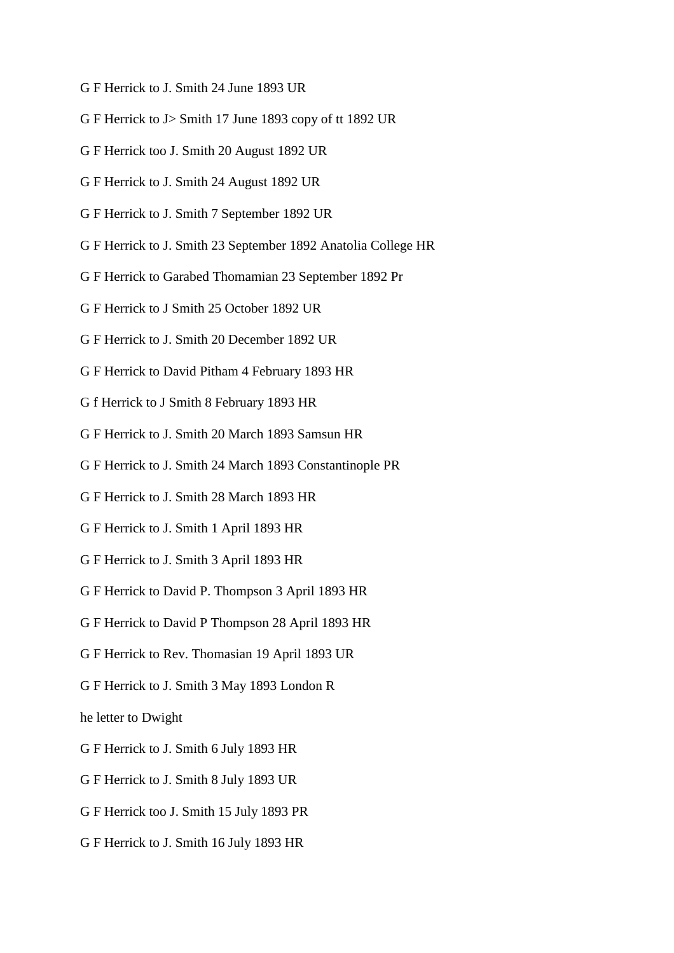- G F Herrick to J. Smith 24 June 1893 UR
- G F Herrick to J> Smith 17 June 1893 copy of tt 1892 UR
- G F Herrick too J. Smith 20 August 1892 UR
- G F Herrick to J. Smith 24 August 1892 UR
- G F Herrick to J. Smith 7 September 1892 UR
- G F Herrick to J. Smith 23 September 1892 Anatolia College HR
- G F Herrick to Garabed Thomamian 23 September 1892 Pr
- G F Herrick to J Smith 25 October 1892 UR
- G F Herrick to J. Smith 20 December 1892 UR
- G F Herrick to David Pitham 4 February 1893 HR
- G f Herrick to J Smith 8 February 1893 HR
- G F Herrick to J. Smith 20 March 1893 Samsun HR
- G F Herrick to J. Smith 24 March 1893 Constantinople PR
- G F Herrick to J. Smith 28 March 1893 HR
- G F Herrick to J. Smith 1 April 1893 HR
- G F Herrick to J. Smith 3 April 1893 HR
- G F Herrick to David P. Thompson 3 April 1893 HR
- G F Herrick to David P Thompson 28 April 1893 HR
- G F Herrick to Rev. Thomasian 19 April 1893 UR
- G F Herrick to J. Smith 3 May 1893 London R

he letter to Dwight

- G F Herrick to J. Smith 6 July 1893 HR
- G F Herrick to J. Smith 8 July 1893 UR
- G F Herrick too J. Smith 15 July 1893 PR
- G F Herrick to J. Smith 16 July 1893 HR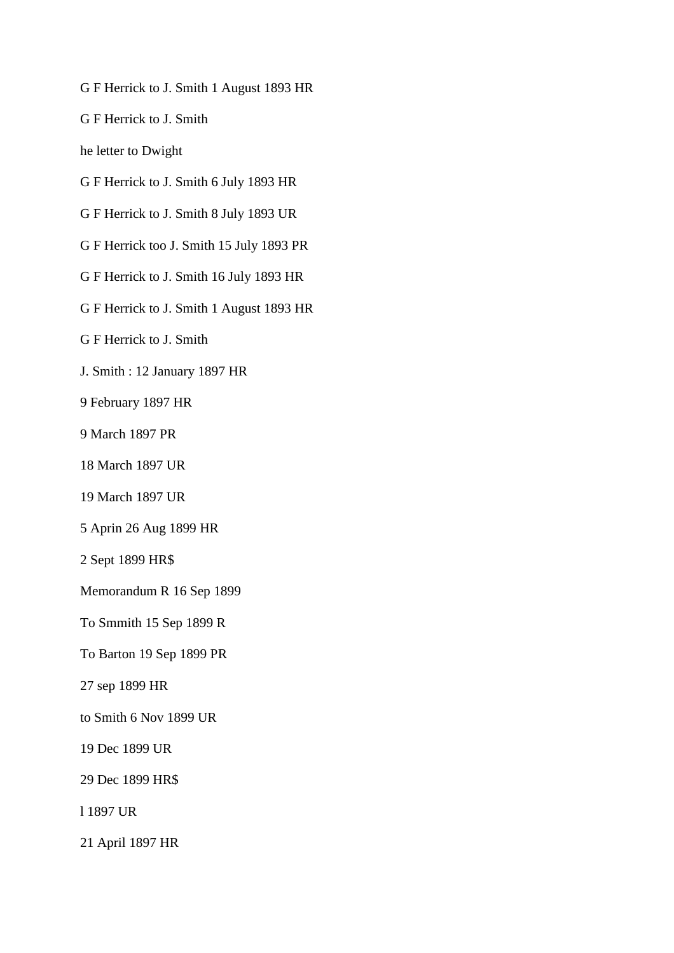G F Herrick to J. Smith 1 August 1893 HR

G F Herrick to J. Smith

he letter to Dwight

- G F Herrick to J. Smith 6 July 1893 HR
- G F Herrick to J. Smith 8 July 1893 UR

G F Herrick too J. Smith 15 July 1893 PR

- G F Herrick to J. Smith 16 July 1893 HR
- G F Herrick to J. Smith 1 August 1893 HR

G F Herrick to J. Smith

- J. Smith : 12 January 1897 HR
- 9 February 1897 HR
- 9 March 1897 PR
- 18 March 1897 UR
- 19 March 1897 UR
- 5 Aprin 26 Aug 1899 HR
- 2 Sept 1899 HR\$
- Memorandum R 16 Sep 1899
- To Smmith 15 Sep 1899 R
- To Barton 19 Sep 1899 PR
- 27 sep 1899 HR
- to Smith 6 Nov 1899 UR
- 19 Dec 1899 UR
- 29 Dec 1899 HR\$
- l 1897 UR
- 21 April 1897 HR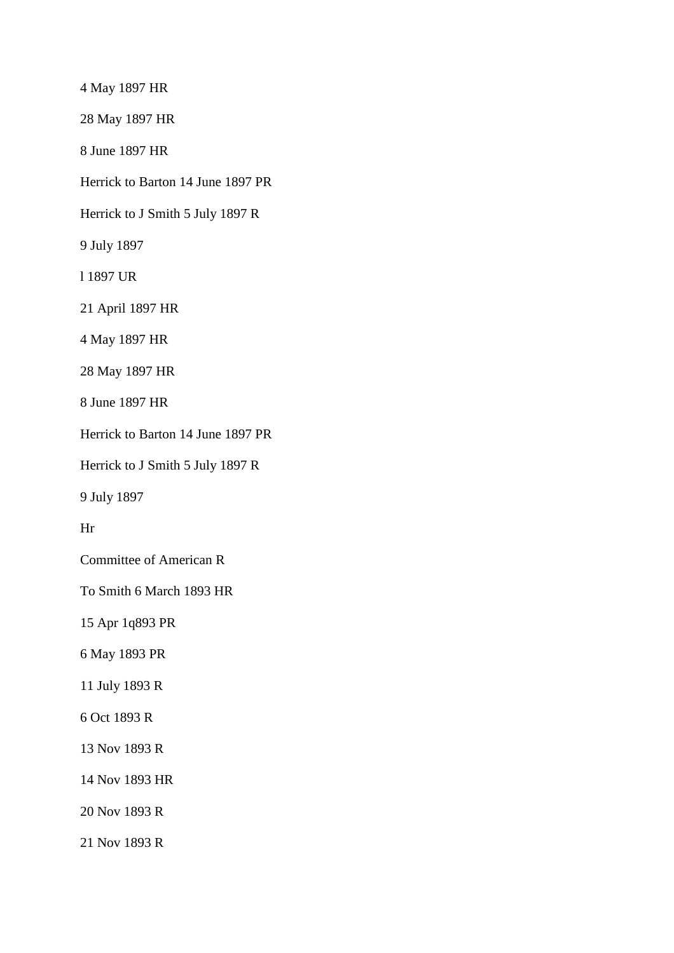4 May 1897 HR 28 May 1897 HR 8 June 1897 HR Herrick to Barton 14 June 1897 PR Herrick to J Smith 5 July 1897 R 9 July 1897 l 1897 UR 21 April 1897 HR 4 May 1897 HR 28 May 1897 HR 8 June 1897 HR Herrick to Barton 14 June 1897 PR Herrick to J Smith 5 July 1897 R 9 July 1897 Hr Committee of American R To Smith 6 March 1893 HR 15 Apr 1q893 PR 6 May 1893 PR 11 July 1893 R 6 Oct 1893 R 13 Nov 1893 R 14 Nov 1893 HR 20 Nov 1893 R 21 Nov 1893 R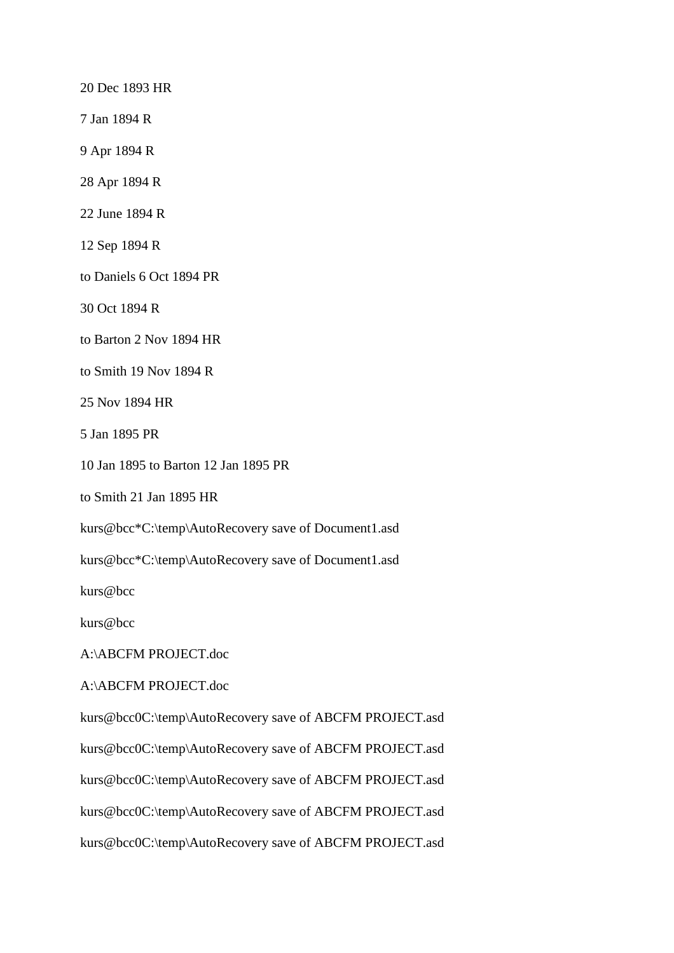20 Dec 1893 HR

7 Jan 1894 R

9 Apr 1894 R

28 Apr 1894 R

22 June 1894 R

12 Sep 1894 R

to Daniels 6 Oct 1894 PR

30 Oct 1894 R

to Barton 2 Nov 1894 HR

to Smith 19 Nov 1894 R

25 Nov 1894 HR

5 Jan 1895 PR

10 Jan 1895 to Barton 12 Jan 1895 PR

to Smith 21 Jan 1895 HR

kurs@bcc\*C:\temp\AutoRecovery save of Document1.asd

kurs@bcc\*C:\temp\AutoRecovery save of Document1.asd

kurs@bcc

kurs@bcc

A:\ABCFM PROJECT.doc

A:\ABCFM PROJECT.doc

kurs@bcc0C:\temp\AutoRecovery save of ABCFM PROJECT.asd kurs@bcc0C:\temp\AutoRecovery save of ABCFM PROJECT.asd kurs@bcc0C:\temp\AutoRecovery save of ABCFM PROJECT.asd kurs@bcc0C:\temp\AutoRecovery save of ABCFM PROJECT.asd kurs@bcc0C:\temp\AutoRecovery save of ABCFM PROJECT.asd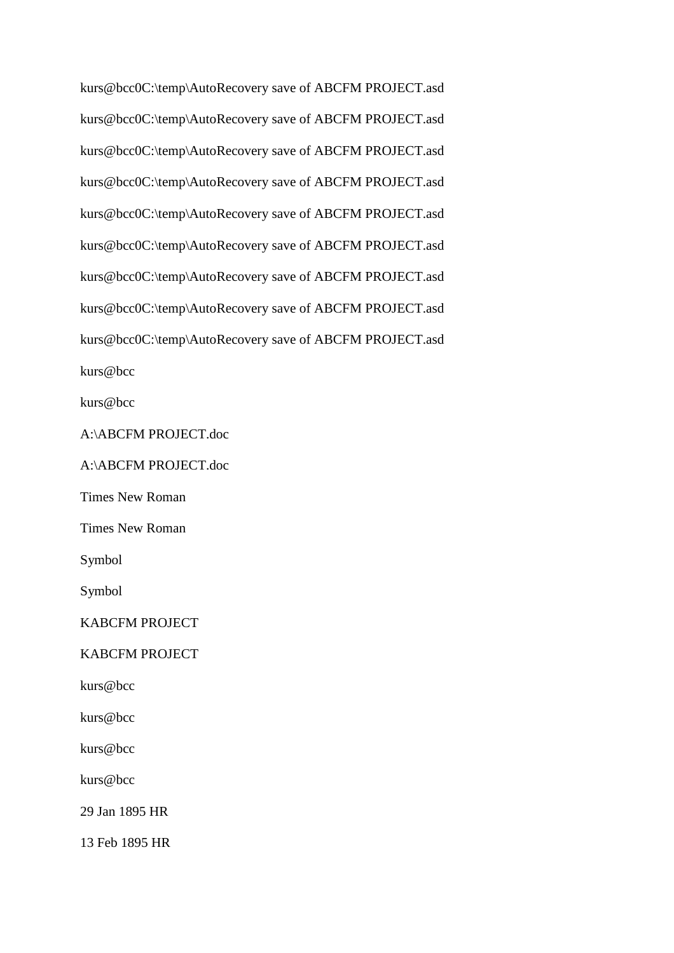kurs@bcc0C:\temp\AutoRecovery save of ABCFM PROJECT.asd kurs@bcc0C:\temp\AutoRecovery save of ABCFM PROJECT.asd kurs@bcc0C:\temp\AutoRecovery save of ABCFM PROJECT.asd kurs@bcc0C:\temp\AutoRecovery save of ABCFM PROJECT.asd kurs@bcc0C:\temp\AutoRecovery save of ABCFM PROJECT.asd kurs@bcc0C:\temp\AutoRecovery save of ABCFM PROJECT.asd kurs@bcc0C:\temp\AutoRecovery save of ABCFM PROJECT.asd kurs@bcc0C:\temp\AutoRecovery save of ABCFM PROJECT.asd kurs@bcc0C:\temp\AutoRecovery save of ABCFM PROJECT.asd kurs@bcc

kurs@bcc

A:\ABCFM PROJECT.doc

A:\ABCFM PROJECT.doc

Times New Roman

Times New Roman

Symbol

Symbol

KABCFM PROJECT

KABCFM PROJECT

kurs@bcc

kurs@bcc

kurs@bcc

kurs@bcc

29 Jan 1895 HR

13 Feb 1895 HR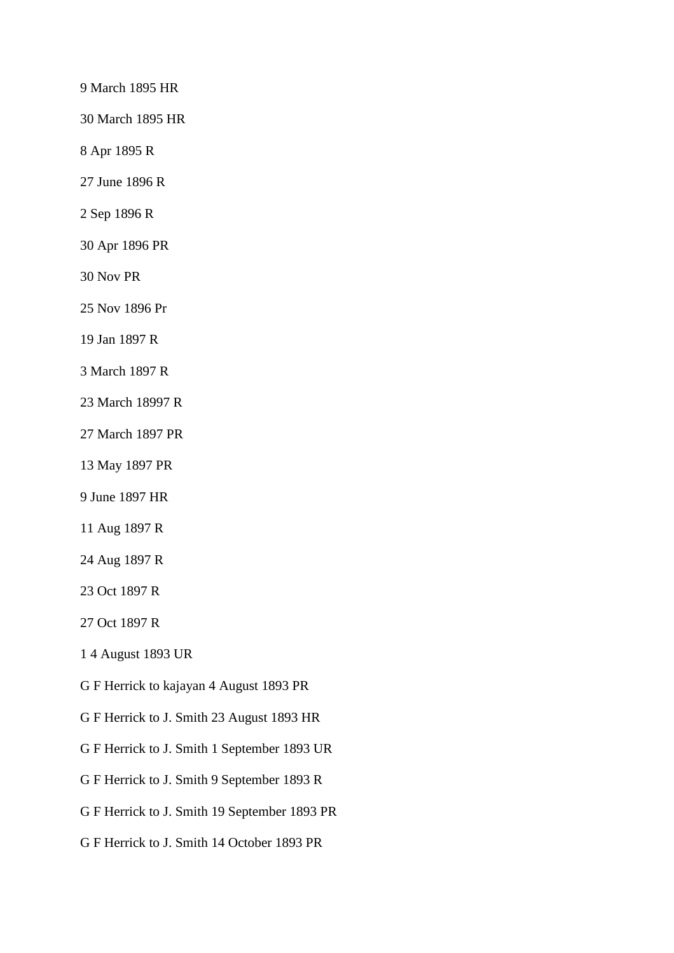9 March 1895 HR

30 March 1895 HR

8 Apr 1895 R

27 June 1896 R

2 Sep 1896 R

30 Apr 1896 PR

30 Nov PR

25 Nov 1896 Pr

19 Jan 1897 R

3 March 1897 R

23 March 18997 R

27 March 1897 PR

13 May 1897 PR

9 June 1897 HR

11 Aug 1897 R

24 Aug 1897 R

23 Oct 1897 R

27 Oct 1897 R

1 4 August 1893 UR

G F Herrick to kajayan 4 August 1893 PR

G F Herrick to J. Smith 23 August 1893 HR

G F Herrick to J. Smith 1 September 1893 UR

G F Herrick to J. Smith 9 September 1893 R

G F Herrick to J. Smith 19 September 1893 PR

G F Herrick to J. Smith 14 October 1893 PR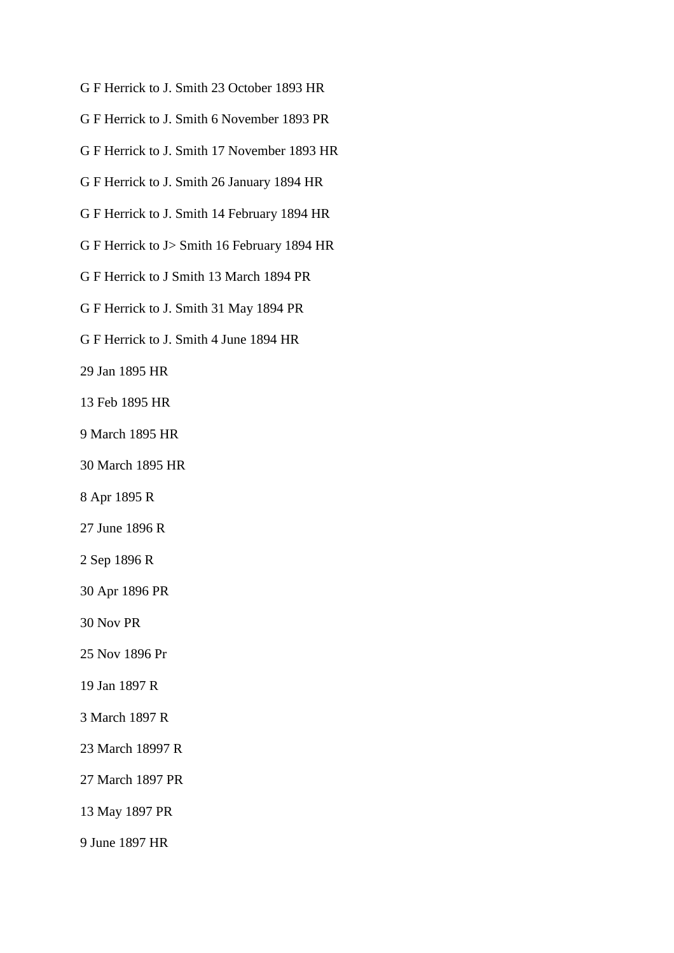- G F Herrick to J. Smith 23 October 1893 HR
- G F Herrick to J. Smith 6 November 1893 PR
- G F Herrick to J. Smith 17 November 1893 HR
- G F Herrick to J. Smith 26 January 1894 HR
- G F Herrick to J. Smith 14 February 1894 HR
- G F Herrick to J> Smith 16 February 1894 HR
- G F Herrick to J Smith 13 March 1894 PR
- G F Herrick to J. Smith 31 May 1894 PR
- G F Herrick to J. Smith 4 June 1894 HR
- 29 Jan 1895 HR
- 13 Feb 1895 HR
- 9 March 1895 HR
- 30 March 1895 HR
- 8 Apr 1895 R
- 27 June 1896 R
- 2 Sep 1896 R
- 30 Apr 1896 PR
- 30 Nov PR
- 25 Nov 1896 Pr
- 19 Jan 1897 R
- 3 March 1897 R
- 23 March 18997 R
- 27 March 1897 PR
- 13 May 1897 PR
- 9 June 1897 HR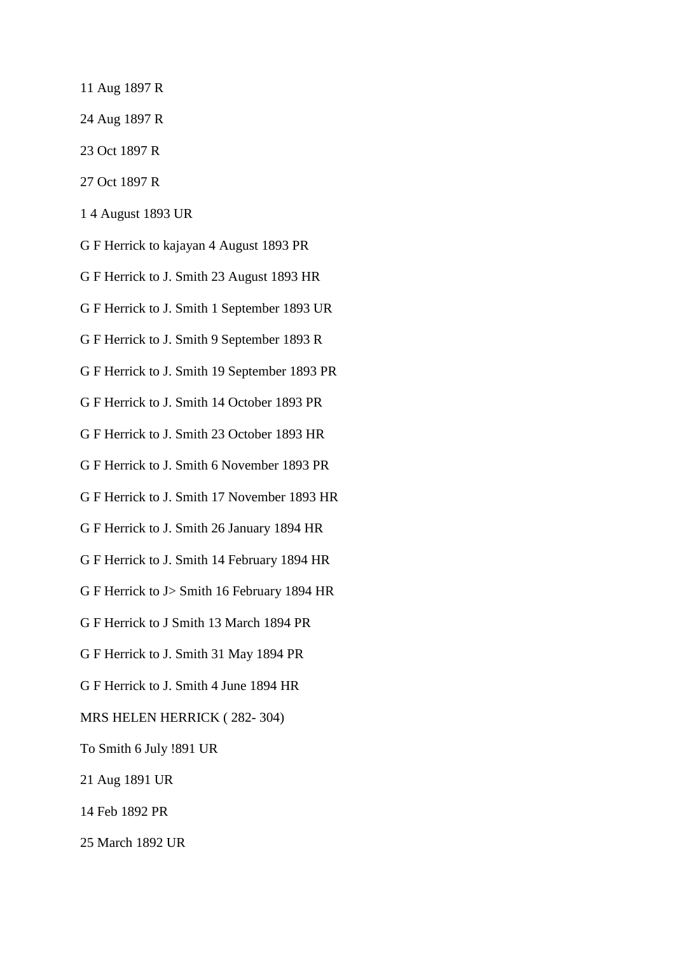- 11 Aug 1897 R
- 24 Aug 1897 R
- 23 Oct 1897 R
- 27 Oct 1897 R
- 1 4 August 1893 UR
- G F Herrick to kajayan 4 August 1893 PR
- G F Herrick to J. Smith 23 August 1893 HR
- G F Herrick to J. Smith 1 September 1893 UR
- G F Herrick to J. Smith 9 September 1893 R
- G F Herrick to J. Smith 19 September 1893 PR
- G F Herrick to J. Smith 14 October 1893 PR
- G F Herrick to J. Smith 23 October 1893 HR
- G F Herrick to J. Smith 6 November 1893 PR
- G F Herrick to J. Smith 17 November 1893 HR
- G F Herrick to J. Smith 26 January 1894 HR
- G F Herrick to J. Smith 14 February 1894 HR
- G F Herrick to J> Smith 16 February 1894 HR
- G F Herrick to J Smith 13 March 1894 PR
- G F Herrick to J. Smith 31 May 1894 PR
- G F Herrick to J. Smith 4 June 1894 HR
- MRS HELEN HERRICK ( 282- 304)
- To Smith 6 July !891 UR
- 21 Aug 1891 UR
- 14 Feb 1892 PR
- 25 March 1892 UR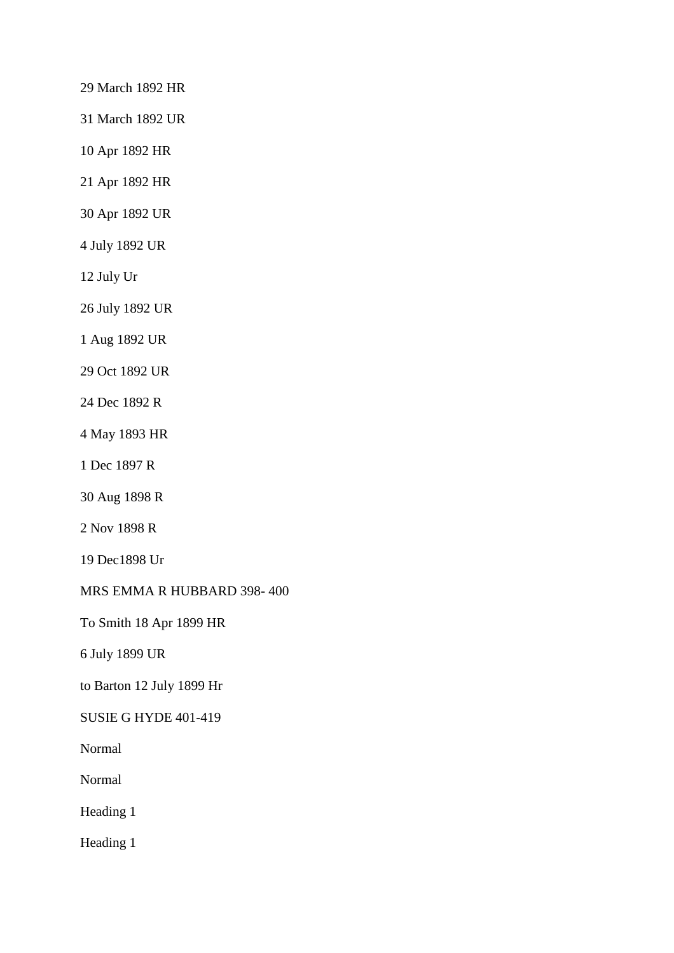29 March 1892 HR

31 March 1892 UR

10 Apr 1892 HR

21 Apr 1892 HR

30 Apr 1892 UR

4 July 1892 UR

12 July Ur

26 July 1892 UR

1 Aug 1892 UR

29 Oct 1892 UR

24 Dec 1892 R

4 May 1893 HR

1 Dec 1897 R

30 Aug 1898 R

2 Nov 1898 R

19 Dec1898 Ur

MRS EMMA R HUBBARD 398- 400

To Smith 18 Apr 1899 HR

6 July 1899 UR

to Barton 12 July 1899 Hr

SUSIE G HYDE 401-419

Normal

Normal

Heading 1

Heading 1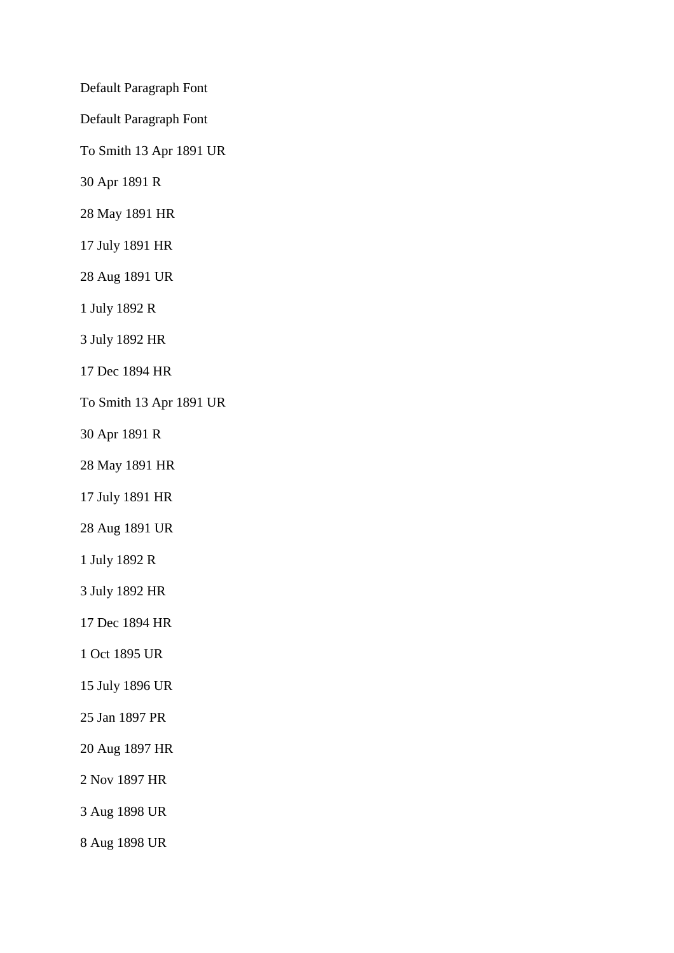Default Paragraph Font

Default Paragraph Font

To Smith 13 Apr 1891 UR

30 Apr 1891 R

28 May 1891 HR

17 July 1891 HR

28 Aug 1891 UR

1 July 1892 R

3 July 1892 HR

17 Dec 1894 HR

To Smith 13 Apr 1891 UR

30 Apr 1891 R

28 May 1891 HR

17 July 1891 HR

28 Aug 1891 UR

1 July 1892 R

3 July 1892 HR

17 Dec 1894 HR

1 Oct 1895 UR

15 July 1896 UR

25 Jan 1897 PR

20 Aug 1897 HR

2 Nov 1897 HR

3 Aug 1898 UR

8 Aug 1898 UR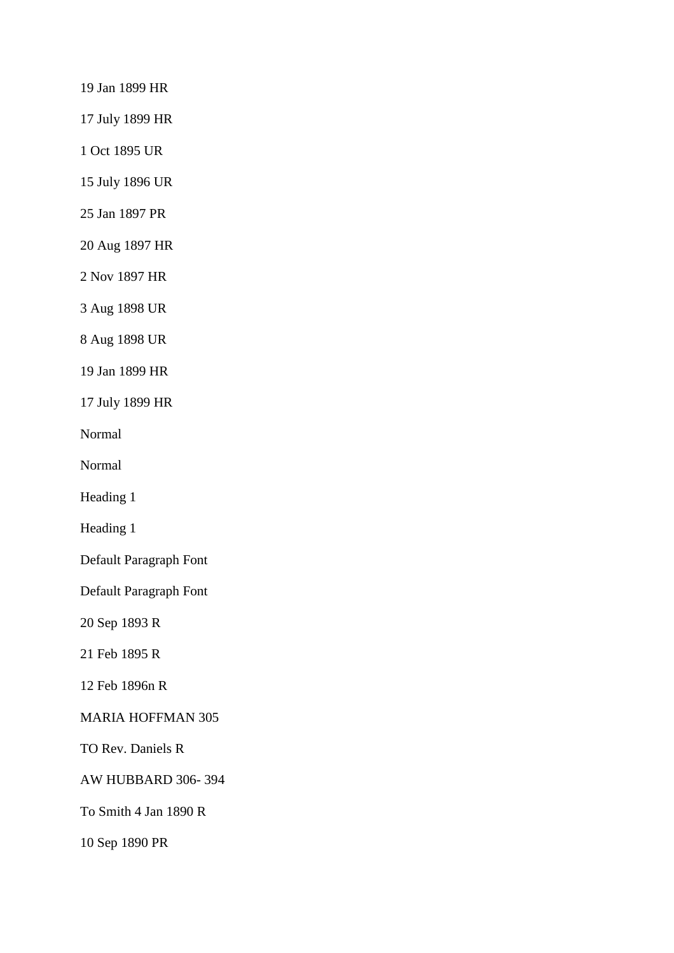19 Jan 1899 HR

17 July 1899 HR

1 Oct 1895 UR

15 July 1896 UR

25 Jan 1897 PR

20 Aug 1897 HR

2 Nov 1897 HR

3 Aug 1898 UR

8 Aug 1898 UR

19 Jan 1899 HR

17 July 1899 HR

Normal

Normal

Heading 1

Heading 1

Default Paragraph Font

Default Paragraph Font

20 Sep 1893 R

21 Feb 1895 R

12 Feb 1896n R

MARIA HOFFMAN 305

TO Rev. Daniels R

AW HUBBARD 306- 394

To Smith 4 Jan 1890 R

10 Sep 1890 PR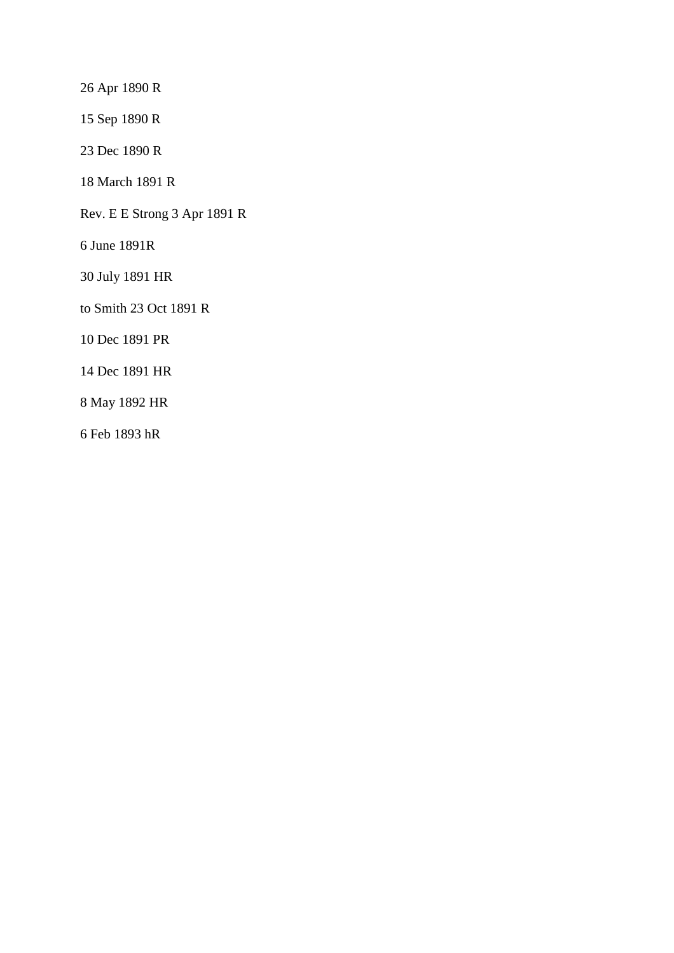26 Apr 1890 R

15 Sep 1890 R

23 Dec 1890 R

18 March 1891 R

Rev. E E Strong 3 Apr 1891 R

6 June 1891R

30 July 1891 HR

to Smith 23 Oct 1891 R

10 Dec 1891 PR

14 Dec 1891 HR

8 May 1892 HR

6 Feb 1893 hR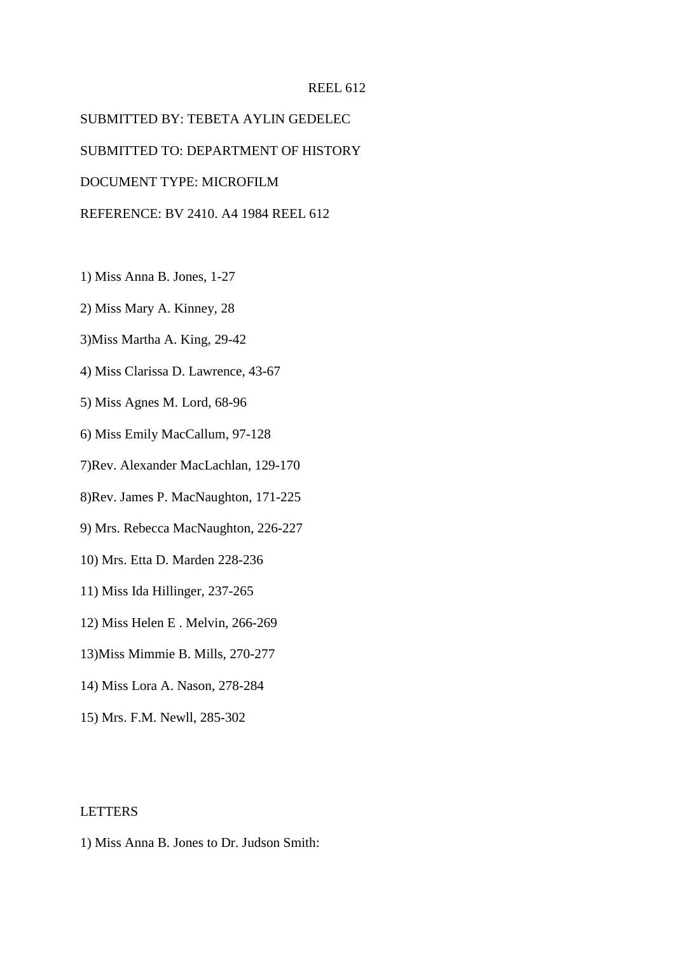#### REEL 612

SUBMITTED BY: TEBETA AYLIN GEDELEC SUBMITTED TO: DEPARTMENT OF HISTORY DOCUMENT TYPE: MICROFILM REFERENCE: BV 2410. A4 1984 REEL 612

- 1) Miss Anna B. Jones, 1-27
- 2) Miss Mary A. Kinney, 28
- 3)Miss Martha A. King, 29-42
- 4) Miss Clarissa D. Lawrence, 43-67
- 5) Miss Agnes M. Lord, 68-96
- 6) Miss Emily MacCallum, 97-128
- 7)Rev. Alexander MacLachlan, 129-170
- 8)Rev. James P. MacNaughton, 171-225
- 9) Mrs. Rebecca MacNaughton, 226-227
- 10) Mrs. Etta D. Marden 228-236
- 11) Miss Ida Hillinger, 237-265
- 12) Miss Helen E . Melvin, 266-269
- 13)Miss Mimmie B. Mills, 270-277
- 14) Miss Lora A. Nason, 278-284
- 15) Mrs. F.M. Newll, 285-302

## LETTERS

1) Miss Anna B. Jones to Dr. Judson Smith: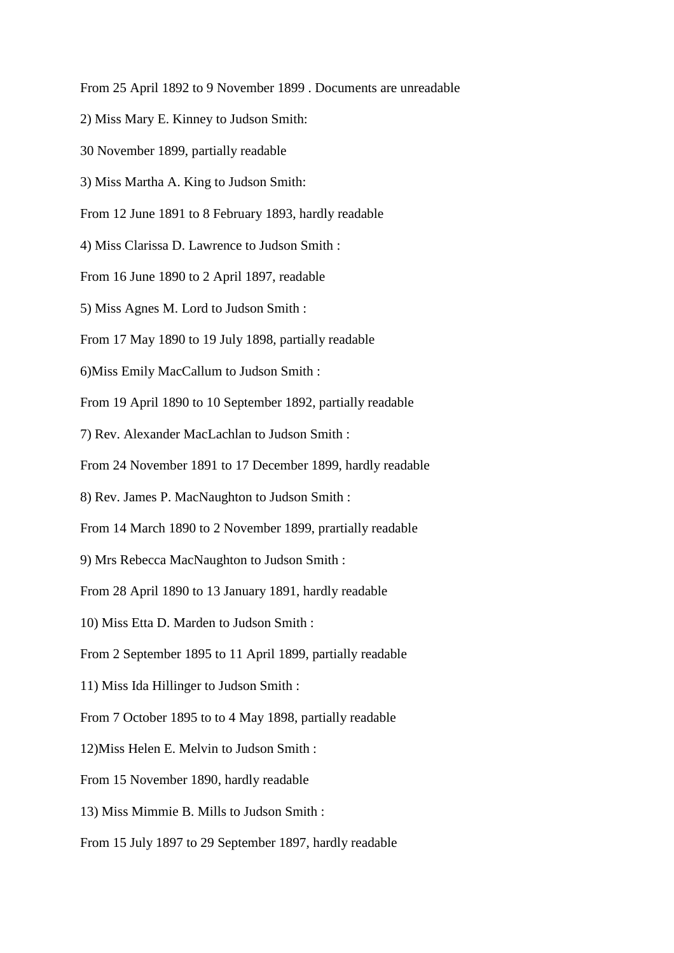From 25 April 1892 to 9 November 1899 . Documents are unreadable

2) Miss Mary E. Kinney to Judson Smith:

30 November 1899, partially readable

3) Miss Martha A. King to Judson Smith:

From 12 June 1891 to 8 February 1893, hardly readable

4) Miss Clarissa D. Lawrence to Judson Smith :

From 16 June 1890 to 2 April 1897, readable

5) Miss Agnes M. Lord to Judson Smith :

From 17 May 1890 to 19 July 1898, partially readable

6)Miss Emily MacCallum to Judson Smith :

From 19 April 1890 to 10 September 1892, partially readable

7) Rev. Alexander MacLachlan to Judson Smith :

From 24 November 1891 to 17 December 1899, hardly readable

8) Rev. James P. MacNaughton to Judson Smith :

From 14 March 1890 to 2 November 1899, prartially readable

9) Mrs Rebecca MacNaughton to Judson Smith :

From 28 April 1890 to 13 January 1891, hardly readable

10) Miss Etta D. Marden to Judson Smith :

From 2 September 1895 to 11 April 1899, partially readable

11) Miss Ida Hillinger to Judson Smith :

From 7 October 1895 to to 4 May 1898, partially readable

12)Miss Helen E. Melvin to Judson Smith :

From 15 November 1890, hardly readable

13) Miss Mimmie B. Mills to Judson Smith :

From 15 July 1897 to 29 September 1897, hardly readable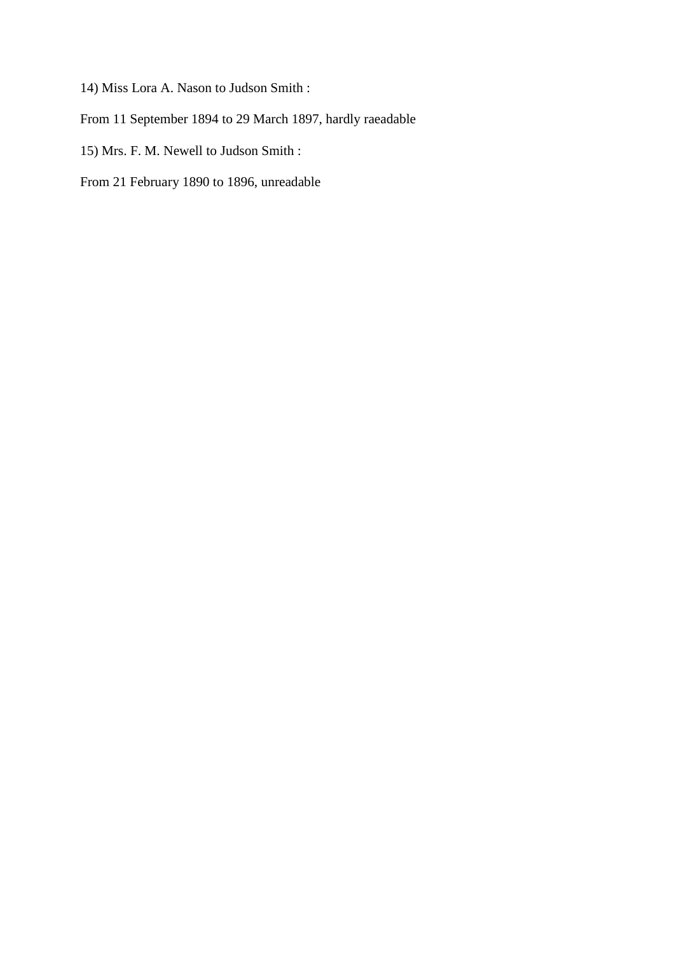14) Miss Lora A. Nason to Judson Smith :

From 11 September 1894 to 29 March 1897, hardly raeadable

15) Mrs. F. M. Newell to Judson Smith :

From 21 February 1890 to 1896, unreadable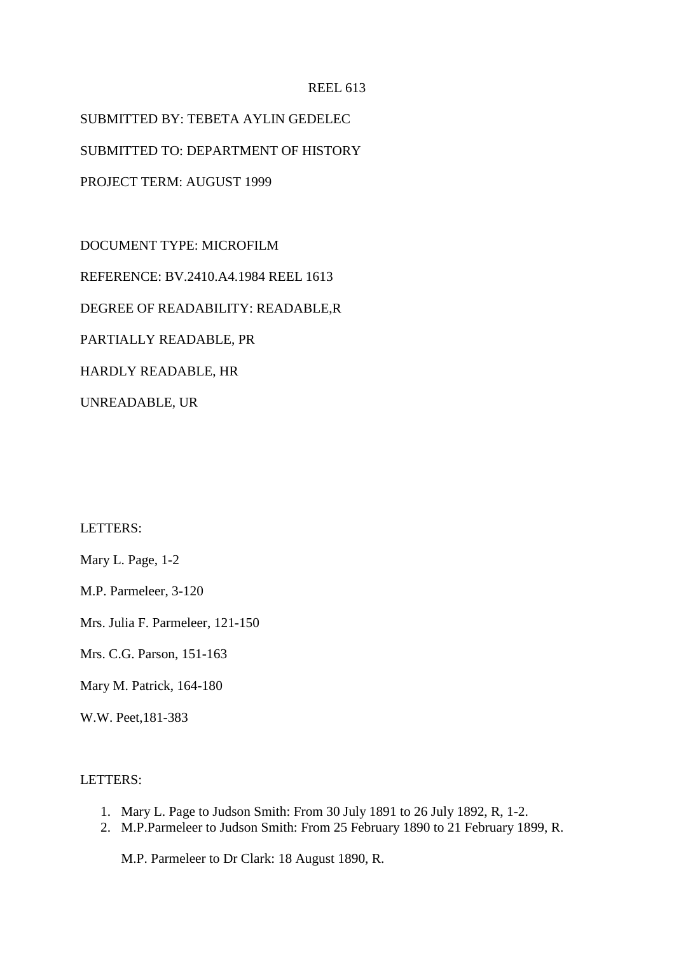### REEL 613

SUBMITTED BY: TEBETA AYLIN GEDELEC SUBMITTED TO: DEPARTMENT OF HISTORY PROJECT TERM: AUGUST 1999

DOCUMENT TYPE: MICROFILM REFERENCE: BV.2410.A4.1984 REEL 1613 DEGREE OF READABILITY: READABLE,R PARTIALLY READABLE, PR HARDLY READABLE, HR UNREADABLE, UR

LETTERS:

Mary L. Page, 1-2

M.P. Parmeleer, 3-120

Mrs. Julia F. Parmeleer, 121-150

Mrs. C.G. Parson, 151-163

Mary M. Patrick, 164-180

W.W. Peet,181-383

## LETTERS:

- 1. Mary L. Page to Judson Smith: From 30 July 1891 to 26 July 1892, R, 1-2.
- 2. M.P.Parmeleer to Judson Smith: From 25 February 1890 to 21 February 1899, R.

M.P. Parmeleer to Dr Clark: 18 August 1890, R.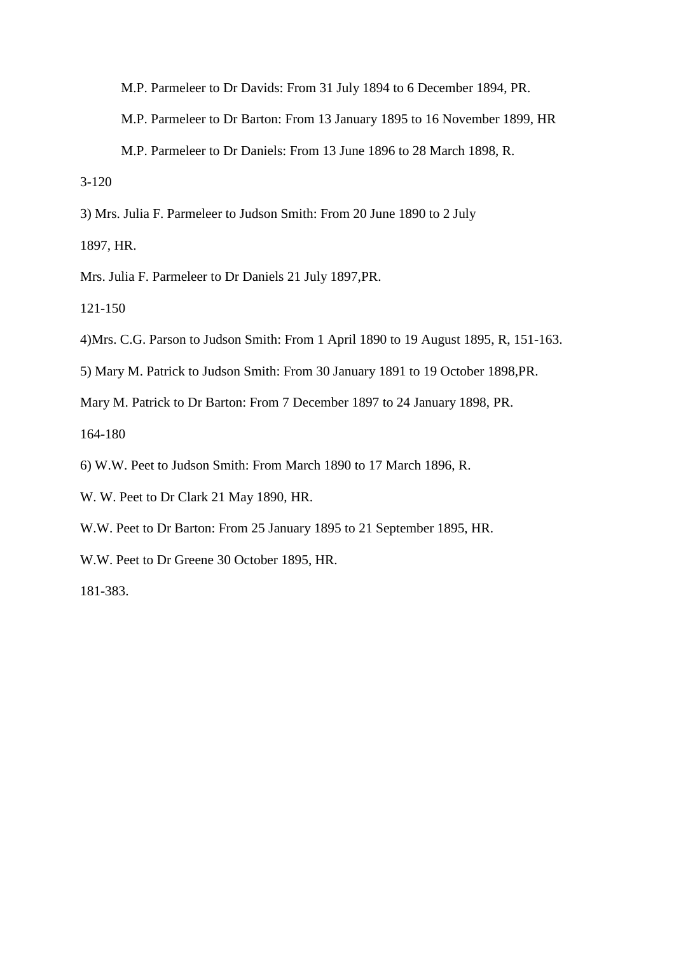M.P. Parmeleer to Dr Davids: From 31 July 1894 to 6 December 1894, PR.

M.P. Parmeleer to Dr Barton: From 13 January 1895 to 16 November 1899, HR

M.P. Parmeleer to Dr Daniels: From 13 June 1896 to 28 March 1898, R.

3-120

3) Mrs. Julia F. Parmeleer to Judson Smith: From 20 June 1890 to 2 July

1897, HR.

Mrs. Julia F. Parmeleer to Dr Daniels 21 July 1897,PR.

121-150

4)Mrs. C.G. Parson to Judson Smith: From 1 April 1890 to 19 August 1895, R, 151-163.

5) Mary M. Patrick to Judson Smith: From 30 January 1891 to 19 October 1898,PR.

Mary M. Patrick to Dr Barton: From 7 December 1897 to 24 January 1898, PR.

164-180

6) W.W. Peet to Judson Smith: From March 1890 to 17 March 1896, R.

- W. W. Peet to Dr Clark 21 May 1890, HR.
- W.W. Peet to Dr Barton: From 25 January 1895 to 21 September 1895, HR.

W.W. Peet to Dr Greene 30 October 1895, HR.

181-383.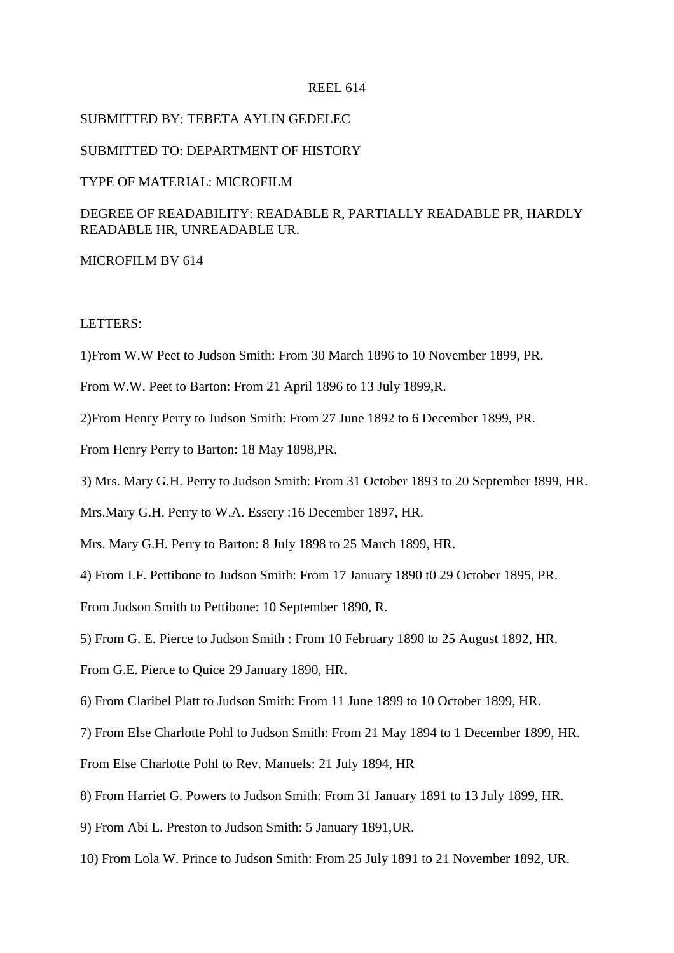#### REEL 614

### SUBMITTED BY: TEBETA AYLIN GEDELEC

#### SUBMITTED TO: DEPARTMENT OF HISTORY

## TYPE OF MATERIAL: MICROFILM

# DEGREE OF READABILITY: READABLE R, PARTIALLY READABLE PR, HARDLY READABLE HR, UNREADABLE UR.

#### MICROFILM BV 614

#### LETTERS:

1)From W.W Peet to Judson Smith: From 30 March 1896 to 10 November 1899, PR.

From W.W. Peet to Barton: From 21 April 1896 to 13 July 1899,R.

2)From Henry Perry to Judson Smith: From 27 June 1892 to 6 December 1899, PR.

From Henry Perry to Barton: 18 May 1898,PR.

3) Mrs. Mary G.H. Perry to Judson Smith: From 31 October 1893 to 20 September !899, HR.

Mrs.Mary G.H. Perry to W.A. Essery :16 December 1897, HR.

Mrs. Mary G.H. Perry to Barton: 8 July 1898 to 25 March 1899, HR.

4) From I.F. Pettibone to Judson Smith: From 17 January 1890 t0 29 October 1895, PR.

From Judson Smith to Pettibone: 10 September 1890, R.

5) From G. E. Pierce to Judson Smith : From 10 February 1890 to 25 August 1892, HR.

From G.E. Pierce to Quice 29 January 1890, HR.

6) From Claribel Platt to Judson Smith: From 11 June 1899 to 10 October 1899, HR.

7) From Else Charlotte Pohl to Judson Smith: From 21 May 1894 to 1 December 1899, HR.

From Else Charlotte Pohl to Rev. Manuels: 21 July 1894, HR

8) From Harriet G. Powers to Judson Smith: From 31 January 1891 to 13 July 1899, HR.

9) From Abi L. Preston to Judson Smith: 5 January 1891,UR.

10) From Lola W. Prince to Judson Smith: From 25 July 1891 to 21 November 1892, UR.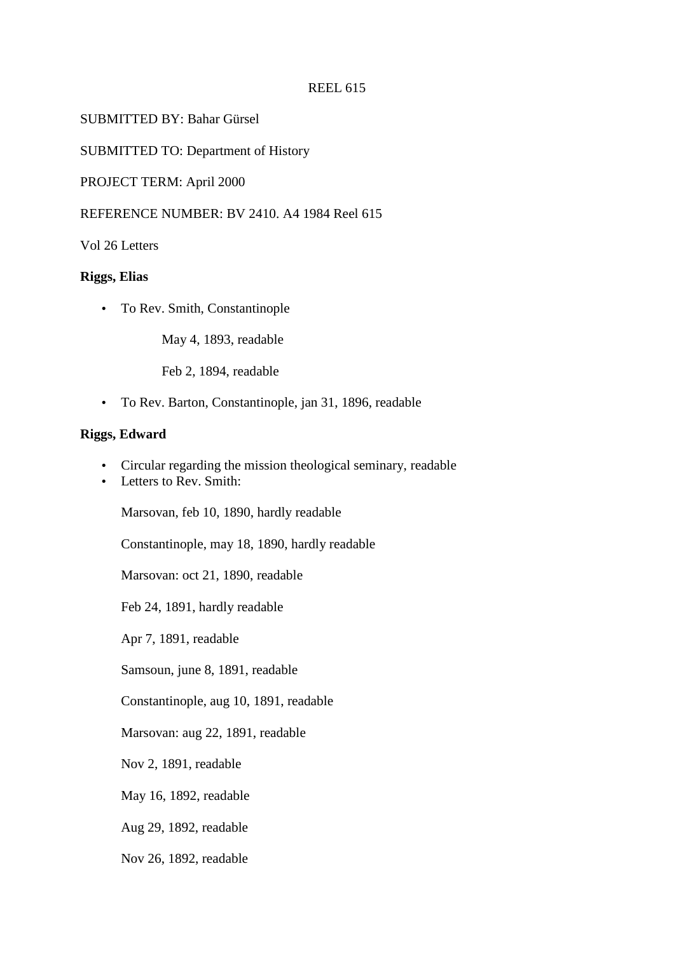### REEL 615

SUBMITTED BY: Bahar Gürsel

SUBMITTED TO: Department of History

PROJECT TERM: April 2000

REFERENCE NUMBER: BV 2410. A4 1984 Reel 615

Vol 26 Letters

#### **Riggs, Elias**

• To Rev. Smith, Constantinople

May 4, 1893, readable

Feb 2, 1894, readable

• To Rev. Barton, Constantinople, jan 31, 1896, readable

## **Riggs, Edward**

- Circular regarding the mission theological seminary, readable
- Letters to Rev. Smith:

Marsovan, feb 10, 1890, hardly readable

Constantinople, may 18, 1890, hardly readable

Marsovan: oct 21, 1890, readable

Feb 24, 1891, hardly readable

Apr 7, 1891, readable

Samsoun, june 8, 1891, readable

Constantinople, aug 10, 1891, readable

Marsovan: aug 22, 1891, readable

Nov 2, 1891, readable

May 16, 1892, readable

Aug 29, 1892, readable

Nov 26, 1892, readable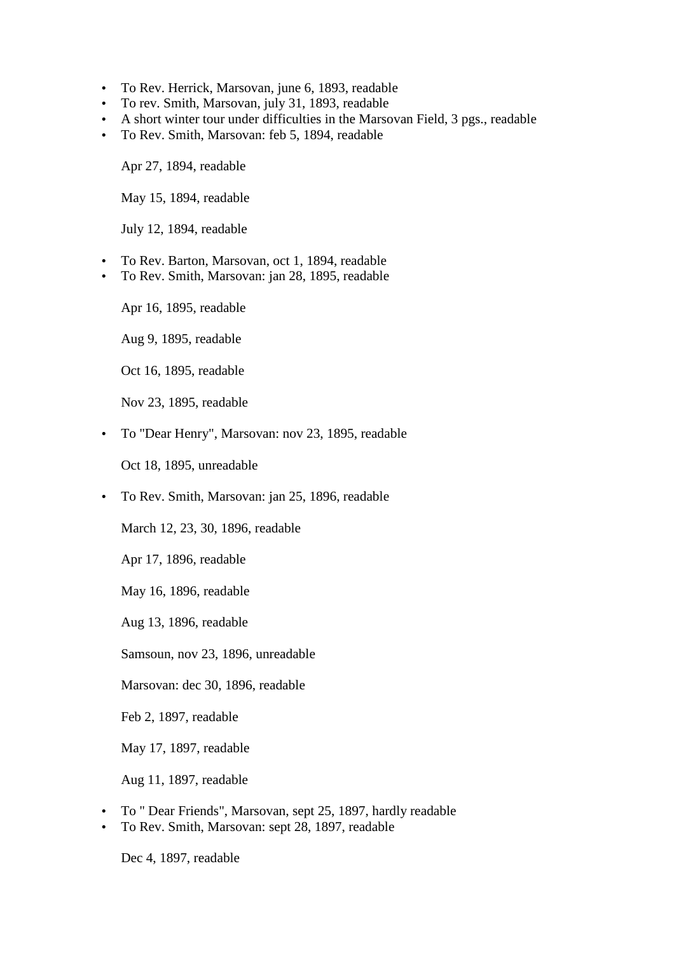- To Rev. Herrick, Marsovan, june 6, 1893, readable
- To rev. Smith, Marsovan, july 31, 1893, readable
- A short winter tour under difficulties in the Marsovan Field, 3 pgs., readable
- To Rev. Smith, Marsovan: feb 5, 1894, readable

Apr 27, 1894, readable

May 15, 1894, readable

July 12, 1894, readable

- To Rev. Barton, Marsovan, oct 1, 1894, readable
- To Rev. Smith, Marsovan: jan 28, 1895, readable

Apr 16, 1895, readable

Aug 9, 1895, readable

Oct 16, 1895, readable

Nov 23, 1895, readable

• To "Dear Henry", Marsovan: nov 23, 1895, readable

Oct 18, 1895, unreadable

• To Rev. Smith, Marsovan: jan 25, 1896, readable

March 12, 23, 30, 1896, readable

Apr 17, 1896, readable

May 16, 1896, readable

Aug 13, 1896, readable

Samsoun, nov 23, 1896, unreadable

Marsovan: dec 30, 1896, readable

Feb 2, 1897, readable

May 17, 1897, readable

Aug 11, 1897, readable

- To " Dear Friends", Marsovan, sept 25, 1897, hardly readable
- To Rev. Smith, Marsovan: sept 28, 1897, readable

Dec 4, 1897, readable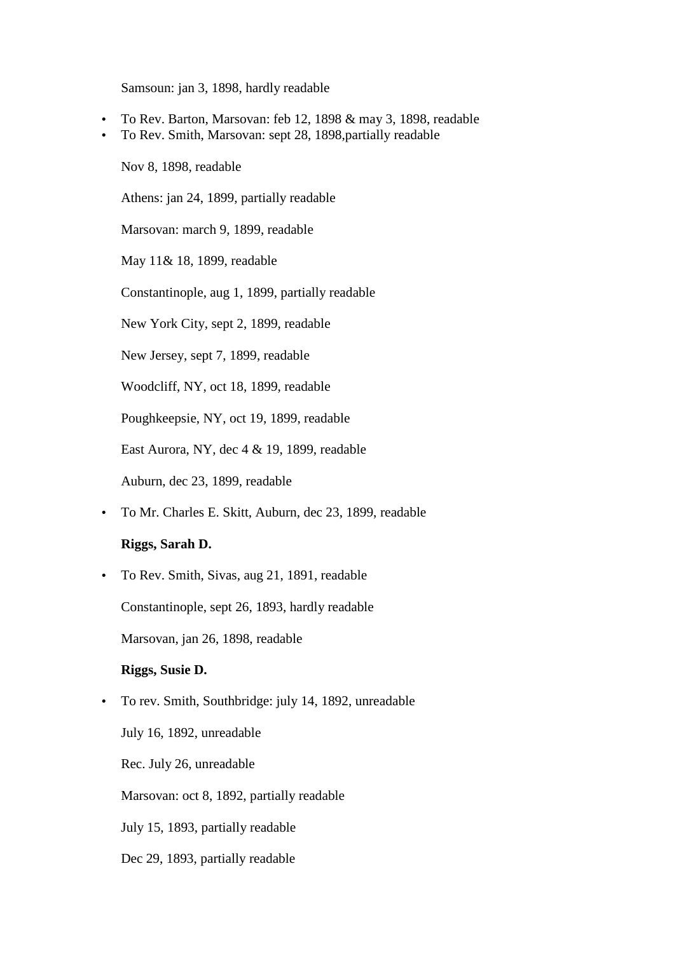Samsoun: jan 3, 1898, hardly readable

- To Rev. Barton, Marsovan: feb 12, 1898 & may 3, 1898, readable
- To Rev. Smith, Marsovan: sept 28, 1898,partially readable

Nov 8, 1898, readable

Athens: jan 24, 1899, partially readable

Marsovan: march 9, 1899, readable

May 11& 18, 1899, readable

Constantinople, aug 1, 1899, partially readable

New York City, sept 2, 1899, readable

New Jersey, sept 7, 1899, readable

Woodcliff, NY, oct 18, 1899, readable

Poughkeepsie, NY, oct 19, 1899, readable

East Aurora, NY, dec 4 & 19, 1899, readable

Auburn, dec 23, 1899, readable

• To Mr. Charles E. Skitt, Auburn, dec 23, 1899, readable

# **Riggs, Sarah D.**

• To Rev. Smith, Sivas, aug 21, 1891, readable

Constantinople, sept 26, 1893, hardly readable

Marsovan, jan 26, 1898, readable

## **Riggs, Susie D.**

• To rev. Smith, Southbridge: july 14, 1892, unreadable July 16, 1892, unreadable Rec. July 26, unreadable Marsovan: oct 8, 1892, partially readable July 15, 1893, partially readable Dec 29, 1893, partially readable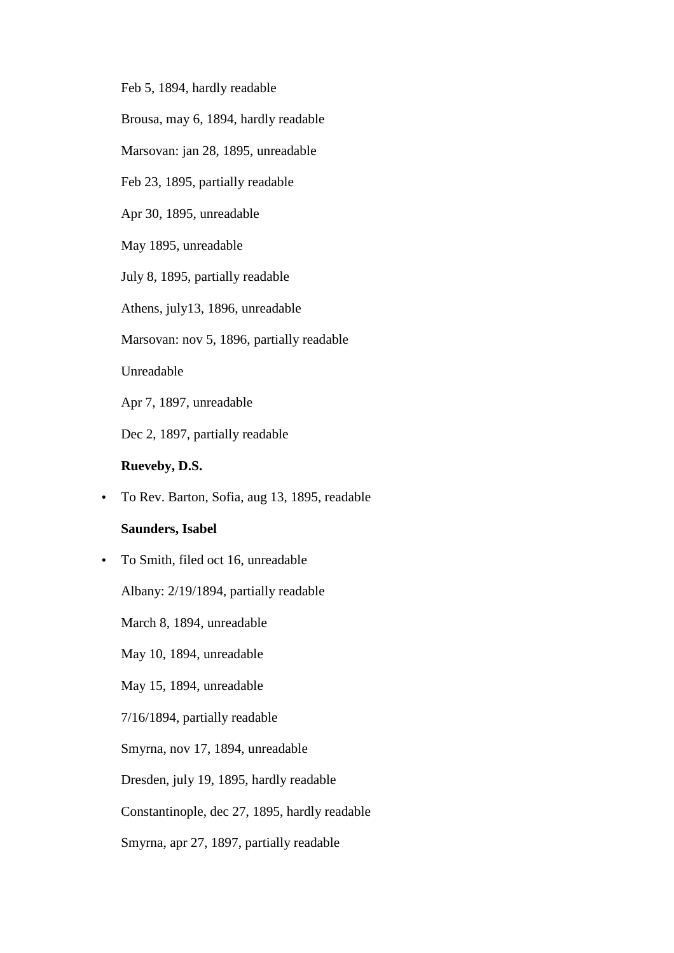Feb 5, 1894, hardly readable

Brousa, may 6, 1894, hardly readable

Marsovan: jan 28, 1895, unreadable

Feb 23, 1895, partially readable

Apr 30, 1895, unreadable

May 1895, unreadable

July 8, 1895, partially readable

Athens, july13, 1896, unreadable

Marsovan: nov 5, 1896, partially readable

Unreadable

Apr 7, 1897, unreadable

Dec 2, 1897, partially readable

## **Rueveby, D.S.**

• To Rev. Barton, Sofia, aug 13, 1895, readable

## **Saunders, Isabel**

• To Smith, filed oct 16, unreadable

Albany: 2/19/1894, partially readable

March 8, 1894, unreadable

May 10, 1894, unreadable

May 15, 1894, unreadable

7/16/1894, partially readable

Smyrna, nov 17, 1894, unreadable

Dresden, july 19, 1895, hardly readable

Constantinople, dec 27, 1895, hardly readable

Smyrna, apr 27, 1897, partially readable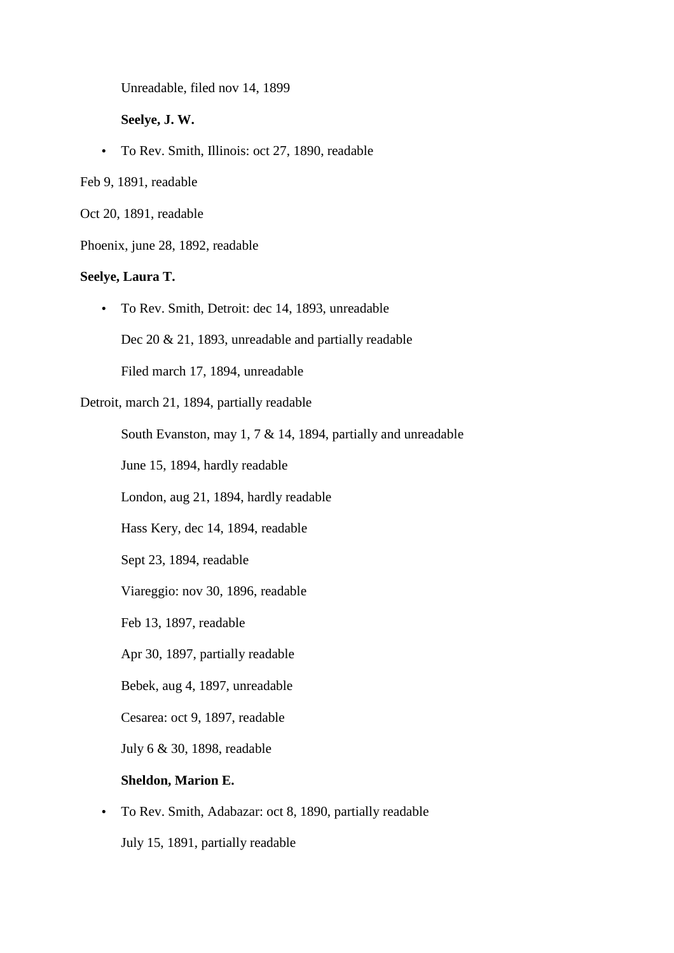Unreadable, filed nov 14, 1899

**Seelye, J. W.** 

• To Rev. Smith, Illinois: oct 27, 1890, readable

Feb 9, 1891, readable

Oct 20, 1891, readable

Phoenix, june 28, 1892, readable

## **Seelye, Laura T.**

• To Rev. Smith, Detroit: dec 14, 1893, unreadable

Dec 20 & 21, 1893, unreadable and partially readable

Filed march 17, 1894, unreadable

Detroit, march 21, 1894, partially readable

South Evanston, may 1, 7 & 14, 1894, partially and unreadable

June 15, 1894, hardly readable

London, aug 21, 1894, hardly readable

Hass Kery, dec 14, 1894, readable

Sept 23, 1894, readable

Viareggio: nov 30, 1896, readable

Feb 13, 1897, readable

Apr 30, 1897, partially readable

Bebek, aug 4, 1897, unreadable

Cesarea: oct 9, 1897, readable

July 6 & 30, 1898, readable

### **Sheldon, Marion E.**

• To Rev. Smith, Adabazar: oct 8, 1890, partially readable

July 15, 1891, partially readable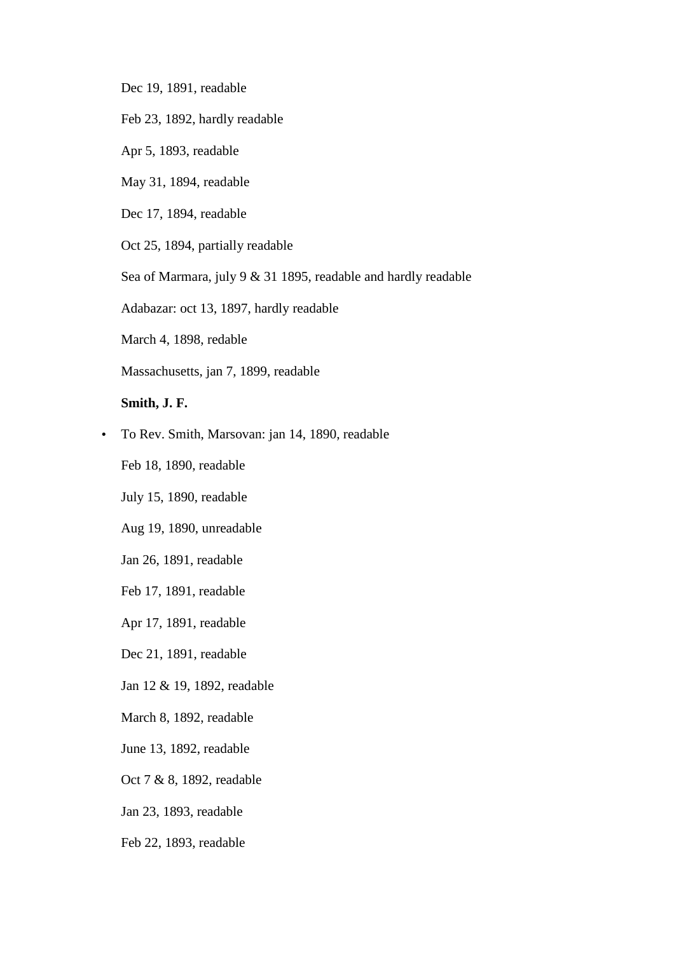- Dec 19, 1891, readable
- Feb 23, 1892, hardly readable
- Apr 5, 1893, readable
- May 31, 1894, readable
- Dec 17, 1894, readable

Oct 25, 1894, partially readable

Sea of Marmara, july 9 & 31 1895, readable and hardly readable

Adabazar: oct 13, 1897, hardly readable

March 4, 1898, redable

Massachusetts, jan 7, 1899, readable

## **Smith, J. F.**

• To Rev. Smith, Marsovan: jan 14, 1890, readable

Feb 18, 1890, readable

July 15, 1890, readable

Aug 19, 1890, unreadable

Jan 26, 1891, readable

Feb 17, 1891, readable

Apr 17, 1891, readable

Dec 21, 1891, readable

Jan 12 & 19, 1892, readable

March 8, 1892, readable

June 13, 1892, readable

Oct 7 & 8, 1892, readable

Jan 23, 1893, readable

Feb 22, 1893, readable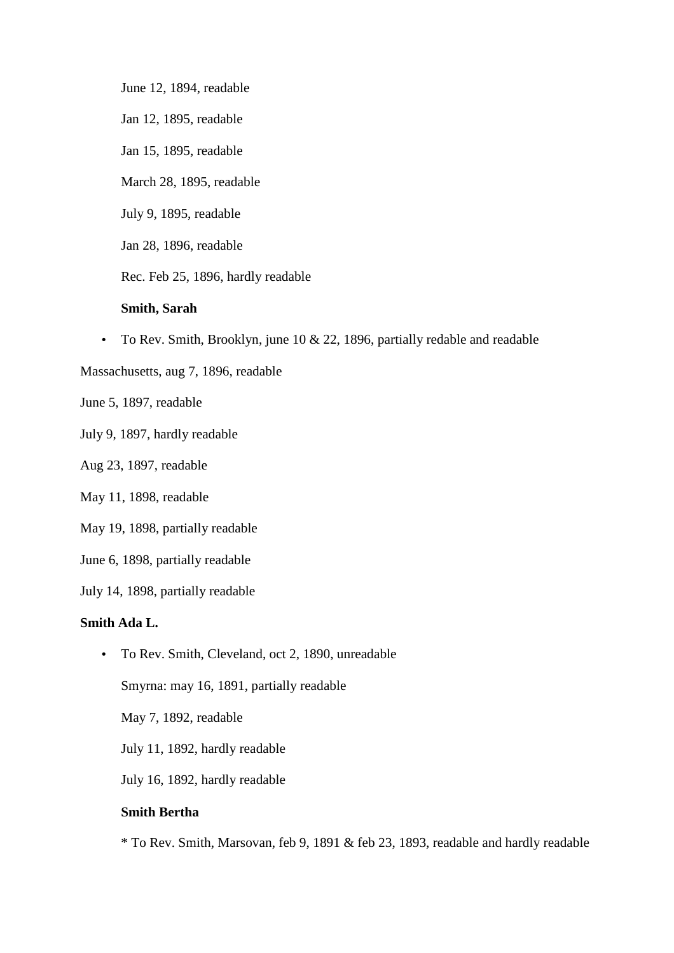June 12, 1894, readable

Jan 12, 1895, readable

Jan 15, 1895, readable

March 28, 1895, readable

July 9, 1895, readable

Jan 28, 1896, readable

Rec. Feb 25, 1896, hardly readable

#### **Smith, Sarah**

• To Rev. Smith, Brooklyn, june 10 & 22, 1896, partially redable and readable

Massachusetts, aug 7, 1896, readable

June 5, 1897, readable

July 9, 1897, hardly readable

## Aug 23, 1897, readable

May 11, 1898, readable

May 19, 1898, partially readable

June 6, 1898, partially readable

July 14, 1898, partially readable

## **Smith Ada L.**

• To Rev. Smith, Cleveland, oct 2, 1890, unreadable Smyrna: may 16, 1891, partially readable May 7, 1892, readable

July 11, 1892, hardly readable

July 16, 1892, hardly readable

# **Smith Bertha**

\* To Rev. Smith, Marsovan, feb 9, 1891 & feb 23, 1893, readable and hardly readable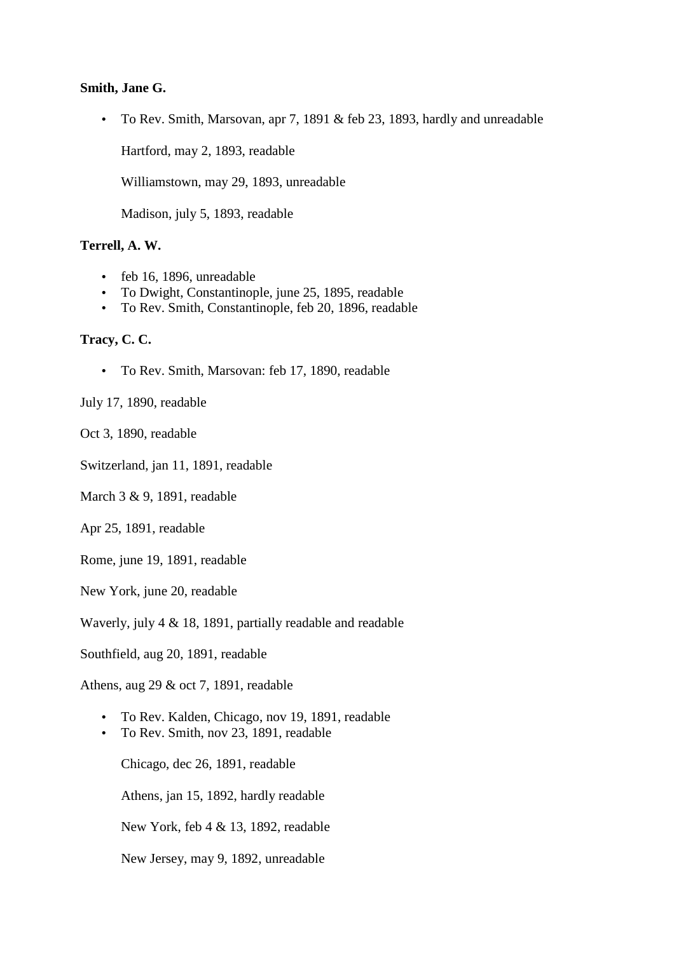#### **Smith, Jane G.**

• To Rev. Smith, Marsovan, apr 7, 1891 & feb 23, 1893, hardly and unreadable

Hartford, may 2, 1893, readable

Williamstown, may 29, 1893, unreadable

Madison, july 5, 1893, readable

## **Terrell, A. W.**

- feb 16, 1896, unreadable
- To Dwight, Constantinople, june 25, 1895, readable
- To Rev. Smith, Constantinople, feb 20, 1896, readable

# **Tracy, C. C.**

• To Rev. Smith, Marsovan: feb 17, 1890, readable

## July 17, 1890, readable

Oct 3, 1890, readable

Switzerland, jan 11, 1891, readable

March 3 & 9, 1891, readable

Apr 25, 1891, readable

Rome, june 19, 1891, readable

New York, june 20, readable

Waverly, july 4 & 18, 1891, partially readable and readable

Southfield, aug 20, 1891, readable

Athens, aug 29 & oct 7, 1891, readable

- To Rev. Kalden, Chicago, nov 19, 1891, readable
- To Rev. Smith, nov 23, 1891, readable

Chicago, dec 26, 1891, readable

Athens, jan 15, 1892, hardly readable

New York, feb 4 & 13, 1892, readable

New Jersey, may 9, 1892, unreadable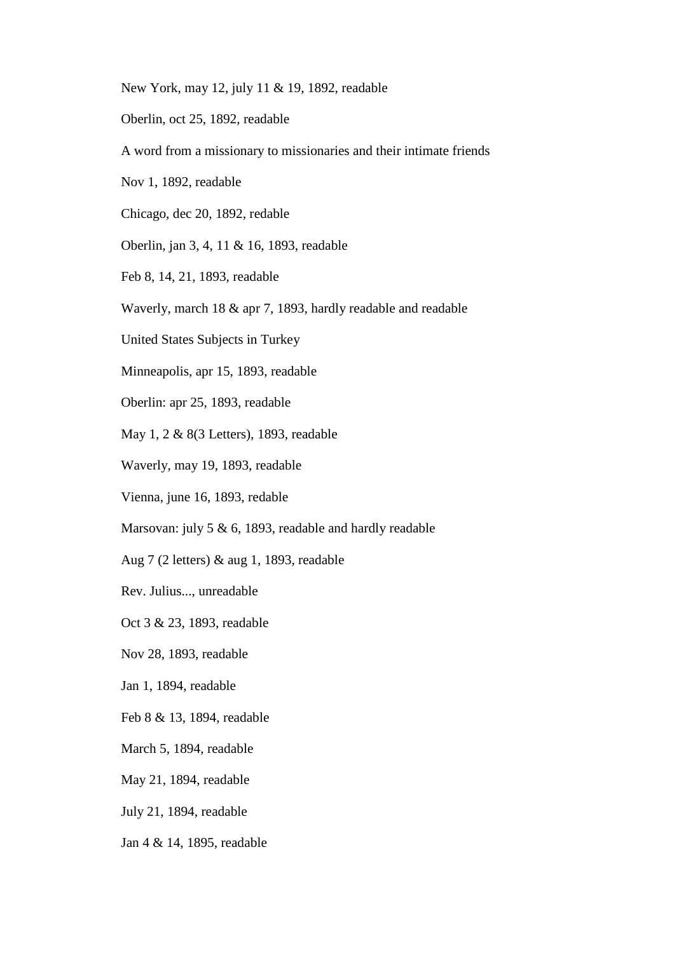- New York, may 12, july 11 & 19, 1892, readable
- Oberlin, oct 25, 1892, readable
- A word from a missionary to missionaries and their intimate friends
- Nov 1, 1892, readable
- Chicago, dec 20, 1892, redable
- Oberlin, jan 3, 4, 11 & 16, 1893, readable
- Feb 8, 14, 21, 1893, readable
- Waverly, march 18 & apr 7, 1893, hardly readable and readable
- United States Subjects in Turkey
- Minneapolis, apr 15, 1893, readable
- Oberlin: apr 25, 1893, readable
- May 1, 2 & 8(3 Letters), 1893, readable
- Waverly, may 19, 1893, readable
- Vienna, june 16, 1893, redable
- Marsovan: july 5 & 6, 1893, readable and hardly readable
- Aug 7 (2 letters) & aug 1, 1893, readable
- Rev. Julius..., unreadable
- Oct 3 & 23, 1893, readable
- Nov 28, 1893, readable
- Jan 1, 1894, readable
- Feb 8 & 13, 1894, readable
- March 5, 1894, readable
- May 21, 1894, readable
- July 21, 1894, readable
- Jan 4 & 14, 1895, readable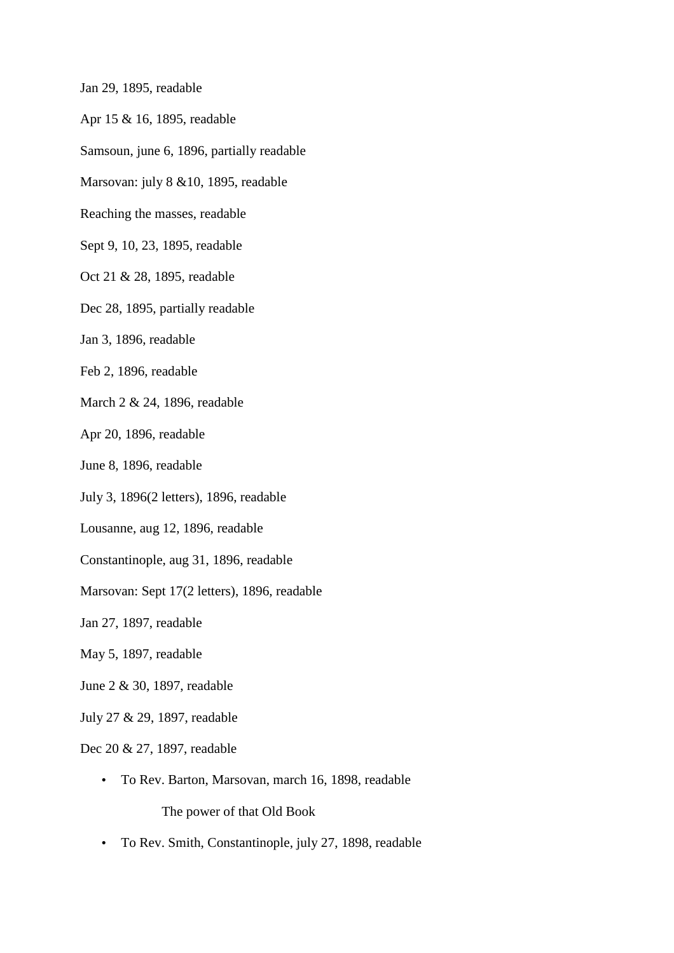Jan 29, 1895, readable

- Apr 15 & 16, 1895, readable
- Samsoun, june 6, 1896, partially readable
- Marsovan: july 8 &10, 1895, readable
- Reaching the masses, readable
- Sept 9, 10, 23, 1895, readable
- Oct 21 & 28, 1895, readable
- Dec 28, 1895, partially readable
- Jan 3, 1896, readable
- Feb 2, 1896, readable
- March 2 & 24, 1896, readable
- Apr 20, 1896, readable
- June 8, 1896, readable
- July 3, 1896(2 letters), 1896, readable
- Lousanne, aug 12, 1896, readable
- Constantinople, aug 31, 1896, readable
- Marsovan: Sept 17(2 letters), 1896, readable
- Jan 27, 1897, readable
- May 5, 1897, readable
- June 2 & 30, 1897, readable
- July 27 & 29, 1897, readable
- Dec 20 & 27, 1897, readable
	- To Rev. Barton, Marsovan, march 16, 1898, readable

The power of that Old Book

• To Rev. Smith, Constantinople, july 27, 1898, readable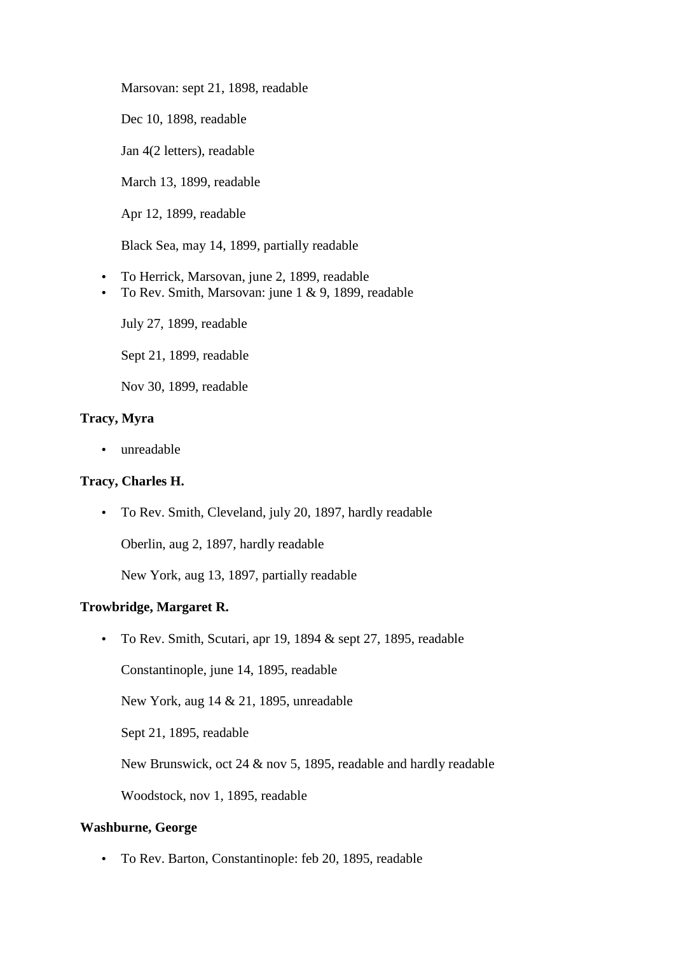Marsovan: sept 21, 1898, readable

Dec 10, 1898, readable

Jan 4(2 letters), readable

March 13, 1899, readable

Apr 12, 1899, readable

Black Sea, may 14, 1899, partially readable

- To Herrick, Marsovan, june 2, 1899, readable
- To Rev. Smith, Marsovan: june 1 & 9, 1899, readable

July 27, 1899, readable

Sept 21, 1899, readable

Nov 30, 1899, readable

# **Tracy, Myra**

• unreadable

## **Tracy, Charles H.**

• To Rev. Smith, Cleveland, july 20, 1897, hardly readable

Oberlin, aug 2, 1897, hardly readable

New York, aug 13, 1897, partially readable

## **Trowbridge, Margaret R.**

• To Rev. Smith, Scutari, apr 19, 1894 & sept 27, 1895, readable

Constantinople, june 14, 1895, readable

New York, aug 14 & 21, 1895, unreadable

Sept 21, 1895, readable

New Brunswick, oct 24 & nov 5, 1895, readable and hardly readable

Woodstock, nov 1, 1895, readable

### **Washburne, George**

• To Rev. Barton, Constantinople: feb 20, 1895, readable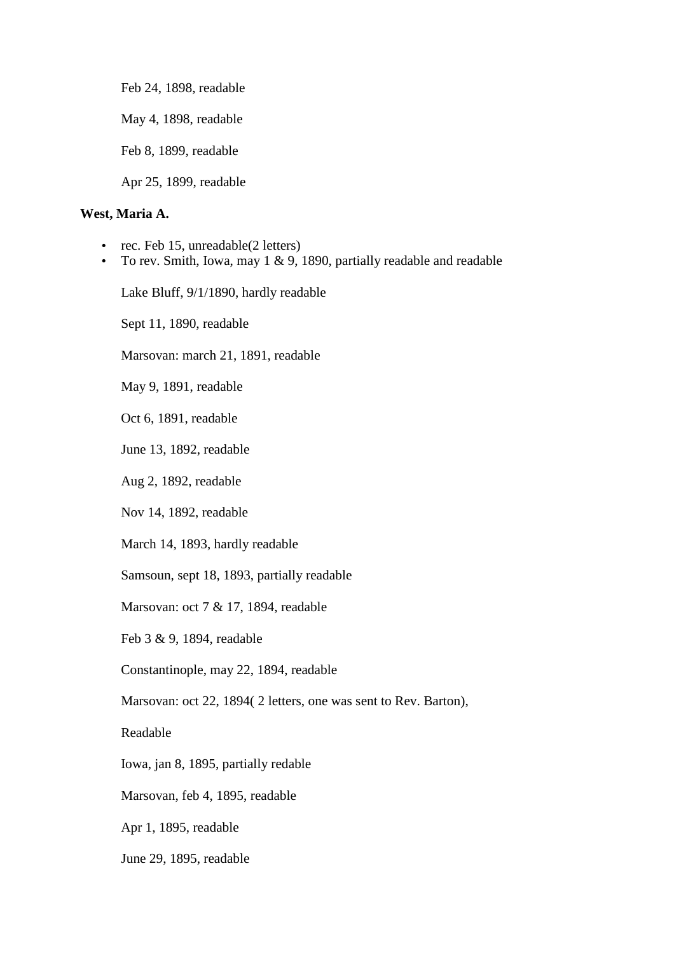Feb 24, 1898, readable

May 4, 1898, readable

Feb 8, 1899, readable

Apr 25, 1899, readable

## **West, Maria A.**

- rec. Feb 15, unreadable(2 letters)
- To rev. Smith, Iowa, may 1 & 9, 1890, partially readable and readable

Lake Bluff, 9/1/1890, hardly readable

Sept 11, 1890, readable

Marsovan: march 21, 1891, readable

May 9, 1891, readable

Oct 6, 1891, readable

June 13, 1892, readable

Aug 2, 1892, readable

Nov 14, 1892, readable

March 14, 1893, hardly readable

Samsoun, sept 18, 1893, partially readable

Marsovan: oct 7 & 17, 1894, readable

Feb 3 & 9, 1894, readable

Constantinople, may 22, 1894, readable

Marsovan: oct 22, 1894( 2 letters, one was sent to Rev. Barton),

Readable

Iowa, jan 8, 1895, partially redable

Marsovan, feb 4, 1895, readable

Apr 1, 1895, readable

June 29, 1895, readable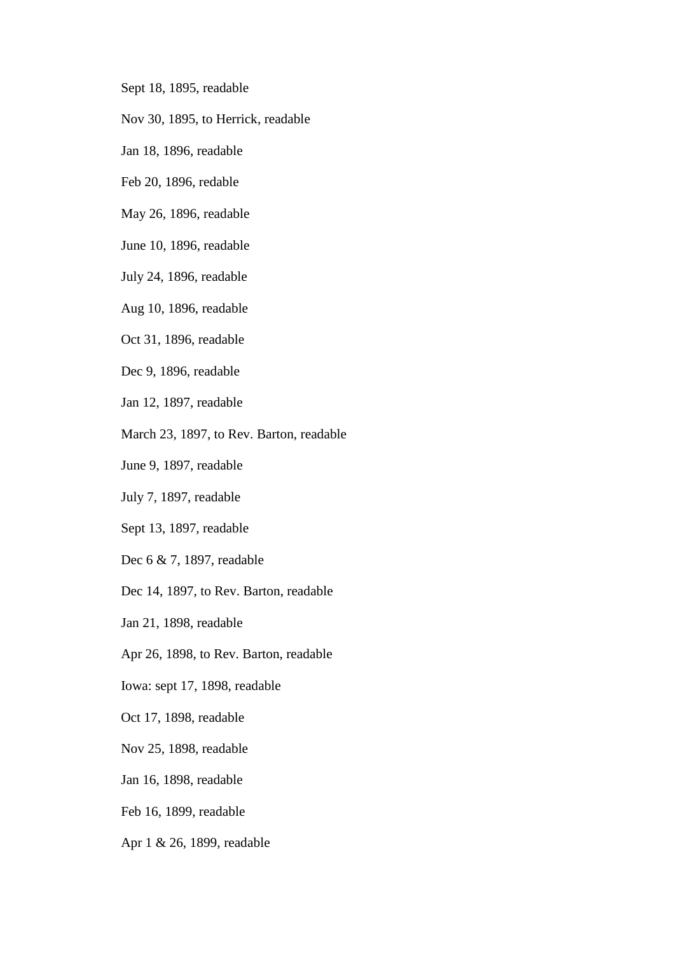- Sept 18, 1895, readable
- Nov 30, 1895, to Herrick, readable
- Jan 18, 1896, readable
- Feb 20, 1896, redable
- May 26, 1896, readable
- June 10, 1896, readable
- July 24, 1896, readable
- Aug 10, 1896, readable
- Oct 31, 1896, readable
- Dec 9, 1896, readable
- Jan 12, 1897, readable
- March 23, 1897, to Rev. Barton, readable
- June 9, 1897, readable
- July 7, 1897, readable
- Sept 13, 1897, readable
- Dec 6 & 7, 1897, readable
- Dec 14, 1897, to Rev. Barton, readable
- Jan 21, 1898, readable
- Apr 26, 1898, to Rev. Barton, readable
- Iowa: sept 17, 1898, readable
- Oct 17, 1898, readable
- Nov 25, 1898, readable
- Jan 16, 1898, readable
- Feb 16, 1899, readable
- Apr 1 & 26, 1899, readable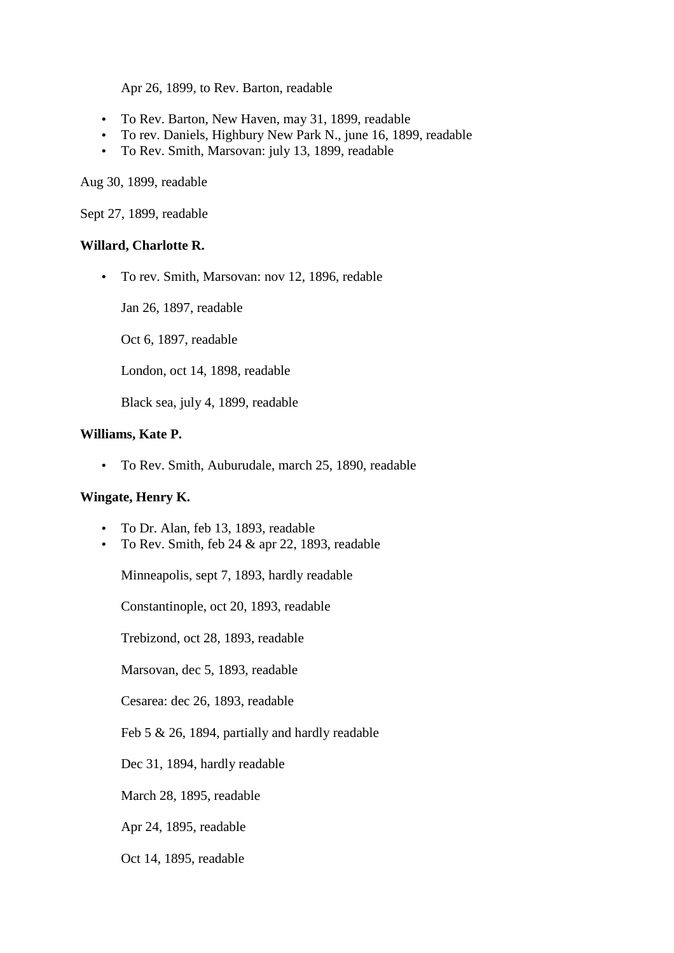Apr 26, 1899, to Rev. Barton, readable

- To Rev. Barton, New Haven, may 31, 1899, readable
- To rev. Daniels, Highbury New Park N., june 16, 1899, readable
- To Rev. Smith, Marsovan: july 13, 1899, readable

Aug 30, 1899, readable

Sept 27, 1899, readable

#### **Willard, Charlotte R.**

• To rev. Smith, Marsovan: nov 12, 1896, redable

Jan 26, 1897, readable

Oct 6, 1897, readable

London, oct 14, 1898, readable

Black sea, july 4, 1899, readable

#### **Williams, Kate P.**

• To Rev. Smith, Auburudale, march 25, 1890, readable

## **Wingate, Henry K.**

- To Dr. Alan, feb 13, 1893, readable
- To Rev. Smith, feb  $24 \&$  apr 22, 1893, readable

Minneapolis, sept 7, 1893, hardly readable

Constantinople, oct 20, 1893, readable

Trebizond, oct 28, 1893, readable

Marsovan, dec 5, 1893, readable

Cesarea: dec 26, 1893, readable

Feb 5 & 26, 1894, partially and hardly readable

Dec 31, 1894, hardly readable

March 28, 1895, readable

Apr 24, 1895, readable

Oct 14, 1895, readable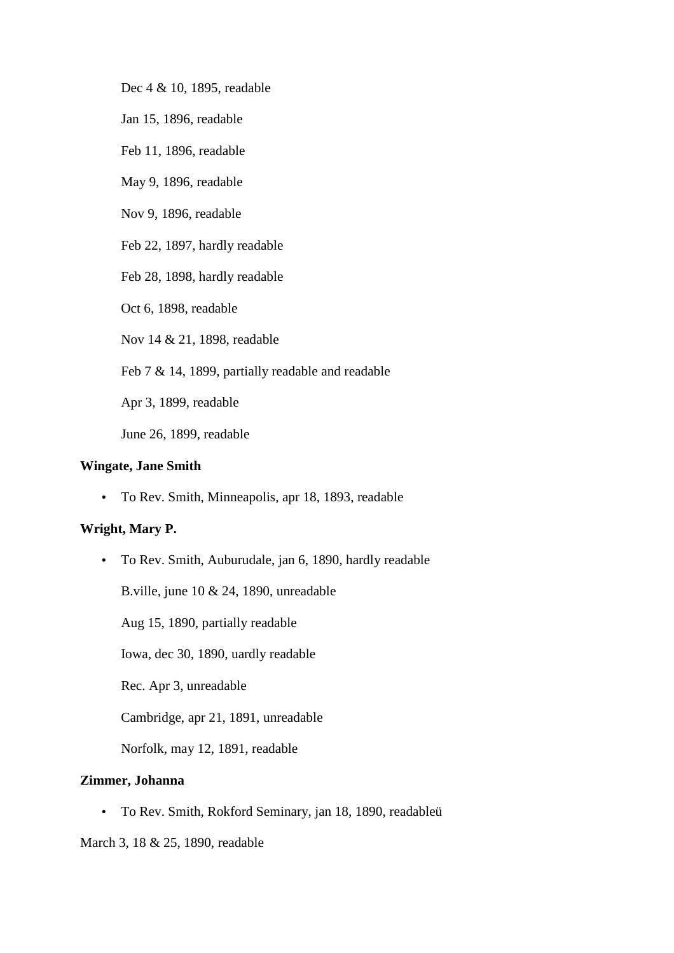Dec 4 & 10, 1895, readable

Jan 15, 1896, readable

Feb 11, 1896, readable

May 9, 1896, readable

Nov 9, 1896, readable

Feb 22, 1897, hardly readable

Feb 28, 1898, hardly readable

Oct 6, 1898, readable

Nov 14 & 21, 1898, readable

Feb 7 & 14, 1899, partially readable and readable

Apr 3, 1899, readable

June 26, 1899, readable

## **Wingate, Jane Smith**

• To Rev. Smith, Minneapolis, apr 18, 1893, readable

## **Wright, Mary P.**

• To Rev. Smith, Auburudale, jan 6, 1890, hardly readable

B.ville, june 10 & 24, 1890, unreadable

Aug 15, 1890, partially readable

Iowa, dec 30, 1890, uardly readable

Rec. Apr 3, unreadable

Cambridge, apr 21, 1891, unreadable

Norfolk, may 12, 1891, readable

# **Zimmer, Johanna**

• To Rev. Smith, Rokford Seminary, jan 18, 1890, readableü

March 3, 18 & 25, 1890, readable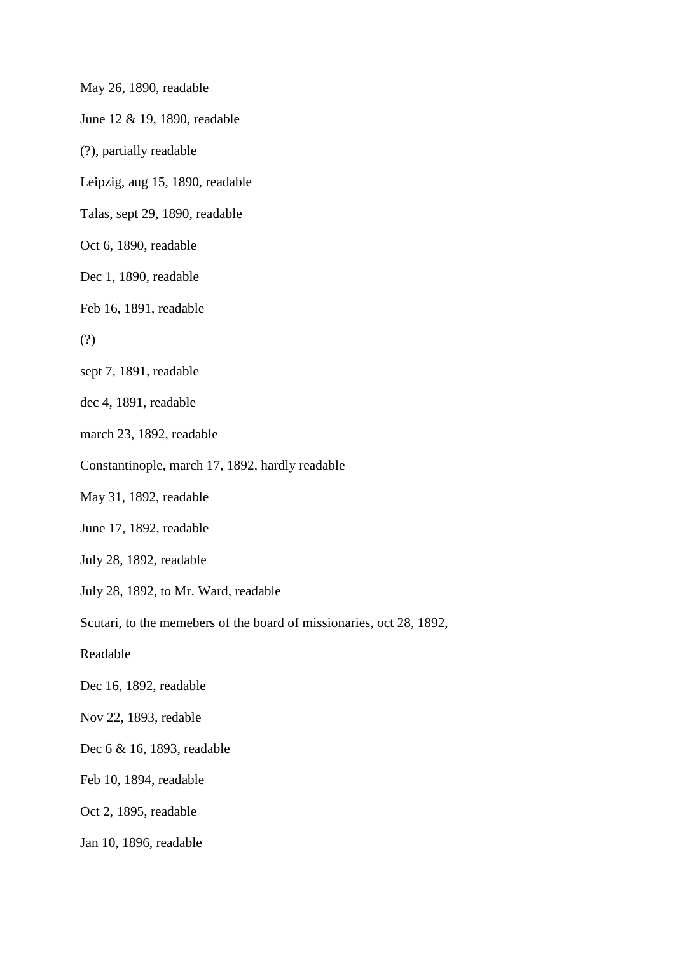May 26, 1890, readable

June 12 & 19, 1890, readable

(?), partially readable

Leipzig, aug 15, 1890, readable

Talas, sept 29, 1890, readable

Oct 6, 1890, readable

Dec 1, 1890, readable

Feb 16, 1891, readable

(?)

sept 7, 1891, readable

dec 4, 1891, readable

march 23, 1892, readable

Constantinople, march 17, 1892, hardly readable

May 31, 1892, readable

June 17, 1892, readable

July 28, 1892, readable

July 28, 1892, to Mr. Ward, readable

Scutari, to the memebers of the board of missionaries, oct 28, 1892,

Readable

Dec 16, 1892, readable

Nov 22, 1893, redable

Dec 6 & 16, 1893, readable

Feb 10, 1894, readable

Oct 2, 1895, readable

Jan 10, 1896, readable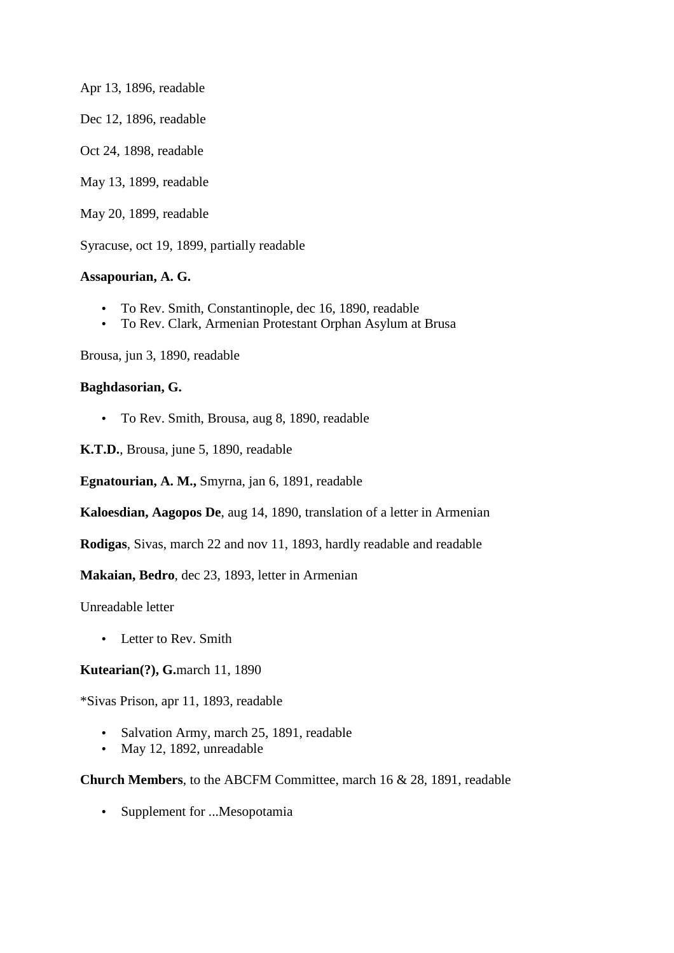Apr 13, 1896, readable Dec 12, 1896, readable Oct 24, 1898, readable May 13, 1899, readable

May 20, 1899, readable

Syracuse, oct 19, 1899, partially readable

# **Assapourian, A. G.**

- To Rev. Smith, Constantinople, dec 16, 1890, readable
- To Rev. Clark, Armenian Protestant Orphan Asylum at Brusa

Brousa, jun 3, 1890, readable

## **Baghdasorian, G.**

- To Rev. Smith, Brousa, aug 8, 1890, readable
- **K.T.D.**, Brousa, june 5, 1890, readable

**Egnatourian, A. M.,** Smyrna, jan 6, 1891, readable

**Kaloesdian, Aagopos De**, aug 14, 1890, translation of a letter in Armenian

**Rodigas**, Sivas, march 22 and nov 11, 1893, hardly readable and readable

**Makaian, Bedro**, dec 23, 1893, letter in Armenian

Unreadable letter

• Letter to Rev. Smith

# **Kutearian(?), G.**march 11, 1890

\*Sivas Prison, apr 11, 1893, readable

- Salvation Army, march 25, 1891, readable
- May 12, 1892, unreadable

# **Church Members**, to the ABCFM Committee, march 16 & 28, 1891, readable

• Supplement for ...Mesopotamia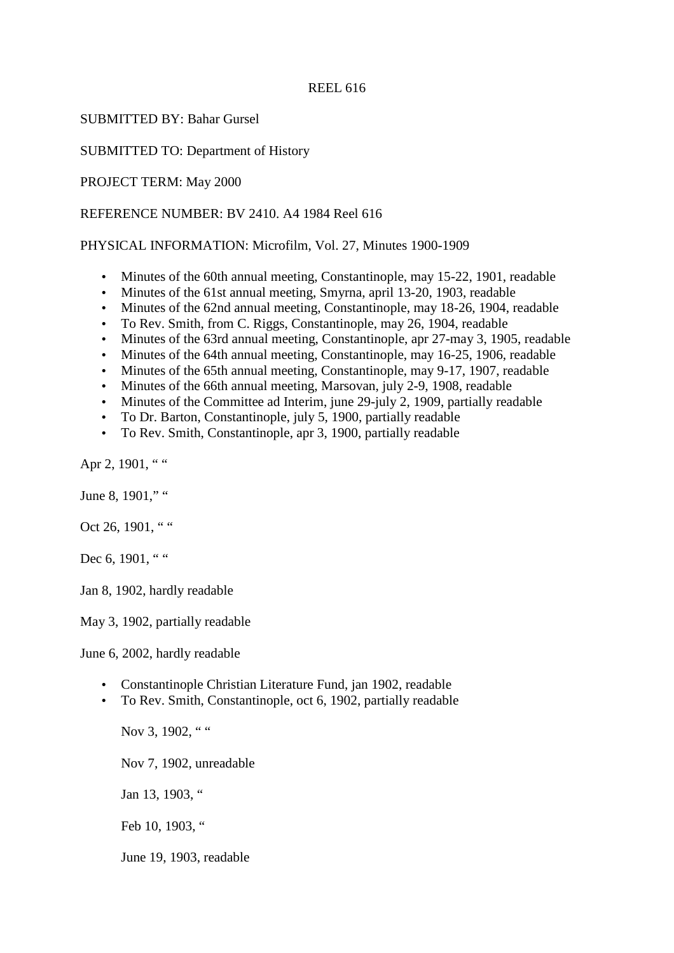#### REEL 616

SUBMITTED BY: Bahar Gursel

SUBMITTED TO: Department of History

PROJECT TERM: May 2000

REFERENCE NUMBER: BV 2410. A4 1984 Reel 616

PHYSICAL INFORMATION: Microfilm, Vol. 27, Minutes 1900-1909

- Minutes of the 60th annual meeting, Constantinople, may 15-22, 1901, readable
- Minutes of the 61st annual meeting, Smyrna, april 13-20, 1903, readable
- Minutes of the 62nd annual meeting, Constantinople, may 18-26, 1904, readable
- To Rev. Smith, from C. Riggs, Constantinople, may 26, 1904, readable
- Minutes of the 63rd annual meeting, Constantinople, apr 27-may 3, 1905, readable
- Minutes of the 64th annual meeting, Constantinople, may 16-25, 1906, readable
- Minutes of the 65th annual meeting, Constantinople, may 9-17, 1907, readable
- Minutes of the 66th annual meeting, Marsovan, july 2-9, 1908, readable
- Minutes of the Committee ad Interim, june 29-july 2, 1909, partially readable
- To Dr. Barton, Constantinople, july 5, 1900, partially readable
- To Rev. Smith, Constantinople, apr 3, 1900, partially readable

Apr 2, 1901, " "

June 8, 1901," "

Oct 26, 1901. " "

Dec 6, 1901, " "

Jan 8, 1902, hardly readable

May 3, 1902, partially readable

June 6, 2002, hardly readable

- Constantinople Christian Literature Fund, jan 1902, readable
- To Rev. Smith, Constantinople, oct 6, 1902, partially readable

Nov 3, 1902. " " Nov 7, 1902, unreadable Jan 13, 1903, " Feb 10, 1903, " June 19, 1903, readable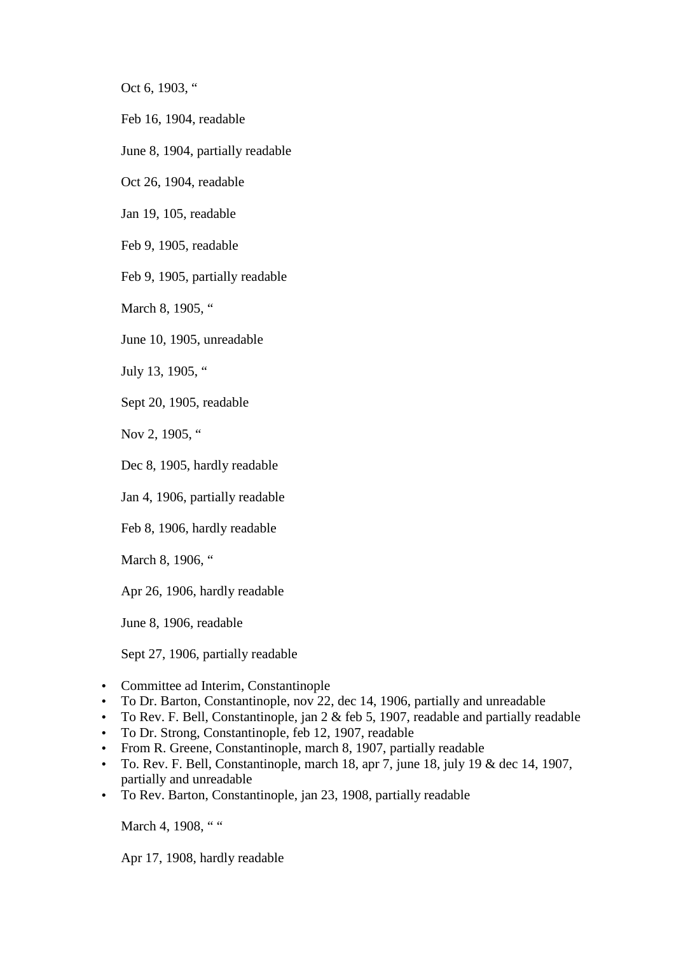Oct 6, 1903, "

- Feb 16, 1904, readable
- June 8, 1904, partially readable

Oct 26, 1904, readable

Jan 19, 105, readable

Feb 9, 1905, readable

Feb 9, 1905, partially readable

March 8, 1905, "

June 10, 1905, unreadable

July 13, 1905, "

Sept 20, 1905, readable

Nov 2, 1905, "

Dec 8, 1905, hardly readable

Jan 4, 1906, partially readable

Feb 8, 1906, hardly readable

March 8, 1906, "

Apr 26, 1906, hardly readable

June 8, 1906, readable

Sept 27, 1906, partially readable

- Committee ad Interim, Constantinople
- To Dr. Barton, Constantinople, nov 22, dec 14, 1906, partially and unreadable
- To Rev. F. Bell, Constantinople, jan 2 & feb 5, 1907, readable and partially readable
- To Dr. Strong, Constantinople, feb 12, 1907, readable
- From R. Greene, Constantinople, march 8, 1907, partially readable
- To. Rev. F. Bell, Constantinople, march 18, apr 7, june 18, july 19  $\&$  dec 14, 1907, partially and unreadable
- To Rev. Barton, Constantinople, jan 23, 1908, partially readable

March 4, 1908, " "

Apr 17, 1908, hardly readable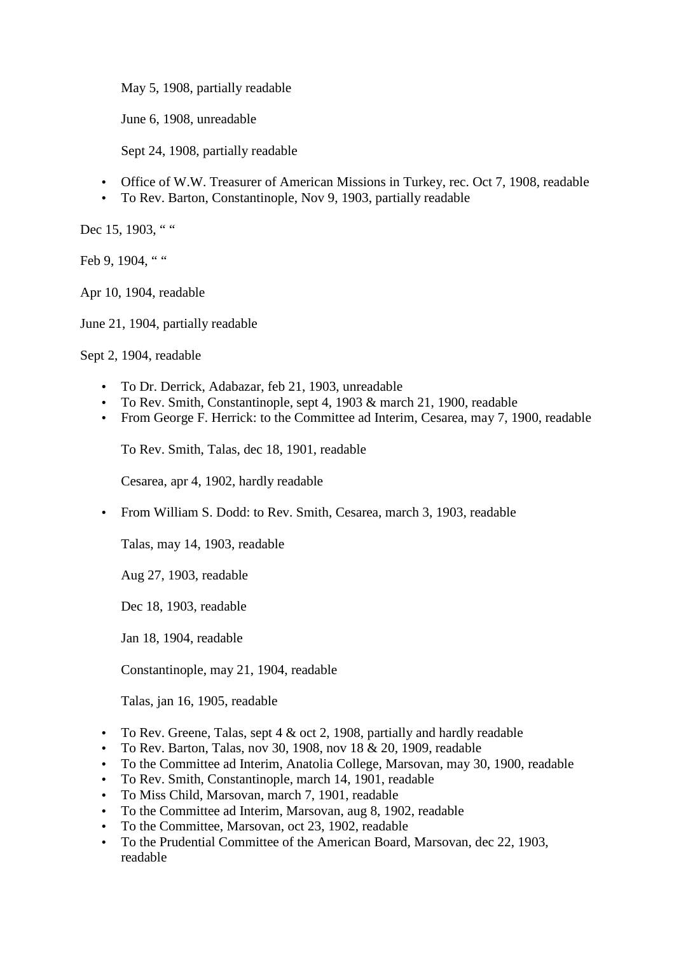May 5, 1908, partially readable

June 6, 1908, unreadable

Sept 24, 1908, partially readable

- Office of W.W. Treasurer of American Missions in Turkey, rec. Oct 7, 1908, readable
- To Rev. Barton, Constantinople, Nov 9, 1903, partially readable

Dec 15, 1903, " "

Feb 9, 1904, " "

Apr 10, 1904, readable

June 21, 1904, partially readable

Sept 2, 1904, readable

- To Dr. Derrick, Adabazar, feb 21, 1903, unreadable
- To Rev. Smith, Constantinople, sept 4, 1903 & march 21, 1900, readable
- From George F. Herrick: to the Committee ad Interim, Cesarea, may 7, 1900, readable

To Rev. Smith, Talas, dec 18, 1901, readable

Cesarea, apr 4, 1902, hardly readable

• From William S. Dodd: to Rev. Smith, Cesarea, march 3, 1903, readable

Talas, may 14, 1903, readable

Aug 27, 1903, readable

Dec 18, 1903, readable

Jan 18, 1904, readable

Constantinople, may 21, 1904, readable

Talas, jan 16, 1905, readable

- To Rev. Greene, Talas, sept 4 & oct 2, 1908, partially and hardly readable
- To Rev. Barton, Talas, nov 30, 1908, nov 18 & 20, 1909, readable
- To the Committee ad Interim, Anatolia College, Marsovan, may 30, 1900, readable
- To Rev. Smith, Constantinople, march 14, 1901, readable
- To Miss Child, Marsovan, march 7, 1901, readable
- To the Committee ad Interim, Marsovan, aug 8, 1902, readable
- To the Committee, Marsovan, oct 23, 1902, readable
- To the Prudential Committee of the American Board, Marsovan, dec 22, 1903, readable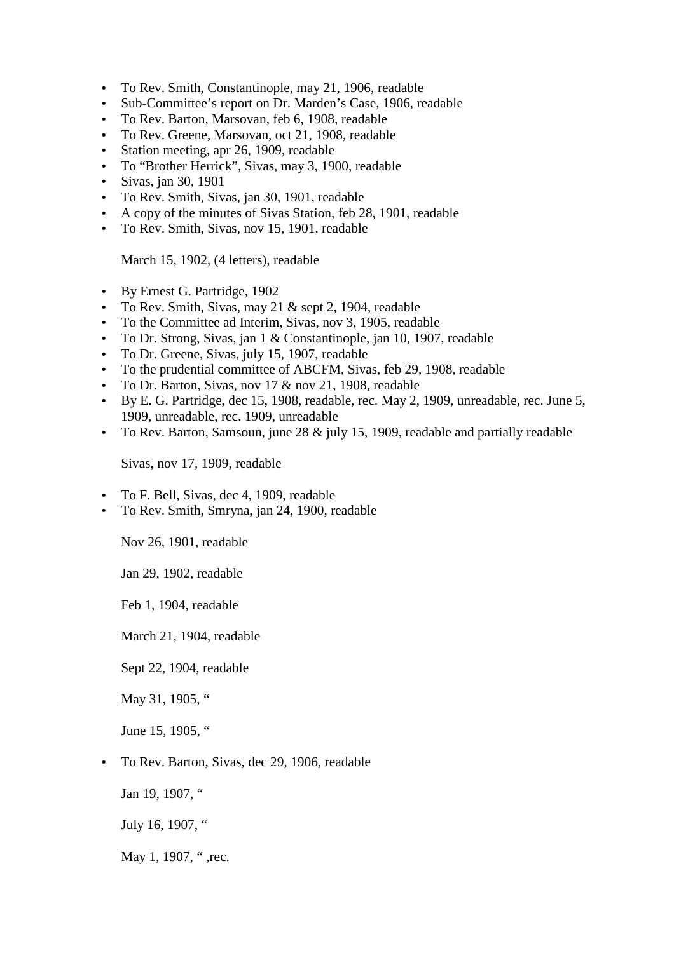- To Rev. Smith, Constantinople, may 21, 1906, readable
- Sub-Committee's report on Dr. Marden's Case, 1906, readable
- To Rev. Barton, Marsovan, feb 6, 1908, readable
- To Rev. Greene, Marsovan, oct 21, 1908, readable
- Station meeting, apr 26, 1909, readable
- To "Brother Herrick", Sivas, may 3, 1900, readable
- Sivas, jan 30, 1901
- To Rev. Smith, Sivas, jan 30, 1901, readable
- A copy of the minutes of Sivas Station, feb 28, 1901, readable
- To Rev. Smith, Sivas, nov 15, 1901, readable

March 15, 1902, (4 letters), readable

- By Ernest G. Partridge, 1902
- To Rev. Smith, Sivas, may 21 & sept 2, 1904, readable
- To the Committee ad Interim, Sivas, nov 3, 1905, readable
- To Dr. Strong, Sivas, jan 1 & Constantinople, jan 10, 1907, readable
- To Dr. Greene, Sivas, july 15, 1907, readable
- To the prudential committee of ABCFM, Sivas, feb 29, 1908, readable
- To Dr. Barton, Sivas, nov 17 & nov 21, 1908, readable
- By E. G. Partridge, dec 15, 1908, readable, rec. May 2, 1909, unreadable, rec. June 5, 1909, unreadable, rec. 1909, unreadable
- To Rev. Barton, Samsoun, june 28 & july 15, 1909, readable and partially readable

Sivas, nov 17, 1909, readable

- To F. Bell, Sivas, dec 4, 1909, readable
- To Rev. Smith, Smryna, jan 24, 1900, readable

Nov 26, 1901, readable

Jan 29, 1902, readable

Feb 1, 1904, readable

March 21, 1904, readable

Sept 22, 1904, readable

May 31, 1905, "

June 15, 1905. "

• To Rev. Barton, Sivas, dec 29, 1906, readable

Jan 19, 1907, "

July 16, 1907, "

May 1, 1907, ", rec.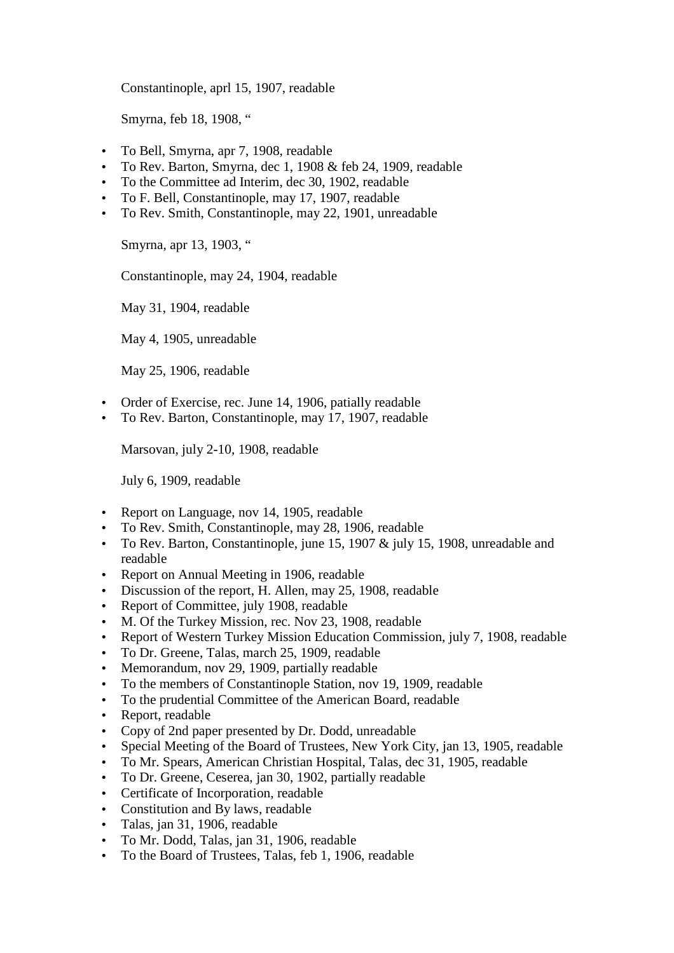Constantinople, aprl 15, 1907, readable

Smyrna, feb 18, 1908, "

- To Bell, Smyrna, apr 7, 1908, readable
- To Rev. Barton, Smyrna, dec 1, 1908 & feb 24, 1909, readable
- To the Committee ad Interim, dec 30, 1902, readable
- To F. Bell, Constantinople, may 17, 1907, readable
- To Rev. Smith, Constantinople, may 22, 1901, unreadable

Smyrna, apr 13, 1903, "

Constantinople, may 24, 1904, readable

May 31, 1904, readable

May 4, 1905, unreadable

May 25, 1906, readable

- Order of Exercise, rec. June 14, 1906, patially readable
- To Rev. Barton, Constantinople, may 17, 1907, readable

Marsovan, july 2-10, 1908, readable

July 6, 1909, readable

- Report on Language, nov 14, 1905, readable
- To Rev. Smith, Constantinople, may 28, 1906, readable
- To Rev. Barton, Constantinople, june 15, 1907 & july 15, 1908, unreadable and readable
- Report on Annual Meeting in 1906, readable
- Discussion of the report, H. Allen, may 25, 1908, readable
- Report of Committee, july 1908, readable
- M. Of the Turkey Mission, rec. Nov 23, 1908, readable
- Report of Western Turkey Mission Education Commission, july 7, 1908, readable
- To Dr. Greene, Talas, march 25, 1909, readable
- Memorandum, nov 29, 1909, partially readable
- To the members of Constantinople Station, nov 19, 1909, readable
- To the prudential Committee of the American Board, readable
- Report, readable
- Copy of 2nd paper presented by Dr. Dodd, unreadable
- Special Meeting of the Board of Trustees, New York City, jan 13, 1905, readable
- To Mr. Spears, American Christian Hospital, Talas, dec 31, 1905, readable
- To Dr. Greene, Ceserea, jan 30, 1902, partially readable
- Certificate of Incorporation, readable
- Constitution and By laws, readable
- Talas, jan 31, 1906, readable
- To Mr. Dodd, Talas, jan 31, 1906, readable
- To the Board of Trustees, Talas, feb 1, 1906, readable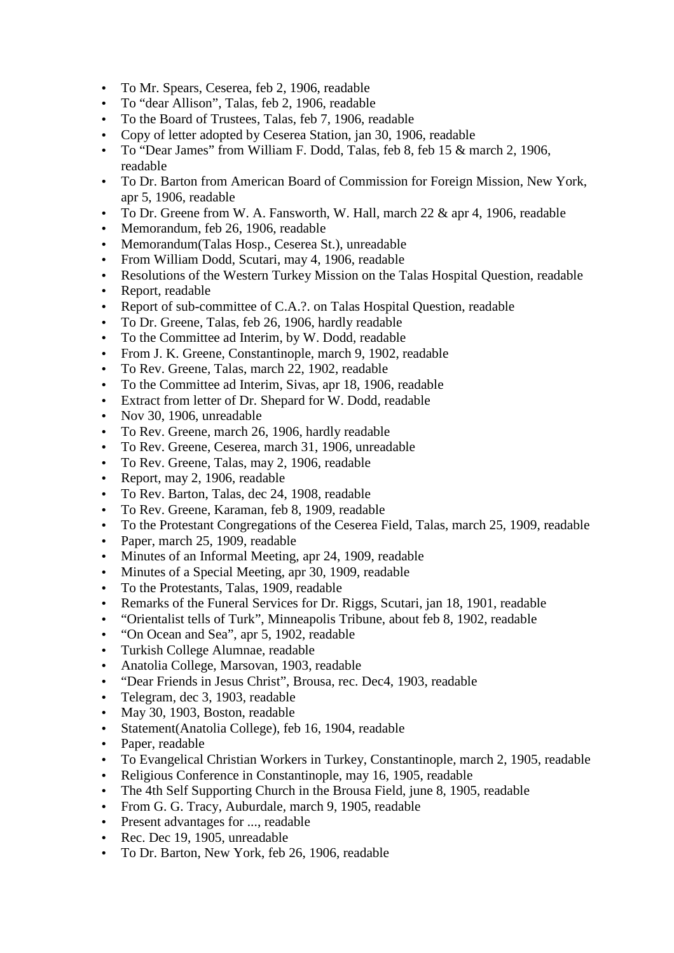- To Mr. Spears, Ceserea, feb 2, 1906, readable
- To "dear Allison", Talas, feb 2, 1906, readable
- To the Board of Trustees, Talas, feb 7, 1906, readable
- Copy of letter adopted by Ceserea Station, jan 30, 1906, readable
- To "Dear James" from William F. Dodd, Talas, feb 8, feb 15 & march 2, 1906, readable
- To Dr. Barton from American Board of Commission for Foreign Mission, New York, apr 5, 1906, readable
- To Dr. Greene from W. A. Fansworth, W. Hall, march 22 & apr 4, 1906, readable
- Memorandum, feb 26, 1906, readable
- Memorandum (Talas Hosp., Ceserea St.), unreadable
- From William Dodd, Scutari, may 4, 1906, readable
- Resolutions of the Western Turkey Mission on the Talas Hospital Question, readable
- Report, readable
- Report of sub-committee of C.A.?. on Talas Hospital Question, readable
- To Dr. Greene, Talas, feb 26, 1906, hardly readable
- To the Committee ad Interim, by W. Dodd, readable
- From J. K. Greene, Constantinople, march 9, 1902, readable
- To Rev. Greene, Talas, march 22, 1902, readable
- To the Committee ad Interim, Sivas, apr 18, 1906, readable
- Extract from letter of Dr. Shepard for W. Dodd, readable
- Nov 30, 1906, unreadable
- To Rev. Greene, march 26, 1906, hardly readable
- To Rev. Greene, Ceserea, march 31, 1906, unreadable
- To Rev. Greene, Talas, may 2, 1906, readable
- Report, may 2, 1906, readable
- To Rev. Barton, Talas, dec 24, 1908, readable
- To Rev. Greene, Karaman, feb 8, 1909, readable
- To the Protestant Congregations of the Ceserea Field, Talas, march 25, 1909, readable
- Paper, march 25, 1909, readable
- Minutes of an Informal Meeting, apr 24, 1909, readable
- Minutes of a Special Meeting, apr 30, 1909, readable
- To the Protestants, Talas, 1909, readable
- Remarks of the Funeral Services for Dr. Riggs, Scutari, jan 18, 1901, readable
- "Orientalist tells of Turk", Minneapolis Tribune, about feb 8, 1902, readable
- "On Ocean and Sea", apr 5, 1902, readable
- Turkish College Alumnae, readable
- Anatolia College, Marsovan, 1903, readable
- "Dear Friends in Jesus Christ", Brousa, rec. Dec4, 1903, readable
- Telegram, dec 3, 1903, readable
- May 30, 1903, Boston, readable
- Statement(Anatolia College), feb 16, 1904, readable
- Paper, readable
- To Evangelical Christian Workers in Turkey, Constantinople, march 2, 1905, readable
- Religious Conference in Constantinople, may 16, 1905, readable
- The 4th Self Supporting Church in the Brousa Field, june 8, 1905, readable
- From G. G. Tracy, Auburdale, march 9, 1905, readable
- Present advantages for ..., readable
- Rec. Dec 19, 1905, unreadable
- To Dr. Barton, New York, feb 26, 1906, readable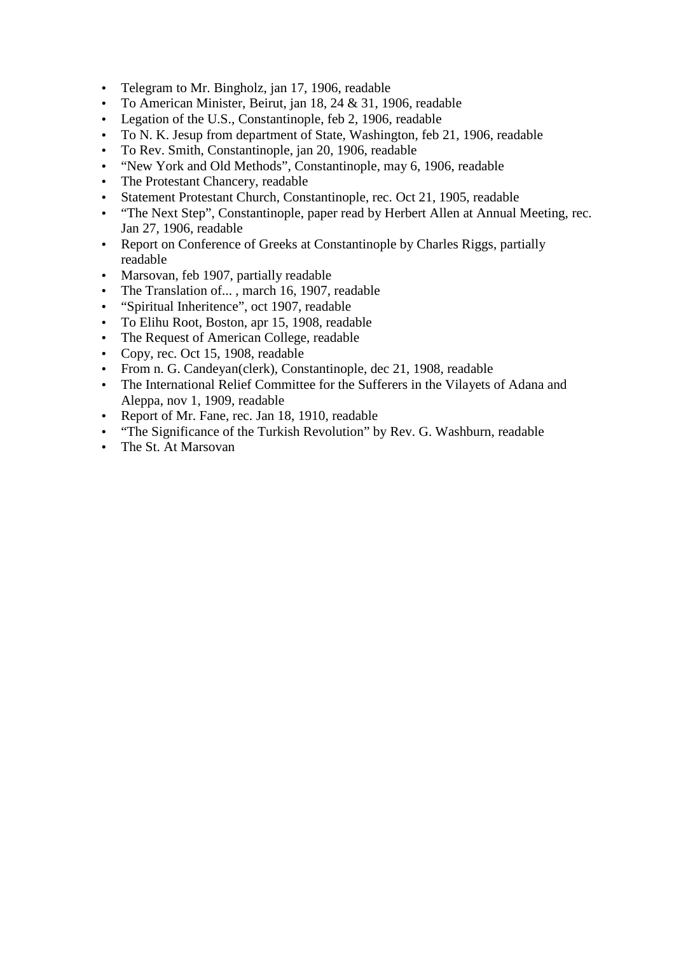- Telegram to Mr. Bingholz, jan 17, 1906, readable
- To American Minister, Beirut, jan 18, 24 & 31, 1906, readable
- Legation of the U.S., Constantinople, feb 2, 1906, readable
- To N. K. Jesup from department of State, Washington, feb 21, 1906, readable
- To Rev. Smith, Constantinople, jan 20, 1906, readable
- "New York and Old Methods", Constantinople, may 6, 1906, readable
- The Protestant Chancery, readable
- Statement Protestant Church, Constantinople, rec. Oct 21, 1905, readable
- "The Next Step", Constantinople, paper read by Herbert Allen at Annual Meeting, rec. Jan 27, 1906, readable
- Report on Conference of Greeks at Constantinople by Charles Riggs, partially readable
- Marsovan, feb 1907, partially readable
- The Translation of..., march 16, 1907, readable
- "Spiritual Inheritence", oct 1907, readable
- To Elihu Root, Boston, apr 15, 1908, readable
- The Request of American College, readable
- Copy, rec. Oct 15, 1908, readable
- From n. G. Candeyan(clerk), Constantinople, dec 21, 1908, readable
- The International Relief Committee for the Sufferers in the Vilayets of Adana and Aleppa, nov 1, 1909, readable
- Report of Mr. Fane, rec. Jan 18, 1910, readable
- "The Significance of the Turkish Revolution" by Rev. G. Washburn, readable
- The St. At Marsovan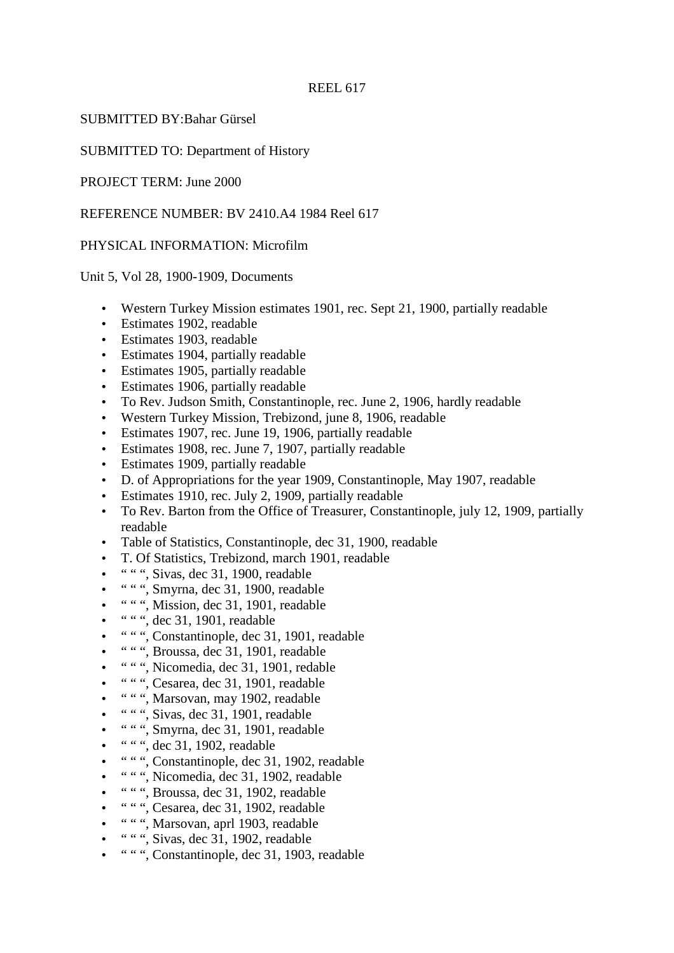# SUBMITTED BY:Bahar Gürsel

SUBMITTED TO: Department of History

PROJECT TERM: June 2000

REFERENCE NUMBER: BV 2410.A4 1984 Reel 617

## PHYSICAL INFORMATION: Microfilm

Unit 5, Vol 28, 1900-1909, Documents

- Western Turkey Mission estimates 1901, rec. Sept 21, 1900, partially readable
- Estimates 1902, readable
- Estimates 1903, readable
- Estimates 1904, partially readable
- Estimates 1905, partially readable
- Estimates 1906, partially readable
- To Rev. Judson Smith, Constantinople, rec. June 2, 1906, hardly readable
- Western Turkey Mission, Trebizond, june 8, 1906, readable
- Estimates 1907, rec. June 19, 1906, partially readable
- Estimates 1908, rec. June 7, 1907, partially readable
- Estimates 1909, partially readable
- D. of Appropriations for the year 1909, Constantinople, May 1907, readable
- Estimates 1910, rec. July 2, 1909, partially readable
- To Rev. Barton from the Office of Treasurer, Constantinople, july 12, 1909, partially readable
- Table of Statistics, Constantinople, dec 31, 1900, readable
- T. Of Statistics, Trebizond, march 1901, readable
- " " ", Sivas, dec 31, 1900, readable
- " " ", Smyrna, dec 31, 1900, readable
- " " ", Mission, dec 31, 1901, readable
- " ", dec 31, 1901, readable
- " " ", Constantinople, dec 31, 1901, readable
- " " ", Broussa, dec 31, 1901, readable
- " " ", Nicomedia, dec 31, 1901, redable
- " " ", Cesarea, dec 31, 1901, readable
- " " ", Marsovan, may 1902, readable
- " ", Sivas, dec 31, 1901, readable
- " " ", Smyrna, dec 31, 1901, readable
- " " ", dec 31, 1902, readable
- " " ", Constantinople, dec 31, 1902, readable
- " " ", Nicomedia, dec 31, 1902, readable
- " " ", Broussa, dec 31, 1902, readable
- " " ", Cesarea, dec 31, 1902, readable
- " " ", Marsovan, aprl 1903, readable
- $\bullet$  "", Sivas, dec 31, 1902, readable
- " " ", Constantinople, dec 31, 1903, readable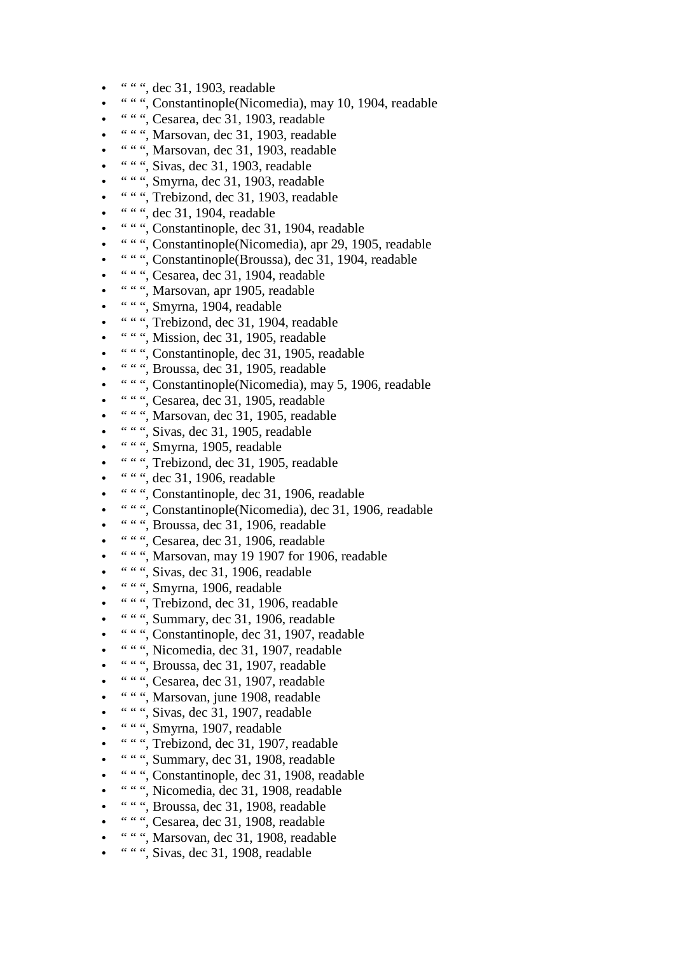- " " ", dec 31, 1903, readable
- " " ", Constantinople(Nicomedia), may 10, 1904, readable
- " " ", Cesarea, dec 31, 1903, readable
- " " ", Marsovan, dec 31, 1903, readable
- " " ", Marsovan, dec 31, 1903, readable
- " " ", Sivas, dec 31, 1903, readable
- " " ", Smyrna, dec 31, 1903, readable
- " " ", Trebizond, dec 31, 1903, readable
- " " ", dec 31, 1904, readable
- " " ", Constantinople, dec 31, 1904, readable
- " " ", Constantinople(Nicomedia), apr 29, 1905, readable
- " " ", Constantinople(Broussa), dec 31, 1904, readable
- " " ", Cesarea, dec 31, 1904, readable
- " " ", Marsovan, apr 1905, readable
- " " ", Smyrna, 1904, readable
- " " ", Trebizond, dec 31, 1904, readable
- " " ", Mission, dec 31, 1905, readable
- " " ", Constantinople, dec 31, 1905, readable
- " " ", Broussa, dec 31, 1905, readable
- " " ", Constantinople(Nicomedia), may 5, 1906, readable
- " " ", Cesarea, dec 31, 1905, readable
- " " ", Marsovan, dec 31, 1905, readable
- " " ", Sivas, dec 31, 1905, readable
- " ", Smyrna, 1905, readable
- " " ", Trebizond, dec 31, 1905, readable
- " " ", dec 31, 1906, readable
- " " ", Constantinople, dec 31, 1906, readable
- " " ", Constantinople(Nicomedia), dec 31, 1906, readable
- " " ", Broussa, dec 31, 1906, readable
- " " ", Cesarea, dec 31, 1906, readable
- " " ", Marsovan, may 19 1907 for 1906, readable
- " ", Sivas, dec 31, 1906, readable
- " " ", Smyrna, 1906, readable
- " " ", Trebizond, dec 31, 1906, readable
- " " ", Summary, dec 31, 1906, readable
- " " ", Constantinople, dec 31, 1907, readable
- " " ", Nicomedia, dec 31, 1907, readable
- " " ", Broussa, dec 31, 1907, readable
- " " ", Cesarea, dec 31, 1907, readable
- " " ", Marsovan, june 1908, readable
- " " ", Sivas, dec 31, 1907, readable
- " "", Smyrna, 1907, readable
- " " ", Trebizond, dec 31, 1907, readable
- " " ", Summary, dec 31, 1908, readable
- " " ", Constantinople, dec 31, 1908, readable
- " " ", Nicomedia, dec 31, 1908, readable
- " " ", Broussa, dec 31, 1908, readable
- " " ", Cesarea, dec 31, 1908, readable
- " " ", Marsovan, dec 31, 1908, readable
- " " ", Sivas, dec 31, 1908, readable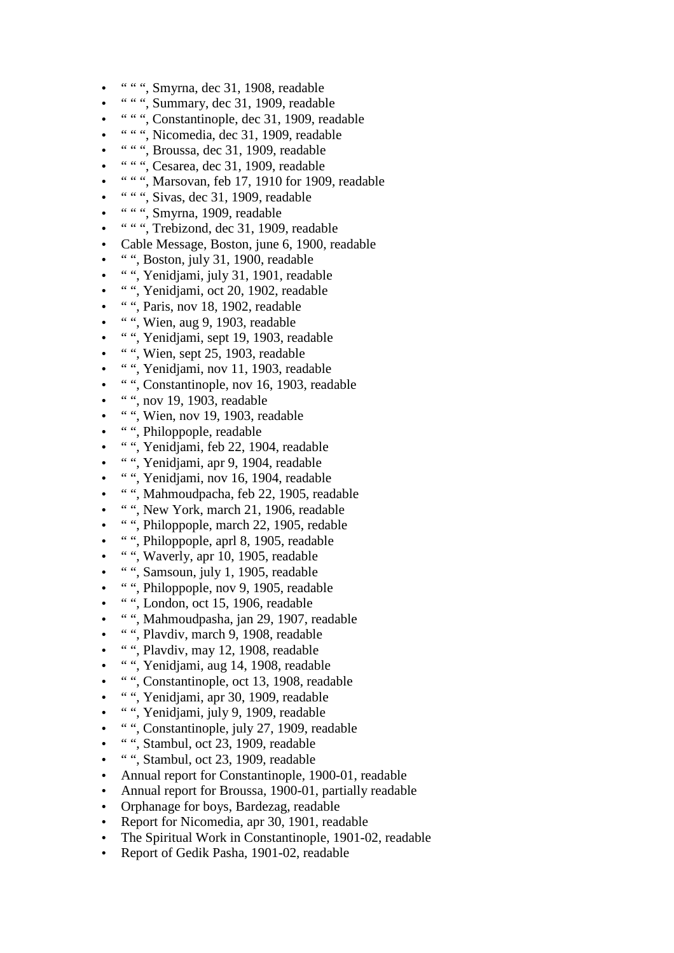- " " ", Smyrna, dec 31, 1908, readable
- " " ", Summary, dec 31, 1909, readable
- " " ", Constantinople, dec 31, 1909, readable
- " " ", Nicomedia, dec 31, 1909, readable
- " " ", Broussa, dec 31, 1909, readable
- " " ", Cesarea, dec 31, 1909, readable
- " " ", Marsovan, feb 17, 1910 for 1909, readable
- " " ", Sivas, dec 31, 1909, readable
- " "", Smyrna, 1909, readable
- " " ", Trebizond, dec 31, 1909, readable
- Cable Message, Boston, june 6, 1900, readable
- " ", Boston, july 31, 1900, readable
- " ", Yenidjami, july 31, 1901, readable
- " ", Yenidjami, oct 20, 1902, readable
- " ", Paris, nov 18, 1902, readable
- $\bullet$  ", Wien, aug 9, 1903, readable
- " ", Yenidjami, sept 19, 1903, readable
- " ", Wien, sept 25, 1903, readable
- " ", Yenidjami, nov 11, 1903, readable
- " ", Constantinople, nov 16, 1903, readable
- $\bullet$  ", nov 19, 1903, readable
- "", Wien, nov 19, 1903, readable
- " ", Philoppople, readable
- " ", Yenidjami, feb 22, 1904, readable
- " ", Yenidjami, apr 9, 1904, readable
- " ", Yenidjami, nov 16, 1904, readable
- " ", Mahmoudpacha, feb 22, 1905, readable
- " ", New York, march 21, 1906, readable
- " ", Philoppople, march 22, 1905, redable
- " ", Philoppople, aprl 8, 1905, readable
- " ", Waverly, apr 10, 1905, readable
- " ", Samsoun, july 1, 1905, readable
- " ", Philoppople, nov 9, 1905, readable
- " ", London, oct 15, 1906, readable
- " ", Mahmoudpasha, jan 29, 1907, readable
- " ", Plavdiv, march 9, 1908, readable
- " ", Plavdiv, may 12, 1908, readable
- " ", Yenidjami, aug 14, 1908, readable
- " ", Constantinople, oct 13, 1908, readable
- " ", Yenidjami, apr 30, 1909, readable
- " ", Yenidjami, july 9, 1909, readable
- " ", Constantinople, july 27, 1909, readable
- " ", Stambul, oct 23, 1909, readable
- " ", Stambul, oct 23, 1909, readable
- Annual report for Constantinople, 1900-01, readable
- Annual report for Broussa, 1900-01, partially readable
- Orphanage for boys, Bardezag, readable
- Report for Nicomedia, apr 30, 1901, readable
- The Spiritual Work in Constantinople, 1901-02, readable
- Report of Gedik Pasha, 1901-02, readable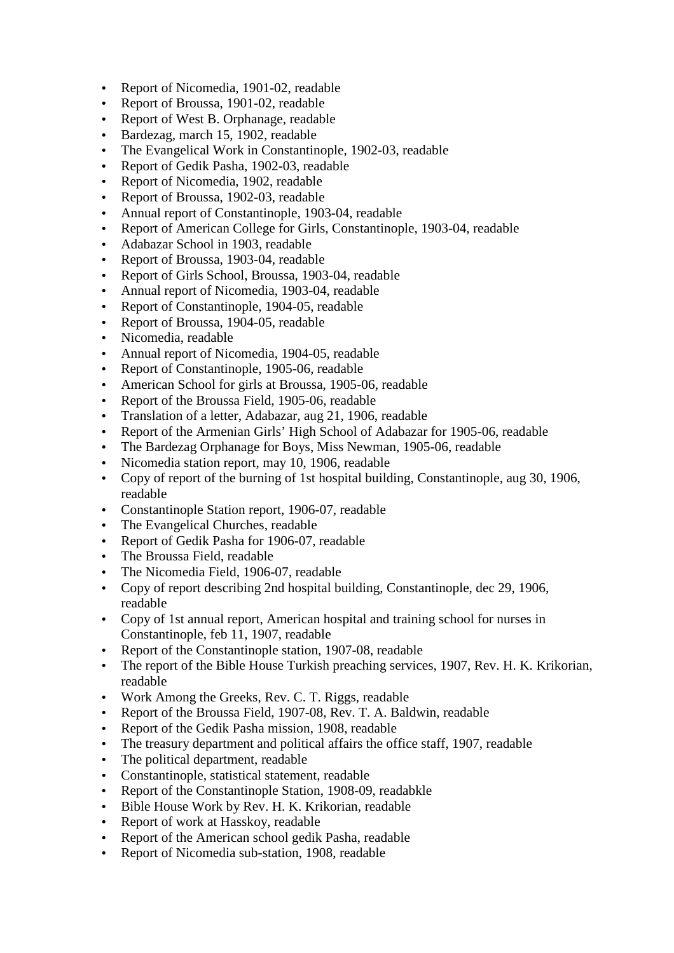- Report of Nicomedia, 1901-02, readable
- Report of Broussa, 1901-02, readable
- Report of West B. Orphanage, readable
- Bardezag, march 15, 1902, readable
- The Evangelical Work in Constantinople, 1902-03, readable
- Report of Gedik Pasha, 1902-03, readable
- Report of Nicomedia, 1902, readable
- Report of Broussa, 1902-03, readable
- Annual report of Constantinople, 1903-04, readable
- Report of American College for Girls, Constantinople, 1903-04, readable
- Adabazar School in 1903, readable
- Report of Broussa, 1903-04, readable
- Report of Girls School, Broussa, 1903-04, readable
- Annual report of Nicomedia, 1903-04, readable
- Report of Constantinople, 1904-05, readable
- Report of Broussa, 1904-05, readable
- Nicomedia, readable
- Annual report of Nicomedia, 1904-05, readable
- Report of Constantinople, 1905-06, readable
- American School for girls at Broussa, 1905-06, readable
- Report of the Broussa Field, 1905-06, readable
- Translation of a letter, Adabazar, aug 21, 1906, readable
- Report of the Armenian Girls' High School of Adabazar for 1905-06, readable
- The Bardezag Orphanage for Boys, Miss Newman, 1905-06, readable
- Nicomedia station report, may 10, 1906, readable
- Copy of report of the burning of 1st hospital building, Constantinople, aug 30, 1906, readable
- Constantinople Station report, 1906-07, readable
- The Evangelical Churches, readable
- Report of Gedik Pasha for 1906-07, readable
- The Broussa Field, readable
- The Nicomedia Field, 1906-07, readable
- Copy of report describing 2nd hospital building, Constantinople, dec 29, 1906, readable
- Copy of 1st annual report, American hospital and training school for nurses in Constantinople, feb 11, 1907, readable
- Report of the Constantinople station, 1907-08, readable
- The report of the Bible House Turkish preaching services, 1907, Rev. H. K. Krikorian, readable
- Work Among the Greeks, Rev. C. T. Riggs, readable
- Report of the Broussa Field, 1907-08, Rev. T. A. Baldwin, readable
- Report of the Gedik Pasha mission, 1908, readable
- The treasury department and political affairs the office staff, 1907, readable
- The political department, readable
- Constantinople, statistical statement, readable
- Report of the Constantinople Station, 1908-09, readabkle
- Bible House Work by Rev. H. K. Krikorian, readable
- Report of work at Hasskoy, readable
- Report of the American school gedik Pasha, readable
- Report of Nicomedia sub-station, 1908, readable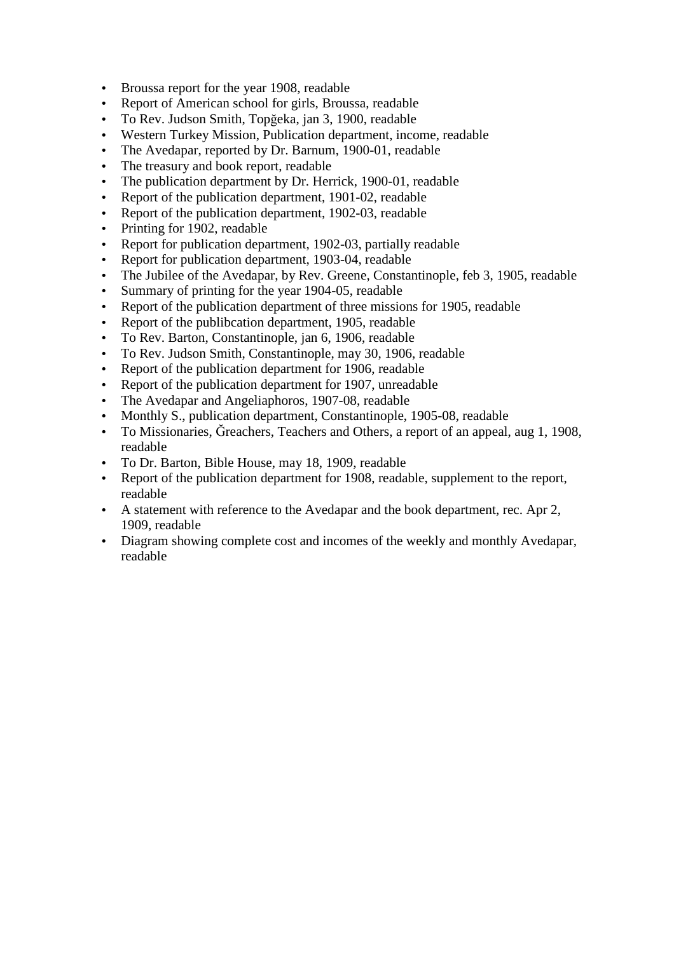- Broussa report for the year 1908, readable
- Report of American school for girls, Broussa, readable
- To Rev. Judson Smith, Topğeka, jan 3, 1900, readable
- Western Turkey Mission, Publication department, income, readable
- The Avedapar, reported by Dr. Barnum, 1900-01, readable
- The treasury and book report, readable
- The publication department by Dr. Herrick, 1900-01, readable
- Report of the publication department, 1901-02, readable
- Report of the publication department, 1902-03, readable
- Printing for 1902, readable
- Report for publication department, 1902-03, partially readable
- Report for publication department, 1903-04, readable
- The Jubilee of the Avedapar, by Rev. Greene, Constantinople, feb 3, 1905, readable
- Summary of printing for the year 1904-05, readable
- Report of the publication department of three missions for 1905, readable
- Report of the publibcation department, 1905, readable
- To Rev. Barton, Constantinople, jan 6, 1906, readable
- To Rev. Judson Smith, Constantinople, may 30, 1906, readable
- Report of the publication department for 1906, readable
- Report of the publication department for 1907, unreadable
- The Avedapar and Angeliaphoros, 1907-08, readable
- Monthly S., publication department, Constantinople, 1905-08, readable
- To Missionaries, Ğreachers, Teachers and Others, a report of an appeal, aug 1, 1908, readable
- To Dr. Barton, Bible House, may 18, 1909, readable
- Report of the publication department for 1908, readable, supplement to the report, readable
- A statement with reference to the Avedapar and the book department, rec. Apr 2, 1909, readable
- Diagram showing complete cost and incomes of the weekly and monthly Avedapar, readable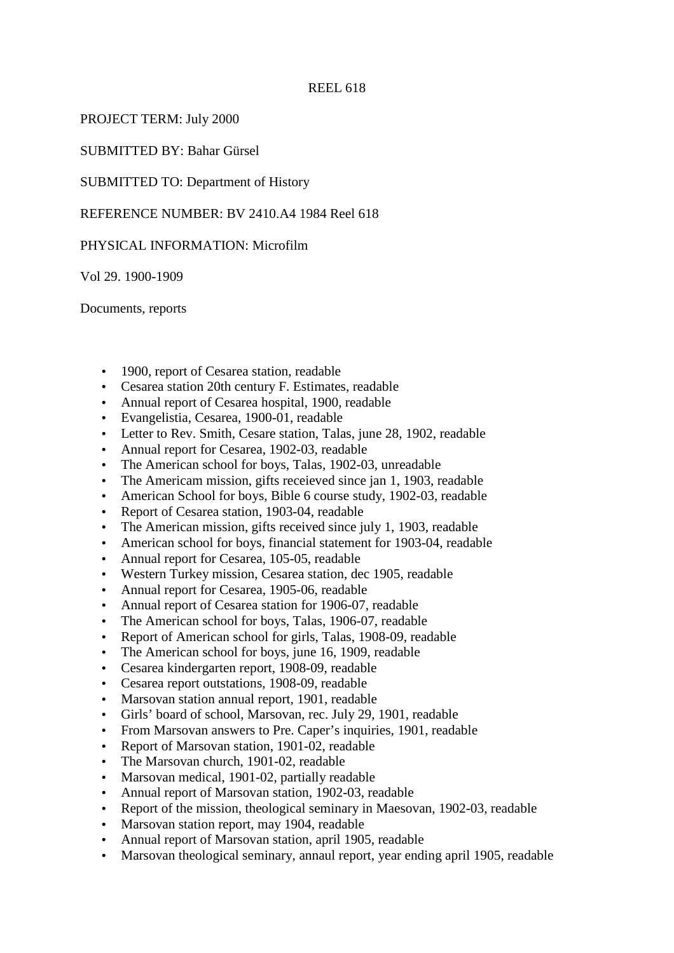## PROJECT TERM: July 2000

SUBMITTED BY: Bahar Gürsel

SUBMITTED TO: Department of History

REFERENCE NUMBER: BV 2410.A4 1984 Reel 618

## PHYSICAL INFORMATION: Microfilm

Vol 29. 1900-1909

Documents, reports

- 1900, report of Cesarea station, readable
- Cesarea station 20th century F. Estimates, readable
- Annual report of Cesarea hospital, 1900, readable
- Evangelistia, Cesarea, 1900-01, readable
- Letter to Rev. Smith, Cesare station, Talas, june 28, 1902, readable
- Annual report for Cesarea, 1902-03, readable
- The American school for boys, Talas, 1902-03, unreadable
- The Americam mission, gifts receieved since jan 1, 1903, readable
- American School for boys, Bible 6 course study, 1902-03, readable
- Report of Cesarea station, 1903-04, readable
- The American mission, gifts received since july 1, 1903, readable
- American school for boys, financial statement for 1903-04, readable
- Annual report for Cesarea, 105-05, readable
- Western Turkey mission, Cesarea station, dec 1905, readable
- Annual report for Cesarea, 1905-06, readable
- Annual report of Cesarea station for 1906-07, readable
- The American school for boys, Talas, 1906-07, readable
- Report of American school for girls, Talas, 1908-09, readable
- The American school for boys, june 16, 1909, readable
- Cesarea kindergarten report, 1908-09, readable
- Cesarea report outstations, 1908-09, readable
- Marsovan station annual report, 1901, readable
- Girls' board of school, Marsovan, rec. July 29, 1901, readable
- From Marsovan answers to Pre. Caper's inquiries, 1901, readable
- Report of Marsovan station, 1901-02, readable
- The Marsovan church, 1901-02, readable
- Marsovan medical, 1901-02, partially readable
- Annual report of Marsovan station, 1902-03, readable
- Report of the mission, theological seminary in Maesovan, 1902-03, readable
- Marsovan station report, may 1904, readable
- Annual report of Marsovan station, april 1905, readable
- Marsovan theological seminary, annaul report, year ending april 1905, readable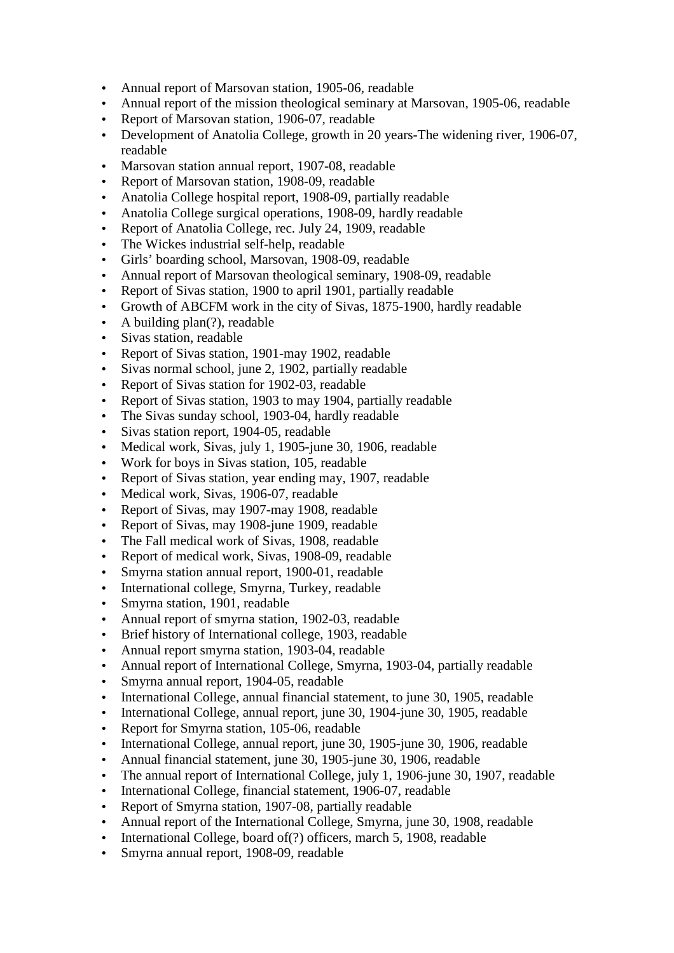- Annual report of Marsovan station, 1905-06, readable
- Annual report of the mission theological seminary at Marsovan, 1905-06, readable
- Report of Marsovan station, 1906-07, readable
- Development of Anatolia College, growth in 20 years-The widening river, 1906-07, readable
- Marsovan station annual report, 1907-08, readable
- Report of Marsovan station, 1908-09, readable
- Anatolia College hospital report, 1908-09, partially readable
- Anatolia College surgical operations, 1908-09, hardly readable
- Report of Anatolia College, rec. July 24, 1909, readable
- The Wickes industrial self-help, readable
- Girls' boarding school, Marsovan, 1908-09, readable
- Annual report of Marsovan theological seminary, 1908-09, readable
- Report of Sivas station, 1900 to april 1901, partially readable
- Growth of ABCFM work in the city of Sivas, 1875-1900, hardly readable
- A building plan(?), readable
- Sivas station, readable
- Report of Sivas station, 1901-may 1902, readable
- Sivas normal school, june 2, 1902, partially readable
- Report of Sivas station for 1902-03, readable
- Report of Sivas station, 1903 to may 1904, partially readable
- The Sivas sunday school, 1903-04, hardly readable
- Sivas station report, 1904-05, readable
- Medical work, Sivas, july 1, 1905-june 30, 1906, readable
- Work for boys in Sivas station, 105, readable
- Report of Sivas station, year ending may, 1907, readable
- Medical work, Sivas, 1906-07, readable
- Report of Sivas, may 1907-may 1908, readable
- Report of Sivas, may 1908-june 1909, readable
- The Fall medical work of Sivas, 1908, readable
- Report of medical work, Sivas, 1908-09, readable
- Smyrna station annual report, 1900-01, readable
- International college, Smyrna, Turkey, readable
- Smyrna station, 1901, readable
- Annual report of smyrna station, 1902-03, readable
- Brief history of International college, 1903, readable
- Annual report smyrna station, 1903-04, readable
- Annual report of International College, Smyrna, 1903-04, partially readable
- Smyrna annual report, 1904-05, readable
- International College, annual financial statement, to june 30, 1905, readable
- International College, annual report, june 30, 1904-june 30, 1905, readable
- Report for Smyrna station, 105-06, readable
- International College, annual report, june 30, 1905-june 30, 1906, readable
- Annual financial statement, june 30, 1905-june 30, 1906, readable
- The annual report of International College, july 1, 1906-june 30, 1907, readable
- International College, financial statement, 1906-07, readable
- Report of Smyrna station, 1907-08, partially readable
- Annual report of the International College, Smyrna, june 30, 1908, readable
- International College, board of(?) officers, march 5, 1908, readable
- Smyrna annual report, 1908-09, readable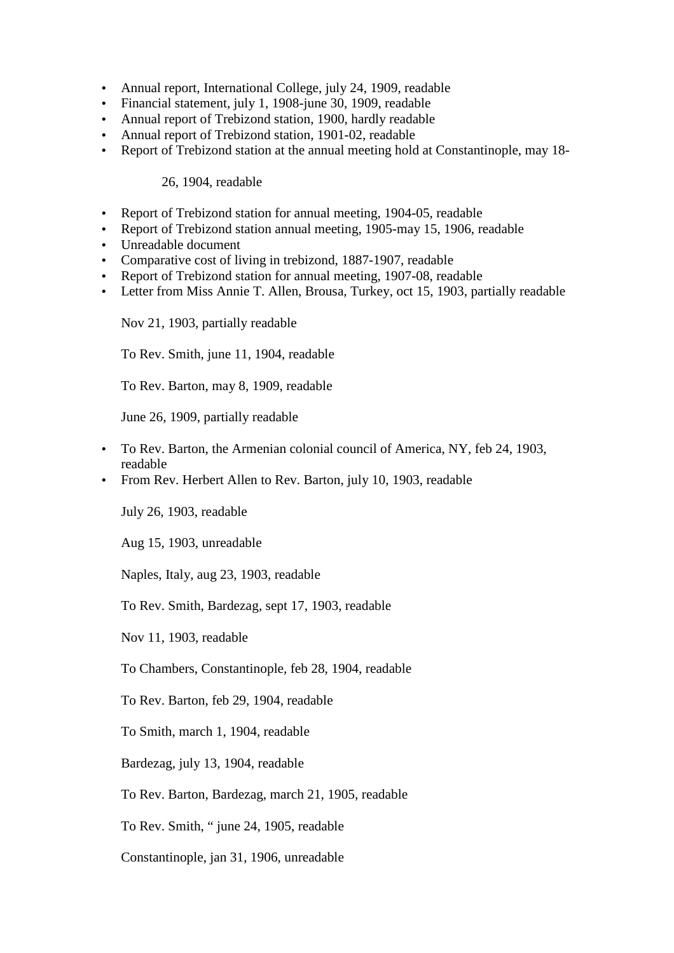- Annual report, International College, july 24, 1909, readable
- Financial statement, july 1, 1908-june 30, 1909, readable
- Annual report of Trebizond station, 1900, hardly readable
- Annual report of Trebizond station, 1901-02, readable
- Report of Trebizond station at the annual meeting hold at Constantinople, may 18-

## 26, 1904, readable

- Report of Trebizond station for annual meeting, 1904-05, readable
- Report of Trebizond station annual meeting, 1905-may 15, 1906, readable
- Unreadable document
- Comparative cost of living in trebizond, 1887-1907, readable
- Report of Trebizond station for annual meeting, 1907-08, readable
- Letter from Miss Annie T. Allen, Brousa, Turkey, oct 15, 1903, partially readable

Nov 21, 1903, partially readable

To Rev. Smith, june 11, 1904, readable

To Rev. Barton, may 8, 1909, readable

June 26, 1909, partially readable

- To Rev. Barton, the Armenian colonial council of America, NY, feb 24, 1903, readable
- From Rev. Herbert Allen to Rev. Barton, july 10, 1903, readable

July 26, 1903, readable

Aug 15, 1903, unreadable

Naples, Italy, aug 23, 1903, readable

To Rev. Smith, Bardezag, sept 17, 1903, readable

Nov 11, 1903, readable

To Chambers, Constantinople, feb 28, 1904, readable

To Rev. Barton, feb 29, 1904, readable

To Smith, march 1, 1904, readable

Bardezag, july 13, 1904, readable

To Rev. Barton, Bardezag, march 21, 1905, readable

To Rev. Smith, " june 24, 1905, readable

Constantinople, jan 31, 1906, unreadable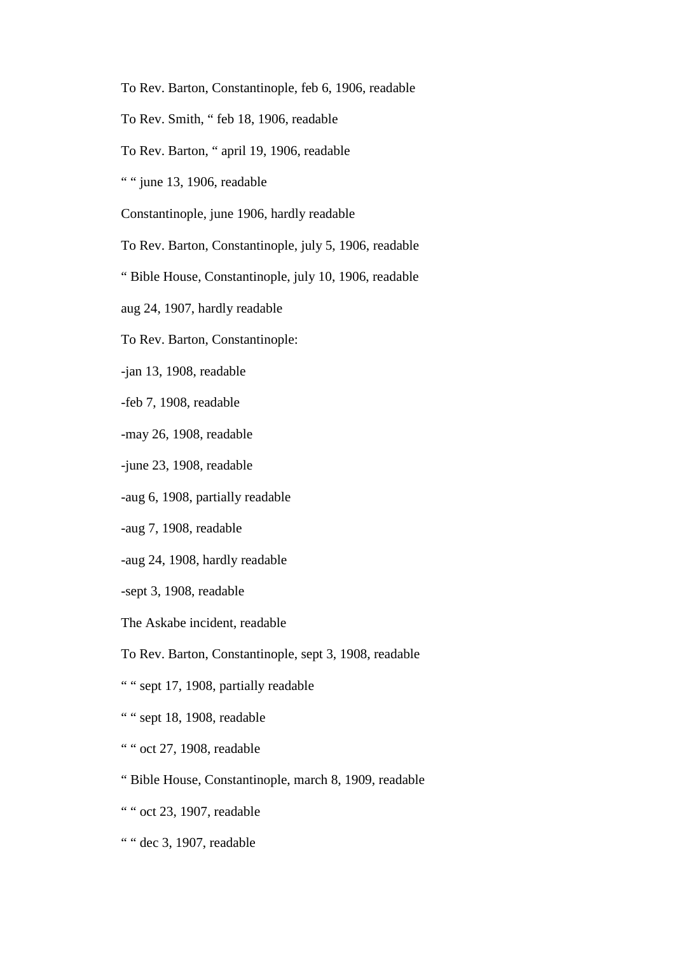- To Rev. Barton, Constantinople, feb 6, 1906, readable
- To Rev. Smith, " feb 18, 1906, readable
- To Rev. Barton, " april 19, 1906, readable
- " " june 13, 1906, readable
- Constantinople, june 1906, hardly readable
- To Rev. Barton, Constantinople, july 5, 1906, readable
- " Bible House, Constantinople, july 10, 1906, readable
- aug 24, 1907, hardly readable
- To Rev. Barton, Constantinople:
- -jan 13, 1908, readable
- -feb 7, 1908, readable
- -may 26, 1908, readable
- -june 23, 1908, readable
- -aug 6, 1908, partially readable
- -aug 7, 1908, readable
- -aug 24, 1908, hardly readable
- -sept 3, 1908, readable
- The Askabe incident, readable
- To Rev. Barton, Constantinople, sept 3, 1908, readable
- " " sept 17, 1908, partially readable
- " " sept 18, 1908, readable
- " " oct 27, 1908, readable
- " Bible House, Constantinople, march 8, 1909, readable
- " " oct 23, 1907, readable
- " " dec 3, 1907, readable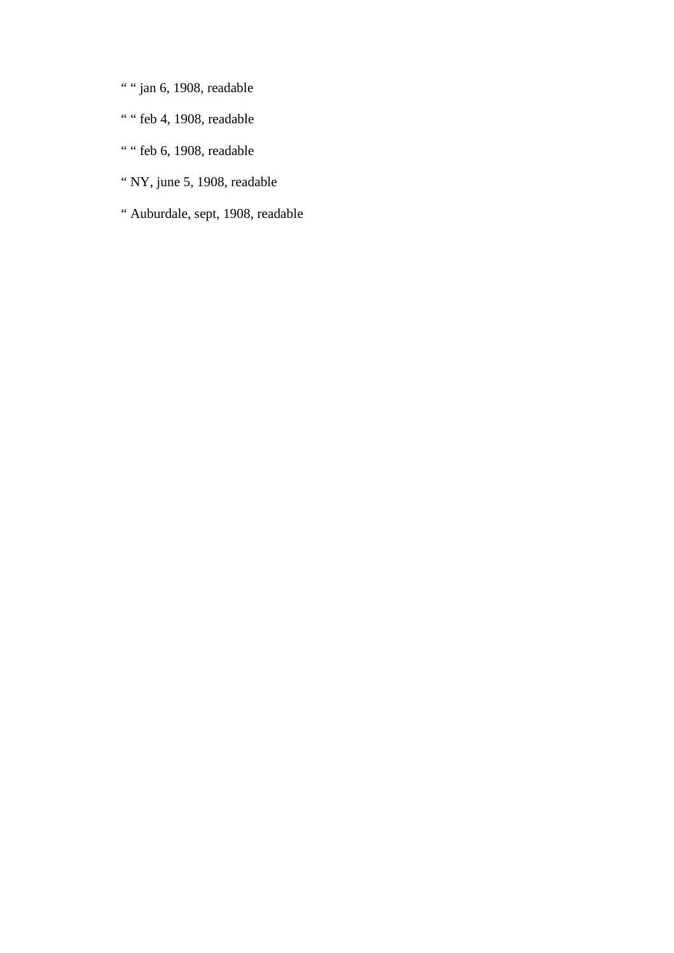- " " jan 6, 1908, readable
- " " feb 4, 1908, readable
- " " feb 6, 1908, readable
- " NY, june 5, 1908, readable
- " Auburdale, sept, 1908, readable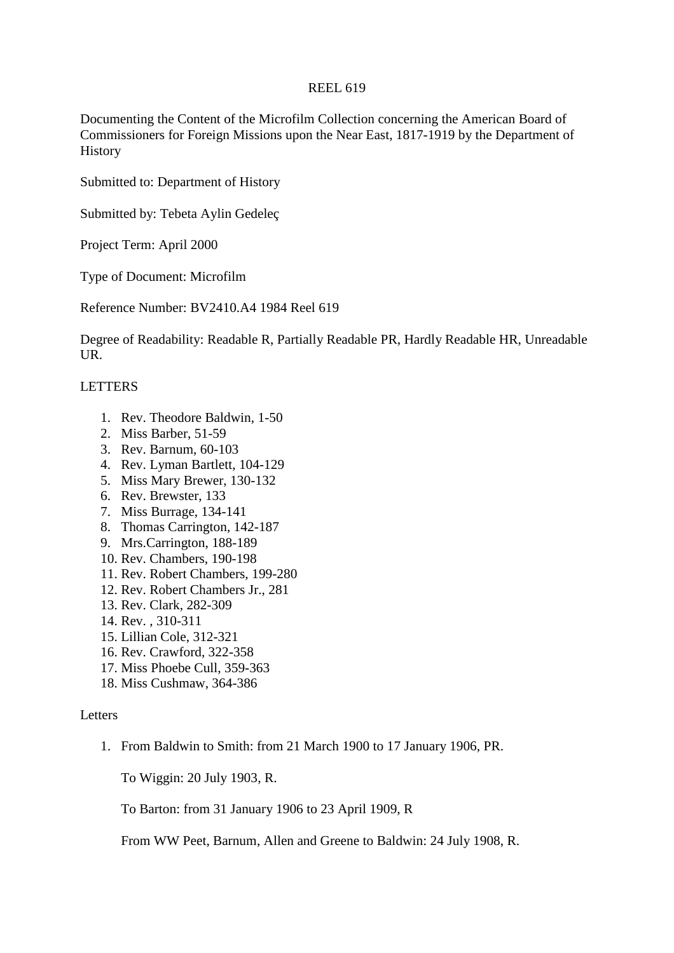Documenting the Content of the Microfilm Collection concerning the American Board of Commissioners for Foreign Missions upon the Near East, 1817-1919 by the Department of History

Submitted to: Department of History

Submitted by: Tebeta Aylin Gedeleç

Project Term: April 2000

Type of Document: Microfilm

Reference Number: BV2410.A4 1984 Reel 619

Degree of Readability: Readable R, Partially Readable PR, Hardly Readable HR, Unreadable UR.

## LETTERS

- 1. Rev. Theodore Baldwin, 1-50
- 2. Miss Barber, 51-59
- 3. Rev. Barnum, 60-103
- 4. Rev. Lyman Bartlett, 104-129
- 5. Miss Mary Brewer, 130-132
- 6. Rev. Brewster, 133
- 7. Miss Burrage, 134-141
- 8. Thomas Carrington, 142-187
- 9. Mrs.Carrington, 188-189
- 10. Rev. Chambers, 190-198
- 11. Rev. Robert Chambers, 199-280
- 12. Rev. Robert Chambers Jr., 281
- 13. Rev. Clark, 282-309
- 14. Rev. , 310-311
- 15. Lillian Cole, 312-321
- 16. Rev. Crawford, 322-358
- 17. Miss Phoebe Cull, 359-363
- 18. Miss Cushmaw, 364-386

#### **Letters**

1. From Baldwin to Smith: from 21 March 1900 to 17 January 1906, PR.

To Wiggin: 20 July 1903, R.

To Barton: from 31 January 1906 to 23 April 1909, R

From WW Peet, Barnum, Allen and Greene to Baldwin: 24 July 1908, R.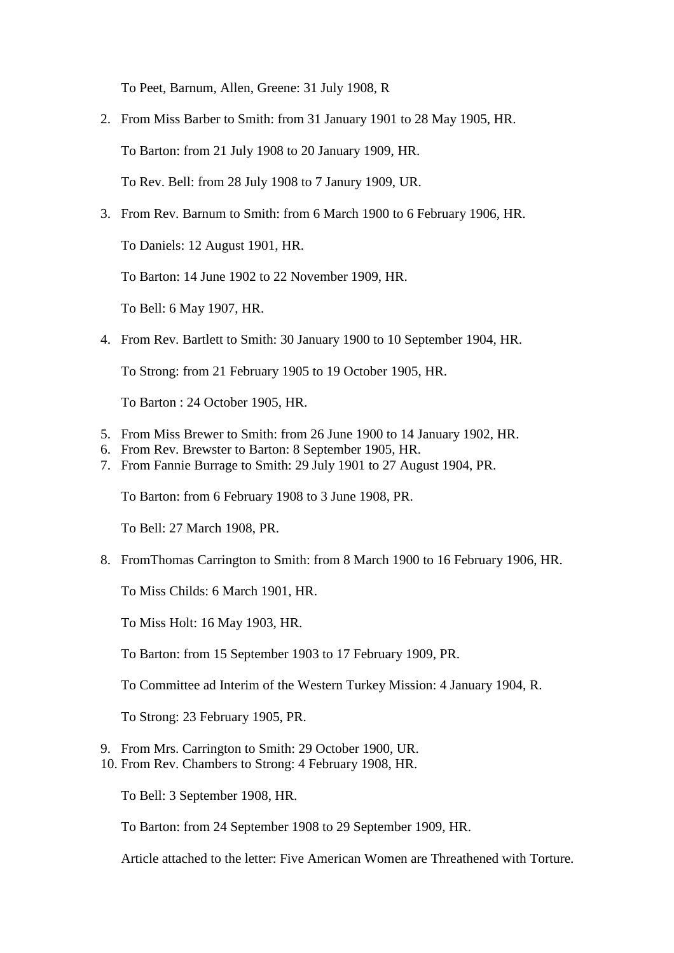To Peet, Barnum, Allen, Greene: 31 July 1908, R

- 2. From Miss Barber to Smith: from 31 January 1901 to 28 May 1905, HR. To Barton: from 21 July 1908 to 20 January 1909, HR. To Rev. Bell: from 28 July 1908 to 7 Janury 1909, UR.
- 3. From Rev. Barnum to Smith: from 6 March 1900 to 6 February 1906, HR.

To Daniels: 12 August 1901, HR.

To Barton: 14 June 1902 to 22 November 1909, HR.

To Bell: 6 May 1907, HR.

4. From Rev. Bartlett to Smith: 30 January 1900 to 10 September 1904, HR.

To Strong: from 21 February 1905 to 19 October 1905, HR.

To Barton : 24 October 1905, HR.

- 5. From Miss Brewer to Smith: from 26 June 1900 to 14 January 1902, HR.
- 6. From Rev. Brewster to Barton: 8 September 1905, HR.
- 7. From Fannie Burrage to Smith: 29 July 1901 to 27 August 1904, PR.

To Barton: from 6 February 1908 to 3 June 1908, PR.

To Bell: 27 March 1908, PR.

8. FromThomas Carrington to Smith: from 8 March 1900 to 16 February 1906, HR.

To Miss Childs: 6 March 1901, HR.

To Miss Holt: 16 May 1903, HR.

To Barton: from 15 September 1903 to 17 February 1909, PR.

To Committee ad Interim of the Western Turkey Mission: 4 January 1904, R.

To Strong: 23 February 1905, PR.

- 9. From Mrs. Carrington to Smith: 29 October 1900, UR.
- 10. From Rev. Chambers to Strong: 4 February 1908, HR.

To Bell: 3 September 1908, HR.

To Barton: from 24 September 1908 to 29 September 1909, HR.

Article attached to the letter: Five American Women are Threathened with Torture.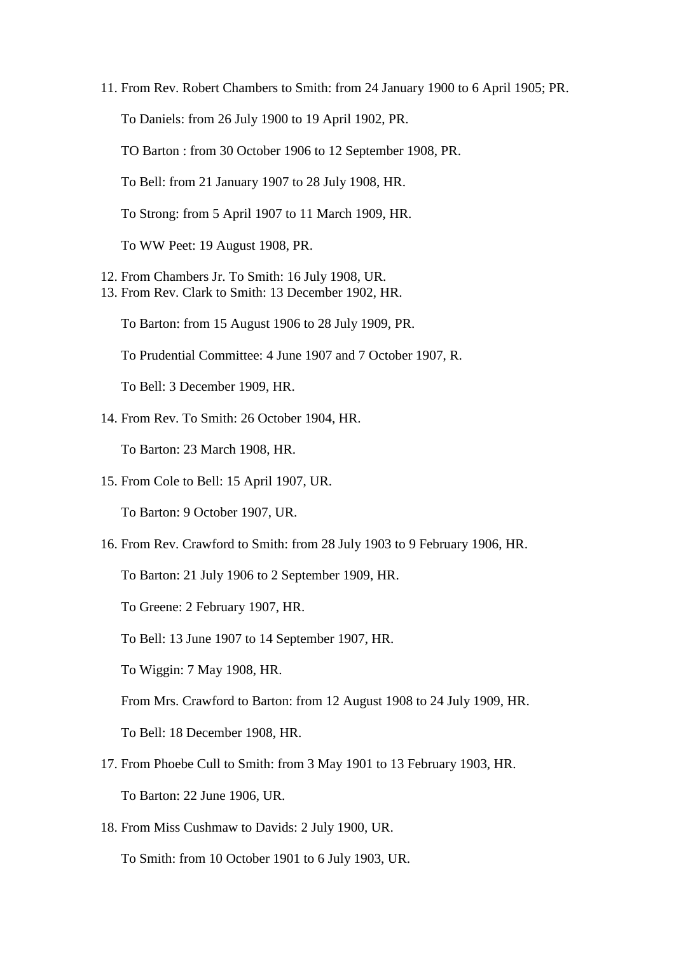11. From Rev. Robert Chambers to Smith: from 24 January 1900 to 6 April 1905; PR.

To Daniels: from 26 July 1900 to 19 April 1902, PR.

TO Barton : from 30 October 1906 to 12 September 1908, PR.

To Bell: from 21 January 1907 to 28 July 1908, HR.

To Strong: from 5 April 1907 to 11 March 1909, HR.

To WW Peet: 19 August 1908, PR.

- 12. From Chambers Jr. To Smith: 16 July 1908, UR.
- 13. From Rev. Clark to Smith: 13 December 1902, HR.

To Barton: from 15 August 1906 to 28 July 1909, PR.

To Prudential Committee: 4 June 1907 and 7 October 1907, R.

To Bell: 3 December 1909, HR.

14. From Rev. To Smith: 26 October 1904, HR.

To Barton: 23 March 1908, HR.

15. From Cole to Bell: 15 April 1907, UR.

To Barton: 9 October 1907, UR.

16. From Rev. Crawford to Smith: from 28 July 1903 to 9 February 1906, HR.

To Barton: 21 July 1906 to 2 September 1909, HR.

To Greene: 2 February 1907, HR.

To Bell: 13 June 1907 to 14 September 1907, HR.

To Wiggin: 7 May 1908, HR.

From Mrs. Crawford to Barton: from 12 August 1908 to 24 July 1909, HR.

To Bell: 18 December 1908, HR.

- 17. From Phoebe Cull to Smith: from 3 May 1901 to 13 February 1903, HR. To Barton: 22 June 1906, UR.
- 18. From Miss Cushmaw to Davids: 2 July 1900, UR.

To Smith: from 10 October 1901 to 6 July 1903, UR.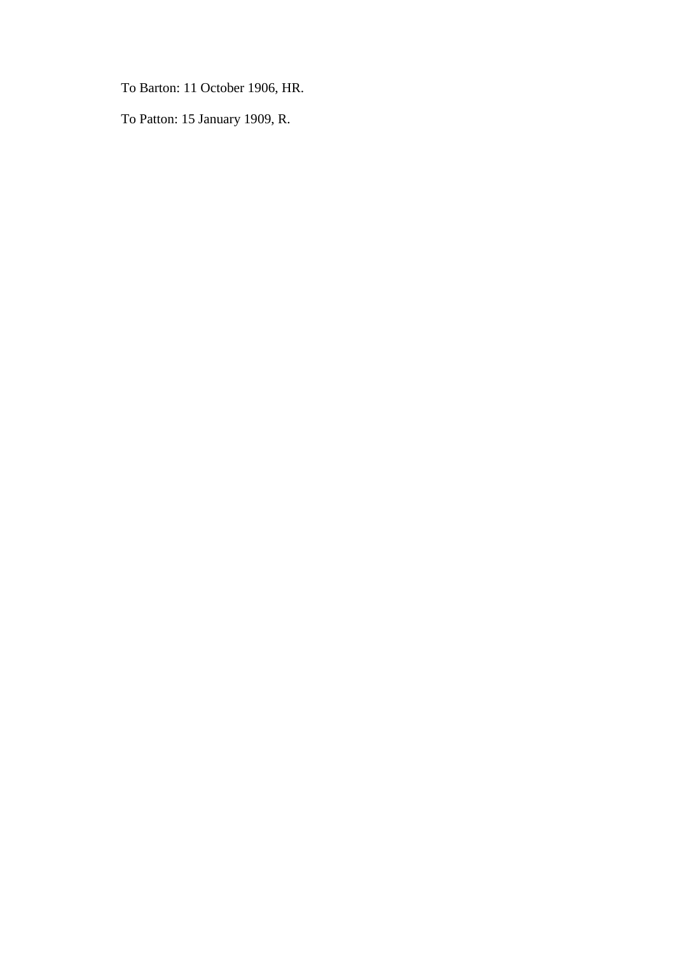To Barton: 11 October 1906, HR.

To Patton: 15 January 1909, R.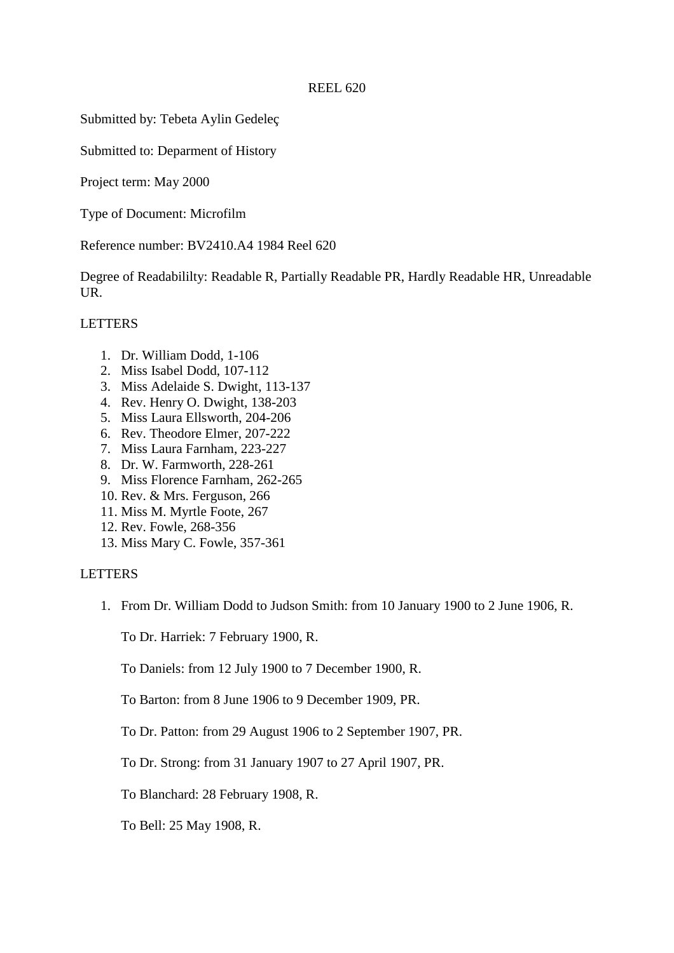Submitted by: Tebeta Aylin Gedeleç

Submitted to: Deparment of History

Project term: May 2000

Type of Document: Microfilm

Reference number: BV2410.A4 1984 Reel 620

Degree of Readabililty: Readable R, Partially Readable PR, Hardly Readable HR, Unreadable UR.

## LETTERS

- 1. Dr. William Dodd, 1-106
- 2. Miss Isabel Dodd, 107-112
- 3. Miss Adelaide S. Dwight, 113-137
- 4. Rev. Henry O. Dwight, 138-203
- 5. Miss Laura Ellsworth, 204-206
- 6. Rev. Theodore Elmer, 207-222
- 7. Miss Laura Farnham, 223-227
- 8. Dr. W. Farmworth, 228-261
- 9. Miss Florence Farnham, 262-265
- 10. Rev. & Mrs. Ferguson, 266
- 11. Miss M. Myrtle Foote, 267
- 12. Rev. Fowle, 268-356
- 13. Miss Mary C. Fowle, 357-361

#### LETTERS

1. From Dr. William Dodd to Judson Smith: from 10 January 1900 to 2 June 1906, R.

To Dr. Harriek: 7 February 1900, R.

To Daniels: from 12 July 1900 to 7 December 1900, R.

To Barton: from 8 June 1906 to 9 December 1909, PR.

To Dr. Patton: from 29 August 1906 to 2 September 1907, PR.

To Dr. Strong: from 31 January 1907 to 27 April 1907, PR.

To Blanchard: 28 February 1908, R.

To Bell: 25 May 1908, R.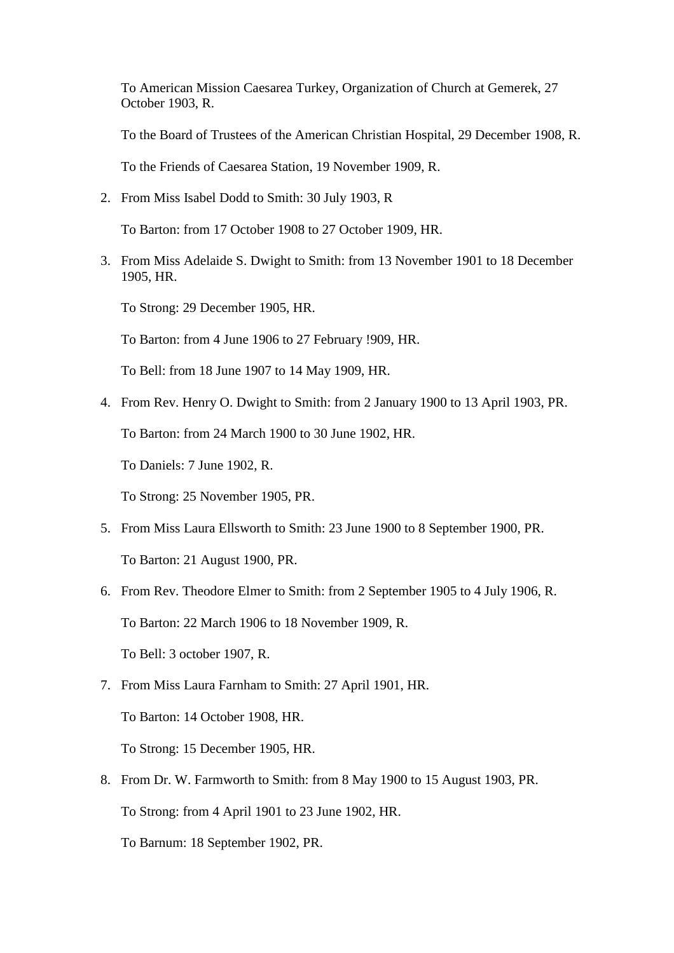To American Mission Caesarea Turkey, Organization of Church at Gemerek, 27 October 1903, R.

To the Board of Trustees of the American Christian Hospital, 29 December 1908, R.

To the Friends of Caesarea Station, 19 November 1909, R.

2. From Miss Isabel Dodd to Smith: 30 July 1903, R

To Barton: from 17 October 1908 to 27 October 1909, HR.

3. From Miss Adelaide S. Dwight to Smith: from 13 November 1901 to 18 December 1905, HR.

To Strong: 29 December 1905, HR.

To Barton: from 4 June 1906 to 27 February !909, HR.

To Bell: from 18 June 1907 to 14 May 1909, HR.

4. From Rev. Henry O. Dwight to Smith: from 2 January 1900 to 13 April 1903, PR.

To Barton: from 24 March 1900 to 30 June 1902, HR.

To Daniels: 7 June 1902, R.

To Strong: 25 November 1905, PR.

- 5. From Miss Laura Ellsworth to Smith: 23 June 1900 to 8 September 1900, PR. To Barton: 21 August 1900, PR.
- 6. From Rev. Theodore Elmer to Smith: from 2 September 1905 to 4 July 1906, R. To Barton: 22 March 1906 to 18 November 1909, R. To Bell: 3 october 1907, R.
- 7. From Miss Laura Farnham to Smith: 27 April 1901, HR.

To Barton: 14 October 1908, HR.

To Strong: 15 December 1905, HR.

- 8. From Dr. W. Farmworth to Smith: from 8 May 1900 to 15 August 1903, PR. To Strong: from 4 April 1901 to 23 June 1902, HR.
	- To Barnum: 18 September 1902, PR.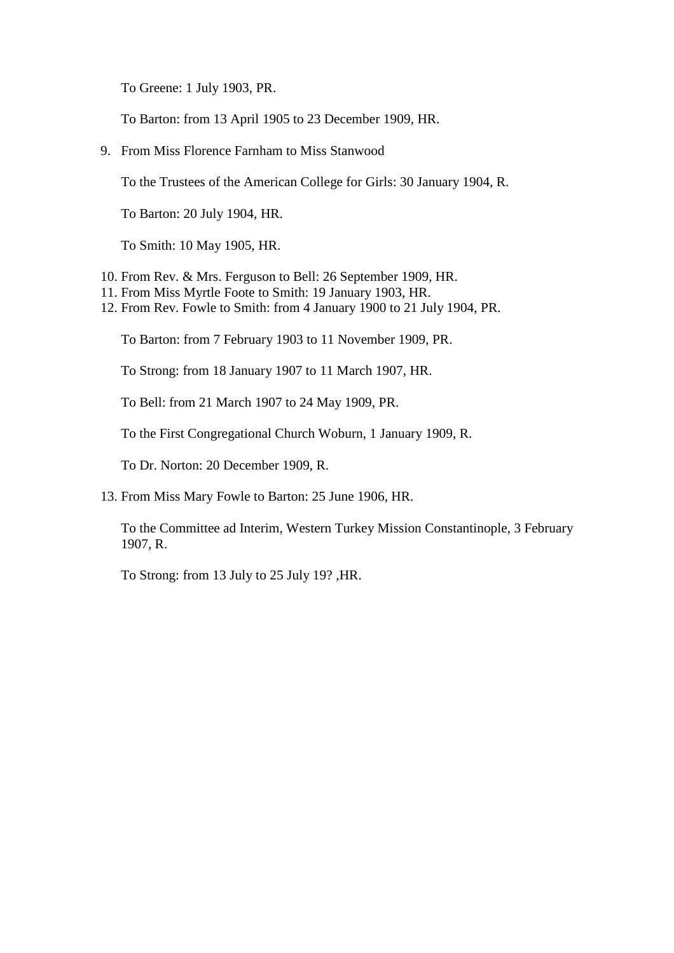To Greene: 1 July 1903, PR.

To Barton: from 13 April 1905 to 23 December 1909, HR.

9. From Miss Florence Farnham to Miss Stanwood

To the Trustees of the American College for Girls: 30 January 1904, R.

To Barton: 20 July 1904, HR.

To Smith: 10 May 1905, HR.

- 10. From Rev. & Mrs. Ferguson to Bell: 26 September 1909, HR.
- 11. From Miss Myrtle Foote to Smith: 19 January 1903, HR.
- 12. From Rev. Fowle to Smith: from 4 January 1900 to 21 July 1904, PR.

To Barton: from 7 February 1903 to 11 November 1909, PR.

To Strong: from 18 January 1907 to 11 March 1907, HR.

To Bell: from 21 March 1907 to 24 May 1909, PR.

To the First Congregational Church Woburn, 1 January 1909, R.

To Dr. Norton: 20 December 1909, R.

13. From Miss Mary Fowle to Barton: 25 June 1906, HR.

To the Committee ad Interim, Western Turkey Mission Constantinople, 3 February 1907, R.

To Strong: from 13 July to 25 July 19? ,HR.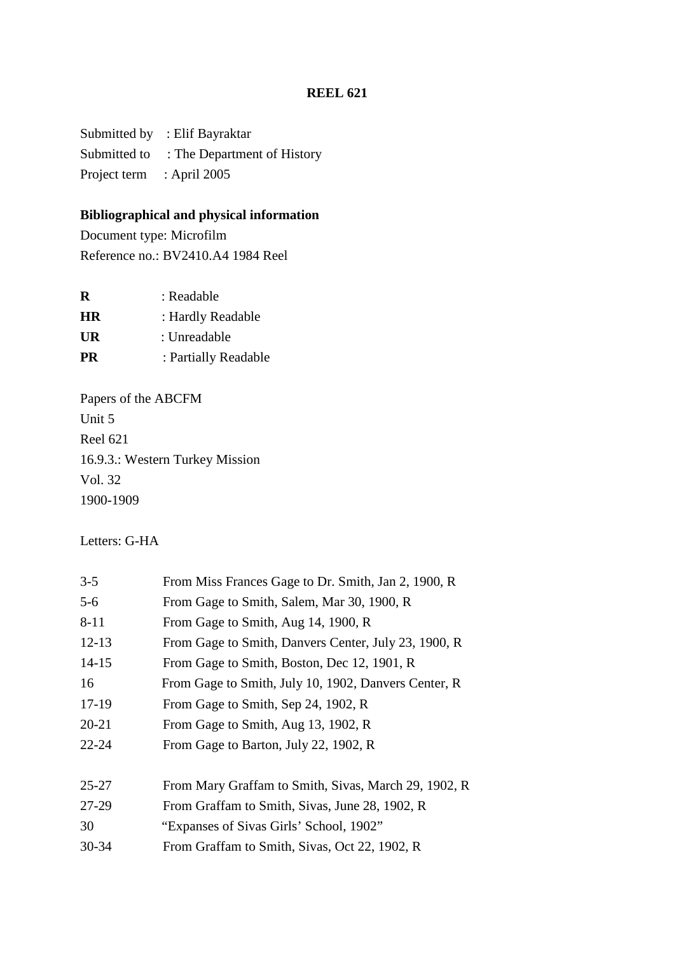Submitted by : Elif Bayraktar Submitted to : The Department of History Project term : April 2005

# **Bibliographical and physical information**

Document type: Microfilm Reference no.: BV2410.A4 1984 Reel

| R         | : Readable           |
|-----------|----------------------|
| <b>HR</b> | : Hardly Readable    |
| UR        | : Unreadable         |
| <b>PR</b> | : Partially Readable |
|           |                      |

Papers of the ABCFM Unit 5 Reel 621 16.9.3.: Western Turkey Mission Vol. 32 1900-1909

Letters: G-HA

| $3 - 5$   | From Miss Frances Gage to Dr. Smith, Jan 2, 1900, R  |
|-----------|------------------------------------------------------|
| $5 - 6$   | From Gage to Smith, Salem, Mar 30, 1900, R           |
| $8 - 11$  | From Gage to Smith, Aug 14, 1900, R                  |
| $12 - 13$ | From Gage to Smith, Danvers Center, July 23, 1900, R |
| $14-15$   | From Gage to Smith, Boston, Dec 12, 1901, R          |
| 16        | From Gage to Smith, July 10, 1902, Danvers Center, R |
| 17-19     | From Gage to Smith, Sep 24, 1902, R                  |
| $20 - 21$ | From Gage to Smith, Aug 13, 1902, R                  |
| $22 - 24$ | From Gage to Barton, July 22, 1902, R                |
|           |                                                      |
| $25 - 27$ | From Mary Graffam to Smith, Sivas, March 29, 1902, R |
| 27-29     | From Graffam to Smith, Sivas, June 28, 1902, R       |
| 30        | "Expanses of Sivas Girls' School, 1902"              |
| $30 - 34$ | From Graffam to Smith, Sivas, Oct 22, 1902, R        |
|           |                                                      |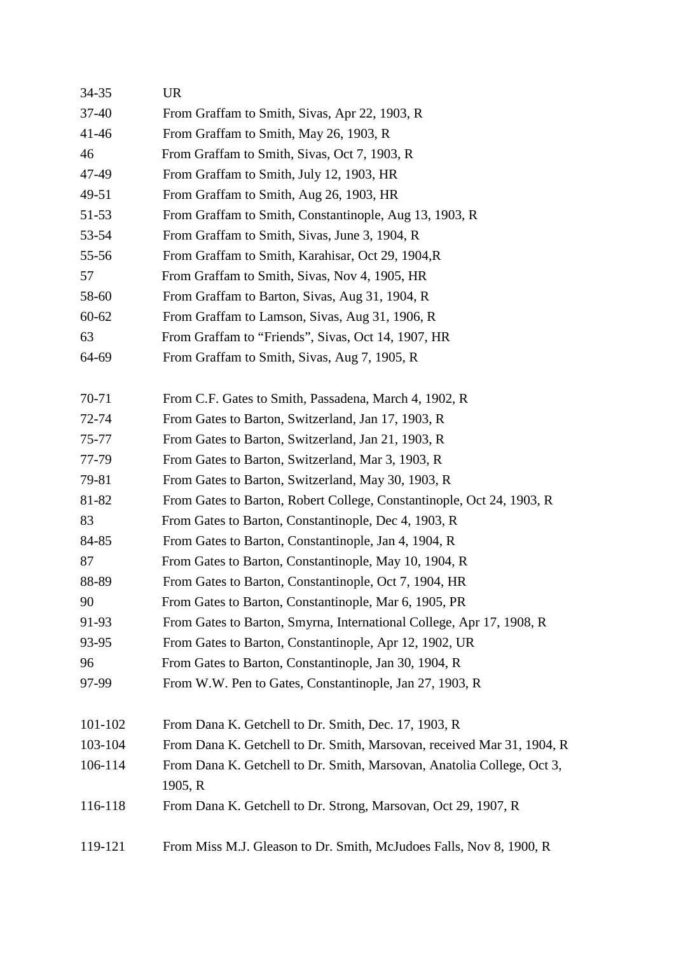| 34-35     | <b>UR</b>                                                                         |
|-----------|-----------------------------------------------------------------------------------|
| $37 - 40$ | From Graffam to Smith, Sivas, Apr 22, 1903, R                                     |
| $41 - 46$ | From Graffam to Smith, May 26, 1903, R                                            |
| 46        | From Graffam to Smith, Sivas, Oct 7, 1903, R                                      |
| 47-49     | From Graffam to Smith, July 12, 1903, HR                                          |
| 49-51     | From Graffam to Smith, Aug 26, 1903, HR                                           |
| 51-53     | From Graffam to Smith, Constantinople, Aug 13, 1903, R                            |
| 53-54     | From Graffam to Smith, Sivas, June 3, 1904, R                                     |
| 55-56     | From Graffam to Smith, Karahisar, Oct 29, 1904, R                                 |
| 57        | From Graffam to Smith, Sivas, Nov 4, 1905, HR                                     |
| 58-60     | From Graffam to Barton, Sivas, Aug 31, 1904, R                                    |
| $60 - 62$ | From Graffam to Lamson, Sivas, Aug 31, 1906, R                                    |
| 63        | From Graffam to "Friends", Sivas, Oct 14, 1907, HR                                |
| 64-69     | From Graffam to Smith, Sivas, Aug 7, 1905, R                                      |
| 70-71     | From C.F. Gates to Smith, Passadena, March 4, 1902, R                             |
| 72-74     | From Gates to Barton, Switzerland, Jan 17, 1903, R                                |
| 75-77     | From Gates to Barton, Switzerland, Jan 21, 1903, R                                |
| 77-79     | From Gates to Barton, Switzerland, Mar 3, 1903, R                                 |
| 79-81     | From Gates to Barton, Switzerland, May 30, 1903, R                                |
| 81-82     | From Gates to Barton, Robert College, Constantinople, Oct 24, 1903, R             |
| 83        | From Gates to Barton, Constantinople, Dec 4, 1903, R                              |
| 84-85     | From Gates to Barton, Constantinople, Jan 4, 1904, R                              |
| 87        | From Gates to Barton, Constantinople, May 10, 1904, R                             |
| 88-89     | From Gates to Barton, Constantinople, Oct 7, 1904, HR                             |
| 90        | From Gates to Barton, Constantinople, Mar 6, 1905, PR                             |
| 91-93     | From Gates to Barton, Smyrna, International College, Apr 17, 1908, R              |
| 93-95     | From Gates to Barton, Constantinople, Apr 12, 1902, UR                            |
| 96        | From Gates to Barton, Constantinople, Jan 30, 1904, R                             |
| 97-99     | From W.W. Pen to Gates, Constantinople, Jan 27, 1903, R                           |
| 101-102   | From Dana K. Getchell to Dr. Smith, Dec. 17, 1903, R                              |
| 103-104   | From Dana K. Getchell to Dr. Smith, Marsovan, received Mar 31, 1904, R            |
| 106-114   | From Dana K. Getchell to Dr. Smith, Marsovan, Anatolia College, Oct 3,<br>1905, R |
| 116-118   | From Dana K. Getchell to Dr. Strong, Marsovan, Oct 29, 1907, R                    |
| 119-121   | From Miss M.J. Gleason to Dr. Smith, McJudoes Falls, Nov 8, 1900, R               |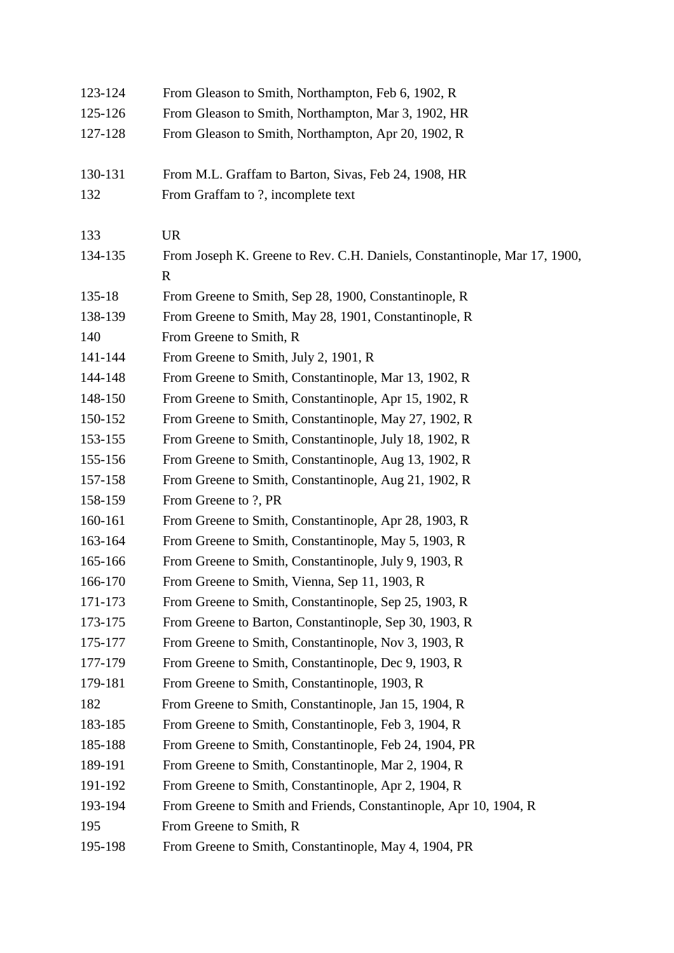| 123-124 | From Gleason to Smith, Northampton, Feb 6, 1902, R                                       |
|---------|------------------------------------------------------------------------------------------|
| 125-126 | From Gleason to Smith, Northampton, Mar 3, 1902, HR                                      |
| 127-128 | From Gleason to Smith, Northampton, Apr 20, 1902, R                                      |
| 130-131 | From M.L. Graffam to Barton, Sivas, Feb 24, 1908, HR                                     |
| 132     | From Graffam to ?, incomplete text                                                       |
| 133     | <b>UR</b>                                                                                |
| 134-135 | From Joseph K. Greene to Rev. C.H. Daniels, Constantinople, Mar 17, 1900,<br>$\mathbf R$ |
| 135-18  | From Greene to Smith, Sep 28, 1900, Constantinople, R                                    |
| 138-139 | From Greene to Smith, May 28, 1901, Constantinople, R                                    |
| 140     | From Greene to Smith, R                                                                  |
| 141-144 | From Greene to Smith, July 2, 1901, R                                                    |
| 144-148 | From Greene to Smith, Constantinople, Mar 13, 1902, R                                    |
| 148-150 | From Greene to Smith, Constantinople, Apr 15, 1902, R                                    |
| 150-152 | From Greene to Smith, Constantinople, May 27, 1902, R                                    |
| 153-155 | From Greene to Smith, Constantinople, July 18, 1902, R                                   |
| 155-156 | From Greene to Smith, Constantinople, Aug 13, 1902, R                                    |
| 157-158 | From Greene to Smith, Constantinople, Aug 21, 1902, R                                    |
| 158-159 | From Greene to ?, PR                                                                     |
| 160-161 | From Greene to Smith, Constantinople, Apr 28, 1903, R                                    |
| 163-164 | From Greene to Smith, Constantinople, May 5, 1903, R                                     |
| 165-166 | From Greene to Smith, Constantinople, July 9, 1903, R                                    |
| 166-170 | From Greene to Smith, Vienna, Sep 11, 1903, R                                            |
| 171-173 | From Greene to Smith, Constantinople, Sep 25, 1903, R                                    |
| 173-175 | From Greene to Barton, Constantinople, Sep 30, 1903, R                                   |
| 175-177 | From Greene to Smith, Constantinople, Nov 3, 1903, R                                     |
| 177-179 | From Greene to Smith, Constantinople, Dec 9, 1903, R                                     |
| 179-181 | From Greene to Smith, Constantinople, 1903, R                                            |
| 182     | From Greene to Smith, Constantinople, Jan 15, 1904, R                                    |
| 183-185 | From Greene to Smith, Constantinople, Feb 3, 1904, R                                     |
| 185-188 | From Greene to Smith, Constantinople, Feb 24, 1904, PR                                   |
| 189-191 | From Greene to Smith, Constantinople, Mar 2, 1904, R                                     |
| 191-192 | From Greene to Smith, Constantinople, Apr 2, 1904, R                                     |
| 193-194 | From Greene to Smith and Friends, Constantinople, Apr 10, 1904, R                        |
| 195     | From Greene to Smith, R                                                                  |
| 195-198 | From Greene to Smith, Constantinople, May 4, 1904, PR                                    |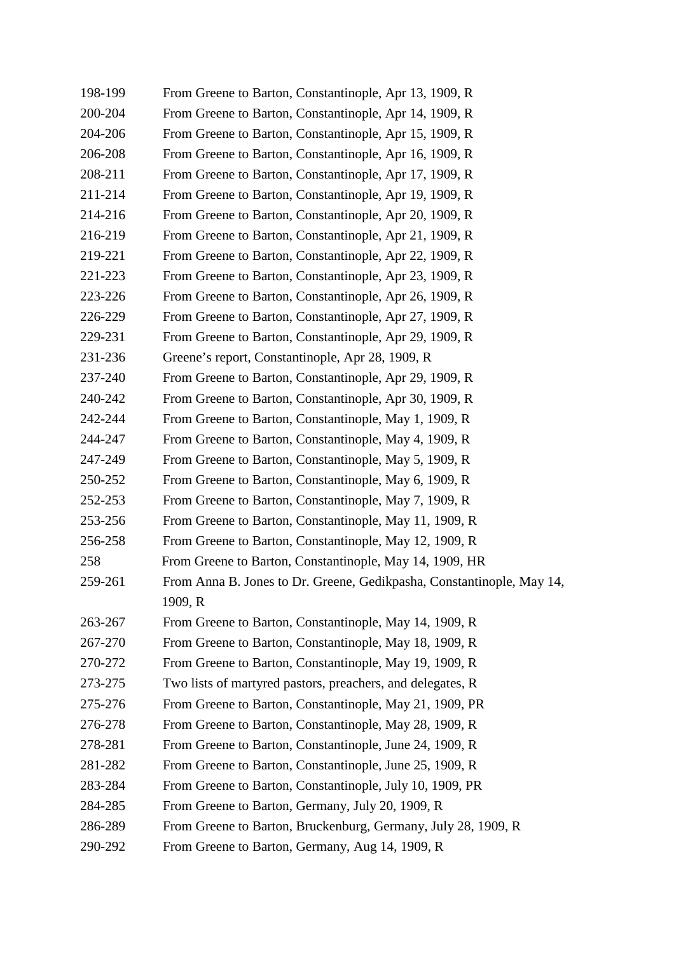| 198-199 | From Greene to Barton, Constantinople, Apr 13, 1909, R                |
|---------|-----------------------------------------------------------------------|
| 200-204 | From Greene to Barton, Constantinople, Apr 14, 1909, R                |
| 204-206 | From Greene to Barton, Constantinople, Apr 15, 1909, R                |
| 206-208 | From Greene to Barton, Constantinople, Apr 16, 1909, R                |
| 208-211 | From Greene to Barton, Constantinople, Apr 17, 1909, R                |
| 211-214 | From Greene to Barton, Constantinople, Apr 19, 1909, R                |
| 214-216 | From Greene to Barton, Constantinople, Apr 20, 1909, R                |
| 216-219 | From Greene to Barton, Constantinople, Apr 21, 1909, R                |
| 219-221 | From Greene to Barton, Constantinople, Apr 22, 1909, R                |
| 221-223 | From Greene to Barton, Constantinople, Apr 23, 1909, R                |
| 223-226 | From Greene to Barton, Constantinople, Apr 26, 1909, R                |
| 226-229 | From Greene to Barton, Constantinople, Apr 27, 1909, R                |
| 229-231 | From Greene to Barton, Constantinople, Apr 29, 1909, R                |
| 231-236 | Greene's report, Constantinople, Apr 28, 1909, R                      |
| 237-240 | From Greene to Barton, Constantinople, Apr 29, 1909, R                |
| 240-242 | From Greene to Barton, Constantinople, Apr 30, 1909, R                |
| 242-244 | From Greene to Barton, Constantinople, May 1, 1909, R                 |
| 244-247 | From Greene to Barton, Constantinople, May 4, 1909, R                 |
| 247-249 | From Greene to Barton, Constantinople, May 5, 1909, R                 |
| 250-252 | From Greene to Barton, Constantinople, May 6, 1909, R                 |
| 252-253 | From Greene to Barton, Constantinople, May 7, 1909, R                 |
| 253-256 | From Greene to Barton, Constantinople, May 11, 1909, R                |
| 256-258 | From Greene to Barton, Constantinople, May 12, 1909, R                |
| 258     | From Greene to Barton, Constantinople, May 14, 1909, HR               |
| 259-261 | From Anna B. Jones to Dr. Greene, Gedikpasha, Constantinople, May 14, |
|         | 1909, R                                                               |
| 263-267 | From Greene to Barton, Constantinople, May 14, 1909, R                |
| 267-270 | From Greene to Barton, Constantinople, May 18, 1909, R                |
| 270-272 | From Greene to Barton, Constantinople, May 19, 1909, R                |
| 273-275 | Two lists of martyred pastors, preachers, and delegates, R            |
| 275-276 | From Greene to Barton, Constantinople, May 21, 1909, PR               |
| 276-278 | From Greene to Barton, Constantinople, May 28, 1909, R                |
| 278-281 | From Greene to Barton, Constantinople, June 24, 1909, R               |
| 281-282 | From Greene to Barton, Constantinople, June 25, 1909, R               |
| 283-284 | From Greene to Barton, Constantinople, July 10, 1909, PR              |
| 284-285 | From Greene to Barton, Germany, July 20, 1909, R                      |
| 286-289 | From Greene to Barton, Bruckenburg, Germany, July 28, 1909, R         |
| 290-292 | From Greene to Barton, Germany, Aug 14, 1909, R                       |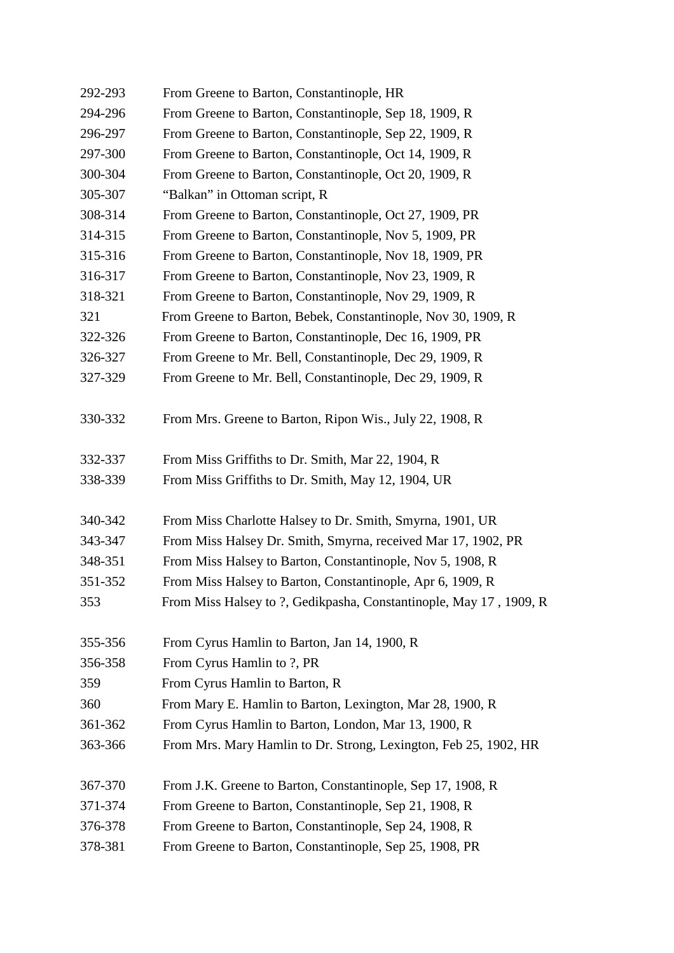| 292-293 | From Greene to Barton, Constantinople, HR                          |
|---------|--------------------------------------------------------------------|
| 294-296 | From Greene to Barton, Constantinople, Sep 18, 1909, R             |
| 296-297 | From Greene to Barton, Constantinople, Sep 22, 1909, R             |
| 297-300 | From Greene to Barton, Constantinople, Oct 14, 1909, R             |
| 300-304 | From Greene to Barton, Constantinople, Oct 20, 1909, R             |
| 305-307 | "Balkan" in Ottoman script, R                                      |
| 308-314 | From Greene to Barton, Constantinople, Oct 27, 1909, PR            |
| 314-315 | From Greene to Barton, Constantinople, Nov 5, 1909, PR             |
| 315-316 | From Greene to Barton, Constantinople, Nov 18, 1909, PR            |
| 316-317 | From Greene to Barton, Constantinople, Nov 23, 1909, R             |
| 318-321 | From Greene to Barton, Constantinople, Nov 29, 1909, R             |
| 321     | From Greene to Barton, Bebek, Constantinople, Nov 30, 1909, R      |
| 322-326 | From Greene to Barton, Constantinople, Dec 16, 1909, PR            |
| 326-327 | From Greene to Mr. Bell, Constantinople, Dec 29, 1909, R           |
| 327-329 | From Greene to Mr. Bell, Constantinople, Dec 29, 1909, R           |
| 330-332 | From Mrs. Greene to Barton, Ripon Wis., July 22, 1908, R           |
| 332-337 | From Miss Griffiths to Dr. Smith, Mar 22, 1904, R                  |
| 338-339 | From Miss Griffiths to Dr. Smith, May 12, 1904, UR                 |
| 340-342 | From Miss Charlotte Halsey to Dr. Smith, Smyrna, 1901, UR          |
| 343-347 | From Miss Halsey Dr. Smith, Smyrna, received Mar 17, 1902, PR      |
| 348-351 | From Miss Halsey to Barton, Constantinople, Nov 5, 1908, R         |
| 351-352 | From Miss Halsey to Barton, Constantinople, Apr 6, 1909, R         |
| 353     | From Miss Halsey to ?, Gedikpasha, Constantinople, May 17, 1909, R |
| 355-356 | From Cyrus Hamlin to Barton, Jan 14, 1900, R                       |
| 356-358 | From Cyrus Hamlin to ?, PR                                         |
| 359     | From Cyrus Hamlin to Barton, R                                     |
| 360     | From Mary E. Hamlin to Barton, Lexington, Mar 28, 1900, R          |
| 361-362 | From Cyrus Hamlin to Barton, London, Mar 13, 1900, R               |
| 363-366 | From Mrs. Mary Hamlin to Dr. Strong, Lexington, Feb 25, 1902, HR   |
| 367-370 | From J.K. Greene to Barton, Constantinople, Sep 17, 1908, R        |
| 371-374 | From Greene to Barton, Constantinople, Sep 21, 1908, R             |
| 376-378 | From Greene to Barton, Constantinople, Sep 24, 1908, R             |
| 378-381 | From Greene to Barton, Constantinople, Sep 25, 1908, PR            |
|         |                                                                    |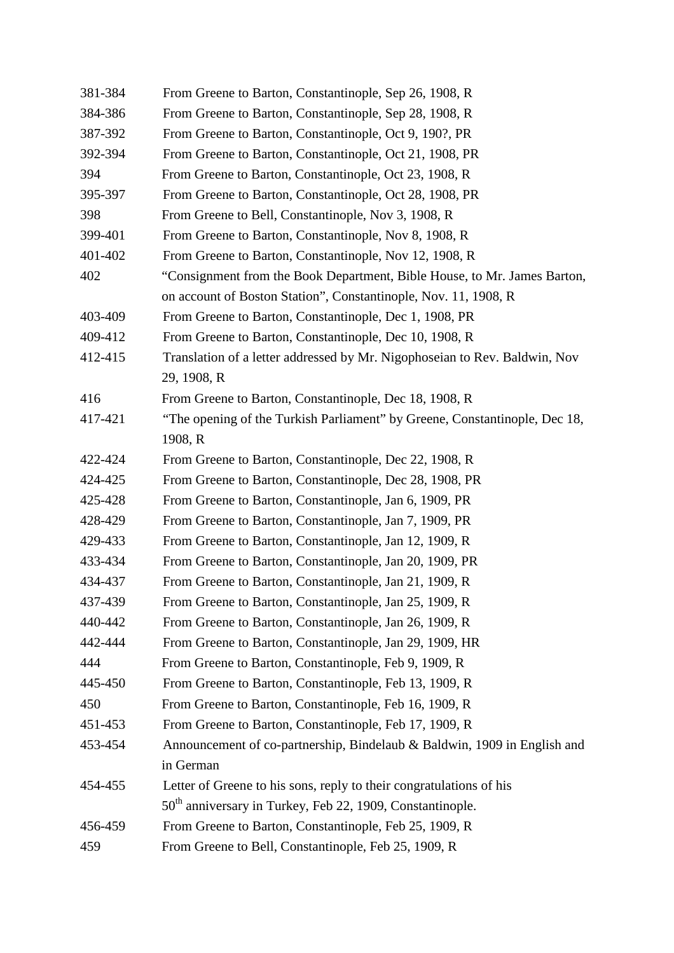| 381-384 | From Greene to Barton, Constantinople, Sep 26, 1908, R                     |
|---------|----------------------------------------------------------------------------|
| 384-386 | From Greene to Barton, Constantinople, Sep 28, 1908, R                     |
| 387-392 | From Greene to Barton, Constantinople, Oct 9, 190?, PR                     |
| 392-394 | From Greene to Barton, Constantinople, Oct 21, 1908, PR                    |
| 394     | From Greene to Barton, Constantinople, Oct 23, 1908, R                     |
| 395-397 | From Greene to Barton, Constantinople, Oct 28, 1908, PR                    |
| 398     | From Greene to Bell, Constantinople, Nov 3, 1908, R                        |
| 399-401 | From Greene to Barton, Constantinople, Nov 8, 1908, R                      |
| 401-402 | From Greene to Barton, Constantinople, Nov 12, 1908, R                     |
| 402     | "Consignment from the Book Department, Bible House, to Mr. James Barton,   |
|         | on account of Boston Station", Constantinople, Nov. 11, 1908, R            |
| 403-409 | From Greene to Barton, Constantinople, Dec 1, 1908, PR                     |
| 409-412 | From Greene to Barton, Constantinople, Dec 10, 1908, R                     |
| 412-415 | Translation of a letter addressed by Mr. Nigophoseian to Rev. Baldwin, Nov |
|         | 29, 1908, R                                                                |
| 416     | From Greene to Barton, Constantinople, Dec 18, 1908, R                     |
| 417-421 | "The opening of the Turkish Parliament" by Greene, Constantinople, Dec 18, |
|         | 1908, R                                                                    |
| 422-424 | From Greene to Barton, Constantinople, Dec 22, 1908, R                     |
| 424-425 | From Greene to Barton, Constantinople, Dec 28, 1908, PR                    |
| 425-428 | From Greene to Barton, Constantinople, Jan 6, 1909, PR                     |
| 428-429 | From Greene to Barton, Constantinople, Jan 7, 1909, PR                     |
| 429-433 | From Greene to Barton, Constantinople, Jan 12, 1909, R                     |
| 433-434 | From Greene to Barton, Constantinople, Jan 20, 1909, PR                    |
| 434-437 | From Greene to Barton, Constantinople, Jan 21, 1909, R                     |
| 437-439 | From Greene to Barton, Constantinople, Jan 25, 1909, R                     |
| 440-442 | From Greene to Barton, Constantinople, Jan 26, 1909, R                     |
| 442-444 | From Greene to Barton, Constantinople, Jan 29, 1909, HR                    |
| 444     | From Greene to Barton, Constantinople, Feb 9, 1909, R                      |
| 445-450 | From Greene to Barton, Constantinople, Feb 13, 1909, R                     |
| 450     | From Greene to Barton, Constantinople, Feb 16, 1909, R                     |
| 451-453 | From Greene to Barton, Constantinople, Feb 17, 1909, R                     |
| 453-454 | Announcement of co-partnership, Bindelaub & Baldwin, 1909 in English and   |
|         | in German                                                                  |
| 454-455 | Letter of Greene to his sons, reply to their congratulations of his        |
|         | 50 <sup>th</sup> anniversary in Turkey, Feb 22, 1909, Constantinople.      |
| 456-459 | From Greene to Barton, Constantinople, Feb 25, 1909, R                     |
| 459     | From Greene to Bell, Constantinople, Feb 25, 1909, R                       |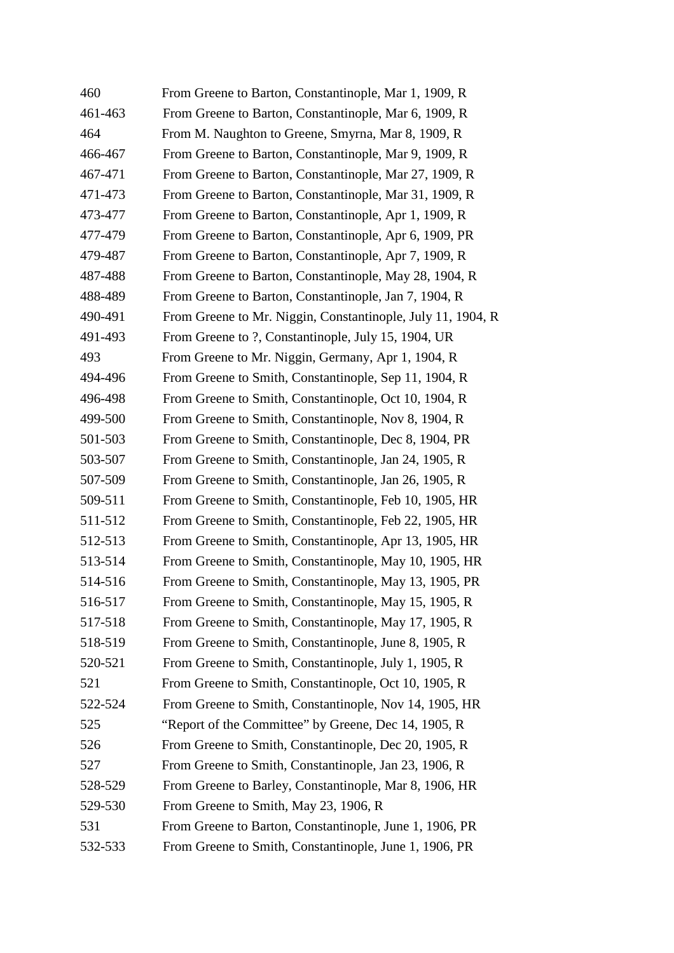| 460     | From Greene to Barton, Constantinople, Mar 1, 1909, R       |
|---------|-------------------------------------------------------------|
| 461-463 | From Greene to Barton, Constantinople, Mar 6, 1909, R       |
| 464     | From M. Naughton to Greene, Smyrna, Mar 8, 1909, R          |
| 466-467 | From Greene to Barton, Constantinople, Mar 9, 1909, R       |
| 467-471 | From Greene to Barton, Constantinople, Mar 27, 1909, R      |
| 471-473 | From Greene to Barton, Constantinople, Mar 31, 1909, R      |
| 473-477 | From Greene to Barton, Constantinople, Apr 1, 1909, R       |
| 477-479 | From Greene to Barton, Constantinople, Apr 6, 1909, PR      |
| 479-487 | From Greene to Barton, Constantinople, Apr 7, 1909, R       |
| 487-488 | From Greene to Barton, Constantinople, May 28, 1904, R      |
| 488-489 | From Greene to Barton, Constantinople, Jan 7, 1904, R       |
| 490-491 | From Greene to Mr. Niggin, Constantinople, July 11, 1904, R |
| 491-493 | From Greene to ?, Constantinople, July 15, 1904, UR         |
| 493     | From Greene to Mr. Niggin, Germany, Apr 1, 1904, R          |
| 494-496 | From Greene to Smith, Constantinople, Sep 11, 1904, R       |
| 496-498 | From Greene to Smith, Constantinople, Oct 10, 1904, R       |
| 499-500 | From Greene to Smith, Constantinople, Nov 8, 1904, R        |
| 501-503 | From Greene to Smith, Constantinople, Dec 8, 1904, PR       |
| 503-507 | From Greene to Smith, Constantinople, Jan 24, 1905, R       |
| 507-509 | From Greene to Smith, Constantinople, Jan 26, 1905, R       |
| 509-511 | From Greene to Smith, Constantinople, Feb 10, 1905, HR      |
| 511-512 | From Greene to Smith, Constantinople, Feb 22, 1905, HR      |
| 512-513 | From Greene to Smith, Constantinople, Apr 13, 1905, HR      |
| 513-514 | From Greene to Smith, Constantinople, May 10, 1905, HR      |
| 514-516 | From Greene to Smith, Constantinople, May 13, 1905, PR      |
| 516-517 | From Greene to Smith, Constantinople, May 15, 1905, R       |
| 517-518 | From Greene to Smith, Constantinople, May 17, 1905, R       |
| 518-519 | From Greene to Smith, Constantinople, June 8, 1905, R       |
| 520-521 | From Greene to Smith, Constantinople, July 1, 1905, R       |
| 521     | From Greene to Smith, Constantinople, Oct 10, 1905, R       |
| 522-524 | From Greene to Smith, Constantinople, Nov 14, 1905, HR      |
| 525     | "Report of the Committee" by Greene, Dec 14, 1905, R        |
| 526     | From Greene to Smith, Constantinople, Dec 20, 1905, R       |
| 527     | From Greene to Smith, Constantinople, Jan 23, 1906, R       |
| 528-529 | From Greene to Barley, Constantinople, Mar 8, 1906, HR      |
| 529-530 | From Greene to Smith, May 23, 1906, R                       |
| 531     | From Greene to Barton, Constantinople, June 1, 1906, PR     |
| 532-533 | From Greene to Smith, Constantinople, June 1, 1906, PR      |
|         |                                                             |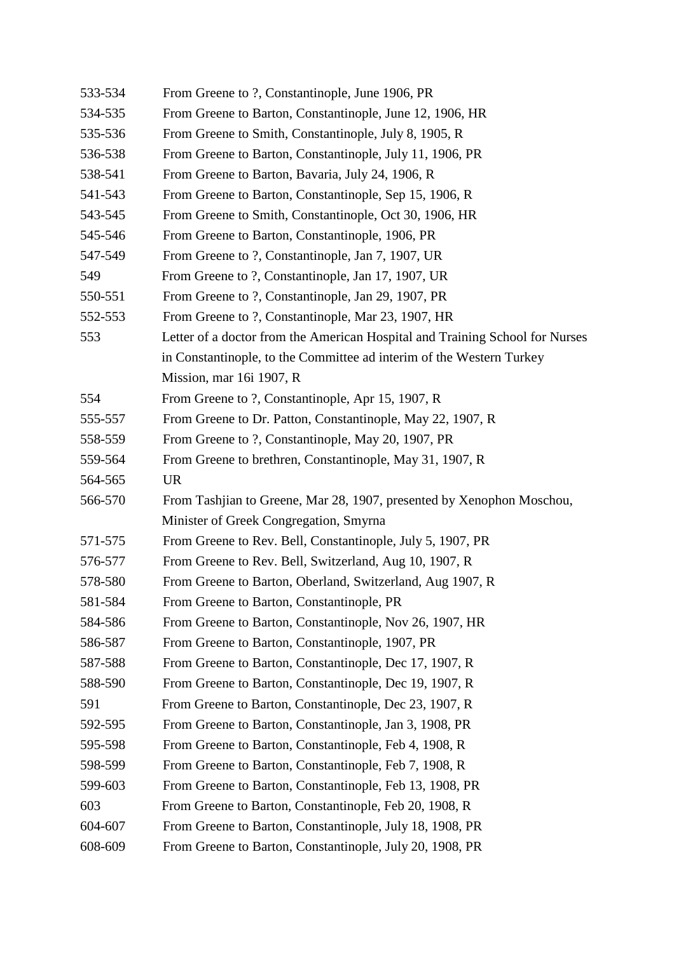| 533-534 | From Greene to ?, Constantinople, June 1906, PR                              |
|---------|------------------------------------------------------------------------------|
| 534-535 | From Greene to Barton, Constantinople, June 12, 1906, HR                     |
| 535-536 | From Greene to Smith, Constantinople, July 8, 1905, R                        |
| 536-538 | From Greene to Barton, Constantinople, July 11, 1906, PR                     |
| 538-541 | From Greene to Barton, Bavaria, July 24, 1906, R                             |
| 541-543 | From Greene to Barton, Constantinople, Sep 15, 1906, R                       |
| 543-545 | From Greene to Smith, Constantinople, Oct 30, 1906, HR                       |
| 545-546 | From Greene to Barton, Constantinople, 1906, PR                              |
| 547-549 | From Greene to ?, Constantinople, Jan 7, 1907, UR                            |
| 549     | From Greene to ?, Constantinople, Jan 17, 1907, UR                           |
| 550-551 | From Greene to ?, Constantinople, Jan 29, 1907, PR                           |
| 552-553 | From Greene to ?, Constantinople, Mar 23, 1907, HR                           |
| 553     | Letter of a doctor from the American Hospital and Training School for Nurses |
|         | in Constantinople, to the Committee ad interim of the Western Turkey         |
|         | Mission, mar 16i 1907, R                                                     |
| 554     | From Greene to ?, Constantinople, Apr 15, 1907, R                            |
| 555-557 | From Greene to Dr. Patton, Constantinople, May 22, 1907, R                   |
| 558-559 | From Greene to ?, Constantinople, May 20, 1907, PR                           |
| 559-564 | From Greene to brethren, Constantinople, May 31, 1907, R                     |
| 564-565 | <b>UR</b>                                                                    |
| 566-570 | From Tashjian to Greene, Mar 28, 1907, presented by Xenophon Moschou,        |
|         | Minister of Greek Congregation, Smyrna                                       |
| 571-575 | From Greene to Rev. Bell, Constantinople, July 5, 1907, PR                   |
| 576-577 | From Greene to Rev. Bell, Switzerland, Aug 10, 1907, R                       |
| 578-580 | From Greene to Barton, Oberland, Switzerland, Aug 1907, R                    |
| 581-584 | From Greene to Barton, Constantinople, PR                                    |
| 584-586 | From Greene to Barton, Constantinople, Nov 26, 1907, HR                      |
| 586-587 | From Greene to Barton, Constantinople, 1907, PR                              |
| 587-588 | From Greene to Barton, Constantinople, Dec 17, 1907, R                       |
| 588-590 | From Greene to Barton, Constantinople, Dec 19, 1907, R                       |
| 591     | From Greene to Barton, Constantinople, Dec 23, 1907, R                       |
| 592-595 | From Greene to Barton, Constantinople, Jan 3, 1908, PR                       |
| 595-598 | From Greene to Barton, Constantinople, Feb 4, 1908, R                        |
| 598-599 | From Greene to Barton, Constantinople, Feb 7, 1908, R                        |
| 599-603 | From Greene to Barton, Constantinople, Feb 13, 1908, PR                      |
| 603     | From Greene to Barton, Constantinople, Feb 20, 1908, R                       |
| 604-607 | From Greene to Barton, Constantinople, July 18, 1908, PR                     |
| 608-609 | From Greene to Barton, Constantinople, July 20, 1908, PR                     |
|         |                                                                              |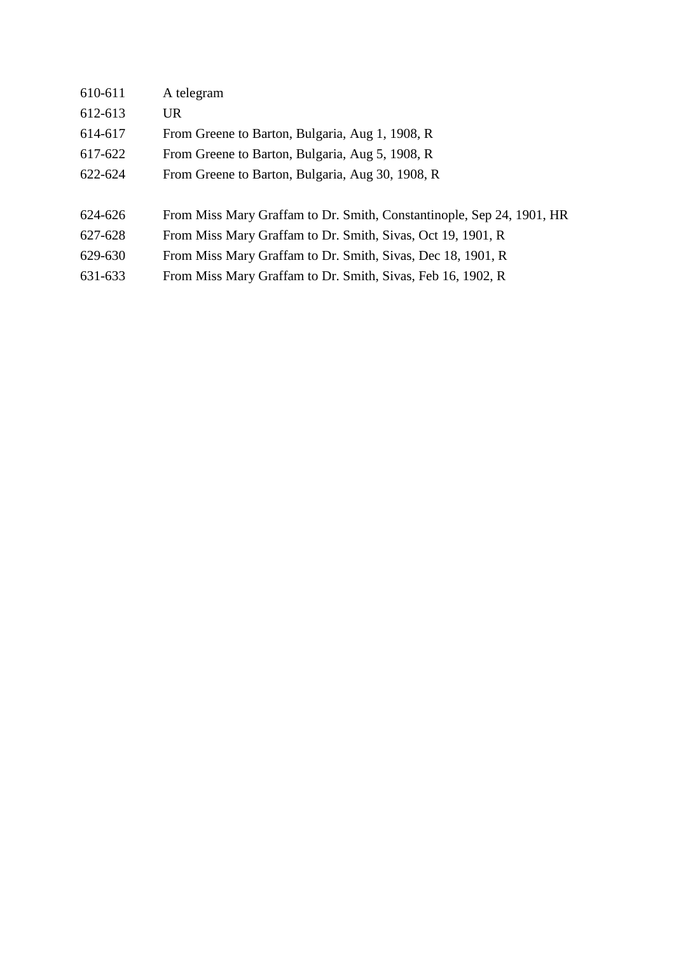| 610-611 | A telegram                                                            |
|---------|-----------------------------------------------------------------------|
| 612-613 | UR                                                                    |
| 614-617 | From Greene to Barton, Bulgaria, Aug 1, 1908, R                       |
| 617-622 | From Greene to Barton, Bulgaria, Aug 5, 1908, R                       |
| 622-624 | From Greene to Barton, Bulgaria, Aug 30, 1908, R                      |
|         |                                                                       |
| 624-626 | From Miss Mary Graffam to Dr. Smith, Constantinople, Sep 24, 1901, HR |
| 627-628 | From Miss Mary Graffam to Dr. Smith, Sivas, Oct 19, 1901, R           |
| 629-630 | From Miss Mary Graffam to Dr. Smith, Sivas, Dec 18, 1901, R           |
| 631-633 | From Miss Mary Graffam to Dr. Smith, Sivas, Feb 16, 1902, R           |
|         |                                                                       |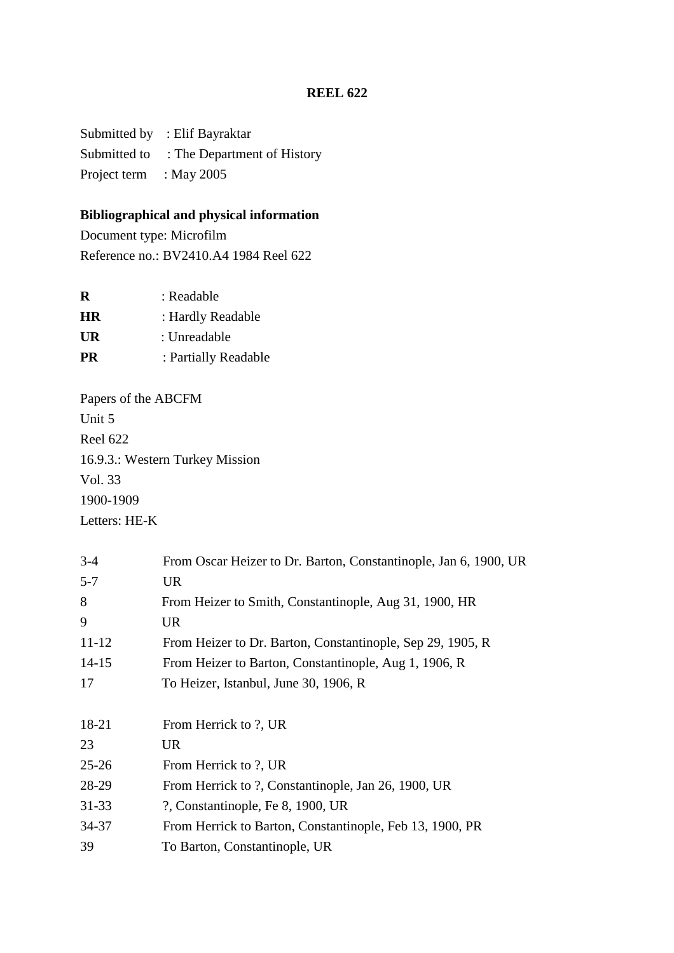Submitted by : Elif Bayraktar Submitted to : The Department of History Project term : May 2005

# **Bibliographical and physical information**

Document type: Microfilm Reference no.: BV2410.A4 1984 Reel 622

| R         | : Readable           |
|-----------|----------------------|
| HR.       | : Hardly Readable    |
| UR        | : Unreadable         |
| <b>PR</b> | : Partially Readable |
|           |                      |

Papers of the ABCFM Unit 5 Reel 622 16.9.3.: Western Turkey Mission Vol. 33 1900-1909 Letters: HE-K

| $3-4$     | From Oscar Heizer to Dr. Barton, Constantinople, Jan 6, 1900, UR |
|-----------|------------------------------------------------------------------|
| $5 - 7$   | <b>UR</b>                                                        |
| 8         | From Heizer to Smith, Constantinople, Aug 31, 1900, HR           |
| 9         | UR                                                               |
| $11 - 12$ | From Heizer to Dr. Barton, Constantinople, Sep 29, 1905, R       |
| $14 - 15$ | From Heizer to Barton, Constantinople, Aug 1, 1906, R            |
| 17        | To Heizer, Istanbul, June 30, 1906, R                            |
|           |                                                                  |
| 18-21     | From Herrick to ?, UR                                            |
| 23        | <b>UR</b>                                                        |
| $25 - 26$ | From Herrick to ?, UR                                            |
| 28-29     | From Herrick to ?, Constantinople, Jan 26, 1900, UR              |
| $31 - 33$ | ?, Constantinople, Fe 8, 1900, UR                                |
| 34-37     | From Herrick to Barton, Constantinople, Feb 13, 1900, PR         |
| 39        | To Barton, Constantinople, UR                                    |
|           |                                                                  |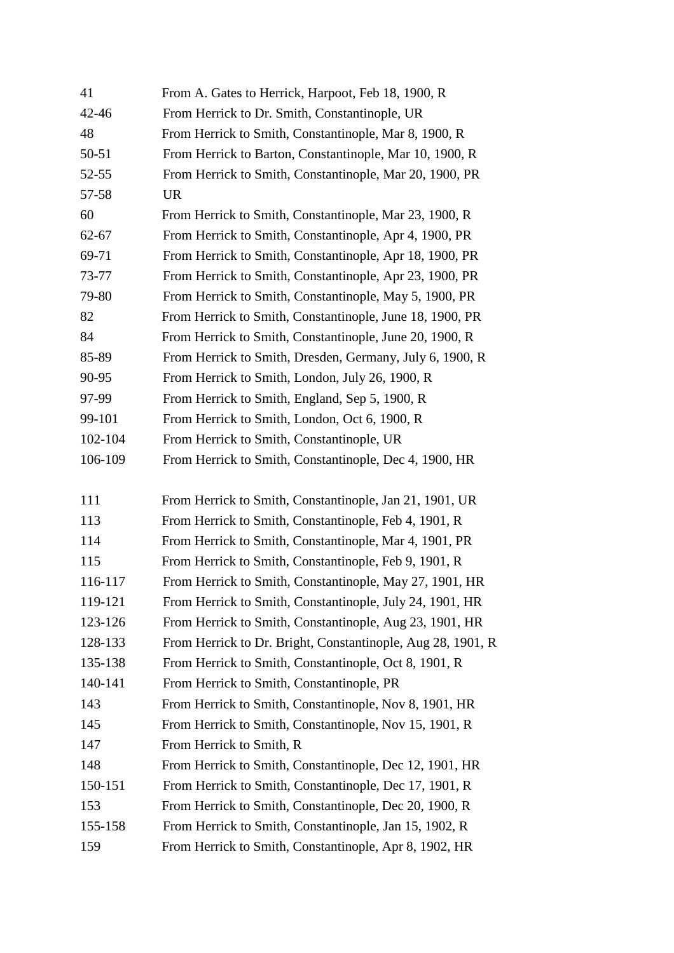| 41        | From A. Gates to Herrick, Harpoot, Feb 18, 1900, R          |
|-----------|-------------------------------------------------------------|
| $42 - 46$ | From Herrick to Dr. Smith, Constantinople, UR               |
| 48        | From Herrick to Smith, Constantinople, Mar 8, 1900, R       |
| 50-51     | From Herrick to Barton, Constantinople, Mar 10, 1900, R     |
| $52 - 55$ | From Herrick to Smith, Constantinople, Mar 20, 1900, PR     |
| 57-58     | <b>UR</b>                                                   |
| 60        | From Herrick to Smith, Constantinople, Mar 23, 1900, R      |
| $62 - 67$ | From Herrick to Smith, Constantinople, Apr 4, 1900, PR      |
| 69-71     | From Herrick to Smith, Constantinople, Apr 18, 1900, PR     |
| 73-77     | From Herrick to Smith, Constantinople, Apr 23, 1900, PR     |
| 79-80     | From Herrick to Smith, Constantinople, May 5, 1900, PR      |
| 82        | From Herrick to Smith, Constantinople, June 18, 1900, PR    |
| 84        | From Herrick to Smith, Constantinople, June 20, 1900, R     |
| 85-89     | From Herrick to Smith, Dresden, Germany, July 6, 1900, R    |
| 90-95     | From Herrick to Smith, London, July 26, 1900, R             |
| 97-99     | From Herrick to Smith, England, Sep 5, 1900, R              |
| 99-101    | From Herrick to Smith, London, Oct 6, 1900, R               |
| 102-104   | From Herrick to Smith, Constantinople, UR                   |
| 106-109   | From Herrick to Smith, Constantinople, Dec 4, 1900, HR      |
|           |                                                             |
| 111       | From Herrick to Smith, Constantinople, Jan 21, 1901, UR     |
| 113       | From Herrick to Smith, Constantinople, Feb 4, 1901, R       |
| 114       | From Herrick to Smith, Constantinople, Mar 4, 1901, PR      |
| 115       | From Herrick to Smith, Constantinople, Feb 9, 1901, R       |
| 116-117   | From Herrick to Smith, Constantinople, May 27, 1901, HR     |
| 119-121   | From Herrick to Smith, Constantinople, July 24, 1901, HR    |
| 123-126   | From Herrick to Smith, Constantinople, Aug 23, 1901, HR     |
| 128-133   | From Herrick to Dr. Bright, Constantinople, Aug 28, 1901, R |
| 135-138   | From Herrick to Smith, Constantinople, Oct 8, 1901, R       |
| 140-141   | From Herrick to Smith, Constantinople, PR                   |
| 143       | From Herrick to Smith, Constantinople, Nov 8, 1901, HR      |
| 145       | From Herrick to Smith, Constantinople, Nov 15, 1901, R      |
| 147       | From Herrick to Smith, R                                    |
| 148       | From Herrick to Smith, Constantinople, Dec 12, 1901, HR     |
| 150-151   | From Herrick to Smith, Constantinople, Dec 17, 1901, R      |
| 153       | From Herrick to Smith, Constantinople, Dec 20, 1900, R      |
| 155-158   | From Herrick to Smith, Constantinople, Jan 15, 1902, R      |
| 159       | From Herrick to Smith, Constantinople, Apr 8, 1902, HR      |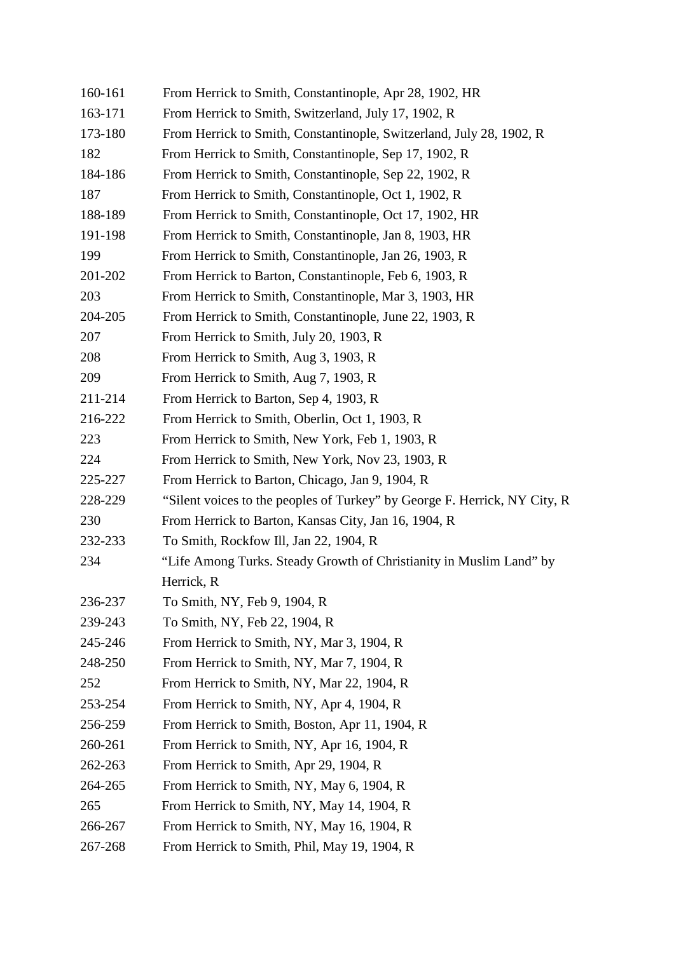| 160-161 | From Herrick to Smith, Constantinople, Apr 28, 1902, HR                   |
|---------|---------------------------------------------------------------------------|
| 163-171 | From Herrick to Smith, Switzerland, July 17, 1902, R                      |
| 173-180 | From Herrick to Smith, Constantinople, Switzerland, July 28, 1902, R      |
| 182     | From Herrick to Smith, Constantinople, Sep 17, 1902, R                    |
| 184-186 | From Herrick to Smith, Constantinople, Sep 22, 1902, R                    |
| 187     | From Herrick to Smith, Constantinople, Oct 1, 1902, R                     |
| 188-189 | From Herrick to Smith, Constantinople, Oct 17, 1902, HR                   |
| 191-198 | From Herrick to Smith, Constantinople, Jan 8, 1903, HR                    |
| 199     | From Herrick to Smith, Constantinople, Jan 26, 1903, R                    |
| 201-202 | From Herrick to Barton, Constantinople, Feb 6, 1903, R                    |
| 203     | From Herrick to Smith, Constantinople, Mar 3, 1903, HR                    |
| 204-205 | From Herrick to Smith, Constantinople, June 22, 1903, R                   |
| 207     | From Herrick to Smith, July 20, 1903, R                                   |
| 208     | From Herrick to Smith, Aug 3, 1903, R                                     |
| 209     | From Herrick to Smith, Aug 7, 1903, R                                     |
| 211-214 | From Herrick to Barton, Sep 4, 1903, R                                    |
| 216-222 | From Herrick to Smith, Oberlin, Oct 1, 1903, R                            |
| 223     | From Herrick to Smith, New York, Feb 1, 1903, R                           |
| 224     | From Herrick to Smith, New York, Nov 23, 1903, R                          |
| 225-227 | From Herrick to Barton, Chicago, Jan 9, 1904, R                           |
| 228-229 | "Silent voices to the peoples of Turkey" by George F. Herrick, NY City, R |
| 230     | From Herrick to Barton, Kansas City, Jan 16, 1904, R                      |
| 232-233 | To Smith, Rockfow Ill, Jan 22, 1904, R                                    |
| 234     | "Life Among Turks. Steady Growth of Christianity in Muslim Land" by       |
|         | Herrick, R                                                                |
| 236-237 | To Smith, NY, Feb 9, 1904, R                                              |
| 239-243 | To Smith, NY, Feb 22, 1904, R                                             |
| 245-246 | From Herrick to Smith, NY, Mar 3, 1904, R                                 |
| 248-250 | From Herrick to Smith, NY, Mar 7, 1904, R                                 |
| 252     | From Herrick to Smith, NY, Mar 22, 1904, R                                |
| 253-254 | From Herrick to Smith, NY, Apr 4, 1904, R                                 |
| 256-259 | From Herrick to Smith, Boston, Apr 11, 1904, R                            |
| 260-261 | From Herrick to Smith, NY, Apr 16, 1904, R                                |
| 262-263 | From Herrick to Smith, Apr 29, 1904, R                                    |
| 264-265 | From Herrick to Smith, NY, May 6, 1904, R                                 |
| 265     | From Herrick to Smith, NY, May 14, 1904, R                                |
| 266-267 | From Herrick to Smith, NY, May 16, 1904, R                                |
|         |                                                                           |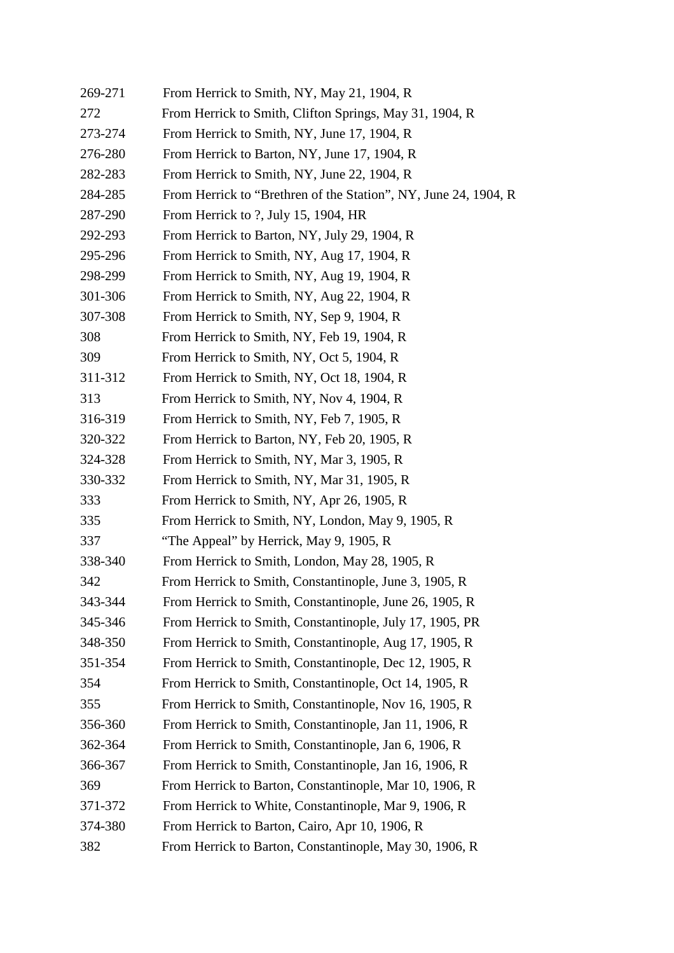| 269-271 | From Herrick to Smith, NY, May 21, 1904, R                      |
|---------|-----------------------------------------------------------------|
| 272     | From Herrick to Smith, Clifton Springs, May 31, 1904, R         |
| 273-274 | From Herrick to Smith, NY, June 17, 1904, R                     |
| 276-280 | From Herrick to Barton, NY, June 17, 1904, R                    |
| 282-283 | From Herrick to Smith, NY, June 22, 1904, R                     |
| 284-285 | From Herrick to "Brethren of the Station", NY, June 24, 1904, R |
| 287-290 | From Herrick to ?, July 15, 1904, HR                            |
| 292-293 | From Herrick to Barton, NY, July 29, 1904, R                    |
| 295-296 | From Herrick to Smith, NY, Aug 17, 1904, R                      |
| 298-299 | From Herrick to Smith, NY, Aug 19, 1904, R                      |
| 301-306 | From Herrick to Smith, NY, Aug 22, 1904, R                      |
| 307-308 | From Herrick to Smith, NY, Sep 9, 1904, R                       |
| 308     | From Herrick to Smith, NY, Feb 19, 1904, R                      |
| 309     | From Herrick to Smith, NY, Oct 5, 1904, R                       |
| 311-312 | From Herrick to Smith, NY, Oct 18, 1904, R                      |
| 313     | From Herrick to Smith, NY, Nov 4, 1904, R                       |
| 316-319 | From Herrick to Smith, NY, Feb 7, 1905, R                       |
| 320-322 | From Herrick to Barton, NY, Feb 20, 1905, R                     |
| 324-328 | From Herrick to Smith, NY, Mar 3, 1905, R                       |
| 330-332 | From Herrick to Smith, NY, Mar 31, 1905, R                      |
| 333     | From Herrick to Smith, NY, Apr 26, 1905, R                      |
| 335     | From Herrick to Smith, NY, London, May 9, 1905, R               |
| 337     | "The Appeal" by Herrick, May 9, 1905, R                         |
| 338-340 | From Herrick to Smith, London, May 28, 1905, R                  |
| 342     | From Herrick to Smith, Constantinople, June 3, 1905, R          |
| 343-344 | From Herrick to Smith, Constantinople, June 26, 1905, R         |
| 345-346 | From Herrick to Smith, Constantinople, July 17, 1905, PR        |
| 348-350 | From Herrick to Smith, Constantinople, Aug 17, 1905, R          |
| 351-354 | From Herrick to Smith, Constantinople, Dec 12, 1905, R          |
| 354     | From Herrick to Smith, Constantinople, Oct 14, 1905, R          |
| 355     | From Herrick to Smith, Constantinople, Nov 16, 1905, R          |
| 356-360 | From Herrick to Smith, Constantinople, Jan 11, 1906, R          |
| 362-364 | From Herrick to Smith, Constantinople, Jan 6, 1906, R           |
| 366-367 | From Herrick to Smith, Constantinople, Jan 16, 1906, R          |
| 369     | From Herrick to Barton, Constantinople, Mar 10, 1906, R         |
| 371-372 | From Herrick to White, Constantinople, Mar 9, 1906, R           |
| 374-380 | From Herrick to Barton, Cairo, Apr 10, 1906, R                  |
| 382     | From Herrick to Barton, Constantinople, May 30, 1906, R         |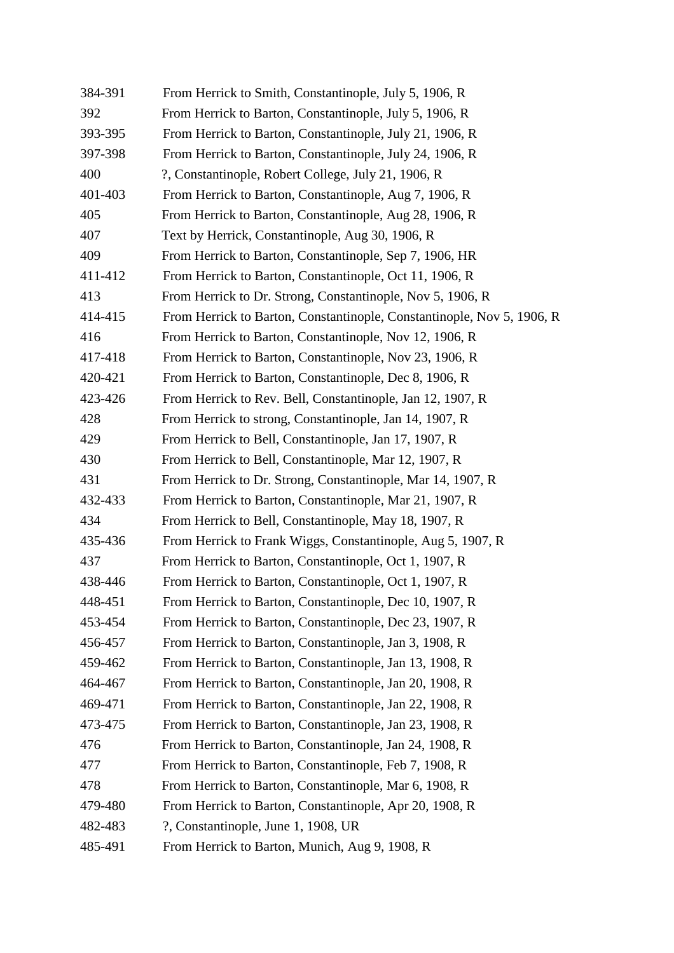| 384-391 | From Herrick to Smith, Constantinople, July 5, 1906, R                 |
|---------|------------------------------------------------------------------------|
| 392     | From Herrick to Barton, Constantinople, July 5, 1906, R                |
| 393-395 | From Herrick to Barton, Constantinople, July 21, 1906, R               |
| 397-398 | From Herrick to Barton, Constantinople, July 24, 1906, R               |
| 400     | ?, Constantinople, Robert College, July 21, 1906, R                    |
| 401-403 | From Herrick to Barton, Constantinople, Aug 7, 1906, R                 |
| 405     | From Herrick to Barton, Constantinople, Aug 28, 1906, R                |
| 407     | Text by Herrick, Constantinople, Aug 30, 1906, R                       |
| 409     | From Herrick to Barton, Constantinople, Sep 7, 1906, HR                |
| 411-412 | From Herrick to Barton, Constantinople, Oct 11, 1906, R                |
| 413     | From Herrick to Dr. Strong, Constantinople, Nov 5, 1906, R             |
| 414-415 | From Herrick to Barton, Constantinople, Constantinople, Nov 5, 1906, R |
| 416     | From Herrick to Barton, Constantinople, Nov 12, 1906, R                |
| 417-418 | From Herrick to Barton, Constantinople, Nov 23, 1906, R                |
| 420-421 | From Herrick to Barton, Constantinople, Dec 8, 1906, R                 |
| 423-426 | From Herrick to Rev. Bell, Constantinople, Jan 12, 1907, R             |
| 428     | From Herrick to strong, Constantinople, Jan 14, 1907, R                |
| 429     | From Herrick to Bell, Constantinople, Jan 17, 1907, R                  |
| 430     | From Herrick to Bell, Constantinople, Mar 12, 1907, R                  |
| 431     | From Herrick to Dr. Strong, Constantinople, Mar 14, 1907, R            |
| 432-433 | From Herrick to Barton, Constantinople, Mar 21, 1907, R                |
| 434     | From Herrick to Bell, Constantinople, May 18, 1907, R                  |
| 435-436 | From Herrick to Frank Wiggs, Constantinople, Aug 5, 1907, R            |
| 437     | From Herrick to Barton, Constantinople, Oct 1, 1907, R                 |
| 438-446 | From Herrick to Barton, Constantinople, Oct 1, 1907, R                 |
| 448-451 | From Herrick to Barton, Constantinople, Dec 10, 1907, R                |
| 453-454 | From Herrick to Barton, Constantinople, Dec 23, 1907, R                |
| 456-457 | From Herrick to Barton, Constantinople, Jan 3, 1908, R                 |
| 459-462 | From Herrick to Barton, Constantinople, Jan 13, 1908, R                |
| 464-467 | From Herrick to Barton, Constantinople, Jan 20, 1908, R                |
| 469-471 | From Herrick to Barton, Constantinople, Jan 22, 1908, R                |
| 473-475 | From Herrick to Barton, Constantinople, Jan 23, 1908, R                |
| 476     | From Herrick to Barton, Constantinople, Jan 24, 1908, R                |
| 477     | From Herrick to Barton, Constantinople, Feb 7, 1908, R                 |
| 478     | From Herrick to Barton, Constantinople, Mar 6, 1908, R                 |
| 479-480 | From Herrick to Barton, Constantinople, Apr 20, 1908, R                |
| 482-483 | ?, Constantinople, June 1, 1908, UR                                    |
| 485-491 | From Herrick to Barton, Munich, Aug 9, 1908, R                         |
|         |                                                                        |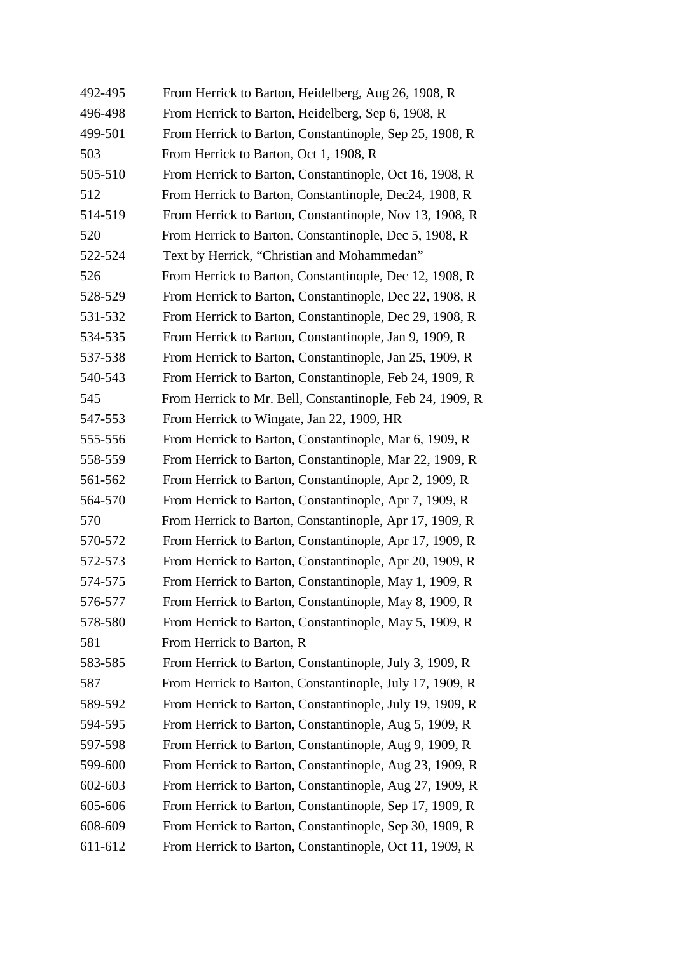| 492-495 | From Herrick to Barton, Heidelberg, Aug 26, 1908, R       |
|---------|-----------------------------------------------------------|
| 496-498 | From Herrick to Barton, Heidelberg, Sep 6, 1908, R        |
| 499-501 | From Herrick to Barton, Constantinople, Sep 25, 1908, R   |
| 503     | From Herrick to Barton, Oct 1, 1908, R                    |
| 505-510 | From Herrick to Barton, Constantinople, Oct 16, 1908, R   |
| 512     | From Herrick to Barton, Constantinople, Dec24, 1908, R    |
| 514-519 | From Herrick to Barton, Constantinople, Nov 13, 1908, R   |
| 520     | From Herrick to Barton, Constantinople, Dec 5, 1908, R    |
| 522-524 | Text by Herrick, "Christian and Mohammedan"               |
| 526     | From Herrick to Barton, Constantinople, Dec 12, 1908, R   |
| 528-529 | From Herrick to Barton, Constantinople, Dec 22, 1908, R   |
| 531-532 | From Herrick to Barton, Constantinople, Dec 29, 1908, R   |
| 534-535 | From Herrick to Barton, Constantinople, Jan 9, 1909, R    |
| 537-538 | From Herrick to Barton, Constantinople, Jan 25, 1909, R   |
| 540-543 | From Herrick to Barton, Constantinople, Feb 24, 1909, R   |
| 545     | From Herrick to Mr. Bell, Constantinople, Feb 24, 1909, R |
| 547-553 | From Herrick to Wingate, Jan 22, 1909, HR                 |
| 555-556 | From Herrick to Barton, Constantinople, Mar 6, 1909, R    |
| 558-559 | From Herrick to Barton, Constantinople, Mar 22, 1909, R   |
| 561-562 | From Herrick to Barton, Constantinople, Apr 2, 1909, R    |
| 564-570 | From Herrick to Barton, Constantinople, Apr 7, 1909, R    |
| 570     | From Herrick to Barton, Constantinople, Apr 17, 1909, R   |
| 570-572 | From Herrick to Barton, Constantinople, Apr 17, 1909, R   |
| 572-573 | From Herrick to Barton, Constantinople, Apr 20, 1909, R   |
| 574-575 | From Herrick to Barton, Constantinople, May 1, 1909, R    |
| 576-577 | From Herrick to Barton, Constantinople, May 8, 1909, R    |
| 578-580 | From Herrick to Barton, Constantinople, May 5, 1909, R    |
| 581     | From Herrick to Barton, R                                 |
| 583-585 | From Herrick to Barton, Constantinople, July 3, 1909, R   |
| 587     | From Herrick to Barton, Constantinople, July 17, 1909, R  |
| 589-592 | From Herrick to Barton, Constantinople, July 19, 1909, R  |
| 594-595 | From Herrick to Barton, Constantinople, Aug 5, 1909, R    |
| 597-598 | From Herrick to Barton, Constantinople, Aug 9, 1909, R    |
| 599-600 | From Herrick to Barton, Constantinople, Aug 23, 1909, R   |
| 602-603 | From Herrick to Barton, Constantinople, Aug 27, 1909, R   |
| 605-606 | From Herrick to Barton, Constantinople, Sep 17, 1909, R   |
| 608-609 | From Herrick to Barton, Constantinople, Sep 30, 1909, R   |
| 611-612 | From Herrick to Barton, Constantinople, Oct 11, 1909, R   |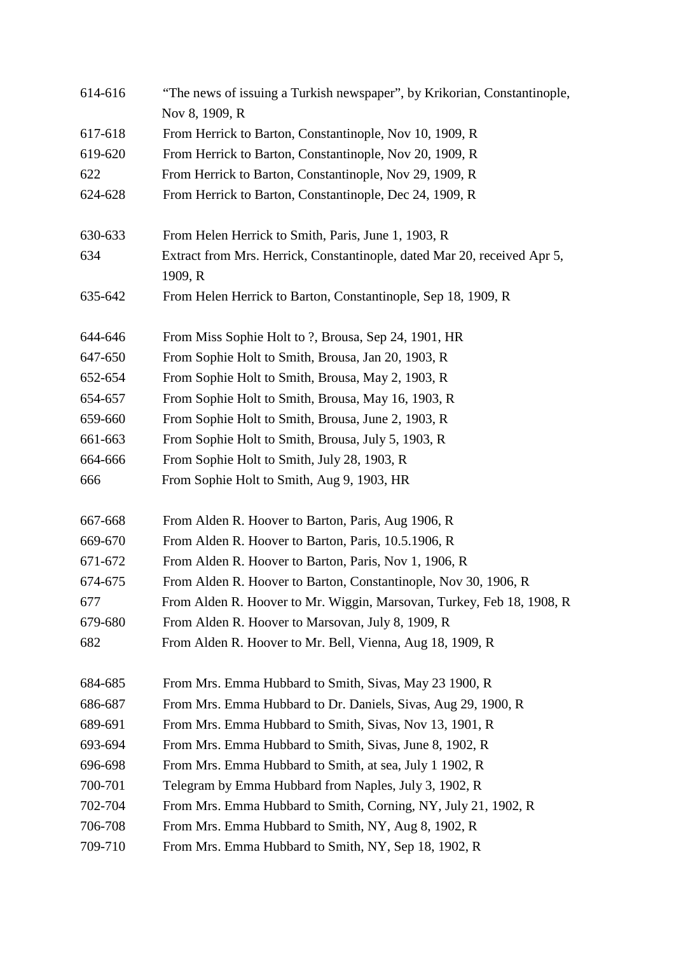| 614-616 | "The news of issuing a Turkish newspaper", by Krikorian, Constantinople,<br>Nov 8, 1909, R |
|---------|--------------------------------------------------------------------------------------------|
| 617-618 | From Herrick to Barton, Constantinople, Nov 10, 1909, R                                    |
| 619-620 | From Herrick to Barton, Constantinople, Nov 20, 1909, R                                    |
| 622     | From Herrick to Barton, Constantinople, Nov 29, 1909, R                                    |
| 624-628 | From Herrick to Barton, Constantinople, Dec 24, 1909, R                                    |
|         |                                                                                            |
| 630-633 | From Helen Herrick to Smith, Paris, June 1, 1903, R                                        |
| 634     | Extract from Mrs. Herrick, Constantinople, dated Mar 20, received Apr 5,                   |
|         | 1909, R                                                                                    |
| 635-642 | From Helen Herrick to Barton, Constantinople, Sep 18, 1909, R                              |
| 644-646 | From Miss Sophie Holt to ?, Brousa, Sep 24, 1901, HR                                       |
| 647-650 | From Sophie Holt to Smith, Brousa, Jan 20, 1903, R                                         |
| 652-654 | From Sophie Holt to Smith, Brousa, May 2, 1903, R                                          |
| 654-657 | From Sophie Holt to Smith, Brousa, May 16, 1903, R                                         |
| 659-660 | From Sophie Holt to Smith, Brousa, June 2, 1903, R                                         |
| 661-663 | From Sophie Holt to Smith, Brousa, July 5, 1903, R                                         |
| 664-666 | From Sophie Holt to Smith, July 28, 1903, R                                                |
| 666     | From Sophie Holt to Smith, Aug 9, 1903, HR                                                 |
| 667-668 | From Alden R. Hoover to Barton, Paris, Aug 1906, R                                         |
| 669-670 | From Alden R. Hoover to Barton, Paris, 10.5.1906, R                                        |
| 671-672 | From Alden R. Hoover to Barton, Paris, Nov 1, 1906, R                                      |
| 674-675 | From Alden R. Hoover to Barton, Constantinople, Nov 30, 1906, R                            |
| 677     | From Alden R. Hoover to Mr. Wiggin, Marsovan, Turkey, Feb 18, 1908, R                      |
| 679-680 | From Alden R. Hoover to Marsovan, July 8, 1909, R                                          |
| 682     | From Alden R. Hoover to Mr. Bell, Vienna, Aug 18, 1909, R                                  |
| 684-685 | From Mrs. Emma Hubbard to Smith, Sivas, May 23 1900, R                                     |
| 686-687 | From Mrs. Emma Hubbard to Dr. Daniels, Sivas, Aug 29, 1900, R                              |
| 689-691 | From Mrs. Emma Hubbard to Smith, Sivas, Nov 13, 1901, R                                    |
| 693-694 | From Mrs. Emma Hubbard to Smith, Sivas, June 8, 1902, R                                    |
| 696-698 | From Mrs. Emma Hubbard to Smith, at sea, July 1 1902, R                                    |
| 700-701 | Telegram by Emma Hubbard from Naples, July 3, 1902, R                                      |
| 702-704 | From Mrs. Emma Hubbard to Smith, Corning, NY, July 21, 1902, R                             |
| 706-708 | From Mrs. Emma Hubbard to Smith, NY, Aug 8, 1902, R                                        |
| 709-710 | From Mrs. Emma Hubbard to Smith, NY, Sep 18, 1902, R                                       |
|         |                                                                                            |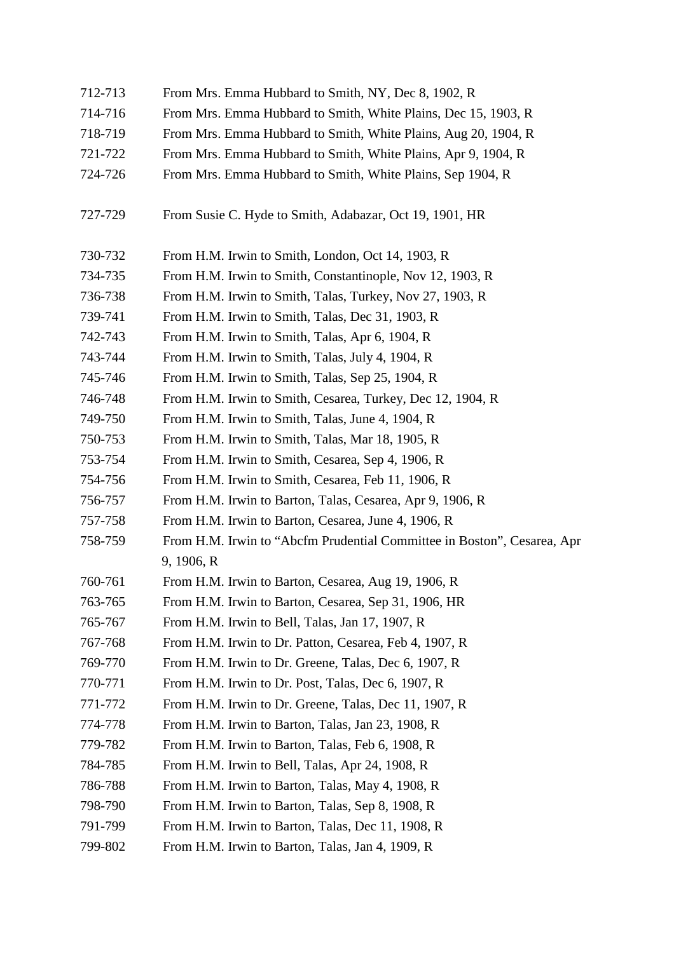| 712-713 | From Mrs. Emma Hubbard to Smith, NY, Dec 8, 1902, R                     |
|---------|-------------------------------------------------------------------------|
| 714-716 | From Mrs. Emma Hubbard to Smith, White Plains, Dec 15, 1903, R          |
| 718-719 | From Mrs. Emma Hubbard to Smith, White Plains, Aug 20, 1904, R          |
| 721-722 | From Mrs. Emma Hubbard to Smith, White Plains, Apr 9, 1904, R           |
| 724-726 | From Mrs. Emma Hubbard to Smith, White Plains, Sep 1904, R              |
| 727-729 | From Susie C. Hyde to Smith, Adabazar, Oct 19, 1901, HR                 |
| 730-732 | From H.M. Irwin to Smith, London, Oct 14, 1903, R                       |
| 734-735 | From H.M. Irwin to Smith, Constantinople, Nov 12, 1903, R               |
| 736-738 | From H.M. Irwin to Smith, Talas, Turkey, Nov 27, 1903, R                |
| 739-741 | From H.M. Irwin to Smith, Talas, Dec 31, 1903, R                        |
| 742-743 | From H.M. Irwin to Smith, Talas, Apr 6, 1904, R                         |
| 743-744 | From H.M. Irwin to Smith, Talas, July 4, 1904, R                        |
| 745-746 | From H.M. Irwin to Smith, Talas, Sep 25, 1904, R                        |
| 746-748 | From H.M. Irwin to Smith, Cesarea, Turkey, Dec 12, 1904, R              |
| 749-750 | From H.M. Irwin to Smith, Talas, June 4, 1904, R                        |
| 750-753 | From H.M. Irwin to Smith, Talas, Mar 18, 1905, R                        |
| 753-754 | From H.M. Irwin to Smith, Cesarea, Sep 4, 1906, R                       |
| 754-756 | From H.M. Irwin to Smith, Cesarea, Feb 11, 1906, R                      |
| 756-757 | From H.M. Irwin to Barton, Talas, Cesarea, Apr 9, 1906, R               |
| 757-758 | From H.M. Irwin to Barton, Cesarea, June 4, 1906, R                     |
| 758-759 | From H.M. Irwin to "Abcfm Prudential Committee in Boston", Cesarea, Apr |
|         | 9, 1906, R                                                              |
| 760-761 | From H.M. Irwin to Barton, Cesarea, Aug 19, 1906, R                     |
| 763-765 | From H.M. Irwin to Barton, Cesarea, Sep 31, 1906, HR                    |
| 765-767 | From H.M. Irwin to Bell, Talas, Jan 17, 1907, R                         |
| 767-768 | From H.M. Irwin to Dr. Patton, Cesarea, Feb 4, 1907, R                  |
| 769-770 | From H.M. Irwin to Dr. Greene, Talas, Dec 6, 1907, R                    |
| 770-771 | From H.M. Irwin to Dr. Post, Talas, Dec 6, 1907, R                      |
| 771-772 | From H.M. Irwin to Dr. Greene, Talas, Dec 11, 1907, R                   |
| 774-778 | From H.M. Irwin to Barton, Talas, Jan 23, 1908, R                       |
| 779-782 | From H.M. Irwin to Barton, Talas, Feb 6, 1908, R                        |
| 784-785 | From H.M. Irwin to Bell, Talas, Apr 24, 1908, R                         |
| 786-788 | From H.M. Irwin to Barton, Talas, May 4, 1908, R                        |
| 798-790 | From H.M. Irwin to Barton, Talas, Sep 8, 1908, R                        |
| 791-799 | From H.M. Irwin to Barton, Talas, Dec 11, 1908, R                       |
| 799-802 | From H.M. Irwin to Barton, Talas, Jan 4, 1909, R                        |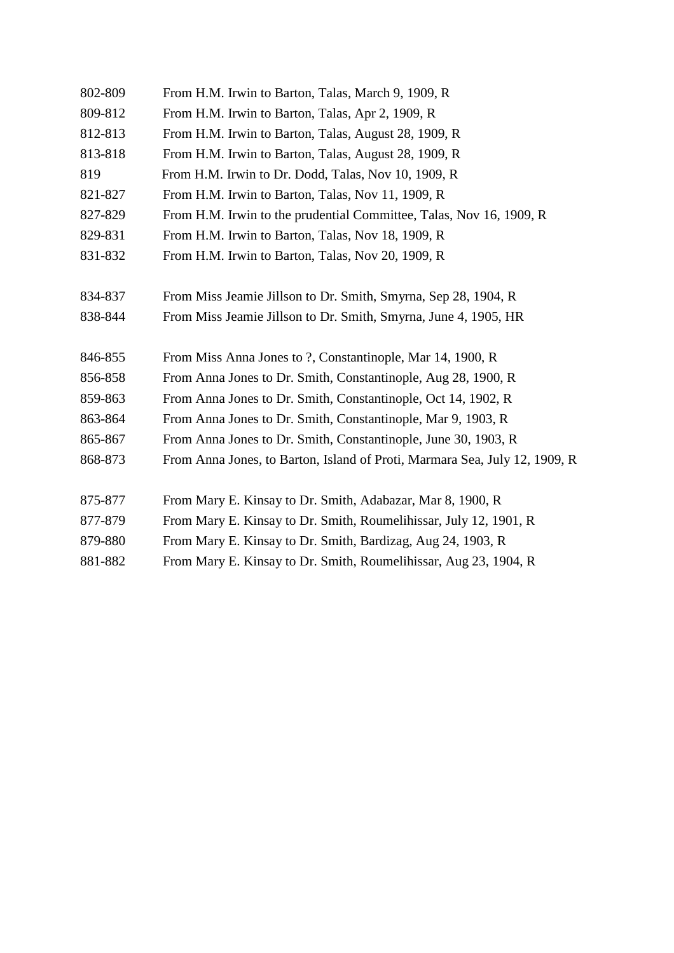| 802-809 | From H.M. Irwin to Barton, Talas, March 9, 1909, R                         |
|---------|----------------------------------------------------------------------------|
| 809-812 | From H.M. Irwin to Barton, Talas, Apr 2, 1909, R                           |
| 812-813 | From H.M. Irwin to Barton, Talas, August 28, 1909, R                       |
| 813-818 | From H.M. Irwin to Barton, Talas, August 28, 1909, R                       |
| 819     | From H.M. Irwin to Dr. Dodd, Talas, Nov 10, 1909, R                        |
| 821-827 | From H.M. Irwin to Barton, Talas, Nov 11, 1909, R                          |
| 827-829 | From H.M. Irwin to the prudential Committee, Talas, Nov 16, 1909, R        |
| 829-831 | From H.M. Irwin to Barton, Talas, Nov 18, 1909, R                          |
| 831-832 | From H.M. Irwin to Barton, Talas, Nov 20, 1909, R                          |
|         |                                                                            |
| 834-837 | From Miss Jeamie Jillson to Dr. Smith, Smyrna, Sep 28, 1904, R             |
| 838-844 | From Miss Jeamie Jillson to Dr. Smith, Smyrna, June 4, 1905, HR            |
|         |                                                                            |
| 846-855 | From Miss Anna Jones to ?, Constantinople, Mar 14, 1900, R                 |
| 856-858 | From Anna Jones to Dr. Smith, Constantinople, Aug 28, 1900, R              |
| 859-863 | From Anna Jones to Dr. Smith, Constantinople, Oct 14, 1902, R              |
| 863-864 | From Anna Jones to Dr. Smith, Constantinople, Mar 9, 1903, R               |
| 865-867 | From Anna Jones to Dr. Smith, Constantinople, June 30, 1903, R             |
| 868-873 | From Anna Jones, to Barton, Island of Proti, Marmara Sea, July 12, 1909, R |
|         |                                                                            |
| 875-877 | From Mary E. Kinsay to Dr. Smith, Adabazar, Mar 8, 1900, R                 |
| 877-879 | From Mary E. Kinsay to Dr. Smith, Roumelihissar, July 12, 1901, R          |
| 879-880 | From Mary E. Kinsay to Dr. Smith, Bardizag, Aug 24, 1903, R                |
| 881-882 | From Mary E. Kinsay to Dr. Smith, Roumelihissar, Aug 23, 1904, R           |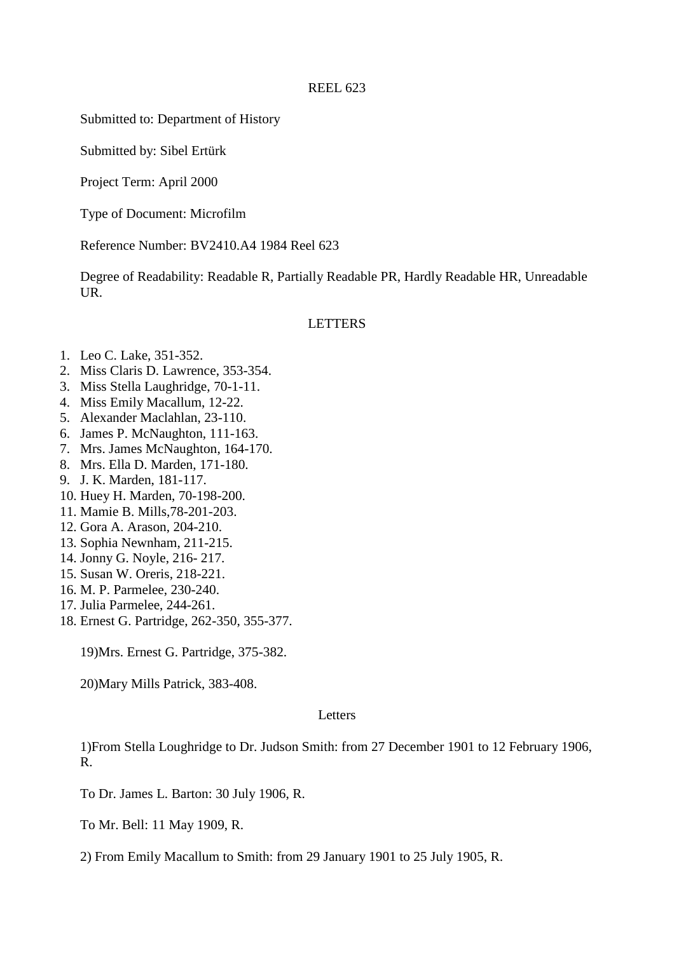Submitted to: Department of History

Submitted by: Sibel Ertürk

Project Term: April 2000

Type of Document: Microfilm

Reference Number: BV2410.A4 1984 Reel 623

Degree of Readability: Readable R, Partially Readable PR, Hardly Readable HR, Unreadable UR.

#### LETTERS

- 1. Leo C. Lake, 351-352.
- 2. Miss Claris D. Lawrence, 353-354.
- 3. Miss Stella Laughridge, 70-1-11.
- 4. Miss Emily Macallum, 12-22.
- 5. Alexander Maclahlan, 23-110.
- 6. James P. McNaughton, 111-163.
- 7. Mrs. James McNaughton, 164-170.
- 8. Mrs. Ella D. Marden, 171-180.
- 9. J. K. Marden, 181-117.
- 10. Huey H. Marden, 70-198-200.
- 11. Mamie B. Mills,78-201-203.
- 12. Gora A. Arason, 204-210.
- 13. Sophia Newnham, 211-215.
- 14. Jonny G. Noyle, 216- 217.
- 15. Susan W. Oreris, 218-221.
- 16. M. P. Parmelee, 230-240.
- 17. Julia Parmelee, 244-261.
- 18. Ernest G. Partridge, 262-350, 355-377.

19)Mrs. Ernest G. Partridge, 375-382.

20)Mary Mills Patrick, 383-408.

#### **Letters**

1)From Stella Loughridge to Dr. Judson Smith: from 27 December 1901 to 12 February 1906, R.

To Dr. James L. Barton: 30 July 1906, R.

To Mr. Bell: 11 May 1909, R.

2) From Emily Macallum to Smith: from 29 January 1901 to 25 July 1905, R.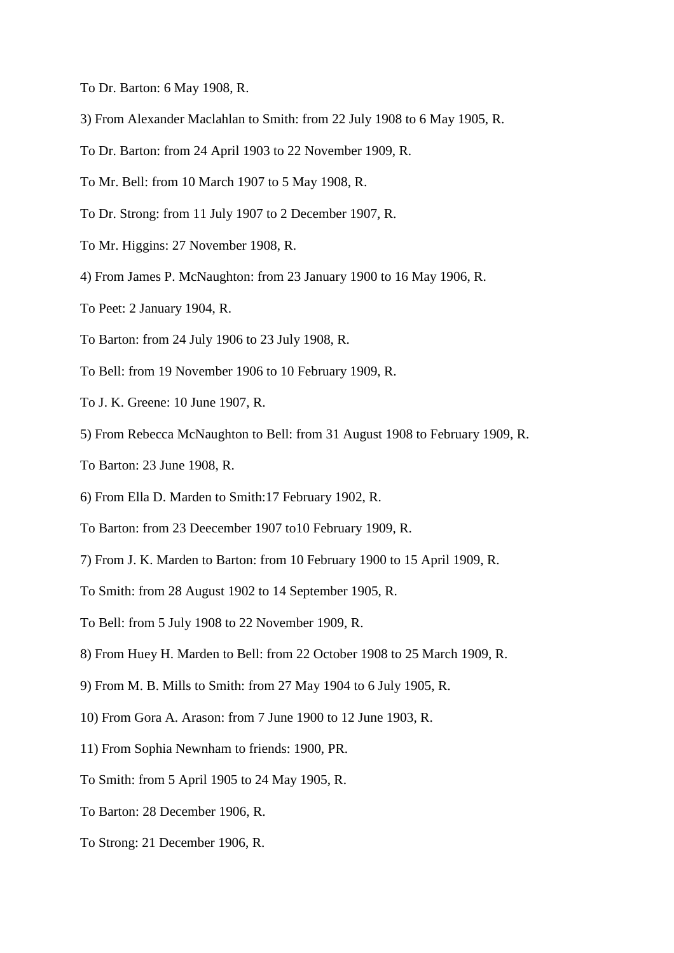- To Dr. Barton: 6 May 1908, R.
- 3) From Alexander Maclahlan to Smith: from 22 July 1908 to 6 May 1905, R.
- To Dr. Barton: from 24 April 1903 to 22 November 1909, R.
- To Mr. Bell: from 10 March 1907 to 5 May 1908, R.
- To Dr. Strong: from 11 July 1907 to 2 December 1907, R.
- To Mr. Higgins: 27 November 1908, R.
- 4) From James P. McNaughton: from 23 January 1900 to 16 May 1906, R.
- To Peet: 2 January 1904, R.
- To Barton: from 24 July 1906 to 23 July 1908, R.
- To Bell: from 19 November 1906 to 10 February 1909, R.
- To J. K. Greene: 10 June 1907, R.
- 5) From Rebecca McNaughton to Bell: from 31 August 1908 to February 1909, R.
- To Barton: 23 June 1908, R.
- 6) From Ella D. Marden to Smith:17 February 1902, R.
- To Barton: from 23 Deecember 1907 to10 February 1909, R.
- 7) From J. K. Marden to Barton: from 10 February 1900 to 15 April 1909, R.
- To Smith: from 28 August 1902 to 14 September 1905, R.
- To Bell: from 5 July 1908 to 22 November 1909, R.
- 8) From Huey H. Marden to Bell: from 22 October 1908 to 25 March 1909, R.
- 9) From M. B. Mills to Smith: from 27 May 1904 to 6 July 1905, R.
- 10) From Gora A. Arason: from 7 June 1900 to 12 June 1903, R.
- 11) From Sophia Newnham to friends: 1900, PR.
- To Smith: from 5 April 1905 to 24 May 1905, R.
- To Barton: 28 December 1906, R.
- To Strong: 21 December 1906, R.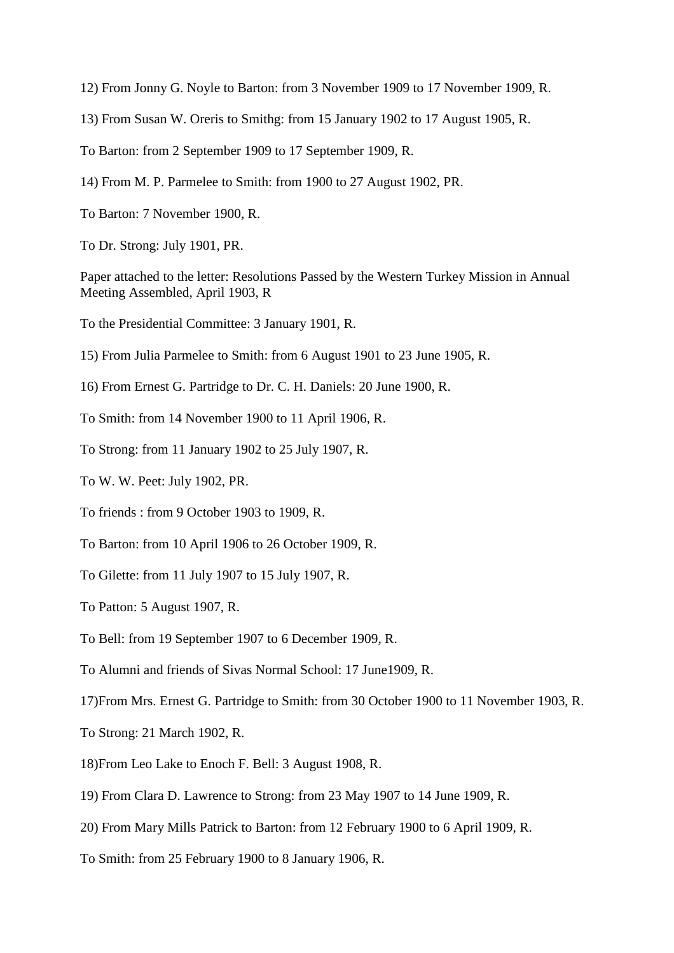12) From Jonny G. Noyle to Barton: from 3 November 1909 to 17 November 1909, R.

- 13) From Susan W. Oreris to Smithg: from 15 January 1902 to 17 August 1905, R.
- To Barton: from 2 September 1909 to 17 September 1909, R.
- 14) From M. P. Parmelee to Smith: from 1900 to 27 August 1902, PR.
- To Barton: 7 November 1900, R.
- To Dr. Strong: July 1901, PR.

Paper attached to the letter: Resolutions Passed by the Western Turkey Mission in Annual Meeting Assembled, April 1903, R

- To the Presidential Committee: 3 January 1901, R.
- 15) From Julia Parmelee to Smith: from 6 August 1901 to 23 June 1905, R.
- 16) From Ernest G. Partridge to Dr. C. H. Daniels: 20 June 1900, R.
- To Smith: from 14 November 1900 to 11 April 1906, R.
- To Strong: from 11 January 1902 to 25 July 1907, R.
- To W. W. Peet: July 1902, PR.
- To friends : from 9 October 1903 to 1909, R.
- To Barton: from 10 April 1906 to 26 October 1909, R.
- To Gilette: from 11 July 1907 to 15 July 1907, R.
- To Patton: 5 August 1907, R.
- To Bell: from 19 September 1907 to 6 December 1909, R.
- To Alumni and friends of Sivas Normal School: 17 June1909, R.
- 17)From Mrs. Ernest G. Partridge to Smith: from 30 October 1900 to 11 November 1903, R.
- To Strong: 21 March 1902, R.
- 18)From Leo Lake to Enoch F. Bell: 3 August 1908, R.
- 19) From Clara D. Lawrence to Strong: from 23 May 1907 to 14 June 1909, R.
- 20) From Mary Mills Patrick to Barton: from 12 February 1900 to 6 April 1909, R.
- To Smith: from 25 February 1900 to 8 January 1906, R.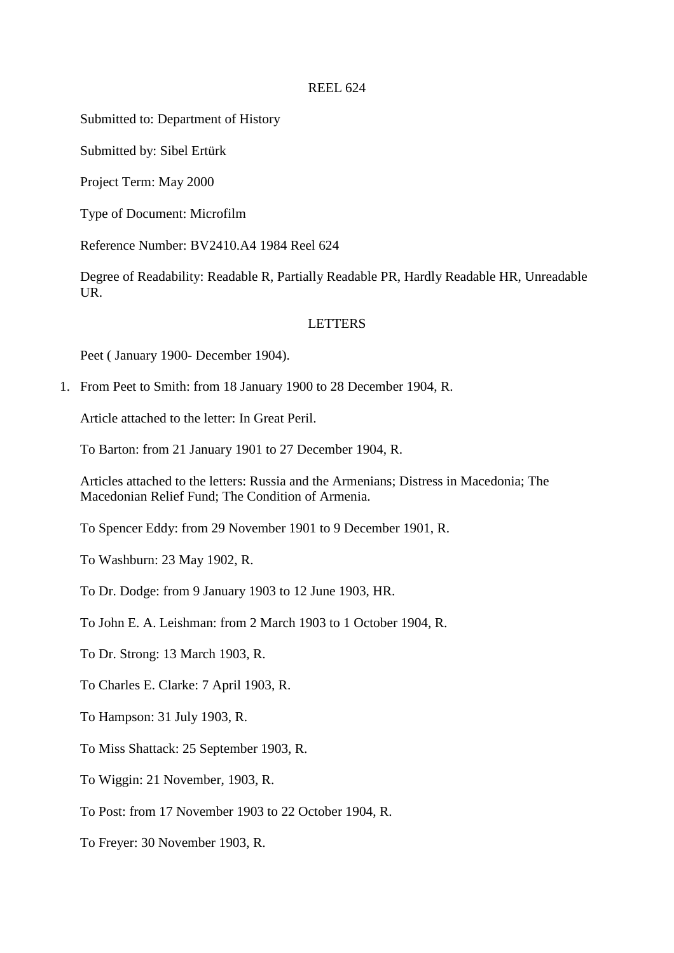Submitted to: Department of History

Submitted by: Sibel Ertürk

Project Term: May 2000

Type of Document: Microfilm

Reference Number: BV2410.A4 1984 Reel 624

Degree of Readability: Readable R, Partially Readable PR, Hardly Readable HR, Unreadable UR.

# LETTERS

Peet ( January 1900- December 1904).

1. From Peet to Smith: from 18 January 1900 to 28 December 1904, R.

Article attached to the letter: In Great Peril.

To Barton: from 21 January 1901 to 27 December 1904, R.

Articles attached to the letters: Russia and the Armenians; Distress in Macedonia; The Macedonian Relief Fund; The Condition of Armenia.

To Spencer Eddy: from 29 November 1901 to 9 December 1901, R.

To Washburn: 23 May 1902, R.

To Dr. Dodge: from 9 January 1903 to 12 June 1903, HR.

To John E. A. Leishman: from 2 March 1903 to 1 October 1904, R.

To Dr. Strong: 13 March 1903, R.

To Charles E. Clarke: 7 April 1903, R.

To Hampson: 31 July 1903, R.

To Miss Shattack: 25 September 1903, R.

To Wiggin: 21 November, 1903, R.

To Post: from 17 November 1903 to 22 October 1904, R.

To Freyer: 30 November 1903, R.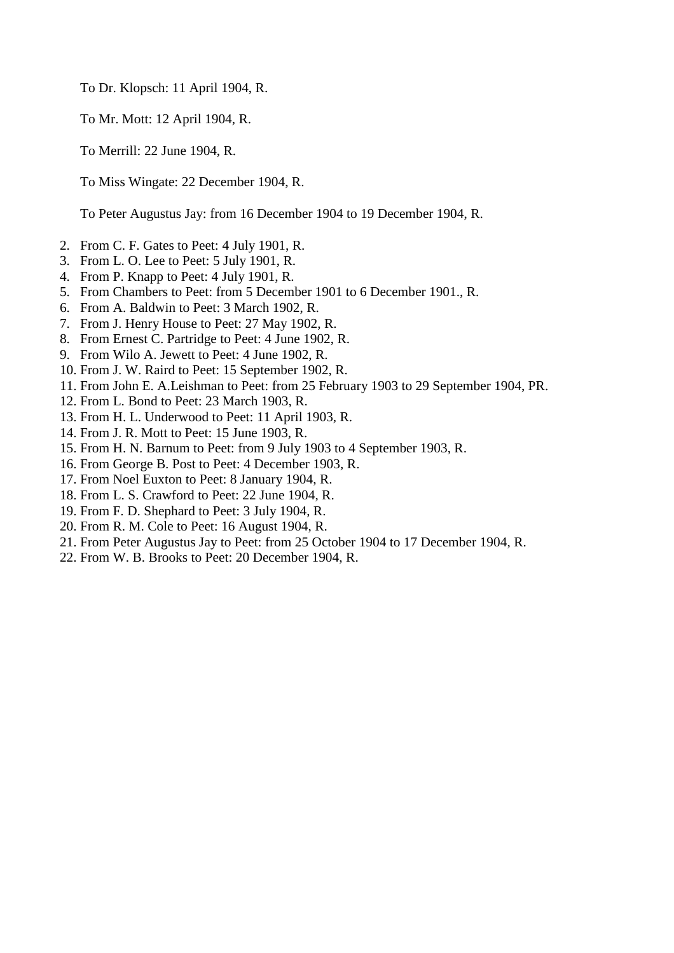To Dr. Klopsch: 11 April 1904, R.

To Mr. Mott: 12 April 1904, R.

To Merrill: 22 June 1904, R.

To Miss Wingate: 22 December 1904, R.

To Peter Augustus Jay: from 16 December 1904 to 19 December 1904, R.

- 2. From C. F. Gates to Peet: 4 July 1901, R.
- 3. From L. O. Lee to Peet: 5 July 1901, R.
- 4. From P. Knapp to Peet: 4 July 1901, R.
- 5. From Chambers to Peet: from 5 December 1901 to 6 December 1901., R.
- 6. From A. Baldwin to Peet: 3 March 1902, R.
- 7. From J. Henry House to Peet: 27 May 1902, R.
- 8. From Ernest C. Partridge to Peet: 4 June 1902, R.
- 9. From Wilo A. Jewett to Peet: 4 June 1902, R.
- 10. From J. W. Raird to Peet: 15 September 1902, R.
- 11. From John E. A.Leishman to Peet: from 25 February 1903 to 29 September 1904, PR.
- 12. From L. Bond to Peet: 23 March 1903, R.
- 13. From H. L. Underwood to Peet: 11 April 1903, R.
- 14. From J. R. Mott to Peet: 15 June 1903, R.
- 15. From H. N. Barnum to Peet: from 9 July 1903 to 4 September 1903, R.
- 16. From George B. Post to Peet: 4 December 1903, R.
- 17. From Noel Euxton to Peet: 8 January 1904, R.
- 18. From L. S. Crawford to Peet: 22 June 1904, R.
- 19. From F. D. Shephard to Peet: 3 July 1904, R.
- 20. From R. M. Cole to Peet: 16 August 1904, R.
- 21. From Peter Augustus Jay to Peet: from 25 October 1904 to 17 December 1904, R.
- 22. From W. B. Brooks to Peet: 20 December 1904, R.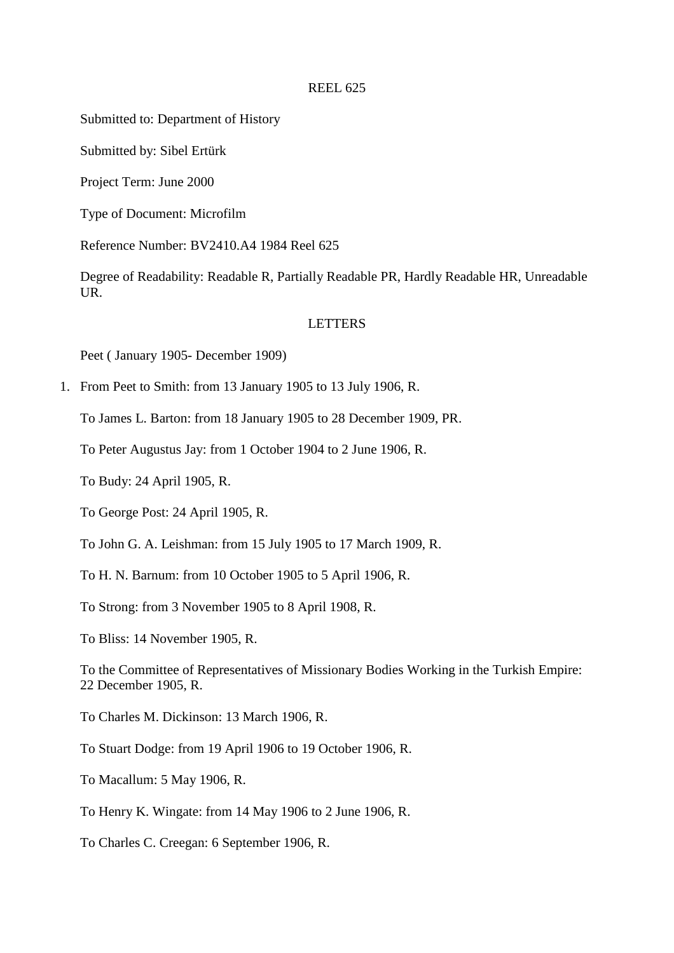Submitted to: Department of History

Submitted by: Sibel Ertürk

Project Term: June 2000

Type of Document: Microfilm

Reference Number: BV2410.A4 1984 Reel 625

Degree of Readability: Readable R, Partially Readable PR, Hardly Readable HR, Unreadable UR.

# LETTERS

Peet ( January 1905- December 1909)

1. From Peet to Smith: from 13 January 1905 to 13 July 1906, R.

To James L. Barton: from 18 January 1905 to 28 December 1909, PR.

To Peter Augustus Jay: from 1 October 1904 to 2 June 1906, R.

To Budy: 24 April 1905, R.

To George Post: 24 April 1905, R.

To John G. A. Leishman: from 15 July 1905 to 17 March 1909, R.

To H. N. Barnum: from 10 October 1905 to 5 April 1906, R.

To Strong: from 3 November 1905 to 8 April 1908, R.

To Bliss: 14 November 1905, R.

To the Committee of Representatives of Missionary Bodies Working in the Turkish Empire: 22 December 1905, R.

To Charles M. Dickinson: 13 March 1906, R.

To Stuart Dodge: from 19 April 1906 to 19 October 1906, R.

To Macallum: 5 May 1906, R.

To Henry K. Wingate: from 14 May 1906 to 2 June 1906, R.

To Charles C. Creegan: 6 September 1906, R.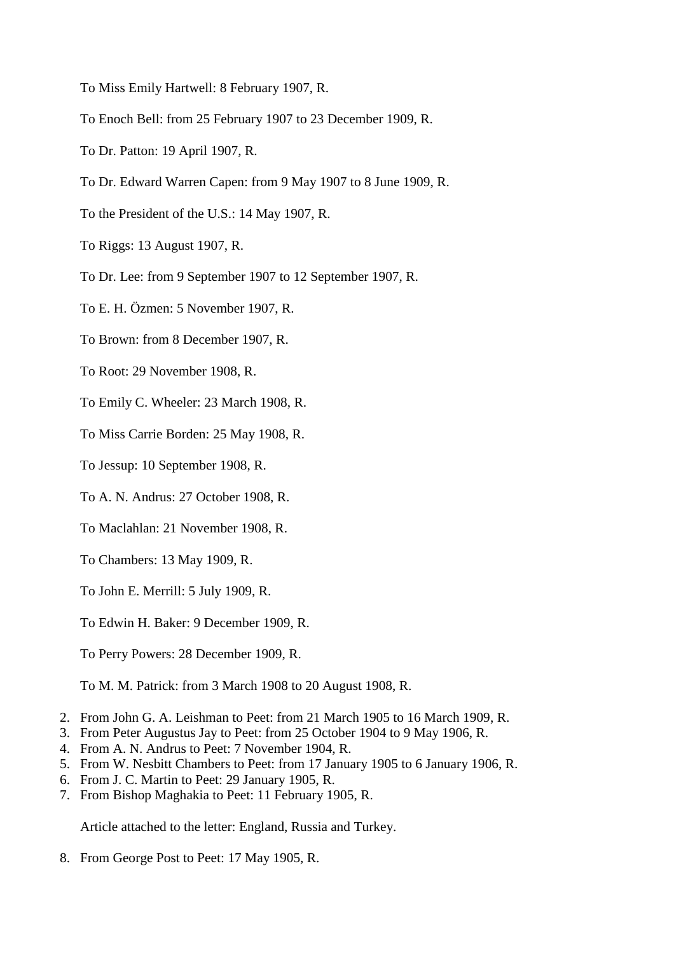- To Miss Emily Hartwell: 8 February 1907, R.
- To Enoch Bell: from 25 February 1907 to 23 December 1909, R.
- To Dr. Patton: 19 April 1907, R.
- To Dr. Edward Warren Capen: from 9 May 1907 to 8 June 1909, R.
- To the President of the U.S.: 14 May 1907, R.
- To Riggs: 13 August 1907, R.
- To Dr. Lee: from 9 September 1907 to 12 September 1907, R.
- To E. H. Özmen: 5 November 1907, R.
- To Brown: from 8 December 1907, R.
- To Root: 29 November 1908, R.
- To Emily C. Wheeler: 23 March 1908, R.
- To Miss Carrie Borden: 25 May 1908, R.
- To Jessup: 10 September 1908, R.
- To A. N. Andrus: 27 October 1908, R.
- To Maclahlan: 21 November 1908, R.
- To Chambers: 13 May 1909, R.
- To John E. Merrill: 5 July 1909, R.
- To Edwin H. Baker: 9 December 1909, R.
- To Perry Powers: 28 December 1909, R.
- To M. M. Patrick: from 3 March 1908 to 20 August 1908, R.
- 2. From John G. A. Leishman to Peet: from 21 March 1905 to 16 March 1909, R.
- 3. From Peter Augustus Jay to Peet: from 25 October 1904 to 9 May 1906, R.
- 4. From A. N. Andrus to Peet: 7 November 1904, R.
- 5. From W. Nesbitt Chambers to Peet: from 17 January 1905 to 6 January 1906, R.
- 6. From J. C. Martin to Peet: 29 January 1905, R.
- 7. From Bishop Maghakia to Peet: 11 February 1905, R.

Article attached to the letter: England, Russia and Turkey.

8. From George Post to Peet: 17 May 1905, R.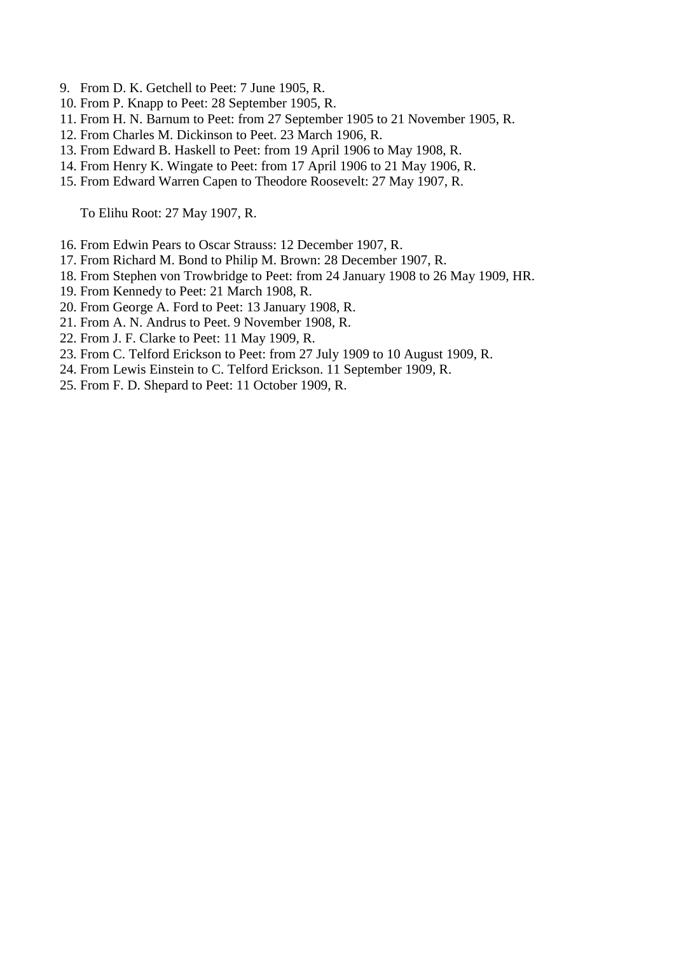- 9. From D. K. Getchell to Peet: 7 June 1905, R.
- 10. From P. Knapp to Peet: 28 September 1905, R.
- 11. From H. N. Barnum to Peet: from 27 September 1905 to 21 November 1905, R.
- 12. From Charles M. Dickinson to Peet. 23 March 1906, R.
- 13. From Edward B. Haskell to Peet: from 19 April 1906 to May 1908, R.
- 14. From Henry K. Wingate to Peet: from 17 April 1906 to 21 May 1906, R.
- 15. From Edward Warren Capen to Theodore Roosevelt: 27 May 1907, R.

To Elihu Root: 27 May 1907, R.

- 16. From Edwin Pears to Oscar Strauss: 12 December 1907, R.
- 17. From Richard M. Bond to Philip M. Brown: 28 December 1907, R.
- 18. From Stephen von Trowbridge to Peet: from 24 January 1908 to 26 May 1909, HR.
- 19. From Kennedy to Peet: 21 March 1908, R.
- 20. From George A. Ford to Peet: 13 January 1908, R.
- 21. From A. N. Andrus to Peet. 9 November 1908, R.
- 22. From J. F. Clarke to Peet: 11 May 1909, R.
- 23. From C. Telford Erickson to Peet: from 27 July 1909 to 10 August 1909, R.
- 24. From Lewis Einstein to C. Telford Erickson. 11 September 1909, R.
- 25. From F. D. Shepard to Peet: 11 October 1909, R.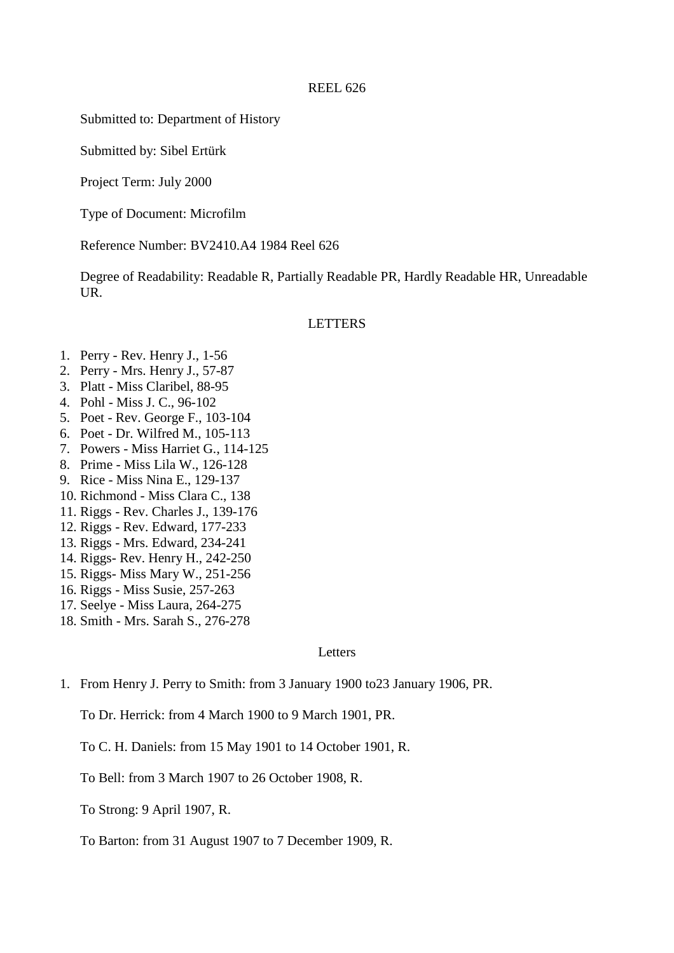Submitted to: Department of History

Submitted by: Sibel Ertürk

Project Term: July 2000

Type of Document: Microfilm

Reference Number: BV2410.A4 1984 Reel 626

Degree of Readability: Readable R, Partially Readable PR, Hardly Readable HR, Unreadable UR.

## LETTERS

- 1. Perry Rev. Henry J., 1-56
- 2. Perry Mrs. Henry J., 57-87
- 3. Platt Miss Claribel, 88-95
- 4. Pohl Miss J. C., 96-102
- 5. Poet Rev. George F., 103-104
- 6. Poet Dr. Wilfred M., 105-113
- 7. Powers Miss Harriet G., 114-125
- 8. Prime Miss Lila W., 126-128
- 9. Rice Miss Nina E., 129-137
- 10. Richmond Miss Clara C., 138
- 11. Riggs Rev. Charles J., 139-176
- 12. Riggs Rev. Edward, 177-233
- 13. Riggs Mrs. Edward, 234-241
- 14. Riggs- Rev. Henry H., 242-250
- 15. Riggs- Miss Mary W., 251-256
- 16. Riggs Miss Susie, 257-263
- 17. Seelye Miss Laura, 264-275
- 18. Smith Mrs. Sarah S., 276-278

### **Letters**

1. From Henry J. Perry to Smith: from 3 January 1900 to23 January 1906, PR.

To Dr. Herrick: from 4 March 1900 to 9 March 1901, PR.

To C. H. Daniels: from 15 May 1901 to 14 October 1901, R.

To Bell: from 3 March 1907 to 26 October 1908, R.

To Strong: 9 April 1907, R.

To Barton: from 31 August 1907 to 7 December 1909, R.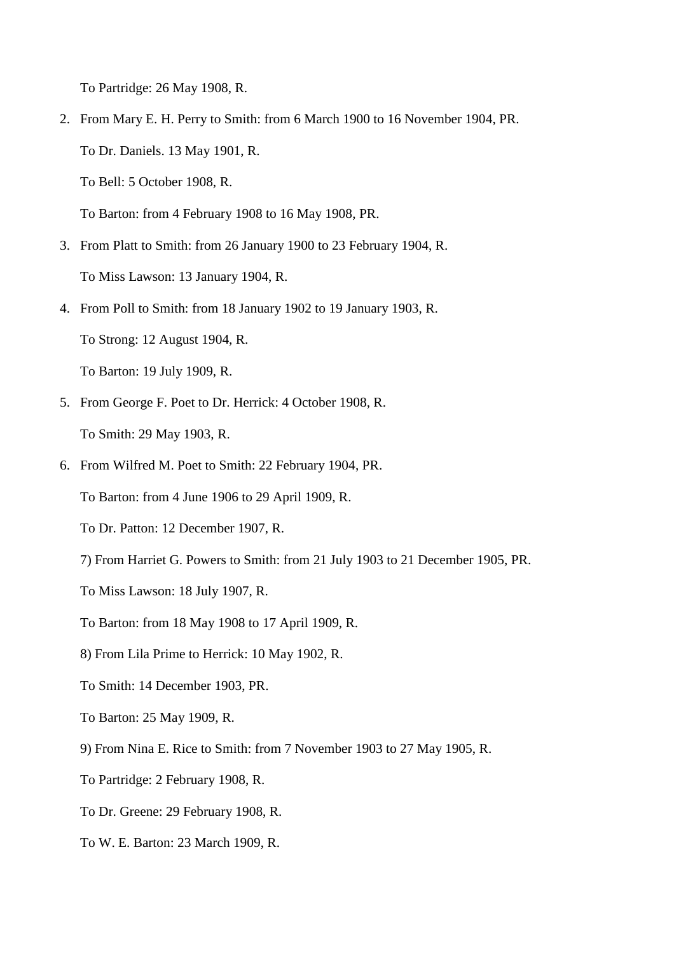To Partridge: 26 May 1908, R.

2. From Mary E. H. Perry to Smith: from 6 March 1900 to 16 November 1904, PR. To Dr. Daniels. 13 May 1901, R.

To Bell: 5 October 1908, R.

To Barton: from 4 February 1908 to 16 May 1908, PR.

- 3. From Platt to Smith: from 26 January 1900 to 23 February 1904, R. To Miss Lawson: 13 January 1904, R.
- 4. From Poll to Smith: from 18 January 1902 to 19 January 1903, R.

To Strong: 12 August 1904, R.

To Barton: 19 July 1909, R.

- 5. From George F. Poet to Dr. Herrick: 4 October 1908, R. To Smith: 29 May 1903, R.
- 6. From Wilfred M. Poet to Smith: 22 February 1904, PR.

To Barton: from 4 June 1906 to 29 April 1909, R.

To Dr. Patton: 12 December 1907, R.

7) From Harriet G. Powers to Smith: from 21 July 1903 to 21 December 1905, PR.

To Miss Lawson: 18 July 1907, R.

To Barton: from 18 May 1908 to 17 April 1909, R.

- 8) From Lila Prime to Herrick: 10 May 1902, R.
- To Smith: 14 December 1903, PR.
- To Barton: 25 May 1909, R.
- 9) From Nina E. Rice to Smith: from 7 November 1903 to 27 May 1905, R.
- To Partridge: 2 February 1908, R.
- To Dr. Greene: 29 February 1908, R.
- To W. E. Barton: 23 March 1909, R.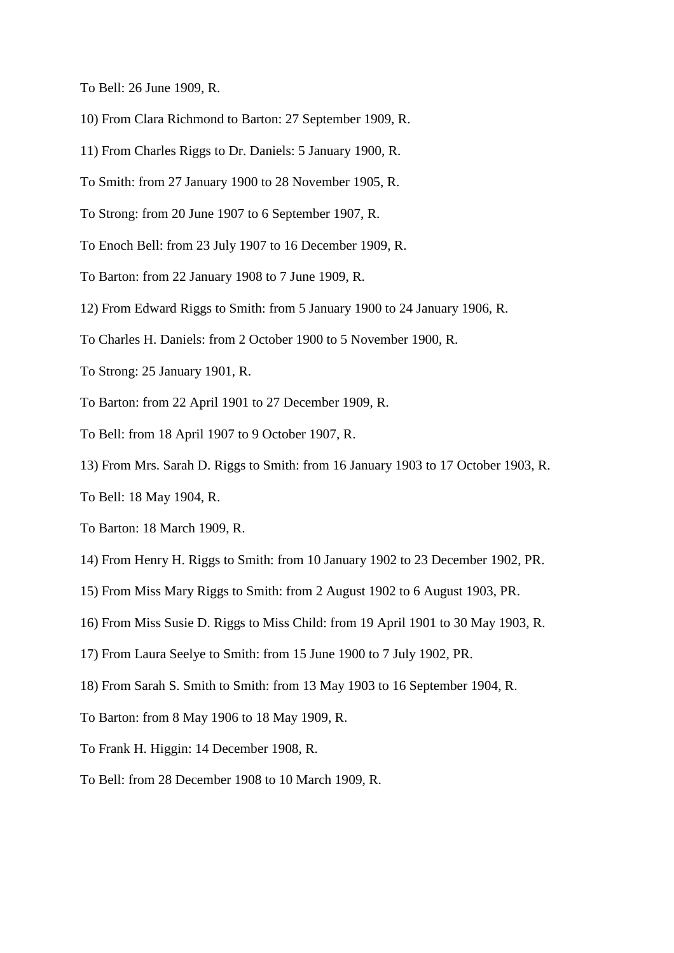- To Bell: 26 June 1909, R.
- 10) From Clara Richmond to Barton: 27 September 1909, R.
- 11) From Charles Riggs to Dr. Daniels: 5 January 1900, R.
- To Smith: from 27 January 1900 to 28 November 1905, R.
- To Strong: from 20 June 1907 to 6 September 1907, R.
- To Enoch Bell: from 23 July 1907 to 16 December 1909, R.
- To Barton: from 22 January 1908 to 7 June 1909, R.
- 12) From Edward Riggs to Smith: from 5 January 1900 to 24 January 1906, R.
- To Charles H. Daniels: from 2 October 1900 to 5 November 1900, R.
- To Strong: 25 January 1901, R.
- To Barton: from 22 April 1901 to 27 December 1909, R.
- To Bell: from 18 April 1907 to 9 October 1907, R.
- 13) From Mrs. Sarah D. Riggs to Smith: from 16 January 1903 to 17 October 1903, R.
- To Bell: 18 May 1904, R.
- To Barton: 18 March 1909, R.
- 14) From Henry H. Riggs to Smith: from 10 January 1902 to 23 December 1902, PR.
- 15) From Miss Mary Riggs to Smith: from 2 August 1902 to 6 August 1903, PR.
- 16) From Miss Susie D. Riggs to Miss Child: from 19 April 1901 to 30 May 1903, R.
- 17) From Laura Seelye to Smith: from 15 June 1900 to 7 July 1902, PR.
- 18) From Sarah S. Smith to Smith: from 13 May 1903 to 16 September 1904, R.
- To Barton: from 8 May 1906 to 18 May 1909, R.
- To Frank H. Higgin: 14 December 1908, R.
- To Bell: from 28 December 1908 to 10 March 1909, R.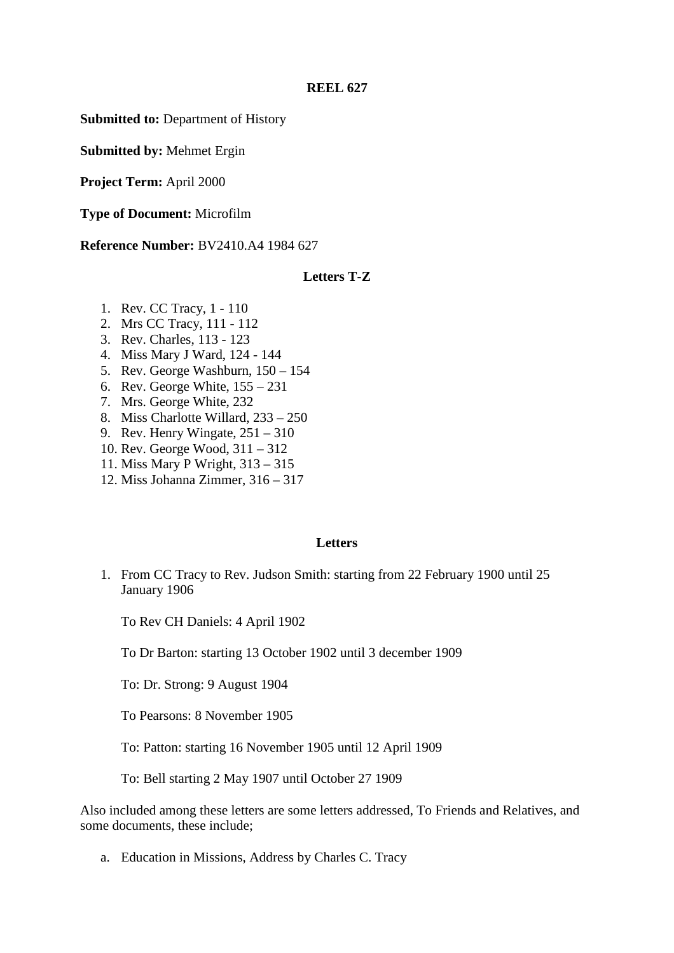**Submitted to:** Department of History

**Submitted by:** Mehmet Ergin

**Project Term:** April 2000

**Type of Document:** Microfilm

**Reference Number:** BV2410.A4 1984 627

## **Letters T-Z**

- 1. Rev. CC Tracy, 1 110
- 2. Mrs CC Tracy, 111 112
- 3. Rev. Charles, 113 123
- 4. Miss Mary J Ward, 124 144
- 5. Rev. George Washburn, 150 154
- 6. Rev. George White, 155 231
- 7. Mrs. George White, 232
- 8. Miss Charlotte Willard, 233 250
- 9. Rev. Henry Wingate, 251 310
- 10. Rev. George Wood, 311 312
- 11. Miss Mary P Wright, 313 315
- 12. Miss Johanna Zimmer, 316 317

### **Letters**

1. From CC Tracy to Rev. Judson Smith: starting from 22 February 1900 until 25 January 1906

To Rev CH Daniels: 4 April 1902

To Dr Barton: starting 13 October 1902 until 3 december 1909

To: Dr. Strong: 9 August 1904

To Pearsons: 8 November 1905

To: Patton: starting 16 November 1905 until 12 April 1909

To: Bell starting 2 May 1907 until October 27 1909

Also included among these letters are some letters addressed, To Friends and Relatives, and some documents, these include;

a. Education in Missions, Address by Charles C. Tracy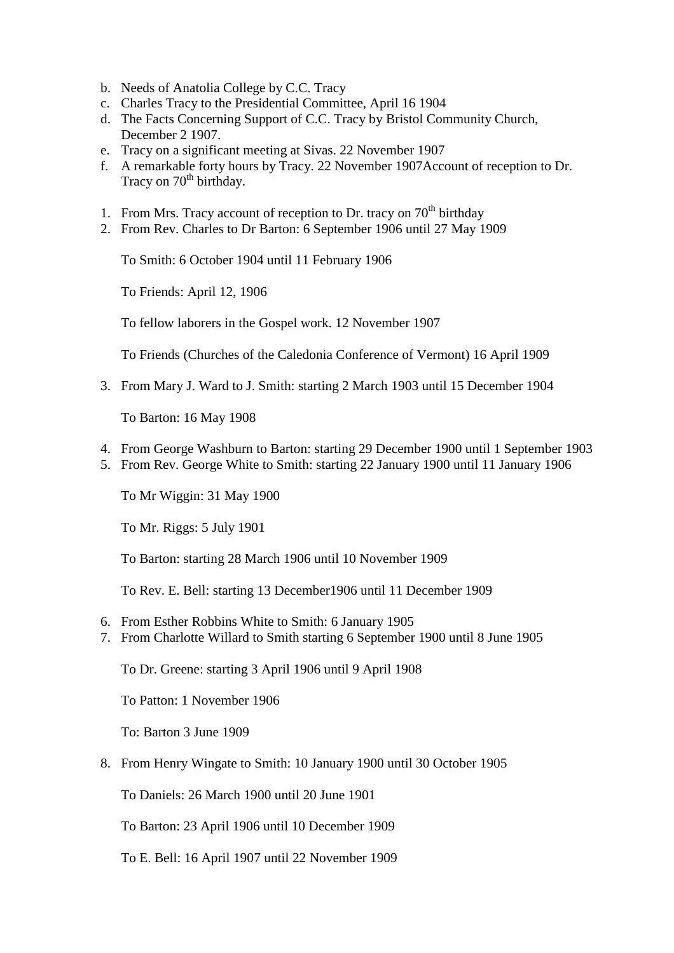- b. Needs of Anatolia College by C.C. Tracy
- c. Charles Tracy to the Presidential Committee, April 16 1904
- d. The Facts Concerning Support of C.C. Tracy by Bristol Community Church, December 2 1907.
- e. Tracy on a significant meeting at Sivas. 22 November 1907
- f. A remarkable forty hours by Tracy. 22 November 1907Account of reception to Dr. Tracy on 70<sup>th</sup> birthday.
- 1. From Mrs. Tracy account of reception to Dr. tracy on  $70<sup>th</sup>$  birthday
- 2. From Rev. Charles to Dr Barton: 6 September 1906 until 27 May 1909

To Smith: 6 October 1904 until 11 February 1906

To Friends: April 12, 1906

To fellow laborers in the Gospel work. 12 November 1907

To Friends (Churches of the Caledonia Conference of Vermont) 16 April 1909

3. From Mary J. Ward to J. Smith: starting 2 March 1903 until 15 December 1904

To Barton: 16 May 1908

- 4. From George Washburn to Barton: starting 29 December 1900 until 1 September 1903
- 5. From Rev. George White to Smith: starting 22 January 1900 until 11 January 1906

To Mr Wiggin: 31 May 1900

To Mr. Riggs: 5 July 1901

To Barton: starting 28 March 1906 until 10 November 1909

To Rev. E. Bell: starting 13 December1906 until 11 December 1909

- 6. From Esther Robbins White to Smith: 6 January 1905
- 7. From Charlotte Willard to Smith starting 6 September 1900 until 8 June 1905

To Dr. Greene: starting 3 April 1906 until 9 April 1908

To Patton: 1 November 1906

To: Barton 3 June 1909

8. From Henry Wingate to Smith: 10 January 1900 until 30 October 1905

To Daniels: 26 March 1900 until 20 June 1901

To Barton: 23 April 1906 until 10 December 1909

To E. Bell: 16 April 1907 until 22 November 1909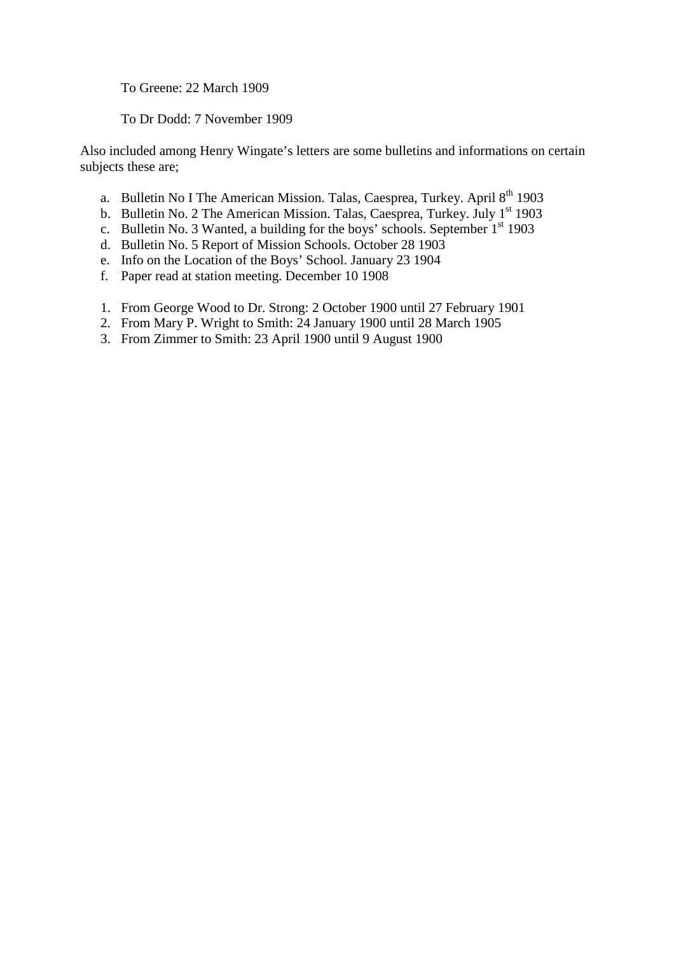To Greene: 22 March 1909

To Dr Dodd: 7 November 1909

Also included among Henry Wingate's letters are some bulletins and informations on certain subjects these are;

- a. Bulletin No I The American Mission. Talas, Caesprea, Turkey. April  $8<sup>th</sup>$  1903
- b. Bulletin No. 2 The American Mission. Talas, Caesprea, Turkey. July  $1<sup>st</sup>$  1903
- c. Bulletin No. 3 Wanted, a building for the boys' schools. September  $1<sup>st</sup>$  1903
- d. Bulletin No. 5 Report of Mission Schools. October 28 1903
- e. Info on the Location of the Boys' School. January 23 1904
- f. Paper read at station meeting. December 10 1908
- 1. From George Wood to Dr. Strong: 2 October 1900 until 27 February 1901
- 2. From Mary P. Wright to Smith: 24 January 1900 until 28 March 1905
- 3. From Zimmer to Smith: 23 April 1900 until 9 August 1900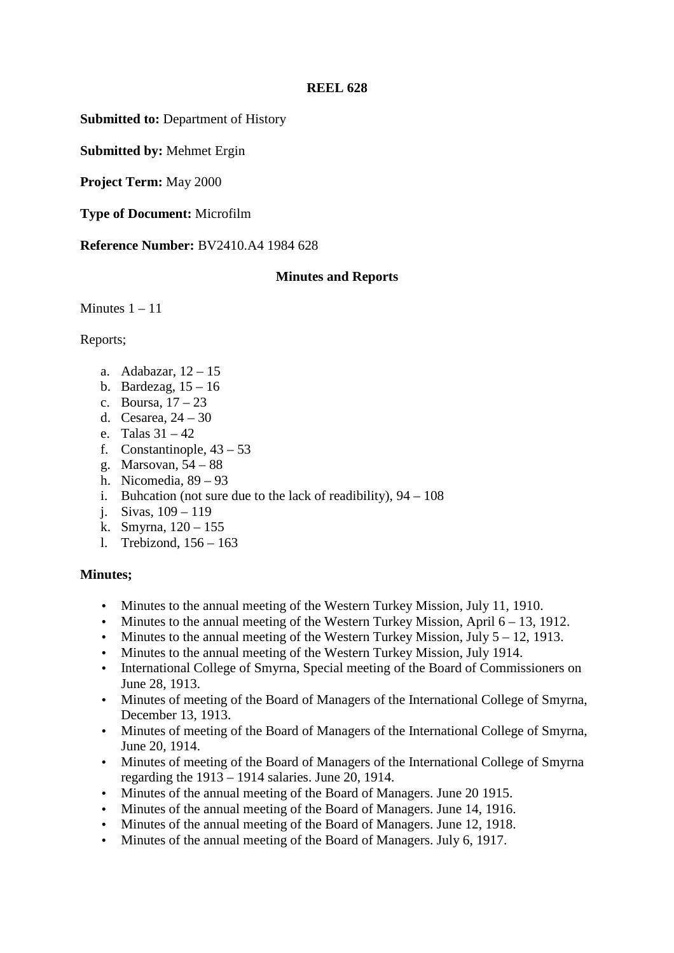**Submitted to:** Department of History

**Submitted by:** Mehmet Ergin

**Project Term:** May 2000

**Type of Document:** Microfilm

**Reference Number:** BV2410.A4 1984 628

# **Minutes and Reports**

Minutes  $1 - 11$ 

Reports;

- a. Adabazar, 12 15
- b. Bardezag,  $15 16$
- c. Boursa,  $17-23$
- d. Cesarea, 24 30
- e. Talas 31 42
- f. Constantinople,  $43 53$
- g. Marsovan, 54 88
- h. Nicomedia, 89 93
- i. Buhcation (not sure due to the lack of readibility),  $94 108$
- j. Sivas, 109 119
- k. Smyrna, 120 155
- l. Trebizond, 156 163

# **Minutes;**

- Minutes to the annual meeting of the Western Turkey Mission, July 11, 1910.
- Minutes to the annual meeting of the Western Turkey Mission, April 6 13, 1912.
- Minutes to the annual meeting of the Western Turkey Mission, July  $5 12$ , 1913.
- Minutes to the annual meeting of the Western Turkey Mission, July 1914.
- International College of Smyrna, Special meeting of the Board of Commissioners on June 28, 1913.
- Minutes of meeting of the Board of Managers of the International College of Smyrna, December 13, 1913.
- Minutes of meeting of the Board of Managers of the International College of Smyrna, June 20, 1914.
- Minutes of meeting of the Board of Managers of the International College of Smyrna regarding the 1913 – 1914 salaries. June 20, 1914.
- Minutes of the annual meeting of the Board of Managers. June 20 1915.
- Minutes of the annual meeting of the Board of Managers. June 14, 1916.
- Minutes of the annual meeting of the Board of Managers. June 12, 1918.
- Minutes of the annual meeting of the Board of Managers. July 6, 1917.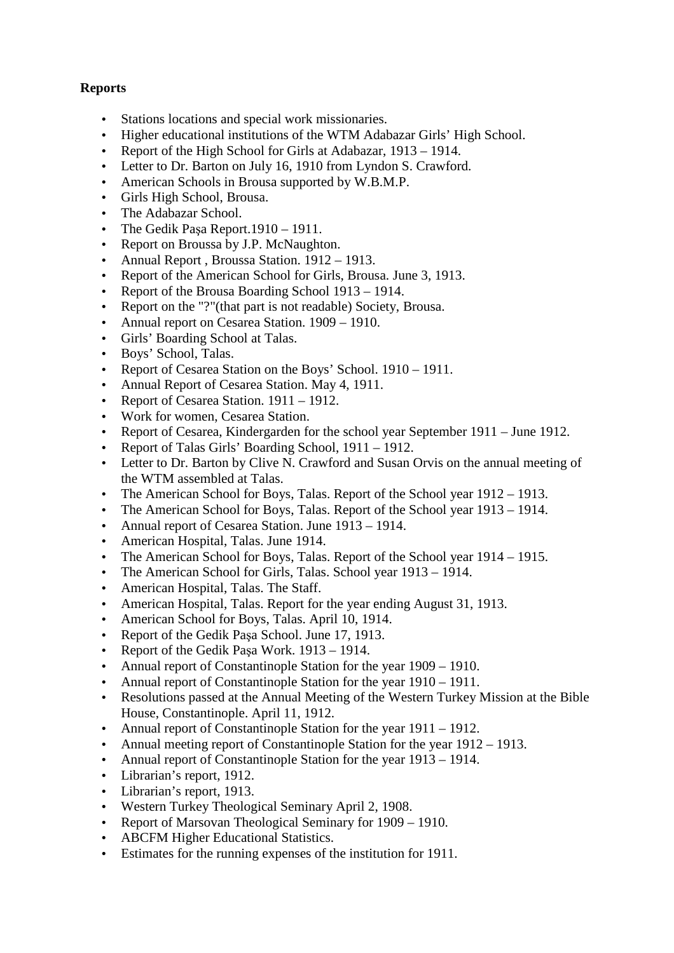# **Reports**

- Stations locations and special work missionaries.
- Higher educational institutions of the WTM Adabazar Girls' High School.
- Report of the High School for Girls at Adabazar, 1913 1914.
- Letter to Dr. Barton on July 16, 1910 from Lyndon S. Crawford.
- American Schools in Brousa supported by W.B.M.P.
- Girls High School, Brousa.
- The Adabazar School.
- The Gedik Paşa Report. 1910 1911.
- Report on Broussa by J.P. McNaughton.
- Annual Report, Broussa Station. 1912 1913.
- Report of the American School for Girls, Brousa. June 3, 1913.
- Report of the Brousa Boarding School 1913 1914.
- Report on the "?"(that part is not readable) Society, Brousa.
- Annual report on Cesarea Station. 1909 1910.
- Girls' Boarding School at Talas.
- Boys' School, Talas.
- Report of Cesarea Station on the Boys' School. 1910 1911.
- Annual Report of Cesarea Station. May 4, 1911.
- Report of Cesarea Station. 1911 1912.
- Work for women, Cesarea Station.
- Report of Cesarea, Kindergarden for the school year September 1911 June 1912.
- Report of Talas Girls' Boarding School, 1911 1912.
- Letter to Dr. Barton by Clive N. Crawford and Susan Orvis on the annual meeting of the WTM assembled at Talas.
- The American School for Boys, Talas. Report of the School year  $1912 1913$ .
- The American School for Boys, Talas. Report of the School year  $1913 1914$ .
- Annual report of Cesarea Station. June 1913 1914.
- American Hospital, Talas. June 1914.
- The American School for Boys, Talas. Report of the School year 1914 1915.
- The American School for Girls, Talas. School year 1913 1914.
- American Hospital, Talas. The Staff.
- American Hospital, Talas. Report for the year ending August 31, 1913.
- American School for Boys, Talas. April 10, 1914.
- Report of the Gedik Paşa School. June 17, 1913.
- Report of the Gedik Pasa Work. 1913 1914.
- Annual report of Constantinople Station for the year 1909 1910.
- Annual report of Constantinople Station for the year  $1910 1911$ .
- Resolutions passed at the Annual Meeting of the Western Turkey Mission at the Bible House, Constantinople. April 11, 1912.
- Annual report of Constantinople Station for the year  $1911 1912$ .
- Annual meeting report of Constantinople Station for the year  $1912 1913$ .
- Annual report of Constantinople Station for the year 1913 1914.
- Librarian's report, 1912.
- Librarian's report, 1913.
- Western Turkey Theological Seminary April 2, 1908.
- Report of Marsovan Theological Seminary for 1909 1910.
- ABCFM Higher Educational Statistics.
- Estimates for the running expenses of the institution for 1911.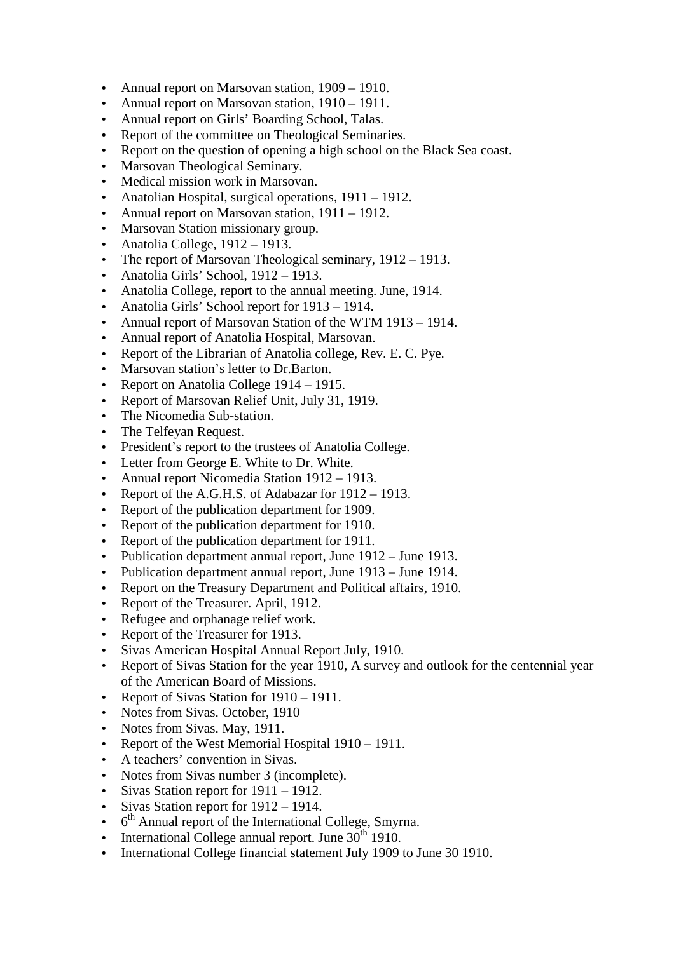- Annual report on Marsovan station, 1909 1910.
- Annual report on Marsovan station, 1910 1911.
- Annual report on Girls' Boarding School, Talas.
- Report of the committee on Theological Seminaries.
- Report on the question of opening a high school on the Black Sea coast.
- Marsovan Theological Seminary.
- Medical mission work in Marsovan.
- Anatolian Hospital, surgical operations, 1911 1912.
- Annual report on Marsovan station,  $1911 1912$ .
- Marsovan Station missionary group.
- Anatolia College,  $1912 1913$ .
- The report of Marsovan Theological seminary, 1912 1913.
- Anatolia Girls' School, 1912 1913.
- Anatolia College, report to the annual meeting. June, 1914.
- Anatolia Girls' School report for  $1913 1914$ .
- Annual report of Marsovan Station of the WTM 1913 1914.
- Annual report of Anatolia Hospital, Marsovan.
- Report of the Librarian of Anatolia college, Rev. E. C. Pye.
- Marsovan station's letter to Dr.Barton.
- Report on Anatolia College 1914 1915.
- Report of Marsovan Relief Unit, July 31, 1919.
- The Nicomedia Sub-station.
- The Telfeyan Request.
- President's report to the trustees of Anatolia College.
- Letter from George E. White to Dr. White.
- Annual report Nicomedia Station 1912 1913.
- Report of the A.G.H.S. of Adabazar for  $1912 1913$ .
- Report of the publication department for 1909.
- Report of the publication department for 1910.
- Report of the publication department for 1911.
- Publication department annual report, June 1912 June 1913.
- Publication department annual report, June 1913 June 1914.
- Report on the Treasury Department and Political affairs, 1910.
- Report of the Treasurer. April, 1912.
- Refugee and orphanage relief work.
- Report of the Treasurer for 1913.
- Sivas American Hospital Annual Report July, 1910.
- Report of Sivas Station for the year 1910, A survey and outlook for the centennial year of the American Board of Missions.
- Report of Sivas Station for  $1910 1911$ .
- Notes from Sivas. October, 1910
- Notes from Sivas. May, 1911.
- Report of the West Memorial Hospital  $1910 1911$ .
- A teachers' convention in Sivas.
- Notes from Sivas number 3 (incomplete).
- Sivas Station report for  $1911 1912$ .
- Sivas Station report for 1912 1914.
- 6<sup>th</sup> Annual report of the International College, Smyrna.
- International College annual report. June  $30<sup>th</sup>$  1910.
- International College financial statement July 1909 to June 30 1910.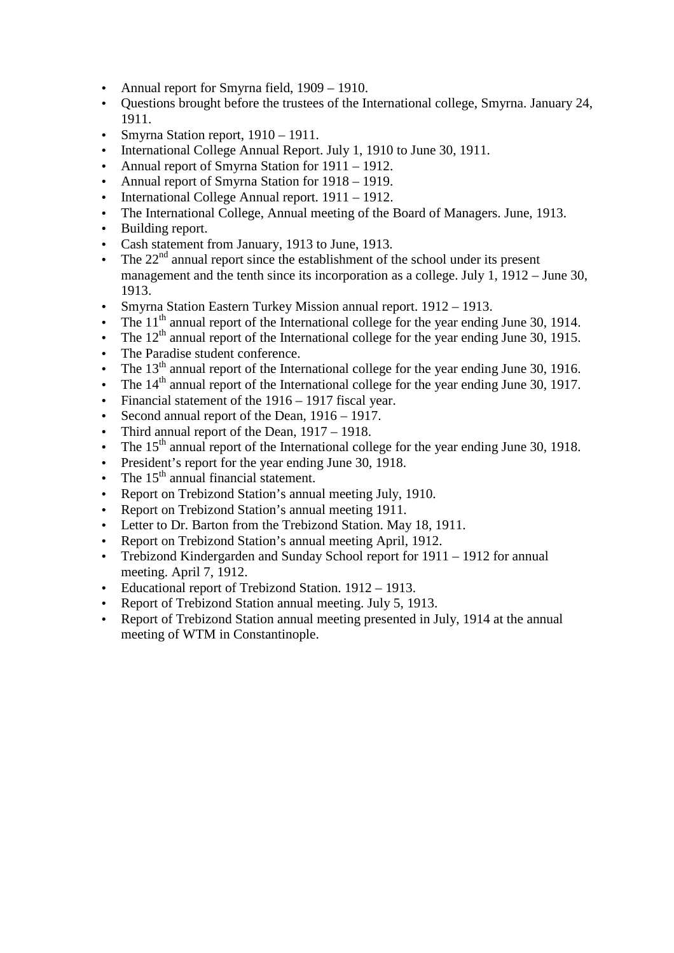- Annual report for Smyrna field, 1909 1910.
- Questions brought before the trustees of the International college, Smyrna. January 24, 1911.
- Smyrna Station report,  $1910 1911$ .
- International College Annual Report. July 1, 1910 to June 30, 1911.
- Annual report of Smyrna Station for 1911 1912.
- Annual report of Smyrna Station for  $1918 1919$ .
- International College Annual report. 1911 1912.
- The International College, Annual meeting of the Board of Managers. June, 1913.
- Building report.
- Cash statement from January, 1913 to June, 1913.
- The  $22<sup>nd</sup>$  annual report since the establishment of the school under its present management and the tenth since its incorporation as a college. July 1, 1912 – June 30, 1913.
- Smyrna Station Eastern Turkey Mission annual report. 1912 1913.
- The  $11<sup>th</sup>$  annual report of the International college for the year ending June 30, 1914.
- The  $12<sup>th</sup>$  annual report of the International college for the year ending June 30, 1915.
- The Paradise student conference.
- The  $13<sup>th</sup>$  annual report of the International college for the year ending June 30, 1916.
- The  $14<sup>th</sup>$  annual report of the International college for the year ending June 30, 1917.
- Financial statement of the 1916 1917 fiscal year.
- Second annual report of the Dean, 1916 1917.
- Third annual report of the Dean, 1917 1918.
- The  $15<sup>th</sup>$  annual report of the International college for the year ending June 30, 1918.
- President's report for the year ending June 30, 1918.
- The  $15<sup>th</sup>$  annual financial statement.
- Report on Trebizond Station's annual meeting July, 1910.
- Report on Trebizond Station's annual meeting 1911.
- Letter to Dr. Barton from the Trebizond Station. May 18, 1911.
- Report on Trebizond Station's annual meeting April, 1912.
- Trebizond Kindergarden and Sunday School report for 1911 1912 for annual meeting. April 7, 1912.
- Educational report of Trebizond Station. 1912 1913.
- Report of Trebizond Station annual meeting. July 5, 1913.
- Report of Trebizond Station annual meeting presented in July, 1914 at the annual meeting of WTM in Constantinople.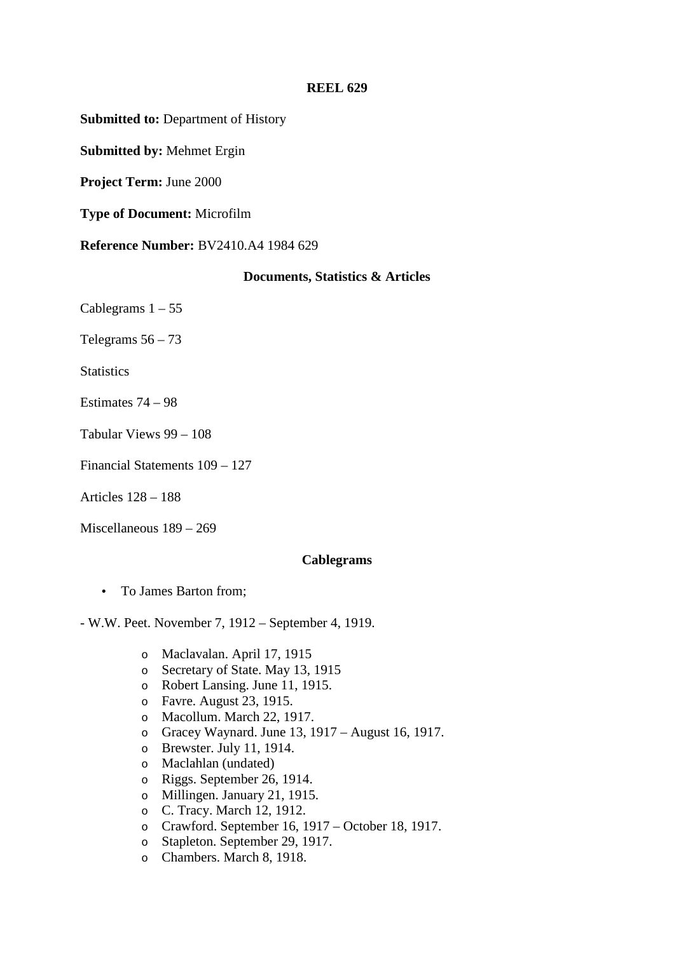**Submitted to:** Department of History

**Submitted by:** Mehmet Ergin

**Project Term:** June 2000

**Type of Document:** Microfilm

**Reference Number:** BV2410.A4 1984 629

### **Documents, Statistics & Articles**

Cablegrams  $1 - 55$ 

Telegrams  $56 - 73$ 

**Statistics** 

Estimates 74 – 98

Tabular Views 99 – 108

Financial Statements 109 – 127

Articles 128 – 188

Miscellaneous 189 – 269

### **Cablegrams**

• To James Barton from;

- W.W. Peet. November 7, 1912 – September 4, 1919.

- o Maclavalan. April 17, 1915
- o Secretary of State. May 13, 1915
- o Robert Lansing. June 11, 1915.
- o Favre. August 23, 1915.
- o Macollum. March 22, 1917.
- o Gracey Waynard. June 13, 1917 August 16, 1917.
- o Brewster. July 11, 1914.
- o Maclahlan (undated)
- o Riggs. September 26, 1914.
- o Millingen. January 21, 1915.
- o C. Tracy. March 12, 1912.
- o Crawford. September 16, 1917 October 18, 1917.
- o Stapleton. September 29, 1917.
- o Chambers. March 8, 1918.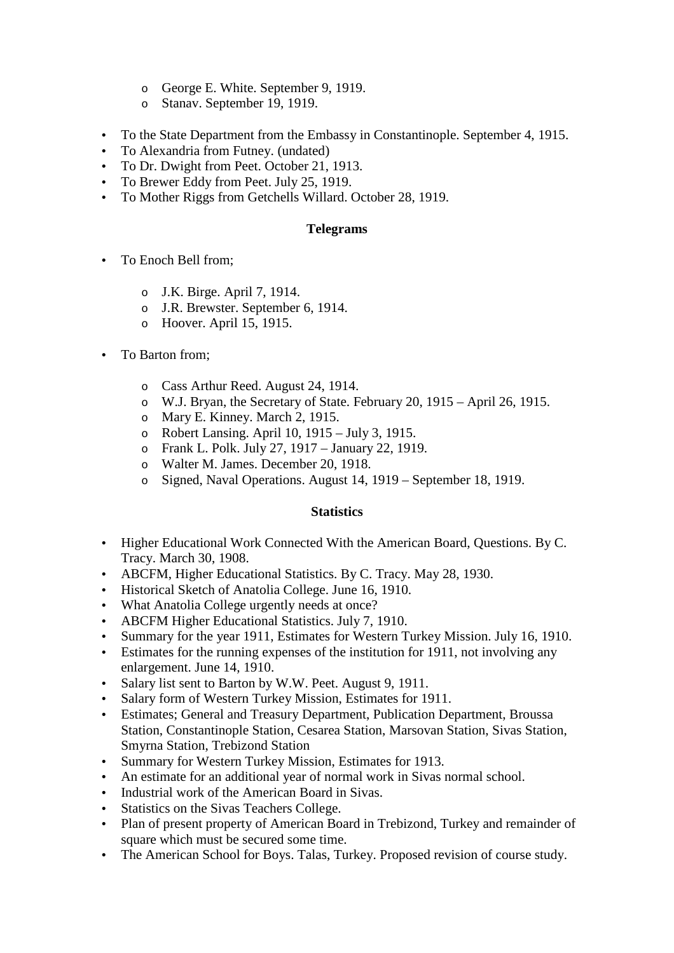- o George E. White. September 9, 1919.
- o Stanav. September 19, 1919.
- To the State Department from the Embassy in Constantinople. September 4, 1915.
- To Alexandria from Futney. (undated)
- To Dr. Dwight from Peet. October 21, 1913.
- To Brewer Eddy from Peet. July 25, 1919.
- To Mother Riggs from Getchells Willard. October 28, 1919.

## **Telegrams**

- To Enoch Bell from:
	- o J.K. Birge. April 7, 1914.
	- o J.R. Brewster. September 6, 1914.
	- o Hoover. April 15, 1915.
- To Barton from:
	- o Cass Arthur Reed. August 24, 1914.
	- o W.J. Bryan, the Secretary of State. February 20, 1915 April 26, 1915.
	- o Mary E. Kinney. March 2, 1915.
	- o Robert Lansing. April 10, 1915 July 3, 1915.
	- o Frank L. Polk. July 27, 1917 January 22, 1919.
	- o Walter M. James. December 20, 1918.
	- o Signed, Naval Operations. August 14, 1919 September 18, 1919.

# **Statistics**

- Higher Educational Work Connected With the American Board, Questions. By C. Tracy. March 30, 1908.
- ABCFM, Higher Educational Statistics. By C. Tracy. May 28, 1930.
- Historical Sketch of Anatolia College. June 16, 1910.
- What Anatolia College urgently needs at once?
- ABCFM Higher Educational Statistics. July 7, 1910.
- Summary for the year 1911, Estimates for Western Turkey Mission. July 16, 1910.
- Estimates for the running expenses of the institution for 1911, not involving any enlargement. June 14, 1910.
- Salary list sent to Barton by W.W. Peet. August 9, 1911.
- Salary form of Western Turkey Mission, Estimates for 1911.
- Estimates; General and Treasury Department, Publication Department, Broussa Station, Constantinople Station, Cesarea Station, Marsovan Station, Sivas Station, Smyrna Station, Trebizond Station
- Summary for Western Turkey Mission, Estimates for 1913.
- An estimate for an additional year of normal work in Sivas normal school.
- Industrial work of the American Board in Sivas.
- Statistics on the Sivas Teachers College.
- Plan of present property of American Board in Trebizond, Turkey and remainder of square which must be secured some time.
- The American School for Boys. Talas, Turkey. Proposed revision of course study.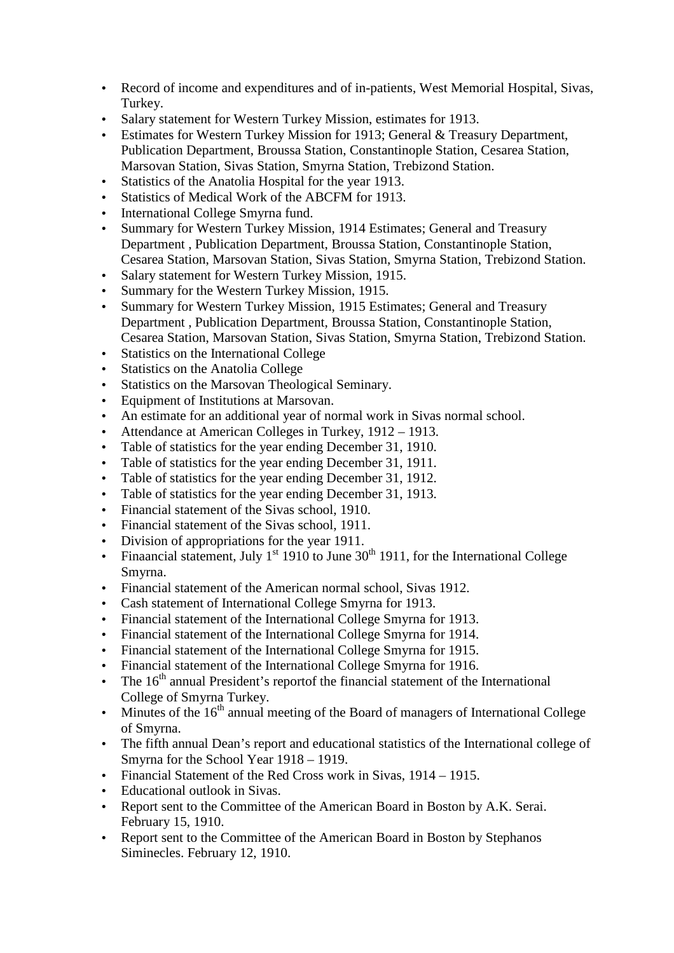- Record of income and expenditures and of in-patients, West Memorial Hospital, Sivas, Turkey.
- Salary statement for Western Turkey Mission, estimates for 1913.
- Estimates for Western Turkey Mission for 1913; General & Treasury Department, Publication Department, Broussa Station, Constantinople Station, Cesarea Station, Marsovan Station, Sivas Station, Smyrna Station, Trebizond Station.
- Statistics of the Anatolia Hospital for the year 1913.
- Statistics of Medical Work of the ABCFM for 1913.
- International College Smyrna fund.
- Summary for Western Turkey Mission, 1914 Estimates; General and Treasury Department , Publication Department, Broussa Station, Constantinople Station, Cesarea Station, Marsovan Station, Sivas Station, Smyrna Station, Trebizond Station.
- Salary statement for Western Turkey Mission, 1915.
- Summary for the Western Turkey Mission, 1915.
- Summary for Western Turkey Mission, 1915 Estimates; General and Treasury Department , Publication Department, Broussa Station, Constantinople Station, Cesarea Station, Marsovan Station, Sivas Station, Smyrna Station, Trebizond Station.
- Statistics on the International College
- Statistics on the Anatolia College
- Statistics on the Marsovan Theological Seminary.
- Equipment of Institutions at Marsovan.
- An estimate for an additional year of normal work in Sivas normal school.
- Attendance at American Colleges in Turkey, 1912 1913.
- Table of statistics for the year ending December 31, 1910.
- Table of statistics for the year ending December 31, 1911.
- Table of statistics for the year ending December 31, 1912.
- Table of statistics for the year ending December 31, 1913.
- Financial statement of the Sivas school, 1910.
- Financial statement of the Sivas school, 1911.
- Division of appropriations for the year 1911.
- Finaancial statement, July 1<sup>st</sup> 1910 to June  $30<sup>th</sup>$  1911, for the International College Smyrna.
- Financial statement of the American normal school, Sivas 1912.
- Cash statement of International College Smyrna for 1913.
- Financial statement of the International College Smyrna for 1913.
- Financial statement of the International College Smyrna for 1914.
- Financial statement of the International College Smyrna for 1915.
- Financial statement of the International College Smyrna for 1916.
- The  $16<sup>th</sup>$  annual President's report the financial statement of the International College of Smyrna Turkey.
- Minutes of the  $16<sup>th</sup>$  annual meeting of the Board of managers of International College of Smyrna.
- The fifth annual Dean's report and educational statistics of the International college of Smyrna for the School Year 1918 – 1919.
- Financial Statement of the Red Cross work in Sivas, 1914 1915.
- Educational outlook in Sivas.
- Report sent to the Committee of the American Board in Boston by A.K. Serai. February 15, 1910.
- Report sent to the Committee of the American Board in Boston by Stephanos Siminecles. February 12, 1910.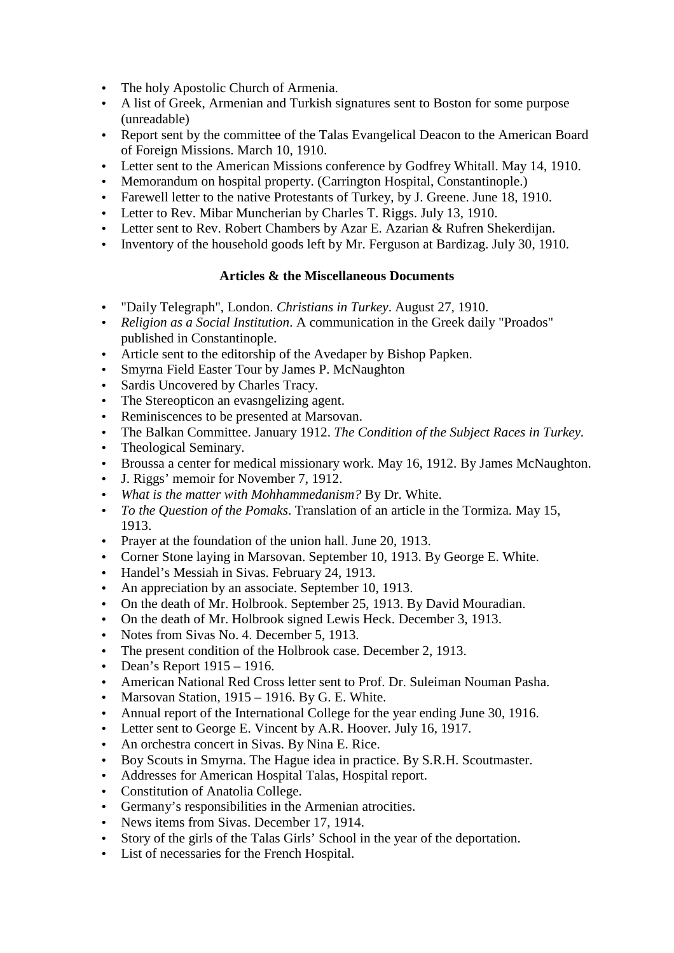- The holy Apostolic Church of Armenia.
- A list of Greek, Armenian and Turkish signatures sent to Boston for some purpose (unreadable)
- Report sent by the committee of the Talas Evangelical Deacon to the American Board of Foreign Missions. March 10, 1910.
- Letter sent to the American Missions conference by Godfrey Whitall. May 14, 1910.
- Memorandum on hospital property. (Carrington Hospital, Constantinople.)
- Farewell letter to the native Protestants of Turkey, by J. Greene. June 18, 1910.
- Letter to Rev. Mibar Muncherian by Charles T. Riggs. July 13, 1910.
- Letter sent to Rev. Robert Chambers by Azar E. Azarian & Rufren Shekerdijan.
- Inventory of the household goods left by Mr. Ferguson at Bardizag. July 30, 1910.

# **Articles & the Miscellaneous Documents**

- "Daily Telegraph", London. *Christians in Turkey*. August 27, 1910.
- *Religion as a Social Institution*. A communication in the Greek daily "Proados" published in Constantinople.
- Article sent to the editorship of the Avedaper by Bishop Papken.
- Smyrna Field Easter Tour by James P. McNaughton
- Sardis Uncovered by Charles Tracy.
- The Stereopticon an evasngelizing agent.
- Reminiscences to be presented at Marsovan.
- The Balkan Committee. January 1912. *The Condition of the Subject Races in Turkey.*
- Theological Seminary.
- Broussa a center for medical missionary work. May 16, 1912. By James McNaughton.
- J. Riggs' memoir for November 7, 1912.
- *What is the matter with Mohhammedanism?* By Dr. White.
- *To the Question of the Pomaks*. Translation of an article in the Tormiza. May 15, 1913.
- Prayer at the foundation of the union hall. June 20, 1913.
- Corner Stone laying in Marsovan. September 10, 1913. By George E. White.
- Handel's Messiah in Sivas. February 24, 1913.
- An appreciation by an associate. September 10, 1913.
- On the death of Mr. Holbrook. September 25, 1913. By David Mouradian.
- On the death of Mr. Holbrook signed Lewis Heck. December 3, 1913.
- Notes from Sivas No. 4. December 5, 1913.
- The present condition of the Holbrook case. December 2, 1913.
- Dean's Report 1915 1916.
- American National Red Cross letter sent to Prof. Dr. Suleiman Nouman Pasha.
- Marsovan Station, 1915 1916. By G. E. White.
- Annual report of the International College for the year ending June 30, 1916.
- Letter sent to George E. Vincent by A.R. Hoover. July 16, 1917.
- An orchestra concert in Sivas. By Nina E. Rice.
- Boy Scouts in Smyrna. The Hague idea in practice. By S.R.H. Scoutmaster.
- Addresses for American Hospital Talas, Hospital report.
- Constitution of Anatolia College.
- Germany's responsibilities in the Armenian atrocities.
- News items from Sivas. December 17, 1914.
- Story of the girls of the Talas Girls' School in the year of the deportation.
- List of necessaries for the French Hospital.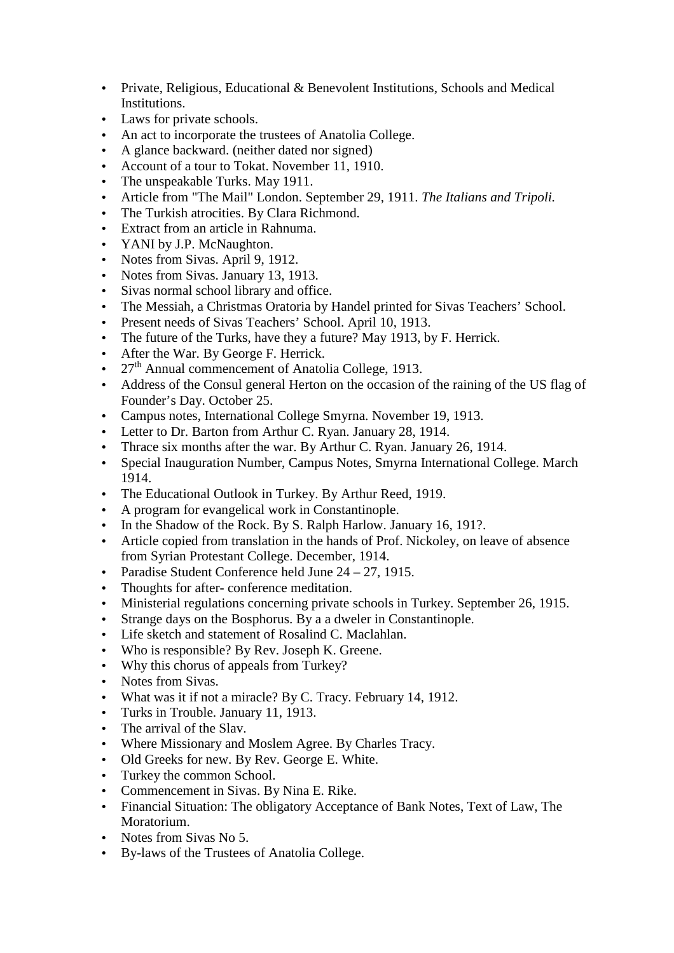- Private, Religious, Educational & Benevolent Institutions, Schools and Medical Institutions.
- Laws for private schools.
- An act to incorporate the trustees of Anatolia College.
- A glance backward. (neither dated nor signed)
- Account of a tour to Tokat. November 11, 1910.
- The unspeakable Turks. May 1911.
- Article from "The Mail" London. September 29, 1911. *The Italians and Tripoli.*
- The Turkish atrocities. By Clara Richmond.
- Extract from an article in Rahnuma.
- YANI by J.P. McNaughton.
- Notes from Sivas. April 9, 1912.
- Notes from Sivas. January 13, 1913.
- Sivas normal school library and office.
- The Messiah, a Christmas Oratoria by Handel printed for Sivas Teachers' School.
- Present needs of Sivas Teachers' School. April 10, 1913.
- The future of the Turks, have they a future? May 1913, by F. Herrick.
- After the War. By George F. Herrick.
- 27<sup>th</sup> Annual commencement of Anatolia College, 1913.
- Address of the Consul general Herton on the occasion of the raining of the US flag of Founder's Day. October 25.
- Campus notes, International College Smyrna. November 19, 1913.
- Letter to Dr. Barton from Arthur C. Ryan. January 28, 1914.
- Thrace six months after the war. By Arthur C. Ryan. January 26, 1914.
- Special Inauguration Number, Campus Notes, Smyrna International College. March 1914.
- The Educational Outlook in Turkey. By Arthur Reed, 1919.
- A program for evangelical work in Constantinople.
- In the Shadow of the Rock. By S. Ralph Harlow. January 16, 191?.
- Article copied from translation in the hands of Prof. Nickoley, on leave of absence from Syrian Protestant College. December, 1914.
- Paradise Student Conference held June  $24 27$ , 1915.
- Thoughts for after- conference meditation.
- Ministerial regulations concerning private schools in Turkey. September 26, 1915.
- Strange days on the Bosphorus. By a a dweler in Constantinople.
- Life sketch and statement of Rosalind C. Maclahlan.
- Who is responsible? By Rev. Joseph K. Greene.
- Why this chorus of appeals from Turkey?
- Notes from Sivas.
- What was it if not a miracle? By C. Tracy. February 14, 1912.
- Turks in Trouble. January 11, 1913.
- The arrival of the Slav.
- Where Missionary and Moslem Agree. By Charles Tracy.
- Old Greeks for new. By Rev. George E. White.
- Turkey the common School.
- Commencement in Sivas. By Nina E. Rike.
- Financial Situation: The obligatory Acceptance of Bank Notes, Text of Law, The Moratorium.
- Notes from Sivas No 5.
- By-laws of the Trustees of Anatolia College.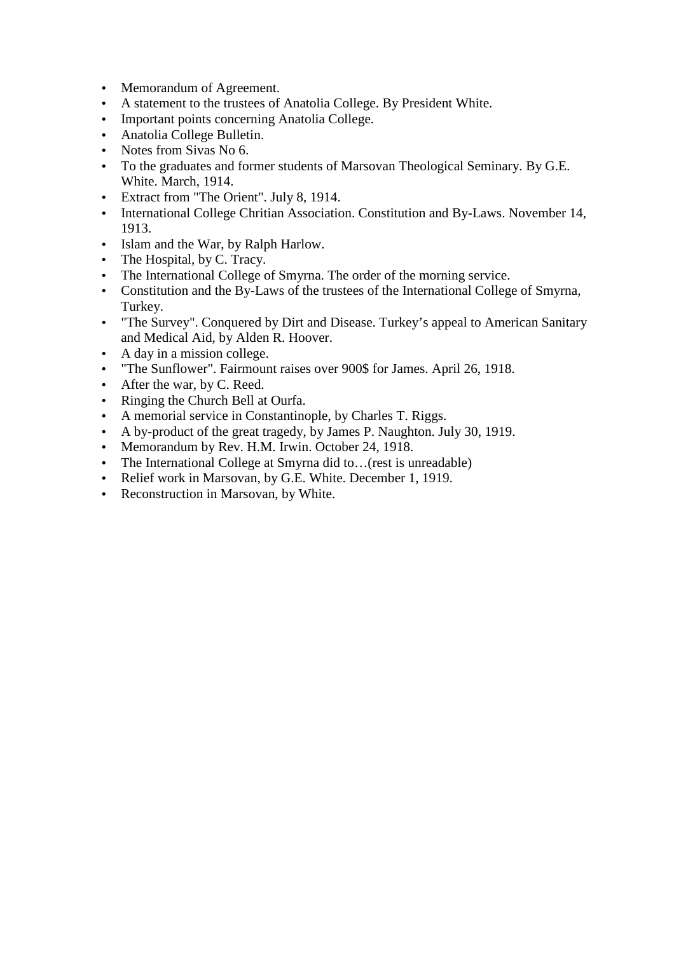- Memorandum of Agreement.
- A statement to the trustees of Anatolia College. By President White.
- Important points concerning Anatolia College.
- Anatolia College Bulletin.
- Notes from Sivas No 6.
- To the graduates and former students of Marsovan Theological Seminary. By G.E. White. March, 1914.
- Extract from "The Orient". July 8, 1914.
- International College Chritian Association. Constitution and By-Laws. November 14, 1913.
- Islam and the War, by Ralph Harlow.
- The Hospital, by C. Tracy.
- The International College of Smyrna. The order of the morning service.
- Constitution and the By-Laws of the trustees of the International College of Smyrna, Turkey.
- "The Survey". Conquered by Dirt and Disease. Turkey's appeal to American Sanitary and Medical Aid, by Alden R. Hoover.
- A day in a mission college.
- "The Sunflower". Fairmount raises over 900\$ for James. April 26, 1918.
- After the war, by C. Reed.
- Ringing the Church Bell at Ourfa.
- A memorial service in Constantinople, by Charles T. Riggs.
- A by-product of the great tragedy, by James P. Naughton. July 30, 1919.
- Memorandum by Rev. H.M. Irwin. October 24, 1918.
- The International College at Smyrna did to...(rest is unreadable)
- Relief work in Marsovan, by G.E. White. December 1, 1919.
- Reconstruction in Marsovan, by White.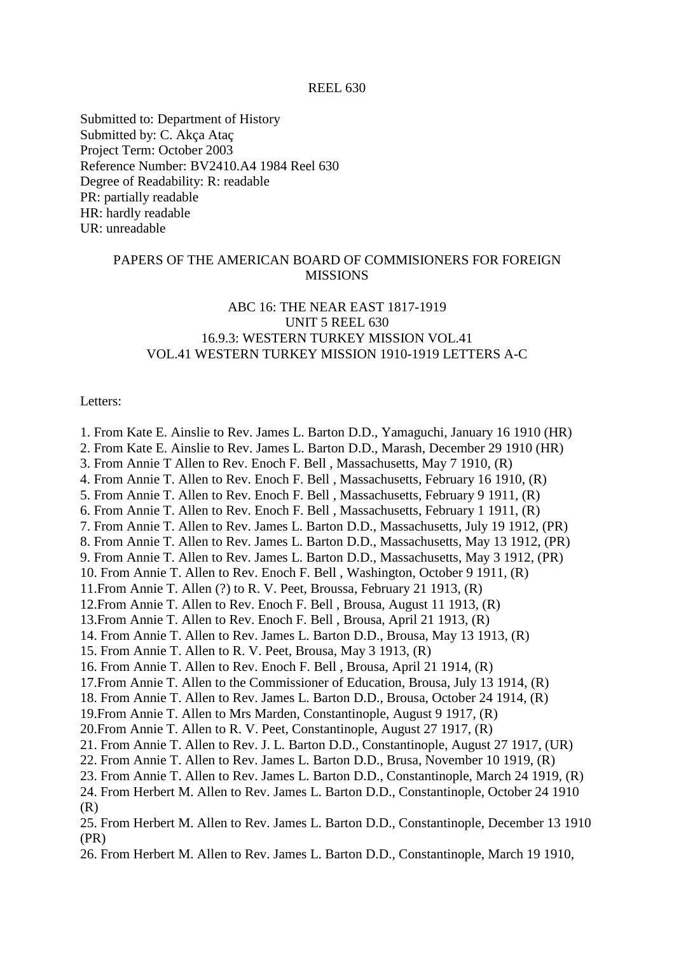Submitted to: Department of History Submitted by: C. Akça Ataç Project Term: October 2003 Reference Number: BV2410.A4 1984 Reel 630 Degree of Readability: R: readable PR: partially readable HR: hardly readable UR: unreadable

# PAPERS OF THE AMERICAN BOARD OF COMMISIONERS FOR FOREIGN **MISSIONS**

# ABC 16: THE NEAR EAST 1817-1919 UNIT 5 REEL 630 16.9.3: WESTERN TURKEY MISSION VOL.41 VOL.41 WESTERN TURKEY MISSION 1910-1919 LETTERS A-C

### Letters:

1. From Kate E. Ainslie to Rev. James L. Barton D.D., Yamaguchi, January 16 1910 (HR) 2. From Kate E. Ainslie to Rev. James L. Barton D.D., Marash, December 29 1910 (HR) 3. From Annie T Allen to Rev. Enoch F. Bell , Massachusetts, May 7 1910, (R) 4. From Annie T. Allen to Rev. Enoch F. Bell , Massachusetts, February 16 1910, (R) 5. From Annie T. Allen to Rev. Enoch F. Bell , Massachusetts, February 9 1911, (R) 6. From Annie T. Allen to Rev. Enoch F. Bell , Massachusetts, February 1 1911, (R) 7. From Annie T. Allen to Rev. James L. Barton D.D., Massachusetts, July 19 1912, (PR) 8. From Annie T. Allen to Rev. James L. Barton D.D., Massachusetts, May 13 1912, (PR) 9. From Annie T. Allen to Rev. James L. Barton D.D., Massachusetts, May 3 1912, (PR) 10. From Annie T. Allen to Rev. Enoch F. Bell , Washington, October 9 1911, (R) 11.From Annie T. Allen (?) to R. V. Peet, Broussa, February 21 1913, (R) 12.From Annie T. Allen to Rev. Enoch F. Bell , Brousa, August 11 1913, (R) 13.From Annie T. Allen to Rev. Enoch F. Bell , Brousa, April 21 1913, (R) 14. From Annie T. Allen to Rev. James L. Barton D.D., Brousa, May 13 1913, (R) 15. From Annie T. Allen to R. V. Peet, Brousa, May 3 1913, (R) 16. From Annie T. Allen to Rev. Enoch F. Bell , Brousa, April 21 1914, (R) 17.From Annie T. Allen to the Commissioner of Education, Brousa, July 13 1914, (R) 18. From Annie T. Allen to Rev. James L. Barton D.D., Brousa, October 24 1914, (R) 19.From Annie T. Allen to Mrs Marden, Constantinople, August 9 1917, (R) 20.From Annie T. Allen to R. V. Peet, Constantinople, August 27 1917, (R) 21. From Annie T. Allen to Rev. J. L. Barton D.D., Constantinople, August 27 1917, (UR) 22. From Annie T. Allen to Rev. James L. Barton D.D., Brusa, November 10 1919, (R) 23. From Annie T. Allen to Rev. James L. Barton D.D., Constantinople, March 24 1919, (R) 24. From Herbert M. Allen to Rev. James L. Barton D.D., Constantinople, October 24 1910 (R) 25. From Herbert M. Allen to Rev. James L. Barton D.D., Constantinople, December 13 1910 (PR) 26. From Herbert M. Allen to Rev. James L. Barton D.D., Constantinople, March 19 1910,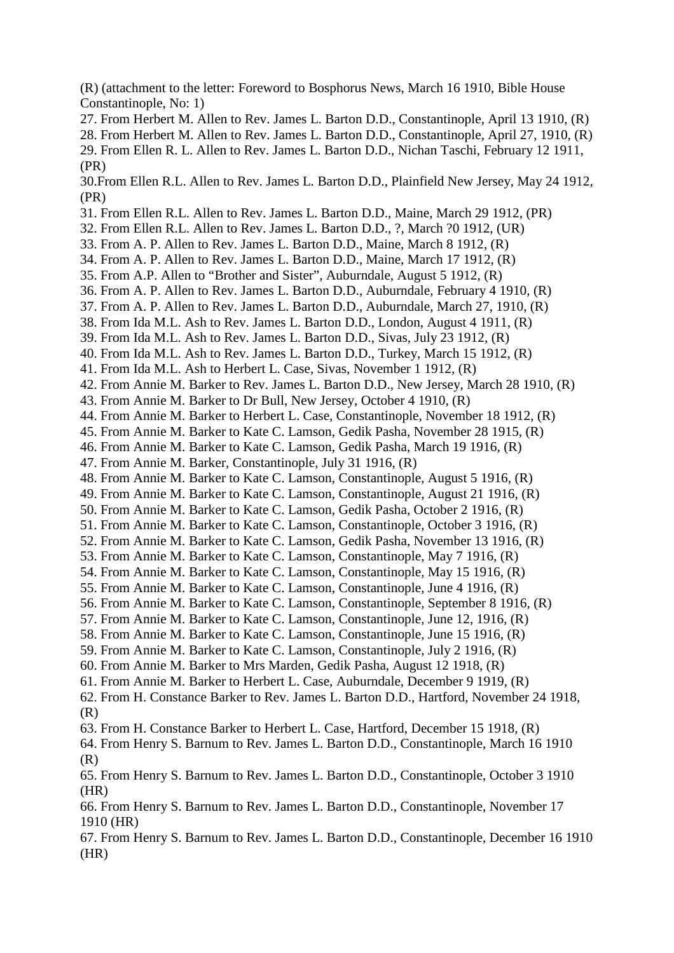(R) (attachment to the letter: Foreword to Bosphorus News, March 16 1910, Bible House Constantinople, No: 1)

27. From Herbert M. Allen to Rev. James L. Barton D.D., Constantinople, April 13 1910, (R)

28. From Herbert M. Allen to Rev. James L. Barton D.D., Constantinople, April 27, 1910, (R)

29. From Ellen R. L. Allen to Rev. James L. Barton D.D., Nichan Taschi, February 12 1911, (PR)

30.From Ellen R.L. Allen to Rev. James L. Barton D.D., Plainfield New Jersey, May 24 1912, (PR)

- 31. From Ellen R.L. Allen to Rev. James L. Barton D.D., Maine, March 29 1912, (PR)
- 32. From Ellen R.L. Allen to Rev. James L. Barton D.D., ?, March ?0 1912, (UR)
- 33. From A. P. Allen to Rev. James L. Barton D.D., Maine, March 8 1912, (R)
- 34. From A. P. Allen to Rev. James L. Barton D.D., Maine, March 17 1912, (R)
- 35. From A.P. Allen to "Brother and Sister", Auburndale, August 5 1912, (R)
- 36. From A. P. Allen to Rev. James L. Barton D.D., Auburndale, February 4 1910, (R)
- 37. From A. P. Allen to Rev. James L. Barton D.D., Auburndale, March 27, 1910, (R)
- 38. From Ida M.L. Ash to Rev. James L. Barton D.D., London, August 4 1911, (R)
- 39. From Ida M.L. Ash to Rev. James L. Barton D.D., Sivas, July 23 1912, (R)
- 40. From Ida M.L. Ash to Rev. James L. Barton D.D., Turkey, March 15 1912, (R)
- 41. From Ida M.L. Ash to Herbert L. Case, Sivas, November 1 1912, (R)
- 42. From Annie M. Barker to Rev. James L. Barton D.D., New Jersey, March 28 1910, (R)
- 43. From Annie M. Barker to Dr Bull, New Jersey, October 4 1910, (R)
- 44. From Annie M. Barker to Herbert L. Case, Constantinople, November 18 1912, (R)
- 45. From Annie M. Barker to Kate C. Lamson, Gedik Pasha, November 28 1915, (R)
- 46. From Annie M. Barker to Kate C. Lamson, Gedik Pasha, March 19 1916, (R)
- 47. From Annie M. Barker, Constantinople, July 31 1916, (R)
- 48. From Annie M. Barker to Kate C. Lamson, Constantinople, August 5 1916, (R)
- 49. From Annie M. Barker to Kate C. Lamson, Constantinople, August 21 1916, (R)
- 50. From Annie M. Barker to Kate C. Lamson, Gedik Pasha, October 2 1916, (R)
- 51. From Annie M. Barker to Kate C. Lamson, Constantinople, October 3 1916, (R)
- 52. From Annie M. Barker to Kate C. Lamson, Gedik Pasha, November 13 1916, (R)
- 53. From Annie M. Barker to Kate C. Lamson, Constantinople, May 7 1916, (R)
- 54. From Annie M. Barker to Kate C. Lamson, Constantinople, May 15 1916, (R)
- 55. From Annie M. Barker to Kate C. Lamson, Constantinople, June 4 1916, (R)
- 56. From Annie M. Barker to Kate C. Lamson, Constantinople, September 8 1916, (R)
- 57. From Annie M. Barker to Kate C. Lamson, Constantinople, June 12, 1916, (R)
- 58. From Annie M. Barker to Kate C. Lamson, Constantinople, June 15 1916, (R)
- 59. From Annie M. Barker to Kate C. Lamson, Constantinople, July 2 1916, (R)
- 60. From Annie M. Barker to Mrs Marden, Gedik Pasha, August 12 1918, (R)
- 61. From Annie M. Barker to Herbert L. Case, Auburndale, December 9 1919, (R)
- 62. From H. Constance Barker to Rev. James L. Barton D.D., Hartford, November 24 1918, (R)
- 63. From H. Constance Barker to Herbert L. Case, Hartford, December 15 1918, (R)
- 64. From Henry S. Barnum to Rev. James L. Barton D.D., Constantinople, March 16 1910 (R)
- 65. From Henry S. Barnum to Rev. James L. Barton D.D., Constantinople, October 3 1910 (HR)
- 66. From Henry S. Barnum to Rev. James L. Barton D.D., Constantinople, November 17 1910 (HR)
- 67. From Henry S. Barnum to Rev. James L. Barton D.D., Constantinople, December 16 1910 (HR)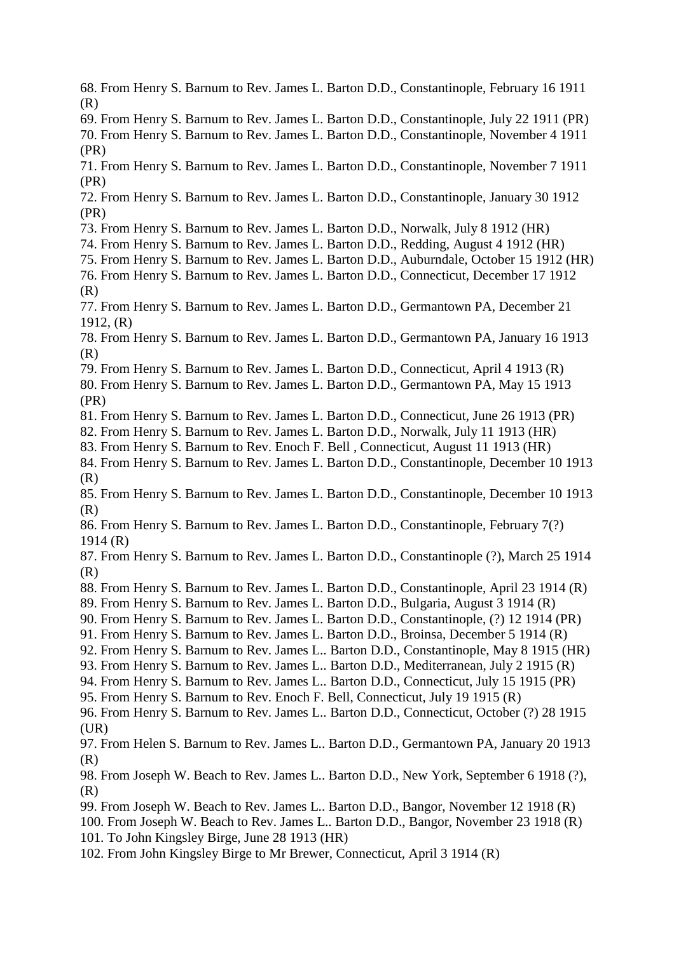- 68. From Henry S. Barnum to Rev. James L. Barton D.D., Constantinople, February 16 1911 (R)
- 69. From Henry S. Barnum to Rev. James L. Barton D.D., Constantinople, July 22 1911 (PR)

70. From Henry S. Barnum to Rev. James L. Barton D.D., Constantinople, November 4 1911 (PR)

71. From Henry S. Barnum to Rev. James L. Barton D.D., Constantinople, November 7 1911 (PR)

72. From Henry S. Barnum to Rev. James L. Barton D.D., Constantinople, January 30 1912 (PR)

- 73. From Henry S. Barnum to Rev. James L. Barton D.D., Norwalk, July 8 1912 (HR)
- 74. From Henry S. Barnum to Rev. James L. Barton D.D., Redding, August 4 1912 (HR)
- 75. From Henry S. Barnum to Rev. James L. Barton D.D., Auburndale, October 15 1912 (HR)
- 76. From Henry S. Barnum to Rev. James L. Barton D.D., Connecticut, December 17 1912 (R)
- 77. From Henry S. Barnum to Rev. James L. Barton D.D., Germantown PA, December 21 1912, (R)
- 78. From Henry S. Barnum to Rev. James L. Barton D.D., Germantown PA, January 16 1913 (R)
- 79. From Henry S. Barnum to Rev. James L. Barton D.D., Connecticut, April 4 1913 (R)
- 80. From Henry S. Barnum to Rev. James L. Barton D.D., Germantown PA, May 15 1913 (PR)
- 81. From Henry S. Barnum to Rev. James L. Barton D.D., Connecticut, June 26 1913 (PR)
- 82. From Henry S. Barnum to Rev. James L. Barton D.D., Norwalk, July 11 1913 (HR)
- 83. From Henry S. Barnum to Rev. Enoch F. Bell , Connecticut, August 11 1913 (HR)
- 84. From Henry S. Barnum to Rev. James L. Barton D.D., Constantinople, December 10 1913 (R)
- 85. From Henry S. Barnum to Rev. James L. Barton D.D., Constantinople, December 10 1913 (R)
- 86. From Henry S. Barnum to Rev. James L. Barton D.D., Constantinople, February 7(?) 1914 (R)
- 87. From Henry S. Barnum to Rev. James L. Barton D.D., Constantinople (?), March 25 1914 (R)
- 88. From Henry S. Barnum to Rev. James L. Barton D.D., Constantinople, April 23 1914 (R)
- 89. From Henry S. Barnum to Rev. James L. Barton D.D., Bulgaria, August 3 1914 (R)
- 90. From Henry S. Barnum to Rev. James L. Barton D.D., Constantinople, (?) 12 1914 (PR)
- 91. From Henry S. Barnum to Rev. James L. Barton D.D., Broinsa, December 5 1914 (R)
- 92. From Henry S. Barnum to Rev. James L.. Barton D.D., Constantinople, May 8 1915 (HR)
- 93. From Henry S. Barnum to Rev. James L.. Barton D.D., Mediterranean, July 2 1915 (R)
- 94. From Henry S. Barnum to Rev. James L.. Barton D.D., Connecticut, July 15 1915 (PR)
- 95. From Henry S. Barnum to Rev. Enoch F. Bell, Connecticut, July 19 1915 (R)

96. From Henry S. Barnum to Rev. James L.. Barton D.D., Connecticut, October (?) 28 1915  $(UR)$ 

- 97. From Helen S. Barnum to Rev. James L.. Barton D.D., Germantown PA, January 20 1913 (R)
- 98. From Joseph W. Beach to Rev. James L.. Barton D.D., New York, September 6 1918 (?), (R)
- 99. From Joseph W. Beach to Rev. James L.. Barton D.D., Bangor, November 12 1918 (R)
- 100. From Joseph W. Beach to Rev. James L.. Barton D.D., Bangor, November 23 1918 (R) 101. To John Kingsley Birge, June 28 1913 (HR)
- 102. From John Kingsley Birge to Mr Brewer, Connecticut, April 3 1914 (R)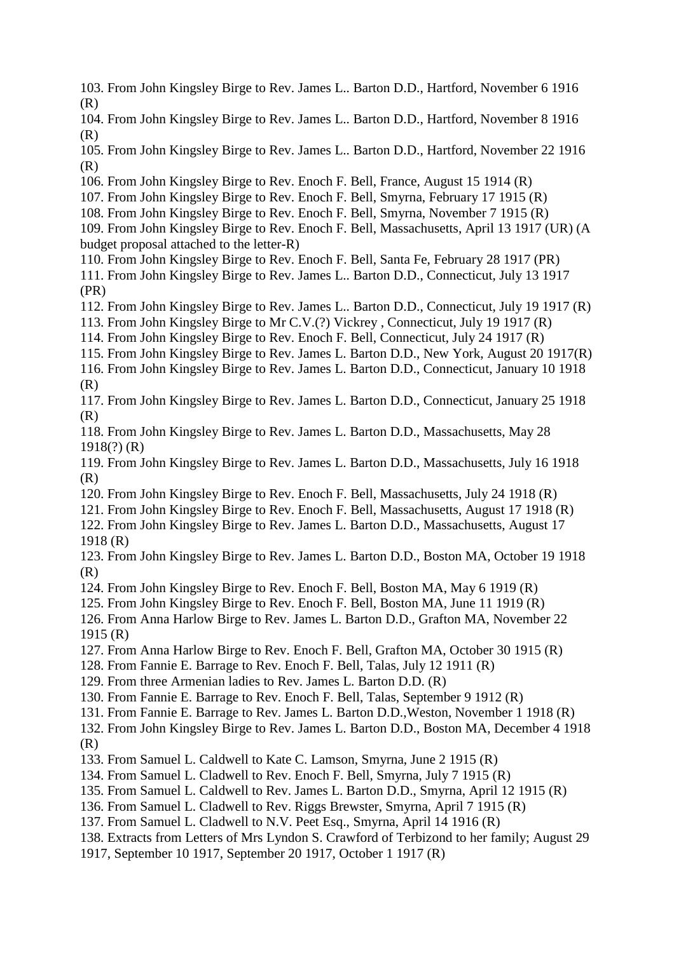- 103. From John Kingsley Birge to Rev. James L.. Barton D.D., Hartford, November 6 1916 (R)
- 104. From John Kingsley Birge to Rev. James L.. Barton D.D., Hartford, November 8 1916 (R)
- 105. From John Kingsley Birge to Rev. James L.. Barton D.D., Hartford, November 22 1916  $(R)$
- 106. From John Kingsley Birge to Rev. Enoch F. Bell, France, August 15 1914 (R)
- 107. From John Kingsley Birge to Rev. Enoch F. Bell, Smyrna, February 17 1915 (R)
- 108. From John Kingsley Birge to Rev. Enoch F. Bell, Smyrna, November 7 1915 (R)
- 109. From John Kingsley Birge to Rev. Enoch F. Bell, Massachusetts, April 13 1917 (UR) (A budget proposal attached to the letter-R)
- 110. From John Kingsley Birge to Rev. Enoch F. Bell, Santa Fe, February 28 1917 (PR)
- 111. From John Kingsley Birge to Rev. James L.. Barton D.D., Connecticut, July 13 1917 (PR)
- 112. From John Kingsley Birge to Rev. James L.. Barton D.D., Connecticut, July 19 1917 (R)
- 113. From John Kingsley Birge to Mr C.V.(?) Vickrey , Connecticut, July 19 1917 (R)
- 114. From John Kingsley Birge to Rev. Enoch F. Bell, Connecticut, July 24 1917 (R)
- 115. From John Kingsley Birge to Rev. James L. Barton D.D., New York, August 20 1917(R)
- 116. From John Kingsley Birge to Rev. James L. Barton D.D., Connecticut, January 10 1918 (R)
- 117. From John Kingsley Birge to Rev. James L. Barton D.D., Connecticut, January 25 1918 (R)
- 118. From John Kingsley Birge to Rev. James L. Barton D.D., Massachusetts, May 28 1918(?) (R)
- 119. From John Kingsley Birge to Rev. James L. Barton D.D., Massachusetts, July 16 1918 (R)
- 120. From John Kingsley Birge to Rev. Enoch F. Bell, Massachusetts, July 24 1918 (R)
- 121. From John Kingsley Birge to Rev. Enoch F. Bell, Massachusetts, August 17 1918 (R)
- 122. From John Kingsley Birge to Rev. James L. Barton D.D., Massachusetts, August 17 1918 (R)
- 123. From John Kingsley Birge to Rev. James L. Barton D.D., Boston MA, October 19 1918 (R)
- 124. From John Kingsley Birge to Rev. Enoch F. Bell, Boston MA, May 6 1919 (R)
- 125. From John Kingsley Birge to Rev. Enoch F. Bell, Boston MA, June 11 1919 (R)
- 126. From Anna Harlow Birge to Rev. James L. Barton D.D., Grafton MA, November 22 1915 (R)
- 127. From Anna Harlow Birge to Rev. Enoch F. Bell, Grafton MA, October 30 1915 (R)
- 128. From Fannie E. Barrage to Rev. Enoch F. Bell, Talas, July 12 1911 (R)
- 129. From three Armenian ladies to Rev. James L. Barton D.D. (R)
- 130. From Fannie E. Barrage to Rev. Enoch F. Bell, Talas, September 9 1912 (R)
- 131. From Fannie E. Barrage to Rev. James L. Barton D.D.,Weston, November 1 1918 (R)
- 132. From John Kingsley Birge to Rev. James L. Barton D.D., Boston MA, December 4 1918 (R)
- 133. From Samuel L. Caldwell to Kate C. Lamson, Smyrna, June 2 1915 (R)
- 134. From Samuel L. Cladwell to Rev. Enoch F. Bell, Smyrna, July 7 1915 (R)
- 135. From Samuel L. Caldwell to Rev. James L. Barton D.D., Smyrna, April 12 1915 (R)
- 136. From Samuel L. Cladwell to Rev. Riggs Brewster, Smyrna, April 7 1915 (R)
- 137. From Samuel L. Cladwell to N.V. Peet Esq., Smyrna, April 14 1916 (R)
- 138. Extracts from Letters of Mrs Lyndon S. Crawford of Terbizond to her family; August 29
- 1917, September 10 1917, September 20 1917, October 1 1917 (R)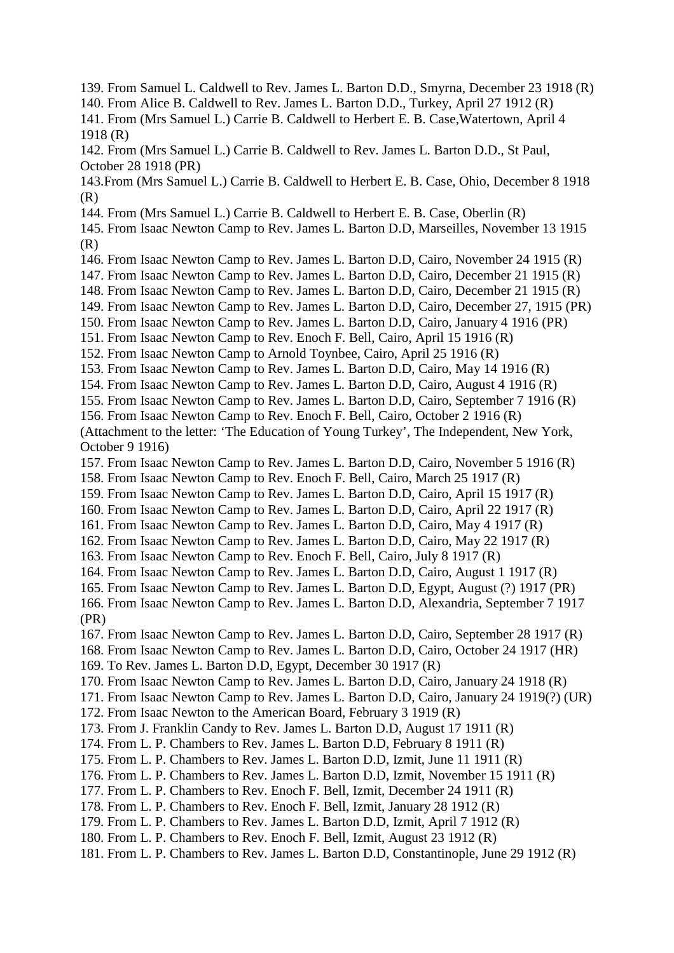- 139. From Samuel L. Caldwell to Rev. James L. Barton D.D., Smyrna, December 23 1918 (R)
- 140. From Alice B. Caldwell to Rev. James L. Barton D.D., Turkey, April 27 1912 (R)
- 141. From (Mrs Samuel L.) Carrie B. Caldwell to Herbert E. B. Case,Watertown, April 4 1918 (R)
- 142. From (Mrs Samuel L.) Carrie B. Caldwell to Rev. James L. Barton D.D., St Paul, October 28 1918 (PR)
- 143.From (Mrs Samuel L.) Carrie B. Caldwell to Herbert E. B. Case, Ohio, December 8 1918 (R)
- 144. From (Mrs Samuel L.) Carrie B. Caldwell to Herbert E. B. Case, Oberlin (R)
- 145. From Isaac Newton Camp to Rev. James L. Barton D.D, Marseilles, November 13 1915 (R)
- 146. From Isaac Newton Camp to Rev. James L. Barton D.D, Cairo, November 24 1915 (R)
- 147. From Isaac Newton Camp to Rev. James L. Barton D.D, Cairo, December 21 1915 (R)
- 148. From Isaac Newton Camp to Rev. James L. Barton D.D, Cairo, December 21 1915 (R)
- 149. From Isaac Newton Camp to Rev. James L. Barton D.D, Cairo, December 27, 1915 (PR)
- 150. From Isaac Newton Camp to Rev. James L. Barton D.D, Cairo, January 4 1916 (PR)
- 151. From Isaac Newton Camp to Rev. Enoch F. Bell, Cairo, April 15 1916 (R)
- 152. From Isaac Newton Camp to Arnold Toynbee, Cairo, April 25 1916 (R)
- 153. From Isaac Newton Camp to Rev. James L. Barton D.D, Cairo, May 14 1916 (R)
- 154. From Isaac Newton Camp to Rev. James L. Barton D.D, Cairo, August 4 1916 (R)
- 155. From Isaac Newton Camp to Rev. James L. Barton D.D, Cairo, September 7 1916 (R)
- 156. From Isaac Newton Camp to Rev. Enoch F. Bell, Cairo, October 2 1916 (R)
- (Attachment to the letter: 'The Education of Young Turkey', The Independent, New York, October 9 1916)
- 157. From Isaac Newton Camp to Rev. James L. Barton D.D, Cairo, November 5 1916 (R)
- 158. From Isaac Newton Camp to Rev. Enoch F. Bell, Cairo, March 25 1917 (R)
- 159. From Isaac Newton Camp to Rev. James L. Barton D.D, Cairo, April 15 1917 (R)
- 160. From Isaac Newton Camp to Rev. James L. Barton D.D, Cairo, April 22 1917 (R)
- 161. From Isaac Newton Camp to Rev. James L. Barton D.D, Cairo, May 4 1917 (R)
- 162. From Isaac Newton Camp to Rev. James L. Barton D.D, Cairo, May 22 1917 (R)
- 163. From Isaac Newton Camp to Rev. Enoch F. Bell, Cairo, July 8 1917 (R)
- 164. From Isaac Newton Camp to Rev. James L. Barton D.D, Cairo, August 1 1917 (R)
- 165. From Isaac Newton Camp to Rev. James L. Barton D.D, Egypt, August (?) 1917 (PR)
- 166. From Isaac Newton Camp to Rev. James L. Barton D.D, Alexandria, September 7 1917 (PR)
- 167. From Isaac Newton Camp to Rev. James L. Barton D.D, Cairo, September 28 1917 (R)
- 168. From Isaac Newton Camp to Rev. James L. Barton D.D, Cairo, October 24 1917 (HR)
- 169. To Rev. James L. Barton D.D, Egypt, December 30 1917 (R)
- 170. From Isaac Newton Camp to Rev. James L. Barton D.D, Cairo, January 24 1918 (R)
- 171. From Isaac Newton Camp to Rev. James L. Barton D.D, Cairo, January 24 1919(?) (UR)
- 172. From Isaac Newton to the American Board, February 3 1919 (R)
- 173. From J. Franklin Candy to Rev. James L. Barton D.D, August 17 1911 (R)
- 174. From L. P. Chambers to Rev. James L. Barton D.D, February 8 1911 (R)
- 175. From L. P. Chambers to Rev. James L. Barton D.D, Izmit, June 11 1911 (R)
- 176. From L. P. Chambers to Rev. James L. Barton D.D, Izmit, November 15 1911 (R)
- 177. From L. P. Chambers to Rev. Enoch F. Bell, Izmit, December 24 1911 (R)
- 178. From L. P. Chambers to Rev. Enoch F. Bell, Izmit, January 28 1912 (R)
- 179. From L. P. Chambers to Rev. James L. Barton D.D, Izmit, April 7 1912 (R)
- 180. From L. P. Chambers to Rev. Enoch F. Bell, Izmit, August 23 1912 (R)
- 181. From L. P. Chambers to Rev. James L. Barton D.D, Constantinople, June 29 1912 (R)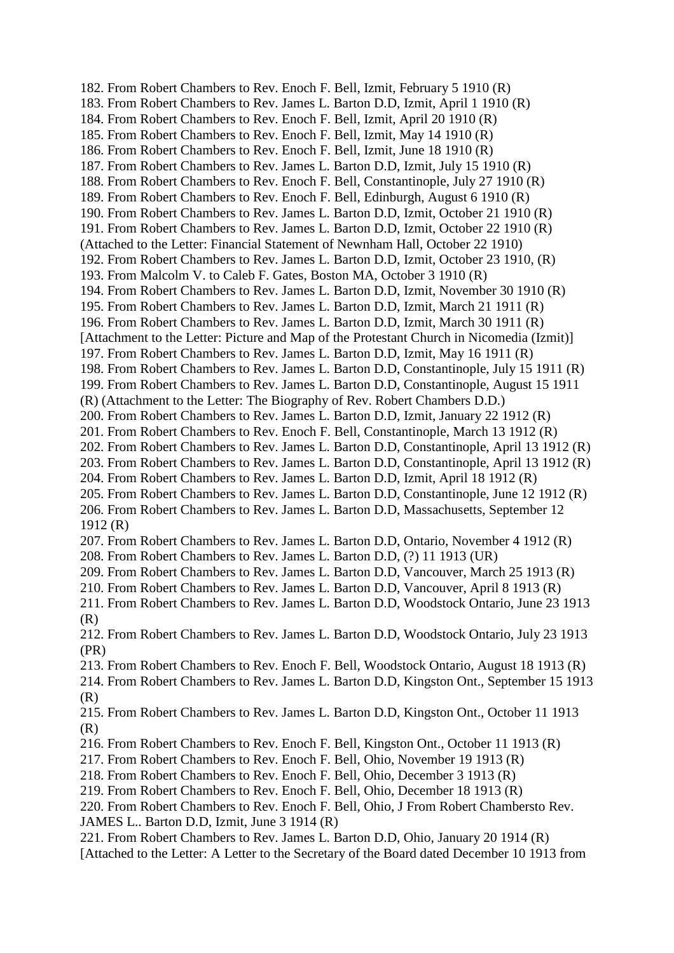182. From Robert Chambers to Rev. Enoch F. Bell, Izmit, February 5 1910 (R) 183. From Robert Chambers to Rev. James L. Barton D.D, Izmit, April 1 1910 (R) 184. From Robert Chambers to Rev. Enoch F. Bell, Izmit, April 20 1910 (R) 185. From Robert Chambers to Rev. Enoch F. Bell, Izmit, May 14 1910 (R) 186. From Robert Chambers to Rev. Enoch F. Bell, Izmit, June 18 1910 (R) 187. From Robert Chambers to Rev. James L. Barton D.D, Izmit, July 15 1910 (R) 188. From Robert Chambers to Rev. Enoch F. Bell, Constantinople, July 27 1910 (R) 189. From Robert Chambers to Rev. Enoch F. Bell, Edinburgh, August 6 1910 (R) 190. From Robert Chambers to Rev. James L. Barton D.D, Izmit, October 21 1910 (R) 191. From Robert Chambers to Rev. James L. Barton D.D, Izmit, October 22 1910 (R) (Attached to the Letter: Financial Statement of Newnham Hall, October 22 1910) 192. From Robert Chambers to Rev. James L. Barton D.D, Izmit, October 23 1910, (R) 193. From Malcolm V. to Caleb F. Gates, Boston MA, October 3 1910 (R) 194. From Robert Chambers to Rev. James L. Barton D.D, Izmit, November 30 1910 (R) 195. From Robert Chambers to Rev. James L. Barton D.D, Izmit, March 21 1911 (R) 196. From Robert Chambers to Rev. James L. Barton D.D, Izmit, March 30 1911 (R) [Attachment to the Letter: Picture and Map of the Protestant Church in Nicomedia (Izmit)] 197. From Robert Chambers to Rev. James L. Barton D.D, Izmit, May 16 1911 (R) 198. From Robert Chambers to Rev. James L. Barton D.D, Constantinople, July 15 1911 (R) 199. From Robert Chambers to Rev. James L. Barton D.D, Constantinople, August 15 1911 (R) (Attachment to the Letter: The Biography of Rev. Robert Chambers D.D.) 200. From Robert Chambers to Rev. James L. Barton D.D, Izmit, January 22 1912 (R) 201. From Robert Chambers to Rev. Enoch F. Bell, Constantinople, March 13 1912 (R) 202. From Robert Chambers to Rev. James L. Barton D.D, Constantinople, April 13 1912 (R) 203. From Robert Chambers to Rev. James L. Barton D.D, Constantinople, April 13 1912 (R) 204. From Robert Chambers to Rev. James L. Barton D.D, Izmit, April 18 1912 (R) 205. From Robert Chambers to Rev. James L. Barton D.D, Constantinople, June 12 1912 (R) 206. From Robert Chambers to Rev. James L. Barton D.D, Massachusetts, September 12 1912 (R) 207. From Robert Chambers to Rev. James L. Barton D.D, Ontario, November 4 1912 (R) 208. From Robert Chambers to Rev. James L. Barton D.D, (?) 11 1913 (UR) 209. From Robert Chambers to Rev. James L. Barton D.D, Vancouver, March 25 1913 (R) 210. From Robert Chambers to Rev. James L. Barton D.D, Vancouver, April 8 1913 (R) 211. From Robert Chambers to Rev. James L. Barton D.D, Woodstock Ontario, June 23 1913 (R) 212. From Robert Chambers to Rev. James L. Barton D.D, Woodstock Ontario, July 23 1913 (PR) 213. From Robert Chambers to Rev. Enoch F. Bell, Woodstock Ontario, August 18 1913 (R) 214. From Robert Chambers to Rev. James L. Barton D.D, Kingston Ont., September 15 1913 (R) 215. From Robert Chambers to Rev. James L. Barton D.D, Kingston Ont., October 11 1913 (R) 216. From Robert Chambers to Rev. Enoch F. Bell, Kingston Ont., October 11 1913 (R) 217. From Robert Chambers to Rev. Enoch F. Bell, Ohio, November 19 1913 (R) 218. From Robert Chambers to Rev. Enoch F. Bell, Ohio, December 3 1913 (R) 219. From Robert Chambers to Rev. Enoch F. Bell, Ohio, December 18 1913 (R) 220. From Robert Chambers to Rev. Enoch F. Bell, Ohio, J From Robert Chambersto Rev. JAMES L.. Barton D.D, Izmit, June 3 1914 (R) 221. From Robert Chambers to Rev. James L. Barton D.D, Ohio, January 20 1914 (R) [Attached to the Letter: A Letter to the Secretary of the Board dated December 10 1913 from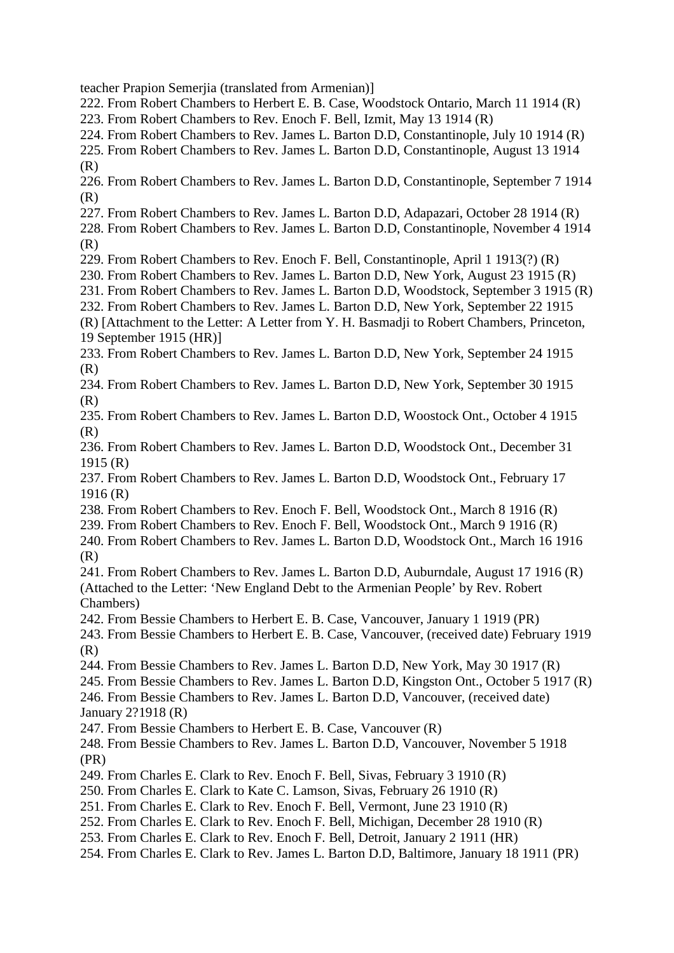teacher Prapion Semerjia (translated from Armenian)]

- 222. From Robert Chambers to Herbert E. B. Case, Woodstock Ontario, March 11 1914 (R)
- 223. From Robert Chambers to Rev. Enoch F. Bell, Izmit, May 13 1914 (R)
- 224. From Robert Chambers to Rev. James L. Barton D.D, Constantinople, July 10 1914 (R)
- 225. From Robert Chambers to Rev. James L. Barton D.D, Constantinople, August 13 1914 (R)
- 226. From Robert Chambers to Rev. James L. Barton D.D, Constantinople, September 7 1914 (R)
- 227. From Robert Chambers to Rev. James L. Barton D.D, Adapazari, October 28 1914 (R)
- 228. From Robert Chambers to Rev. James L. Barton D.D, Constantinople, November 4 1914 (R)
- 229. From Robert Chambers to Rev. Enoch F. Bell, Constantinople, April 1 1913(?) (R)
- 230. From Robert Chambers to Rev. James L. Barton D.D, New York, August 23 1915 (R)
- 231. From Robert Chambers to Rev. James L. Barton D.D, Woodstock, September 3 1915 (R)
- 232. From Robert Chambers to Rev. James L. Barton D.D, New York, September 22 1915
- (R) [Attachment to the Letter: A Letter from Y. H. Basmadji to Robert Chambers, Princeton, 19 September 1915 (HR)]
- 233. From Robert Chambers to Rev. James L. Barton D.D, New York, September 24 1915 (R)
- 234. From Robert Chambers to Rev. James L. Barton D.D, New York, September 30 1915 (R)
- 235. From Robert Chambers to Rev. James L. Barton D.D, Woostock Ont., October 4 1915 (R)
- 236. From Robert Chambers to Rev. James L. Barton D.D, Woodstock Ont., December 31 1915 (R)
- 237. From Robert Chambers to Rev. James L. Barton D.D, Woodstock Ont., February 17 1916 (R)
- 238. From Robert Chambers to Rev. Enoch F. Bell, Woodstock Ont., March 8 1916 (R)
- 239. From Robert Chambers to Rev. Enoch F. Bell, Woodstock Ont., March 9 1916 (R)
- 240. From Robert Chambers to Rev. James L. Barton D.D, Woodstock Ont., March 16 1916  $(R)$
- 241. From Robert Chambers to Rev. James L. Barton D.D, Auburndale, August 17 1916 (R) (Attached to the Letter: 'New England Debt to the Armenian People' by Rev. Robert Chambers)
- 242. From Bessie Chambers to Herbert E. B. Case, Vancouver, January 1 1919 (PR)
- 243. From Bessie Chambers to Herbert E. B. Case, Vancouver, (received date) February 1919 (R)
- 244. From Bessie Chambers to Rev. James L. Barton D.D, New York, May 30 1917 (R)
- 245. From Bessie Chambers to Rev. James L. Barton D.D, Kingston Ont., October 5 1917 (R)
- 246. From Bessie Chambers to Rev. James L. Barton D.D, Vancouver, (received date) January 2?1918 (R)
- 247. From Bessie Chambers to Herbert E. B. Case, Vancouver (R)
- 248. From Bessie Chambers to Rev. James L. Barton D.D, Vancouver, November 5 1918 (PR)
- 249. From Charles E. Clark to Rev. Enoch F. Bell, Sivas, February 3 1910 (R)
- 250. From Charles E. Clark to Kate C. Lamson, Sivas, February 26 1910 (R)
- 251. From Charles E. Clark to Rev. Enoch F. Bell, Vermont, June 23 1910 (R)
- 252. From Charles E. Clark to Rev. Enoch F. Bell, Michigan, December 28 1910 (R)
- 253. From Charles E. Clark to Rev. Enoch F. Bell, Detroit, January 2 1911 (HR)
- 254. From Charles E. Clark to Rev. James L. Barton D.D, Baltimore, January 18 1911 (PR)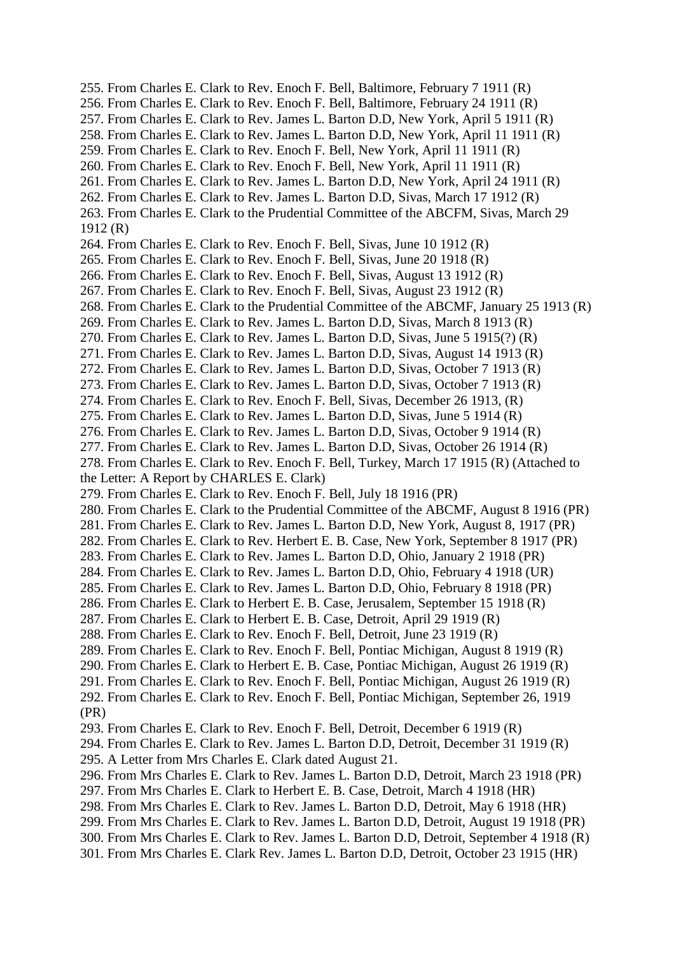255. From Charles E. Clark to Rev. Enoch F. Bell, Baltimore, February 7 1911 (R) 256. From Charles E. Clark to Rev. Enoch F. Bell, Baltimore, February 24 1911 (R) 257. From Charles E. Clark to Rev. James L. Barton D.D, New York, April 5 1911 (R) 258. From Charles E. Clark to Rev. James L. Barton D.D, New York, April 11 1911 (R) 259. From Charles E. Clark to Rev. Enoch F. Bell, New York, April 11 1911 (R) 260. From Charles E. Clark to Rev. Enoch F. Bell, New York, April 11 1911 (R) 261. From Charles E. Clark to Rev. James L. Barton D.D, New York, April 24 1911 (R) 262. From Charles E. Clark to Rev. James L. Barton D.D, Sivas, March 17 1912 (R) 263. From Charles E. Clark to the Prudential Committee of the ABCFM, Sivas, March 29 1912 (R) 264. From Charles E. Clark to Rev. Enoch F. Bell, Sivas, June 10 1912 (R) 265. From Charles E. Clark to Rev. Enoch F. Bell, Sivas, June 20 1918 (R) 266. From Charles E. Clark to Rev. Enoch F. Bell, Sivas, August 13 1912 (R) 267. From Charles E. Clark to Rev. Enoch F. Bell, Sivas, August 23 1912 (R) 268. From Charles E. Clark to the Prudential Committee of the ABCMF, January 25 1913 (R) 269. From Charles E. Clark to Rev. James L. Barton D.D, Sivas, March 8 1913 (R) 270. From Charles E. Clark to Rev. James L. Barton D.D, Sivas, June 5 1915(?) (R) 271. From Charles E. Clark to Rev. James L. Barton D.D, Sivas, August 14 1913 (R) 272. From Charles E. Clark to Rev. James L. Barton D.D, Sivas, October 7 1913 (R) 273. From Charles E. Clark to Rev. James L. Barton D.D, Sivas, October 7 1913 (R) 274. From Charles E. Clark to Rev. Enoch F. Bell, Sivas, December 26 1913, (R) 275. From Charles E. Clark to Rev. James L. Barton D.D, Sivas, June 5 1914 (R) 276. From Charles E. Clark to Rev. James L. Barton D.D, Sivas, October 9 1914 (R) 277. From Charles E. Clark to Rev. James L. Barton D.D, Sivas, October 26 1914 (R) 278. From Charles E. Clark to Rev. Enoch F. Bell, Turkey, March 17 1915 (R) (Attached to the Letter: A Report by CHARLES E. Clark) 279. From Charles E. Clark to Rev. Enoch F. Bell, July 18 1916 (PR) 280. From Charles E. Clark to the Prudential Committee of the ABCMF, August 8 1916 (PR) 281. From Charles E. Clark to Rev. James L. Barton D.D, New York, August 8, 1917 (PR) 282. From Charles E. Clark to Rev. Herbert E. B. Case, New York, September 8 1917 (PR) 283. From Charles E. Clark to Rev. James L. Barton D.D, Ohio, January 2 1918 (PR) 284. From Charles E. Clark to Rev. James L. Barton D.D, Ohio, February 4 1918 (UR) 285. From Charles E. Clark to Rev. James L. Barton D.D, Ohio, February 8 1918 (PR) 286. From Charles E. Clark to Herbert E. B. Case, Jerusalem, September 15 1918 (R) 287. From Charles E. Clark to Herbert E. B. Case, Detroit, April 29 1919 (R) 288. From Charles E. Clark to Rev. Enoch F. Bell, Detroit, June 23 1919 (R) 289. From Charles E. Clark to Rev. Enoch F. Bell, Pontiac Michigan, August 8 1919 (R) 290. From Charles E. Clark to Herbert E. B. Case, Pontiac Michigan, August 26 1919 (R) 291. From Charles E. Clark to Rev. Enoch F. Bell, Pontiac Michigan, August 26 1919 (R) 292. From Charles E. Clark to Rev. Enoch F. Bell, Pontiac Michigan, September 26, 1919 (PR) 293. From Charles E. Clark to Rev. Enoch F. Bell, Detroit, December 6 1919 (R) 294. From Charles E. Clark to Rev. James L. Barton D.D, Detroit, December 31 1919 (R) 295. A Letter from Mrs Charles E. Clark dated August 21. 296. From Mrs Charles E. Clark to Rev. James L. Barton D.D, Detroit, March 23 1918 (PR) 297. From Mrs Charles E. Clark to Herbert E. B. Case, Detroit, March 4 1918 (HR) 298. From Mrs Charles E. Clark to Rev. James L. Barton D.D, Detroit, May 6 1918 (HR) 299. From Mrs Charles E. Clark to Rev. James L. Barton D.D, Detroit, August 19 1918 (PR) 300. From Mrs Charles E. Clark to Rev. James L. Barton D.D, Detroit, September 4 1918 (R) 301. From Mrs Charles E. Clark Rev. James L. Barton D.D, Detroit, October 23 1915 (HR)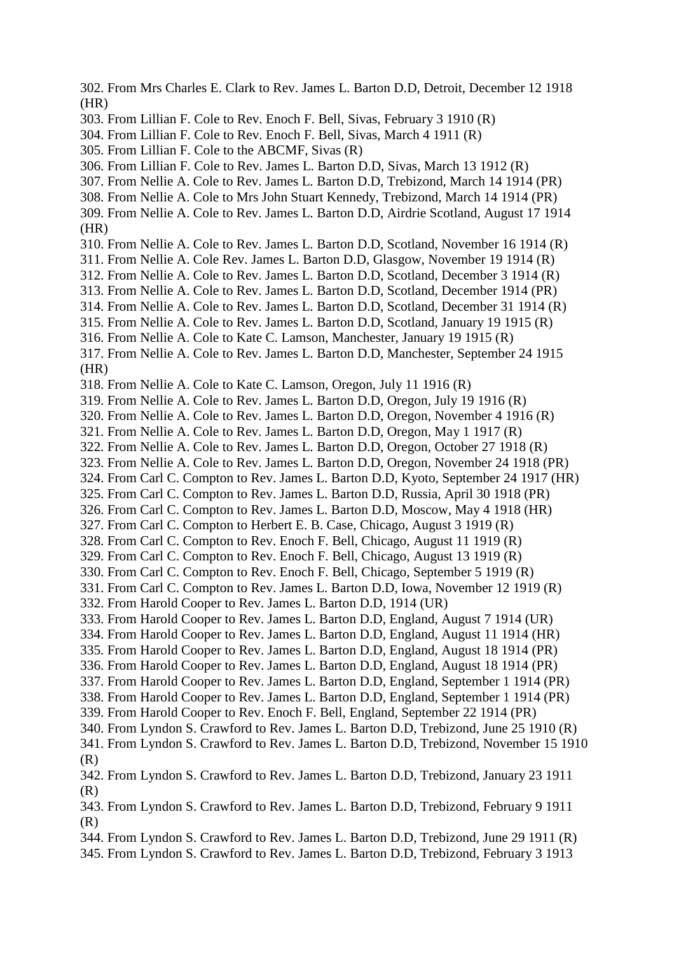302. From Mrs Charles E. Clark to Rev. James L. Barton D.D, Detroit, December 12 1918 (HR)

303. From Lillian F. Cole to Rev. Enoch F. Bell, Sivas, February 3 1910 (R)

- 304. From Lillian F. Cole to Rev. Enoch F. Bell, Sivas, March 4 1911 (R)
- 305. From Lillian F. Cole to the ABCMF, Sivas (R)
- 306. From Lillian F. Cole to Rev. James L. Barton D.D, Sivas, March 13 1912 (R)
- 307. From Nellie A. Cole to Rev. James L. Barton D.D, Trebizond, March 14 1914 (PR)
- 308. From Nellie A. Cole to Mrs John Stuart Kennedy, Trebizond, March 14 1914 (PR)
- 309. From Nellie A. Cole to Rev. James L. Barton D.D, Airdrie Scotland, August 17 1914 (HR)
- 310. From Nellie A. Cole to Rev. James L. Barton D.D, Scotland, November 16 1914 (R)
- 311. From Nellie A. Cole Rev. James L. Barton D.D, Glasgow, November 19 1914 (R)
- 312. From Nellie A. Cole to Rev. James L. Barton D.D, Scotland, December 3 1914 (R)
- 313. From Nellie A. Cole to Rev. James L. Barton D.D, Scotland, December 1914 (PR)
- 314. From Nellie A. Cole to Rev. James L. Barton D.D, Scotland, December 31 1914 (R)
- 315. From Nellie A. Cole to Rev. James L. Barton D.D, Scotland, January 19 1915 (R)
- 316. From Nellie A. Cole to Kate C. Lamson, Manchester, January 19 1915 (R)
- 317. From Nellie A. Cole to Rev. James L. Barton D.D, Manchester, September 24 1915 (HR)
- 318. From Nellie A. Cole to Kate C. Lamson, Oregon, July 11 1916 (R)
- 319. From Nellie A. Cole to Rev. James L. Barton D.D, Oregon, July 19 1916 (R)
- 320. From Nellie A. Cole to Rev. James L. Barton D.D, Oregon, November 4 1916 (R)
- 321. From Nellie A. Cole to Rev. James L. Barton D.D, Oregon, May 1 1917 (R)
- 322. From Nellie A. Cole to Rev. James L. Barton D.D, Oregon, October 27 1918 (R)
- 323. From Nellie A. Cole to Rev. James L. Barton D.D, Oregon, November 24 1918 (PR)
- 324. From Carl C. Compton to Rev. James L. Barton D.D, Kyoto, September 24 1917 (HR)
- 325. From Carl C. Compton to Rev. James L. Barton D.D, Russia, April 30 1918 (PR)
- 326. From Carl C. Compton to Rev. James L. Barton D.D, Moscow, May 4 1918 (HR)
- 327. From Carl C. Compton to Herbert E. B. Case, Chicago, August 3 1919 (R)
- 328. From Carl C. Compton to Rev. Enoch F. Bell, Chicago, August 11 1919 (R)
- 329. From Carl C. Compton to Rev. Enoch F. Bell, Chicago, August 13 1919 (R)
- 330. From Carl C. Compton to Rev. Enoch F. Bell, Chicago, September 5 1919 (R)
- 331. From Carl C. Compton to Rev. James L. Barton D.D, Iowa, November 12 1919 (R)
- 332. From Harold Cooper to Rev. James L. Barton D.D, 1914 (UR)
- 333. From Harold Cooper to Rev. James L. Barton D.D, England, August 7 1914 (UR)
- 334. From Harold Cooper to Rev. James L. Barton D.D, England, August 11 1914 (HR)
- 335. From Harold Cooper to Rev. James L. Barton D.D, England, August 18 1914 (PR)
- 336. From Harold Cooper to Rev. James L. Barton D.D, England, August 18 1914 (PR)
- 337. From Harold Cooper to Rev. James L. Barton D.D, England, September 1 1914 (PR)
- 338. From Harold Cooper to Rev. James L. Barton D.D, England, September 1 1914 (PR)
- 339. From Harold Cooper to Rev. Enoch F. Bell, England, September 22 1914 (PR)
- 340. From Lyndon S. Crawford to Rev. James L. Barton D.D, Trebizond, June 25 1910 (R)
- 341. From Lyndon S. Crawford to Rev. James L. Barton D.D, Trebizond, November 15 1910 (R)
- 342. From Lyndon S. Crawford to Rev. James L. Barton D.D, Trebizond, January 23 1911 (R)
- 343. From Lyndon S. Crawford to Rev. James L. Barton D.D, Trebizond, February 9 1911 (R)
- 344. From Lyndon S. Crawford to Rev. James L. Barton D.D, Trebizond, June 29 1911 (R)
- 345. From Lyndon S. Crawford to Rev. James L. Barton D.D, Trebizond, February 3 1913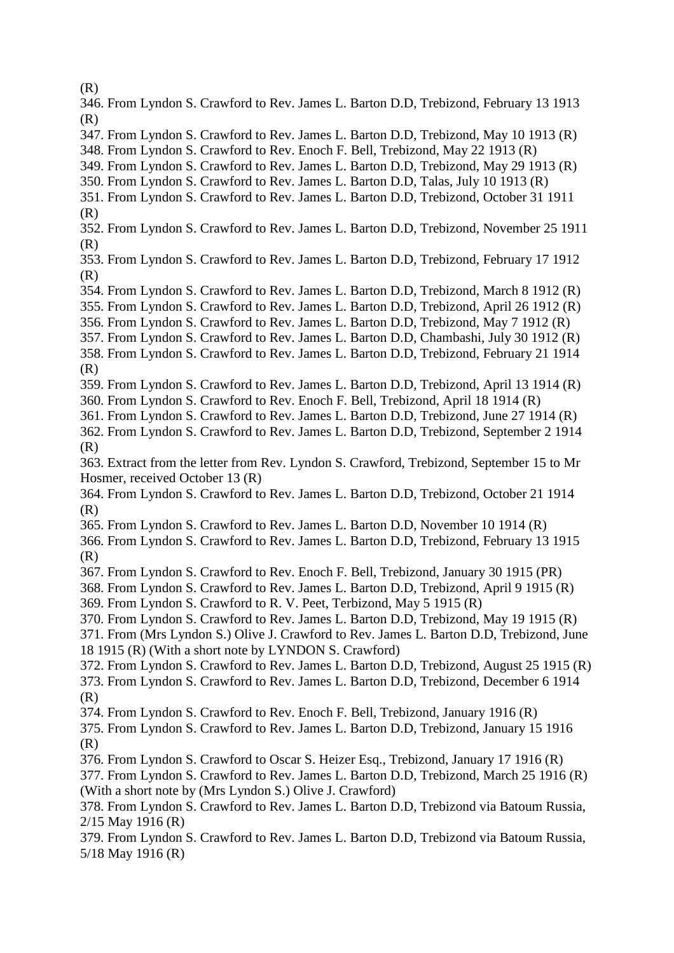(R)

- 346. From Lyndon S. Crawford to Rev. James L. Barton D.D, Trebizond, February 13 1913 (R)
- 347. From Lyndon S. Crawford to Rev. James L. Barton D.D, Trebizond, May 10 1913 (R)
- 348. From Lyndon S. Crawford to Rev. Enoch F. Bell, Trebizond, May 22 1913 (R)
- 349. From Lyndon S. Crawford to Rev. James L. Barton D.D, Trebizond, May 29 1913 (R)
- 350. From Lyndon S. Crawford to Rev. James L. Barton D.D, Talas, July 10 1913 (R)
- 351. From Lyndon S. Crawford to Rev. James L. Barton D.D, Trebizond, October 31 1911 (R)
- 352. From Lyndon S. Crawford to Rev. James L. Barton D.D, Trebizond, November 25 1911 (R)
- 353. From Lyndon S. Crawford to Rev. James L. Barton D.D, Trebizond, February 17 1912 (R)
- 354. From Lyndon S. Crawford to Rev. James L. Barton D.D, Trebizond, March 8 1912 (R)
- 355. From Lyndon S. Crawford to Rev. James L. Barton D.D, Trebizond, April 26 1912 (R)
- 356. From Lyndon S. Crawford to Rev. James L. Barton D.D, Trebizond, May 7 1912 (R)
- 357. From Lyndon S. Crawford to Rev. James L. Barton D.D, Chambashi, July 30 1912 (R)
- 358. From Lyndon S. Crawford to Rev. James L. Barton D.D, Trebizond, February 21 1914 (R)
- 359. From Lyndon S. Crawford to Rev. James L. Barton D.D, Trebizond, April 13 1914 (R)
- 360. From Lyndon S. Crawford to Rev. Enoch F. Bell, Trebizond, April 18 1914 (R)
- 361. From Lyndon S. Crawford to Rev. James L. Barton D.D, Trebizond, June 27 1914 (R)
- 362. From Lyndon S. Crawford to Rev. James L. Barton D.D, Trebizond, September 2 1914 (R)
- 363. Extract from the letter from Rev. Lyndon S. Crawford, Trebizond, September 15 to Mr Hosmer, received October 13 (R)
- 364. From Lyndon S. Crawford to Rev. James L. Barton D.D, Trebizond, October 21 1914 (R)
- 365. From Lyndon S. Crawford to Rev. James L. Barton D.D, November 10 1914 (R)
- 366. From Lyndon S. Crawford to Rev. James L. Barton D.D, Trebizond, February 13 1915 (R)
- 367. From Lyndon S. Crawford to Rev. Enoch F. Bell, Trebizond, January 30 1915 (PR)
- 368. From Lyndon S. Crawford to Rev. James L. Barton D.D, Trebizond, April 9 1915 (R)
- 369. From Lyndon S. Crawford to R. V. Peet, Terbizond, May 5 1915 (R)
- 370. From Lyndon S. Crawford to Rev. James L. Barton D.D, Trebizond, May 19 1915 (R)
- 371. From (Mrs Lyndon S.) Olive J. Crawford to Rev. James L. Barton D.D, Trebizond, June 18 1915 (R) (With a short note by LYNDON S. Crawford)
- 372. From Lyndon S. Crawford to Rev. James L. Barton D.D, Trebizond, August 25 1915 (R) 373. From Lyndon S. Crawford to Rev. James L. Barton D.D, Trebizond, December 6 1914 (R)
- 374. From Lyndon S. Crawford to Rev. Enoch F. Bell, Trebizond, January 1916 (R)
- 375. From Lyndon S. Crawford to Rev. James L. Barton D.D, Trebizond, January 15 1916 (R)
- 376. From Lyndon S. Crawford to Oscar S. Heizer Esq., Trebizond, January 17 1916 (R)
- 377. From Lyndon S. Crawford to Rev. James L. Barton D.D, Trebizond, March 25 1916 (R)
- (With a short note by (Mrs Lyndon S.) Olive J. Crawford)
- 378. From Lyndon S. Crawford to Rev. James L. Barton D.D, Trebizond via Batoum Russia, 2/15 May 1916 (R)
- 379. From Lyndon S. Crawford to Rev. James L. Barton D.D, Trebizond via Batoum Russia, 5/18 May 1916 (R)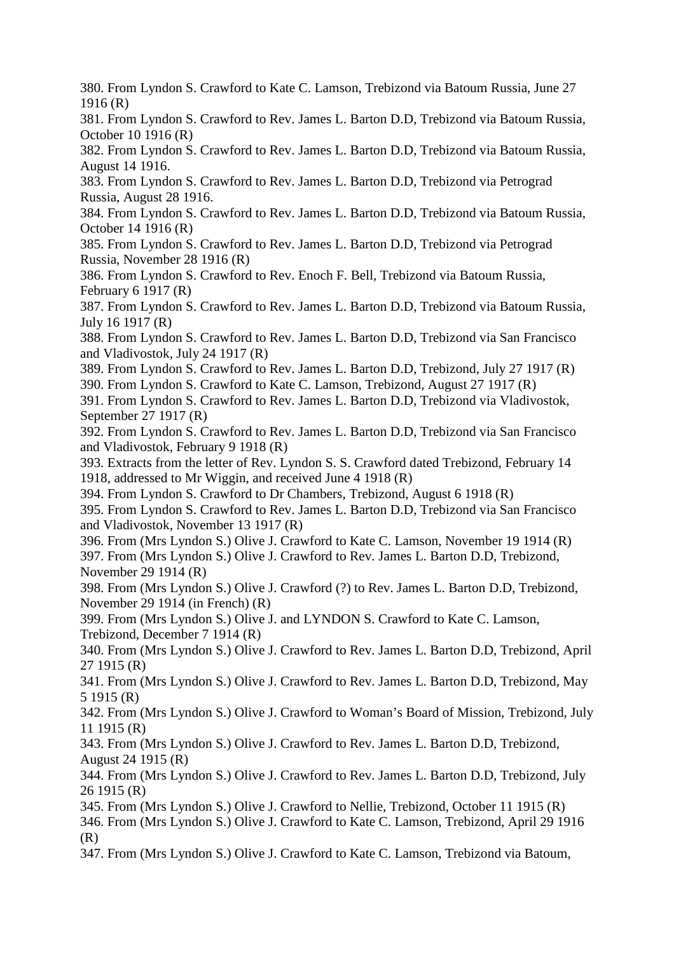380. From Lyndon S. Crawford to Kate C. Lamson, Trebizond via Batoum Russia, June 27 1916 (R)

381. From Lyndon S. Crawford to Rev. James L. Barton D.D, Trebizond via Batoum Russia, October 10 1916 (R)

382. From Lyndon S. Crawford to Rev. James L. Barton D.D, Trebizond via Batoum Russia, August 14 1916.

383. From Lyndon S. Crawford to Rev. James L. Barton D.D, Trebizond via Petrograd Russia, August 28 1916.

384. From Lyndon S. Crawford to Rev. James L. Barton D.D, Trebizond via Batoum Russia, October 14 1916 (R)

385. From Lyndon S. Crawford to Rev. James L. Barton D.D, Trebizond via Petrograd Russia, November 28 1916 (R)

386. From Lyndon S. Crawford to Rev. Enoch F. Bell, Trebizond via Batoum Russia, February 6 1917 (R)

387. From Lyndon S. Crawford to Rev. James L. Barton D.D, Trebizond via Batoum Russia, July 16 1917 (R)

388. From Lyndon S. Crawford to Rev. James L. Barton D.D, Trebizond via San Francisco and Vladivostok, July 24 1917 (R)

389. From Lyndon S. Crawford to Rev. James L. Barton D.D, Trebizond, July 27 1917 (R)

390. From Lyndon S. Crawford to Kate C. Lamson, Trebizond, August 27 1917 (R)

391. From Lyndon S. Crawford to Rev. James L. Barton D.D, Trebizond via Vladivostok, September 27 1917 (R)

392. From Lyndon S. Crawford to Rev. James L. Barton D.D, Trebizond via San Francisco and Vladivostok, February 9 1918 (R)

393. Extracts from the letter of Rev. Lyndon S. S. Crawford dated Trebizond, February 14 1918, addressed to Mr Wiggin, and received June 4 1918 (R)

394. From Lyndon S. Crawford to Dr Chambers, Trebizond, August 6 1918 (R)

395. From Lyndon S. Crawford to Rev. James L. Barton D.D, Trebizond via San Francisco and Vladivostok, November 13 1917 (R)

396. From (Mrs Lyndon S.) Olive J. Crawford to Kate C. Lamson, November 19 1914 (R) 397. From (Mrs Lyndon S.) Olive J. Crawford to Rev. James L. Barton D.D, Trebizond, November 29 1914 (R)

398. From (Mrs Lyndon S.) Olive J. Crawford (?) to Rev. James L. Barton D.D, Trebizond, November 29 1914 (in French) (R)

399. From (Mrs Lyndon S.) Olive J. and LYNDON S. Crawford to Kate C. Lamson, Trebizond, December 7 1914 (R)

340. From (Mrs Lyndon S.) Olive J. Crawford to Rev. James L. Barton D.D, Trebizond, April 27 1915 (R)

341. From (Mrs Lyndon S.) Olive J. Crawford to Rev. James L. Barton D.D, Trebizond, May 5 1915 (R)

342. From (Mrs Lyndon S.) Olive J. Crawford to Woman's Board of Mission, Trebizond, July 11 1915 (R)

343. From (Mrs Lyndon S.) Olive J. Crawford to Rev. James L. Barton D.D, Trebizond, August 24 1915 (R)

344. From (Mrs Lyndon S.) Olive J. Crawford to Rev. James L. Barton D.D, Trebizond, July 26 1915 (R)

345. From (Mrs Lyndon S.) Olive J. Crawford to Nellie, Trebizond, October 11 1915 (R) 346. From (Mrs Lyndon S.) Olive J. Crawford to Kate C. Lamson, Trebizond, April 29 1916

(R)

347. From (Mrs Lyndon S.) Olive J. Crawford to Kate C. Lamson, Trebizond via Batoum,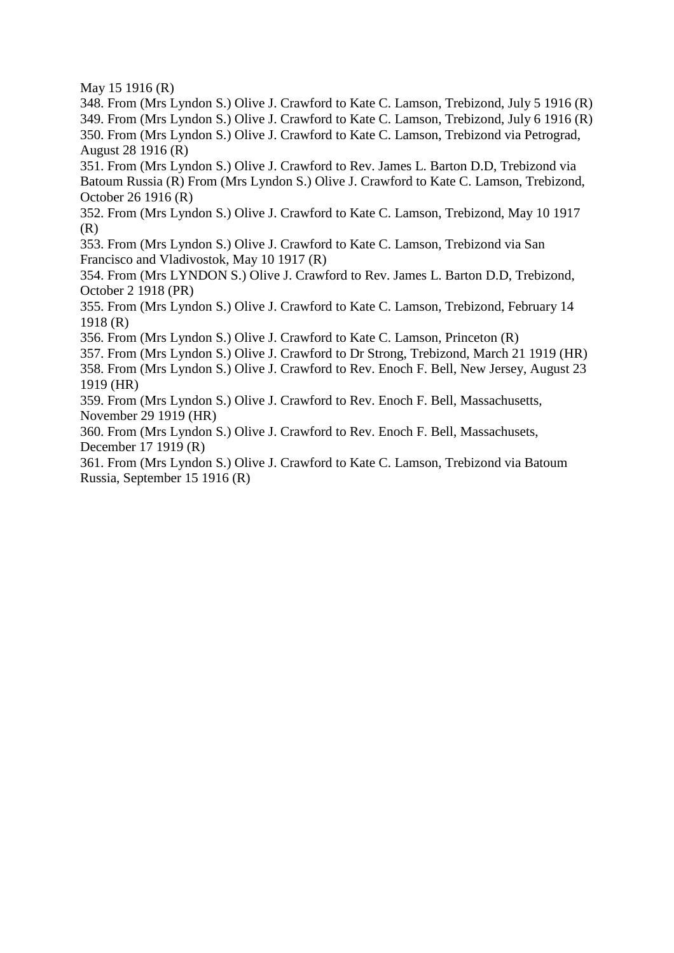May 15 1916 (R)

348. From (Mrs Lyndon S.) Olive J. Crawford to Kate C. Lamson, Trebizond, July 5 1916 (R) 349. From (Mrs Lyndon S.) Olive J. Crawford to Kate C. Lamson, Trebizond, July 6 1916 (R) 350. From (Mrs Lyndon S.) Olive J. Crawford to Kate C. Lamson, Trebizond via Petrograd, August 28 1916 (R)

351. From (Mrs Lyndon S.) Olive J. Crawford to Rev. James L. Barton D.D, Trebizond via Batoum Russia (R) From (Mrs Lyndon S.) Olive J. Crawford to Kate C. Lamson, Trebizond, October 26 1916 (R)

352. From (Mrs Lyndon S.) Olive J. Crawford to Kate C. Lamson, Trebizond, May 10 1917 (R)

353. From (Mrs Lyndon S.) Olive J. Crawford to Kate C. Lamson, Trebizond via San Francisco and Vladivostok, May 10 1917 (R)

354. From (Mrs LYNDON S.) Olive J. Crawford to Rev. James L. Barton D.D, Trebizond, October 2 1918 (PR)

355. From (Mrs Lyndon S.) Olive J. Crawford to Kate C. Lamson, Trebizond, February 14 1918 (R)

356. From (Mrs Lyndon S.) Olive J. Crawford to Kate C. Lamson, Princeton (R)

357. From (Mrs Lyndon S.) Olive J. Crawford to Dr Strong, Trebizond, March 21 1919 (HR)

358. From (Mrs Lyndon S.) Olive J. Crawford to Rev. Enoch F. Bell, New Jersey, August 23 1919 (HR)

359. From (Mrs Lyndon S.) Olive J. Crawford to Rev. Enoch F. Bell, Massachusetts, November 29 1919 (HR)

360. From (Mrs Lyndon S.) Olive J. Crawford to Rev. Enoch F. Bell, Massachusets, December 17 1919 (R)

361. From (Mrs Lyndon S.) Olive J. Crawford to Kate C. Lamson, Trebizond via Batoum Russia, September 15 1916 (R)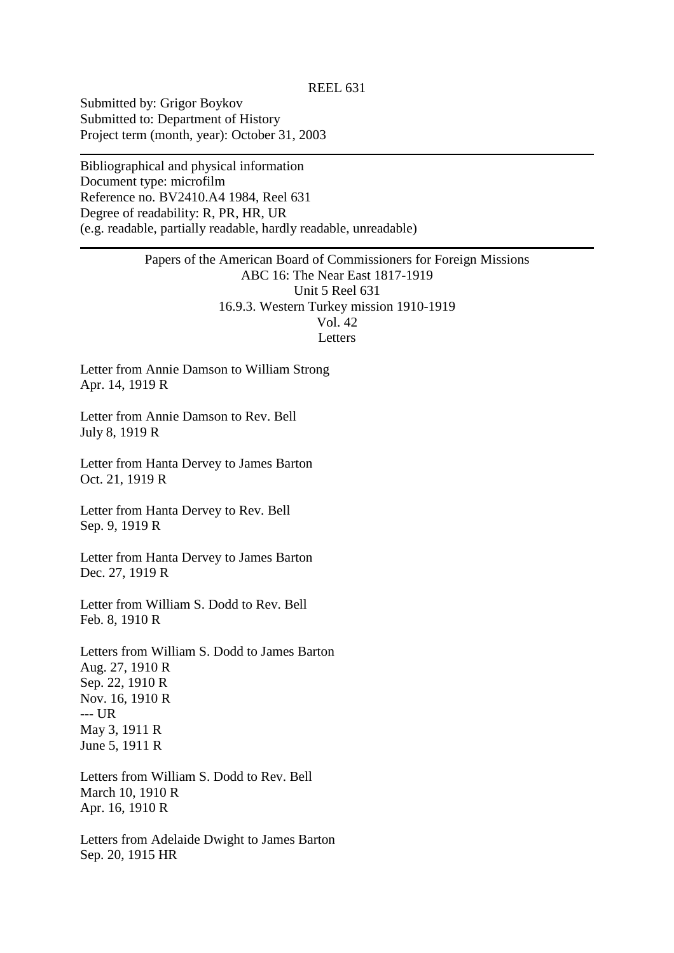Submitted by: Grigor Boykov Submitted to: Department of History Project term (month, year): October 31, 2003

Bibliographical and physical information Document type: microfilm Reference no. BV2410.A4 1984, Reel 631 Degree of readability: R, PR, HR, UR (e.g. readable, partially readable, hardly readable, unreadable)

# Papers of the American Board of Commissioners for Foreign Missions ABC 16: The Near East 1817-1919 Unit 5 Reel 631 16.9.3. Western Turkey mission 1910-1919 Vol. 42 Letters

Letter from Annie Damson to William Strong Apr. 14, 1919 R

Letter from Annie Damson to Rev. Bell July 8, 1919 R

Letter from Hanta Dervey to James Barton Oct. 21, 1919 R

Letter from Hanta Dervey to Rev. Bell Sep. 9, 1919 R

Letter from Hanta Dervey to James Barton Dec. 27, 1919 R

Letter from William S. Dodd to Rev. Bell Feb. 8, 1910 R

Letters from William S. Dodd to James Barton Aug. 27, 1910 R Sep. 22, 1910 R Nov. 16, 1910 R --- UR May 3, 1911 R June 5, 1911 R

Letters from William S. Dodd to Rev. Bell March 10, 1910 R Apr. 16, 1910 R

Letters from Adelaide Dwight to James Barton Sep. 20, 1915 HR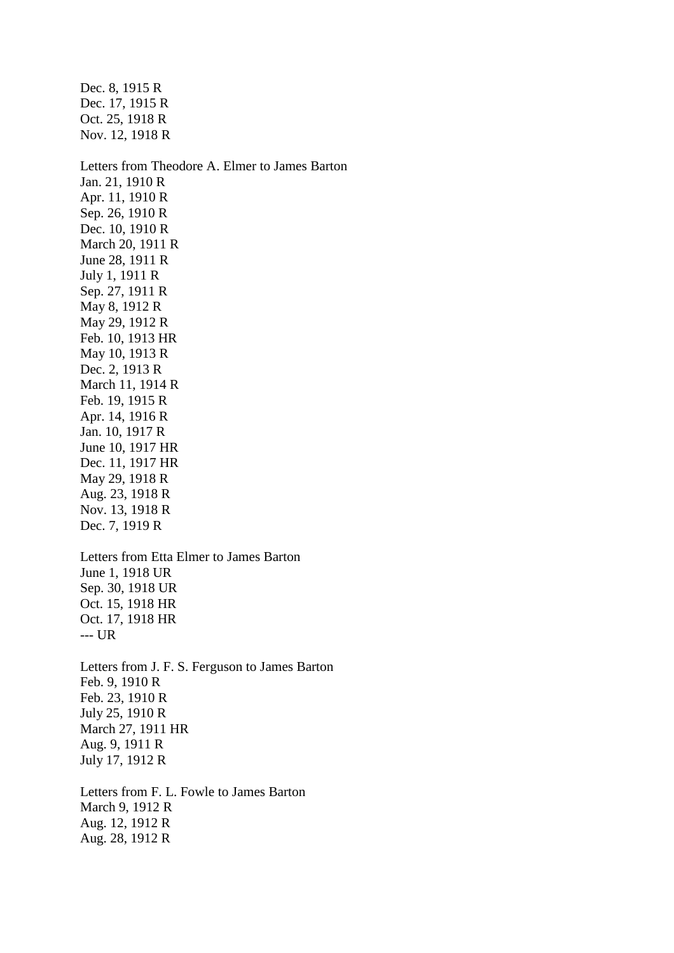Dec. 8, 1915 R Dec. 17, 1915 R Oct. 25, 1918 R Nov. 12, 1918 R Letters from Theodore A. Elmer to James Barton Jan. 21, 1910 R Apr. 11, 1910 R Sep. 26, 1910 R Dec. 10, 1910 R March 20, 1911 R June 28, 1911 R July 1, 1911 R Sep. 27, 1911 R May 8, 1912 R May 29, 1912 R Feb. 10, 1913 HR May 10, 1913 R Dec. 2, 1913 R March 11, 1914 R Feb. 19, 1915 R Apr. 14, 1916 R Jan. 10, 1917 R June 10, 1917 HR Dec. 11, 1917 HR May 29, 1918 R Aug. 23, 1918 R Nov. 13, 1918 R Dec. 7, 1919 R Letters from Etta Elmer to James Barton June 1, 1918 UR Sep. 30, 1918 UR Oct. 15, 1918 HR Oct. 17, 1918 HR --- UR Letters from J. F. S. Ferguson to James Barton Feb. 9, 1910 R Feb. 23, 1910 R July 25, 1910 R March 27, 1911 HR Aug. 9, 1911 R July 17, 1912 R Letters from F. L. Fowle to James Barton March 9, 1912 R Aug. 12, 1912 R Aug. 28, 1912 R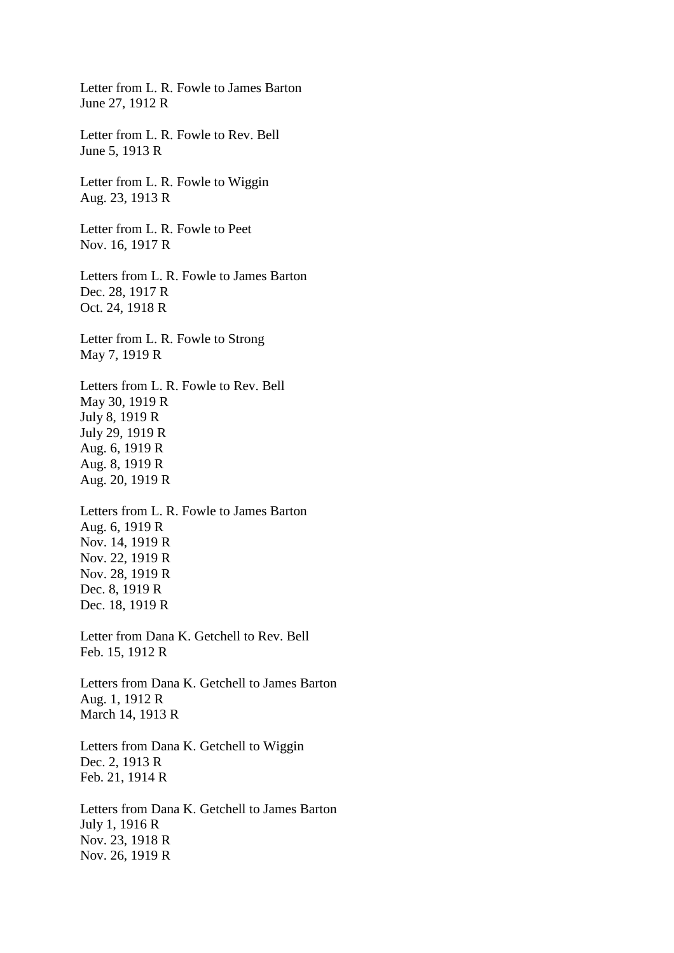Letter from L. R. Fowle to James Barton June 27, 1912 R

Letter from L. R. Fowle to Rev. Bell June 5, 1913 R

Letter from L. R. Fowle to Wiggin Aug. 23, 1913 R

Letter from L. R. Fowle to Peet Nov. 16, 1917 R

Letters from L. R. Fowle to James Barton Dec. 28, 1917 R Oct. 24, 1918 R

Letter from L. R. Fowle to Strong May 7, 1919 R

Letters from L. R. Fowle to Rev. Bell May 30, 1919 R July 8, 1919 R July 29, 1919 R Aug. 6, 1919 R Aug. 8, 1919 R Aug. 20, 1919 R

Letters from L. R. Fowle to James Barton Aug. 6, 1919 R Nov. 14, 1919 R Nov. 22, 1919 R Nov. 28, 1919 R Dec. 8, 1919 R Dec. 18, 1919 R

Letter from Dana K. Getchell to Rev. Bell Feb. 15, 1912 R

Letters from Dana K. Getchell to James Barton Aug. 1, 1912 R March 14, 1913 R

Letters from Dana K. Getchell to Wiggin Dec. 2, 1913 R Feb. 21, 1914 R

Letters from Dana K. Getchell to James Barton July 1, 1916 R Nov. 23, 1918 R Nov. 26, 1919 R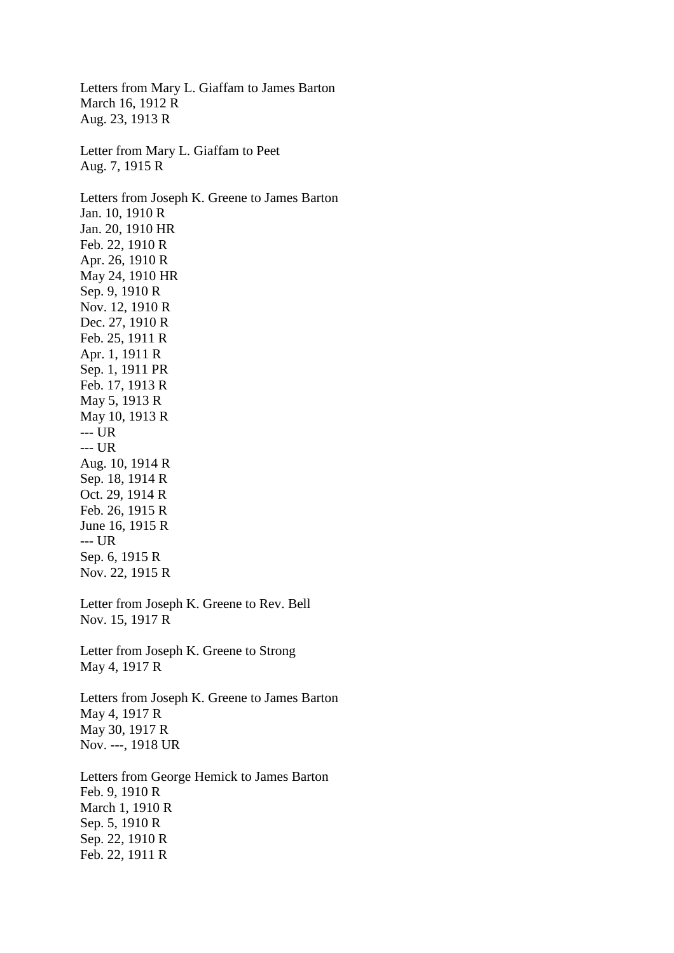Letters from Mary L. Giaffam to James Barton March 16, 1912 R Aug. 23, 1913 R Letter from Mary L. Giaffam to Peet Aug. 7, 1915 R Letters from Joseph K. Greene to James Barton Jan. 10, 1910 R Jan. 20, 1910 HR Feb. 22, 1910 R Apr. 26, 1910 R May 24, 1910 HR Sep. 9, 1910 R Nov. 12, 1910 R Dec. 27, 1910 R Feb. 25, 1911 R Apr. 1, 1911 R Sep. 1, 1911 PR Feb. 17, 1913 R May 5, 1913 R May 10, 1913 R --- UR --- UR Aug. 10, 1914 R Sep. 18, 1914 R Oct. 29, 1914 R Feb. 26, 1915 R June 16, 1915 R --- UR Sep. 6, 1915 R Nov. 22, 1915 R Letter from Joseph K. Greene to Rev. Bell Nov. 15, 1917 R Letter from Joseph K. Greene to Strong May 4, 1917 R Letters from Joseph K. Greene to James Barton May 4, 1917 R May 30, 1917 R Nov. ---, 1918 UR Letters from George Hemick to James Barton Feb. 9, 1910 R March 1, 1910 R Sep. 5, 1910 R Sep. 22, 1910 R Feb. 22, 1911 R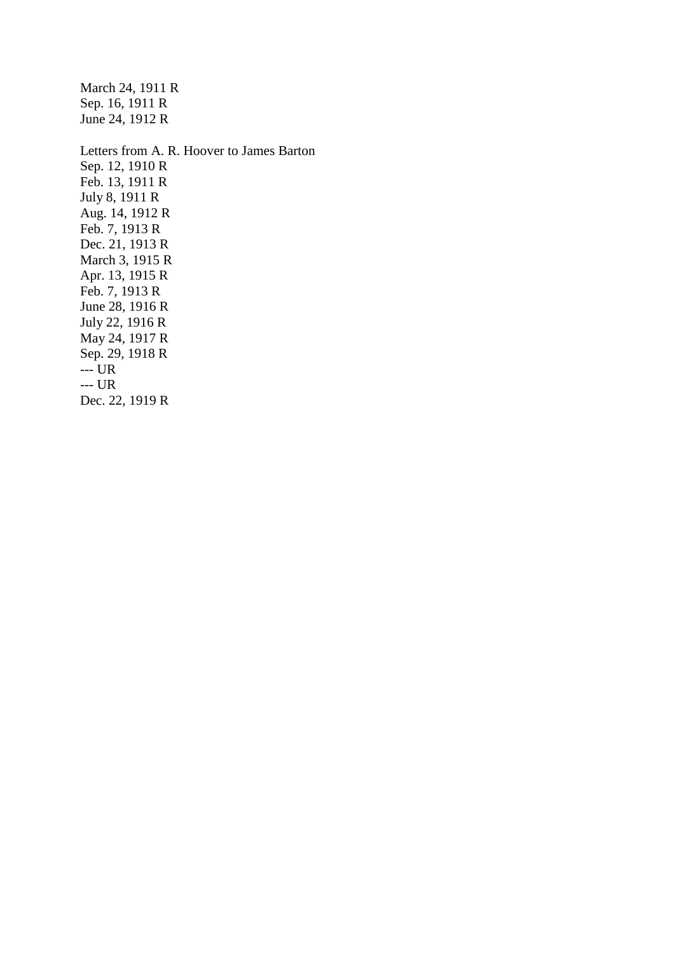Sep. 16, 1911 R June 24, 1912 R Letters from A. R. Hoover to James Barton Sep. 12, 1910 R Feb. 13, 1911 R July 8, 1911 R Aug. 14, 1912 R Feb. 7, 1913 R Dec. 21, 1913 R March 3, 1915 R Apr. 13, 1915 R Feb. 7, 1913 R June 28, 1916 R July 22, 1916 R May 24, 1917 R Sep. 29, 1918 R  $UR$ --- UR

March 24, 1911 R

Dec. 22, 1919 R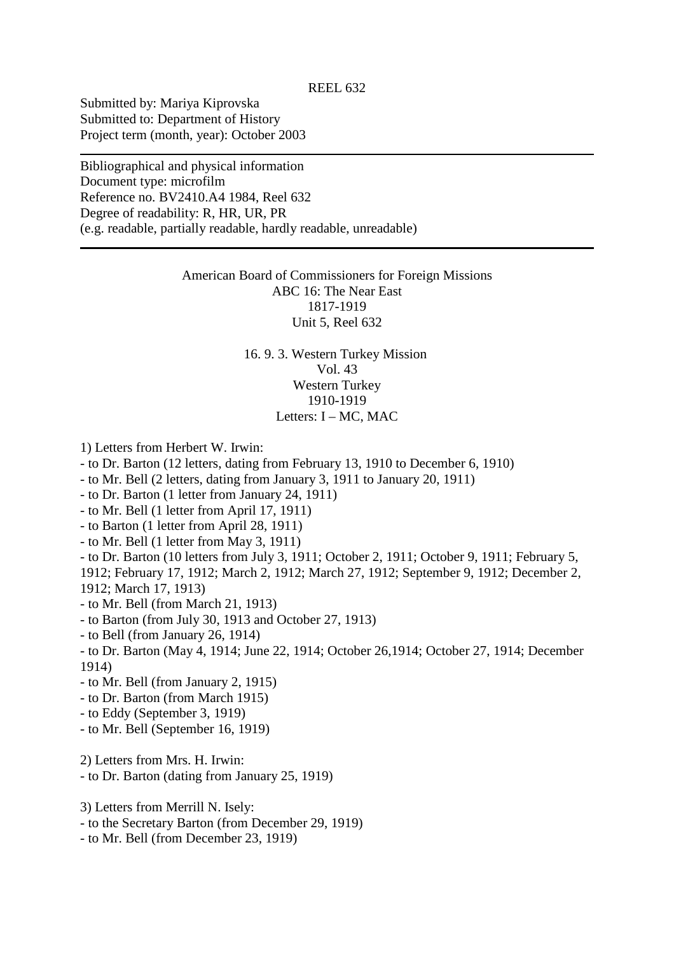Submitted by: Mariya Kiprovska Submitted to: Department of History Project term (month, year): October 2003

Bibliographical and physical information Document type: microfilm Reference no. BV2410.A4 1984, Reel 632 Degree of readability: R, HR, UR, PR (e.g. readable, partially readable, hardly readable, unreadable)

> American Board of Commissioners for Foreign Missions ABC 16: The Near East 1817-1919 Unit 5, Reel 632

> > 16. 9. 3. Western Turkey Mission Vol. 43 Western Turkey 1910-1919 Letters: I – MC, MAC

1) Letters from Herbert W. Irwin:

- to Dr. Barton (12 letters, dating from February 13, 1910 to December 6, 1910)

- to Mr. Bell (2 letters, dating from January 3, 1911 to January 20, 1911)

- to Dr. Barton (1 letter from January 24, 1911)

- to Mr. Bell (1 letter from April 17, 1911)

- to Barton (1 letter from April 28, 1911)

- to Mr. Bell (1 letter from May 3, 1911)

- to Dr. Barton (10 letters from July 3, 1911; October 2, 1911; October 9, 1911; February 5,

1912; February 17, 1912; March 2, 1912; March 27, 1912; September 9, 1912; December 2, 1912; March 17, 1913)

- to Mr. Bell (from March 21, 1913)

- to Barton (from July 30, 1913 and October 27, 1913)

- to Bell (from January 26, 1914)

- to Dr. Barton (May 4, 1914; June 22, 1914; October 26,1914; October 27, 1914; December 1914)

- to Mr. Bell (from January 2, 1915)

- to Dr. Barton (from March 1915)

- to Eddy (September 3, 1919)

- to Mr. Bell (September 16, 1919)

2) Letters from Mrs. H. Irwin:

- to Dr. Barton (dating from January 25, 1919)

3) Letters from Merrill N. Isely:

- to the Secretary Barton (from December 29, 1919)

- to Mr. Bell (from December 23, 1919)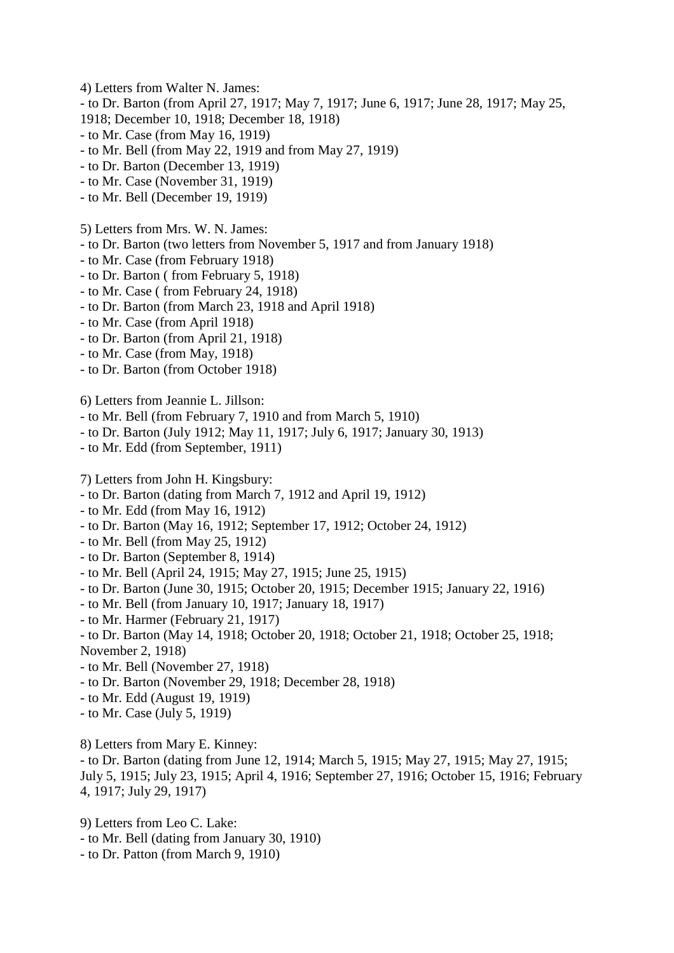4) Letters from Walter N. James:

- to Dr. Barton (from April 27, 1917; May 7, 1917; June 6, 1917; June 28, 1917; May 25,

- 1918; December 10, 1918; December 18, 1918)
- to Mr. Case (from May 16, 1919)
- to Mr. Bell (from May 22, 1919 and from May 27, 1919)
- to Dr. Barton (December 13, 1919)
- to Mr. Case (November 31, 1919)
- to Mr. Bell (December 19, 1919)
- 5) Letters from Mrs. W. N. James:
- to Dr. Barton (two letters from November 5, 1917 and from January 1918)
- to Mr. Case (from February 1918)
- to Dr. Barton ( from February 5, 1918)
- to Mr. Case ( from February 24, 1918)
- to Dr. Barton (from March 23, 1918 and April 1918)
- to Mr. Case (from April 1918)
- to Dr. Barton (from April 21, 1918)
- to Mr. Case (from May, 1918)
- to Dr. Barton (from October 1918)

6) Letters from Jeannie L. Jillson:

- to Mr. Bell (from February 7, 1910 and from March 5, 1910)
- to Dr. Barton (July 1912; May 11, 1917; July 6, 1917; January 30, 1913)
- to Mr. Edd (from September, 1911)

7) Letters from John H. Kingsbury:

- to Dr. Barton (dating from March 7, 1912 and April 19, 1912)
- to Mr. Edd (from May 16, 1912)
- to Dr. Barton (May 16, 1912; September 17, 1912; October 24, 1912)
- to Mr. Bell (from May 25, 1912)
- to Dr. Barton (September 8, 1914)
- to Mr. Bell (April 24, 1915; May 27, 1915; June 25, 1915)
- to Dr. Barton (June 30, 1915; October 20, 1915; December 1915; January 22, 1916)
- to Mr. Bell (from January 10, 1917; January 18, 1917)
- to Mr. Harmer (February 21, 1917)
- to Dr. Barton (May 14, 1918; October 20, 1918; October 21, 1918; October 25, 1918; November 2, 1918)
- to Mr. Bell (November 27, 1918)
- to Dr. Barton (November 29, 1918; December 28, 1918)
- to Mr. Edd (August 19, 1919)
- to Mr. Case (July 5, 1919)

8) Letters from Mary E. Kinney:

- to Dr. Barton (dating from June 12, 1914; March 5, 1915; May 27, 1915; May 27, 1915; July 5, 1915; July 23, 1915; April 4, 1916; September 27, 1916; October 15, 1916; February 4, 1917; July 29, 1917)

9) Letters from Leo C. Lake:

- to Mr. Bell (dating from January 30, 1910)
- to Dr. Patton (from March 9, 1910)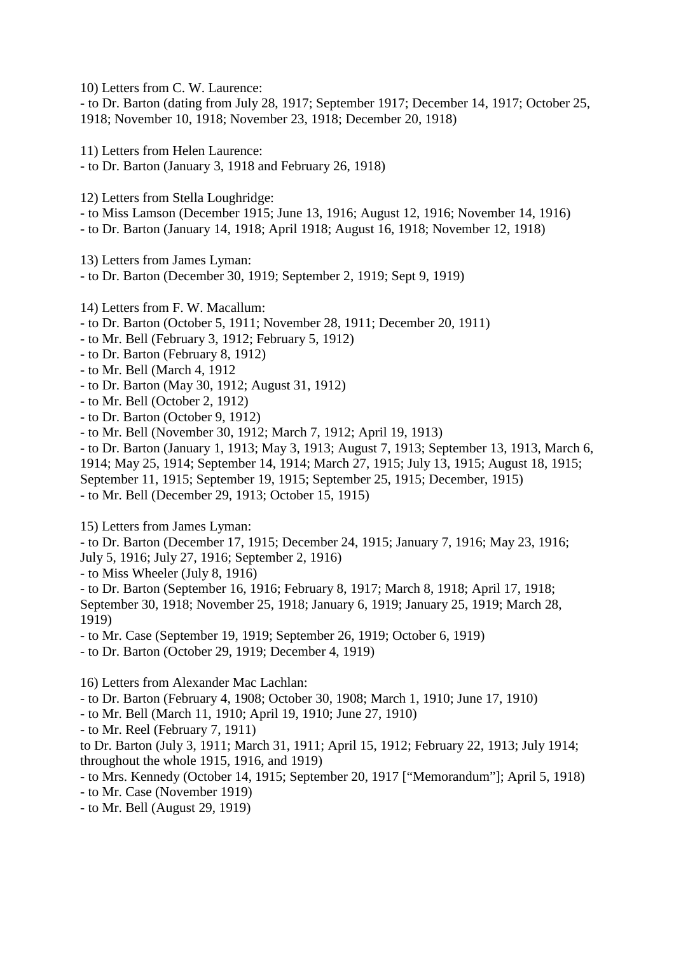10) Letters from C. W. Laurence:

- to Dr. Barton (dating from July 28, 1917; September 1917; December 14, 1917; October 25, 1918; November 10, 1918; November 23, 1918; December 20, 1918)

11) Letters from Helen Laurence:

- to Dr. Barton (January 3, 1918 and February 26, 1918)

12) Letters from Stella Loughridge:

- to Miss Lamson (December 1915; June 13, 1916; August 12, 1916; November 14, 1916)
- to Dr. Barton (January 14, 1918; April 1918; August 16, 1918; November 12, 1918)

13) Letters from James Lyman:

- to Dr. Barton (December 30, 1919; September 2, 1919; Sept 9, 1919)
- 14) Letters from F. W. Macallum:
- to Dr. Barton (October 5, 1911; November 28, 1911; December 20, 1911)
- to Mr. Bell (February 3, 1912; February 5, 1912)
- to Dr. Barton (February 8, 1912)
- to Mr. Bell (March 4, 1912
- to Dr. Barton (May 30, 1912; August 31, 1912)
- to Mr. Bell (October 2, 1912)
- to Dr. Barton (October 9, 1912)
- to Mr. Bell (November 30, 1912; March 7, 1912; April 19, 1913)
- to Dr. Barton (January 1, 1913; May 3, 1913; August 7, 1913; September 13, 1913, March 6, 1914; May 25, 1914; September 14, 1914; March 27, 1915; July 13, 1915; August 18, 1915;
- September 11, 1915; September 19, 1915; September 25, 1915; December, 1915)

- to Mr. Bell (December 29, 1913; October 15, 1915)

15) Letters from James Lyman:

- to Dr. Barton (December 17, 1915; December 24, 1915; January 7, 1916; May 23, 1916; July 5, 1916; July 27, 1916; September 2, 1916)

- to Miss Wheeler (July 8, 1916)

- to Dr. Barton (September 16, 1916; February 8, 1917; March 8, 1918; April 17, 1918; September 30, 1918; November 25, 1918; January 6, 1919; January 25, 1919; March 28, 1919)

- to Mr. Case (September 19, 1919; September 26, 1919; October 6, 1919)
- to Dr. Barton (October 29, 1919; December 4, 1919)

16) Letters from Alexander Mac Lachlan:

- to Dr. Barton (February 4, 1908; October 30, 1908; March 1, 1910; June 17, 1910)

- to Mr. Bell (March 11, 1910; April 19, 1910; June 27, 1910)
- to Mr. Reel (February 7, 1911)

to Dr. Barton (July 3, 1911; March 31, 1911; April 15, 1912; February 22, 1913; July 1914; throughout the whole 1915, 1916, and 1919)

- to Mrs. Kennedy (October 14, 1915; September 20, 1917 ["Memorandum"]; April 5, 1918)
- to Mr. Case (November 1919)
- to Mr. Bell (August 29, 1919)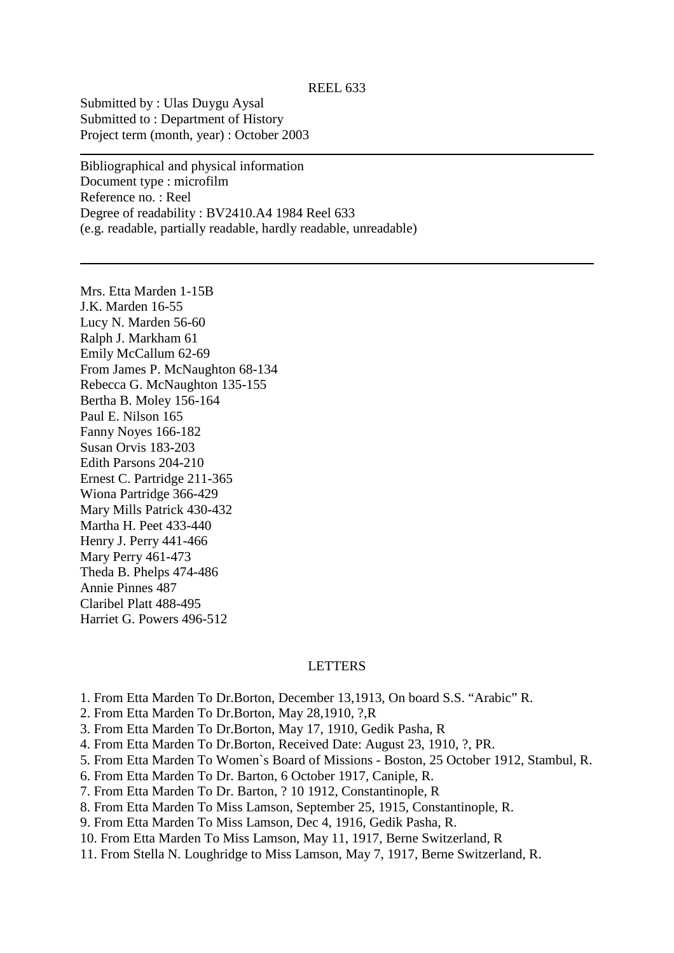Submitted by : Ulas Duygu Aysal Submitted to : Department of History Project term (month, year) : October 2003

Bibliographical and physical information Document type : microfilm Reference no. : Reel Degree of readability : BV2410.A4 1984 Reel 633 (e.g. readable, partially readable, hardly readable, unreadable)

Mrs. Etta Marden 1-15B J.K. Marden 16-55 Lucy N. Marden 56-60 Ralph J. Markham 61 Emily McCallum 62-69 From James P. McNaughton 68-134 Rebecca G. McNaughton 135-155 Bertha B. Moley 156-164 Paul E. Nilson 165 Fanny Noyes 166-182 Susan Orvis 183-203 Edith Parsons 204-210 Ernest C. Partridge 211-365 Wiona Partridge 366-429 Mary Mills Patrick 430-432 Martha H. Peet 433-440 Henry J. Perry 441-466 Mary Perry 461-473 Theda B. Phelps 474-486 Annie Pinnes 487 Claribel Platt 488-495 Harriet G. Powers 496-512

### LETTERS

- 1. From Etta Marden To Dr.Borton, December 13,1913, On board S.S. "Arabic" R.
- 2. From Etta Marden To Dr.Borton, May 28,1910, ?,R
- 3. From Etta Marden To Dr.Borton, May 17, 1910, Gedik Pasha, R
- 4. From Etta Marden To Dr.Borton, Received Date: August 23, 1910, ?, PR.
- 5. From Etta Marden To Women`s Board of Missions Boston, 25 October 1912, Stambul, R.
- 6. From Etta Marden To Dr. Barton, 6 October 1917, Caniple, R.
- 7. From Etta Marden To Dr. Barton, ? 10 1912, Constantinople, R
- 8. From Etta Marden To Miss Lamson, September 25, 1915, Constantinople, R.
- 9. From Etta Marden To Miss Lamson, Dec 4, 1916, Gedik Pasha, R.
- 10. From Etta Marden To Miss Lamson, May 11, 1917, Berne Switzerland, R
- 11. From Stella N. Loughridge to Miss Lamson, May 7, 1917, Berne Switzerland, R.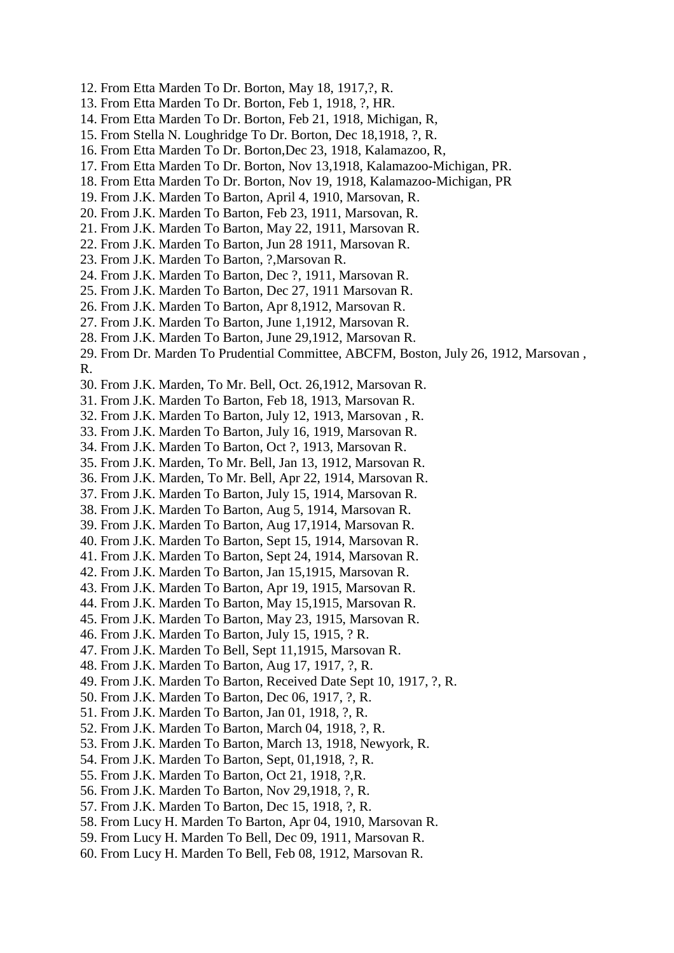- 12. From Etta Marden To Dr. Borton, May 18, 1917,?, R.
- 13. From Etta Marden To Dr. Borton, Feb 1, 1918, ?, HR.
- 14. From Etta Marden To Dr. Borton, Feb 21, 1918, Michigan, R,
- 15. From Stella N. Loughridge To Dr. Borton, Dec 18,1918, ?, R.
- 16. From Etta Marden To Dr. Borton,Dec 23, 1918, Kalamazoo, R,
- 17. From Etta Marden To Dr. Borton, Nov 13,1918, Kalamazoo-Michigan, PR.
- 18. From Etta Marden To Dr. Borton, Nov 19, 1918, Kalamazoo-Michigan, PR
- 19. From J.K. Marden To Barton, April 4, 1910, Marsovan, R.
- 20. From J.K. Marden To Barton, Feb 23, 1911, Marsovan, R.
- 21. From J.K. Marden To Barton, May 22, 1911, Marsovan R.
- 22. From J.K. Marden To Barton, Jun 28 1911, Marsovan R.
- 23. From J.K. Marden To Barton, ?,Marsovan R.
- 24. From J.K. Marden To Barton, Dec ?, 1911, Marsovan R.
- 25. From J.K. Marden To Barton, Dec 27, 1911 Marsovan R.
- 26. From J.K. Marden To Barton, Apr 8,1912, Marsovan R.
- 27. From J.K. Marden To Barton, June 1,1912, Marsovan R.
- 28. From J.K. Marden To Barton, June 29,1912, Marsovan R.

29. From Dr. Marden To Prudential Committee, ABCFM, Boston, July 26, 1912, Marsovan , R.

- 30. From J.K. Marden, To Mr. Bell, Oct. 26,1912, Marsovan R.
- 31. From J.K. Marden To Barton, Feb 18, 1913, Marsovan R.
- 32. From J.K. Marden To Barton, July 12, 1913, Marsovan , R.
- 33. From J.K. Marden To Barton, July 16, 1919, Marsovan R.
- 34. From J.K. Marden To Barton, Oct ?, 1913, Marsovan R.
- 35. From J.K. Marden, To Mr. Bell, Jan 13, 1912, Marsovan R.
- 36. From J.K. Marden, To Mr. Bell, Apr 22, 1914, Marsovan R.
- 37. From J.K. Marden To Barton, July 15, 1914, Marsovan R.
- 38. From J.K. Marden To Barton, Aug 5, 1914, Marsovan R.
- 39. From J.K. Marden To Barton, Aug 17,1914, Marsovan R.
- 40. From J.K. Marden To Barton, Sept 15, 1914, Marsovan R.
- 41. From J.K. Marden To Barton, Sept 24, 1914, Marsovan R.
- 42. From J.K. Marden To Barton, Jan 15,1915, Marsovan R.
- 43. From J.K. Marden To Barton, Apr 19, 1915, Marsovan R.
- 44. From J.K. Marden To Barton, May 15,1915, Marsovan R.
- 45. From J.K. Marden To Barton, May 23, 1915, Marsovan R.
- 46. From J.K. Marden To Barton, July 15, 1915, ? R.
- 47. From J.K. Marden To Bell, Sept 11,1915, Marsovan R.
- 48. From J.K. Marden To Barton, Aug 17, 1917, ?, R.
- 49. From J.K. Marden To Barton, Received Date Sept 10, 1917, ?, R.
- 50. From J.K. Marden To Barton, Dec 06, 1917, ?, R.
- 51. From J.K. Marden To Barton, Jan 01, 1918, ?, R.
- 52. From J.K. Marden To Barton, March 04, 1918, ?, R.
- 53. From J.K. Marden To Barton, March 13, 1918, Newyork, R.
- 54. From J.K. Marden To Barton, Sept, 01,1918, ?, R.
- 55. From J.K. Marden To Barton, Oct 21, 1918, ?,R.
- 56. From J.K. Marden To Barton, Nov 29,1918, ?, R.
- 57. From J.K. Marden To Barton, Dec 15, 1918, ?, R.
- 58. From Lucy H. Marden To Barton, Apr 04, 1910, Marsovan R.
- 59. From Lucy H. Marden To Bell, Dec 09, 1911, Marsovan R.
- 60. From Lucy H. Marden To Bell, Feb 08, 1912, Marsovan R.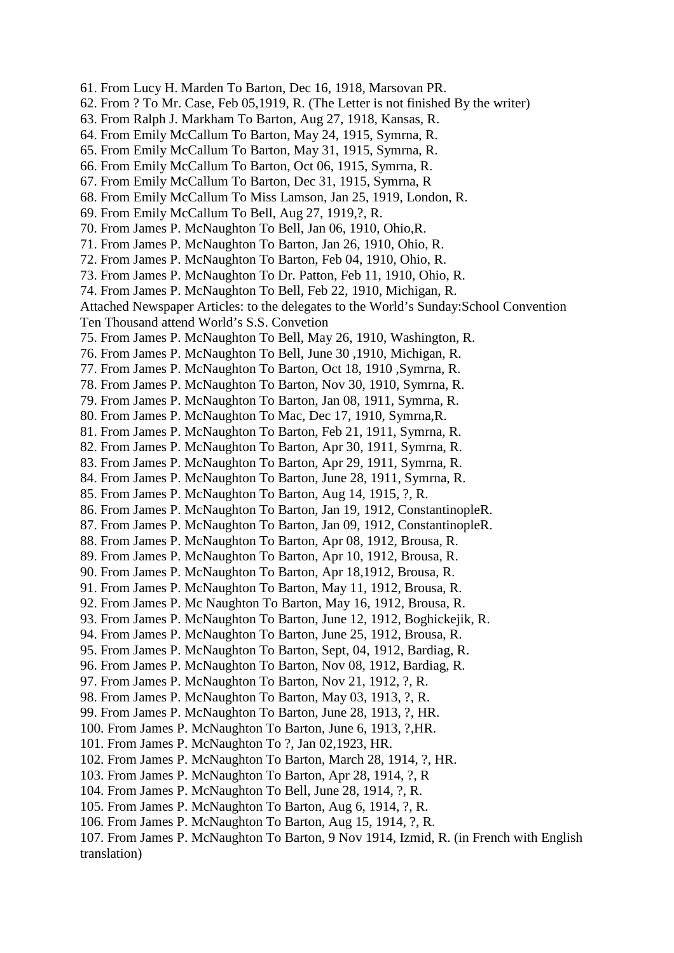- 61. From Lucy H. Marden To Barton, Dec 16, 1918, Marsovan PR.
- 62. From ? To Mr. Case, Feb 05,1919, R. (The Letter is not finished By the writer)
- 63. From Ralph J. Markham To Barton, Aug 27, 1918, Kansas, R.
- 64. From Emily McCallum To Barton, May 24, 1915, Symrna, R.
- 65. From Emily McCallum To Barton, May 31, 1915, Symrna, R.
- 66. From Emily McCallum To Barton, Oct 06, 1915, Symrna, R.
- 67. From Emily McCallum To Barton, Dec 31, 1915, Symrna, R
- 68. From Emily McCallum To Miss Lamson, Jan 25, 1919, London, R.
- 69. From Emily McCallum To Bell, Aug 27, 1919,?, R.
- 70. From James P. McNaughton To Bell, Jan 06, 1910, Ohio,R.
- 71. From James P. McNaughton To Barton, Jan 26, 1910, Ohio, R.
- 72. From James P. McNaughton To Barton, Feb 04, 1910, Ohio, R.
- 73. From James P. McNaughton To Dr. Patton, Feb 11, 1910, Ohio, R.
- 74. From James P. McNaughton To Bell, Feb 22, 1910, Michigan, R.
- Attached Newspaper Articles: to the delegates to the World's Sunday:School Convention Ten Thousand attend World's S.S. Convetion
- 75. From James P. McNaughton To Bell, May 26, 1910, Washington, R.
- 76. From James P. McNaughton To Bell, June 30 ,1910, Michigan, R.
- 77. From James P. McNaughton To Barton, Oct 18, 1910 ,Symrna, R.
- 78. From James P. McNaughton To Barton, Nov 30, 1910, Symrna, R.
- 79. From James P. McNaughton To Barton, Jan 08, 1911, Symrna, R.
- 80. From James P. McNaughton To Mac, Dec 17, 1910, Symrna,R.
- 81. From James P. McNaughton To Barton, Feb 21, 1911, Symrna, R.
- 82. From James P. McNaughton To Barton, Apr 30, 1911, Symrna, R.
- 83. From James P. McNaughton To Barton, Apr 29, 1911, Symrna, R.
- 84. From James P. McNaughton To Barton, June 28, 1911, Symrna, R.
- 85. From James P. McNaughton To Barton, Aug 14, 1915, ?, R.
- 86. From James P. McNaughton To Barton, Jan 19, 1912, ConstantinopleR.
- 87. From James P. McNaughton To Barton, Jan 09, 1912, ConstantinopleR.
- 88. From James P. McNaughton To Barton, Apr 08, 1912, Brousa, R.
- 89. From James P. McNaughton To Barton, Apr 10, 1912, Brousa, R.
- 90. From James P. McNaughton To Barton, Apr 18,1912, Brousa, R.
- 91. From James P. McNaughton To Barton, May 11, 1912, Brousa, R.
- 92. From James P. Mc Naughton To Barton, May 16, 1912, Brousa, R.
- 93. From James P. McNaughton To Barton, June 12, 1912, Boghickejik, R.
- 94. From James P. McNaughton To Barton, June 25, 1912, Brousa, R.
- 95. From James P. McNaughton To Barton, Sept, 04, 1912, Bardiag, R.
- 96. From James P. McNaughton To Barton, Nov 08, 1912, Bardiag, R.
- 97. From James P. McNaughton To Barton, Nov 21, 1912, ?, R.
- 98. From James P. McNaughton To Barton, May 03, 1913, ?, R.
- 99. From James P. McNaughton To Barton, June 28, 1913, ?, HR.
- 100. From James P. McNaughton To Barton, June 6, 1913, ?,HR.
- 101. From James P. McNaughton To ?, Jan 02,1923, HR.
- 102. From James P. McNaughton To Barton, March 28, 1914, ?, HR.
- 103. From James P. McNaughton To Barton, Apr 28, 1914, ?, R
- 104. From James P. McNaughton To Bell, June 28, 1914, ?, R.
- 105. From James P. McNaughton To Barton, Aug 6, 1914, ?, R.
- 106. From James P. McNaughton To Barton, Aug 15, 1914, ?, R.

107. From James P. McNaughton To Barton, 9 Nov 1914, Izmid, R. (in French with English translation)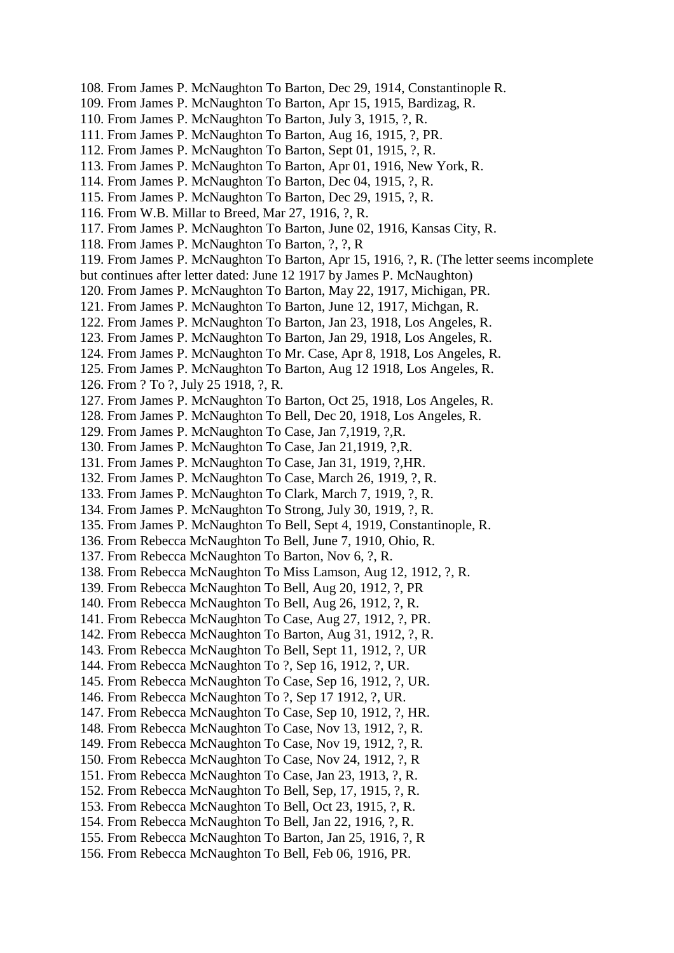108. From James P. McNaughton To Barton, Dec 29, 1914, Constantinople R. 109. From James P. McNaughton To Barton, Apr 15, 1915, Bardizag, R. 110. From James P. McNaughton To Barton, July 3, 1915, ?, R. 111. From James P. McNaughton To Barton, Aug 16, 1915, ?, PR. 112. From James P. McNaughton To Barton, Sept 01, 1915, ?, R. 113. From James P. McNaughton To Barton, Apr 01, 1916, New York, R. 114. From James P. McNaughton To Barton, Dec 04, 1915, ?, R. 115. From James P. McNaughton To Barton, Dec 29, 1915, ?, R. 116. From W.B. Millar to Breed, Mar 27, 1916, ?, R. 117. From James P. McNaughton To Barton, June 02, 1916, Kansas City, R. 118. From James P. McNaughton To Barton, ?, ?, R 119. From James P. McNaughton To Barton, Apr 15, 1916, ?, R. (The letter seems incomplete but continues after letter dated: June 12 1917 by James P. McNaughton) 120. From James P. McNaughton To Barton, May 22, 1917, Michigan, PR. 121. From James P. McNaughton To Barton, June 12, 1917, Michgan, R. 122. From James P. McNaughton To Barton, Jan 23, 1918, Los Angeles, R. 123. From James P. McNaughton To Barton, Jan 29, 1918, Los Angeles, R. 124. From James P. McNaughton To Mr. Case, Apr 8, 1918, Los Angeles, R. 125. From James P. McNaughton To Barton, Aug 12 1918, Los Angeles, R. 126. From ? To ?, July 25 1918, ?, R. 127. From James P. McNaughton To Barton, Oct 25, 1918, Los Angeles, R. 128. From James P. McNaughton To Bell, Dec 20, 1918, Los Angeles, R. 129. From James P. McNaughton To Case, Jan 7,1919, ?,R. 130. From James P. McNaughton To Case, Jan 21,1919, ?,R. 131. From James P. McNaughton To Case, Jan 31, 1919, ?,HR. 132. From James P. McNaughton To Case, March 26, 1919, ?, R. 133. From James P. McNaughton To Clark, March 7, 1919, ?, R. 134. From James P. McNaughton To Strong, July 30, 1919, ?, R. 135. From James P. McNaughton To Bell, Sept 4, 1919, Constantinople, R. 136. From Rebecca McNaughton To Bell, June 7, 1910, Ohio, R. 137. From Rebecca McNaughton To Barton, Nov 6, ?, R. 138. From Rebecca McNaughton To Miss Lamson, Aug 12, 1912, ?, R. 139. From Rebecca McNaughton To Bell, Aug 20, 1912, ?, PR 140. From Rebecca McNaughton To Bell, Aug 26, 1912, ?, R. 141. From Rebecca McNaughton To Case, Aug 27, 1912, ?, PR. 142. From Rebecca McNaughton To Barton, Aug 31, 1912, ?, R. 143. From Rebecca McNaughton To Bell, Sept 11, 1912, ?, UR 144. From Rebecca McNaughton To ?, Sep 16, 1912, ?, UR. 145. From Rebecca McNaughton To Case, Sep 16, 1912, ?, UR. 146. From Rebecca McNaughton To ?, Sep 17 1912, ?, UR. 147. From Rebecca McNaughton To Case, Sep 10, 1912, ?, HR. 148. From Rebecca McNaughton To Case, Nov 13, 1912, ?, R. 149. From Rebecca McNaughton To Case, Nov 19, 1912, ?, R. 150. From Rebecca McNaughton To Case, Nov 24, 1912, ?, R 151. From Rebecca McNaughton To Case, Jan 23, 1913, ?, R. 152. From Rebecca McNaughton To Bell, Sep, 17, 1915, ?, R. 153. From Rebecca McNaughton To Bell, Oct 23, 1915, ?, R. 154. From Rebecca McNaughton To Bell, Jan 22, 1916, ?, R. 155. From Rebecca McNaughton To Barton, Jan 25, 1916, ?, R 156. From Rebecca McNaughton To Bell, Feb 06, 1916, PR.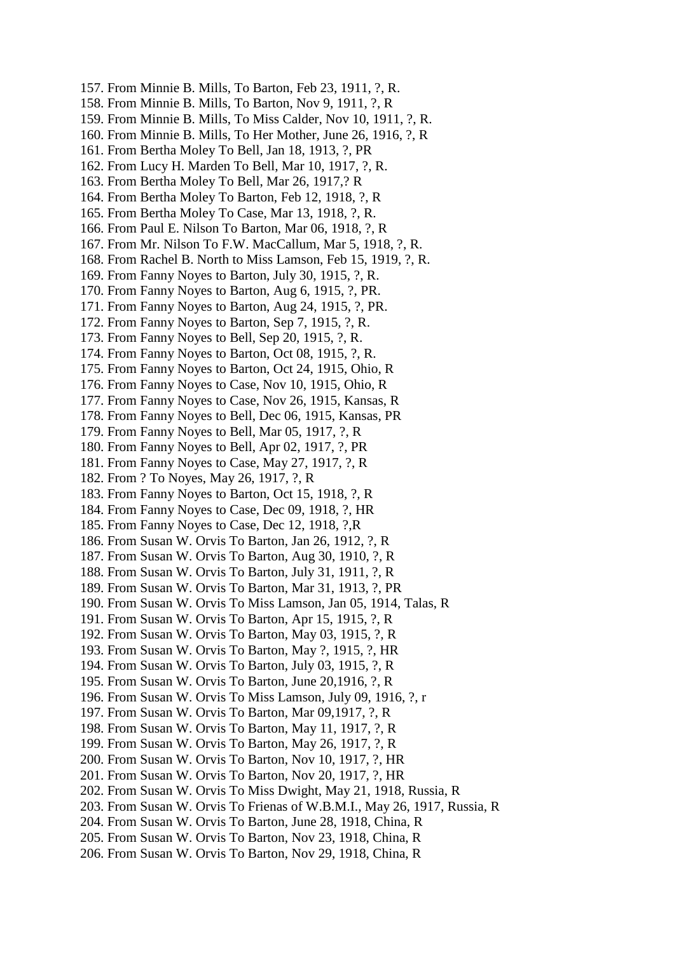- 157. From Minnie B. Mills, To Barton, Feb 23, 1911, ?, R.
- 158. From Minnie B. Mills, To Barton, Nov 9, 1911, ?, R
- 159. From Minnie B. Mills, To Miss Calder, Nov 10, 1911, ?, R.
- 160. From Minnie B. Mills, To Her Mother, June 26, 1916, ?, R
- 161. From Bertha Moley To Bell, Jan 18, 1913, ?, PR
- 162. From Lucy H. Marden To Bell, Mar 10, 1917, ?, R.
- 163. From Bertha Moley To Bell, Mar 26, 1917,? R
- 164. From Bertha Moley To Barton, Feb 12, 1918, ?, R
- 165. From Bertha Moley To Case, Mar 13, 1918, ?, R.
- 166. From Paul E. Nilson To Barton, Mar 06, 1918, ?, R
- 167. From Mr. Nilson To F.W. MacCallum, Mar 5, 1918, ?, R.
- 168. From Rachel B. North to Miss Lamson, Feb 15, 1919, ?, R.
- 169. From Fanny Noyes to Barton, July 30, 1915, ?, R.
- 170. From Fanny Noyes to Barton, Aug 6, 1915, ?, PR.
- 171. From Fanny Noyes to Barton, Aug 24, 1915, ?, PR.
- 172. From Fanny Noyes to Barton, Sep 7, 1915, ?, R.
- 173. From Fanny Noyes to Bell, Sep 20, 1915, ?, R.
- 174. From Fanny Noyes to Barton, Oct 08, 1915, ?, R.
- 175. From Fanny Noyes to Barton, Oct 24, 1915, Ohio, R
- 176. From Fanny Noyes to Case, Nov 10, 1915, Ohio, R
- 177. From Fanny Noyes to Case, Nov 26, 1915, Kansas, R
- 178. From Fanny Noyes to Bell, Dec 06, 1915, Kansas, PR
- 179. From Fanny Noyes to Bell, Mar 05, 1917, ?, R
- 180. From Fanny Noyes to Bell, Apr 02, 1917, ?, PR
- 181. From Fanny Noyes to Case, May 27, 1917, ?, R
- 182. From ? To Noyes, May 26, 1917, ?, R
- 183. From Fanny Noyes to Barton, Oct 15, 1918, ?, R
- 184. From Fanny Noyes to Case, Dec 09, 1918, ?, HR
- 185. From Fanny Noyes to Case, Dec 12, 1918, ?,R
- 186. From Susan W. Orvis To Barton, Jan 26, 1912, ?, R
- 187. From Susan W. Orvis To Barton, Aug 30, 1910, ?, R
- 188. From Susan W. Orvis To Barton, July 31, 1911, ?, R
- 189. From Susan W. Orvis To Barton, Mar 31, 1913, ?, PR
- 190. From Susan W. Orvis To Miss Lamson, Jan 05, 1914, Talas, R
- 191. From Susan W. Orvis To Barton, Apr 15, 1915, ?, R
- 192. From Susan W. Orvis To Barton, May 03, 1915, ?, R
- 193. From Susan W. Orvis To Barton, May ?, 1915, ?, HR
- 194. From Susan W. Orvis To Barton, July 03, 1915, ?, R
- 195. From Susan W. Orvis To Barton, June 20,1916, ?, R
- 196. From Susan W. Orvis To Miss Lamson, July 09, 1916, ?, r
- 197. From Susan W. Orvis To Barton, Mar 09,1917, ?, R
- 198. From Susan W. Orvis To Barton, May 11, 1917, ?, R
- 199. From Susan W. Orvis To Barton, May 26, 1917, ?, R
- 200. From Susan W. Orvis To Barton, Nov 10, 1917, ?, HR
- 201. From Susan W. Orvis To Barton, Nov 20, 1917, ?, HR
- 202. From Susan W. Orvis To Miss Dwight, May 21, 1918, Russia, R
- 203. From Susan W. Orvis To Frienas of W.B.M.I., May 26, 1917, Russia, R
- 204. From Susan W. Orvis To Barton, June 28, 1918, China, R
- 205. From Susan W. Orvis To Barton, Nov 23, 1918, China, R
- 206. From Susan W. Orvis To Barton, Nov 29, 1918, China, R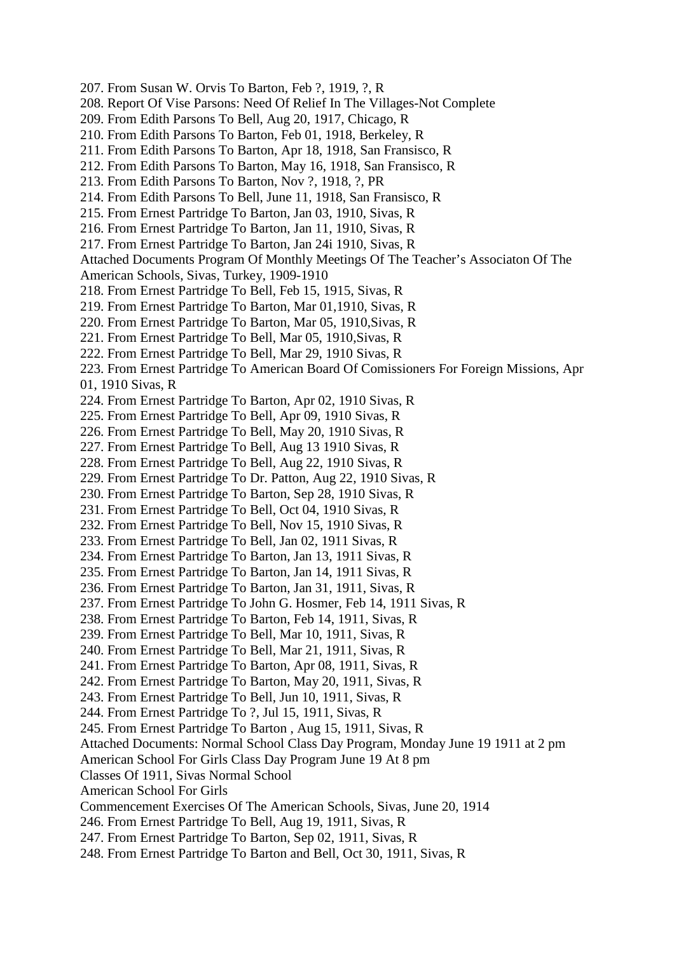- 207. From Susan W. Orvis To Barton, Feb ?, 1919, ?, R
- 208. Report Of Vise Parsons: Need Of Relief In The Villages-Not Complete
- 209. From Edith Parsons To Bell, Aug 20, 1917, Chicago, R
- 210. From Edith Parsons To Barton, Feb 01, 1918, Berkeley, R
- 211. From Edith Parsons To Barton, Apr 18, 1918, San Fransisco, R
- 212. From Edith Parsons To Barton, May 16, 1918, San Fransisco, R
- 213. From Edith Parsons To Barton, Nov ?, 1918, ?, PR
- 214. From Edith Parsons To Bell, June 11, 1918, San Fransisco, R
- 215. From Ernest Partridge To Barton, Jan 03, 1910, Sivas, R
- 216. From Ernest Partridge To Barton, Jan 11, 1910, Sivas, R
- 217. From Ernest Partridge To Barton, Jan 24i 1910, Sivas, R

Attached Documents Program Of Monthly Meetings Of The Teacher's Associaton Of The

- American Schools, Sivas, Turkey, 1909-1910
- 218. From Ernest Partridge To Bell, Feb 15, 1915, Sivas, R
- 219. From Ernest Partridge To Barton, Mar 01,1910, Sivas, R
- 220. From Ernest Partridge To Barton, Mar 05, 1910,Sivas, R
- 221. From Ernest Partridge To Bell, Mar 05, 1910,Sivas, R
- 222. From Ernest Partridge To Bell, Mar 29, 1910 Sivas, R

223. From Ernest Partridge To American Board Of Comissioners For Foreign Missions, Apr 01, 1910 Sivas, R

- 224. From Ernest Partridge To Barton, Apr 02, 1910 Sivas, R
- 225. From Ernest Partridge To Bell, Apr 09, 1910 Sivas, R
- 226. From Ernest Partridge To Bell, May 20, 1910 Sivas, R
- 227. From Ernest Partridge To Bell, Aug 13 1910 Sivas, R
- 228. From Ernest Partridge To Bell, Aug 22, 1910 Sivas, R
- 229. From Ernest Partridge To Dr. Patton, Aug 22, 1910 Sivas, R
- 230. From Ernest Partridge To Barton, Sep 28, 1910 Sivas, R
- 231. From Ernest Partridge To Bell, Oct 04, 1910 Sivas, R
- 232. From Ernest Partridge To Bell, Nov 15, 1910 Sivas, R
- 233. From Ernest Partridge To Bell, Jan 02, 1911 Sivas, R
- 234. From Ernest Partridge To Barton, Jan 13, 1911 Sivas, R
- 235. From Ernest Partridge To Barton, Jan 14, 1911 Sivas, R
- 236. From Ernest Partridge To Barton, Jan 31, 1911, Sivas, R
- 237. From Ernest Partridge To John G. Hosmer, Feb 14, 1911 Sivas, R
- 238. From Ernest Partridge To Barton, Feb 14, 1911, Sivas, R
- 239. From Ernest Partridge To Bell, Mar 10, 1911, Sivas, R
- 240. From Ernest Partridge To Bell, Mar 21, 1911, Sivas, R
- 241. From Ernest Partridge To Barton, Apr 08, 1911, Sivas, R
- 242. From Ernest Partridge To Barton, May 20, 1911, Sivas, R
- 243. From Ernest Partridge To Bell, Jun 10, 1911, Sivas, R
- 244. From Ernest Partridge To ?, Jul 15, 1911, Sivas, R
- 245. From Ernest Partridge To Barton , Aug 15, 1911, Sivas, R
- Attached Documents: Normal School Class Day Program, Monday June 19 1911 at 2 pm
- American School For Girls Class Day Program June 19 At 8 pm
- Classes Of 1911, Sivas Normal School
- American School For Girls
- Commencement Exercises Of The American Schools, Sivas, June 20, 1914
- 246. From Ernest Partridge To Bell, Aug 19, 1911, Sivas, R
- 247. From Ernest Partridge To Barton, Sep 02, 1911, Sivas, R
- 248. From Ernest Partridge To Barton and Bell, Oct 30, 1911, Sivas, R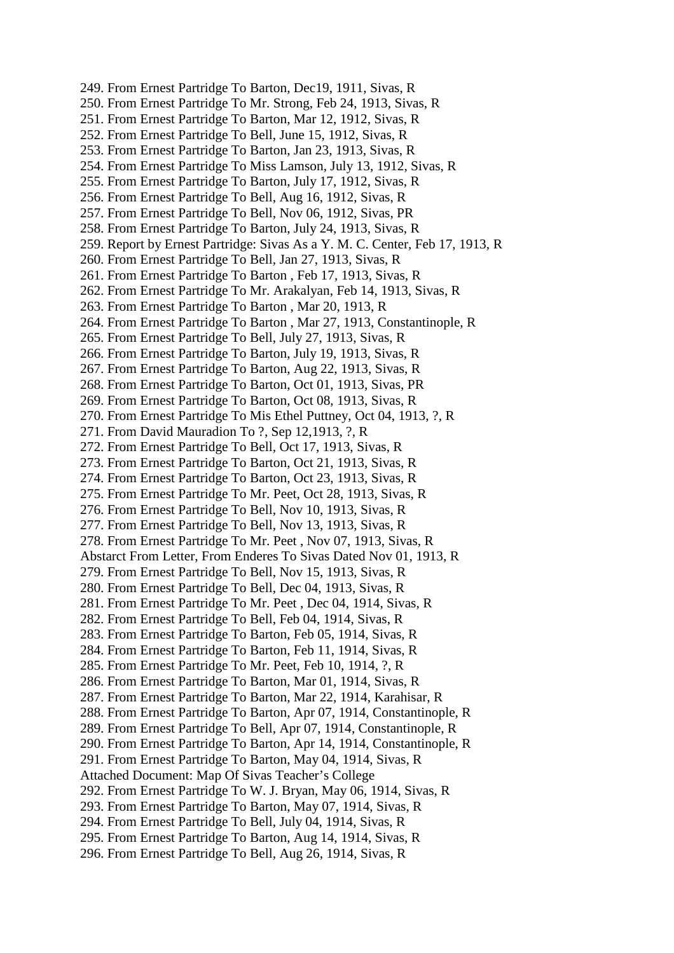249. From Ernest Partridge To Barton, Dec19, 1911, Sivas, R 250. From Ernest Partridge To Mr. Strong, Feb 24, 1913, Sivas, R 251. From Ernest Partridge To Barton, Mar 12, 1912, Sivas, R 252. From Ernest Partridge To Bell, June 15, 1912, Sivas, R 253. From Ernest Partridge To Barton, Jan 23, 1913, Sivas, R 254. From Ernest Partridge To Miss Lamson, July 13, 1912, Sivas, R 255. From Ernest Partridge To Barton, July 17, 1912, Sivas, R 256. From Ernest Partridge To Bell, Aug 16, 1912, Sivas, R 257. From Ernest Partridge To Bell, Nov 06, 1912, Sivas, PR 258. From Ernest Partridge To Barton, July 24, 1913, Sivas, R 259. Report by Ernest Partridge: Sivas As a Y. M. C. Center, Feb 17, 1913, R 260. From Ernest Partridge To Bell, Jan 27, 1913, Sivas, R 261. From Ernest Partridge To Barton , Feb 17, 1913, Sivas, R 262. From Ernest Partridge To Mr. Arakalyan, Feb 14, 1913, Sivas, R 263. From Ernest Partridge To Barton , Mar 20, 1913, R 264. From Ernest Partridge To Barton , Mar 27, 1913, Constantinople, R 265. From Ernest Partridge To Bell, July 27, 1913, Sivas, R 266. From Ernest Partridge To Barton, July 19, 1913, Sivas, R 267. From Ernest Partridge To Barton, Aug 22, 1913, Sivas, R 268. From Ernest Partridge To Barton, Oct 01, 1913, Sivas, PR 269. From Ernest Partridge To Barton, Oct 08, 1913, Sivas, R 270. From Ernest Partridge To Mis Ethel Puttney, Oct 04, 1913, ?, R 271. From David Mauradion To ?, Sep 12,1913, ?, R 272. From Ernest Partridge To Bell, Oct 17, 1913, Sivas, R 273. From Ernest Partridge To Barton, Oct 21, 1913, Sivas, R 274. From Ernest Partridge To Barton, Oct 23, 1913, Sivas, R 275. From Ernest Partridge To Mr. Peet, Oct 28, 1913, Sivas, R 276. From Ernest Partridge To Bell, Nov 10, 1913, Sivas, R 277. From Ernest Partridge To Bell, Nov 13, 1913, Sivas, R 278. From Ernest Partridge To Mr. Peet , Nov 07, 1913, Sivas, R Abstarct From Letter, From Enderes To Sivas Dated Nov 01, 1913, R 279. From Ernest Partridge To Bell, Nov 15, 1913, Sivas, R 280. From Ernest Partridge To Bell, Dec 04, 1913, Sivas, R 281. From Ernest Partridge To Mr. Peet , Dec 04, 1914, Sivas, R 282. From Ernest Partridge To Bell, Feb 04, 1914, Sivas, R 283. From Ernest Partridge To Barton, Feb 05, 1914, Sivas, R 284. From Ernest Partridge To Barton, Feb 11, 1914, Sivas, R 285. From Ernest Partridge To Mr. Peet, Feb 10, 1914, ?, R 286. From Ernest Partridge To Barton, Mar 01, 1914, Sivas, R 287. From Ernest Partridge To Barton, Mar 22, 1914, Karahisar, R 288. From Ernest Partridge To Barton, Apr 07, 1914, Constantinople, R 289. From Ernest Partridge To Bell, Apr 07, 1914, Constantinople, R 290. From Ernest Partridge To Barton, Apr 14, 1914, Constantinople, R 291. From Ernest Partridge To Barton, May 04, 1914, Sivas, R Attached Document: Map Of Sivas Teacher's College 292. From Ernest Partridge To W. J. Bryan, May 06, 1914, Sivas, R 293. From Ernest Partridge To Barton, May 07, 1914, Sivas, R 294. From Ernest Partridge To Bell, July 04, 1914, Sivas, R 295. From Ernest Partridge To Barton, Aug 14, 1914, Sivas, R 296. From Ernest Partridge To Bell, Aug 26, 1914, Sivas, R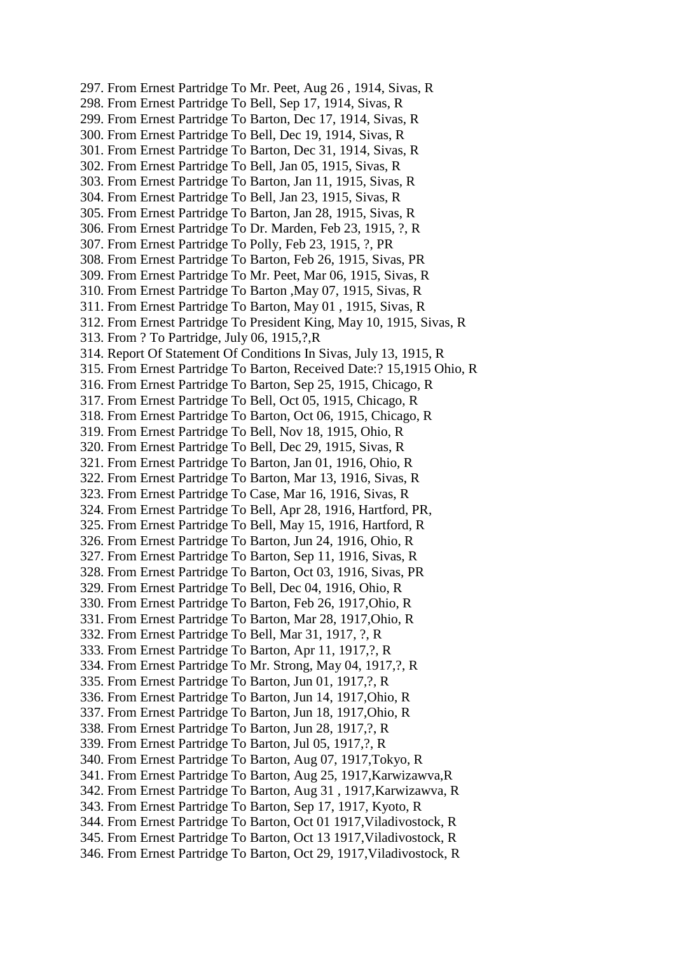297. From Ernest Partridge To Mr. Peet, Aug 26 , 1914, Sivas, R 298. From Ernest Partridge To Bell, Sep 17, 1914, Sivas, R 299. From Ernest Partridge To Barton, Dec 17, 1914, Sivas, R 300. From Ernest Partridge To Bell, Dec 19, 1914, Sivas, R 301. From Ernest Partridge To Barton, Dec 31, 1914, Sivas, R 302. From Ernest Partridge To Bell, Jan 05, 1915, Sivas, R 303. From Ernest Partridge To Barton, Jan 11, 1915, Sivas, R 304. From Ernest Partridge To Bell, Jan 23, 1915, Sivas, R 305. From Ernest Partridge To Barton, Jan 28, 1915, Sivas, R 306. From Ernest Partridge To Dr. Marden, Feb 23, 1915, ?, R 307. From Ernest Partridge To Polly, Feb 23, 1915, ?, PR 308. From Ernest Partridge To Barton, Feb 26, 1915, Sivas, PR 309. From Ernest Partridge To Mr. Peet, Mar 06, 1915, Sivas, R 310. From Ernest Partridge To Barton ,May 07, 1915, Sivas, R 311. From Ernest Partridge To Barton, May 01 , 1915, Sivas, R 312. From Ernest Partridge To President King, May 10, 1915, Sivas, R 313. From ? To Partridge, July 06, 1915,?,R 314. Report Of Statement Of Conditions In Sivas, July 13, 1915, R 315. From Ernest Partridge To Barton, Received Date:? 15,1915 Ohio, R 316. From Ernest Partridge To Barton, Sep 25, 1915, Chicago, R 317. From Ernest Partridge To Bell, Oct 05, 1915, Chicago, R 318. From Ernest Partridge To Barton, Oct 06, 1915, Chicago, R 319. From Ernest Partridge To Bell, Nov 18, 1915, Ohio, R 320. From Ernest Partridge To Bell, Dec 29, 1915, Sivas, R 321. From Ernest Partridge To Barton, Jan 01, 1916, Ohio, R 322. From Ernest Partridge To Barton, Mar 13, 1916, Sivas, R 323. From Ernest Partridge To Case, Mar 16, 1916, Sivas, R 324. From Ernest Partridge To Bell, Apr 28, 1916, Hartford, PR, 325. From Ernest Partridge To Bell, May 15, 1916, Hartford, R 326. From Ernest Partridge To Barton, Jun 24, 1916, Ohio, R 327. From Ernest Partridge To Barton, Sep 11, 1916, Sivas, R 328. From Ernest Partridge To Barton, Oct 03, 1916, Sivas, PR 329. From Ernest Partridge To Bell, Dec 04, 1916, Ohio, R 330. From Ernest Partridge To Barton, Feb 26, 1917,Ohio, R 331. From Ernest Partridge To Barton, Mar 28, 1917,Ohio, R 332. From Ernest Partridge To Bell, Mar 31, 1917, ?, R 333. From Ernest Partridge To Barton, Apr 11, 1917,?, R 334. From Ernest Partridge To Mr. Strong, May 04, 1917,?, R 335. From Ernest Partridge To Barton, Jun 01, 1917,?, R 336. From Ernest Partridge To Barton, Jun 14, 1917,Ohio, R 337. From Ernest Partridge To Barton, Jun 18, 1917,Ohio, R 338. From Ernest Partridge To Barton, Jun 28, 1917,?, R 339. From Ernest Partridge To Barton, Jul 05, 1917,?, R 340. From Ernest Partridge To Barton, Aug 07, 1917,Tokyo, R 341. From Ernest Partridge To Barton, Aug 25, 1917,Karwizawva,R 342. From Ernest Partridge To Barton, Aug 31 , 1917,Karwizawva, R 343. From Ernest Partridge To Barton, Sep 17, 1917, Kyoto, R 344. From Ernest Partridge To Barton, Oct 01 1917,Viladivostock, R 345. From Ernest Partridge To Barton, Oct 13 1917,Viladivostock, R 346. From Ernest Partridge To Barton, Oct 29, 1917,Viladivostock, R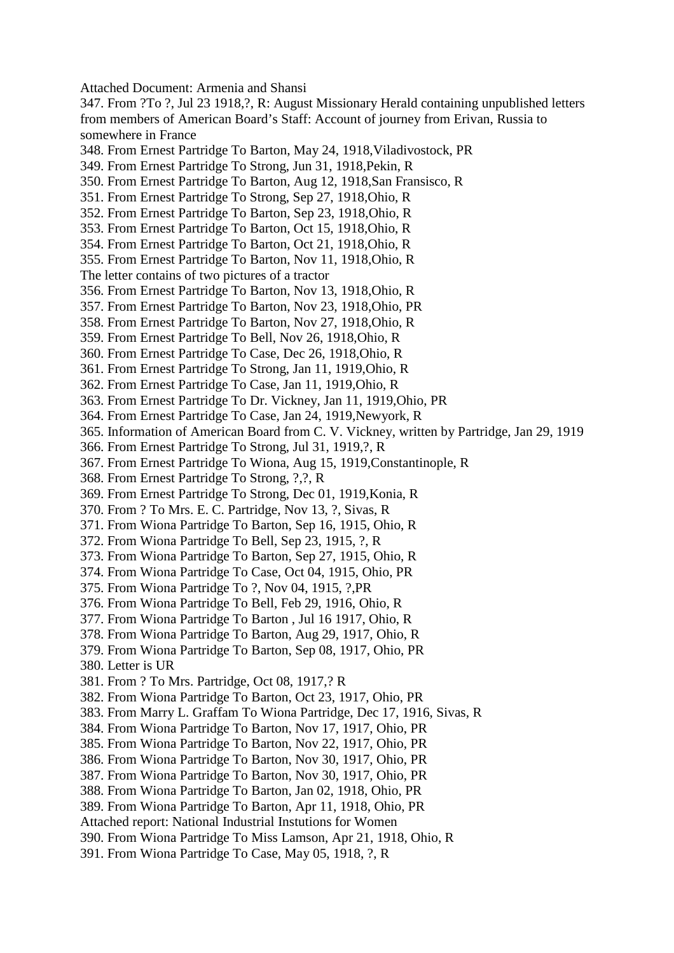Attached Document: Armenia and Shansi

347. From ?To ?, Jul 23 1918,?, R: August Missionary Herald containing unpublished letters from members of American Board's Staff: Account of journey from Erivan, Russia to somewhere in France

- 348. From Ernest Partridge To Barton, May 24, 1918,Viladivostock, PR
- 349. From Ernest Partridge To Strong, Jun 31, 1918,Pekin, R
- 350. From Ernest Partridge To Barton, Aug 12, 1918,San Fransisco, R
- 351. From Ernest Partridge To Strong, Sep 27, 1918,Ohio, R
- 352. From Ernest Partridge To Barton, Sep 23, 1918,Ohio, R
- 353. From Ernest Partridge To Barton, Oct 15, 1918,Ohio, R
- 354. From Ernest Partridge To Barton, Oct 21, 1918,Ohio, R
- 355. From Ernest Partridge To Barton, Nov 11, 1918,Ohio, R
- The letter contains of two pictures of a tractor
- 356. From Ernest Partridge To Barton, Nov 13, 1918,Ohio, R
- 357. From Ernest Partridge To Barton, Nov 23, 1918,Ohio, PR
- 358. From Ernest Partridge To Barton, Nov 27, 1918,Ohio, R
- 359. From Ernest Partridge To Bell, Nov 26, 1918,Ohio, R
- 360. From Ernest Partridge To Case, Dec 26, 1918,Ohio, R
- 361. From Ernest Partridge To Strong, Jan 11, 1919,Ohio, R
- 362. From Ernest Partridge To Case, Jan 11, 1919,Ohio, R
- 363. From Ernest Partridge To Dr. Vickney, Jan 11, 1919,Ohio, PR
- 364. From Ernest Partridge To Case, Jan 24, 1919,Newyork, R
- 365. Information of American Board from C. V. Vickney, written by Partridge, Jan 29, 1919
- 366. From Ernest Partridge To Strong, Jul 31, 1919,?, R
- 367. From Ernest Partridge To Wiona, Aug 15, 1919,Constantinople, R
- 368. From Ernest Partridge To Strong, ?,?, R
- 369. From Ernest Partridge To Strong, Dec 01, 1919,Konia, R
- 370. From ? To Mrs. E. C. Partridge, Nov 13, ?, Sivas, R
- 371. From Wiona Partridge To Barton, Sep 16, 1915, Ohio, R
- 372. From Wiona Partridge To Bell, Sep 23, 1915, ?, R
- 373. From Wiona Partridge To Barton, Sep 27, 1915, Ohio, R
- 374. From Wiona Partridge To Case, Oct 04, 1915, Ohio, PR
- 375. From Wiona Partridge To ?, Nov 04, 1915, ?,PR
- 376. From Wiona Partridge To Bell, Feb 29, 1916, Ohio, R
- 377. From Wiona Partridge To Barton , Jul 16 1917, Ohio, R
- 378. From Wiona Partridge To Barton, Aug 29, 1917, Ohio, R
- 379. From Wiona Partridge To Barton, Sep 08, 1917, Ohio, PR
- 380. Letter is UR
- 381. From ? To Mrs. Partridge, Oct 08, 1917,? R
- 382. From Wiona Partridge To Barton, Oct 23, 1917, Ohio, PR
- 383. From Marry L. Graffam To Wiona Partridge, Dec 17, 1916, Sivas, R
- 384. From Wiona Partridge To Barton, Nov 17, 1917, Ohio, PR
- 385. From Wiona Partridge To Barton, Nov 22, 1917, Ohio, PR
- 386. From Wiona Partridge To Barton, Nov 30, 1917, Ohio, PR
- 387. From Wiona Partridge To Barton, Nov 30, 1917, Ohio, PR
- 388. From Wiona Partridge To Barton, Jan 02, 1918, Ohio, PR
- 389. From Wiona Partridge To Barton, Apr 11, 1918, Ohio, PR
- Attached report: National Industrial Instutions for Women
- 390. From Wiona Partridge To Miss Lamson, Apr 21, 1918, Ohio, R
- 391. From Wiona Partridge To Case, May 05, 1918, ?, R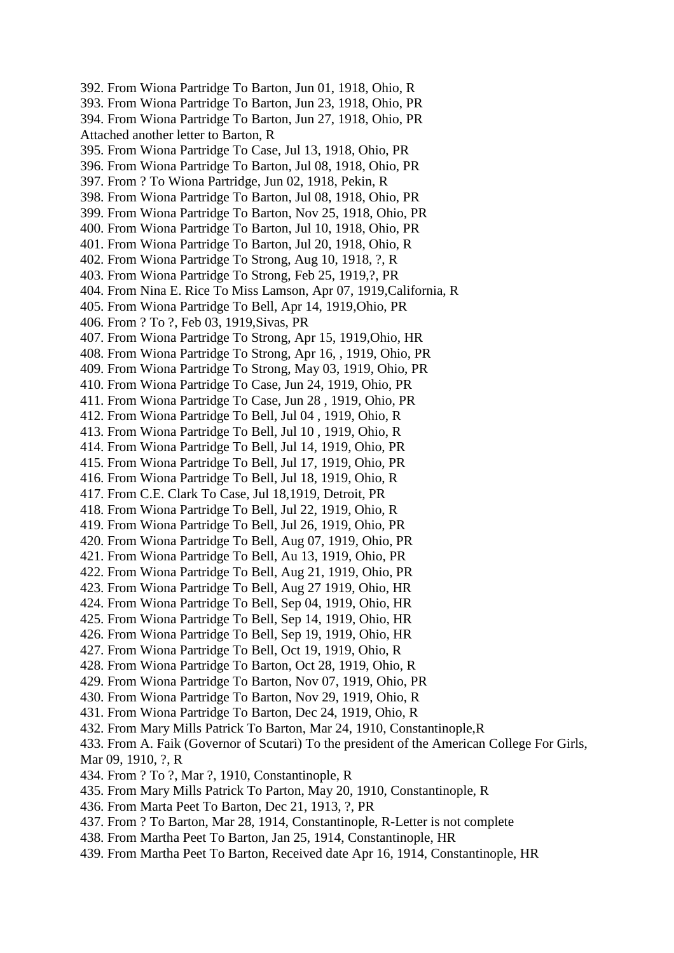392. From Wiona Partridge To Barton, Jun 01, 1918, Ohio, R 393. From Wiona Partridge To Barton, Jun 23, 1918, Ohio, PR 394. From Wiona Partridge To Barton, Jun 27, 1918, Ohio, PR Attached another letter to Barton, R 395. From Wiona Partridge To Case, Jul 13, 1918, Ohio, PR 396. From Wiona Partridge To Barton, Jul 08, 1918, Ohio, PR 397. From ? To Wiona Partridge, Jun 02, 1918, Pekin, R 398. From Wiona Partridge To Barton, Jul 08, 1918, Ohio, PR 399. From Wiona Partridge To Barton, Nov 25, 1918, Ohio, PR 400. From Wiona Partridge To Barton, Jul 10, 1918, Ohio, PR 401. From Wiona Partridge To Barton, Jul 20, 1918, Ohio, R 402. From Wiona Partridge To Strong, Aug 10, 1918, ?, R 403. From Wiona Partridge To Strong, Feb 25, 1919,?, PR 404. From Nina E. Rice To Miss Lamson, Apr 07, 1919,California, R 405. From Wiona Partridge To Bell, Apr 14, 1919,Ohio, PR 406. From ? To ?, Feb 03, 1919,Sivas, PR 407. From Wiona Partridge To Strong, Apr 15, 1919,Ohio, HR 408. From Wiona Partridge To Strong, Apr 16, , 1919, Ohio, PR 409. From Wiona Partridge To Strong, May 03, 1919, Ohio, PR 410. From Wiona Partridge To Case, Jun 24, 1919, Ohio, PR 411. From Wiona Partridge To Case, Jun 28 , 1919, Ohio, PR 412. From Wiona Partridge To Bell, Jul 04 , 1919, Ohio, R 413. From Wiona Partridge To Bell, Jul 10 , 1919, Ohio, R 414. From Wiona Partridge To Bell, Jul 14, 1919, Ohio, PR 415. From Wiona Partridge To Bell, Jul 17, 1919, Ohio, PR 416. From Wiona Partridge To Bell, Jul 18, 1919, Ohio, R 417. From C.E. Clark To Case, Jul 18,1919, Detroit, PR 418. From Wiona Partridge To Bell, Jul 22, 1919, Ohio, R 419. From Wiona Partridge To Bell, Jul 26, 1919, Ohio, PR 420. From Wiona Partridge To Bell, Aug 07, 1919, Ohio, PR 421. From Wiona Partridge To Bell, Au 13, 1919, Ohio, PR 422. From Wiona Partridge To Bell, Aug 21, 1919, Ohio, PR 423. From Wiona Partridge To Bell, Aug 27 1919, Ohio, HR 424. From Wiona Partridge To Bell, Sep 04, 1919, Ohio, HR 425. From Wiona Partridge To Bell, Sep 14, 1919, Ohio, HR 426. From Wiona Partridge To Bell, Sep 19, 1919, Ohio, HR 427. From Wiona Partridge To Bell, Oct 19, 1919, Ohio, R 428. From Wiona Partridge To Barton, Oct 28, 1919, Ohio, R 429. From Wiona Partridge To Barton, Nov 07, 1919, Ohio, PR 430. From Wiona Partridge To Barton, Nov 29, 1919, Ohio, R 431. From Wiona Partridge To Barton, Dec 24, 1919, Ohio, R 432. From Mary Mills Patrick To Barton, Mar 24, 1910, Constantinople,R 433. From A. Faik (Governor of Scutari) To the president of the American College For Girls, Mar 09, 1910, ?, R 434. From ? To ?, Mar ?, 1910, Constantinople, R 435. From Mary Mills Patrick To Parton, May 20, 1910, Constantinople, R 436. From Marta Peet To Barton, Dec 21, 1913, ?, PR 437. From ? To Barton, Mar 28, 1914, Constantinople, R-Letter is not complete 438. From Martha Peet To Barton, Jan 25, 1914, Constantinople, HR 439. From Martha Peet To Barton, Received date Apr 16, 1914, Constantinople, HR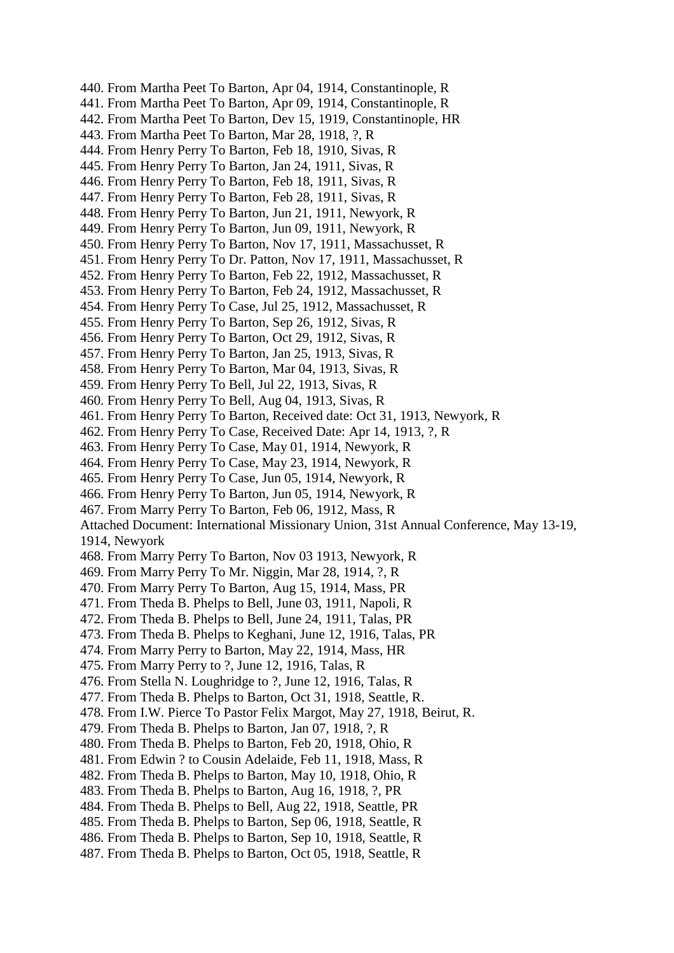440. From Martha Peet To Barton, Apr 04, 1914, Constantinople, R 441. From Martha Peet To Barton, Apr 09, 1914, Constantinople, R 442. From Martha Peet To Barton, Dev 15, 1919, Constantinople, HR 443. From Martha Peet To Barton, Mar 28, 1918, ?, R 444. From Henry Perry To Barton, Feb 18, 1910, Sivas, R 445. From Henry Perry To Barton, Jan 24, 1911, Sivas, R 446. From Henry Perry To Barton, Feb 18, 1911, Sivas, R 447. From Henry Perry To Barton, Feb 28, 1911, Sivas, R 448. From Henry Perry To Barton, Jun 21, 1911, Newyork, R 449. From Henry Perry To Barton, Jun 09, 1911, Newyork, R 450. From Henry Perry To Barton, Nov 17, 1911, Massachusset, R 451. From Henry Perry To Dr. Patton, Nov 17, 1911, Massachusset, R 452. From Henry Perry To Barton, Feb 22, 1912, Massachusset, R 453. From Henry Perry To Barton, Feb 24, 1912, Massachusset, R 454. From Henry Perry To Case, Jul 25, 1912, Massachusset, R 455. From Henry Perry To Barton, Sep 26, 1912, Sivas, R 456. From Henry Perry To Barton, Oct 29, 1912, Sivas, R 457. From Henry Perry To Barton, Jan 25, 1913, Sivas, R 458. From Henry Perry To Barton, Mar 04, 1913, Sivas, R 459. From Henry Perry To Bell, Jul 22, 1913, Sivas, R 460. From Henry Perry To Bell, Aug 04, 1913, Sivas, R 461. From Henry Perry To Barton, Received date: Oct 31, 1913, Newyork, R 462. From Henry Perry To Case, Received Date: Apr 14, 1913, ?, R 463. From Henry Perry To Case, May 01, 1914, Newyork, R 464. From Henry Perry To Case, May 23, 1914, Newyork, R 465. From Henry Perry To Case, Jun 05, 1914, Newyork, R 466. From Henry Perry To Barton, Jun 05, 1914, Newyork, R 467. From Marry Perry To Barton, Feb 06, 1912, Mass, R Attached Document: International Missionary Union, 31st Annual Conference, May 13-19, 1914, Newyork 468. From Marry Perry To Barton, Nov 03 1913, Newyork, R 469. From Marry Perry To Mr. Niggin, Mar 28, 1914, ?, R 470. From Marry Perry To Barton, Aug 15, 1914, Mass, PR 471. From Theda B. Phelps to Bell, June 03, 1911, Napoli, R 472. From Theda B. Phelps to Bell, June 24, 1911, Talas, PR 473. From Theda B. Phelps to Keghani, June 12, 1916, Talas, PR 474. From Marry Perry to Barton, May 22, 1914, Mass, HR 475. From Marry Perry to ?, June 12, 1916, Talas, R 476. From Stella N. Loughridge to ?, June 12, 1916, Talas, R 477. From Theda B. Phelps to Barton, Oct 31, 1918, Seattle, R. 478. From I.W. Pierce To Pastor Felix Margot, May 27, 1918, Beirut, R. 479. From Theda B. Phelps to Barton, Jan 07, 1918, ?, R 480. From Theda B. Phelps to Barton, Feb 20, 1918, Ohio, R 481. From Edwin ? to Cousin Adelaide, Feb 11, 1918, Mass, R 482. From Theda B. Phelps to Barton, May 10, 1918, Ohio, R 483. From Theda B. Phelps to Barton, Aug 16, 1918, ?, PR 484. From Theda B. Phelps to Bell, Aug 22, 1918, Seattle, PR 485. From Theda B. Phelps to Barton, Sep 06, 1918, Seattle, R 486. From Theda B. Phelps to Barton, Sep 10, 1918, Seattle, R 487. From Theda B. Phelps to Barton, Oct 05, 1918, Seattle, R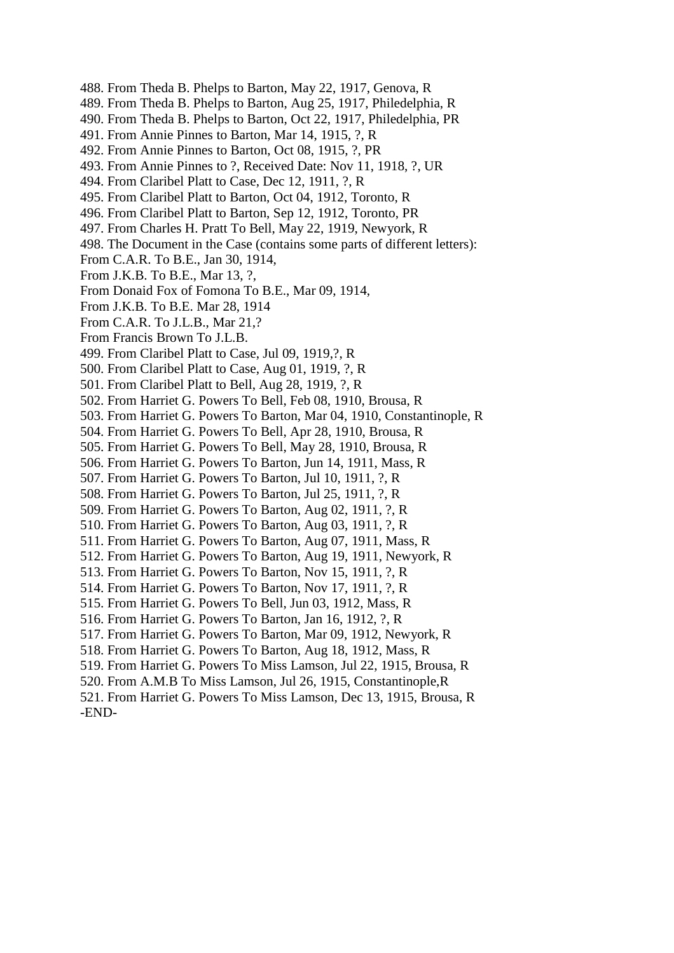- 488. From Theda B. Phelps to Barton, May 22, 1917, Genova, R
- 489. From Theda B. Phelps to Barton, Aug 25, 1917, Philedelphia, R
- 490. From Theda B. Phelps to Barton, Oct 22, 1917, Philedelphia, PR
- 491. From Annie Pinnes to Barton, Mar 14, 1915, ?, R
- 492. From Annie Pinnes to Barton, Oct 08, 1915, ?, PR
- 493. From Annie Pinnes to ?, Received Date: Nov 11, 1918, ?, UR
- 494. From Claribel Platt to Case, Dec 12, 1911, ?, R
- 495. From Claribel Platt to Barton, Oct 04, 1912, Toronto, R
- 496. From Claribel Platt to Barton, Sep 12, 1912, Toronto, PR
- 497. From Charles H. Pratt To Bell, May 22, 1919, Newyork, R
- 498. The Document in the Case (contains some parts of different letters):
- From C.A.R. To B.E., Jan 30, 1914,
- From J.K.B. To B.E., Mar 13, ?,
- From Donaid Fox of Fomona To B.E., Mar 09, 1914,
- From J.K.B. To B.E. Mar 28, 1914
- From C.A.R. To J.L.B., Mar 21,?
- From Francis Brown To J.L.B.
- 499. From Claribel Platt to Case, Jul 09, 1919,?, R
- 500. From Claribel Platt to Case, Aug 01, 1919, ?, R
- 501. From Claribel Platt to Bell, Aug 28, 1919, ?, R
- 502. From Harriet G. Powers To Bell, Feb 08, 1910, Brousa, R
- 503. From Harriet G. Powers To Barton, Mar 04, 1910, Constantinople, R
- 504. From Harriet G. Powers To Bell, Apr 28, 1910, Brousa, R
- 505. From Harriet G. Powers To Bell, May 28, 1910, Brousa, R
- 506. From Harriet G. Powers To Barton, Jun 14, 1911, Mass, R
- 507. From Harriet G. Powers To Barton, Jul 10, 1911, ?, R
- 508. From Harriet G. Powers To Barton, Jul 25, 1911, ?, R
- 509. From Harriet G. Powers To Barton, Aug 02, 1911, ?, R
- 510. From Harriet G. Powers To Barton, Aug 03, 1911, ?, R
- 511. From Harriet G. Powers To Barton, Aug 07, 1911, Mass, R
- 512. From Harriet G. Powers To Barton, Aug 19, 1911, Newyork, R
- 513. From Harriet G. Powers To Barton, Nov 15, 1911, ?, R
- 514. From Harriet G. Powers To Barton, Nov 17, 1911, ?, R
- 515. From Harriet G. Powers To Bell, Jun 03, 1912, Mass, R
- 516. From Harriet G. Powers To Barton, Jan 16, 1912, ?, R
- 517. From Harriet G. Powers To Barton, Mar 09, 1912, Newyork, R
- 518. From Harriet G. Powers To Barton, Aug 18, 1912, Mass, R
- 519. From Harriet G. Powers To Miss Lamson, Jul 22, 1915, Brousa, R
- 520. From A.M.B To Miss Lamson, Jul 26, 1915, Constantinople,R
- 521. From Harriet G. Powers To Miss Lamson, Dec 13, 1915, Brousa, R -END-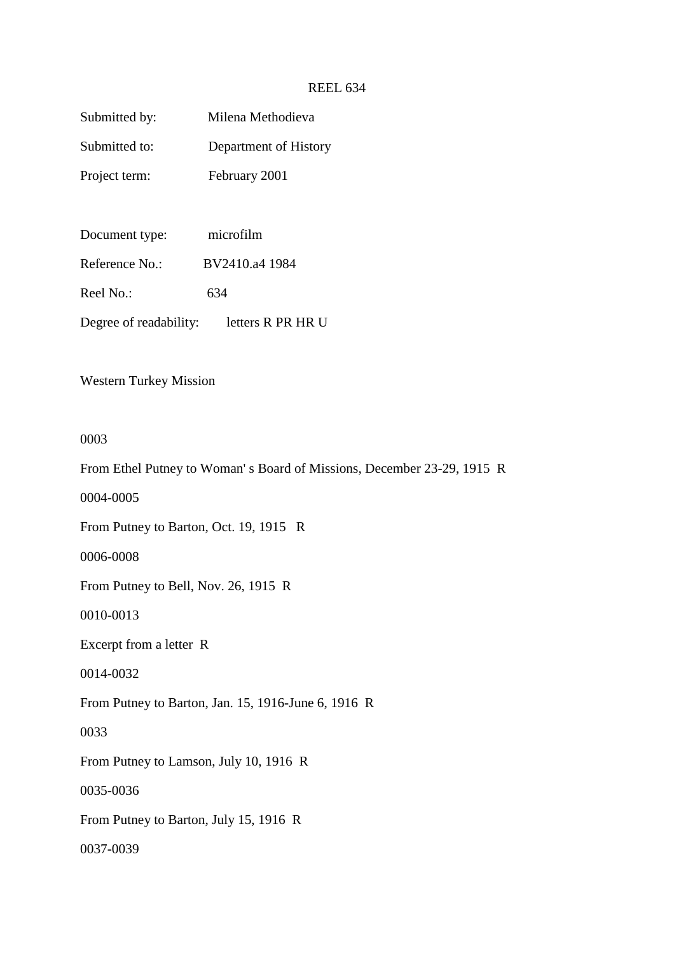# REEL 634

| Submitted by:          | Milena Methodieva     |
|------------------------|-----------------------|
| Submitted to:          | Department of History |
| Project term:          | February 2001         |
|                        |                       |
| Document type:         | microfilm             |
| Reference No.:         | BV2410.a4 1984        |
| Reel No.:              | 634                   |
| Degree of readability: | letters R PR HR U     |
|                        |                       |

Western Turkey Mission

## 0003

From Ethel Putney to Woman' s Board of Missions, December 23-29, 1915 R

0004-0005

From Putney to Barton, Oct. 19, 1915 R

0006-0008

From Putney to Bell, Nov. 26, 1915 R

0010-0013

Excerpt from a letter R

0014-0032

From Putney to Barton, Jan. 15, 1916-June 6, 1916 R

0033

From Putney to Lamson, July 10, 1916 R

0035-0036

From Putney to Barton, July 15, 1916 R

0037-0039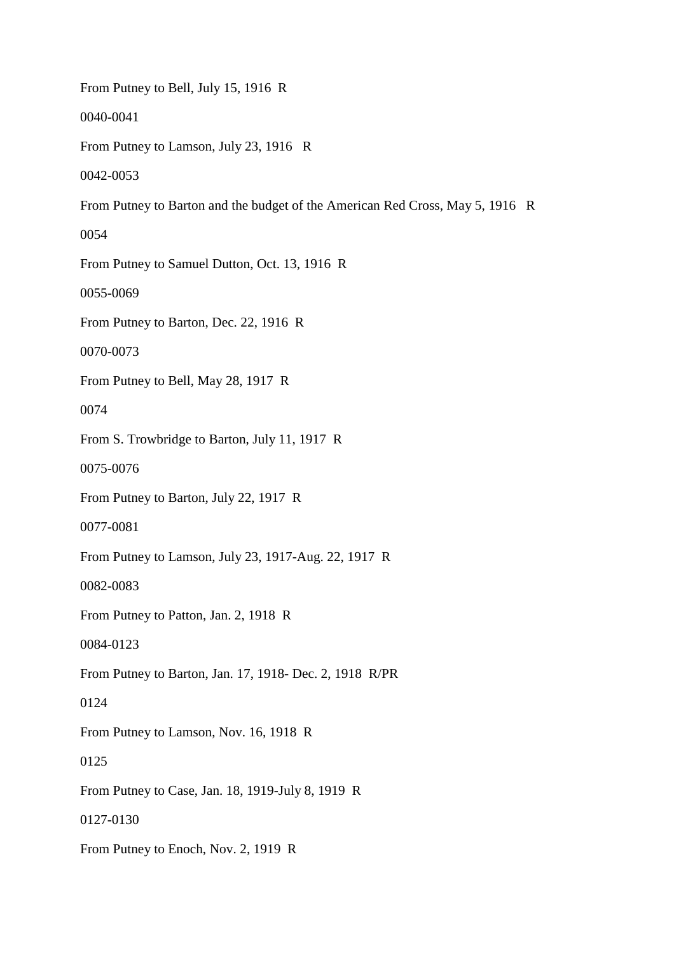From Putney to Bell, July 15, 1916 R 0040-0041 From Putney to Lamson, July 23, 1916 R 0042-0053 From Putney to Barton and the budget of the American Red Cross, May 5, 1916 R 0054 From Putney to Samuel Dutton, Oct. 13, 1916 R 0055-0069 From Putney to Barton, Dec. 22, 1916 R 0070-0073 From Putney to Bell, May 28, 1917 R 0074 From S. Trowbridge to Barton, July 11, 1917 R 0075-0076 From Putney to Barton, July 22, 1917 R 0077-0081 From Putney to Lamson, July 23, 1917-Aug. 22, 1917 R 0082-0083 From Putney to Patton, Jan. 2, 1918 R 0084-0123 From Putney to Barton, Jan. 17, 1918- Dec. 2, 1918 R/PR 0124 From Putney to Lamson, Nov. 16, 1918 R 0125 From Putney to Case, Jan. 18, 1919-July 8, 1919 R 0127-0130 From Putney to Enoch, Nov. 2, 1919 R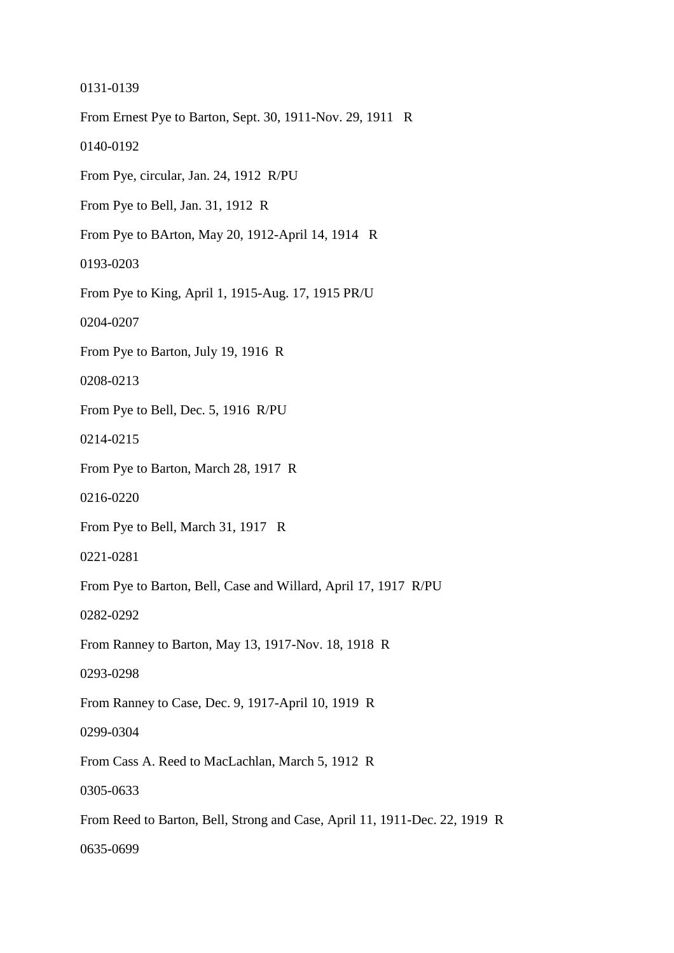0131-0139 From Ernest Pye to Barton, Sept. 30, 1911-Nov. 29, 1911 R 0140-0192 From Pye, circular, Jan. 24, 1912 R/PU From Pye to Bell, Jan. 31, 1912 R From Pye to BArton, May 20, 1912-April 14, 1914 R 0193-0203 From Pye to King, April 1, 1915-Aug. 17, 1915 PR/U 0204-0207 From Pye to Barton, July 19, 1916 R 0208-0213 From Pye to Bell, Dec. 5, 1916 R/PU 0214-0215 From Pye to Barton, March 28, 1917 R 0216-0220 From Pye to Bell, March 31, 1917 R 0221-0281 From Pye to Barton, Bell, Case and Willard, April 17, 1917 R/PU 0282-0292 From Ranney to Barton, May 13, 1917-Nov. 18, 1918 R 0293-0298 From Ranney to Case, Dec. 9, 1917-April 10, 1919 R 0299-0304 From Cass A. Reed to MacLachlan, March 5, 1912 R 0305-0633 From Reed to Barton, Bell, Strong and Case, April 11, 1911-Dec. 22, 1919 R 0635-0699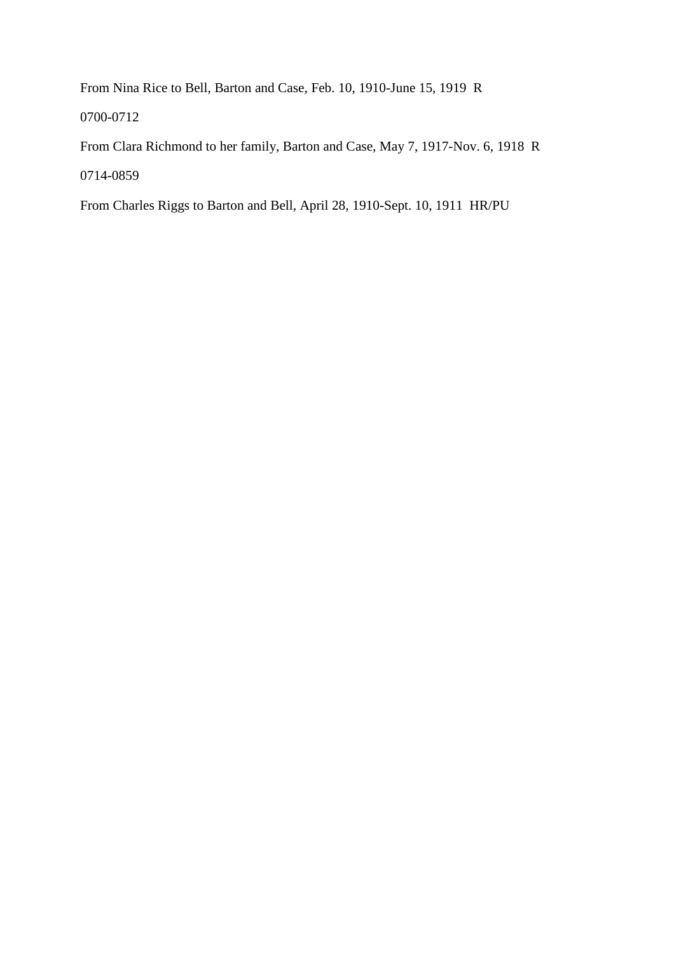From Nina Rice to Bell, Barton and Case, Feb. 10, 1910-June 15, 1919 R

0700-0712

From Clara Richmond to her family, Barton and Case, May 7, 1917-Nov. 6, 1918 R 0714-0859

From Charles Riggs to Barton and Bell, April 28, 1910-Sept. 10, 1911 HR/PU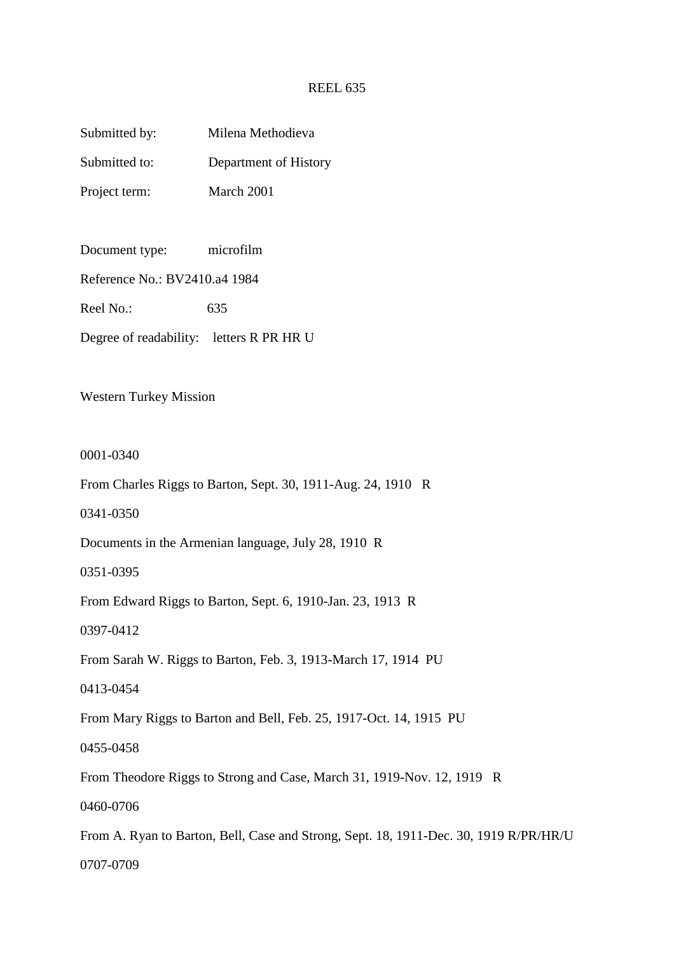## REEL 635

| Submitted by: | Milena Methodieva     |
|---------------|-----------------------|
| Submitted to: | Department of History |
| Project term: | March 2001            |

Document type: microfilm

Reference No.: BV2410.a4 1984

Reel No.:  $635$ 

Degree of readability: letters R PR HR U

Western Turkey Mission

0001-0340

From Charles Riggs to Barton, Sept. 30, 1911-Aug. 24, 1910 R

0341-0350

Documents in the Armenian language, July 28, 1910 R

0351-0395

From Edward Riggs to Barton, Sept. 6, 1910-Jan. 23, 1913 R

0397-0412

From Sarah W. Riggs to Barton, Feb. 3, 1913-March 17, 1914 PU

0413-0454

From Mary Riggs to Barton and Bell, Feb. 25, 1917-Oct. 14, 1915 PU

0455-0458

From Theodore Riggs to Strong and Case, March 31, 1919-Nov. 12, 1919 R

0460-0706

From A. Ryan to Barton, Bell, Case and Strong, Sept. 18, 1911-Dec. 30, 1919 R/PR/HR/U 0707-0709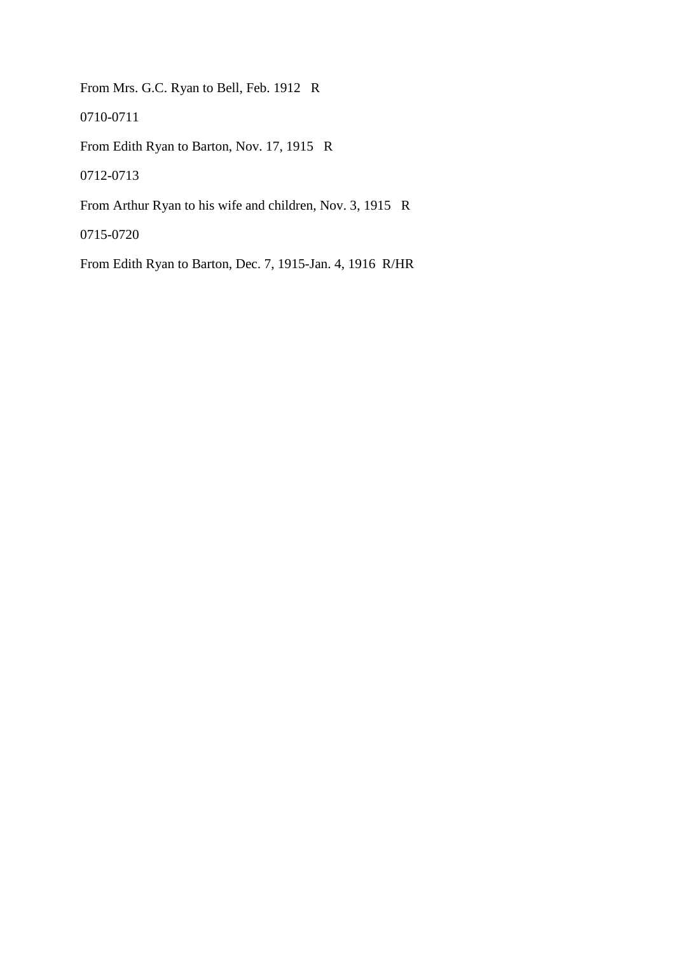From Mrs. G.C. Ryan to Bell, Feb. 1912 R

0710-0711

From Edith Ryan to Barton, Nov. 17, 1915 R

0712-0713

From Arthur Ryan to his wife and children, Nov. 3, 1915 R

0715-0720

From Edith Ryan to Barton, Dec. 7, 1915-Jan. 4, 1916 R/HR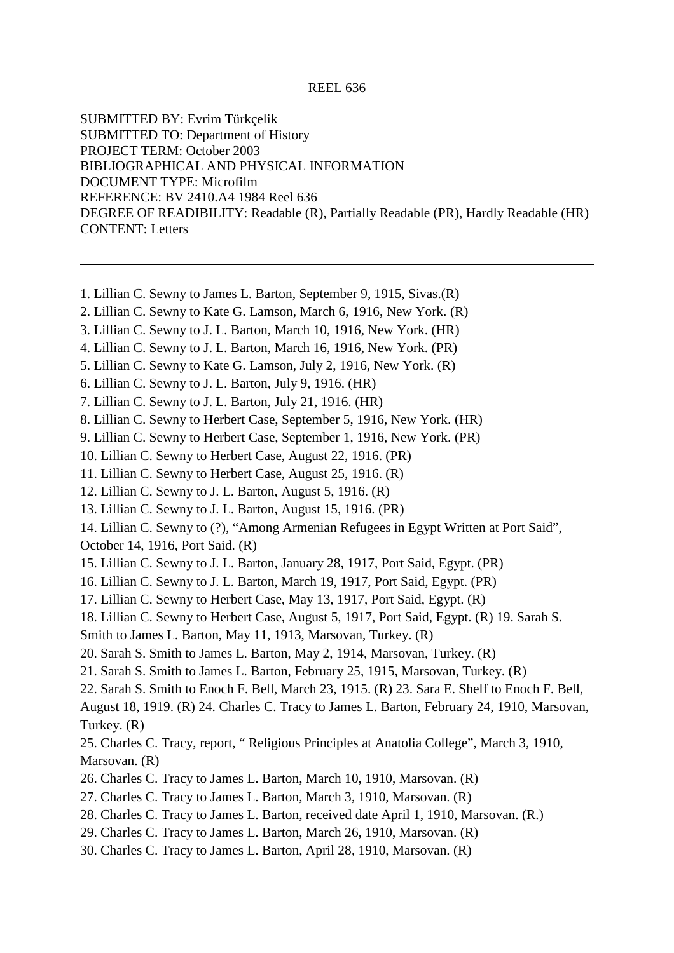#### REEL 636

SUBMITTED BY: Evrim Türkçelik SUBMITTED TO: Department of History PROJECT TERM: October 2003 BIBLIOGRAPHICAL AND PHYSICAL INFORMATION DOCUMENT TYPE: Microfilm REFERENCE: BV 2410.A4 1984 Reel 636 DEGREE OF READIBILITY: Readable (R), Partially Readable (PR), Hardly Readable (HR) CONTENT: Letters

- 1. Lillian C. Sewny to James L. Barton, September 9, 1915, Sivas.(R)
- 2. Lillian C. Sewny to Kate G. Lamson, March 6, 1916, New York. (R)
- 3. Lillian C. Sewny to J. L. Barton, March 10, 1916, New York. (HR)
- 4. Lillian C. Sewny to J. L. Barton, March 16, 1916, New York. (PR)
- 5. Lillian C. Sewny to Kate G. Lamson, July 2, 1916, New York. (R)
- 6. Lillian C. Sewny to J. L. Barton, July 9, 1916. (HR)
- 7. Lillian C. Sewny to J. L. Barton, July 21, 1916. (HR)
- 8. Lillian C. Sewny to Herbert Case, September 5, 1916, New York. (HR)
- 9. Lillian C. Sewny to Herbert Case, September 1, 1916, New York. (PR)
- 10. Lillian C. Sewny to Herbert Case, August 22, 1916. (PR)
- 11. Lillian C. Sewny to Herbert Case, August 25, 1916. (R)
- 12. Lillian C. Sewny to J. L. Barton, August 5, 1916. (R)
- 13. Lillian C. Sewny to J. L. Barton, August 15, 1916. (PR)
- 14. Lillian C. Sewny to (?), "Among Armenian Refugees in Egypt Written at Port Said",
- October 14, 1916, Port Said. (R)
- 15. Lillian C. Sewny to J. L. Barton, January 28, 1917, Port Said, Egypt. (PR)
- 16. Lillian C. Sewny to J. L. Barton, March 19, 1917, Port Said, Egypt. (PR)
- 17. Lillian C. Sewny to Herbert Case, May 13, 1917, Port Said, Egypt. (R)
- 18. Lillian C. Sewny to Herbert Case, August 5, 1917, Port Said, Egypt. (R) 19. Sarah S.
- Smith to James L. Barton, May 11, 1913, Marsovan, Turkey. (R)
- 20. Sarah S. Smith to James L. Barton, May 2, 1914, Marsovan, Turkey. (R)
- 21. Sarah S. Smith to James L. Barton, February 25, 1915, Marsovan, Turkey. (R)
- 22. Sarah S. Smith to Enoch F. Bell, March 23, 1915. (R) 23. Sara E. Shelf to Enoch F. Bell,

August 18, 1919. (R) 24. Charles C. Tracy to James L. Barton, February 24, 1910, Marsovan, Turkey. (R)

- 25. Charles C. Tracy, report, " Religious Principles at Anatolia College", March 3, 1910, Marsovan. (R)
- 26. Charles C. Tracy to James L. Barton, March 10, 1910, Marsovan. (R)
- 27. Charles C. Tracy to James L. Barton, March 3, 1910, Marsovan. (R)
- 28. Charles C. Tracy to James L. Barton, received date April 1, 1910, Marsovan. (R.)
- 29. Charles C. Tracy to James L. Barton, March 26, 1910, Marsovan. (R)
- 30. Charles C. Tracy to James L. Barton, April 28, 1910, Marsovan. (R)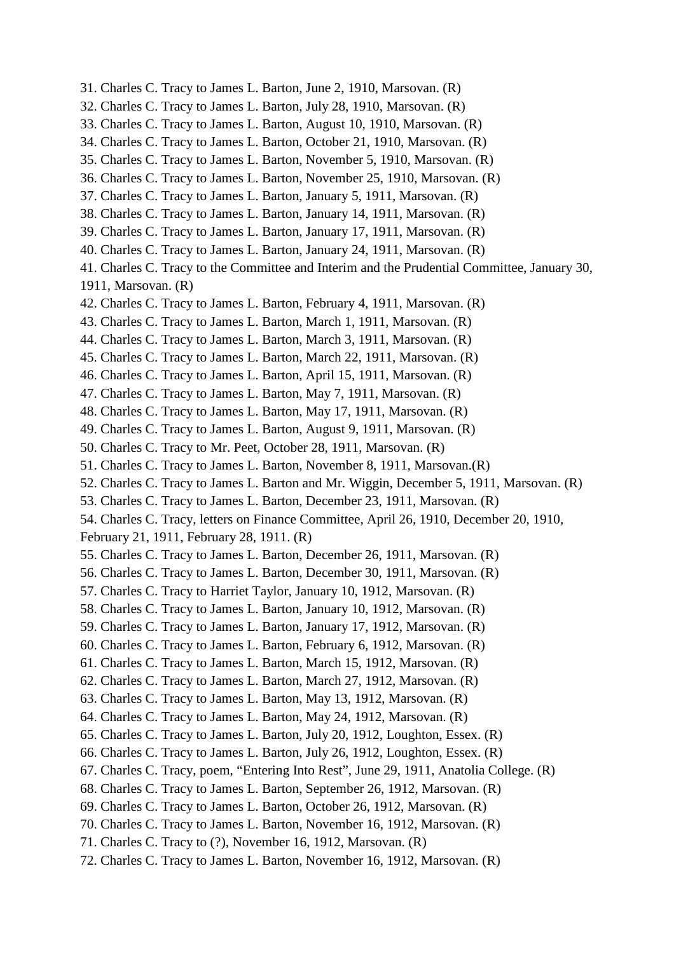- 31. Charles C. Tracy to James L. Barton, June 2, 1910, Marsovan. (R)
- 32. Charles C. Tracy to James L. Barton, July 28, 1910, Marsovan. (R)
- 33. Charles C. Tracy to James L. Barton, August 10, 1910, Marsovan. (R)
- 34. Charles C. Tracy to James L. Barton, October 21, 1910, Marsovan. (R)
- 35. Charles C. Tracy to James L. Barton, November 5, 1910, Marsovan. (R)
- 36. Charles C. Tracy to James L. Barton, November 25, 1910, Marsovan. (R)
- 37. Charles C. Tracy to James L. Barton, January 5, 1911, Marsovan. (R)
- 38. Charles C. Tracy to James L. Barton, January 14, 1911, Marsovan. (R)
- 39. Charles C. Tracy to James L. Barton, January 17, 1911, Marsovan. (R)
- 40. Charles C. Tracy to James L. Barton, January 24, 1911, Marsovan. (R)
- 41. Charles C. Tracy to the Committee and Interim and the Prudential Committee, January 30,
- 1911, Marsovan. (R)
- 42. Charles C. Tracy to James L. Barton, February 4, 1911, Marsovan. (R)
- 43. Charles C. Tracy to James L. Barton, March 1, 1911, Marsovan. (R)
- 44. Charles C. Tracy to James L. Barton, March 3, 1911, Marsovan. (R)
- 45. Charles C. Tracy to James L. Barton, March 22, 1911, Marsovan. (R)
- 46. Charles C. Tracy to James L. Barton, April 15, 1911, Marsovan. (R)
- 47. Charles C. Tracy to James L. Barton, May 7, 1911, Marsovan. (R)
- 48. Charles C. Tracy to James L. Barton, May 17, 1911, Marsovan. (R)
- 49. Charles C. Tracy to James L. Barton, August 9, 1911, Marsovan. (R)
- 50. Charles C. Tracy to Mr. Peet, October 28, 1911, Marsovan. (R)
- 51. Charles C. Tracy to James L. Barton, November 8, 1911, Marsovan.(R)
- 52. Charles C. Tracy to James L. Barton and Mr. Wiggin, December 5, 1911, Marsovan. (R)
- 53. Charles C. Tracy to James L. Barton, December 23, 1911, Marsovan. (R)
- 54. Charles C. Tracy, letters on Finance Committee, April 26, 1910, December 20, 1910,

February 21, 1911, February 28, 1911. (R)

- 55. Charles C. Tracy to James L. Barton, December 26, 1911, Marsovan. (R)
- 56. Charles C. Tracy to James L. Barton, December 30, 1911, Marsovan. (R)
- 57. Charles C. Tracy to Harriet Taylor, January 10, 1912, Marsovan. (R)
- 58. Charles C. Tracy to James L. Barton, January 10, 1912, Marsovan. (R)
- 59. Charles C. Tracy to James L. Barton, January 17, 1912, Marsovan. (R)
- 60. Charles C. Tracy to James L. Barton, February 6, 1912, Marsovan. (R)
- 61. Charles C. Tracy to James L. Barton, March 15, 1912, Marsovan. (R)
- 62. Charles C. Tracy to James L. Barton, March 27, 1912, Marsovan. (R)
- 63. Charles C. Tracy to James L. Barton, May 13, 1912, Marsovan. (R)
- 64. Charles C. Tracy to James L. Barton, May 24, 1912, Marsovan. (R)
- 65. Charles C. Tracy to James L. Barton, July 20, 1912, Loughton, Essex. (R)
- 66. Charles C. Tracy to James L. Barton, July 26, 1912, Loughton, Essex. (R)
- 67. Charles C. Tracy, poem, "Entering Into Rest", June 29, 1911, Anatolia College. (R)
- 68. Charles C. Tracy to James L. Barton, September 26, 1912, Marsovan. (R)
- 69. Charles C. Tracy to James L. Barton, October 26, 1912, Marsovan. (R)
- 70. Charles C. Tracy to James L. Barton, November 16, 1912, Marsovan. (R)
- 71. Charles C. Tracy to (?), November 16, 1912, Marsovan. (R)
- 72. Charles C. Tracy to James L. Barton, November 16, 1912, Marsovan. (R)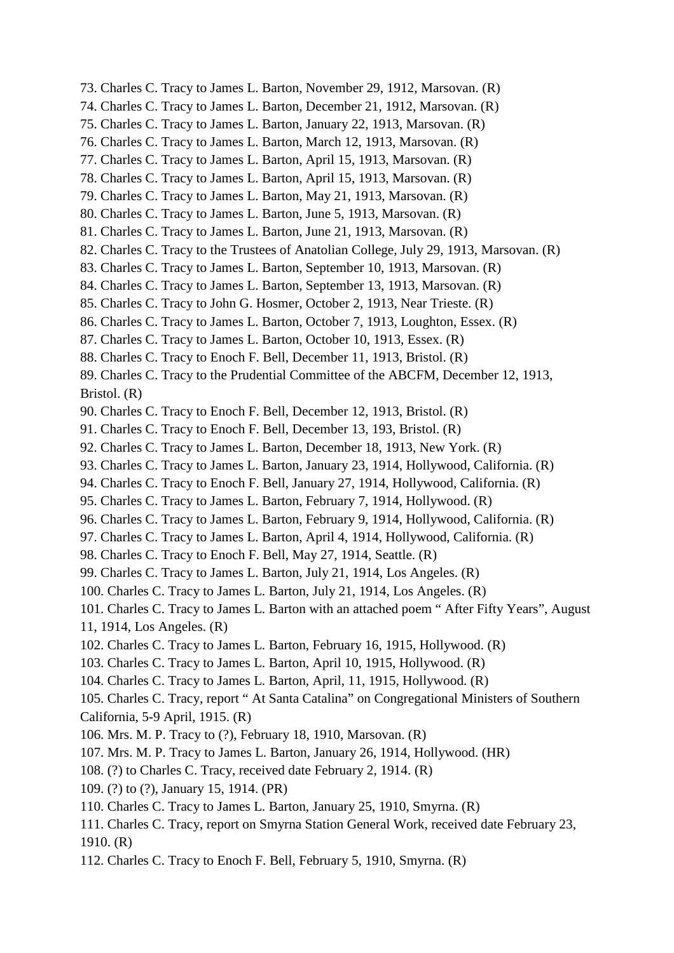- 73. Charles C. Tracy to James L. Barton, November 29, 1912, Marsovan. (R)
- 74. Charles C. Tracy to James L. Barton, December 21, 1912, Marsovan. (R)
- 75. Charles C. Tracy to James L. Barton, January 22, 1913, Marsovan. (R)
- 76. Charles C. Tracy to James L. Barton, March 12, 1913, Marsovan. (R)
- 77. Charles C. Tracy to James L. Barton, April 15, 1913, Marsovan. (R)
- 78. Charles C. Tracy to James L. Barton, April 15, 1913, Marsovan. (R)
- 79. Charles C. Tracy to James L. Barton, May 21, 1913, Marsovan. (R)
- 80. Charles C. Tracy to James L. Barton, June 5, 1913, Marsovan. (R)
- 81. Charles C. Tracy to James L. Barton, June 21, 1913, Marsovan. (R)
- 82. Charles C. Tracy to the Trustees of Anatolian College, July 29, 1913, Marsovan. (R)
- 83. Charles C. Tracy to James L. Barton, September 10, 1913, Marsovan. (R)
- 84. Charles C. Tracy to James L. Barton, September 13, 1913, Marsovan. (R)
- 85. Charles C. Tracy to John G. Hosmer, October 2, 1913, Near Trieste. (R)
- 86. Charles C. Tracy to James L. Barton, October 7, 1913, Loughton, Essex. (R)
- 87. Charles C. Tracy to James L. Barton, October 10, 1913, Essex. (R)
- 88. Charles C. Tracy to Enoch F. Bell, December 11, 1913, Bristol. (R)
- 89. Charles C. Tracy to the Prudential Committee of the ABCFM, December 12, 1913, Bristol. (R)
- 90. Charles C. Tracy to Enoch F. Bell, December 12, 1913, Bristol. (R)
- 91. Charles C. Tracy to Enoch F. Bell, December 13, 193, Bristol. (R)
- 92. Charles C. Tracy to James L. Barton, December 18, 1913, New York. (R)
- 93. Charles C. Tracy to James L. Barton, January 23, 1914, Hollywood, California. (R)
- 94. Charles C. Tracy to Enoch F. Bell, January 27, 1914, Hollywood, California. (R)
- 95. Charles C. Tracy to James L. Barton, February 7, 1914, Hollywood. (R)
- 96. Charles C. Tracy to James L. Barton, February 9, 1914, Hollywood, California. (R)
- 97. Charles C. Tracy to James L. Barton, April 4, 1914, Hollywood, California. (R)
- 98. Charles C. Tracy to Enoch F. Bell, May 27, 1914, Seattle. (R)
- 99. Charles C. Tracy to James L. Barton, July 21, 1914, Los Angeles. (R)
- 100. Charles C. Tracy to James L. Barton, July 21, 1914, Los Angeles. (R)
- 101. Charles C. Tracy to James L. Barton with an attached poem " After Fifty Years", August 11, 1914, Los Angeles. (R)
- 102. Charles C. Tracy to James L. Barton, February 16, 1915, Hollywood. (R)
- 103. Charles C. Tracy to James L. Barton, April 10, 1915, Hollywood. (R)
- 104. Charles C. Tracy to James L. Barton, April, 11, 1915, Hollywood. (R)
- 105. Charles C. Tracy, report " At Santa Catalina" on Congregational Ministers of Southern California, 5-9 April, 1915. (R)
- 106. Mrs. M. P. Tracy to (?), February 18, 1910, Marsovan. (R)
- 107. Mrs. M. P. Tracy to James L. Barton, January 26, 1914, Hollywood. (HR)
- 108. (?) to Charles C. Tracy, received date February 2, 1914. (R)
- 109. (?) to (?), January 15, 1914. (PR)
- 110. Charles C. Tracy to James L. Barton, January 25, 1910, Smyrna. (R)
- 111. Charles C. Tracy, report on Smyrna Station General Work, received date February 23, 1910. (R)
- 112. Charles C. Tracy to Enoch F. Bell, February 5, 1910, Smyrna. (R)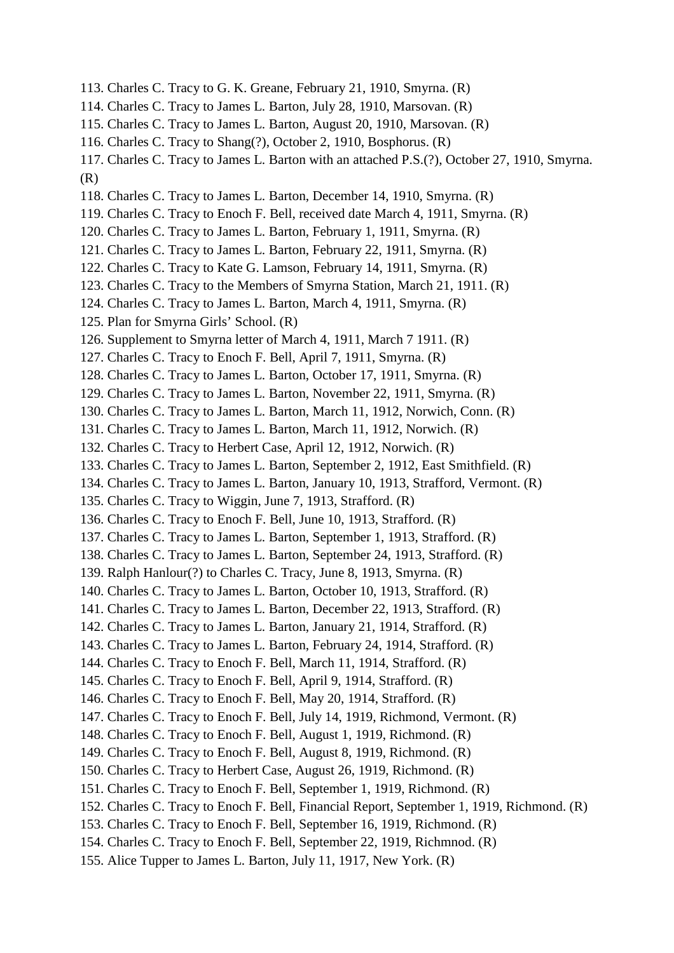- 113. Charles C. Tracy to G. K. Greane, February 21, 1910, Smyrna. (R)
- 114. Charles C. Tracy to James L. Barton, July 28, 1910, Marsovan. (R)
- 115. Charles C. Tracy to James L. Barton, August 20, 1910, Marsovan. (R)
- 116. Charles C. Tracy to Shang(?), October 2, 1910, Bosphorus. (R)
- 117. Charles C. Tracy to James L. Barton with an attached P.S.(?), October 27, 1910, Smyrna. (R)
- 118. Charles C. Tracy to James L. Barton, December 14, 1910, Smyrna. (R)
- 119. Charles C. Tracy to Enoch F. Bell, received date March 4, 1911, Smyrna. (R)
- 120. Charles C. Tracy to James L. Barton, February 1, 1911, Smyrna. (R)
- 121. Charles C. Tracy to James L. Barton, February 22, 1911, Smyrna. (R)
- 122. Charles C. Tracy to Kate G. Lamson, February 14, 1911, Smyrna. (R)
- 123. Charles C. Tracy to the Members of Smyrna Station, March 21, 1911. (R)
- 124. Charles C. Tracy to James L. Barton, March 4, 1911, Smyrna. (R)
- 125. Plan for Smyrna Girls' School. (R)
- 126. Supplement to Smyrna letter of March 4, 1911, March 7 1911. (R)
- 127. Charles C. Tracy to Enoch F. Bell, April 7, 1911, Smyrna. (R)
- 128. Charles C. Tracy to James L. Barton, October 17, 1911, Smyrna. (R)
- 129. Charles C. Tracy to James L. Barton, November 22, 1911, Smyrna. (R)
- 130. Charles C. Tracy to James L. Barton, March 11, 1912, Norwich, Conn. (R)
- 131. Charles C. Tracy to James L. Barton, March 11, 1912, Norwich. (R)
- 132. Charles C. Tracy to Herbert Case, April 12, 1912, Norwich. (R)
- 133. Charles C. Tracy to James L. Barton, September 2, 1912, East Smithfield. (R)
- 134. Charles C. Tracy to James L. Barton, January 10, 1913, Strafford, Vermont. (R)
- 135. Charles C. Tracy to Wiggin, June 7, 1913, Strafford. (R)
- 136. Charles C. Tracy to Enoch F. Bell, June 10, 1913, Strafford. (R)
- 137. Charles C. Tracy to James L. Barton, September 1, 1913, Strafford. (R)
- 138. Charles C. Tracy to James L. Barton, September 24, 1913, Strafford. (R)
- 139. Ralph Hanlour(?) to Charles C. Tracy, June 8, 1913, Smyrna. (R)
- 140. Charles C. Tracy to James L. Barton, October 10, 1913, Strafford. (R)
- 141. Charles C. Tracy to James L. Barton, December 22, 1913, Strafford. (R)
- 142. Charles C. Tracy to James L. Barton, January 21, 1914, Strafford. (R)
- 143. Charles C. Tracy to James L. Barton, February 24, 1914, Strafford. (R)
- 144. Charles C. Tracy to Enoch F. Bell, March 11, 1914, Strafford. (R)
- 145. Charles C. Tracy to Enoch F. Bell, April 9, 1914, Strafford. (R)
- 146. Charles C. Tracy to Enoch F. Bell, May 20, 1914, Strafford. (R)
- 147. Charles C. Tracy to Enoch F. Bell, July 14, 1919, Richmond, Vermont. (R)
- 148. Charles C. Tracy to Enoch F. Bell, August 1, 1919, Richmond. (R)
- 149. Charles C. Tracy to Enoch F. Bell, August 8, 1919, Richmond. (R)
- 150. Charles C. Tracy to Herbert Case, August 26, 1919, Richmond. (R)
- 151. Charles C. Tracy to Enoch F. Bell, September 1, 1919, Richmond. (R)
- 152. Charles C. Tracy to Enoch F. Bell, Financial Report, September 1, 1919, Richmond. (R)
- 153. Charles C. Tracy to Enoch F. Bell, September 16, 1919, Richmond. (R)
- 154. Charles C. Tracy to Enoch F. Bell, September 22, 1919, Richmnod. (R)
- 155. Alice Tupper to James L. Barton, July 11, 1917, New York. (R)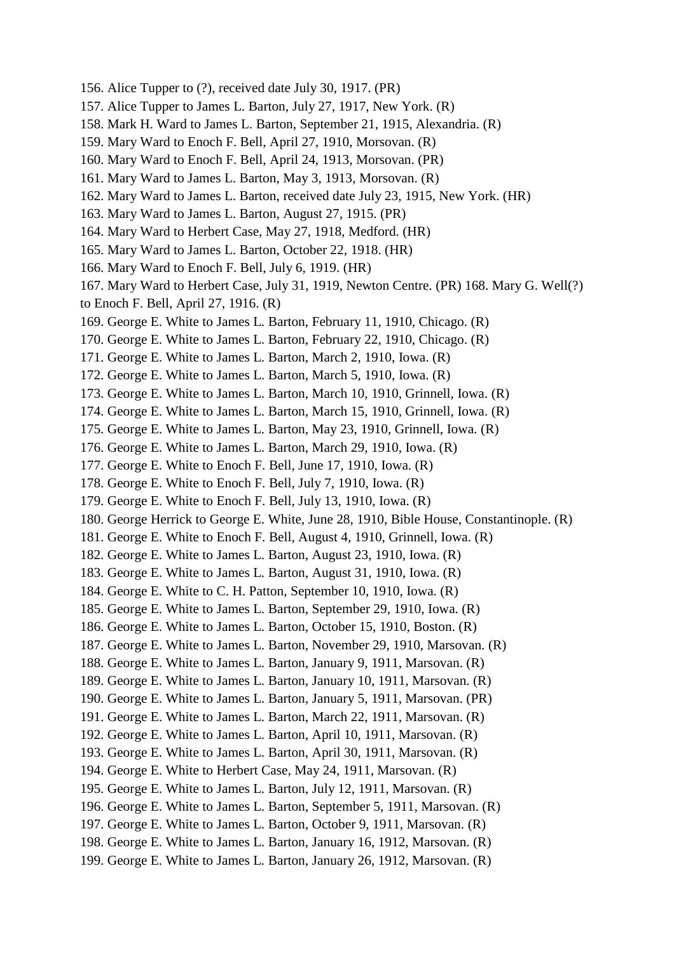- 156. Alice Tupper to (?), received date July 30, 1917. (PR)
- 157. Alice Tupper to James L. Barton, July 27, 1917, New York. (R)
- 158. Mark H. Ward to James L. Barton, September 21, 1915, Alexandria. (R)
- 159. Mary Ward to Enoch F. Bell, April 27, 1910, Morsovan. (R)
- 160. Mary Ward to Enoch F. Bell, April 24, 1913, Morsovan. (PR)
- 161. Mary Ward to James L. Barton, May 3, 1913, Morsovan. (R)
- 162. Mary Ward to James L. Barton, received date July 23, 1915, New York. (HR)
- 163. Mary Ward to James L. Barton, August 27, 1915. (PR)
- 164. Mary Ward to Herbert Case, May 27, 1918, Medford. (HR)
- 165. Mary Ward to James L. Barton, October 22, 1918. (HR)
- 166. Mary Ward to Enoch F. Bell, July 6, 1919. (HR)
- 167. Mary Ward to Herbert Case, July 31, 1919, Newton Centre. (PR) 168. Mary G. Well(?)
- to Enoch F. Bell, April 27, 1916. (R)
- 169. George E. White to James L. Barton, February 11, 1910, Chicago. (R)
- 170. George E. White to James L. Barton, February 22, 1910, Chicago. (R)
- 171. George E. White to James L. Barton, March 2, 1910, Iowa. (R)
- 172. George E. White to James L. Barton, March 5, 1910, Iowa. (R)
- 173. George E. White to James L. Barton, March 10, 1910, Grinnell, Iowa. (R)
- 174. George E. White to James L. Barton, March 15, 1910, Grinnell, Iowa. (R)
- 175. George E. White to James L. Barton, May 23, 1910, Grinnell, Iowa. (R)
- 176. George E. White to James L. Barton, March 29, 1910, Iowa. (R)
- 177. George E. White to Enoch F. Bell, June 17, 1910, Iowa. (R)
- 178. George E. White to Enoch F. Bell, July 7, 1910, Iowa. (R)
- 179. George E. White to Enoch F. Bell, July 13, 1910, Iowa. (R)
- 180. George Herrick to George E. White, June 28, 1910, Bible House, Constantinople. (R)
- 181. George E. White to Enoch F. Bell, August 4, 1910, Grinnell, Iowa. (R)
- 182. George E. White to James L. Barton, August 23, 1910, Iowa. (R)
- 183. George E. White to James L. Barton, August 31, 1910, Iowa. (R)
- 184. George E. White to C. H. Patton, September 10, 1910, Iowa. (R)
- 185. George E. White to James L. Barton, September 29, 1910, Iowa. (R)
- 186. George E. White to James L. Barton, October 15, 1910, Boston. (R)
- 187. George E. White to James L. Barton, November 29, 1910, Marsovan. (R)
- 188. George E. White to James L. Barton, January 9, 1911, Marsovan. (R)
- 189. George E. White to James L. Barton, January 10, 1911, Marsovan. (R)
- 190. George E. White to James L. Barton, January 5, 1911, Marsovan. (PR)
- 191. George E. White to James L. Barton, March 22, 1911, Marsovan. (R)
- 192. George E. White to James L. Barton, April 10, 1911, Marsovan. (R)
- 193. George E. White to James L. Barton, April 30, 1911, Marsovan. (R)
- 194. George E. White to Herbert Case, May 24, 1911, Marsovan. (R)
- 195. George E. White to James L. Barton, July 12, 1911, Marsovan. (R)
- 196. George E. White to James L. Barton, September 5, 1911, Marsovan. (R)
- 197. George E. White to James L. Barton, October 9, 1911, Marsovan. (R)
- 198. George E. White to James L. Barton, January 16, 1912, Marsovan. (R)
- 199. George E. White to James L. Barton, January 26, 1912, Marsovan. (R)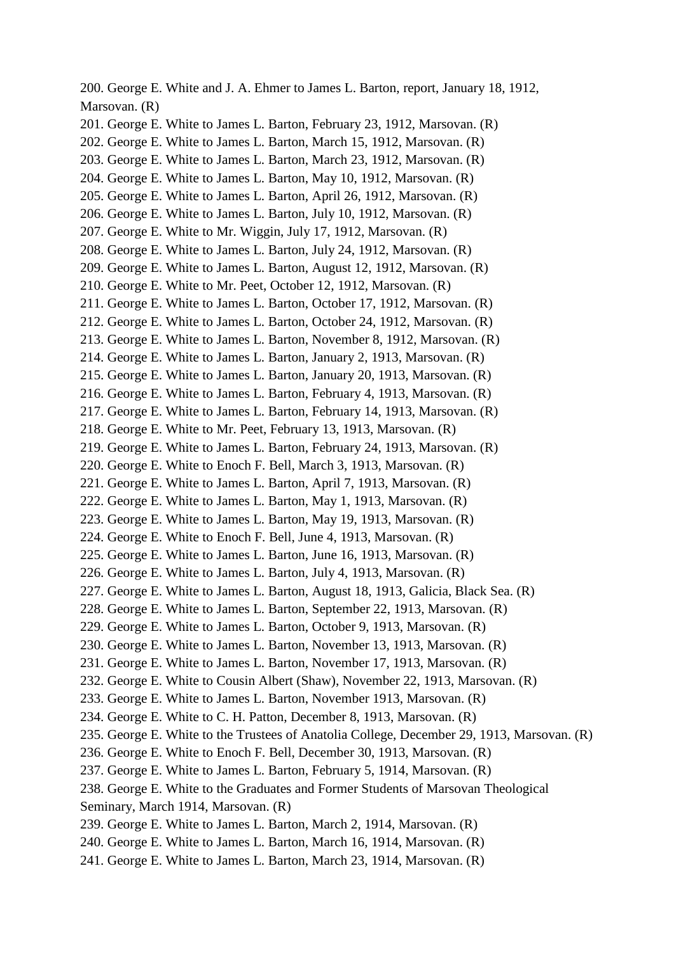200. George E. White and J. A. Ehmer to James L. Barton, report, January 18, 1912, Marsovan. (R) 201. George E. White to James L. Barton, February 23, 1912, Marsovan. (R) 202. George E. White to James L. Barton, March 15, 1912, Marsovan. (R) 203. George E. White to James L. Barton, March 23, 1912, Marsovan. (R) 204. George E. White to James L. Barton, May 10, 1912, Marsovan. (R) 205. George E. White to James L. Barton, April 26, 1912, Marsovan. (R) 206. George E. White to James L. Barton, July 10, 1912, Marsovan. (R) 207. George E. White to Mr. Wiggin, July 17, 1912, Marsovan. (R) 208. George E. White to James L. Barton, July 24, 1912, Marsovan. (R) 209. George E. White to James L. Barton, August 12, 1912, Marsovan. (R) 210. George E. White to Mr. Peet, October 12, 1912, Marsovan. (R) 211. George E. White to James L. Barton, October 17, 1912, Marsovan. (R) 212. George E. White to James L. Barton, October 24, 1912, Marsovan. (R) 213. George E. White to James L. Barton, November 8, 1912, Marsovan. (R) 214. George E. White to James L. Barton, January 2, 1913, Marsovan. (R) 215. George E. White to James L. Barton, January 20, 1913, Marsovan. (R) 216. George E. White to James L. Barton, February 4, 1913, Marsovan. (R) 217. George E. White to James L. Barton, February 14, 1913, Marsovan. (R) 218. George E. White to Mr. Peet, February 13, 1913, Marsovan. (R) 219. George E. White to James L. Barton, February 24, 1913, Marsovan. (R) 220. George E. White to Enoch F. Bell, March 3, 1913, Marsovan. (R) 221. George E. White to James L. Barton, April 7, 1913, Marsovan. (R) 222. George E. White to James L. Barton, May 1, 1913, Marsovan. (R) 223. George E. White to James L. Barton, May 19, 1913, Marsovan. (R) 224. George E. White to Enoch F. Bell, June 4, 1913, Marsovan. (R) 225. George E. White to James L. Barton, June 16, 1913, Marsovan. (R) 226. George E. White to James L. Barton, July 4, 1913, Marsovan. (R) 227. George E. White to James L. Barton, August 18, 1913, Galicia, Black Sea. (R) 228. George E. White to James L. Barton, September 22, 1913, Marsovan. (R) 229. George E. White to James L. Barton, October 9, 1913, Marsovan. (R) 230. George E. White to James L. Barton, November 13, 1913, Marsovan. (R) 231. George E. White to James L. Barton, November 17, 1913, Marsovan. (R) 232. George E. White to Cousin Albert (Shaw), November 22, 1913, Marsovan. (R) 233. George E. White to James L. Barton, November 1913, Marsovan. (R) 234. George E. White to C. H. Patton, December 8, 1913, Marsovan. (R) 235. George E. White to the Trustees of Anatolia College, December 29, 1913, Marsovan. (R) 236. George E. White to Enoch F. Bell, December 30, 1913, Marsovan. (R) 237. George E. White to James L. Barton, February 5, 1914, Marsovan. (R) 238. George E. White to the Graduates and Former Students of Marsovan Theological Seminary, March 1914, Marsovan. (R) 239. George E. White to James L. Barton, March 2, 1914, Marsovan. (R) 240. George E. White to James L. Barton, March 16, 1914, Marsovan. (R) 241. George E. White to James L. Barton, March 23, 1914, Marsovan. (R)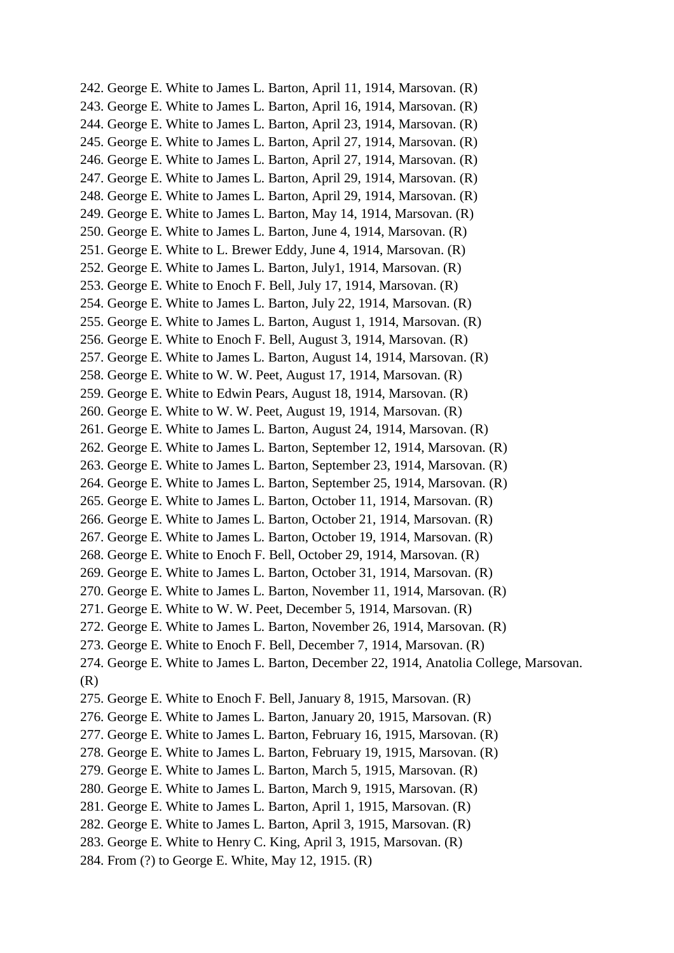242. George E. White to James L. Barton, April 11, 1914, Marsovan. (R) 243. George E. White to James L. Barton, April 16, 1914, Marsovan. (R) 244. George E. White to James L. Barton, April 23, 1914, Marsovan. (R) 245. George E. White to James L. Barton, April 27, 1914, Marsovan. (R) 246. George E. White to James L. Barton, April 27, 1914, Marsovan. (R) 247. George E. White to James L. Barton, April 29, 1914, Marsovan. (R) 248. George E. White to James L. Barton, April 29, 1914, Marsovan. (R) 249. George E. White to James L. Barton, May 14, 1914, Marsovan. (R) 250. George E. White to James L. Barton, June 4, 1914, Marsovan. (R) 251. George E. White to L. Brewer Eddy, June 4, 1914, Marsovan. (R) 252. George E. White to James L. Barton, July1, 1914, Marsovan. (R) 253. George E. White to Enoch F. Bell, July 17, 1914, Marsovan. (R) 254. George E. White to James L. Barton, July 22, 1914, Marsovan. (R) 255. George E. White to James L. Barton, August 1, 1914, Marsovan. (R) 256. George E. White to Enoch F. Bell, August 3, 1914, Marsovan. (R) 257. George E. White to James L. Barton, August 14, 1914, Marsovan. (R) 258. George E. White to W. W. Peet, August 17, 1914, Marsovan. (R) 259. George E. White to Edwin Pears, August 18, 1914, Marsovan. (R) 260. George E. White to W. W. Peet, August 19, 1914, Marsovan. (R) 261. George E. White to James L. Barton, August 24, 1914, Marsovan. (R) 262. George E. White to James L. Barton, September 12, 1914, Marsovan. (R) 263. George E. White to James L. Barton, September 23, 1914, Marsovan. (R) 264. George E. White to James L. Barton, September 25, 1914, Marsovan. (R) 265. George E. White to James L. Barton, October 11, 1914, Marsovan. (R) 266. George E. White to James L. Barton, October 21, 1914, Marsovan. (R) 267. George E. White to James L. Barton, October 19, 1914, Marsovan. (R) 268. George E. White to Enoch F. Bell, October 29, 1914, Marsovan. (R) 269. George E. White to James L. Barton, October 31, 1914, Marsovan. (R) 270. George E. White to James L. Barton, November 11, 1914, Marsovan. (R) 271. George E. White to W. W. Peet, December 5, 1914, Marsovan. (R) 272. George E. White to James L. Barton, November 26, 1914, Marsovan. (R) 273. George E. White to Enoch F. Bell, December 7, 1914, Marsovan. (R) 274. George E. White to James L. Barton, December 22, 1914, Anatolia College, Marsovan. (R) 275. George E. White to Enoch F. Bell, January 8, 1915, Marsovan. (R) 276. George E. White to James L. Barton, January 20, 1915, Marsovan. (R) 277. George E. White to James L. Barton, February 16, 1915, Marsovan. (R) 278. George E. White to James L. Barton, February 19, 1915, Marsovan. (R) 279. George E. White to James L. Barton, March 5, 1915, Marsovan. (R) 280. George E. White to James L. Barton, March 9, 1915, Marsovan. (R) 281. George E. White to James L. Barton, April 1, 1915, Marsovan. (R) 282. George E. White to James L. Barton, April 3, 1915, Marsovan. (R) 283. George E. White to Henry C. King, April 3, 1915, Marsovan. (R) 284. From (?) to George E. White, May 12, 1915. (R)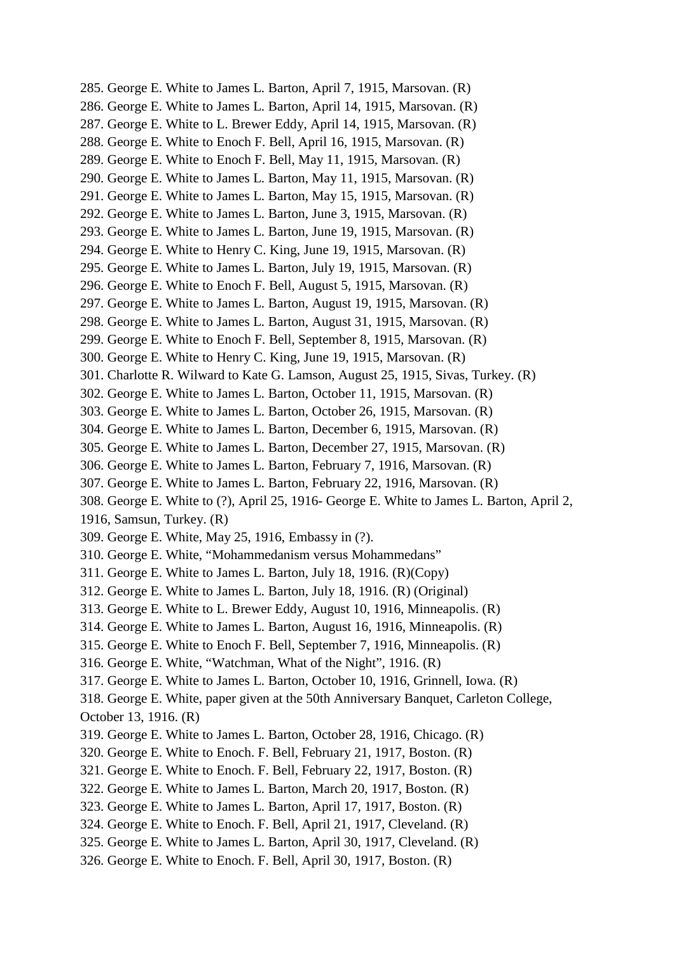285. George E. White to James L. Barton, April 7, 1915, Marsovan. (R) 286. George E. White to James L. Barton, April 14, 1915, Marsovan. (R) 287. George E. White to L. Brewer Eddy, April 14, 1915, Marsovan. (R) 288. George E. White to Enoch F. Bell, April 16, 1915, Marsovan. (R) 289. George E. White to Enoch F. Bell, May 11, 1915, Marsovan. (R) 290. George E. White to James L. Barton, May 11, 1915, Marsovan. (R) 291. George E. White to James L. Barton, May 15, 1915, Marsovan. (R) 292. George E. White to James L. Barton, June 3, 1915, Marsovan. (R) 293. George E. White to James L. Barton, June 19, 1915, Marsovan. (R) 294. George E. White to Henry C. King, June 19, 1915, Marsovan. (R) 295. George E. White to James L. Barton, July 19, 1915, Marsovan. (R) 296. George E. White to Enoch F. Bell, August 5, 1915, Marsovan. (R) 297. George E. White to James L. Barton, August 19, 1915, Marsovan. (R) 298. George E. White to James L. Barton, August 31, 1915, Marsovan. (R) 299. George E. White to Enoch F. Bell, September 8, 1915, Marsovan. (R) 300. George E. White to Henry C. King, June 19, 1915, Marsovan. (R) 301. Charlotte R. Wilward to Kate G. Lamson, August 25, 1915, Sivas, Turkey. (R) 302. George E. White to James L. Barton, October 11, 1915, Marsovan. (R) 303. George E. White to James L. Barton, October 26, 1915, Marsovan. (R) 304. George E. White to James L. Barton, December 6, 1915, Marsovan. (R) 305. George E. White to James L. Barton, December 27, 1915, Marsovan. (R) 306. George E. White to James L. Barton, February 7, 1916, Marsovan. (R) 307. George E. White to James L. Barton, February 22, 1916, Marsovan. (R) 308. George E. White to (?), April 25, 1916- George E. White to James L. Barton, April 2, 1916, Samsun, Turkey. (R) 309. George E. White, May 25, 1916, Embassy in (?). 310. George E. White, "Mohammedanism versus Mohammedans" 311. George E. White to James L. Barton, July 18, 1916. (R)(Copy) 312. George E. White to James L. Barton, July 18, 1916. (R) (Original) 313. George E. White to L. Brewer Eddy, August 10, 1916, Minneapolis. (R) 314. George E. White to James L. Barton, August 16, 1916, Minneapolis. (R) 315. George E. White to Enoch F. Bell, September 7, 1916, Minneapolis. (R) 316. George E. White, "Watchman, What of the Night", 1916. (R) 317. George E. White to James L. Barton, October 10, 1916, Grinnell, Iowa. (R) 318. George E. White, paper given at the 50th Anniversary Banquet, Carleton College, October 13, 1916. (R) 319. George E. White to James L. Barton, October 28, 1916, Chicago. (R) 320. George E. White to Enoch. F. Bell, February 21, 1917, Boston. (R) 321. George E. White to Enoch. F. Bell, February 22, 1917, Boston. (R) 322. George E. White to James L. Barton, March 20, 1917, Boston. (R) 323. George E. White to James L. Barton, April 17, 1917, Boston. (R) 324. George E. White to Enoch. F. Bell, April 21, 1917, Cleveland. (R) 325. George E. White to James L. Barton, April 30, 1917, Cleveland. (R) 326. George E. White to Enoch. F. Bell, April 30, 1917, Boston. (R)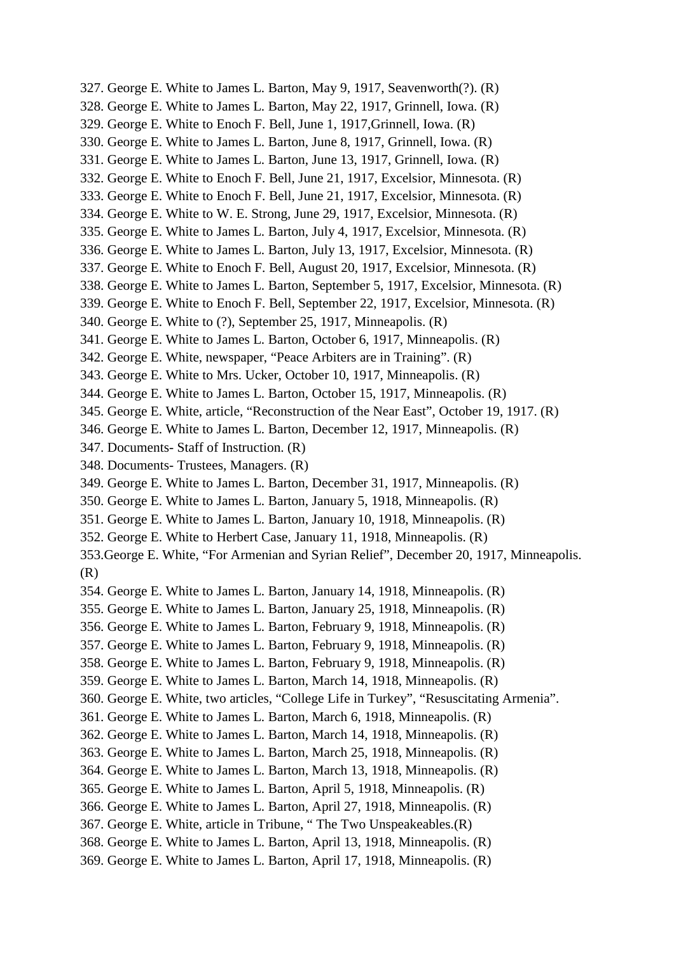- 327. George E. White to James L. Barton, May 9, 1917, Seavenworth(?). (R)
- 328. George E. White to James L. Barton, May 22, 1917, Grinnell, Iowa. (R)
- 329. George E. White to Enoch F. Bell, June 1, 1917,Grinnell, Iowa. (R)
- 330. George E. White to James L. Barton, June 8, 1917, Grinnell, Iowa. (R)
- 331. George E. White to James L. Barton, June 13, 1917, Grinnell, Iowa. (R)
- 332. George E. White to Enoch F. Bell, June 21, 1917, Excelsior, Minnesota. (R)
- 333. George E. White to Enoch F. Bell, June 21, 1917, Excelsior, Minnesota. (R)
- 334. George E. White to W. E. Strong, June 29, 1917, Excelsior, Minnesota. (R)
- 335. George E. White to James L. Barton, July 4, 1917, Excelsior, Minnesota. (R)
- 336. George E. White to James L. Barton, July 13, 1917, Excelsior, Minnesota. (R)
- 337. George E. White to Enoch F. Bell, August 20, 1917, Excelsior, Minnesota. (R)
- 338. George E. White to James L. Barton, September 5, 1917, Excelsior, Minnesota. (R)
- 339. George E. White to Enoch F. Bell, September 22, 1917, Excelsior, Minnesota. (R)
- 340. George E. White to (?), September 25, 1917, Minneapolis. (R)
- 341. George E. White to James L. Barton, October 6, 1917, Minneapolis. (R)
- 342. George E. White, newspaper, "Peace Arbiters are in Training". (R)
- 343. George E. White to Mrs. Ucker, October 10, 1917, Minneapolis. (R)
- 344. George E. White to James L. Barton, October 15, 1917, Minneapolis. (R)
- 345. George E. White, article, "Reconstruction of the Near East", October 19, 1917. (R)
- 346. George E. White to James L. Barton, December 12, 1917, Minneapolis. (R)
- 347. Documents- Staff of Instruction. (R)
- 348. Documents- Trustees, Managers. (R)
- 349. George E. White to James L. Barton, December 31, 1917, Minneapolis. (R)
- 350. George E. White to James L. Barton, January 5, 1918, Minneapolis. (R)
- 351. George E. White to James L. Barton, January 10, 1918, Minneapolis. (R)
- 352. George E. White to Herbert Case, January 11, 1918, Minneapolis. (R)
- 353.George E. White, "For Armenian and Syrian Relief", December 20, 1917, Minneapolis. (R)
- 354. George E. White to James L. Barton, January 14, 1918, Minneapolis. (R)
- 355. George E. White to James L. Barton, January 25, 1918, Minneapolis. (R)
- 356. George E. White to James L. Barton, February 9, 1918, Minneapolis. (R)
- 357. George E. White to James L. Barton, February 9, 1918, Minneapolis. (R)
- 358. George E. White to James L. Barton, February 9, 1918, Minneapolis. (R)
- 359. George E. White to James L. Barton, March 14, 1918, Minneapolis. (R)
- 360. George E. White, two articles, "College Life in Turkey", "Resuscitating Armenia".
- 361. George E. White to James L. Barton, March 6, 1918, Minneapolis. (R)
- 362. George E. White to James L. Barton, March 14, 1918, Minneapolis. (R)
- 363. George E. White to James L. Barton, March 25, 1918, Minneapolis. (R)
- 364. George E. White to James L. Barton, March 13, 1918, Minneapolis. (R)
- 365. George E. White to James L. Barton, April 5, 1918, Minneapolis. (R)
- 366. George E. White to James L. Barton, April 27, 1918, Minneapolis. (R)
- 367. George E. White, article in Tribune, " The Two Unspeakeables.(R)
- 368. George E. White to James L. Barton, April 13, 1918, Minneapolis. (R)
- 369. George E. White to James L. Barton, April 17, 1918, Minneapolis. (R)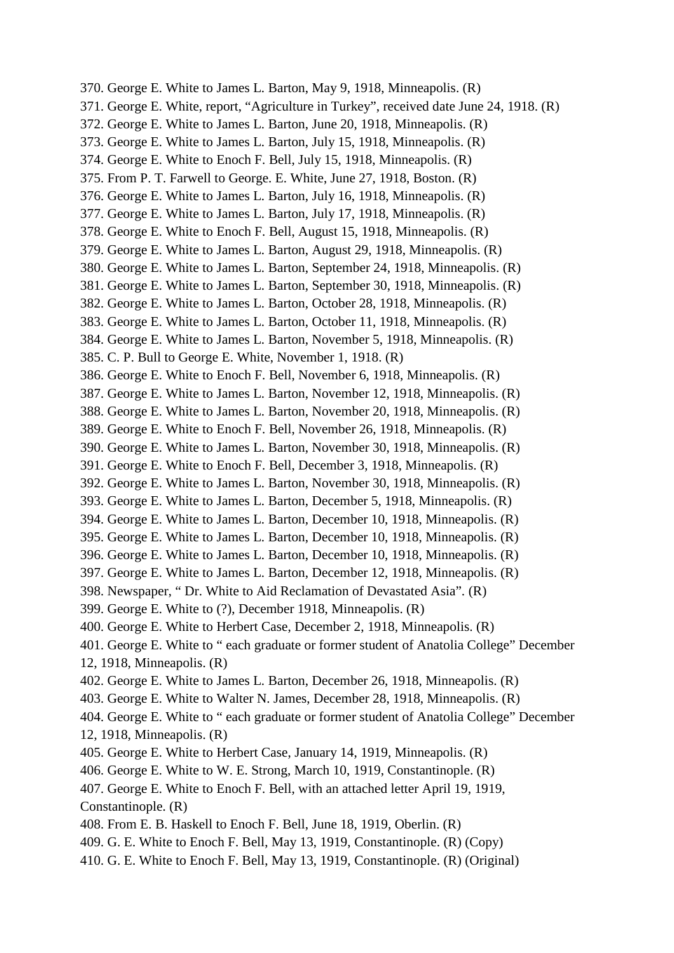370. George E. White to James L. Barton, May 9, 1918, Minneapolis. (R) 371. George E. White, report, "Agriculture in Turkey", received date June 24, 1918. (R) 372. George E. White to James L. Barton, June 20, 1918, Minneapolis. (R) 373. George E. White to James L. Barton, July 15, 1918, Minneapolis. (R) 374. George E. White to Enoch F. Bell, July 15, 1918, Minneapolis. (R) 375. From P. T. Farwell to George. E. White, June 27, 1918, Boston. (R) 376. George E. White to James L. Barton, July 16, 1918, Minneapolis. (R) 377. George E. White to James L. Barton, July 17, 1918, Minneapolis. (R) 378. George E. White to Enoch F. Bell, August 15, 1918, Minneapolis. (R) 379. George E. White to James L. Barton, August 29, 1918, Minneapolis. (R) 380. George E. White to James L. Barton, September 24, 1918, Minneapolis. (R) 381. George E. White to James L. Barton, September 30, 1918, Minneapolis. (R) 382. George E. White to James L. Barton, October 28, 1918, Minneapolis. (R) 383. George E. White to James L. Barton, October 11, 1918, Minneapolis. (R) 384. George E. White to James L. Barton, November 5, 1918, Minneapolis. (R) 385. C. P. Bull to George E. White, November 1, 1918. (R) 386. George E. White to Enoch F. Bell, November 6, 1918, Minneapolis. (R) 387. George E. White to James L. Barton, November 12, 1918, Minneapolis. (R) 388. George E. White to James L. Barton, November 20, 1918, Minneapolis. (R) 389. George E. White to Enoch F. Bell, November 26, 1918, Minneapolis. (R) 390. George E. White to James L. Barton, November 30, 1918, Minneapolis. (R) 391. George E. White to Enoch F. Bell, December 3, 1918, Minneapolis. (R) 392. George E. White to James L. Barton, November 30, 1918, Minneapolis. (R) 393. George E. White to James L. Barton, December 5, 1918, Minneapolis. (R) 394. George E. White to James L. Barton, December 10, 1918, Minneapolis. (R) 395. George E. White to James L. Barton, December 10, 1918, Minneapolis. (R) 396. George E. White to James L. Barton, December 10, 1918, Minneapolis. (R) 397. George E. White to James L. Barton, December 12, 1918, Minneapolis. (R) 398. Newspaper, " Dr. White to Aid Reclamation of Devastated Asia". (R) 399. George E. White to (?), December 1918, Minneapolis. (R) 400. George E. White to Herbert Case, December 2, 1918, Minneapolis. (R) 401. George E. White to " each graduate or former student of Anatolia College" December 12, 1918, Minneapolis. (R) 402. George E. White to James L. Barton, December 26, 1918, Minneapolis. (R) 403. George E. White to Walter N. James, December 28, 1918, Minneapolis. (R) 404. George E. White to " each graduate or former student of Anatolia College" December 12, 1918, Minneapolis. (R) 405. George E. White to Herbert Case, January 14, 1919, Minneapolis. (R) 406. George E. White to W. E. Strong, March 10, 1919, Constantinople. (R) 407. George E. White to Enoch F. Bell, with an attached letter April 19, 1919, Constantinople. (R) 408. From E. B. Haskell to Enoch F. Bell, June 18, 1919, Oberlin. (R) 409. G. E. White to Enoch F. Bell, May 13, 1919, Constantinople. (R) (Copy) 410. G. E. White to Enoch F. Bell, May 13, 1919, Constantinople. (R) (Original)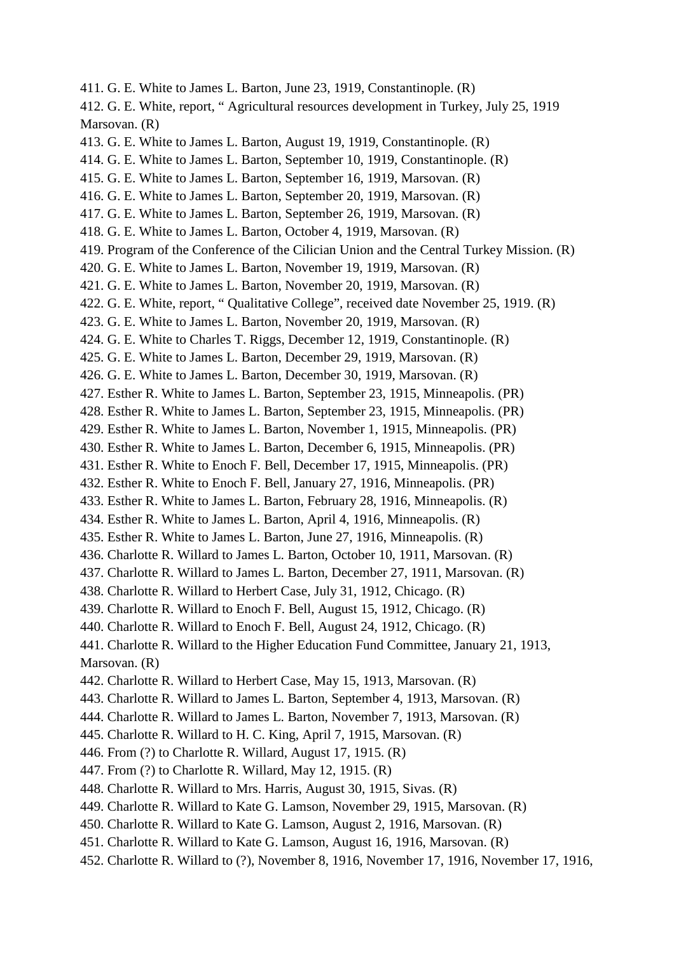411. G. E. White to James L. Barton, June 23, 1919, Constantinople. (R) 412. G. E. White, report, " Agricultural resources development in Turkey, July 25, 1919 Marsovan. (R) 413. G. E. White to James L. Barton, August 19, 1919, Constantinople. (R) 414. G. E. White to James L. Barton, September 10, 1919, Constantinople. (R) 415. G. E. White to James L. Barton, September 16, 1919, Marsovan. (R) 416. G. E. White to James L. Barton, September 20, 1919, Marsovan. (R) 417. G. E. White to James L. Barton, September 26, 1919, Marsovan. (R) 418. G. E. White to James L. Barton, October 4, 1919, Marsovan. (R) 419. Program of the Conference of the Cilician Union and the Central Turkey Mission. (R) 420. G. E. White to James L. Barton, November 19, 1919, Marsovan. (R) 421. G. E. White to James L. Barton, November 20, 1919, Marsovan. (R) 422. G. E. White, report, " Qualitative College", received date November 25, 1919. (R) 423. G. E. White to James L. Barton, November 20, 1919, Marsovan. (R) 424. G. E. White to Charles T. Riggs, December 12, 1919, Constantinople. (R) 425. G. E. White to James L. Barton, December 29, 1919, Marsovan. (R) 426. G. E. White to James L. Barton, December 30, 1919, Marsovan. (R) 427. Esther R. White to James L. Barton, September 23, 1915, Minneapolis. (PR) 428. Esther R. White to James L. Barton, September 23, 1915, Minneapolis. (PR) 429. Esther R. White to James L. Barton, November 1, 1915, Minneapolis. (PR) 430. Esther R. White to James L. Barton, December 6, 1915, Minneapolis. (PR) 431. Esther R. White to Enoch F. Bell, December 17, 1915, Minneapolis. (PR) 432. Esther R. White to Enoch F. Bell, January 27, 1916, Minneapolis. (PR) 433. Esther R. White to James L. Barton, February 28, 1916, Minneapolis. (R) 434. Esther R. White to James L. Barton, April 4, 1916, Minneapolis. (R) 435. Esther R. White to James L. Barton, June 27, 1916, Minneapolis. (R) 436. Charlotte R. Willard to James L. Barton, October 10, 1911, Marsovan. (R) 437. Charlotte R. Willard to James L. Barton, December 27, 1911, Marsovan. (R) 438. Charlotte R. Willard to Herbert Case, July 31, 1912, Chicago. (R) 439. Charlotte R. Willard to Enoch F. Bell, August 15, 1912, Chicago. (R) 440. Charlotte R. Willard to Enoch F. Bell, August 24, 1912, Chicago. (R) 441. Charlotte R. Willard to the Higher Education Fund Committee, January 21, 1913, Marsovan. (R) 442. Charlotte R. Willard to Herbert Case, May 15, 1913, Marsovan. (R) 443. Charlotte R. Willard to James L. Barton, September 4, 1913, Marsovan. (R) 444. Charlotte R. Willard to James L. Barton, November 7, 1913, Marsovan. (R) 445. Charlotte R. Willard to H. C. King, April 7, 1915, Marsovan. (R) 446. From (?) to Charlotte R. Willard, August 17, 1915. (R) 447. From (?) to Charlotte R. Willard, May 12, 1915. (R) 448. Charlotte R. Willard to Mrs. Harris, August 30, 1915, Sivas. (R) 449. Charlotte R. Willard to Kate G. Lamson, November 29, 1915, Marsovan. (R) 450. Charlotte R. Willard to Kate G. Lamson, August 2, 1916, Marsovan. (R) 451. Charlotte R. Willard to Kate G. Lamson, August 16, 1916, Marsovan. (R) 452. Charlotte R. Willard to (?), November 8, 1916, November 17, 1916, November 17, 1916,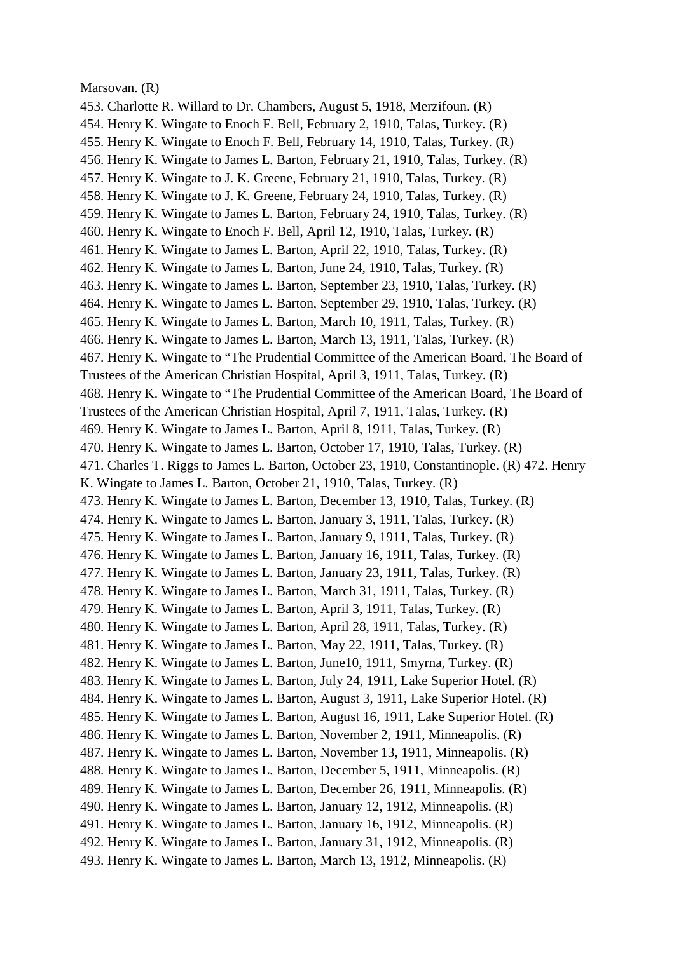#### Marsovan. (R)

453. Charlotte R. Willard to Dr. Chambers, August 5, 1918, Merzifoun. (R) 454. Henry K. Wingate to Enoch F. Bell, February 2, 1910, Talas, Turkey. (R) 455. Henry K. Wingate to Enoch F. Bell, February 14, 1910, Talas, Turkey. (R) 456. Henry K. Wingate to James L. Barton, February 21, 1910, Talas, Turkey. (R) 457. Henry K. Wingate to J. K. Greene, February 21, 1910, Talas, Turkey. (R) 458. Henry K. Wingate to J. K. Greene, February 24, 1910, Talas, Turkey. (R) 459. Henry K. Wingate to James L. Barton, February 24, 1910, Talas, Turkey. (R) 460. Henry K. Wingate to Enoch F. Bell, April 12, 1910, Talas, Turkey. (R) 461. Henry K. Wingate to James L. Barton, April 22, 1910, Talas, Turkey. (R) 462. Henry K. Wingate to James L. Barton, June 24, 1910, Talas, Turkey. (R) 463. Henry K. Wingate to James L. Barton, September 23, 1910, Talas, Turkey. (R) 464. Henry K. Wingate to James L. Barton, September 29, 1910, Talas, Turkey. (R) 465. Henry K. Wingate to James L. Barton, March 10, 1911, Talas, Turkey. (R) 466. Henry K. Wingate to James L. Barton, March 13, 1911, Talas, Turkey. (R) 467. Henry K. Wingate to "The Prudential Committee of the American Board, The Board of Trustees of the American Christian Hospital, April 3, 1911, Talas, Turkey. (R) 468. Henry K. Wingate to "The Prudential Committee of the American Board, The Board of Trustees of the American Christian Hospital, April 7, 1911, Talas, Turkey. (R) 469. Henry K. Wingate to James L. Barton, April 8, 1911, Talas, Turkey. (R) 470. Henry K. Wingate to James L. Barton, October 17, 1910, Talas, Turkey. (R) 471. Charles T. Riggs to James L. Barton, October 23, 1910, Constantinople. (R) 472. Henry K. Wingate to James L. Barton, October 21, 1910, Talas, Turkey. (R) 473. Henry K. Wingate to James L. Barton, December 13, 1910, Talas, Turkey. (R) 474. Henry K. Wingate to James L. Barton, January 3, 1911, Talas, Turkey. (R) 475. Henry K. Wingate to James L. Barton, January 9, 1911, Talas, Turkey. (R) 476. Henry K. Wingate to James L. Barton, January 16, 1911, Talas, Turkey. (R) 477. Henry K. Wingate to James L. Barton, January 23, 1911, Talas, Turkey. (R) 478. Henry K. Wingate to James L. Barton, March 31, 1911, Talas, Turkey. (R) 479. Henry K. Wingate to James L. Barton, April 3, 1911, Talas, Turkey. (R) 480. Henry K. Wingate to James L. Barton, April 28, 1911, Talas, Turkey. (R) 481. Henry K. Wingate to James L. Barton, May 22, 1911, Talas, Turkey. (R) 482. Henry K. Wingate to James L. Barton, June10, 1911, Smyrna, Turkey. (R) 483. Henry K. Wingate to James L. Barton, July 24, 1911, Lake Superior Hotel. (R) 484. Henry K. Wingate to James L. Barton, August 3, 1911, Lake Superior Hotel. (R) 485. Henry K. Wingate to James L. Barton, August 16, 1911, Lake Superior Hotel. (R) 486. Henry K. Wingate to James L. Barton, November 2, 1911, Minneapolis. (R) 487. Henry K. Wingate to James L. Barton, November 13, 1911, Minneapolis. (R) 488. Henry K. Wingate to James L. Barton, December 5, 1911, Minneapolis. (R) 489. Henry K. Wingate to James L. Barton, December 26, 1911, Minneapolis. (R) 490. Henry K. Wingate to James L. Barton, January 12, 1912, Minneapolis. (R) 491. Henry K. Wingate to James L. Barton, January 16, 1912, Minneapolis. (R) 492. Henry K. Wingate to James L. Barton, January 31, 1912, Minneapolis. (R) 493. Henry K. Wingate to James L. Barton, March 13, 1912, Minneapolis. (R)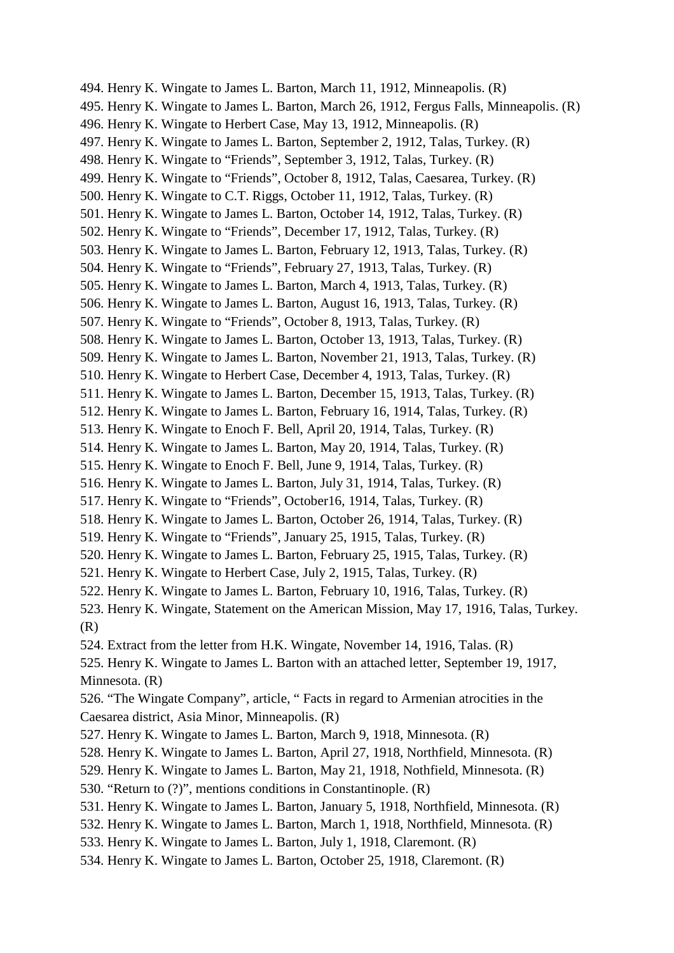494. Henry K. Wingate to James L. Barton, March 11, 1912, Minneapolis. (R) 495. Henry K. Wingate to James L. Barton, March 26, 1912, Fergus Falls, Minneapolis. (R) 496. Henry K. Wingate to Herbert Case, May 13, 1912, Minneapolis. (R) 497. Henry K. Wingate to James L. Barton, September 2, 1912, Talas, Turkey. (R) 498. Henry K. Wingate to "Friends", September 3, 1912, Talas, Turkey. (R) 499. Henry K. Wingate to "Friends", October 8, 1912, Talas, Caesarea, Turkey. (R) 500. Henry K. Wingate to C.T. Riggs, October 11, 1912, Talas, Turkey. (R) 501. Henry K. Wingate to James L. Barton, October 14, 1912, Talas, Turkey. (R) 502. Henry K. Wingate to "Friends", December 17, 1912, Talas, Turkey. (R) 503. Henry K. Wingate to James L. Barton, February 12, 1913, Talas, Turkey. (R) 504. Henry K. Wingate to "Friends", February 27, 1913, Talas, Turkey. (R) 505. Henry K. Wingate to James L. Barton, March 4, 1913, Talas, Turkey. (R) 506. Henry K. Wingate to James L. Barton, August 16, 1913, Talas, Turkey. (R) 507. Henry K. Wingate to "Friends", October 8, 1913, Talas, Turkey. (R) 508. Henry K. Wingate to James L. Barton, October 13, 1913, Talas, Turkey. (R) 509. Henry K. Wingate to James L. Barton, November 21, 1913, Talas, Turkey. (R) 510. Henry K. Wingate to Herbert Case, December 4, 1913, Talas, Turkey. (R) 511. Henry K. Wingate to James L. Barton, December 15, 1913, Talas, Turkey. (R) 512. Henry K. Wingate to James L. Barton, February 16, 1914, Talas, Turkey. (R) 513. Henry K. Wingate to Enoch F. Bell, April 20, 1914, Talas, Turkey. (R) 514. Henry K. Wingate to James L. Barton, May 20, 1914, Talas, Turkey. (R) 515. Henry K. Wingate to Enoch F. Bell, June 9, 1914, Talas, Turkey. (R) 516. Henry K. Wingate to James L. Barton, July 31, 1914, Talas, Turkey. (R) 517. Henry K. Wingate to "Friends", October16, 1914, Talas, Turkey. (R) 518. Henry K. Wingate to James L. Barton, October 26, 1914, Talas, Turkey. (R) 519. Henry K. Wingate to "Friends", January 25, 1915, Talas, Turkey. (R) 520. Henry K. Wingate to James L. Barton, February 25, 1915, Talas, Turkey. (R) 521. Henry K. Wingate to Herbert Case, July 2, 1915, Talas, Turkey. (R) 522. Henry K. Wingate to James L. Barton, February 10, 1916, Talas, Turkey. (R) 523. Henry K. Wingate, Statement on the American Mission, May 17, 1916, Talas, Turkey. (R) 524. Extract from the letter from H.K. Wingate, November 14, 1916, Talas. (R) 525. Henry K. Wingate to James L. Barton with an attached letter, September 19, 1917, Minnesota. (R) 526. "The Wingate Company", article, " Facts in regard to Armenian atrocities in the Caesarea district, Asia Minor, Minneapolis. (R) 527. Henry K. Wingate to James L. Barton, March 9, 1918, Minnesota. (R) 528. Henry K. Wingate to James L. Barton, April 27, 1918, Northfield, Minnesota. (R) 529. Henry K. Wingate to James L. Barton, May 21, 1918, Nothfield, Minnesota. (R) 530. "Return to (?)", mentions conditions in Constantinople. (R) 531. Henry K. Wingate to James L. Barton, January 5, 1918, Northfield, Minnesota. (R) 532. Henry K. Wingate to James L. Barton, March 1, 1918, Northfield, Minnesota. (R) 533. Henry K. Wingate to James L. Barton, July 1, 1918, Claremont. (R) 534. Henry K. Wingate to James L. Barton, October 25, 1918, Claremont. (R)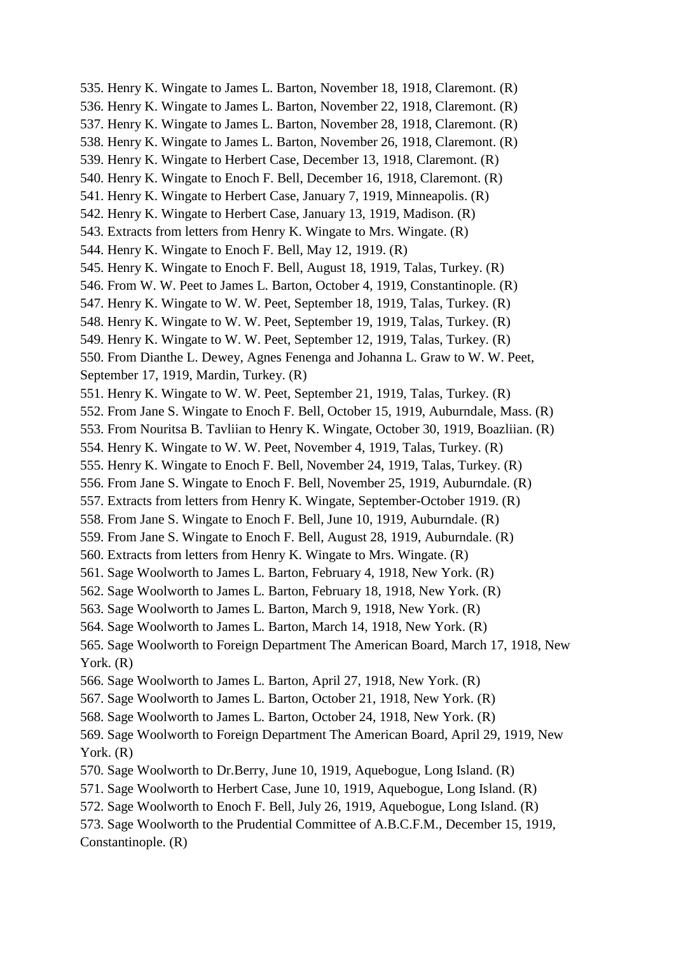535. Henry K. Wingate to James L. Barton, November 18, 1918, Claremont. (R) 536. Henry K. Wingate to James L. Barton, November 22, 1918, Claremont. (R) 537. Henry K. Wingate to James L. Barton, November 28, 1918, Claremont. (R) 538. Henry K. Wingate to James L. Barton, November 26, 1918, Claremont. (R) 539. Henry K. Wingate to Herbert Case, December 13, 1918, Claremont. (R) 540. Henry K. Wingate to Enoch F. Bell, December 16, 1918, Claremont. (R) 541. Henry K. Wingate to Herbert Case, January 7, 1919, Minneapolis. (R) 542. Henry K. Wingate to Herbert Case, January 13, 1919, Madison. (R) 543. Extracts from letters from Henry K. Wingate to Mrs. Wingate. (R) 544. Henry K. Wingate to Enoch F. Bell, May 12, 1919. (R) 545. Henry K. Wingate to Enoch F. Bell, August 18, 1919, Talas, Turkey. (R) 546. From W. W. Peet to James L. Barton, October 4, 1919, Constantinople. (R) 547. Henry K. Wingate to W. W. Peet, September 18, 1919, Talas, Turkey. (R) 548. Henry K. Wingate to W. W. Peet, September 19, 1919, Talas, Turkey. (R) 549. Henry K. Wingate to W. W. Peet, September 12, 1919, Talas, Turkey. (R) 550. From Dianthe L. Dewey, Agnes Fenenga and Johanna L. Graw to W. W. Peet, September 17, 1919, Mardin, Turkey. (R) 551. Henry K. Wingate to W. W. Peet, September 21, 1919, Talas, Turkey. (R) 552. From Jane S. Wingate to Enoch F. Bell, October 15, 1919, Auburndale, Mass. (R) 553. From Nouritsa B. Tavliian to Henry K. Wingate, October 30, 1919, Boazliian. (R) 554. Henry K. Wingate to W. W. Peet, November 4, 1919, Talas, Turkey. (R) 555. Henry K. Wingate to Enoch F. Bell, November 24, 1919, Talas, Turkey. (R) 556. From Jane S. Wingate to Enoch F. Bell, November 25, 1919, Auburndale. (R) 557. Extracts from letters from Henry K. Wingate, September-October 1919. (R) 558. From Jane S. Wingate to Enoch F. Bell, June 10, 1919, Auburndale. (R) 559. From Jane S. Wingate to Enoch F. Bell, August 28, 1919, Auburndale. (R) 560. Extracts from letters from Henry K. Wingate to Mrs. Wingate. (R) 561. Sage Woolworth to James L. Barton, February 4, 1918, New York. (R) 562. Sage Woolworth to James L. Barton, February 18, 1918, New York. (R) 563. Sage Woolworth to James L. Barton, March 9, 1918, New York. (R) 564. Sage Woolworth to James L. Barton, March 14, 1918, New York. (R) 565. Sage Woolworth to Foreign Department The American Board, March 17, 1918, New York. (R) 566. Sage Woolworth to James L. Barton, April 27, 1918, New York. (R) 567. Sage Woolworth to James L. Barton, October 21, 1918, New York. (R) 568. Sage Woolworth to James L. Barton, October 24, 1918, New York. (R) 569. Sage Woolworth to Foreign Department The American Board, April 29, 1919, New York. (R) 570. Sage Woolworth to Dr.Berry, June 10, 1919, Aquebogue, Long Island. (R) 571. Sage Woolworth to Herbert Case, June 10, 1919, Aquebogue, Long Island. (R) 572. Sage Woolworth to Enoch F. Bell, July 26, 1919, Aquebogue, Long Island. (R) 573. Sage Woolworth to the Prudential Committee of A.B.C.F.M., December 15, 1919, Constantinople. (R)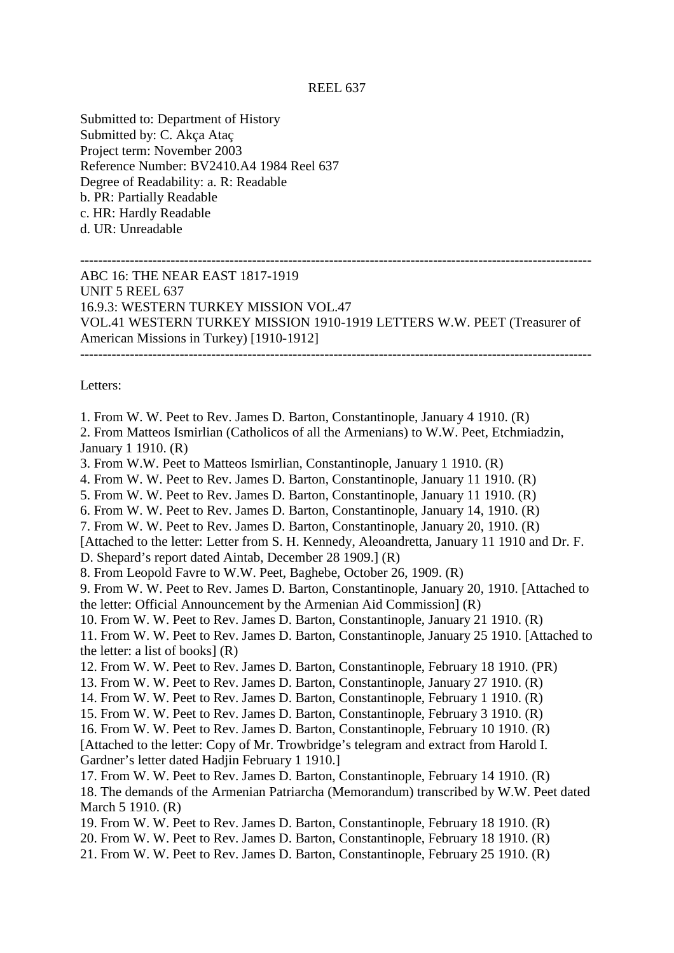## REEL 637

Submitted to: Department of History Submitted by: C. Akça Ataç Project term: November 2003 Reference Number: BV2410.A4 1984 Reel 637 Degree of Readability: a. R: Readable b. PR: Partially Readable c. HR: Hardly Readable d. UR: Unreadable

## ----------------------------------------------------------------------------------------------------------------- ABC 16: THE NEAR EAST 1817-1919 UNIT 5 REEL 637 16.9.3: WESTERN TURKEY MISSION VOL.47 VOL.41 WESTERN TURKEY MISSION 1910-1919 LETTERS W.W. PEET (Treasurer of American Missions in Turkey) [1910-1912] -----------------------------------------------------------------------------------------------------------------

Letters:

1. From W. W. Peet to Rev. James D. Barton, Constantinople, January 4 1910. (R)

2. From Matteos Ismirlian (Catholicos of all the Armenians) to W.W. Peet, Etchmiadzin, January 1 1910. (R)

3. From W.W. Peet to Matteos Ismirlian, Constantinople, January 1 1910. (R)

4. From W. W. Peet to Rev. James D. Barton, Constantinople, January 11 1910. (R)

5. From W. W. Peet to Rev. James D. Barton, Constantinople, January 11 1910. (R)

6. From W. W. Peet to Rev. James D. Barton, Constantinople, January 14, 1910. (R)

7. From W. W. Peet to Rev. James D. Barton, Constantinople, January 20, 1910. (R)

[Attached to the letter: Letter from S. H. Kennedy, Aleoandretta, January 11 1910 and Dr. F. D. Shepard's report dated Aintab, December 28 1909.] (R)

8. From Leopold Favre to W.W. Peet, Baghebe, October 26, 1909. (R)

9. From W. W. Peet to Rev. James D. Barton, Constantinople, January 20, 1910. [Attached to the letter: Official Announcement by the Armenian Aid Commission] (R)

10. From W. W. Peet to Rev. James D. Barton, Constantinople, January 21 1910. (R)

11. From W. W. Peet to Rev. James D. Barton, Constantinople, January 25 1910. [Attached to the letter: a list of books] (R)

12. From W. W. Peet to Rev. James D. Barton, Constantinople, February 18 1910. (PR)

13. From W. W. Peet to Rev. James D. Barton, Constantinople, January 27 1910. (R)

14. From W. W. Peet to Rev. James D. Barton, Constantinople, February 1 1910. (R)

15. From W. W. Peet to Rev. James D. Barton, Constantinople, February 3 1910. (R)

16. From W. W. Peet to Rev. James D. Barton, Constantinople, February 10 1910. (R) [Attached to the letter: Copy of Mr. Trowbridge's telegram and extract from Harold I. Gardner's letter dated Hadjin February 1 1910.]

17. From W. W. Peet to Rev. James D. Barton, Constantinople, February 14 1910. (R) 18. The demands of the Armenian Patriarcha (Memorandum) transcribed by W.W. Peet dated March 5 1910. (R)

19. From W. W. Peet to Rev. James D. Barton, Constantinople, February 18 1910. (R)

20. From W. W. Peet to Rev. James D. Barton, Constantinople, February 18 1910. (R)

21. From W. W. Peet to Rev. James D. Barton, Constantinople, February 25 1910. (R)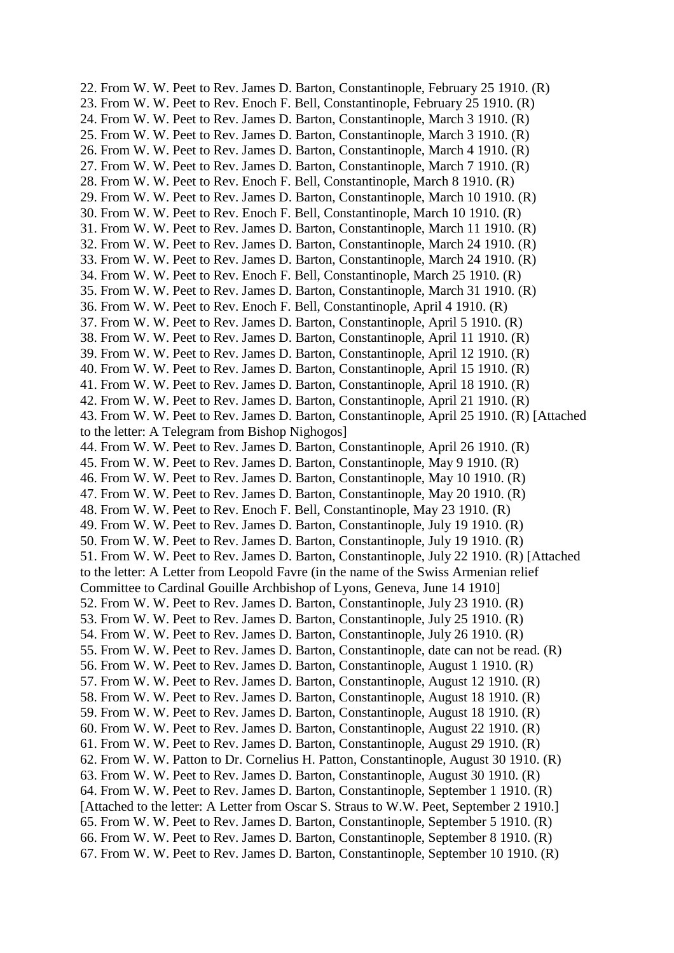22. From W. W. Peet to Rev. James D. Barton, Constantinople, February 25 1910. (R) 23. From W. W. Peet to Rev. Enoch F. Bell, Constantinople, February 25 1910. (R) 24. From W. W. Peet to Rev. James D. Barton, Constantinople, March 3 1910. (R) 25. From W. W. Peet to Rev. James D. Barton, Constantinople, March 3 1910. (R) 26. From W. W. Peet to Rev. James D. Barton, Constantinople, March 4 1910. (R) 27. From W. W. Peet to Rev. James D. Barton, Constantinople, March 7 1910. (R) 28. From W. W. Peet to Rev. Enoch F. Bell, Constantinople, March 8 1910. (R) 29. From W. W. Peet to Rev. James D. Barton, Constantinople, March 10 1910. (R) 30. From W. W. Peet to Rev. Enoch F. Bell, Constantinople, March 10 1910. (R) 31. From W. W. Peet to Rev. James D. Barton, Constantinople, March 11 1910. (R) 32. From W. W. Peet to Rev. James D. Barton, Constantinople, March 24 1910. (R) 33. From W. W. Peet to Rev. James D. Barton, Constantinople, March 24 1910. (R) 34. From W. W. Peet to Rev. Enoch F. Bell, Constantinople, March 25 1910. (R) 35. From W. W. Peet to Rev. James D. Barton, Constantinople, March 31 1910. (R) 36. From W. W. Peet to Rev. Enoch F. Bell, Constantinople, April 4 1910. (R) 37. From W. W. Peet to Rev. James D. Barton, Constantinople, April 5 1910. (R) 38. From W. W. Peet to Rev. James D. Barton, Constantinople, April 11 1910. (R) 39. From W. W. Peet to Rev. James D. Barton, Constantinople, April 12 1910. (R) 40. From W. W. Peet to Rev. James D. Barton, Constantinople, April 15 1910. (R) 41. From W. W. Peet to Rev. James D. Barton, Constantinople, April 18 1910. (R) 42. From W. W. Peet to Rev. James D. Barton, Constantinople, April 21 1910. (R) 43. From W. W. Peet to Rev. James D. Barton, Constantinople, April 25 1910. (R) [Attached to the letter: A Telegram from Bishop Nighogos] 44. From W. W. Peet to Rev. James D. Barton, Constantinople, April 26 1910. (R) 45. From W. W. Peet to Rev. James D. Barton, Constantinople, May 9 1910. (R) 46. From W. W. Peet to Rev. James D. Barton, Constantinople, May 10 1910. (R) 47. From W. W. Peet to Rev. James D. Barton, Constantinople, May 20 1910. (R) 48. From W. W. Peet to Rev. Enoch F. Bell, Constantinople, May 23 1910. (R) 49. From W. W. Peet to Rev. James D. Barton, Constantinople, July 19 1910. (R) 50. From W. W. Peet to Rev. James D. Barton, Constantinople, July 19 1910. (R) 51. From W. W. Peet to Rev. James D. Barton, Constantinople, July 22 1910. (R) [Attached to the letter: A Letter from Leopold Favre (in the name of the Swiss Armenian relief Committee to Cardinal Gouille Archbishop of Lyons, Geneva, June 14 1910] 52. From W. W. Peet to Rev. James D. Barton, Constantinople, July 23 1910. (R) 53. From W. W. Peet to Rev. James D. Barton, Constantinople, July 25 1910. (R) 54. From W. W. Peet to Rev. James D. Barton, Constantinople, July 26 1910. (R) 55. From W. W. Peet to Rev. James D. Barton, Constantinople, date can not be read. (R) 56. From W. W. Peet to Rev. James D. Barton, Constantinople, August 1 1910. (R) 57. From W. W. Peet to Rev. James D. Barton, Constantinople, August 12 1910. (R) 58. From W. W. Peet to Rev. James D. Barton, Constantinople, August 18 1910. (R) 59. From W. W. Peet to Rev. James D. Barton, Constantinople, August 18 1910. (R) 60. From W. W. Peet to Rev. James D. Barton, Constantinople, August 22 1910. (R) 61. From W. W. Peet to Rev. James D. Barton, Constantinople, August 29 1910. (R) 62. From W. W. Patton to Dr. Cornelius H. Patton, Constantinople, August 30 1910. (R) 63. From W. W. Peet to Rev. James D. Barton, Constantinople, August 30 1910. (R) 64. From W. W. Peet to Rev. James D. Barton, Constantinople, September 1 1910. (R) [Attached to the letter: A Letter from Oscar S. Straus to W.W. Peet, September 2 1910.] 65. From W. W. Peet to Rev. James D. Barton, Constantinople, September 5 1910. (R) 66. From W. W. Peet to Rev. James D. Barton, Constantinople, September 8 1910. (R) 67. From W. W. Peet to Rev. James D. Barton, Constantinople, September 10 1910. (R)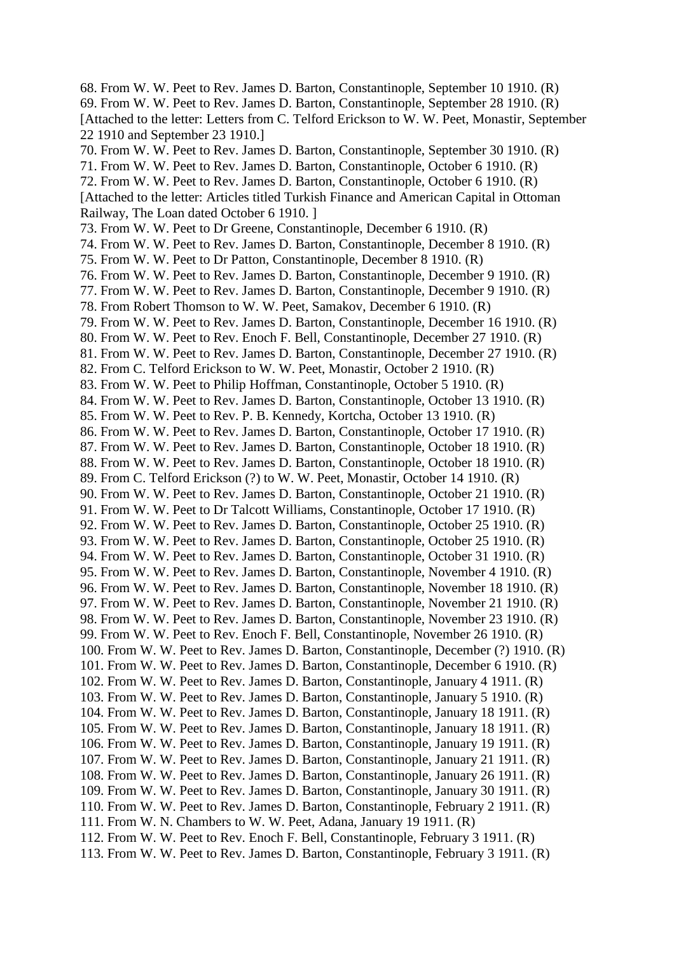68. From W. W. Peet to Rev. James D. Barton, Constantinople, September 10 1910. (R) 69. From W. W. Peet to Rev. James D. Barton, Constantinople, September 28 1910. (R) [Attached to the letter: Letters from C. Telford Erickson to W. W. Peet, Monastir, September 22 1910 and September 23 1910.] 70. From W. W. Peet to Rev. James D. Barton, Constantinople, September 30 1910. (R) 71. From W. W. Peet to Rev. James D. Barton, Constantinople, October 6 1910. (R) 72. From W. W. Peet to Rev. James D. Barton, Constantinople, October 6 1910. (R) [Attached to the letter: Articles titled Turkish Finance and American Capital in Ottoman Railway, The Loan dated October 6 1910. ] 73. From W. W. Peet to Dr Greene, Constantinople, December 6 1910. (R) 74. From W. W. Peet to Rev. James D. Barton, Constantinople, December 8 1910. (R) 75. From W. W. Peet to Dr Patton, Constantinople, December 8 1910. (R) 76. From W. W. Peet to Rev. James D. Barton, Constantinople, December 9 1910. (R) 77. From W. W. Peet to Rev. James D. Barton, Constantinople, December 9 1910. (R) 78. From Robert Thomson to W. W. Peet, Samakov, December 6 1910. (R) 79. From W. W. Peet to Rev. James D. Barton, Constantinople, December 16 1910. (R) 80. From W. W. Peet to Rev. Enoch F. Bell, Constantinople, December 27 1910. (R) 81. From W. W. Peet to Rev. James D. Barton, Constantinople, December 27 1910. (R) 82. From C. Telford Erickson to W. W. Peet, Monastir, October 2 1910. (R) 83. From W. W. Peet to Philip Hoffman, Constantinople, October 5 1910. (R) 84. From W. W. Peet to Rev. James D. Barton, Constantinople, October 13 1910. (R) 85. From W. W. Peet to Rev. P. B. Kennedy, Kortcha, October 13 1910. (R) 86. From W. W. Peet to Rev. James D. Barton, Constantinople, October 17 1910. (R) 87. From W. W. Peet to Rev. James D. Barton, Constantinople, October 18 1910. (R) 88. From W. W. Peet to Rev. James D. Barton, Constantinople, October 18 1910. (R) 89. From C. Telford Erickson (?) to W. W. Peet, Monastir, October 14 1910. (R) 90. From W. W. Peet to Rev. James D. Barton, Constantinople, October 21 1910. (R) 91. From W. W. Peet to Dr Talcott Williams, Constantinople, October 17 1910. (R) 92. From W. W. Peet to Rev. James D. Barton, Constantinople, October 25 1910. (R) 93. From W. W. Peet to Rev. James D. Barton, Constantinople, October 25 1910. (R) 94. From W. W. Peet to Rev. James D. Barton, Constantinople, October 31 1910. (R) 95. From W. W. Peet to Rev. James D. Barton, Constantinople, November 4 1910. (R) 96. From W. W. Peet to Rev. James D. Barton, Constantinople, November 18 1910. (R) 97. From W. W. Peet to Rev. James D. Barton, Constantinople, November 21 1910. (R) 98. From W. W. Peet to Rev. James D. Barton, Constantinople, November 23 1910. (R) 99. From W. W. Peet to Rev. Enoch F. Bell, Constantinople, November 26 1910. (R) 100. From W. W. Peet to Rev. James D. Barton, Constantinople, December (?) 1910. (R) 101. From W. W. Peet to Rev. James D. Barton, Constantinople, December 6 1910. (R) 102. From W. W. Peet to Rev. James D. Barton, Constantinople, January 4 1911. (R) 103. From W. W. Peet to Rev. James D. Barton, Constantinople, January 5 1910. (R) 104. From W. W. Peet to Rev. James D. Barton, Constantinople, January 18 1911. (R) 105. From W. W. Peet to Rev. James D. Barton, Constantinople, January 18 1911. (R) 106. From W. W. Peet to Rev. James D. Barton, Constantinople, January 19 1911. (R) 107. From W. W. Peet to Rev. James D. Barton, Constantinople, January 21 1911. (R) 108. From W. W. Peet to Rev. James D. Barton, Constantinople, January 26 1911. (R) 109. From W. W. Peet to Rev. James D. Barton, Constantinople, January 30 1911. (R) 110. From W. W. Peet to Rev. James D. Barton, Constantinople, February 2 1911. (R) 111. From W. N. Chambers to W. W. Peet, Adana, January 19 1911. (R) 112. From W. W. Peet to Rev. Enoch F. Bell, Constantinople, February 3 1911. (R) 113. From W. W. Peet to Rev. James D. Barton, Constantinople, February 3 1911. (R)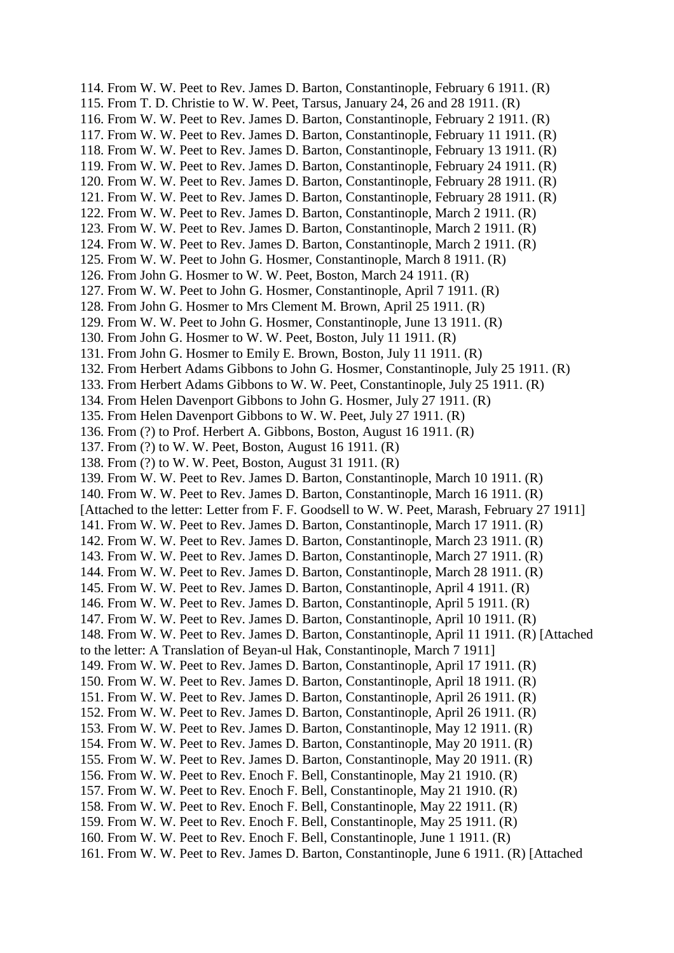114. From W. W. Peet to Rev. James D. Barton, Constantinople, February 6 1911. (R) 115. From T. D. Christie to W. W. Peet, Tarsus, January 24, 26 and 28 1911. (R) 116. From W. W. Peet to Rev. James D. Barton, Constantinople, February 2 1911. (R) 117. From W. W. Peet to Rev. James D. Barton, Constantinople, February 11 1911. (R) 118. From W. W. Peet to Rev. James D. Barton, Constantinople, February 13 1911. (R) 119. From W. W. Peet to Rev. James D. Barton, Constantinople, February 24 1911. (R) 120. From W. W. Peet to Rev. James D. Barton, Constantinople, February 28 1911. (R) 121. From W. W. Peet to Rev. James D. Barton, Constantinople, February 28 1911. (R) 122. From W. W. Peet to Rev. James D. Barton, Constantinople, March 2 1911. (R) 123. From W. W. Peet to Rev. James D. Barton, Constantinople, March 2 1911. (R) 124. From W. W. Peet to Rev. James D. Barton, Constantinople, March 2 1911. (R) 125. From W. W. Peet to John G. Hosmer, Constantinople, March 8 1911. (R) 126. From John G. Hosmer to W. W. Peet, Boston, March 24 1911. (R) 127. From W. W. Peet to John G. Hosmer, Constantinople, April 7 1911. (R) 128. From John G. Hosmer to Mrs Clement M. Brown, April 25 1911. (R) 129. From W. W. Peet to John G. Hosmer, Constantinople, June 13 1911. (R) 130. From John G. Hosmer to W. W. Peet, Boston, July 11 1911. (R) 131. From John G. Hosmer to Emily E. Brown, Boston, July 11 1911. (R) 132. From Herbert Adams Gibbons to John G. Hosmer, Constantinople, July 25 1911. (R) 133. From Herbert Adams Gibbons to W. W. Peet, Constantinople, July 25 1911. (R) 134. From Helen Davenport Gibbons to John G. Hosmer, July 27 1911. (R) 135. From Helen Davenport Gibbons to W. W. Peet, July 27 1911. (R) 136. From (?) to Prof. Herbert A. Gibbons, Boston, August 16 1911. (R) 137. From (?) to W. W. Peet, Boston, August 16 1911. (R) 138. From (?) to W. W. Peet, Boston, August 31 1911. (R) 139. From W. W. Peet to Rev. James D. Barton, Constantinople, March 10 1911. (R) 140. From W. W. Peet to Rev. James D. Barton, Constantinople, March 16 1911. (R) [Attached to the letter: Letter from F. F. Goodsell to W. W. Peet, Marash, February 27 1911] 141. From W. W. Peet to Rev. James D. Barton, Constantinople, March 17 1911. (R) 142. From W. W. Peet to Rev. James D. Barton, Constantinople, March 23 1911. (R) 143. From W. W. Peet to Rev. James D. Barton, Constantinople, March 27 1911. (R) 144. From W. W. Peet to Rev. James D. Barton, Constantinople, March 28 1911. (R) 145. From W. W. Peet to Rev. James D. Barton, Constantinople, April 4 1911. (R) 146. From W. W. Peet to Rev. James D. Barton, Constantinople, April 5 1911. (R) 147. From W. W. Peet to Rev. James D. Barton, Constantinople, April 10 1911. (R) 148. From W. W. Peet to Rev. James D. Barton, Constantinople, April 11 1911. (R) [Attached to the letter: A Translation of Beyan-ul Hak, Constantinople, March 7 1911] 149. From W. W. Peet to Rev. James D. Barton, Constantinople, April 17 1911. (R) 150. From W. W. Peet to Rev. James D. Barton, Constantinople, April 18 1911. (R) 151. From W. W. Peet to Rev. James D. Barton, Constantinople, April 26 1911. (R) 152. From W. W. Peet to Rev. James D. Barton, Constantinople, April 26 1911. (R) 153. From W. W. Peet to Rev. James D. Barton, Constantinople, May 12 1911. (R) 154. From W. W. Peet to Rev. James D. Barton, Constantinople, May 20 1911. (R) 155. From W. W. Peet to Rev. James D. Barton, Constantinople, May 20 1911. (R) 156. From W. W. Peet to Rev. Enoch F. Bell, Constantinople, May 21 1910. (R) 157. From W. W. Peet to Rev. Enoch F. Bell, Constantinople, May 21 1910. (R) 158. From W. W. Peet to Rev. Enoch F. Bell, Constantinople, May 22 1911. (R) 159. From W. W. Peet to Rev. Enoch F. Bell, Constantinople, May 25 1911. (R) 160. From W. W. Peet to Rev. Enoch F. Bell, Constantinople, June 1 1911. (R) 161. From W. W. Peet to Rev. James D. Barton, Constantinople, June 6 1911. (R) [Attached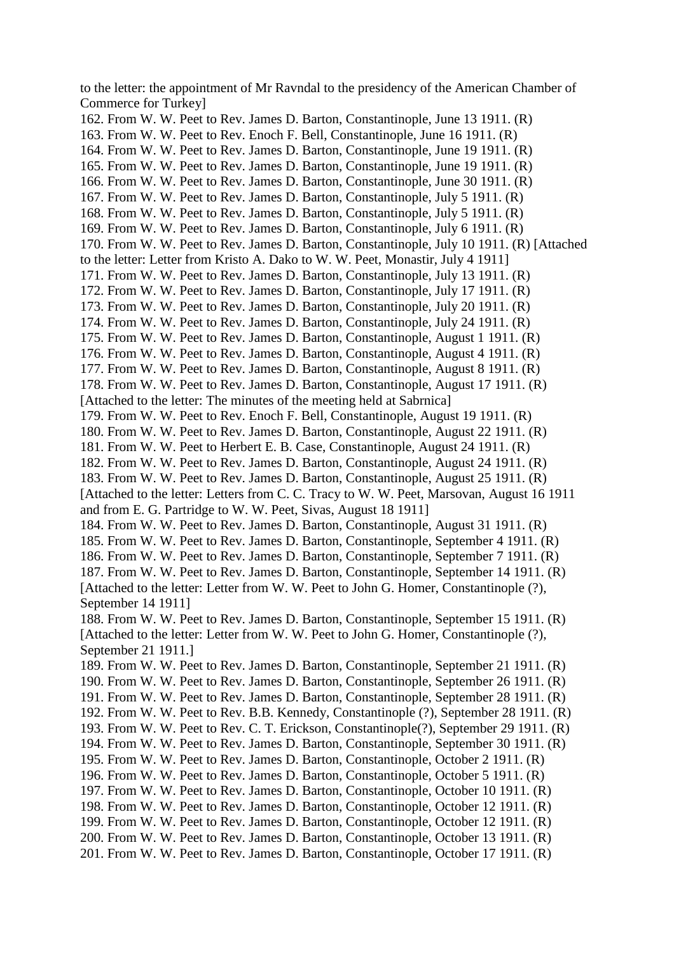to the letter: the appointment of Mr Ravndal to the presidency of the American Chamber of Commerce for Turkey] 162. From W. W. Peet to Rev. James D. Barton, Constantinople, June 13 1911. (R) 163. From W. W. Peet to Rev. Enoch F. Bell, Constantinople, June 16 1911. (R) 164. From W. W. Peet to Rev. James D. Barton, Constantinople, June 19 1911. (R) 165. From W. W. Peet to Rev. James D. Barton, Constantinople, June 19 1911. (R) 166. From W. W. Peet to Rev. James D. Barton, Constantinople, June 30 1911. (R) 167. From W. W. Peet to Rev. James D. Barton, Constantinople, July 5 1911. (R) 168. From W. W. Peet to Rev. James D. Barton, Constantinople, July 5 1911. (R) 169. From W. W. Peet to Rev. James D. Barton, Constantinople, July 6 1911. (R) 170. From W. W. Peet to Rev. James D. Barton, Constantinople, July 10 1911. (R) [Attached to the letter: Letter from Kristo A. Dako to W. W. Peet, Monastir, July 4 1911] 171. From W. W. Peet to Rev. James D. Barton, Constantinople, July 13 1911. (R) 172. From W. W. Peet to Rev. James D. Barton, Constantinople, July 17 1911. (R) 173. From W. W. Peet to Rev. James D. Barton, Constantinople, July 20 1911. (R) 174. From W. W. Peet to Rev. James D. Barton, Constantinople, July 24 1911. (R) 175. From W. W. Peet to Rev. James D. Barton, Constantinople, August 1 1911. (R) 176. From W. W. Peet to Rev. James D. Barton, Constantinople, August 4 1911. (R) 177. From W. W. Peet to Rev. James D. Barton, Constantinople, August 8 1911. (R) 178. From W. W. Peet to Rev. James D. Barton, Constantinople, August 17 1911. (R) [Attached to the letter: The minutes of the meeting held at Sabrnica] 179. From W. W. Peet to Rev. Enoch F. Bell, Constantinople, August 19 1911. (R) 180. From W. W. Peet to Rev. James D. Barton, Constantinople, August 22 1911. (R) 181. From W. W. Peet to Herbert E. B. Case, Constantinople, August 24 1911. (R) 182. From W. W. Peet to Rev. James D. Barton, Constantinople, August 24 1911. (R) 183. From W. W. Peet to Rev. James D. Barton, Constantinople, August 25 1911. (R) [Attached to the letter: Letters from C. C. Tracy to W. W. Peet, Marsovan, August 16 1911 and from E. G. Partridge to W. W. Peet, Sivas, August 18 1911] 184. From W. W. Peet to Rev. James D. Barton, Constantinople, August 31 1911. (R) 185. From W. W. Peet to Rev. James D. Barton, Constantinople, September 4 1911. (R) 186. From W. W. Peet to Rev. James D. Barton, Constantinople, September 7 1911. (R) 187. From W. W. Peet to Rev. James D. Barton, Constantinople, September 14 1911. (R) [Attached to the letter: Letter from W. W. Peet to John G. Homer, Constantinople (?), September 14 1911] 188. From W. W. Peet to Rev. James D. Barton, Constantinople, September 15 1911. (R) [Attached to the letter: Letter from W. W. Peet to John G. Homer, Constantinople (?), September 21 1911.] 189. From W. W. Peet to Rev. James D. Barton, Constantinople, September 21 1911. (R) 190. From W. W. Peet to Rev. James D. Barton, Constantinople, September 26 1911. (R) 191. From W. W. Peet to Rev. James D. Barton, Constantinople, September 28 1911. (R) 192. From W. W. Peet to Rev. B.B. Kennedy, Constantinople (?), September 28 1911. (R) 193. From W. W. Peet to Rev. C. T. Erickson, Constantinople(?), September 29 1911. (R) 194. From W. W. Peet to Rev. James D. Barton, Constantinople, September 30 1911. (R) 195. From W. W. Peet to Rev. James D. Barton, Constantinople, October 2 1911. (R) 196. From W. W. Peet to Rev. James D. Barton, Constantinople, October 5 1911. (R) 197. From W. W. Peet to Rev. James D. Barton, Constantinople, October 10 1911. (R) 198. From W. W. Peet to Rev. James D. Barton, Constantinople, October 12 1911. (R) 199. From W. W. Peet to Rev. James D. Barton, Constantinople, October 12 1911. (R) 200. From W. W. Peet to Rev. James D. Barton, Constantinople, October 13 1911. (R) 201. From W. W. Peet to Rev. James D. Barton, Constantinople, October 17 1911. (R)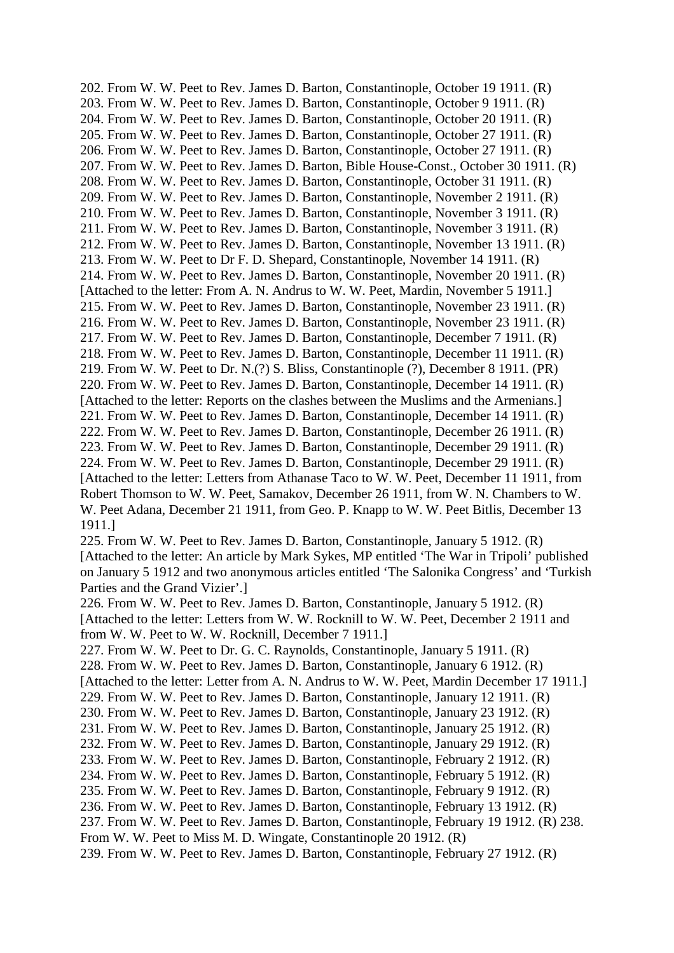202. From W. W. Peet to Rev. James D. Barton, Constantinople, October 19 1911. (R) 203. From W. W. Peet to Rev. James D. Barton, Constantinople, October 9 1911. (R) 204. From W. W. Peet to Rev. James D. Barton, Constantinople, October 20 1911. (R) 205. From W. W. Peet to Rev. James D. Barton, Constantinople, October 27 1911. (R) 206. From W. W. Peet to Rev. James D. Barton, Constantinople, October 27 1911. (R) 207. From W. W. Peet to Rev. James D. Barton, Bible House-Const., October 30 1911. (R) 208. From W. W. Peet to Rev. James D. Barton, Constantinople, October 31 1911. (R) 209. From W. W. Peet to Rev. James D. Barton, Constantinople, November 2 1911. (R) 210. From W. W. Peet to Rev. James D. Barton, Constantinople, November 3 1911. (R) 211. From W. W. Peet to Rev. James D. Barton, Constantinople, November 3 1911. (R) 212. From W. W. Peet to Rev. James D. Barton, Constantinople, November 13 1911. (R) 213. From W. W. Peet to Dr F. D. Shepard, Constantinople, November 14 1911. (R) 214. From W. W. Peet to Rev. James D. Barton, Constantinople, November 20 1911. (R) [Attached to the letter: From A. N. Andrus to W. W. Peet, Mardin, November 5 1911.] 215. From W. W. Peet to Rev. James D. Barton, Constantinople, November 23 1911. (R) 216. From W. W. Peet to Rev. James D. Barton, Constantinople, November 23 1911. (R) 217. From W. W. Peet to Rev. James D. Barton, Constantinople, December 7 1911. (R) 218. From W. W. Peet to Rev. James D. Barton, Constantinople, December 11 1911. (R) 219. From W. W. Peet to Dr. N.(?) S. Bliss, Constantinople (?), December 8 1911. (PR) 220. From W. W. Peet to Rev. James D. Barton, Constantinople, December 14 1911. (R) [Attached to the letter: Reports on the clashes between the Muslims and the Armenians.] 221. From W. W. Peet to Rev. James D. Barton, Constantinople, December 14 1911. (R) 222. From W. W. Peet to Rev. James D. Barton, Constantinople, December 26 1911. (R) 223. From W. W. Peet to Rev. James D. Barton, Constantinople, December 29 1911. (R) 224. From W. W. Peet to Rev. James D. Barton, Constantinople, December 29 1911. (R) [Attached to the letter: Letters from Athanase Taco to W. W. Peet, December 11 1911, from Robert Thomson to W. W. Peet, Samakov, December 26 1911, from W. N. Chambers to W. W. Peet Adana, December 21 1911, from Geo. P. Knapp to W. W. Peet Bitlis, December 13 1911.] 225. From W. W. Peet to Rev. James D. Barton, Constantinople, January 5 1912. (R) [Attached to the letter: An article by Mark Sykes, MP entitled 'The War in Tripoli' published on January 5 1912 and two anonymous articles entitled 'The Salonika Congress' and 'Turkish Parties and the Grand Vizier'.] 226. From W. W. Peet to Rev. James D. Barton, Constantinople, January 5 1912. (R) [Attached to the letter: Letters from W. W. Rocknill to W. W. Peet, December 2 1911 and from W. W. Peet to W. W. Rocknill, December 7 1911.] 227. From W. W. Peet to Dr. G. C. Raynolds, Constantinople, January 5 1911. (R) 228. From W. W. Peet to Rev. James D. Barton, Constantinople, January 6 1912. (R) [Attached to the letter: Letter from A. N. Andrus to W. W. Peet, Mardin December 17 1911.] 229. From W. W. Peet to Rev. James D. Barton, Constantinople, January 12 1911. (R) 230. From W. W. Peet to Rev. James D. Barton, Constantinople, January 23 1912. (R) 231. From W. W. Peet to Rev. James D. Barton, Constantinople, January 25 1912. (R) 232. From W. W. Peet to Rev. James D. Barton, Constantinople, January 29 1912. (R) 233. From W. W. Peet to Rev. James D. Barton, Constantinople, February 2 1912. (R) 234. From W. W. Peet to Rev. James D. Barton, Constantinople, February 5 1912. (R) 235. From W. W. Peet to Rev. James D. Barton, Constantinople, February 9 1912. (R) 236. From W. W. Peet to Rev. James D. Barton, Constantinople, February 13 1912. (R) 237. From W. W. Peet to Rev. James D. Barton, Constantinople, February 19 1912. (R) 238. From W. W. Peet to Miss M. D. Wingate, Constantinople 20 1912. (R) 239. From W. W. Peet to Rev. James D. Barton, Constantinople, February 27 1912. (R)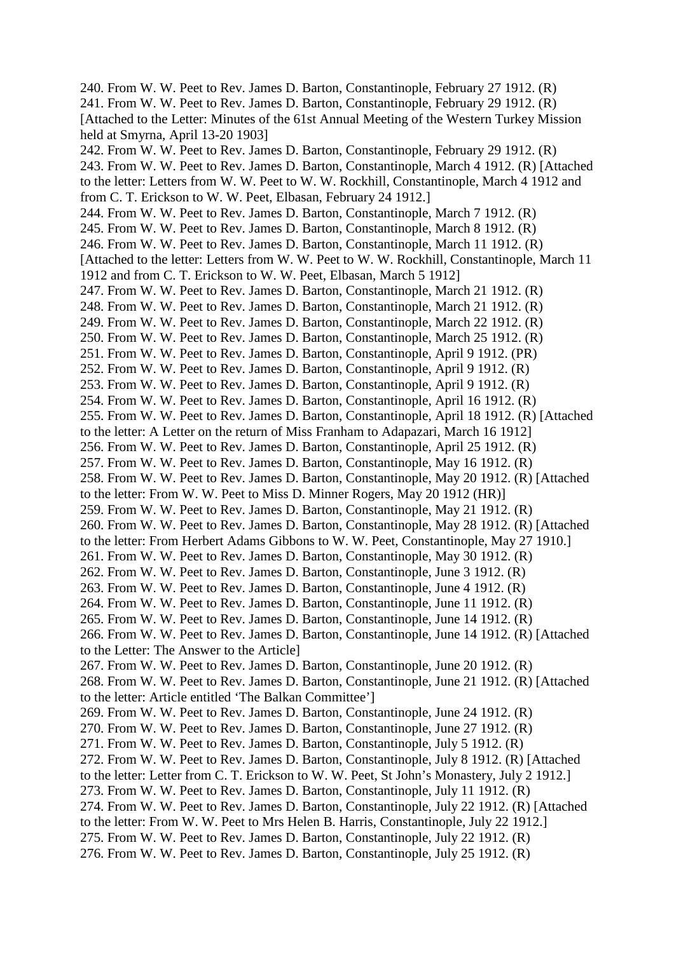240. From W. W. Peet to Rev. James D. Barton, Constantinople, February 27 1912. (R) 241. From W. W. Peet to Rev. James D. Barton, Constantinople, February 29 1912. (R) [Attached to the Letter: Minutes of the 61st Annual Meeting of the Western Turkey Mission held at Smyrna, April 13-20 1903] 242. From W. W. Peet to Rev. James D. Barton, Constantinople, February 29 1912. (R) 243. From W. W. Peet to Rev. James D. Barton, Constantinople, March 4 1912. (R) [Attached to the letter: Letters from W. W. Peet to W. W. Rockhill, Constantinople, March 4 1912 and from C. T. Erickson to W. W. Peet, Elbasan, February 24 1912.] 244. From W. W. Peet to Rev. James D. Barton, Constantinople, March 7 1912. (R) 245. From W. W. Peet to Rev. James D. Barton, Constantinople, March 8 1912. (R) 246. From W. W. Peet to Rev. James D. Barton, Constantinople, March 11 1912. (R) [Attached to the letter: Letters from W. W. Peet to W. W. Rockhill, Constantinople, March 11 1912 and from C. T. Erickson to W. W. Peet, Elbasan, March 5 1912] 247. From W. W. Peet to Rev. James D. Barton, Constantinople, March 21 1912. (R) 248. From W. W. Peet to Rev. James D. Barton, Constantinople, March 21 1912. (R) 249. From W. W. Peet to Rev. James D. Barton, Constantinople, March 22 1912. (R) 250. From W. W. Peet to Rev. James D. Barton, Constantinople, March 25 1912. (R) 251. From W. W. Peet to Rev. James D. Barton, Constantinople, April 9 1912. (PR) 252. From W. W. Peet to Rev. James D. Barton, Constantinople, April 9 1912. (R) 253. From W. W. Peet to Rev. James D. Barton, Constantinople, April 9 1912. (R) 254. From W. W. Peet to Rev. James D. Barton, Constantinople, April 16 1912. (R) 255. From W. W. Peet to Rev. James D. Barton, Constantinople, April 18 1912. (R) [Attached to the letter: A Letter on the return of Miss Franham to Adapazari, March 16 1912] 256. From W. W. Peet to Rev. James D. Barton, Constantinople, April 25 1912. (R) 257. From W. W. Peet to Rev. James D. Barton, Constantinople, May 16 1912. (R) 258. From W. W. Peet to Rev. James D. Barton, Constantinople, May 20 1912. (R) [Attached to the letter: From W. W. Peet to Miss D. Minner Rogers, May 20 1912 (HR)] 259. From W. W. Peet to Rev. James D. Barton, Constantinople, May 21 1912. (R) 260. From W. W. Peet to Rev. James D. Barton, Constantinople, May 28 1912. (R) [Attached to the letter: From Herbert Adams Gibbons to W. W. Peet, Constantinople, May 27 1910.] 261. From W. W. Peet to Rev. James D. Barton, Constantinople, May 30 1912. (R) 262. From W. W. Peet to Rev. James D. Barton, Constantinople, June 3 1912. (R) 263. From W. W. Peet to Rev. James D. Barton, Constantinople, June 4 1912. (R) 264. From W. W. Peet to Rev. James D. Barton, Constantinople, June 11 1912. (R) 265. From W. W. Peet to Rev. James D. Barton, Constantinople, June 14 1912. (R) 266. From W. W. Peet to Rev. James D. Barton, Constantinople, June 14 1912. (R) [Attached to the Letter: The Answer to the Article] 267. From W. W. Peet to Rev. James D. Barton, Constantinople, June 20 1912. (R) 268. From W. W. Peet to Rev. James D. Barton, Constantinople, June 21 1912. (R) [Attached to the letter: Article entitled 'The Balkan Committee'] 269. From W. W. Peet to Rev. James D. Barton, Constantinople, June 24 1912. (R) 270. From W. W. Peet to Rev. James D. Barton, Constantinople, June 27 1912. (R) 271. From W. W. Peet to Rev. James D. Barton, Constantinople, July 5 1912. (R) 272. From W. W. Peet to Rev. James D. Barton, Constantinople, July 8 1912. (R) [Attached to the letter: Letter from C. T. Erickson to W. W. Peet, St John's Monastery, July 2 1912.] 273. From W. W. Peet to Rev. James D. Barton, Constantinople, July 11 1912. (R) 274. From W. W. Peet to Rev. James D. Barton, Constantinople, July 22 1912. (R) [Attached to the letter: From W. W. Peet to Mrs Helen B. Harris, Constantinople, July 22 1912.] 275. From W. W. Peet to Rev. James D. Barton, Constantinople, July 22 1912. (R) 276. From W. W. Peet to Rev. James D. Barton, Constantinople, July 25 1912. (R)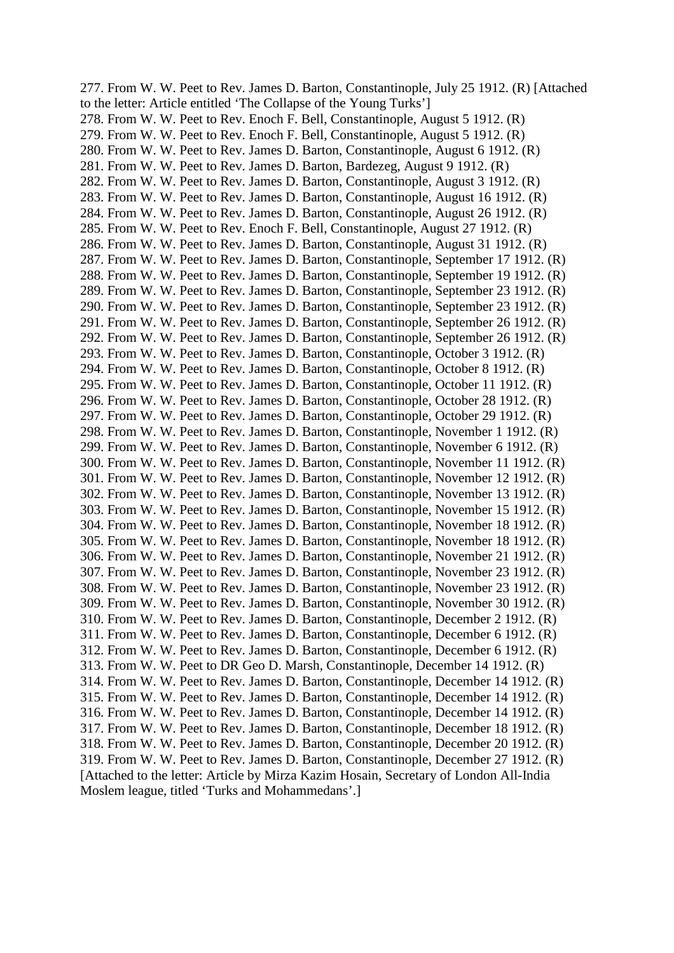277. From W. W. Peet to Rev. James D. Barton, Constantinople, July 25 1912. (R) [Attached to the letter: Article entitled 'The Collapse of the Young Turks'] 278. From W. W. Peet to Rev. Enoch F. Bell, Constantinople, August 5 1912. (R) 279. From W. W. Peet to Rev. Enoch F. Bell, Constantinople, August 5 1912. (R) 280. From W. W. Peet to Rev. James D. Barton, Constantinople, August 6 1912. (R) 281. From W. W. Peet to Rev. James D. Barton, Bardezeg, August 9 1912. (R) 282. From W. W. Peet to Rev. James D. Barton, Constantinople, August 3 1912. (R) 283. From W. W. Peet to Rev. James D. Barton, Constantinople, August 16 1912. (R) 284. From W. W. Peet to Rev. James D. Barton, Constantinople, August 26 1912. (R) 285. From W. W. Peet to Rev. Enoch F. Bell, Constantinople, August 27 1912. (R) 286. From W. W. Peet to Rev. James D. Barton, Constantinople, August 31 1912. (R) 287. From W. W. Peet to Rev. James D. Barton, Constantinople, September 17 1912. (R) 288. From W. W. Peet to Rev. James D. Barton, Constantinople, September 19 1912. (R) 289. From W. W. Peet to Rev. James D. Barton, Constantinople, September 23 1912. (R) 290. From W. W. Peet to Rev. James D. Barton, Constantinople, September 23 1912. (R) 291. From W. W. Peet to Rev. James D. Barton, Constantinople, September 26 1912. (R) 292. From W. W. Peet to Rev. James D. Barton, Constantinople, September 26 1912. (R) 293. From W. W. Peet to Rev. James D. Barton, Constantinople, October 3 1912. (R) 294. From W. W. Peet to Rev. James D. Barton, Constantinople, October 8 1912. (R) 295. From W. W. Peet to Rev. James D. Barton, Constantinople, October 11 1912. (R) 296. From W. W. Peet to Rev. James D. Barton, Constantinople, October 28 1912. (R) 297. From W. W. Peet to Rev. James D. Barton, Constantinople, October 29 1912. (R) 298. From W. W. Peet to Rev. James D. Barton, Constantinople, November 1 1912. (R) 299. From W. W. Peet to Rev. James D. Barton, Constantinople, November 6 1912. (R) 300. From W. W. Peet to Rev. James D. Barton, Constantinople, November 11 1912. (R) 301. From W. W. Peet to Rev. James D. Barton, Constantinople, November 12 1912. (R) 302. From W. W. Peet to Rev. James D. Barton, Constantinople, November 13 1912. (R) 303. From W. W. Peet to Rev. James D. Barton, Constantinople, November 15 1912. (R) 304. From W. W. Peet to Rev. James D. Barton, Constantinople, November 18 1912. (R) 305. From W. W. Peet to Rev. James D. Barton, Constantinople, November 18 1912. (R) 306. From W. W. Peet to Rev. James D. Barton, Constantinople, November 21 1912. (R) 307. From W. W. Peet to Rev. James D. Barton, Constantinople, November 23 1912. (R) 308. From W. W. Peet to Rev. James D. Barton, Constantinople, November 23 1912. (R) 309. From W. W. Peet to Rev. James D. Barton, Constantinople, November 30 1912. (R) 310. From W. W. Peet to Rev. James D. Barton, Constantinople, December 2 1912. (R) 311. From W. W. Peet to Rev. James D. Barton, Constantinople, December 6 1912. (R) 312. From W. W. Peet to Rev. James D. Barton, Constantinople, December 6 1912. (R) 313. From W. W. Peet to DR Geo D. Marsh, Constantinople, December 14 1912. (R) 314. From W. W. Peet to Rev. James D. Barton, Constantinople, December 14 1912. (R) 315. From W. W. Peet to Rev. James D. Barton, Constantinople, December 14 1912. (R) 316. From W. W. Peet to Rev. James D. Barton, Constantinople, December 14 1912. (R) 317. From W. W. Peet to Rev. James D. Barton, Constantinople, December 18 1912. (R) 318. From W. W. Peet to Rev. James D. Barton, Constantinople, December 20 1912. (R) 319. From W. W. Peet to Rev. James D. Barton, Constantinople, December 27 1912. (R) [Attached to the letter: Article by Mirza Kazim Hosain, Secretary of London All-India Moslem league, titled 'Turks and Mohammedans'.]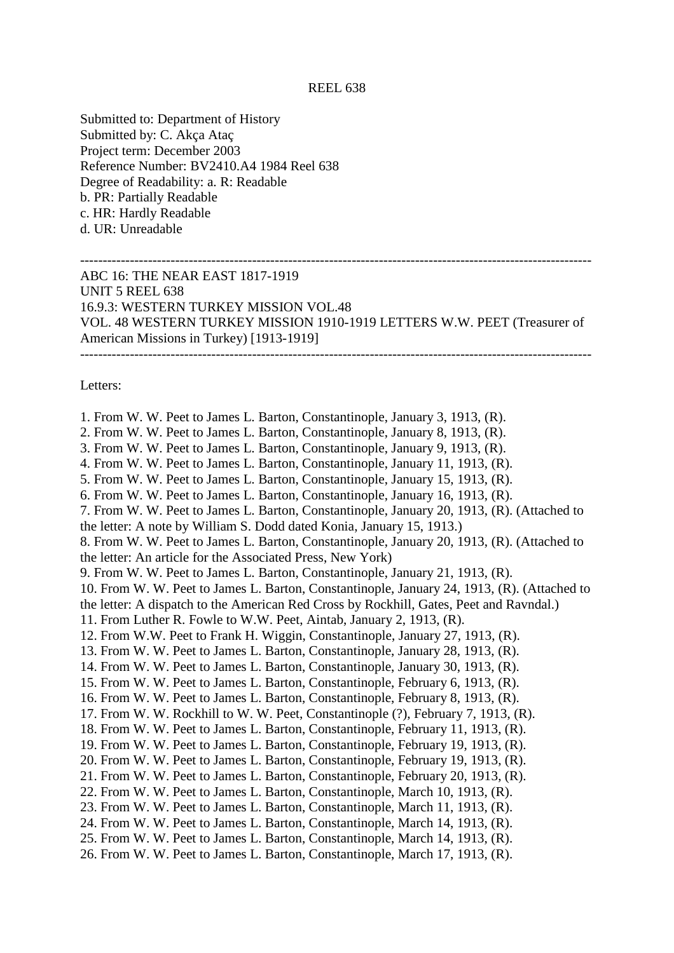## REEL 638

Submitted to: Department of History Submitted by: C. Akça Ataç Project term: December 2003 Reference Number: BV2410.A4 1984 Reel 638 Degree of Readability: a. R: Readable b. PR: Partially Readable c. HR: Hardly Readable d. UR: Unreadable

## ----------------------------------------------------------------------------------------------------------------- ABC 16: THE NEAR EAST 1817-1919 UNIT 5 REEL 638 16.9.3: WESTERN TURKEY MISSION VOL.48 VOL. 48 WESTERN TURKEY MISSION 1910-1919 LETTERS W.W. PEET (Treasurer of American Missions in Turkey) [1913-1919] -----------------------------------------------------------------------------------------------------------------

Letters:

1. From W. W. Peet to James L. Barton, Constantinople, January 3, 1913, (R). 2. From W. W. Peet to James L. Barton, Constantinople, January 8, 1913, (R). 3. From W. W. Peet to James L. Barton, Constantinople, January 9, 1913, (R). 4. From W. W. Peet to James L. Barton, Constantinople, January 11, 1913, (R). 5. From W. W. Peet to James L. Barton, Constantinople, January 15, 1913, (R). 6. From W. W. Peet to James L. Barton, Constantinople, January 16, 1913, (R). 7. From W. W. Peet to James L. Barton, Constantinople, January 20, 1913, (R). (Attached to the letter: A note by William S. Dodd dated Konia, January 15, 1913.) 8. From W. W. Peet to James L. Barton, Constantinople, January 20, 1913, (R). (Attached to the letter: An article for the Associated Press, New York) 9. From W. W. Peet to James L. Barton, Constantinople, January 21, 1913, (R). 10. From W. W. Peet to James L. Barton, Constantinople, January 24, 1913, (R). (Attached to the letter: A dispatch to the American Red Cross by Rockhill, Gates, Peet and Ravndal.) 11. From Luther R. Fowle to W.W. Peet, Aintab, January 2, 1913, (R). 12. From W.W. Peet to Frank H. Wiggin, Constantinople, January 27, 1913, (R). 13. From W. W. Peet to James L. Barton, Constantinople, January 28, 1913, (R). 14. From W. W. Peet to James L. Barton, Constantinople, January 30, 1913, (R). 15. From W. W. Peet to James L. Barton, Constantinople, February 6, 1913, (R). 16. From W. W. Peet to James L. Barton, Constantinople, February 8, 1913, (R). 17. From W. W. Rockhill to W. W. Peet, Constantinople (?), February 7, 1913, (R). 18. From W. W. Peet to James L. Barton, Constantinople, February 11, 1913, (R). 19. From W. W. Peet to James L. Barton, Constantinople, February 19, 1913, (R). 20. From W. W. Peet to James L. Barton, Constantinople, February 19, 1913, (R). 21. From W. W. Peet to James L. Barton, Constantinople, February 20, 1913, (R). 22. From W. W. Peet to James L. Barton, Constantinople, March 10, 1913, (R). 23. From W. W. Peet to James L. Barton, Constantinople, March 11, 1913, (R). 24. From W. W. Peet to James L. Barton, Constantinople, March 14, 1913, (R). 25. From W. W. Peet to James L. Barton, Constantinople, March 14, 1913, (R). 26. From W. W. Peet to James L. Barton, Constantinople, March 17, 1913, (R).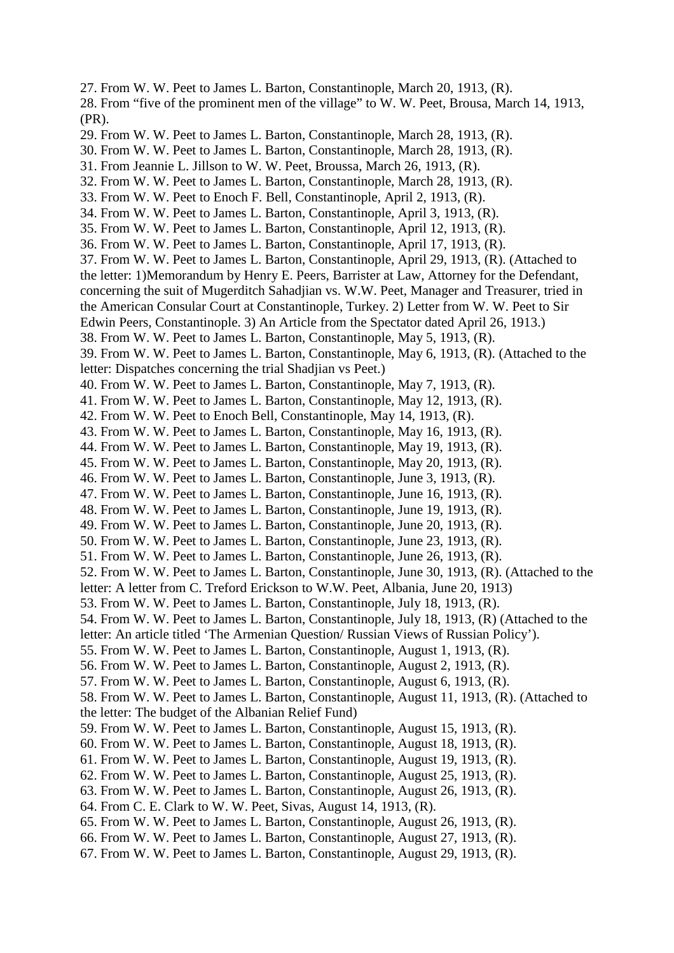27. From W. W. Peet to James L. Barton, Constantinople, March 20, 1913, (R). 28. From "five of the prominent men of the village" to W. W. Peet, Brousa, March 14, 1913, (PR). 29. From W. W. Peet to James L. Barton, Constantinople, March 28, 1913, (R). 30. From W. W. Peet to James L. Barton, Constantinople, March 28, 1913, (R). 31. From Jeannie L. Jillson to W. W. Peet, Broussa, March 26, 1913, (R). 32. From W. W. Peet to James L. Barton, Constantinople, March 28, 1913, (R). 33. From W. W. Peet to Enoch F. Bell, Constantinople, April 2, 1913, (R). 34. From W. W. Peet to James L. Barton, Constantinople, April 3, 1913, (R). 35. From W. W. Peet to James L. Barton, Constantinople, April 12, 1913, (R). 36. From W. W. Peet to James L. Barton, Constantinople, April 17, 1913, (R). 37. From W. W. Peet to James L. Barton, Constantinople, April 29, 1913, (R). (Attached to the letter: 1)Memorandum by Henry E. Peers, Barrister at Law, Attorney for the Defendant, concerning the suit of Mugerditch Sahadjian vs. W.W. Peet, Manager and Treasurer, tried in the American Consular Court at Constantinople, Turkey. 2) Letter from W. W. Peet to Sir Edwin Peers, Constantinople. 3) An Article from the Spectator dated April 26, 1913.) 38. From W. W. Peet to James L. Barton, Constantinople, May 5, 1913, (R). 39. From W. W. Peet to James L. Barton, Constantinople, May 6, 1913, (R). (Attached to the letter: Dispatches concerning the trial Shadjian vs Peet.) 40. From W. W. Peet to James L. Barton, Constantinople, May 7, 1913, (R). 41. From W. W. Peet to James L. Barton, Constantinople, May 12, 1913, (R). 42. From W. W. Peet to Enoch Bell, Constantinople, May 14, 1913, (R). 43. From W. W. Peet to James L. Barton, Constantinople, May 16, 1913, (R). 44. From W. W. Peet to James L. Barton, Constantinople, May 19, 1913, (R). 45. From W. W. Peet to James L. Barton, Constantinople, May 20, 1913, (R). 46. From W. W. Peet to James L. Barton, Constantinople, June 3, 1913, (R). 47. From W. W. Peet to James L. Barton, Constantinople, June 16, 1913, (R). 48. From W. W. Peet to James L. Barton, Constantinople, June 19, 1913, (R). 49. From W. W. Peet to James L. Barton, Constantinople, June 20, 1913, (R). 50. From W. W. Peet to James L. Barton, Constantinople, June 23, 1913, (R). 51. From W. W. Peet to James L. Barton, Constantinople, June 26, 1913, (R). 52. From W. W. Peet to James L. Barton, Constantinople, June 30, 1913, (R). (Attached to the letter: A letter from C. Treford Erickson to W.W. Peet, Albania, June 20, 1913) 53. From W. W. Peet to James L. Barton, Constantinople, July 18, 1913, (R). 54. From W. W. Peet to James L. Barton, Constantinople, July 18, 1913, (R) (Attached to the letter: An article titled 'The Armenian Question/ Russian Views of Russian Policy'). 55. From W. W. Peet to James L. Barton, Constantinople, August 1, 1913, (R). 56. From W. W. Peet to James L. Barton, Constantinople, August 2, 1913, (R). 57. From W. W. Peet to James L. Barton, Constantinople, August 6, 1913, (R). 58. From W. W. Peet to James L. Barton, Constantinople, August 11, 1913, (R). (Attached to the letter: The budget of the Albanian Relief Fund) 59. From W. W. Peet to James L. Barton, Constantinople, August 15, 1913, (R). 60. From W. W. Peet to James L. Barton, Constantinople, August 18, 1913, (R). 61. From W. W. Peet to James L. Barton, Constantinople, August 19, 1913, (R). 62. From W. W. Peet to James L. Barton, Constantinople, August 25, 1913, (R). 63. From W. W. Peet to James L. Barton, Constantinople, August 26, 1913, (R). 64. From C. E. Clark to W. W. Peet, Sivas, August 14, 1913, (R). 65. From W. W. Peet to James L. Barton, Constantinople, August 26, 1913, (R). 66. From W. W. Peet to James L. Barton, Constantinople, August 27, 1913, (R).

67. From W. W. Peet to James L. Barton, Constantinople, August 29, 1913, (R).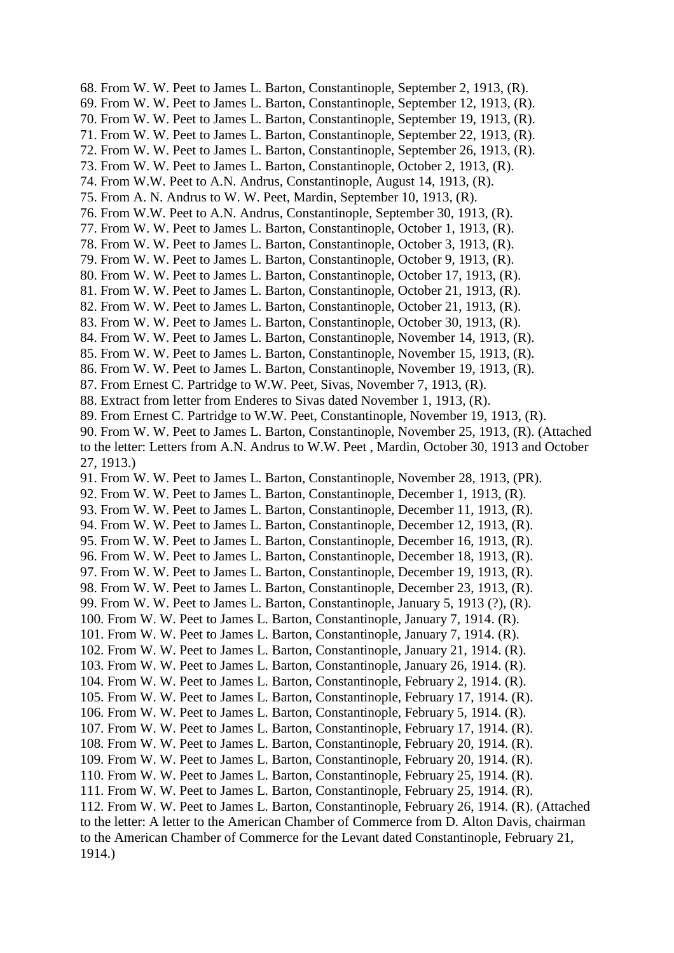68. From W. W. Peet to James L. Barton, Constantinople, September 2, 1913, (R). 69. From W. W. Peet to James L. Barton, Constantinople, September 12, 1913, (R). 70. From W. W. Peet to James L. Barton, Constantinople, September 19, 1913, (R). 71. From W. W. Peet to James L. Barton, Constantinople, September 22, 1913, (R). 72. From W. W. Peet to James L. Barton, Constantinople, September 26, 1913, (R). 73. From W. W. Peet to James L. Barton, Constantinople, October 2, 1913, (R). 74. From W.W. Peet to A.N. Andrus, Constantinople, August 14, 1913, (R). 75. From A. N. Andrus to W. W. Peet, Mardin, September 10, 1913, (R). 76. From W.W. Peet to A.N. Andrus, Constantinople, September 30, 1913, (R). 77. From W. W. Peet to James L. Barton, Constantinople, October 1, 1913, (R). 78. From W. W. Peet to James L. Barton, Constantinople, October 3, 1913, (R). 79. From W. W. Peet to James L. Barton, Constantinople, October 9, 1913, (R). 80. From W. W. Peet to James L. Barton, Constantinople, October 17, 1913, (R). 81. From W. W. Peet to James L. Barton, Constantinople, October 21, 1913, (R). 82. From W. W. Peet to James L. Barton, Constantinople, October 21, 1913, (R). 83. From W. W. Peet to James L. Barton, Constantinople, October 30, 1913, (R). 84. From W. W. Peet to James L. Barton, Constantinople, November 14, 1913, (R). 85. From W. W. Peet to James L. Barton, Constantinople, November 15, 1913, (R). 86. From W. W. Peet to James L. Barton, Constantinople, November 19, 1913, (R). 87. From Ernest C. Partridge to W.W. Peet, Sivas, November 7, 1913, (R). 88. Extract from letter from Enderes to Sivas dated November 1, 1913, (R). 89. From Ernest C. Partridge to W.W. Peet, Constantinople, November 19, 1913, (R). 90. From W. W. Peet to James L. Barton, Constantinople, November 25, 1913, (R). (Attached to the letter: Letters from A.N. Andrus to W.W. Peet , Mardin, October 30, 1913 and October 27, 1913.) 91. From W. W. Peet to James L. Barton, Constantinople, November 28, 1913, (PR). 92. From W. W. Peet to James L. Barton, Constantinople, December 1, 1913, (R). 93. From W. W. Peet to James L. Barton, Constantinople, December 11, 1913, (R). 94. From W. W. Peet to James L. Barton, Constantinople, December 12, 1913, (R). 95. From W. W. Peet to James L. Barton, Constantinople, December 16, 1913, (R). 96. From W. W. Peet to James L. Barton, Constantinople, December 18, 1913, (R). 97. From W. W. Peet to James L. Barton, Constantinople, December 19, 1913, (R). 98. From W. W. Peet to James L. Barton, Constantinople, December 23, 1913, (R). 99. From W. W. Peet to James L. Barton, Constantinople, January 5, 1913 (?), (R). 100. From W. W. Peet to James L. Barton, Constantinople, January 7, 1914. (R). 101. From W. W. Peet to James L. Barton, Constantinople, January 7, 1914. (R). 102. From W. W. Peet to James L. Barton, Constantinople, January 21, 1914. (R). 103. From W. W. Peet to James L. Barton, Constantinople, January 26, 1914. (R). 104. From W. W. Peet to James L. Barton, Constantinople, February 2, 1914. (R). 105. From W. W. Peet to James L. Barton, Constantinople, February 17, 1914. (R). 106. From W. W. Peet to James L. Barton, Constantinople, February 5, 1914. (R). 107. From W. W. Peet to James L. Barton, Constantinople, February 17, 1914. (R). 108. From W. W. Peet to James L. Barton, Constantinople, February 20, 1914. (R). 109. From W. W. Peet to James L. Barton, Constantinople, February 20, 1914. (R). 110. From W. W. Peet to James L. Barton, Constantinople, February 25, 1914. (R). 111. From W. W. Peet to James L. Barton, Constantinople, February 25, 1914. (R). 112. From W. W. Peet to James L. Barton, Constantinople, February 26, 1914. (R). (Attached to the letter: A letter to the American Chamber of Commerce from D. Alton Davis, chairman to the American Chamber of Commerce for the Levant dated Constantinople, February 21, 1914.)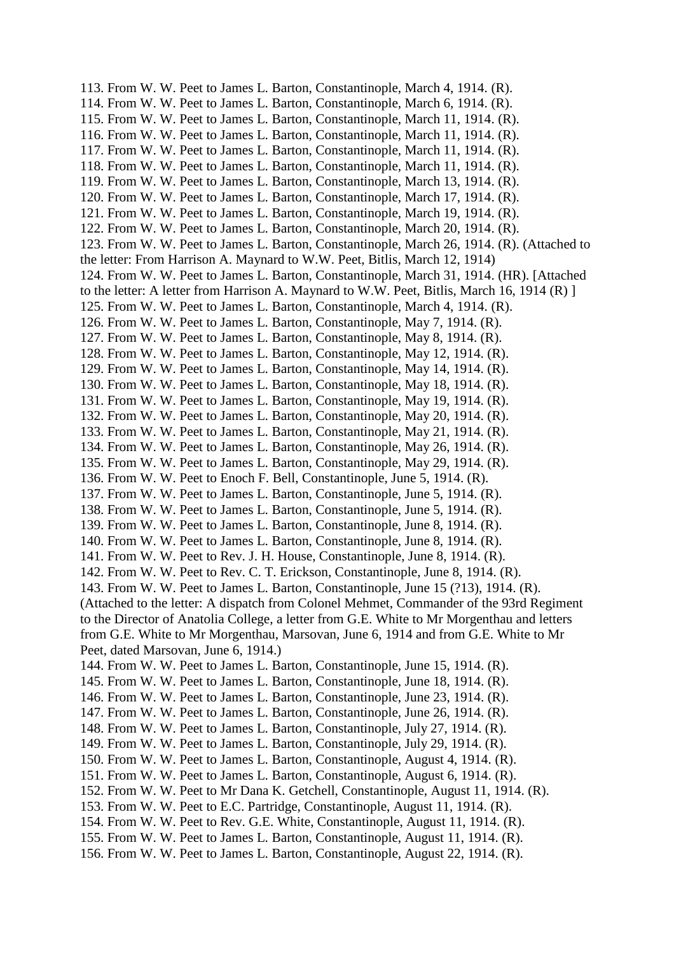113. From W. W. Peet to James L. Barton, Constantinople, March 4, 1914. (R). 114. From W. W. Peet to James L. Barton, Constantinople, March 6, 1914. (R). 115. From W. W. Peet to James L. Barton, Constantinople, March 11, 1914. (R). 116. From W. W. Peet to James L. Barton, Constantinople, March 11, 1914. (R). 117. From W. W. Peet to James L. Barton, Constantinople, March 11, 1914. (R). 118. From W. W. Peet to James L. Barton, Constantinople, March 11, 1914. (R). 119. From W. W. Peet to James L. Barton, Constantinople, March 13, 1914. (R). 120. From W. W. Peet to James L. Barton, Constantinople, March 17, 1914. (R). 121. From W. W. Peet to James L. Barton, Constantinople, March 19, 1914. (R). 122. From W. W. Peet to James L. Barton, Constantinople, March 20, 1914. (R). 123. From W. W. Peet to James L. Barton, Constantinople, March 26, 1914. (R). (Attached to the letter: From Harrison A. Maynard to W.W. Peet, Bitlis, March 12, 1914) 124. From W. W. Peet to James L. Barton, Constantinople, March 31, 1914. (HR). [Attached to the letter: A letter from Harrison A. Maynard to W.W. Peet, Bitlis, March 16, 1914 (R) ] 125. From W. W. Peet to James L. Barton, Constantinople, March 4, 1914. (R). 126. From W. W. Peet to James L. Barton, Constantinople, May 7, 1914. (R). 127. From W. W. Peet to James L. Barton, Constantinople, May 8, 1914. (R). 128. From W. W. Peet to James L. Barton, Constantinople, May 12, 1914. (R). 129. From W. W. Peet to James L. Barton, Constantinople, May 14, 1914. (R). 130. From W. W. Peet to James L. Barton, Constantinople, May 18, 1914. (R). 131. From W. W. Peet to James L. Barton, Constantinople, May 19, 1914. (R). 132. From W. W. Peet to James L. Barton, Constantinople, May 20, 1914. (R). 133. From W. W. Peet to James L. Barton, Constantinople, May 21, 1914. (R). 134. From W. W. Peet to James L. Barton, Constantinople, May 26, 1914. (R). 135. From W. W. Peet to James L. Barton, Constantinople, May 29, 1914. (R). 136. From W. W. Peet to Enoch F. Bell, Constantinople, June 5, 1914. (R). 137. From W. W. Peet to James L. Barton, Constantinople, June 5, 1914. (R). 138. From W. W. Peet to James L. Barton, Constantinople, June 5, 1914. (R). 139. From W. W. Peet to James L. Barton, Constantinople, June 8, 1914. (R). 140. From W. W. Peet to James L. Barton, Constantinople, June 8, 1914. (R). 141. From W. W. Peet to Rev. J. H. House, Constantinople, June 8, 1914. (R). 142. From W. W. Peet to Rev. C. T. Erickson, Constantinople, June 8, 1914. (R). 143. From W. W. Peet to James L. Barton, Constantinople, June 15 (?13), 1914. (R). (Attached to the letter: A dispatch from Colonel Mehmet, Commander of the 93rd Regiment to the Director of Anatolia College, a letter from G.E. White to Mr Morgenthau and letters from G.E. White to Mr Morgenthau, Marsovan, June 6, 1914 and from G.E. White to Mr Peet, dated Marsovan, June 6, 1914.) 144. From W. W. Peet to James L. Barton, Constantinople, June 15, 1914. (R). 145. From W. W. Peet to James L. Barton, Constantinople, June 18, 1914. (R). 146. From W. W. Peet to James L. Barton, Constantinople, June 23, 1914. (R). 147. From W. W. Peet to James L. Barton, Constantinople, June 26, 1914. (R). 148. From W. W. Peet to James L. Barton, Constantinople, July 27, 1914. (R). 149. From W. W. Peet to James L. Barton, Constantinople, July 29, 1914. (R). 150. From W. W. Peet to James L. Barton, Constantinople, August 4, 1914. (R). 151. From W. W. Peet to James L. Barton, Constantinople, August 6, 1914. (R). 152. From W. W. Peet to Mr Dana K. Getchell, Constantinople, August 11, 1914. (R). 153. From W. W. Peet to E.C. Partridge, Constantinople, August 11, 1914. (R). 154. From W. W. Peet to Rev. G.E. White, Constantinople, August 11, 1914. (R). 155. From W. W. Peet to James L. Barton, Constantinople, August 11, 1914. (R). 156. From W. W. Peet to James L. Barton, Constantinople, August 22, 1914. (R).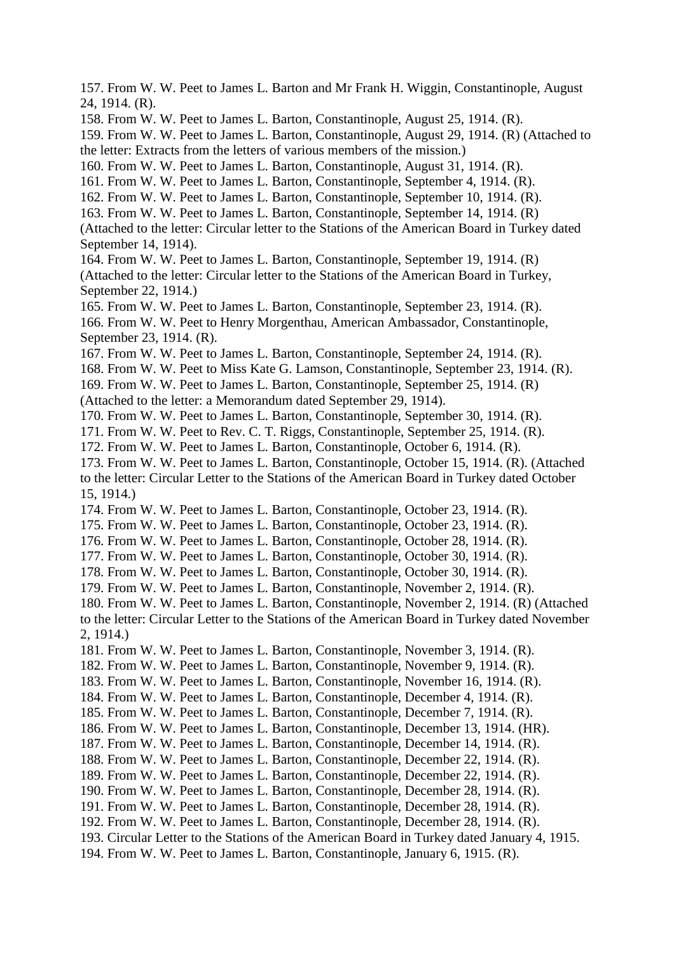157. From W. W. Peet to James L. Barton and Mr Frank H. Wiggin, Constantinople, August 24, 1914. (R). 158. From W. W. Peet to James L. Barton, Constantinople, August 25, 1914. (R). 159. From W. W. Peet to James L. Barton, Constantinople, August 29, 1914. (R) (Attached to the letter: Extracts from the letters of various members of the mission.) 160. From W. W. Peet to James L. Barton, Constantinople, August 31, 1914. (R). 161. From W. W. Peet to James L. Barton, Constantinople, September 4, 1914. (R). 162. From W. W. Peet to James L. Barton, Constantinople, September 10, 1914. (R). 163. From W. W. Peet to James L. Barton, Constantinople, September 14, 1914. (R) (Attached to the letter: Circular letter to the Stations of the American Board in Turkey dated September 14, 1914). 164. From W. W. Peet to James L. Barton, Constantinople, September 19, 1914. (R) (Attached to the letter: Circular letter to the Stations of the American Board in Turkey, September 22, 1914.) 165. From W. W. Peet to James L. Barton, Constantinople, September 23, 1914. (R). 166. From W. W. Peet to Henry Morgenthau, American Ambassador, Constantinople, September 23, 1914. (R). 167. From W. W. Peet to James L. Barton, Constantinople, September 24, 1914. (R). 168. From W. W. Peet to Miss Kate G. Lamson, Constantinople, September 23, 1914. (R). 169. From W. W. Peet to James L. Barton, Constantinople, September 25, 1914. (R) (Attached to the letter: a Memorandum dated September 29, 1914). 170. From W. W. Peet to James L. Barton, Constantinople, September 30, 1914. (R). 171. From W. W. Peet to Rev. C. T. Riggs, Constantinople, September 25, 1914. (R). 172. From W. W. Peet to James L. Barton, Constantinople, October 6, 1914. (R). 173. From W. W. Peet to James L. Barton, Constantinople, October 15, 1914. (R). (Attached to the letter: Circular Letter to the Stations of the American Board in Turkey dated October 15, 1914.) 174. From W. W. Peet to James L. Barton, Constantinople, October 23, 1914. (R). 175. From W. W. Peet to James L. Barton, Constantinople, October 23, 1914. (R). 176. From W. W. Peet to James L. Barton, Constantinople, October 28, 1914. (R). 177. From W. W. Peet to James L. Barton, Constantinople, October 30, 1914. (R). 178. From W. W. Peet to James L. Barton, Constantinople, October 30, 1914. (R). 179. From W. W. Peet to James L. Barton, Constantinople, November 2, 1914. (R). 180. From W. W. Peet to James L. Barton, Constantinople, November 2, 1914. (R) (Attached to the letter: Circular Letter to the Stations of the American Board in Turkey dated November 2, 1914.) 181. From W. W. Peet to James L. Barton, Constantinople, November 3, 1914. (R). 182. From W. W. Peet to James L. Barton, Constantinople, November 9, 1914. (R). 183. From W. W. Peet to James L. Barton, Constantinople, November 16, 1914. (R). 184. From W. W. Peet to James L. Barton, Constantinople, December 4, 1914. (R). 185. From W. W. Peet to James L. Barton, Constantinople, December 7, 1914. (R). 186. From W. W. Peet to James L. Barton, Constantinople, December 13, 1914. (HR). 187. From W. W. Peet to James L. Barton, Constantinople, December 14, 1914. (R). 188. From W. W. Peet to James L. Barton, Constantinople, December 22, 1914. (R). 189. From W. W. Peet to James L. Barton, Constantinople, December 22, 1914. (R). 190. From W. W. Peet to James L. Barton, Constantinople, December 28, 1914. (R). 191. From W. W. Peet to James L. Barton, Constantinople, December 28, 1914. (R). 192. From W. W. Peet to James L. Barton, Constantinople, December 28, 1914. (R). 193. Circular Letter to the Stations of the American Board in Turkey dated January 4, 1915. 194. From W. W. Peet to James L. Barton, Constantinople, January 6, 1915. (R).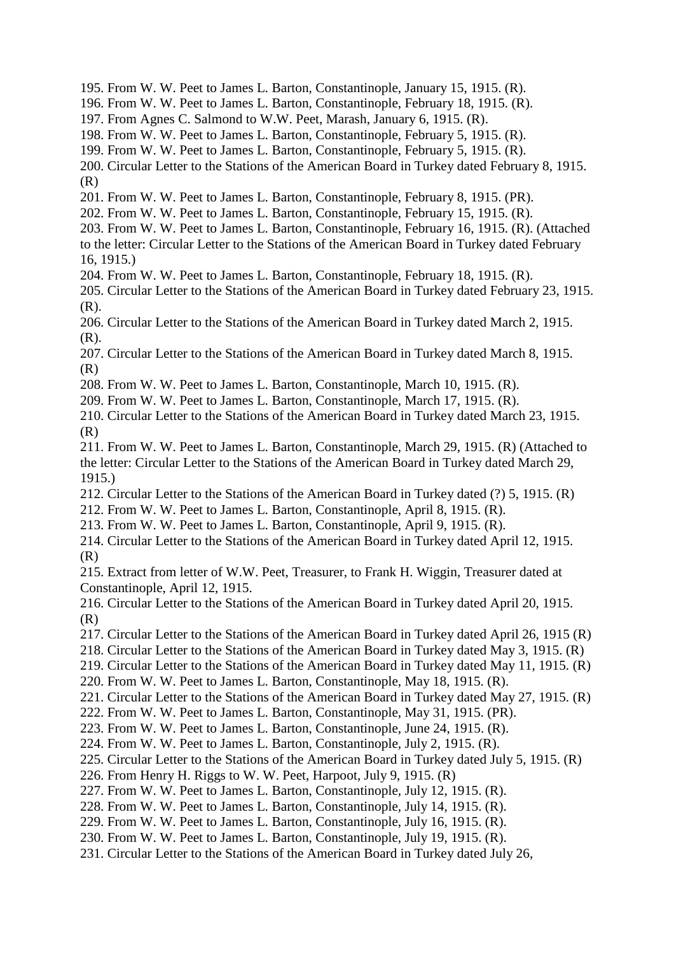- 195. From W. W. Peet to James L. Barton, Constantinople, January 15, 1915. (R).
- 196. From W. W. Peet to James L. Barton, Constantinople, February 18, 1915. (R).
- 197. From Agnes C. Salmond to W.W. Peet, Marash, January 6, 1915. (R).
- 198. From W. W. Peet to James L. Barton, Constantinople, February 5, 1915. (R).
- 199. From W. W. Peet to James L. Barton, Constantinople, February 5, 1915. (R).
- 200. Circular Letter to the Stations of the American Board in Turkey dated February 8, 1915. (R)
- 201. From W. W. Peet to James L. Barton, Constantinople, February 8, 1915. (PR).
- 202. From W. W. Peet to James L. Barton, Constantinople, February 15, 1915. (R).
- 203. From W. W. Peet to James L. Barton, Constantinople, February 16, 1915. (R). (Attached to the letter: Circular Letter to the Stations of the American Board in Turkey dated February 16, 1915.)
- 204. From W. W. Peet to James L. Barton, Constantinople, February 18, 1915. (R).
- 205. Circular Letter to the Stations of the American Board in Turkey dated February 23, 1915. (R).
- 206. Circular Letter to the Stations of the American Board in Turkey dated March 2, 1915. (R).
- 207. Circular Letter to the Stations of the American Board in Turkey dated March 8, 1915. (R)
- 208. From W. W. Peet to James L. Barton, Constantinople, March 10, 1915. (R).
- 209. From W. W. Peet to James L. Barton, Constantinople, March 17, 1915. (R).
- 210. Circular Letter to the Stations of the American Board in Turkey dated March 23, 1915. (R)
- 211. From W. W. Peet to James L. Barton, Constantinople, March 29, 1915. (R) (Attached to the letter: Circular Letter to the Stations of the American Board in Turkey dated March 29, 1915.)
- 212. Circular Letter to the Stations of the American Board in Turkey dated (?) 5, 1915. (R)
- 212. From W. W. Peet to James L. Barton, Constantinople, April 8, 1915. (R).
- 213. From W. W. Peet to James L. Barton, Constantinople, April 9, 1915. (R).
- 214. Circular Letter to the Stations of the American Board in Turkey dated April 12, 1915. (R)

215. Extract from letter of W.W. Peet, Treasurer, to Frank H. Wiggin, Treasurer dated at Constantinople, April 12, 1915.

- 216. Circular Letter to the Stations of the American Board in Turkey dated April 20, 1915. (R)
- 217. Circular Letter to the Stations of the American Board in Turkey dated April 26, 1915 (R)
- 218. Circular Letter to the Stations of the American Board in Turkey dated May 3, 1915. (R)
- 219. Circular Letter to the Stations of the American Board in Turkey dated May 11, 1915. (R)
- 220. From W. W. Peet to James L. Barton, Constantinople, May 18, 1915. (R).
- 221. Circular Letter to the Stations of the American Board in Turkey dated May 27, 1915. (R)
- 222. From W. W. Peet to James L. Barton, Constantinople, May 31, 1915. (PR).
- 223. From W. W. Peet to James L. Barton, Constantinople, June 24, 1915. (R).
- 224. From W. W. Peet to James L. Barton, Constantinople, July 2, 1915. (R).
- 225. Circular Letter to the Stations of the American Board in Turkey dated July 5, 1915. (R)
- 226. From Henry H. Riggs to W. W. Peet, Harpoot, July 9, 1915. (R)
- 227. From W. W. Peet to James L. Barton, Constantinople, July 12, 1915. (R).
- 228. From W. W. Peet to James L. Barton, Constantinople, July 14, 1915. (R).
- 229. From W. W. Peet to James L. Barton, Constantinople, July 16, 1915. (R).
- 230. From W. W. Peet to James L. Barton, Constantinople, July 19, 1915. (R).
- 231. Circular Letter to the Stations of the American Board in Turkey dated July 26,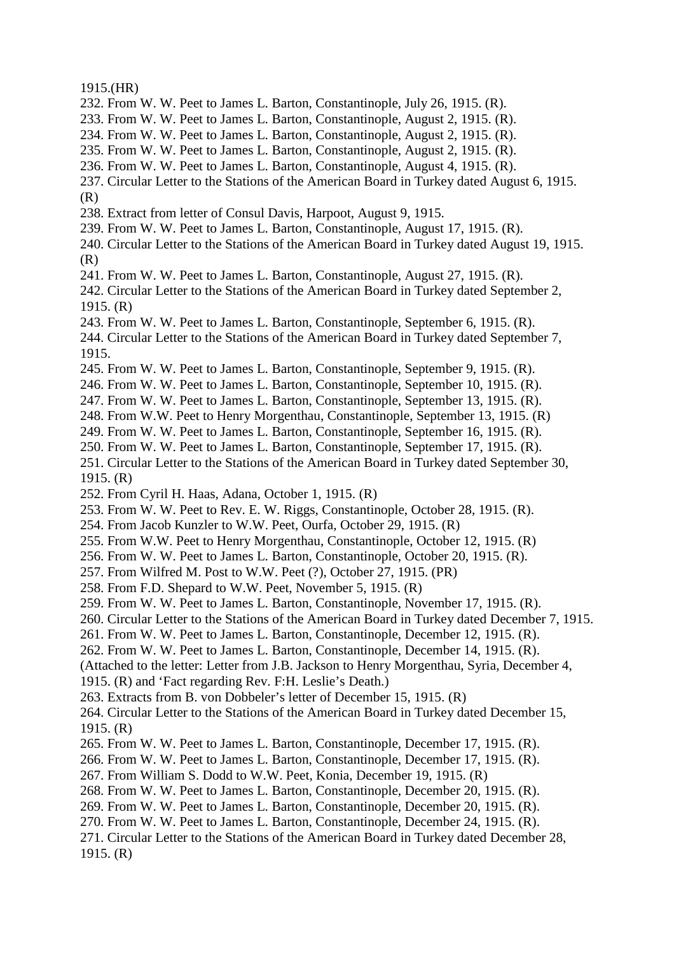1915.(HR)

- 232. From W. W. Peet to James L. Barton, Constantinople, July 26, 1915. (R).
- 233. From W. W. Peet to James L. Barton, Constantinople, August 2, 1915. (R).
- 234. From W. W. Peet to James L. Barton, Constantinople, August 2, 1915. (R).
- 235. From W. W. Peet to James L. Barton, Constantinople, August 2, 1915. (R).
- 236. From W. W. Peet to James L. Barton, Constantinople, August 4, 1915. (R).
- 237. Circular Letter to the Stations of the American Board in Turkey dated August 6, 1915. (R)
- 238. Extract from letter of Consul Davis, Harpoot, August 9, 1915.
- 239. From W. W. Peet to James L. Barton, Constantinople, August 17, 1915. (R).
- 240. Circular Letter to the Stations of the American Board in Turkey dated August 19, 1915. (R)
- 241. From W. W. Peet to James L. Barton, Constantinople, August 27, 1915. (R).

242. Circular Letter to the Stations of the American Board in Turkey dated September 2, 1915. (R)

243. From W. W. Peet to James L. Barton, Constantinople, September 6, 1915. (R).

244. Circular Letter to the Stations of the American Board in Turkey dated September 7, 1915.

- 245. From W. W. Peet to James L. Barton, Constantinople, September 9, 1915. (R).
- 246. From W. W. Peet to James L. Barton, Constantinople, September 10, 1915. (R).
- 247. From W. W. Peet to James L. Barton, Constantinople, September 13, 1915. (R).
- 248. From W.W. Peet to Henry Morgenthau, Constantinople, September 13, 1915. (R)
- 249. From W. W. Peet to James L. Barton, Constantinople, September 16, 1915. (R).
- 250. From W. W. Peet to James L. Barton, Constantinople, September 17, 1915. (R).
- 251. Circular Letter to the Stations of the American Board in Turkey dated September 30, 1915. (R)
- 252. From Cyril H. Haas, Adana, October 1, 1915. (R)
- 253. From W. W. Peet to Rev. E. W. Riggs, Constantinople, October 28, 1915. (R).
- 254. From Jacob Kunzler to W.W. Peet, Ourfa, October 29, 1915. (R)
- 255. From W.W. Peet to Henry Morgenthau, Constantinople, October 12, 1915. (R)
- 256. From W. W. Peet to James L. Barton, Constantinople, October 20, 1915. (R).
- 257. From Wilfred M. Post to W.W. Peet (?), October 27, 1915. (PR)
- 258. From F.D. Shepard to W.W. Peet, November 5, 1915. (R)
- 259. From W. W. Peet to James L. Barton, Constantinople, November 17, 1915. (R).
- 260. Circular Letter to the Stations of the American Board in Turkey dated December 7, 1915.
- 261. From W. W. Peet to James L. Barton, Constantinople, December 12, 1915. (R).
- 262. From W. W. Peet to James L. Barton, Constantinople, December 14, 1915. (R).

(Attached to the letter: Letter from J.B. Jackson to Henry Morgenthau, Syria, December 4,

- 1915. (R) and 'Fact regarding Rev. F:H. Leslie's Death.)
- 263. Extracts from B. von Dobbeler's letter of December 15, 1915. (R)
- 264. Circular Letter to the Stations of the American Board in Turkey dated December 15, 1915. (R)
- 265. From W. W. Peet to James L. Barton, Constantinople, December 17, 1915. (R).
- 266. From W. W. Peet to James L. Barton, Constantinople, December 17, 1915. (R).
- 267. From William S. Dodd to W.W. Peet, Konia, December 19, 1915. (R)
- 268. From W. W. Peet to James L. Barton, Constantinople, December 20, 1915. (R).
- 269. From W. W. Peet to James L. Barton, Constantinople, December 20, 1915. (R).
- 270. From W. W. Peet to James L. Barton, Constantinople, December 24, 1915. (R).
- 271. Circular Letter to the Stations of the American Board in Turkey dated December 28, 1915. (R)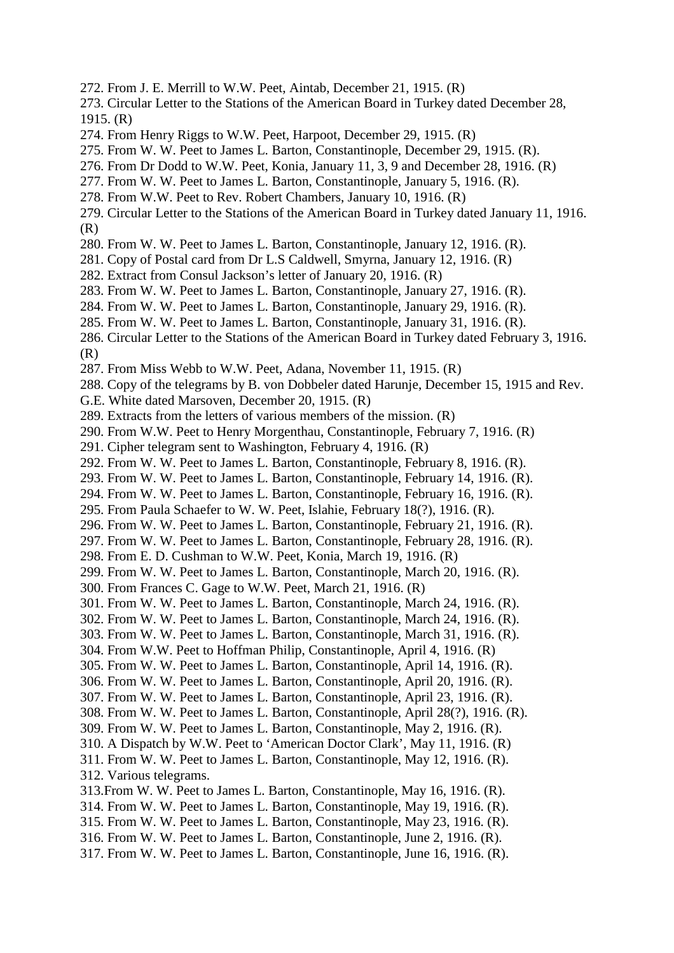- 272. From J. E. Merrill to W.W. Peet, Aintab, December 21, 1915. (R)
- 273. Circular Letter to the Stations of the American Board in Turkey dated December 28, 1915. (R)
- 274. From Henry Riggs to W.W. Peet, Harpoot, December 29, 1915. (R)
- 275. From W. W. Peet to James L. Barton, Constantinople, December 29, 1915. (R).
- 276. From Dr Dodd to W.W. Peet, Konia, January 11, 3, 9 and December 28, 1916. (R)
- 277. From W. W. Peet to James L. Barton, Constantinople, January 5, 1916. (R).
- 278. From W.W. Peet to Rev. Robert Chambers, January 10, 1916. (R)
- 279. Circular Letter to the Stations of the American Board in Turkey dated January 11, 1916. (R)
- 280. From W. W. Peet to James L. Barton, Constantinople, January 12, 1916. (R).
- 281. Copy of Postal card from Dr L.S Caldwell, Smyrna, January 12, 1916. (R)
- 282. Extract from Consul Jackson's letter of January 20, 1916. (R)
- 283. From W. W. Peet to James L. Barton, Constantinople, January 27, 1916. (R).
- 284. From W. W. Peet to James L. Barton, Constantinople, January 29, 1916. (R).
- 285. From W. W. Peet to James L. Barton, Constantinople, January 31, 1916. (R).
- 286. Circular Letter to the Stations of the American Board in Turkey dated February 3, 1916. (R)
- 287. From Miss Webb to W.W. Peet, Adana, November 11, 1915. (R)
- 288. Copy of the telegrams by B. von Dobbeler dated Harunje, December 15, 1915 and Rev.
- G.E. White dated Marsoven, December 20, 1915. (R)
- 289. Extracts from the letters of various members of the mission. (R)
- 290. From W.W. Peet to Henry Morgenthau, Constantinople, February 7, 1916. (R)
- 291. Cipher telegram sent to Washington, February 4, 1916. (R)
- 292. From W. W. Peet to James L. Barton, Constantinople, February 8, 1916. (R).
- 293. From W. W. Peet to James L. Barton, Constantinople, February 14, 1916. (R).
- 294. From W. W. Peet to James L. Barton, Constantinople, February 16, 1916. (R).
- 295. From Paula Schaefer to W. W. Peet, Islahie, February 18(?), 1916. (R).
- 296. From W. W. Peet to James L. Barton, Constantinople, February 21, 1916. (R).
- 297. From W. W. Peet to James L. Barton, Constantinople, February 28, 1916. (R).
- 298. From E. D. Cushman to W.W. Peet, Konia, March 19, 1916. (R)
- 299. From W. W. Peet to James L. Barton, Constantinople, March 20, 1916. (R).
- 300. From Frances C. Gage to W.W. Peet, March 21, 1916. (R)
- 301. From W. W. Peet to James L. Barton, Constantinople, March 24, 1916. (R).
- 302. From W. W. Peet to James L. Barton, Constantinople, March 24, 1916. (R).
- 303. From W. W. Peet to James L. Barton, Constantinople, March 31, 1916. (R).
- 304. From W.W. Peet to Hoffman Philip, Constantinople, April 4, 1916. (R)
- 305. From W. W. Peet to James L. Barton, Constantinople, April 14, 1916. (R).
- 306. From W. W. Peet to James L. Barton, Constantinople, April 20, 1916. (R).
- 307. From W. W. Peet to James L. Barton, Constantinople, April 23, 1916. (R).
- 308. From W. W. Peet to James L. Barton, Constantinople, April 28(?), 1916. (R).
- 309. From W. W. Peet to James L. Barton, Constantinople, May 2, 1916. (R).
- 310. A Dispatch by W.W. Peet to 'American Doctor Clark', May 11, 1916. (R)
- 311. From W. W. Peet to James L. Barton, Constantinople, May 12, 1916. (R).
- 312. Various telegrams.
- 313.From W. W. Peet to James L. Barton, Constantinople, May 16, 1916. (R).
- 314. From W. W. Peet to James L. Barton, Constantinople, May 19, 1916. (R).
- 315. From W. W. Peet to James L. Barton, Constantinople, May 23, 1916. (R).
- 316. From W. W. Peet to James L. Barton, Constantinople, June 2, 1916. (R).
- 317. From W. W. Peet to James L. Barton, Constantinople, June 16, 1916. (R).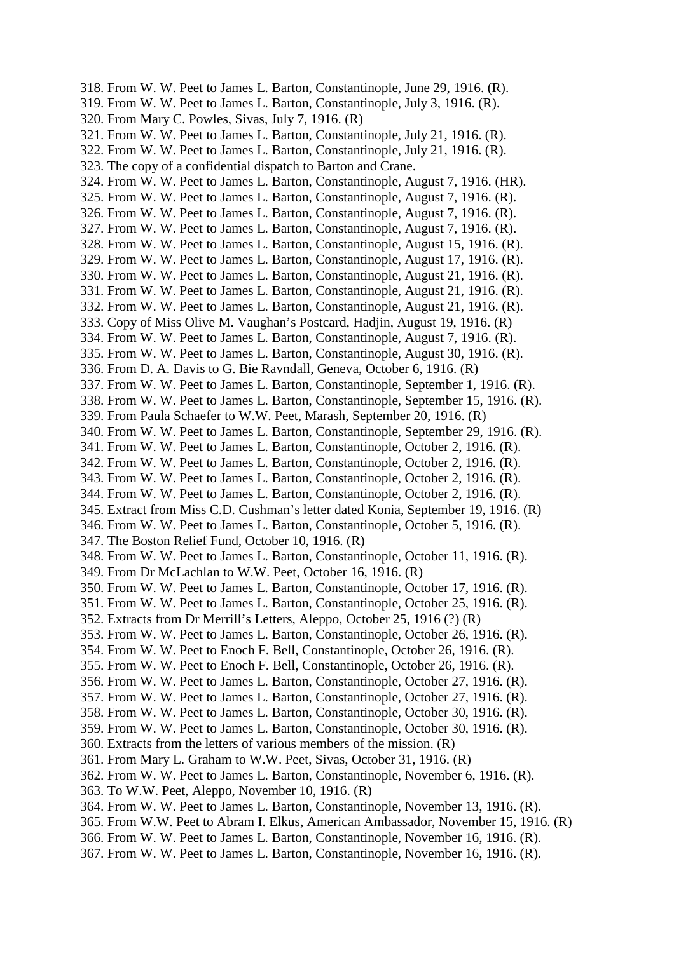318. From W. W. Peet to James L. Barton, Constantinople, June 29, 1916. (R). 319. From W. W. Peet to James L. Barton, Constantinople, July 3, 1916. (R). 320. From Mary C. Powles, Sivas, July 7, 1916. (R) 321. From W. W. Peet to James L. Barton, Constantinople, July 21, 1916. (R). 322. From W. W. Peet to James L. Barton, Constantinople, July 21, 1916. (R). 323. The copy of a confidential dispatch to Barton and Crane. 324. From W. W. Peet to James L. Barton, Constantinople, August 7, 1916. (HR). 325. From W. W. Peet to James L. Barton, Constantinople, August 7, 1916. (R). 326. From W. W. Peet to James L. Barton, Constantinople, August 7, 1916. (R). 327. From W. W. Peet to James L. Barton, Constantinople, August 7, 1916. (R). 328. From W. W. Peet to James L. Barton, Constantinople, August 15, 1916. (R). 329. From W. W. Peet to James L. Barton, Constantinople, August 17, 1916. (R). 330. From W. W. Peet to James L. Barton, Constantinople, August 21, 1916. (R). 331. From W. W. Peet to James L. Barton, Constantinople, August 21, 1916. (R). 332. From W. W. Peet to James L. Barton, Constantinople, August 21, 1916. (R). 333. Copy of Miss Olive M. Vaughan's Postcard, Hadjin, August 19, 1916. (R) 334. From W. W. Peet to James L. Barton, Constantinople, August 7, 1916. (R). 335. From W. W. Peet to James L. Barton, Constantinople, August 30, 1916. (R). 336. From D. A. Davis to G. Bie Ravndall, Geneva, October 6, 1916. (R) 337. From W. W. Peet to James L. Barton, Constantinople, September 1, 1916. (R). 338. From W. W. Peet to James L. Barton, Constantinople, September 15, 1916. (R). 339. From Paula Schaefer to W.W. Peet, Marash, September 20, 1916. (R) 340. From W. W. Peet to James L. Barton, Constantinople, September 29, 1916. (R). 341. From W. W. Peet to James L. Barton, Constantinople, October 2, 1916. (R). 342. From W. W. Peet to James L. Barton, Constantinople, October 2, 1916. (R). 343. From W. W. Peet to James L. Barton, Constantinople, October 2, 1916. (R). 344. From W. W. Peet to James L. Barton, Constantinople, October 2, 1916. (R). 345. Extract from Miss C.D. Cushman's letter dated Konia, September 19, 1916. (R) 346. From W. W. Peet to James L. Barton, Constantinople, October 5, 1916. (R). 347. The Boston Relief Fund, October 10, 1916. (R) 348. From W. W. Peet to James L. Barton, Constantinople, October 11, 1916. (R). 349. From Dr McLachlan to W.W. Peet, October 16, 1916. (R) 350. From W. W. Peet to James L. Barton, Constantinople, October 17, 1916. (R). 351. From W. W. Peet to James L. Barton, Constantinople, October 25, 1916. (R). 352. Extracts from Dr Merrill's Letters, Aleppo, October 25, 1916 (?) (R) 353. From W. W. Peet to James L. Barton, Constantinople, October 26, 1916. (R). 354. From W. W. Peet to Enoch F. Bell, Constantinople, October 26, 1916. (R). 355. From W. W. Peet to Enoch F. Bell, Constantinople, October 26, 1916. (R). 356. From W. W. Peet to James L. Barton, Constantinople, October 27, 1916. (R). 357. From W. W. Peet to James L. Barton, Constantinople, October 27, 1916. (R). 358. From W. W. Peet to James L. Barton, Constantinople, October 30, 1916. (R). 359. From W. W. Peet to James L. Barton, Constantinople, October 30, 1916. (R). 360. Extracts from the letters of various members of the mission. (R) 361. From Mary L. Graham to W.W. Peet, Sivas, October 31, 1916. (R) 362. From W. W. Peet to James L. Barton, Constantinople, November 6, 1916. (R). 363. To W.W. Peet, Aleppo, November 10, 1916. (R) 364. From W. W. Peet to James L. Barton, Constantinople, November 13, 1916. (R). 365. From W.W. Peet to Abram I. Elkus, American Ambassador, November 15, 1916. (R) 366. From W. W. Peet to James L. Barton, Constantinople, November 16, 1916. (R).

367. From W. W. Peet to James L. Barton, Constantinople, November 16, 1916. (R).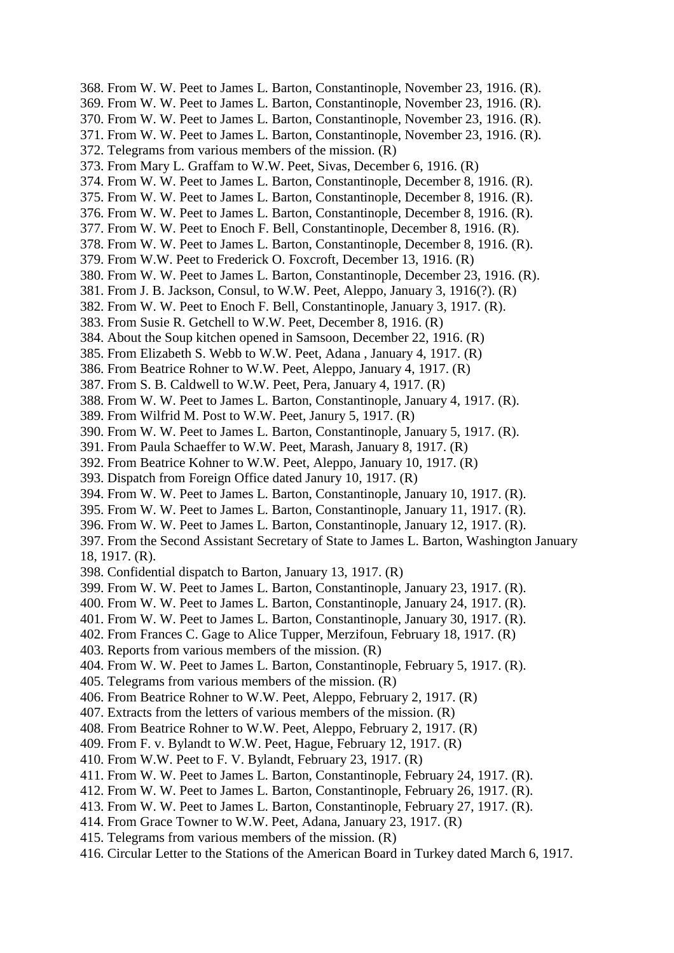368. From W. W. Peet to James L. Barton, Constantinople, November 23, 1916. (R). 369. From W. W. Peet to James L. Barton, Constantinople, November 23, 1916. (R). 370. From W. W. Peet to James L. Barton, Constantinople, November 23, 1916. (R). 371. From W. W. Peet to James L. Barton, Constantinople, November 23, 1916. (R). 372. Telegrams from various members of the mission. (R) 373. From Mary L. Graffam to W.W. Peet, Sivas, December 6, 1916. (R) 374. From W. W. Peet to James L. Barton, Constantinople, December 8, 1916. (R). 375. From W. W. Peet to James L. Barton, Constantinople, December 8, 1916. (R). 376. From W. W. Peet to James L. Barton, Constantinople, December 8, 1916. (R). 377. From W. W. Peet to Enoch F. Bell, Constantinople, December 8, 1916. (R). 378. From W. W. Peet to James L. Barton, Constantinople, December 8, 1916. (R). 379. From W.W. Peet to Frederick O. Foxcroft, December 13, 1916. (R) 380. From W. W. Peet to James L. Barton, Constantinople, December 23, 1916. (R). 381. From J. B. Jackson, Consul, to W.W. Peet, Aleppo, January 3, 1916(?). (R) 382. From W. W. Peet to Enoch F. Bell, Constantinople, January 3, 1917. (R). 383. From Susie R. Getchell to W.W. Peet, December 8, 1916. (R) 384. About the Soup kitchen opened in Samsoon, December 22, 1916. (R) 385. From Elizabeth S. Webb to W.W. Peet, Adana , January 4, 1917. (R) 386. From Beatrice Rohner to W.W. Peet, Aleppo, January 4, 1917. (R) 387. From S. B. Caldwell to W.W. Peet, Pera, January 4, 1917. (R) 388. From W. W. Peet to James L. Barton, Constantinople, January 4, 1917. (R). 389. From Wilfrid M. Post to W.W. Peet, Janury 5, 1917. (R) 390. From W. W. Peet to James L. Barton, Constantinople, January 5, 1917. (R). 391. From Paula Schaeffer to W.W. Peet, Marash, January 8, 1917. (R) 392. From Beatrice Kohner to W.W. Peet, Aleppo, January 10, 1917. (R) 393. Dispatch from Foreign Office dated Janury 10, 1917. (R) 394. From W. W. Peet to James L. Barton, Constantinople, January 10, 1917. (R). 395. From W. W. Peet to James L. Barton, Constantinople, January 11, 1917. (R). 396. From W. W. Peet to James L. Barton, Constantinople, January 12, 1917. (R). 397. From the Second Assistant Secretary of State to James L. Barton, Washington January 18, 1917. (R). 398. Confidential dispatch to Barton, January 13, 1917. (R) 399. From W. W. Peet to James L. Barton, Constantinople, January 23, 1917. (R). 400. From W. W. Peet to James L. Barton, Constantinople, January 24, 1917. (R). 401. From W. W. Peet to James L. Barton, Constantinople, January 30, 1917. (R). 402. From Frances C. Gage to Alice Tupper, Merzifoun, February 18, 1917. (R) 403. Reports from various members of the mission. (R) 404. From W. W. Peet to James L. Barton, Constantinople, February 5, 1917. (R). 405. Telegrams from various members of the mission. (R) 406. From Beatrice Rohner to W.W. Peet, Aleppo, February 2, 1917. (R) 407. Extracts from the letters of various members of the mission. (R) 408. From Beatrice Rohner to W.W. Peet, Aleppo, February 2, 1917. (R) 409. From F. v. Bylandt to W.W. Peet, Hague, February 12, 1917. (R) 410. From W.W. Peet to F. V. Bylandt, February 23, 1917. (R) 411. From W. W. Peet to James L. Barton, Constantinople, February 24, 1917. (R). 412. From W. W. Peet to James L. Barton, Constantinople, February 26, 1917. (R). 413. From W. W. Peet to James L. Barton, Constantinople, February 27, 1917. (R). 414. From Grace Towner to W.W. Peet, Adana, January 23, 1917. (R) 415. Telegrams from various members of the mission. (R) 416. Circular Letter to the Stations of the American Board in Turkey dated March 6, 1917.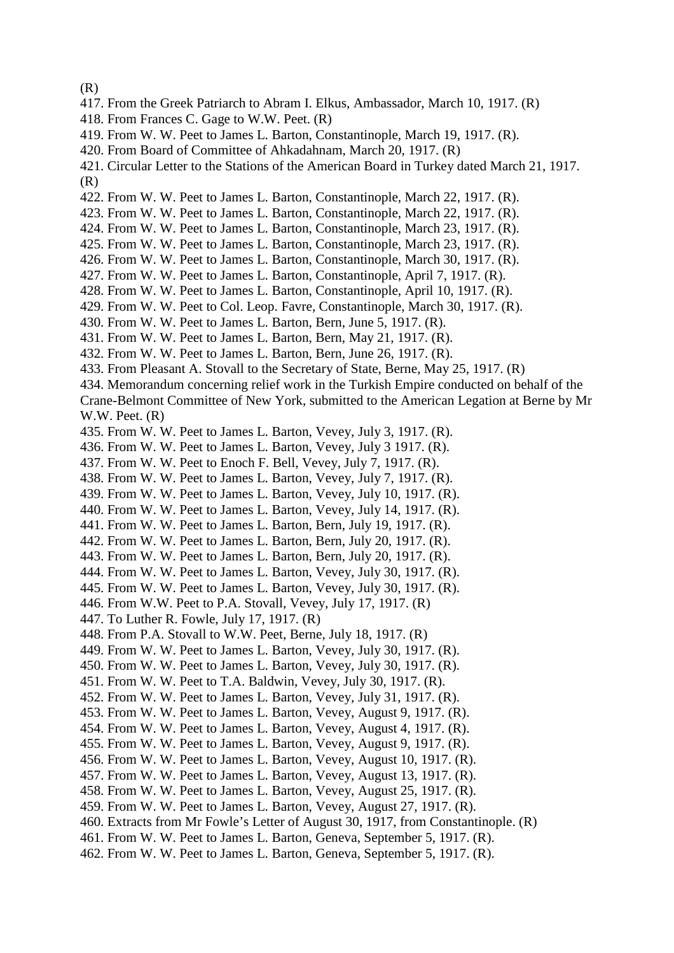(R)

- 417. From the Greek Patriarch to Abram I. Elkus, Ambassador, March 10, 1917. (R)
- 418. From Frances C. Gage to W.W. Peet. (R)
- 419. From W. W. Peet to James L. Barton, Constantinople, March 19, 1917. (R).
- 420. From Board of Committee of Ahkadahnam, March 20, 1917. (R)
- 421. Circular Letter to the Stations of the American Board in Turkey dated March 21, 1917. (R)
- 422. From W. W. Peet to James L. Barton, Constantinople, March 22, 1917. (R).
- 423. From W. W. Peet to James L. Barton, Constantinople, March 22, 1917. (R).
- 424. From W. W. Peet to James L. Barton, Constantinople, March 23, 1917. (R).
- 425. From W. W. Peet to James L. Barton, Constantinople, March 23, 1917. (R).
- 426. From W. W. Peet to James L. Barton, Constantinople, March 30, 1917. (R).
- 427. From W. W. Peet to James L. Barton, Constantinople, April 7, 1917. (R).
- 428. From W. W. Peet to James L. Barton, Constantinople, April 10, 1917. (R).
- 429. From W. W. Peet to Col. Leop. Favre, Constantinople, March 30, 1917. (R).
- 430. From W. W. Peet to James L. Barton, Bern, June 5, 1917. (R).
- 431. From W. W. Peet to James L. Barton, Bern, May 21, 1917. (R).
- 432. From W. W. Peet to James L. Barton, Bern, June 26, 1917. (R).
- 433. From Pleasant A. Stovall to the Secretary of State, Berne, May 25, 1917. (R)
- 434. Memorandum concerning relief work in the Turkish Empire conducted on behalf of the

Crane-Belmont Committee of New York, submitted to the American Legation at Berne by Mr W.W. Peet. (R)

- 435. From W. W. Peet to James L. Barton, Vevey, July 3, 1917. (R).
- 436. From W. W. Peet to James L. Barton, Vevey, July 3 1917. (R).
- 437. From W. W. Peet to Enoch F. Bell, Vevey, July 7, 1917. (R).
- 438. From W. W. Peet to James L. Barton, Vevey, July 7, 1917. (R).
- 439. From W. W. Peet to James L. Barton, Vevey, July 10, 1917. (R).
- 440. From W. W. Peet to James L. Barton, Vevey, July 14, 1917. (R).
- 441. From W. W. Peet to James L. Barton, Bern, July 19, 1917. (R).
- 442. From W. W. Peet to James L. Barton, Bern, July 20, 1917. (R).
- 443. From W. W. Peet to James L. Barton, Bern, July 20, 1917. (R).
- 444. From W. W. Peet to James L. Barton, Vevey, July 30, 1917. (R).
- 445. From W. W. Peet to James L. Barton, Vevey, July 30, 1917. (R).
- 446. From W.W. Peet to P.A. Stovall, Vevey, July 17, 1917. (R)
- 447. To Luther R. Fowle, July 17, 1917. (R)
- 448. From P.A. Stovall to W.W. Peet, Berne, July 18, 1917. (R)
- 449. From W. W. Peet to James L. Barton, Vevey, July 30, 1917. (R).
- 450. From W. W. Peet to James L. Barton, Vevey, July 30, 1917. (R).
- 451. From W. W. Peet to T.A. Baldwin, Vevey, July 30, 1917. (R).
- 452. From W. W. Peet to James L. Barton, Vevey, July 31, 1917. (R).
- 453. From W. W. Peet to James L. Barton, Vevey, August 9, 1917. (R).
- 454. From W. W. Peet to James L. Barton, Vevey, August 4, 1917. (R).
- 455. From W. W. Peet to James L. Barton, Vevey, August 9, 1917. (R).
- 456. From W. W. Peet to James L. Barton, Vevey, August 10, 1917. (R).
- 457. From W. W. Peet to James L. Barton, Vevey, August 13, 1917. (R).
- 458. From W. W. Peet to James L. Barton, Vevey, August 25, 1917. (R).
- 459. From W. W. Peet to James L. Barton, Vevey, August 27, 1917. (R).
- 460. Extracts from Mr Fowle's Letter of August 30, 1917, from Constantinople. (R)
- 461. From W. W. Peet to James L. Barton, Geneva, September 5, 1917. (R).
- 462. From W. W. Peet to James L. Barton, Geneva, September 5, 1917. (R).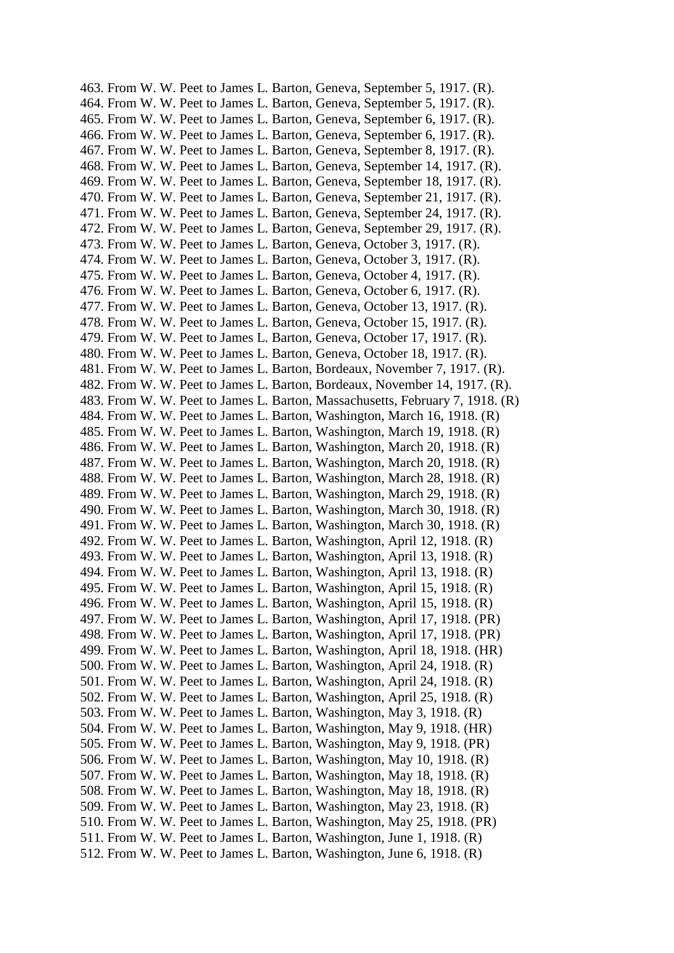463. From W. W. Peet to James L. Barton, Geneva, September 5, 1917. (R). 464. From W. W. Peet to James L. Barton, Geneva, September 5, 1917. (R). 465. From W. W. Peet to James L. Barton, Geneva, September 6, 1917. (R). 466. From W. W. Peet to James L. Barton, Geneva, September 6, 1917. (R). 467. From W. W. Peet to James L. Barton, Geneva, September 8, 1917. (R). 468. From W. W. Peet to James L. Barton, Geneva, September 14, 1917. (R). 469. From W. W. Peet to James L. Barton, Geneva, September 18, 1917. (R). 470. From W. W. Peet to James L. Barton, Geneva, September 21, 1917. (R). 471. From W. W. Peet to James L. Barton, Geneva, September 24, 1917. (R). 472. From W. W. Peet to James L. Barton, Geneva, September 29, 1917. (R). 473. From W. W. Peet to James L. Barton, Geneva, October 3, 1917. (R). 474. From W. W. Peet to James L. Barton, Geneva, October 3, 1917. (R). 475. From W. W. Peet to James L. Barton, Geneva, October 4, 1917. (R). 476. From W. W. Peet to James L. Barton, Geneva, October 6, 1917. (R). 477. From W. W. Peet to James L. Barton, Geneva, October 13, 1917. (R). 478. From W. W. Peet to James L. Barton, Geneva, October 15, 1917. (R). 479. From W. W. Peet to James L. Barton, Geneva, October 17, 1917. (R). 480. From W. W. Peet to James L. Barton, Geneva, October 18, 1917. (R). 481. From W. W. Peet to James L. Barton, Bordeaux, November 7, 1917. (R). 482. From W. W. Peet to James L. Barton, Bordeaux, November 14, 1917. (R). 483. From W. W. Peet to James L. Barton, Massachusetts, February 7, 1918. (R) 484. From W. W. Peet to James L. Barton, Washington, March 16, 1918. (R) 485. From W. W. Peet to James L. Barton, Washington, March 19, 1918. (R) 486. From W. W. Peet to James L. Barton, Washington, March 20, 1918. (R) 487. From W. W. Peet to James L. Barton, Washington, March 20, 1918. (R) 488. From W. W. Peet to James L. Barton, Washington, March 28, 1918. (R) 489. From W. W. Peet to James L. Barton, Washington, March 29, 1918. (R) 490. From W. W. Peet to James L. Barton, Washington, March 30, 1918. (R) 491. From W. W. Peet to James L. Barton, Washington, March 30, 1918. (R) 492. From W. W. Peet to James L. Barton, Washington, April 12, 1918. (R) 493. From W. W. Peet to James L. Barton, Washington, April 13, 1918. (R) 494. From W. W. Peet to James L. Barton, Washington, April 13, 1918. (R) 495. From W. W. Peet to James L. Barton, Washington, April 15, 1918. (R) 496. From W. W. Peet to James L. Barton, Washington, April 15, 1918. (R) 497. From W. W. Peet to James L. Barton, Washington, April 17, 1918. (PR) 498. From W. W. Peet to James L. Barton, Washington, April 17, 1918. (PR) 499. From W. W. Peet to James L. Barton, Washington, April 18, 1918. (HR) 500. From W. W. Peet to James L. Barton, Washington, April 24, 1918. (R) 501. From W. W. Peet to James L. Barton, Washington, April 24, 1918. (R) 502. From W. W. Peet to James L. Barton, Washington, April 25, 1918. (R) 503. From W. W. Peet to James L. Barton, Washington, May 3, 1918. (R) 504. From W. W. Peet to James L. Barton, Washington, May 9, 1918. (HR) 505. From W. W. Peet to James L. Barton, Washington, May 9, 1918. (PR) 506. From W. W. Peet to James L. Barton, Washington, May 10, 1918. (R) 507. From W. W. Peet to James L. Barton, Washington, May 18, 1918. (R) 508. From W. W. Peet to James L. Barton, Washington, May 18, 1918. (R) 509. From W. W. Peet to James L. Barton, Washington, May 23, 1918. (R) 510. From W. W. Peet to James L. Barton, Washington, May 25, 1918. (PR) 511. From W. W. Peet to James L. Barton, Washington, June 1, 1918. (R) 512. From W. W. Peet to James L. Barton, Washington, June 6, 1918. (R)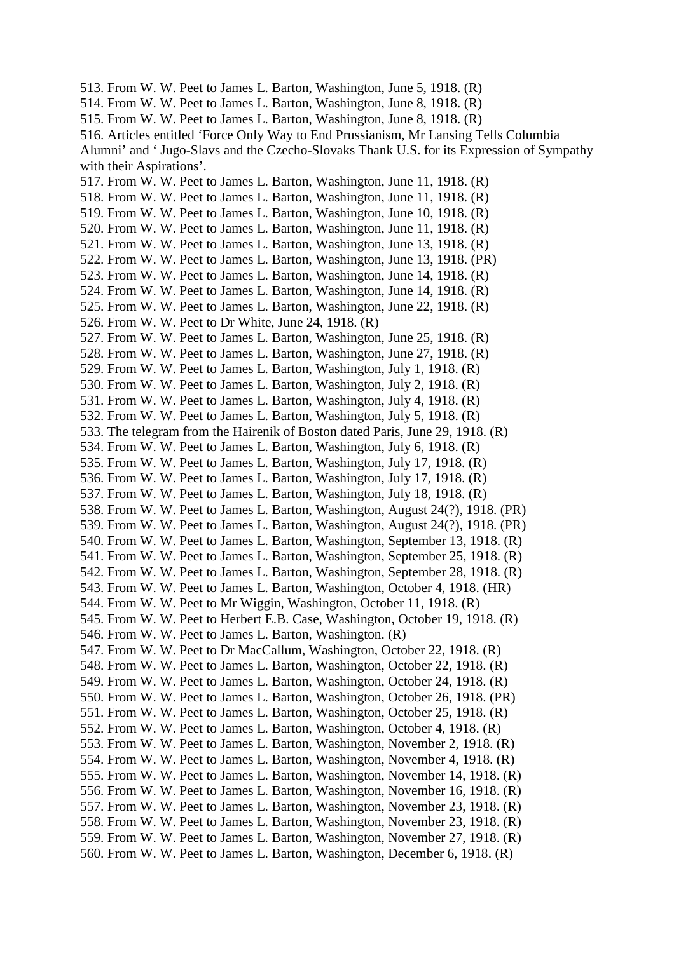513. From W. W. Peet to James L. Barton, Washington, June 5, 1918. (R) 514. From W. W. Peet to James L. Barton, Washington, June 8, 1918. (R) 515. From W. W. Peet to James L. Barton, Washington, June 8, 1918. (R) 516. Articles entitled 'Force Only Way to End Prussianism, Mr Lansing Tells Columbia Alumni' and ' Jugo-Slavs and the Czecho-Slovaks Thank U.S. for its Expression of Sympathy with their Aspirations'. 517. From W. W. Peet to James L. Barton, Washington, June 11, 1918. (R) 518. From W. W. Peet to James L. Barton, Washington, June 11, 1918. (R) 519. From W. W. Peet to James L. Barton, Washington, June 10, 1918. (R) 520. From W. W. Peet to James L. Barton, Washington, June 11, 1918. (R) 521. From W. W. Peet to James L. Barton, Washington, June 13, 1918. (R) 522. From W. W. Peet to James L. Barton, Washington, June 13, 1918. (PR) 523. From W. W. Peet to James L. Barton, Washington, June 14, 1918. (R) 524. From W. W. Peet to James L. Barton, Washington, June 14, 1918. (R) 525. From W. W. Peet to James L. Barton, Washington, June 22, 1918. (R) 526. From W. W. Peet to Dr White, June 24, 1918. (R) 527. From W. W. Peet to James L. Barton, Washington, June 25, 1918. (R) 528. From W. W. Peet to James L. Barton, Washington, June 27, 1918. (R) 529. From W. W. Peet to James L. Barton, Washington, July 1, 1918. (R) 530. From W. W. Peet to James L. Barton, Washington, July 2, 1918. (R) 531. From W. W. Peet to James L. Barton, Washington, July 4, 1918. (R) 532. From W. W. Peet to James L. Barton, Washington, July 5, 1918. (R) 533. The telegram from the Hairenik of Boston dated Paris, June 29, 1918. (R) 534. From W. W. Peet to James L. Barton, Washington, July 6, 1918. (R) 535. From W. W. Peet to James L. Barton, Washington, July 17, 1918. (R) 536. From W. W. Peet to James L. Barton, Washington, July 17, 1918. (R) 537. From W. W. Peet to James L. Barton, Washington, July 18, 1918. (R) 538. From W. W. Peet to James L. Barton, Washington, August 24(?), 1918. (PR) 539. From W. W. Peet to James L. Barton, Washington, August 24(?), 1918. (PR) 540. From W. W. Peet to James L. Barton, Washington, September 13, 1918. (R) 541. From W. W. Peet to James L. Barton, Washington, September 25, 1918. (R) 542. From W. W. Peet to James L. Barton, Washington, September 28, 1918. (R) 543. From W. W. Peet to James L. Barton, Washington, October 4, 1918. (HR) 544. From W. W. Peet to Mr Wiggin, Washington, October 11, 1918. (R) 545. From W. W. Peet to Herbert E.B. Case, Washington, October 19, 1918. (R) 546. From W. W. Peet to James L. Barton, Washington. (R) 547. From W. W. Peet to Dr MacCallum, Washington, October 22, 1918. (R) 548. From W. W. Peet to James L. Barton, Washington, October 22, 1918. (R) 549. From W. W. Peet to James L. Barton, Washington, October 24, 1918. (R) 550. From W. W. Peet to James L. Barton, Washington, October 26, 1918. (PR) 551. From W. W. Peet to James L. Barton, Washington, October 25, 1918. (R) 552. From W. W. Peet to James L. Barton, Washington, October 4, 1918. (R) 553. From W. W. Peet to James L. Barton, Washington, November 2, 1918. (R) 554. From W. W. Peet to James L. Barton, Washington, November 4, 1918. (R) 555. From W. W. Peet to James L. Barton, Washington, November 14, 1918. (R) 556. From W. W. Peet to James L. Barton, Washington, November 16, 1918. (R) 557. From W. W. Peet to James L. Barton, Washington, November 23, 1918. (R) 558. From W. W. Peet to James L. Barton, Washington, November 23, 1918. (R) 559. From W. W. Peet to James L. Barton, Washington, November 27, 1918. (R) 560. From W. W. Peet to James L. Barton, Washington, December 6, 1918. (R)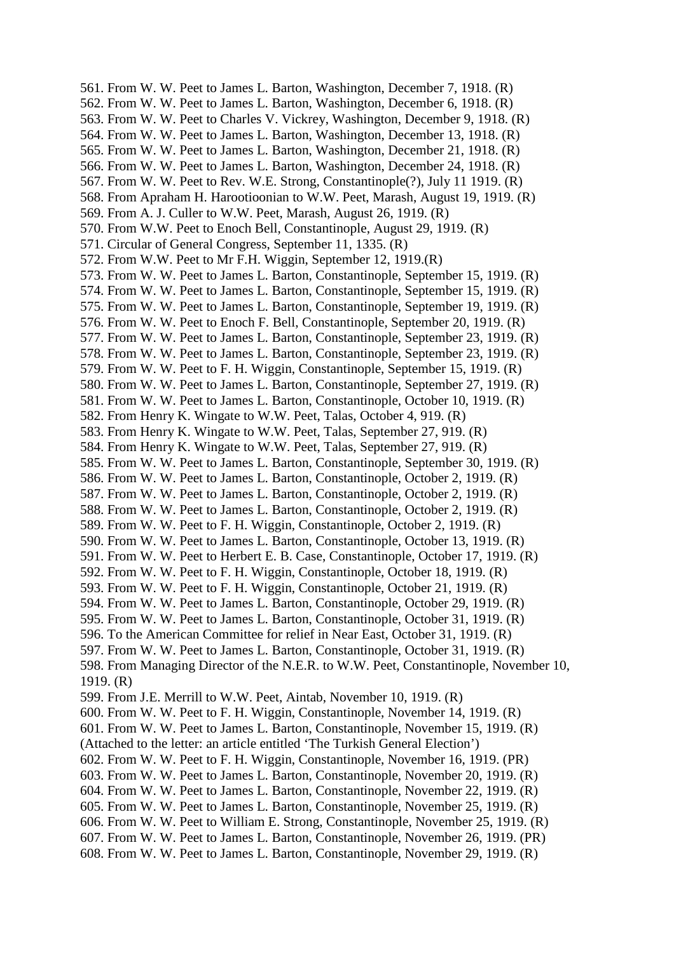561. From W. W. Peet to James L. Barton, Washington, December 7, 1918. (R) 562. From W. W. Peet to James L. Barton, Washington, December 6, 1918. (R) 563. From W. W. Peet to Charles V. Vickrey, Washington, December 9, 1918. (R) 564. From W. W. Peet to James L. Barton, Washington, December 13, 1918. (R) 565. From W. W. Peet to James L. Barton, Washington, December 21, 1918. (R) 566. From W. W. Peet to James L. Barton, Washington, December 24, 1918. (R) 567. From W. W. Peet to Rev. W.E. Strong, Constantinople(?), July 11 1919. (R) 568. From Apraham H. Harootioonian to W.W. Peet, Marash, August 19, 1919. (R) 569. From A. J. Culler to W.W. Peet, Marash, August 26, 1919. (R) 570. From W.W. Peet to Enoch Bell, Constantinople, August 29, 1919. (R) 571. Circular of General Congress, September 11, 1335. (R) 572. From W.W. Peet to Mr F.H. Wiggin, September 12, 1919.(R) 573. From W. W. Peet to James L. Barton, Constantinople, September 15, 1919. (R) 574. From W. W. Peet to James L. Barton, Constantinople, September 15, 1919. (R) 575. From W. W. Peet to James L. Barton, Constantinople, September 19, 1919. (R) 576. From W. W. Peet to Enoch F. Bell, Constantinople, September 20, 1919. (R) 577. From W. W. Peet to James L. Barton, Constantinople, September 23, 1919. (R) 578. From W. W. Peet to James L. Barton, Constantinople, September 23, 1919. (R) 579. From W. W. Peet to F. H. Wiggin, Constantinople, September 15, 1919. (R) 580. From W. W. Peet to James L. Barton, Constantinople, September 27, 1919. (R) 581. From W. W. Peet to James L. Barton, Constantinople, October 10, 1919. (R) 582. From Henry K. Wingate to W.W. Peet, Talas, October 4, 919. (R) 583. From Henry K. Wingate to W.W. Peet, Talas, September 27, 919. (R) 584. From Henry K. Wingate to W.W. Peet, Talas, September 27, 919. (R) 585. From W. W. Peet to James L. Barton, Constantinople, September 30, 1919. (R) 586. From W. W. Peet to James L. Barton, Constantinople, October 2, 1919. (R) 587. From W. W. Peet to James L. Barton, Constantinople, October 2, 1919. (R) 588. From W. W. Peet to James L. Barton, Constantinople, October 2, 1919. (R) 589. From W. W. Peet to F. H. Wiggin, Constantinople, October 2, 1919. (R) 590. From W. W. Peet to James L. Barton, Constantinople, October 13, 1919. (R) 591. From W. W. Peet to Herbert E. B. Case, Constantinople, October 17, 1919. (R) 592. From W. W. Peet to F. H. Wiggin, Constantinople, October 18, 1919. (R) 593. From W. W. Peet to F. H. Wiggin, Constantinople, October 21, 1919. (R) 594. From W. W. Peet to James L. Barton, Constantinople, October 29, 1919. (R) 595. From W. W. Peet to James L. Barton, Constantinople, October 31, 1919. (R) 596. To the American Committee for relief in Near East, October 31, 1919. (R) 597. From W. W. Peet to James L. Barton, Constantinople, October 31, 1919. (R) 598. From Managing Director of the N.E.R. to W.W. Peet, Constantinople, November 10, 1919. (R) 599. From J.E. Merrill to W.W. Peet, Aintab, November 10, 1919. (R) 600. From W. W. Peet to F. H. Wiggin, Constantinople, November 14, 1919. (R) 601. From W. W. Peet to James L. Barton, Constantinople, November 15, 1919. (R) (Attached to the letter: an article entitled 'The Turkish General Election') 602. From W. W. Peet to F. H. Wiggin, Constantinople, November 16, 1919. (PR) 603. From W. W. Peet to James L. Barton, Constantinople, November 20, 1919. (R) 604. From W. W. Peet to James L. Barton, Constantinople, November 22, 1919. (R) 605. From W. W. Peet to James L. Barton, Constantinople, November 25, 1919. (R) 606. From W. W. Peet to William E. Strong, Constantinople, November 25, 1919. (R) 607. From W. W. Peet to James L. Barton, Constantinople, November 26, 1919. (PR) 608. From W. W. Peet to James L. Barton, Constantinople, November 29, 1919. (R)